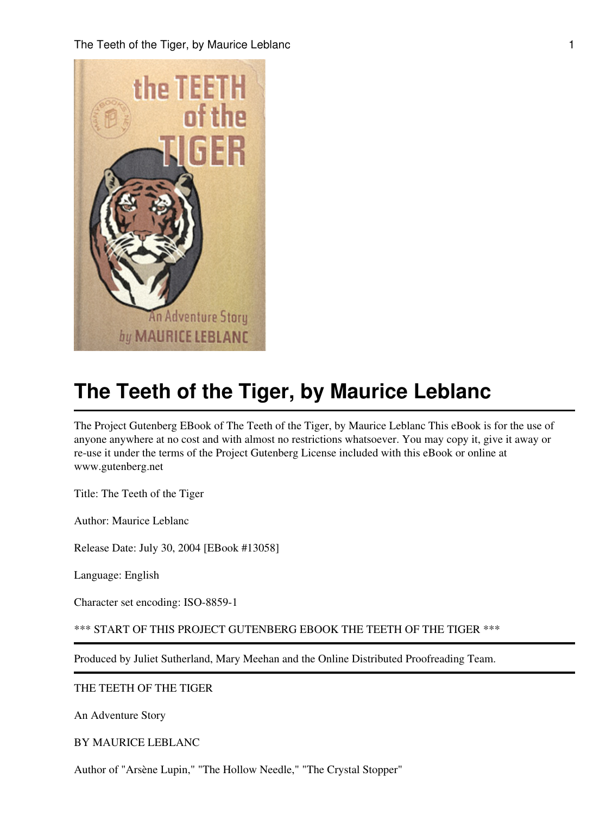The Teeth of the Tiger, by Maurice Leblanc 1 and 1 and 1 and 1 and 1 and 1 and 1 and 1 and 1 and 1 and 1 and 1 and 1 and 1 and 1 and 1 and 1 and 1 and 1 and 1 and 1 and 1 and 1 and 1 and 1 and 1 and 1 and 1 and 1 and 1 and



# **The Teeth of the Tiger, by Maurice Leblanc**

The Project Gutenberg EBook of The Teeth of the Tiger, by Maurice Leblanc This eBook is for the use of anyone anywhere at no cost and with almost no restrictions whatsoever. You may copy it, give it away or re-use it under the terms of the Project Gutenberg License included with this eBook or online at www.gutenberg.net

Title: The Teeth of the Tiger

Author: Maurice Leblanc

Release Date: July 30, 2004 [EBook #13058]

Language: English

Character set encoding: ISO-8859-1

\*\*\* START OF THIS PROJECT GUTENBERG EBOOK THE TEETH OF THE TIGER \*\*\*

Produced by Juliet Sutherland, Mary Meehan and the Online Distributed Proofreading Team.

THE TEETH OF THE TIGER

An Adventure Story

BY MAURICE LEBLANC

Author of "Arsène Lupin," "The Hollow Needle," "The Crystal Stopper"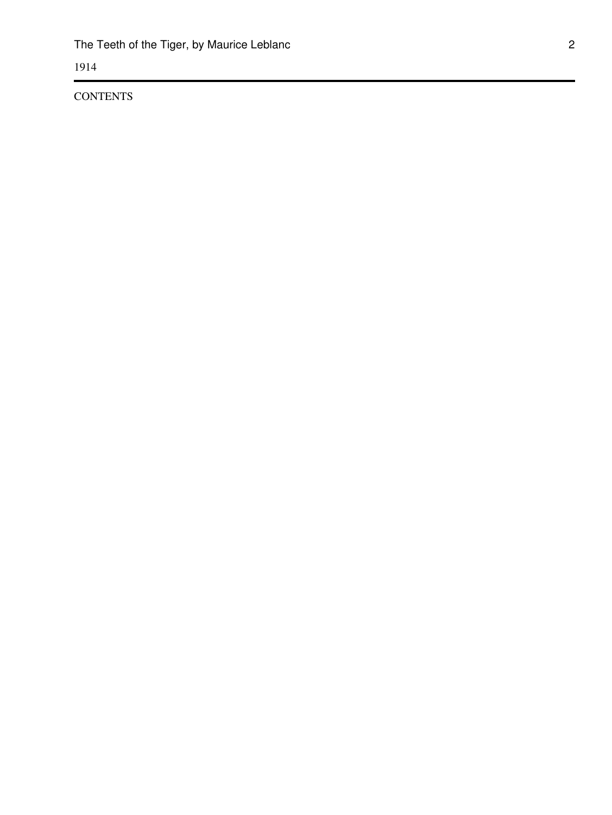1914

**CONTENTS**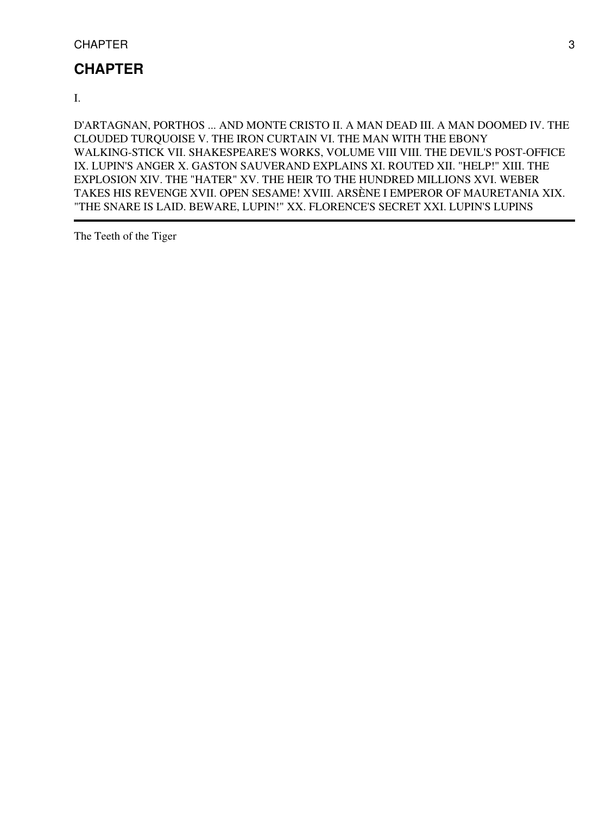# **CHAPTER**

I.

D'ARTAGNAN, PORTHOS ... AND MONTE CRISTO II. A MAN DEAD III. A MAN DOOMED IV. THE CLOUDED TURQUOISE V. THE IRON CURTAIN VI. THE MAN WITH THE EBONY WALKING-STICK VII. SHAKESPEARE'S WORKS, VOLUME VIII VIII. THE DEVIL'S POST-OFFICE IX. LUPIN'S ANGER X. GASTON SAUVERAND EXPLAINS XI. ROUTED XII. "HELP!" XIII. THE EXPLOSION XIV. THE "HATER" XV. THE HEIR TO THE HUNDRED MILLIONS XVI. WEBER TAKES HIS REVENGE XVII. OPEN SESAME! XVIII. ARSÈNE I EMPEROR OF MAURETANIA XIX. "THE SNARE IS LAID. BEWARE, LUPIN!" XX. FLORENCE'S SECRET XXI. LUPIN'S LUPINS

The Teeth of the Tiger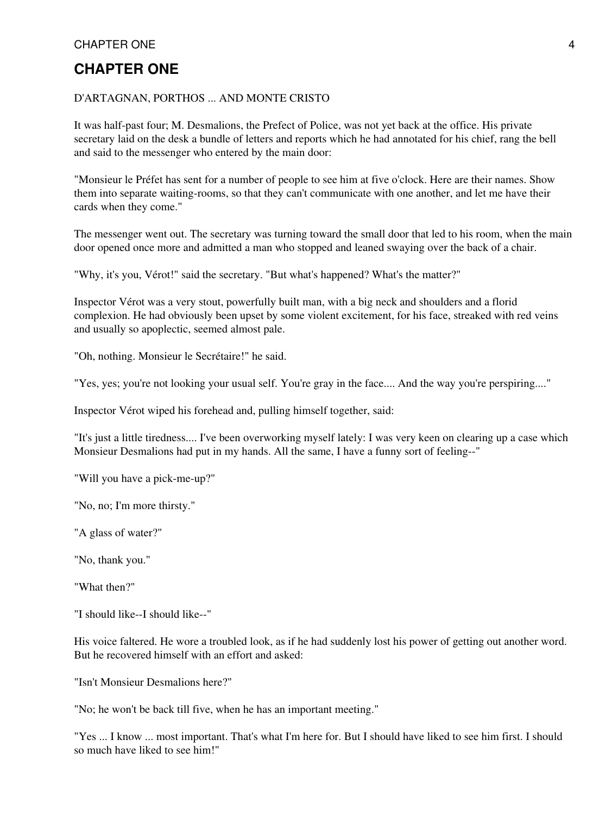# **CHAPTER ONE**

#### D'ARTAGNAN, PORTHOS ... AND MONTE CRISTO

It was half-past four; M. Desmalions, the Prefect of Police, was not yet back at the office. His private secretary laid on the desk a bundle of letters and reports which he had annotated for his chief, rang the bell and said to the messenger who entered by the main door:

"Monsieur le Préfet has sent for a number of people to see him at five o'clock. Here are their names. Show them into separate waiting-rooms, so that they can't communicate with one another, and let me have their cards when they come."

The messenger went out. The secretary was turning toward the small door that led to his room, when the main door opened once more and admitted a man who stopped and leaned swaying over the back of a chair.

"Why, it's you, Vérot!" said the secretary. "But what's happened? What's the matter?"

Inspector Vérot was a very stout, powerfully built man, with a big neck and shoulders and a florid complexion. He had obviously been upset by some violent excitement, for his face, streaked with red veins and usually so apoplectic, seemed almost pale.

"Oh, nothing. Monsieur le Secrétaire!" he said.

"Yes, yes; you're not looking your usual self. You're gray in the face.... And the way you're perspiring...."

Inspector Vérot wiped his forehead and, pulling himself together, said:

"It's just a little tiredness.... I've been overworking myself lately: I was very keen on clearing up a case which Monsieur Desmalions had put in my hands. All the same, I have a funny sort of feeling--"

"Will you have a pick-me-up?"

"No, no; I'm more thirsty."

"A glass of water?"

"No, thank you."

"What then?"

"I should like--I should like--"

His voice faltered. He wore a troubled look, as if he had suddenly lost his power of getting out another word. But he recovered himself with an effort and asked:

"Isn't Monsieur Desmalions here?"

"No; he won't be back till five, when he has an important meeting."

"Yes ... I know ... most important. That's what I'm here for. But I should have liked to see him first. I should so much have liked to see him!"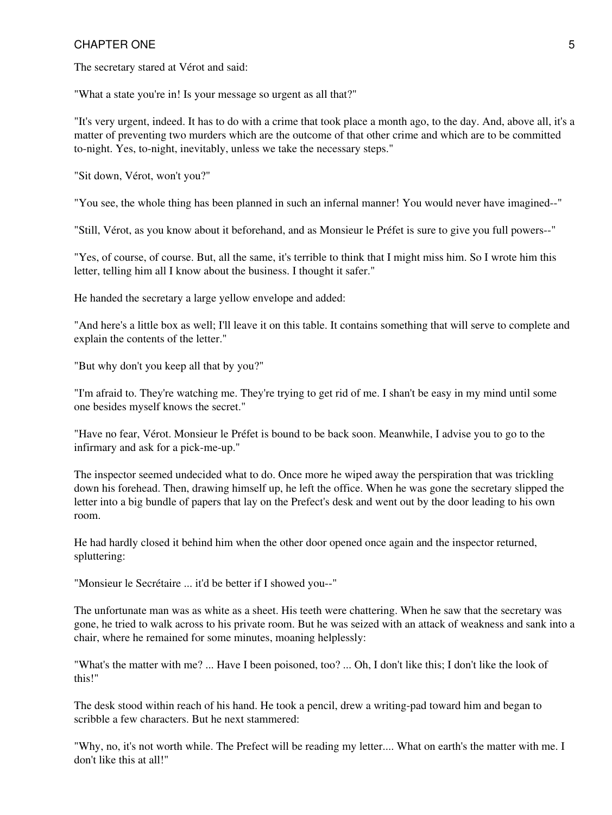The secretary stared at Vérot and said:

"What a state you're in! Is your message so urgent as all that?"

"It's very urgent, indeed. It has to do with a crime that took place a month ago, to the day. And, above all, it's a matter of preventing two murders which are the outcome of that other crime and which are to be committed to-night. Yes, to-night, inevitably, unless we take the necessary steps."

"Sit down, Vérot, won't you?"

"You see, the whole thing has been planned in such an infernal manner! You would never have imagined--"

"Still, Vérot, as you know about it beforehand, and as Monsieur le Préfet is sure to give you full powers--"

"Yes, of course, of course. But, all the same, it's terrible to think that I might miss him. So I wrote him this letter, telling him all I know about the business. I thought it safer."

He handed the secretary a large yellow envelope and added:

"And here's a little box as well; I'll leave it on this table. It contains something that will serve to complete and explain the contents of the letter."

"But why don't you keep all that by you?"

"I'm afraid to. They're watching me. They're trying to get rid of me. I shan't be easy in my mind until some one besides myself knows the secret."

"Have no fear, Vérot. Monsieur le Préfet is bound to be back soon. Meanwhile, I advise you to go to the infirmary and ask for a pick-me-up."

The inspector seemed undecided what to do. Once more he wiped away the perspiration that was trickling down his forehead. Then, drawing himself up, he left the office. When he was gone the secretary slipped the letter into a big bundle of papers that lay on the Prefect's desk and went out by the door leading to his own room.

He had hardly closed it behind him when the other door opened once again and the inspector returned, spluttering:

"Monsieur le Secrétaire ... it'd be better if I showed you--"

The unfortunate man was as white as a sheet. His teeth were chattering. When he saw that the secretary was gone, he tried to walk across to his private room. But he was seized with an attack of weakness and sank into a chair, where he remained for some minutes, moaning helplessly:

"What's the matter with me? ... Have I been poisoned, too? ... Oh, I don't like this; I don't like the look of this!"

The desk stood within reach of his hand. He took a pencil, drew a writing-pad toward him and began to scribble a few characters. But he next stammered:

"Why, no, it's not worth while. The Prefect will be reading my letter.... What on earth's the matter with me. I don't like this at all!"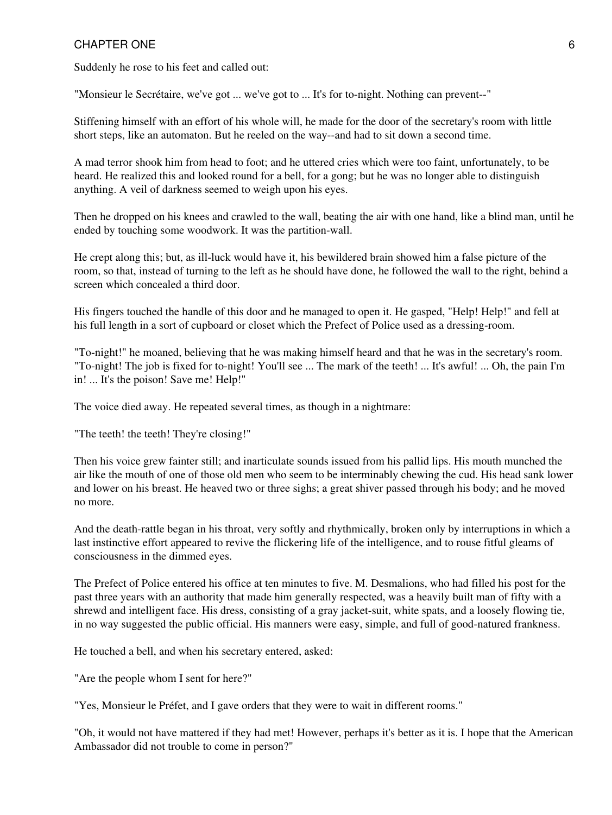Suddenly he rose to his feet and called out:

"Monsieur le Secrétaire, we've got ... we've got to ... It's for to-night. Nothing can prevent--"

Stiffening himself with an effort of his whole will, he made for the door of the secretary's room with little short steps, like an automaton. But he reeled on the way--and had to sit down a second time.

A mad terror shook him from head to foot; and he uttered cries which were too faint, unfortunately, to be heard. He realized this and looked round for a bell, for a gong; but he was no longer able to distinguish anything. A veil of darkness seemed to weigh upon his eyes.

Then he dropped on his knees and crawled to the wall, beating the air with one hand, like a blind man, until he ended by touching some woodwork. It was the partition-wall.

He crept along this; but, as ill-luck would have it, his bewildered brain showed him a false picture of the room, so that, instead of turning to the left as he should have done, he followed the wall to the right, behind a screen which concealed a third door.

His fingers touched the handle of this door and he managed to open it. He gasped, "Help! Help!" and fell at his full length in a sort of cupboard or closet which the Prefect of Police used as a dressing-room.

"To-night!" he moaned, believing that he was making himself heard and that he was in the secretary's room. "To-night! The job is fixed for to-night! You'll see ... The mark of the teeth! ... It's awful! ... Oh, the pain I'm in! ... It's the poison! Save me! Help!"

The voice died away. He repeated several times, as though in a nightmare:

"The teeth! the teeth! They're closing!"

Then his voice grew fainter still; and inarticulate sounds issued from his pallid lips. His mouth munched the air like the mouth of one of those old men who seem to be interminably chewing the cud. His head sank lower and lower on his breast. He heaved two or three sighs; a great shiver passed through his body; and he moved no more.

And the death-rattle began in his throat, very softly and rhythmically, broken only by interruptions in which a last instinctive effort appeared to revive the flickering life of the intelligence, and to rouse fitful gleams of consciousness in the dimmed eyes.

The Prefect of Police entered his office at ten minutes to five. M. Desmalions, who had filled his post for the past three years with an authority that made him generally respected, was a heavily built man of fifty with a shrewd and intelligent face. His dress, consisting of a gray jacket-suit, white spats, and a loosely flowing tie, in no way suggested the public official. His manners were easy, simple, and full of good-natured frankness.

He touched a bell, and when his secretary entered, asked:

"Are the people whom I sent for here?"

"Yes, Monsieur le Préfet, and I gave orders that they were to wait in different rooms."

"Oh, it would not have mattered if they had met! However, perhaps it's better as it is. I hope that the American Ambassador did not trouble to come in person?"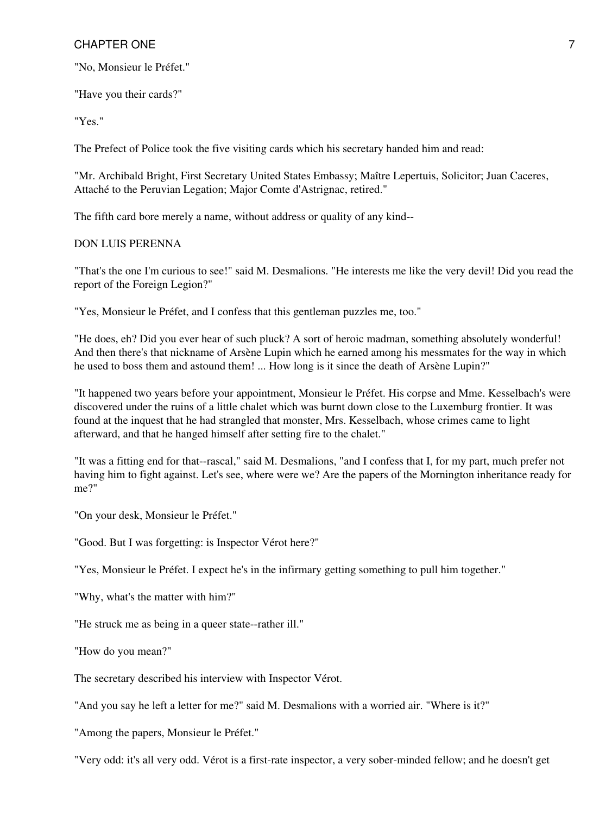"No, Monsieur le Préfet."

"Have you their cards?"

"Yes."

The Prefect of Police took the five visiting cards which his secretary handed him and read:

"Mr. Archibald Bright, First Secretary United States Embassy; Maître Lepertuis, Solicitor; Juan Caceres, Attaché to the Peruvian Legation; Major Comte d'Astrignac, retired."

The fifth card bore merely a name, without address or quality of any kind--

#### DON LUIS PERENNA

"That's the one I'm curious to see!" said M. Desmalions. "He interests me like the very devil! Did you read the report of the Foreign Legion?"

"Yes, Monsieur le Préfet, and I confess that this gentleman puzzles me, too."

"He does, eh? Did you ever hear of such pluck? A sort of heroic madman, something absolutely wonderful! And then there's that nickname of Arsène Lupin which he earned among his messmates for the way in which he used to boss them and astound them! ... How long is it since the death of Arsène Lupin?"

"It happened two years before your appointment, Monsieur le Préfet. His corpse and Mme. Kesselbach's were discovered under the ruins of a little chalet which was burnt down close to the Luxemburg frontier. It was found at the inquest that he had strangled that monster, Mrs. Kesselbach, whose crimes came to light afterward, and that he hanged himself after setting fire to the chalet."

"It was a fitting end for that--rascal," said M. Desmalions, "and I confess that I, for my part, much prefer not having him to fight against. Let's see, where were we? Are the papers of the Mornington inheritance ready for me?"

"On your desk, Monsieur le Préfet."

"Good. But I was forgetting: is Inspector Vérot here?"

"Yes, Monsieur le Préfet. I expect he's in the infirmary getting something to pull him together."

"Why, what's the matter with him?"

"He struck me as being in a queer state--rather ill."

"How do you mean?"

The secretary described his interview with Inspector Vérot.

"And you say he left a letter for me?" said M. Desmalions with a worried air. "Where is it?"

"Among the papers, Monsieur le Préfet."

"Very odd: it's all very odd. Vérot is a first-rate inspector, a very sober-minded fellow; and he doesn't get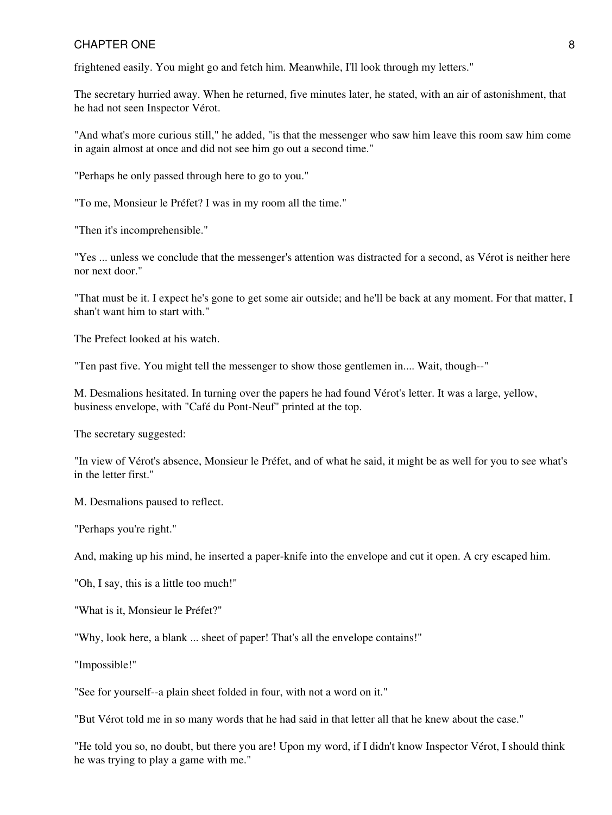frightened easily. You might go and fetch him. Meanwhile, I'll look through my letters."

The secretary hurried away. When he returned, five minutes later, he stated, with an air of astonishment, that he had not seen Inspector Vérot.

"And what's more curious still," he added, "is that the messenger who saw him leave this room saw him come in again almost at once and did not see him go out a second time."

"Perhaps he only passed through here to go to you."

"To me, Monsieur le Préfet? I was in my room all the time."

"Then it's incomprehensible."

"Yes ... unless we conclude that the messenger's attention was distracted for a second, as Vérot is neither here nor next door."

"That must be it. I expect he's gone to get some air outside; and he'll be back at any moment. For that matter, I shan't want him to start with."

The Prefect looked at his watch.

"Ten past five. You might tell the messenger to show those gentlemen in.... Wait, though--"

M. Desmalions hesitated. In turning over the papers he had found Vérot's letter. It was a large, yellow, business envelope, with "Café du Pont-Neuf" printed at the top.

The secretary suggested:

"In view of Vérot's absence, Monsieur le Préfet, and of what he said, it might be as well for you to see what's in the letter first."

M. Desmalions paused to reflect.

"Perhaps you're right."

And, making up his mind, he inserted a paper-knife into the envelope and cut it open. A cry escaped him.

"Oh, I say, this is a little too much!"

"What is it, Monsieur le Préfet?"

"Why, look here, a blank ... sheet of paper! That's all the envelope contains!"

"Impossible!"

"See for yourself--a plain sheet folded in four, with not a word on it."

"But Vérot told me in so many words that he had said in that letter all that he knew about the case."

"He told you so, no doubt, but there you are! Upon my word, if I didn't know Inspector Vérot, I should think he was trying to play a game with me."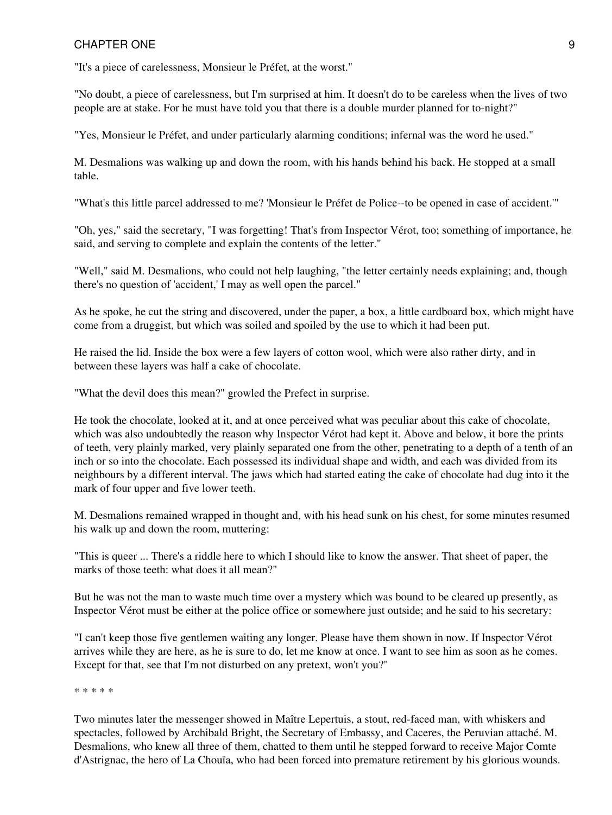#### CHAPTER ONE 2008 2012 12:00:00 PM 2012 12:00:00 PM 2012 12:00:00 PM 2012 12:00:00 PM 2012 12:00:00 PM 2012 12:00:00 PM 2012 12:00:00 PM 2012 12:00:00 PM 2012 12:00:00 PM 2012 12:00:00 PM 2012 12:00:00 PM 2012 12:00:00 PM 2

"It's a piece of carelessness, Monsieur le Préfet, at the worst."

"No doubt, a piece of carelessness, but I'm surprised at him. It doesn't do to be careless when the lives of two people are at stake. For he must have told you that there is a double murder planned for to-night?"

"Yes, Monsieur le Préfet, and under particularly alarming conditions; infernal was the word he used."

M. Desmalions was walking up and down the room, with his hands behind his back. He stopped at a small table.

"What's this little parcel addressed to me? 'Monsieur le Préfet de Police--to be opened in case of accident.'"

"Oh, yes," said the secretary, "I was forgetting! That's from Inspector Vérot, too; something of importance, he said, and serving to complete and explain the contents of the letter."

"Well," said M. Desmalions, who could not help laughing, "the letter certainly needs explaining; and, though there's no question of 'accident,' I may as well open the parcel."

As he spoke, he cut the string and discovered, under the paper, a box, a little cardboard box, which might have come from a druggist, but which was soiled and spoiled by the use to which it had been put.

He raised the lid. Inside the box were a few layers of cotton wool, which were also rather dirty, and in between these layers was half a cake of chocolate.

"What the devil does this mean?" growled the Prefect in surprise.

He took the chocolate, looked at it, and at once perceived what was peculiar about this cake of chocolate, which was also undoubtedly the reason why Inspector Vérot had kept it. Above and below, it bore the prints of teeth, very plainly marked, very plainly separated one from the other, penetrating to a depth of a tenth of an inch or so into the chocolate. Each possessed its individual shape and width, and each was divided from its neighbours by a different interval. The jaws which had started eating the cake of chocolate had dug into it the mark of four upper and five lower teeth.

M. Desmalions remained wrapped in thought and, with his head sunk on his chest, for some minutes resumed his walk up and down the room, muttering:

"This is queer ... There's a riddle here to which I should like to know the answer. That sheet of paper, the marks of those teeth: what does it all mean?"

But he was not the man to waste much time over a mystery which was bound to be cleared up presently, as Inspector Vérot must be either at the police office or somewhere just outside; and he said to his secretary:

"I can't keep those five gentlemen waiting any longer. Please have them shown in now. If Inspector Vérot arrives while they are here, as he is sure to do, let me know at once. I want to see him as soon as he comes. Except for that, see that I'm not disturbed on any pretext, won't you?"

\* \* \* \* \*

Two minutes later the messenger showed in Maître Lepertuis, a stout, red-faced man, with whiskers and spectacles, followed by Archibald Bright, the Secretary of Embassy, and Caceres, the Peruvian attaché. M. Desmalions, who knew all three of them, chatted to them until he stepped forward to receive Major Comte d'Astrignac, the hero of La Chouïa, who had been forced into premature retirement by his glorious wounds.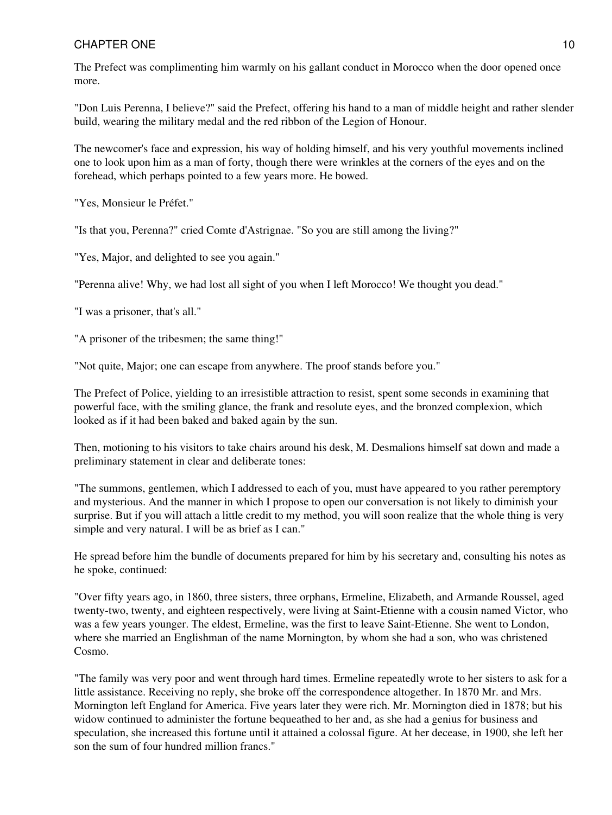The Prefect was complimenting him warmly on his gallant conduct in Morocco when the door opened once more.

"Don Luis Perenna, I believe?" said the Prefect, offering his hand to a man of middle height and rather slender build, wearing the military medal and the red ribbon of the Legion of Honour.

The newcomer's face and expression, his way of holding himself, and his very youthful movements inclined one to look upon him as a man of forty, though there were wrinkles at the corners of the eyes and on the forehead, which perhaps pointed to a few years more. He bowed.

"Yes, Monsieur le Préfet."

"Is that you, Perenna?" cried Comte d'Astrignae. "So you are still among the living?"

"Yes, Major, and delighted to see you again."

"Perenna alive! Why, we had lost all sight of you when I left Morocco! We thought you dead."

"I was a prisoner, that's all."

"A prisoner of the tribesmen; the same thing!"

"Not quite, Major; one can escape from anywhere. The proof stands before you."

The Prefect of Police, yielding to an irresistible attraction to resist, spent some seconds in examining that powerful face, with the smiling glance, the frank and resolute eyes, and the bronzed complexion, which looked as if it had been baked and baked again by the sun.

Then, motioning to his visitors to take chairs around his desk, M. Desmalions himself sat down and made a preliminary statement in clear and deliberate tones:

"The summons, gentlemen, which I addressed to each of you, must have appeared to you rather peremptory and mysterious. And the manner in which I propose to open our conversation is not likely to diminish your surprise. But if you will attach a little credit to my method, you will soon realize that the whole thing is very simple and very natural. I will be as brief as I can."

He spread before him the bundle of documents prepared for him by his secretary and, consulting his notes as he spoke, continued:

"Over fifty years ago, in 1860, three sisters, three orphans, Ermeline, Elizabeth, and Armande Roussel, aged twenty-two, twenty, and eighteen respectively, were living at Saint-Etienne with a cousin named Victor, who was a few years younger. The eldest, Ermeline, was the first to leave Saint-Etienne. She went to London, where she married an Englishman of the name Mornington, by whom she had a son, who was christened Cosmo.

"The family was very poor and went through hard times. Ermeline repeatedly wrote to her sisters to ask for a little assistance. Receiving no reply, she broke off the correspondence altogether. In 1870 Mr. and Mrs. Mornington left England for America. Five years later they were rich. Mr. Mornington died in 1878; but his widow continued to administer the fortune bequeathed to her and, as she had a genius for business and speculation, she increased this fortune until it attained a colossal figure. At her decease, in 1900, she left her son the sum of four hundred million francs."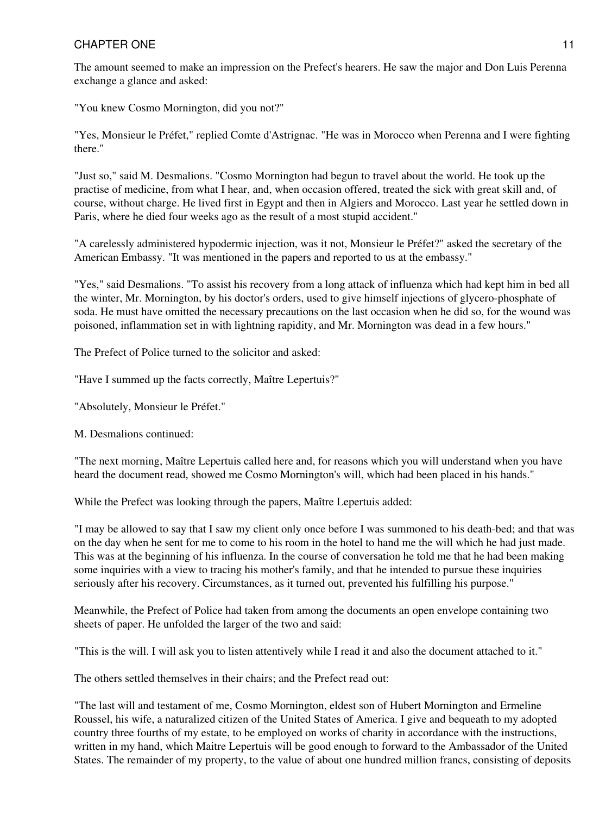The amount seemed to make an impression on the Prefect's hearers. He saw the major and Don Luis Perenna exchange a glance and asked:

"You knew Cosmo Mornington, did you not?"

"Yes, Monsieur le Préfet," replied Comte d'Astrignac. "He was in Morocco when Perenna and I were fighting there."

"Just so," said M. Desmalions. "Cosmo Mornington had begun to travel about the world. He took up the practise of medicine, from what I hear, and, when occasion offered, treated the sick with great skill and, of course, without charge. He lived first in Egypt and then in Algiers and Morocco. Last year he settled down in Paris, where he died four weeks ago as the result of a most stupid accident."

"A carelessly administered hypodermic injection, was it not, Monsieur le Préfet?" asked the secretary of the American Embassy. "It was mentioned in the papers and reported to us at the embassy."

"Yes," said Desmalions. "To assist his recovery from a long attack of influenza which had kept him in bed all the winter, Mr. Mornington, by his doctor's orders, used to give himself injections of glycero-phosphate of soda. He must have omitted the necessary precautions on the last occasion when he did so, for the wound was poisoned, inflammation set in with lightning rapidity, and Mr. Mornington was dead in a few hours."

The Prefect of Police turned to the solicitor and asked:

"Have I summed up the facts correctly, Maître Lepertuis?"

"Absolutely, Monsieur le Préfet."

M. Desmalions continued:

"The next morning, Maître Lepertuis called here and, for reasons which you will understand when you have heard the document read, showed me Cosmo Mornington's will, which had been placed in his hands."

While the Prefect was looking through the papers, Maître Lepertuis added:

"I may be allowed to say that I saw my client only once before I was summoned to his death-bed; and that was on the day when he sent for me to come to his room in the hotel to hand me the will which he had just made. This was at the beginning of his influenza. In the course of conversation he told me that he had been making some inquiries with a view to tracing his mother's family, and that he intended to pursue these inquiries seriously after his recovery. Circumstances, as it turned out, prevented his fulfilling his purpose."

Meanwhile, the Prefect of Police had taken from among the documents an open envelope containing two sheets of paper. He unfolded the larger of the two and said:

"This is the will. I will ask you to listen attentively while I read it and also the document attached to it."

The others settled themselves in their chairs; and the Prefect read out:

"The last will and testament of me, Cosmo Mornington, eldest son of Hubert Mornington and Ermeline Roussel, his wife, a naturalized citizen of the United States of America. I give and bequeath to my adopted country three fourths of my estate, to be employed on works of charity in accordance with the instructions, written in my hand, which Maitre Lepertuis will be good enough to forward to the Ambassador of the United States. The remainder of my property, to the value of about one hundred million francs, consisting of deposits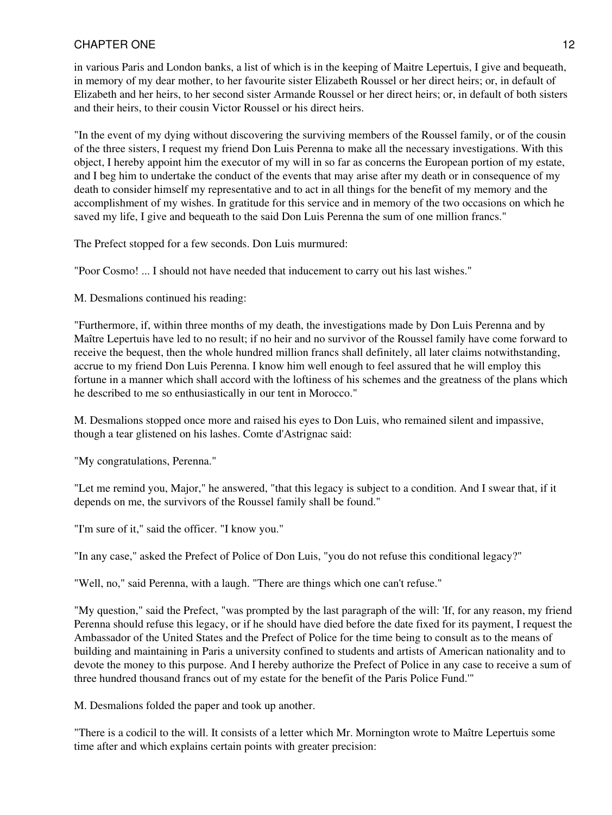in various Paris and London banks, a list of which is in the keeping of Maitre Lepertuis, I give and bequeath, in memory of my dear mother, to her favourite sister Elizabeth Roussel or her direct heirs; or, in default of Elizabeth and her heirs, to her second sister Armande Roussel or her direct heirs; or, in default of both sisters and their heirs, to their cousin Victor Roussel or his direct heirs.

"In the event of my dying without discovering the surviving members of the Roussel family, or of the cousin of the three sisters, I request my friend Don Luis Perenna to make all the necessary investigations. With this object, I hereby appoint him the executor of my will in so far as concerns the European portion of my estate, and I beg him to undertake the conduct of the events that may arise after my death or in consequence of my death to consider himself my representative and to act in all things for the benefit of my memory and the accomplishment of my wishes. In gratitude for this service and in memory of the two occasions on which he saved my life, I give and bequeath to the said Don Luis Perenna the sum of one million francs."

The Prefect stopped for a few seconds. Don Luis murmured:

"Poor Cosmo! ... I should not have needed that inducement to carry out his last wishes."

M. Desmalions continued his reading:

"Furthermore, if, within three months of my death, the investigations made by Don Luis Perenna and by Maître Lepertuis have led to no result; if no heir and no survivor of the Roussel family have come forward to receive the bequest, then the whole hundred million francs shall definitely, all later claims notwithstanding, accrue to my friend Don Luis Perenna. I know him well enough to feel assured that he will employ this fortune in a manner which shall accord with the loftiness of his schemes and the greatness of the plans which he described to me so enthusiastically in our tent in Morocco."

M. Desmalions stopped once more and raised his eyes to Don Luis, who remained silent and impassive, though a tear glistened on his lashes. Comte d'Astrignac said:

"My congratulations, Perenna."

"Let me remind you, Major," he answered, "that this legacy is subject to a condition. And I swear that, if it depends on me, the survivors of the Roussel family shall be found."

"I'm sure of it," said the officer. "I know you."

"In any case," asked the Prefect of Police of Don Luis, "you do not refuse this conditional legacy?"

"Well, no," said Perenna, with a laugh. "There are things which one can't refuse."

"My question," said the Prefect, "was prompted by the last paragraph of the will: 'If, for any reason, my friend Perenna should refuse this legacy, or if he should have died before the date fixed for its payment, I request the Ambassador of the United States and the Prefect of Police for the time being to consult as to the means of building and maintaining in Paris a university confined to students and artists of American nationality and to devote the money to this purpose. And I hereby authorize the Prefect of Police in any case to receive a sum of three hundred thousand francs out of my estate for the benefit of the Paris Police Fund.'"

M. Desmalions folded the paper and took up another.

"There is a codicil to the will. It consists of a letter which Mr. Mornington wrote to Maître Lepertuis some time after and which explains certain points with greater precision: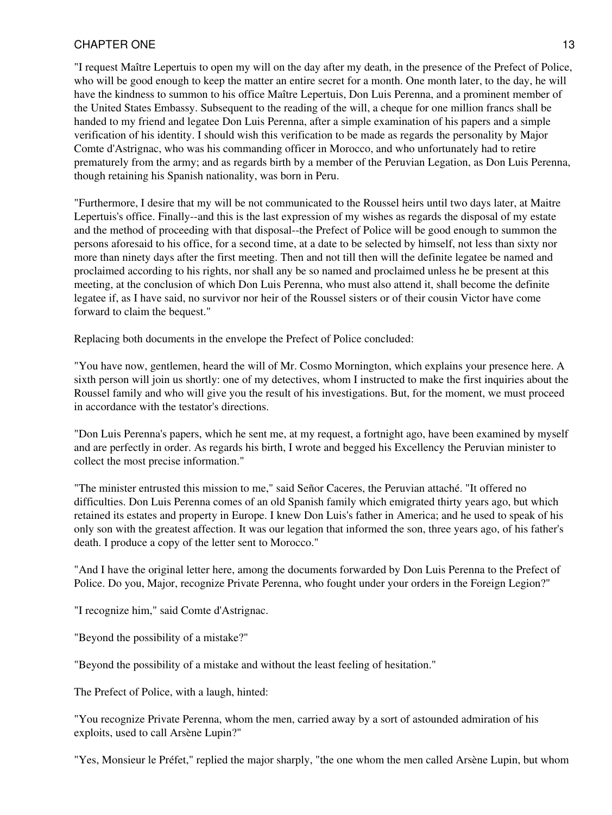# CHAPTER ONE 23 AND 2012 13

"I request Maître Lepertuis to open my will on the day after my death, in the presence of the Prefect of Police, who will be good enough to keep the matter an entire secret for a month. One month later, to the day, he will have the kindness to summon to his office Maître Lepertuis, Don Luis Perenna, and a prominent member of the United States Embassy. Subsequent to the reading of the will, a cheque for one million francs shall be handed to my friend and legatee Don Luis Perenna, after a simple examination of his papers and a simple verification of his identity. I should wish this verification to be made as regards the personality by Major Comte d'Astrignac, who was his commanding officer in Morocco, and who unfortunately had to retire prematurely from the army; and as regards birth by a member of the Peruvian Legation, as Don Luis Perenna, though retaining his Spanish nationality, was born in Peru.

"Furthermore, I desire that my will be not communicated to the Roussel heirs until two days later, at Maitre Lepertuis's office. Finally--and this is the last expression of my wishes as regards the disposal of my estate and the method of proceeding with that disposal--the Prefect of Police will be good enough to summon the persons aforesaid to his office, for a second time, at a date to be selected by himself, not less than sixty nor more than ninety days after the first meeting. Then and not till then will the definite legatee be named and proclaimed according to his rights, nor shall any be so named and proclaimed unless he be present at this meeting, at the conclusion of which Don Luis Perenna, who must also attend it, shall become the definite legatee if, as I have said, no survivor nor heir of the Roussel sisters or of their cousin Victor have come forward to claim the bequest."

Replacing both documents in the envelope the Prefect of Police concluded:

"You have now, gentlemen, heard the will of Mr. Cosmo Mornington, which explains your presence here. A sixth person will join us shortly: one of my detectives, whom I instructed to make the first inquiries about the Roussel family and who will give you the result of his investigations. But, for the moment, we must proceed in accordance with the testator's directions.

"Don Luis Perenna's papers, which he sent me, at my request, a fortnight ago, have been examined by myself and are perfectly in order. As regards his birth, I wrote and begged his Excellency the Peruvian minister to collect the most precise information."

"The minister entrusted this mission to me," said Señor Caceres, the Peruvian attaché. "It offered no difficulties. Don Luis Perenna comes of an old Spanish family which emigrated thirty years ago, but which retained its estates and property in Europe. I knew Don Luis's father in America; and he used to speak of his only son with the greatest affection. It was our legation that informed the son, three years ago, of his father's death. I produce a copy of the letter sent to Morocco."

"And I have the original letter here, among the documents forwarded by Don Luis Perenna to the Prefect of Police. Do you, Major, recognize Private Perenna, who fought under your orders in the Foreign Legion?"

"I recognize him," said Comte d'Astrignac.

"Beyond the possibility of a mistake?"

"Beyond the possibility of a mistake and without the least feeling of hesitation."

The Prefect of Police, with a laugh, hinted:

"You recognize Private Perenna, whom the men, carried away by a sort of astounded admiration of his exploits, used to call Arsène Lupin?"

"Yes, Monsieur le Préfet," replied the major sharply, "the one whom the men called Arsène Lupin, but whom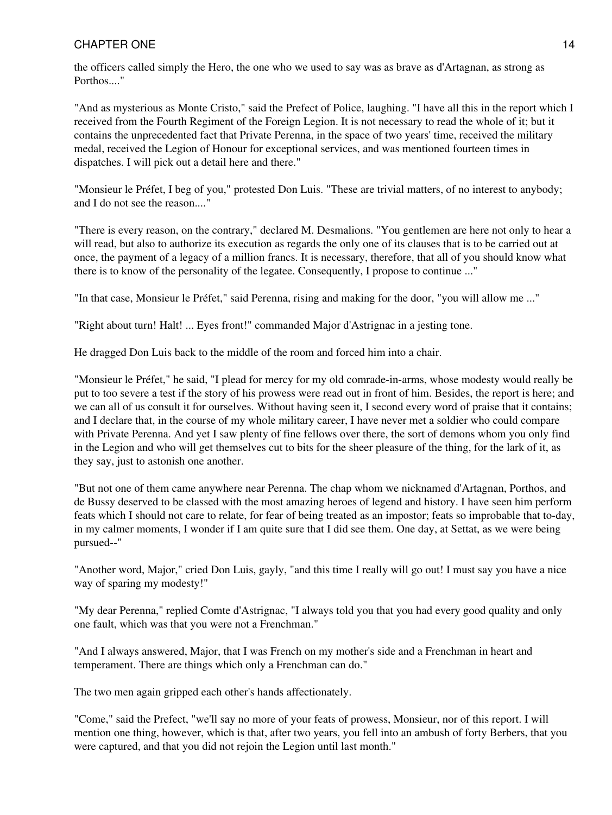# CHAPTER ONE 22 STATE AND THE SERVICE OF STATE AND THE SERVICE OF STATE AND THE STATE OF STATE AND THE STATE OF STATE AND THE STATE OF STATE AND THE STATE OF STATE AND THE STATE OF STATE AND THE STATE OF STATE AND THE STATE

the officers called simply the Hero, the one who we used to say was as brave as d'Artagnan, as strong as Porthos...."

"And as mysterious as Monte Cristo," said the Prefect of Police, laughing. "I have all this in the report which I received from the Fourth Regiment of the Foreign Legion. It is not necessary to read the whole of it; but it contains the unprecedented fact that Private Perenna, in the space of two years' time, received the military medal, received the Legion of Honour for exceptional services, and was mentioned fourteen times in dispatches. I will pick out a detail here and there."

"Monsieur le Préfet, I beg of you," protested Don Luis. "These are trivial matters, of no interest to anybody; and I do not see the reason...."

"There is every reason, on the contrary," declared M. Desmalions. "You gentlemen are here not only to hear a will read, but also to authorize its execution as regards the only one of its clauses that is to be carried out at once, the payment of a legacy of a million francs. It is necessary, therefore, that all of you should know what there is to know of the personality of the legatee. Consequently, I propose to continue ..."

"In that case, Monsieur le Préfet," said Perenna, rising and making for the door, "you will allow me ..."

"Right about turn! Halt! ... Eyes front!" commanded Major d'Astrignac in a jesting tone.

He dragged Don Luis back to the middle of the room and forced him into a chair.

"Monsieur le Préfet," he said, "I plead for mercy for my old comrade-in-arms, whose modesty would really be put to too severe a test if the story of his prowess were read out in front of him. Besides, the report is here; and we can all of us consult it for ourselves. Without having seen it, I second every word of praise that it contains; and I declare that, in the course of my whole military career, I have never met a soldier who could compare with Private Perenna. And yet I saw plenty of fine fellows over there, the sort of demons whom you only find in the Legion and who will get themselves cut to bits for the sheer pleasure of the thing, for the lark of it, as they say, just to astonish one another.

"But not one of them came anywhere near Perenna. The chap whom we nicknamed d'Artagnan, Porthos, and de Bussy deserved to be classed with the most amazing heroes of legend and history. I have seen him perform feats which I should not care to relate, for fear of being treated as an impostor; feats so improbable that to-day, in my calmer moments, I wonder if I am quite sure that I did see them. One day, at Settat, as we were being pursued--"

"Another word, Major," cried Don Luis, gayly, "and this time I really will go out! I must say you have a nice way of sparing my modesty!"

"My dear Perenna," replied Comte d'Astrignac, "I always told you that you had every good quality and only one fault, which was that you were not a Frenchman."

"And I always answered, Major, that I was French on my mother's side and a Frenchman in heart and temperament. There are things which only a Frenchman can do."

The two men again gripped each other's hands affectionately.

"Come," said the Prefect, "we'll say no more of your feats of prowess, Monsieur, nor of this report. I will mention one thing, however, which is that, after two years, you fell into an ambush of forty Berbers, that you were captured, and that you did not rejoin the Legion until last month."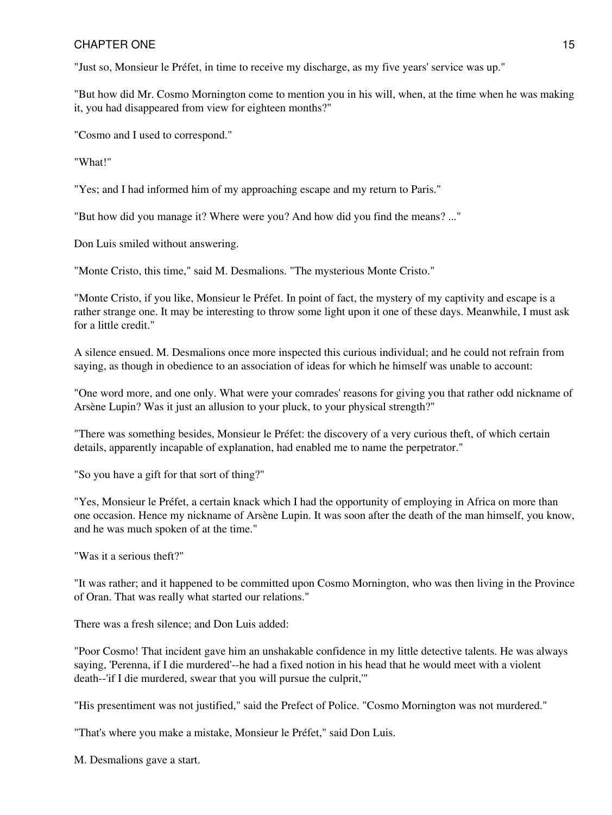# CHAPTER ONE 25 STATE AND THE 25 STATE AND THE 25 STATE AND THE 25 STATE AND THE 25 STATE AND THE 25 STATE AND THE 25 STATE AND THE 25 STATE AND THE 25 STATE AND THE 25 STATE AND THE 25 STATE AND 25 STATE AND THE 25 STATE A

"Just so, Monsieur le Préfet, in time to receive my discharge, as my five years' service was up."

"But how did Mr. Cosmo Mornington come to mention you in his will, when, at the time when he was making it, you had disappeared from view for eighteen months?"

"Cosmo and I used to correspond."

"What!"

"Yes; and I had informed him of my approaching escape and my return to Paris."

"But how did you manage it? Where were you? And how did you find the means? ..."

Don Luis smiled without answering.

"Monte Cristo, this time," said M. Desmalions. "The mysterious Monte Cristo."

"Monte Cristo, if you like, Monsieur le Préfet. In point of fact, the mystery of my captivity and escape is a rather strange one. It may be interesting to throw some light upon it one of these days. Meanwhile, I must ask for a little credit."

A silence ensued. M. Desmalions once more inspected this curious individual; and he could not refrain from saying, as though in obedience to an association of ideas for which he himself was unable to account:

"One word more, and one only. What were your comrades' reasons for giving you that rather odd nickname of Arsène Lupin? Was it just an allusion to your pluck, to your physical strength?"

"There was something besides, Monsieur le Préfet: the discovery of a very curious theft, of which certain details, apparently incapable of explanation, had enabled me to name the perpetrator."

"So you have a gift for that sort of thing?"

"Yes, Monsieur le Préfet, a certain knack which I had the opportunity of employing in Africa on more than one occasion. Hence my nickname of Arsène Lupin. It was soon after the death of the man himself, you know, and he was much spoken of at the time."

"Was it a serious theft?"

"It was rather; and it happened to be committed upon Cosmo Mornington, who was then living in the Province of Oran. That was really what started our relations."

There was a fresh silence; and Don Luis added:

"Poor Cosmo! That incident gave him an unshakable confidence in my little detective talents. He was always saying, 'Perenna, if I die murdered'--he had a fixed notion in his head that he would meet with a violent death--'if I die murdered, swear that you will pursue the culprit,'"

"His presentiment was not justified," said the Prefect of Police. "Cosmo Mornington was not murdered."

"That's where you make a mistake, Monsieur le Préfet," said Don Luis.

M. Desmalions gave a start.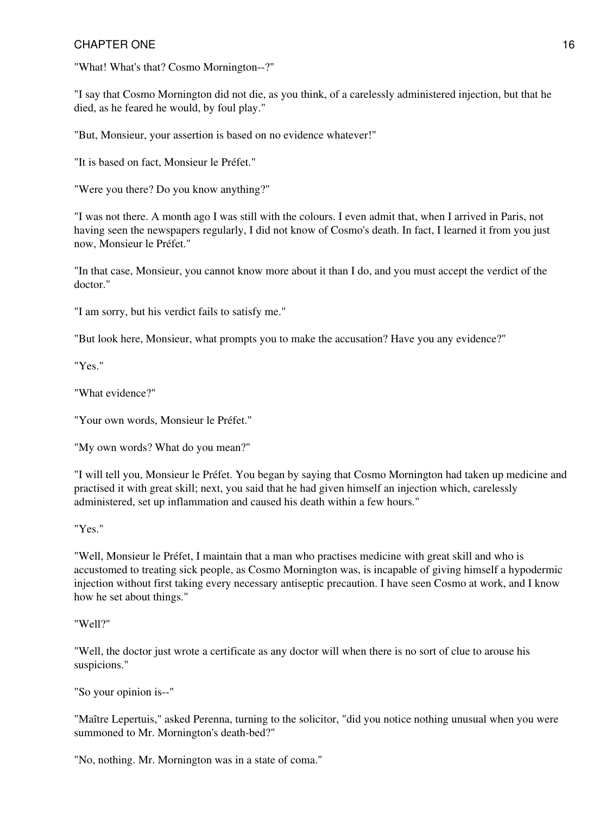"What! What's that? Cosmo Mornington--?"

"I say that Cosmo Mornington did not die, as you think, of a carelessly administered injection, but that he died, as he feared he would, by foul play."

"But, Monsieur, your assertion is based on no evidence whatever!"

"It is based on fact, Monsieur le Préfet."

"Were you there? Do you know anything?"

"I was not there. A month ago I was still with the colours. I even admit that, when I arrived in Paris, not having seen the newspapers regularly, I did not know of Cosmo's death. In fact, I learned it from you just now, Monsieur le Préfet."

"In that case, Monsieur, you cannot know more about it than I do, and you must accept the verdict of the doctor."

"I am sorry, but his verdict fails to satisfy me."

"But look here, Monsieur, what prompts you to make the accusation? Have you any evidence?"

"Yes."

"What evidence?"

"Your own words, Monsieur le Préfet."

"My own words? What do you mean?"

"I will tell you, Monsieur le Préfet. You began by saying that Cosmo Mornington had taken up medicine and practised it with great skill; next, you said that he had given himself an injection which, carelessly administered, set up inflammation and caused his death within a few hours."

#### "Yes."

"Well, Monsieur le Préfet, I maintain that a man who practises medicine with great skill and who is accustomed to treating sick people, as Cosmo Mornington was, is incapable of giving himself a hypodermic injection without first taking every necessary antiseptic precaution. I have seen Cosmo at work, and I know how he set about things."

"Well?"

"Well, the doctor just wrote a certificate as any doctor will when there is no sort of clue to arouse his suspicions."

"So your opinion is--"

"Maître Lepertuis," asked Perenna, turning to the solicitor, "did you notice nothing unusual when you were summoned to Mr. Mornington's death-bed?"

"No, nothing. Mr. Mornington was in a state of coma."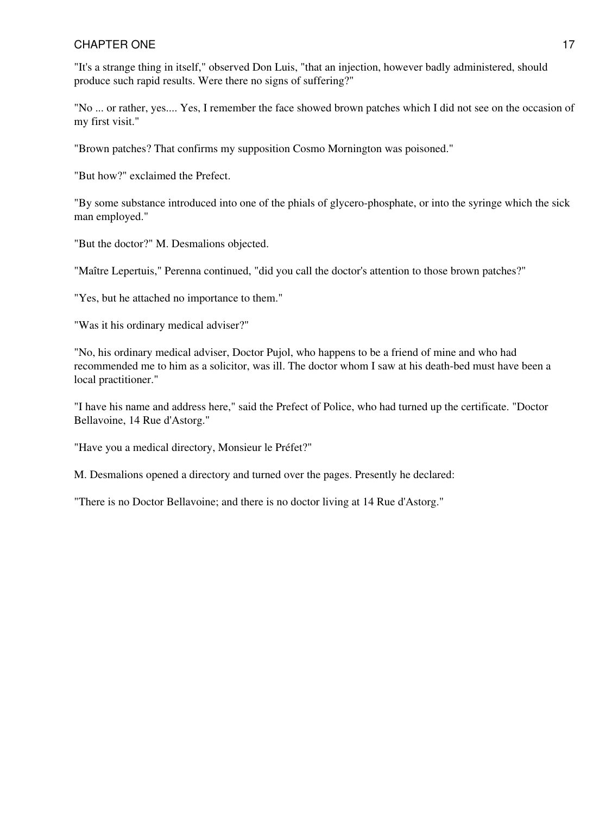"It's a strange thing in itself," observed Don Luis, "that an injection, however badly administered, should produce such rapid results. Were there no signs of suffering?"

"No ... or rather, yes.... Yes, I remember the face showed brown patches which I did not see on the occasion of my first visit."

"Brown patches? That confirms my supposition Cosmo Mornington was poisoned."

"But how?" exclaimed the Prefect.

"By some substance introduced into one of the phials of glycero-phosphate, or into the syringe which the sick man employed."

"But the doctor?" M. Desmalions objected.

"Maître Lepertuis," Perenna continued, "did you call the doctor's attention to those brown patches?"

"Yes, but he attached no importance to them."

"Was it his ordinary medical adviser?"

"No, his ordinary medical adviser, Doctor Pujol, who happens to be a friend of mine and who had recommended me to him as a solicitor, was ill. The doctor whom I saw at his death-bed must have been a local practitioner."

"I have his name and address here," said the Prefect of Police, who had turned up the certificate. "Doctor Bellavoine, 14 Rue d'Astorg."

"Have you a medical directory, Monsieur le Préfet?"

M. Desmalions opened a directory and turned over the pages. Presently he declared:

"There is no Doctor Bellavoine; and there is no doctor living at 14 Rue d'Astorg."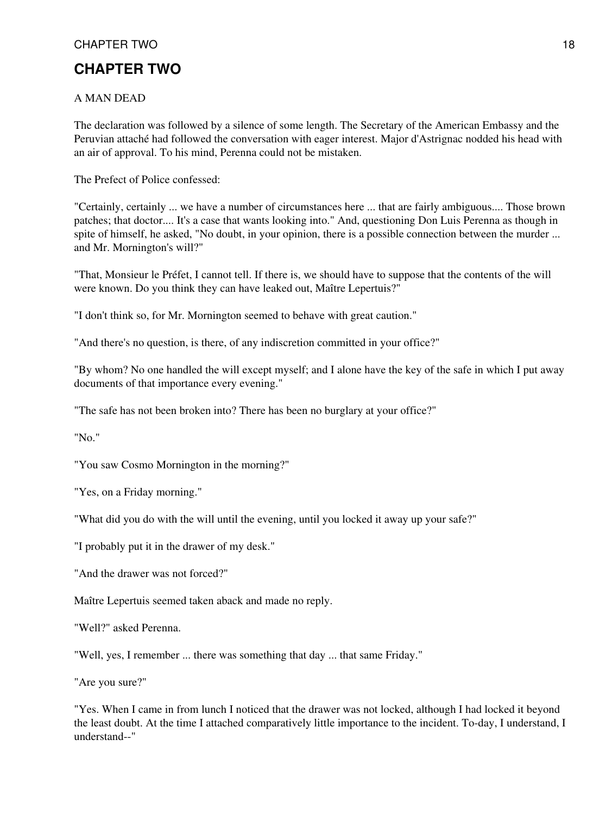## CHAPTER TWO 38 and 20 and 20 and 20 and 20 and 20 and 20 and 20 and 20 and 20 and 20 and 20 and 20 and 20 and 20 and 20 and 20 and 20 and 20 and 20 and 20 and 20 and 20 and 20 and 20 and 20 and 20 and 20 and 20 and 20 and

# **CHAPTER TWO**

#### A MAN DEAD

The declaration was followed by a silence of some length. The Secretary of the American Embassy and the Peruvian attaché had followed the conversation with eager interest. Major d'Astrignac nodded his head with an air of approval. To his mind, Perenna could not be mistaken.

The Prefect of Police confessed:

"Certainly, certainly ... we have a number of circumstances here ... that are fairly ambiguous.... Those brown patches; that doctor.... It's a case that wants looking into." And, questioning Don Luis Perenna as though in spite of himself, he asked, "No doubt, in your opinion, there is a possible connection between the murder ... and Mr. Mornington's will?"

"That, Monsieur le Préfet, I cannot tell. If there is, we should have to suppose that the contents of the will were known. Do you think they can have leaked out, Maître Lepertuis?"

"I don't think so, for Mr. Mornington seemed to behave with great caution."

"And there's no question, is there, of any indiscretion committed in your office?"

"By whom? No one handled the will except myself; and I alone have the key of the safe in which I put away documents of that importance every evening."

"The safe has not been broken into? There has been no burglary at your office?"

"No."

"You saw Cosmo Mornington in the morning?"

"Yes, on a Friday morning."

"What did you do with the will until the evening, until you locked it away up your safe?"

"I probably put it in the drawer of my desk."

"And the drawer was not forced?"

Maître Lepertuis seemed taken aback and made no reply.

"Well?" asked Perenna.

"Well, yes, I remember ... there was something that day ... that same Friday."

"Are you sure?"

"Yes. When I came in from lunch I noticed that the drawer was not locked, although I had locked it beyond the least doubt. At the time I attached comparatively little importance to the incident. To-day, I understand, I understand--"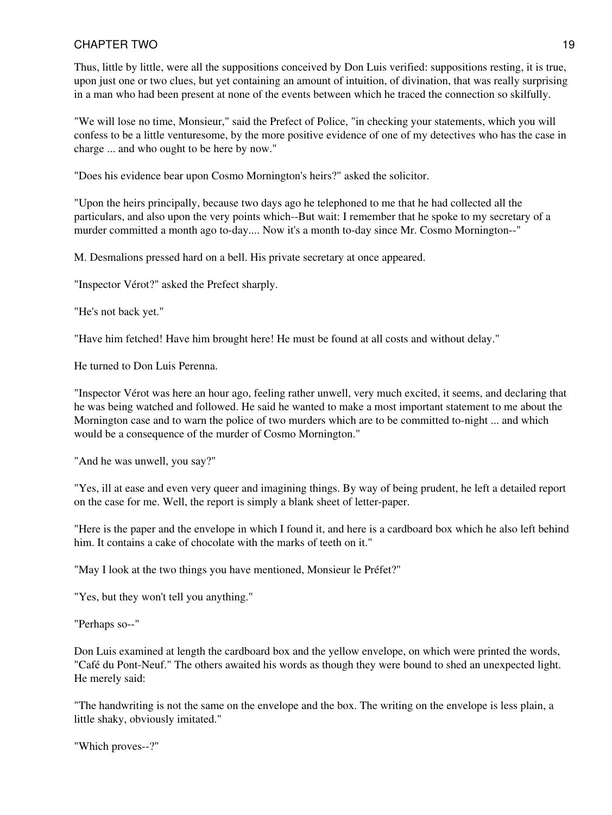Thus, little by little, were all the suppositions conceived by Don Luis verified: suppositions resting, it is true, upon just one or two clues, but yet containing an amount of intuition, of divination, that was really surprising in a man who had been present at none of the events between which he traced the connection so skilfully.

"We will lose no time, Monsieur," said the Prefect of Police, "in checking your statements, which you will confess to be a little venturesome, by the more positive evidence of one of my detectives who has the case in charge ... and who ought to be here by now."

"Does his evidence bear upon Cosmo Mornington's heirs?" asked the solicitor.

"Upon the heirs principally, because two days ago he telephoned to me that he had collected all the particulars, and also upon the very points which--But wait: I remember that he spoke to my secretary of a murder committed a month ago to-day.... Now it's a month to-day since Mr. Cosmo Mornington--"

M. Desmalions pressed hard on a bell. His private secretary at once appeared.

"Inspector Vérot?" asked the Prefect sharply.

"He's not back yet."

"Have him fetched! Have him brought here! He must be found at all costs and without delay."

He turned to Don Luis Perenna.

"Inspector Vérot was here an hour ago, feeling rather unwell, very much excited, it seems, and declaring that he was being watched and followed. He said he wanted to make a most important statement to me about the Mornington case and to warn the police of two murders which are to be committed to-night ... and which would be a consequence of the murder of Cosmo Mornington."

"And he was unwell, you say?"

"Yes, ill at ease and even very queer and imagining things. By way of being prudent, he left a detailed report on the case for me. Well, the report is simply a blank sheet of letter-paper.

"Here is the paper and the envelope in which I found it, and here is a cardboard box which he also left behind him. It contains a cake of chocolate with the marks of teeth on it."

"May I look at the two things you have mentioned, Monsieur le Préfet?"

"Yes, but they won't tell you anything."

"Perhaps so--"

Don Luis examined at length the cardboard box and the yellow envelope, on which were printed the words, "Café du Pont-Neuf." The others awaited his words as though they were bound to shed an unexpected light. He merely said:

"The handwriting is not the same on the envelope and the box. The writing on the envelope is less plain, a little shaky, obviously imitated."

"Which proves--?"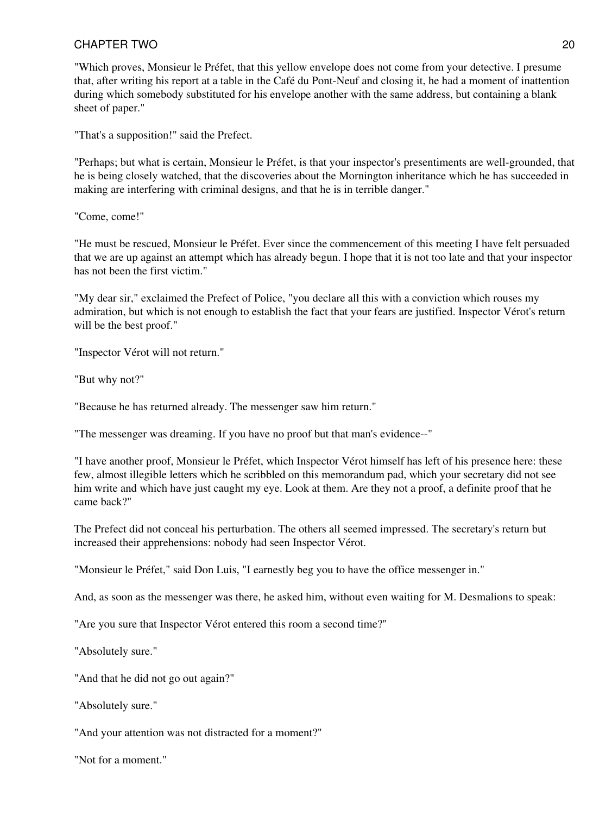"Which proves, Monsieur le Préfet, that this yellow envelope does not come from your detective. I presume that, after writing his report at a table in the Café du Pont-Neuf and closing it, he had a moment of inattention during which somebody substituted for his envelope another with the same address, but containing a blank sheet of paper."

"That's a supposition!" said the Prefect.

"Perhaps; but what is certain, Monsieur le Préfet, is that your inspector's presentiments are well-grounded, that he is being closely watched, that the discoveries about the Mornington inheritance which he has succeeded in making are interfering with criminal designs, and that he is in terrible danger."

"Come, come!"

"He must be rescued, Monsieur le Préfet. Ever since the commencement of this meeting I have felt persuaded that we are up against an attempt which has already begun. I hope that it is not too late and that your inspector has not been the first victim."

"My dear sir," exclaimed the Prefect of Police, "you declare all this with a conviction which rouses my admiration, but which is not enough to establish the fact that your fears are justified. Inspector Vérot's return will be the best proof."

"Inspector Vérot will not return."

"But why not?"

"Because he has returned already. The messenger saw him return."

"The messenger was dreaming. If you have no proof but that man's evidence--"

"I have another proof, Monsieur le Préfet, which Inspector Vérot himself has left of his presence here: these few, almost illegible letters which he scribbled on this memorandum pad, which your secretary did not see him write and which have just caught my eye. Look at them. Are they not a proof, a definite proof that he came back?"

The Prefect did not conceal his perturbation. The others all seemed impressed. The secretary's return but increased their apprehensions: nobody had seen Inspector Vérot.

"Monsieur le Préfet," said Don Luis, "I earnestly beg you to have the office messenger in."

And, as soon as the messenger was there, he asked him, without even waiting for M. Desmalions to speak:

"Are you sure that Inspector Vérot entered this room a second time?"

"Absolutely sure."

"And that he did not go out again?"

"Absolutely sure."

"And your attention was not distracted for a moment?"

"Not for a moment."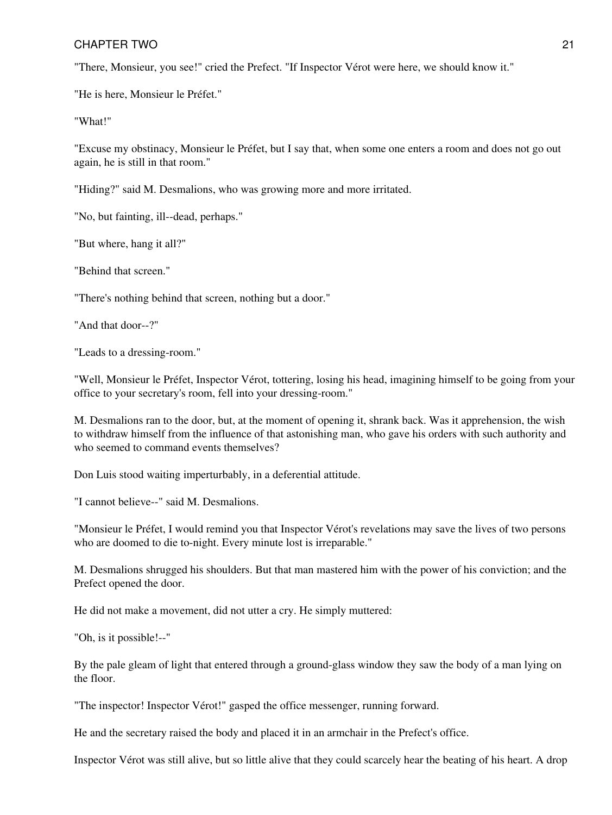"There, Monsieur, you see!" cried the Prefect. "If Inspector Vérot were here, we should know it."

"He is here, Monsieur le Préfet."

"What!"

"Excuse my obstinacy, Monsieur le Préfet, but I say that, when some one enters a room and does not go out again, he is still in that room."

"Hiding?" said M. Desmalions, who was growing more and more irritated.

"No, but fainting, ill--dead, perhaps."

"But where, hang it all?"

"Behind that screen."

"There's nothing behind that screen, nothing but a door."

"And that door--?"

"Leads to a dressing-room."

"Well, Monsieur le Préfet, Inspector Vérot, tottering, losing his head, imagining himself to be going from your office to your secretary's room, fell into your dressing-room."

M. Desmalions ran to the door, but, at the moment of opening it, shrank back. Was it apprehension, the wish to withdraw himself from the influence of that astonishing man, who gave his orders with such authority and who seemed to command events themselves?

Don Luis stood waiting imperturbably, in a deferential attitude.

"I cannot believe--" said M. Desmalions.

"Monsieur le Préfet, I would remind you that Inspector Vérot's revelations may save the lives of two persons who are doomed to die to-night. Every minute lost is irreparable."

M. Desmalions shrugged his shoulders. But that man mastered him with the power of his conviction; and the Prefect opened the door.

He did not make a movement, did not utter a cry. He simply muttered:

"Oh, is it possible!--"

By the pale gleam of light that entered through a ground-glass window they saw the body of a man lying on the floor.

"The inspector! Inspector Vérot!" gasped the office messenger, running forward.

He and the secretary raised the body and placed it in an armchair in the Prefect's office.

Inspector Vérot was still alive, but so little alive that they could scarcely hear the beating of his heart. A drop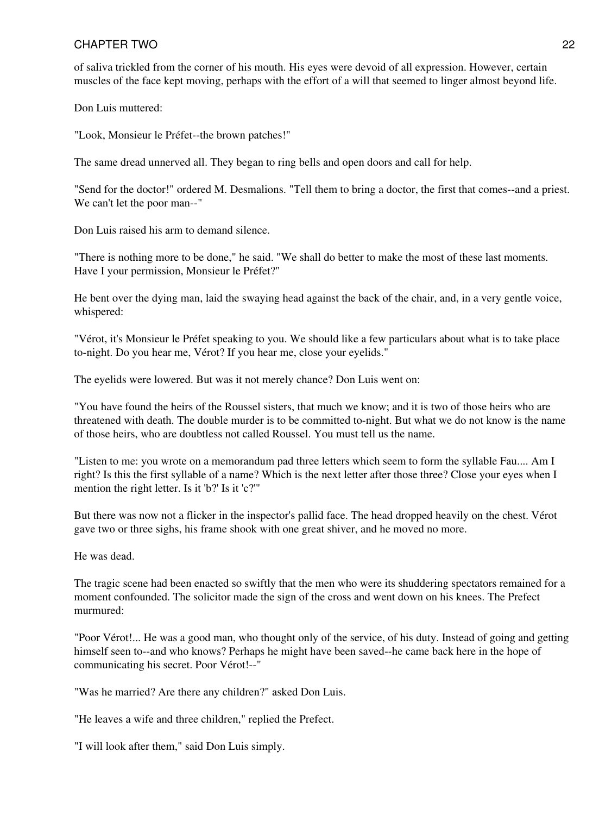of saliva trickled from the corner of his mouth. His eyes were devoid of all expression. However, certain muscles of the face kept moving, perhaps with the effort of a will that seemed to linger almost beyond life.

Don Luis muttered:

"Look, Monsieur le Préfet--the brown patches!"

The same dread unnerved all. They began to ring bells and open doors and call for help.

"Send for the doctor!" ordered M. Desmalions. "Tell them to bring a doctor, the first that comes--and a priest. We can't let the poor man--"

Don Luis raised his arm to demand silence.

"There is nothing more to be done," he said. "We shall do better to make the most of these last moments. Have I your permission, Monsieur le Préfet?"

He bent over the dying man, laid the swaying head against the back of the chair, and, in a very gentle voice, whispered:

"Vérot, it's Monsieur le Préfet speaking to you. We should like a few particulars about what is to take place to-night. Do you hear me, Vérot? If you hear me, close your eyelids."

The eyelids were lowered. But was it not merely chance? Don Luis went on:

"You have found the heirs of the Roussel sisters, that much we know; and it is two of those heirs who are threatened with death. The double murder is to be committed to-night. But what we do not know is the name of those heirs, who are doubtless not called Roussel. You must tell us the name.

"Listen to me: you wrote on a memorandum pad three letters which seem to form the syllable Fau.... Am I right? Is this the first syllable of a name? Which is the next letter after those three? Close your eyes when I mention the right letter. Is it 'b?' Is it 'c?'"

But there was now not a flicker in the inspector's pallid face. The head dropped heavily on the chest. Vérot gave two or three sighs, his frame shook with one great shiver, and he moved no more.

He was dead.

The tragic scene had been enacted so swiftly that the men who were its shuddering spectators remained for a moment confounded. The solicitor made the sign of the cross and went down on his knees. The Prefect murmured:

"Poor Vérot!... He was a good man, who thought only of the service, of his duty. Instead of going and getting himself seen to--and who knows? Perhaps he might have been saved--he came back here in the hope of communicating his secret. Poor Vérot!--"

"Was he married? Are there any children?" asked Don Luis.

"He leaves a wife and three children," replied the Prefect.

"I will look after them," said Don Luis simply.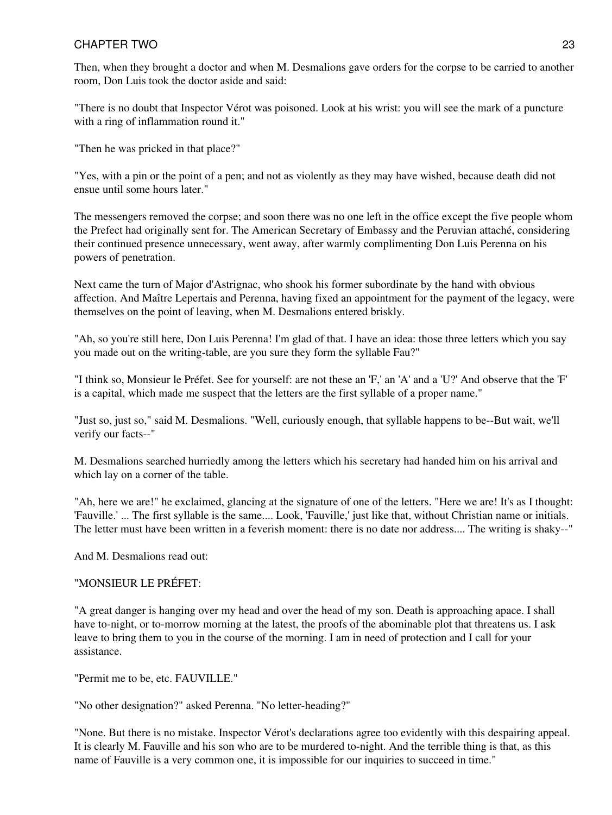Then, when they brought a doctor and when M. Desmalions gave orders for the corpse to be carried to another room, Don Luis took the doctor aside and said:

"There is no doubt that Inspector Vérot was poisoned. Look at his wrist: you will see the mark of a puncture with a ring of inflammation round it."

"Then he was pricked in that place?"

"Yes, with a pin or the point of a pen; and not as violently as they may have wished, because death did not ensue until some hours later."

The messengers removed the corpse; and soon there was no one left in the office except the five people whom the Prefect had originally sent for. The American Secretary of Embassy and the Peruvian attaché, considering their continued presence unnecessary, went away, after warmly complimenting Don Luis Perenna on his powers of penetration.

Next came the turn of Major d'Astrignac, who shook his former subordinate by the hand with obvious affection. And Maître Lepertais and Perenna, having fixed an appointment for the payment of the legacy, were themselves on the point of leaving, when M. Desmalions entered briskly.

"Ah, so you're still here, Don Luis Perenna! I'm glad of that. I have an idea: those three letters which you say you made out on the writing-table, are you sure they form the syllable Fau?"

"I think so, Monsieur le Préfet. See for yourself: are not these an 'F,' an 'A' and a 'U?' And observe that the 'F' is a capital, which made me suspect that the letters are the first syllable of a proper name."

"Just so, just so," said M. Desmalions. "Well, curiously enough, that syllable happens to be--But wait, we'll verify our facts--"

M. Desmalions searched hurriedly among the letters which his secretary had handed him on his arrival and which lay on a corner of the table.

"Ah, here we are!" he exclaimed, glancing at the signature of one of the letters. "Here we are! It's as I thought: 'Fauville.' ... The first syllable is the same.... Look, 'Fauville,' just like that, without Christian name or initials. The letter must have been written in a feverish moment: there is no date nor address.... The writing is shaky--"

And M. Desmalions read out:

#### "MONSIEUR LE PRÉFET:

"A great danger is hanging over my head and over the head of my son. Death is approaching apace. I shall have to-night, or to-morrow morning at the latest, the proofs of the abominable plot that threatens us. I ask leave to bring them to you in the course of the morning. I am in need of protection and I call for your assistance.

"Permit me to be, etc. FAUVILLE."

"No other designation?" asked Perenna. "No letter-heading?"

"None. But there is no mistake. Inspector Vérot's declarations agree too evidently with this despairing appeal. It is clearly M. Fauville and his son who are to be murdered to-night. And the terrible thing is that, as this name of Fauville is a very common one, it is impossible for our inquiries to succeed in time."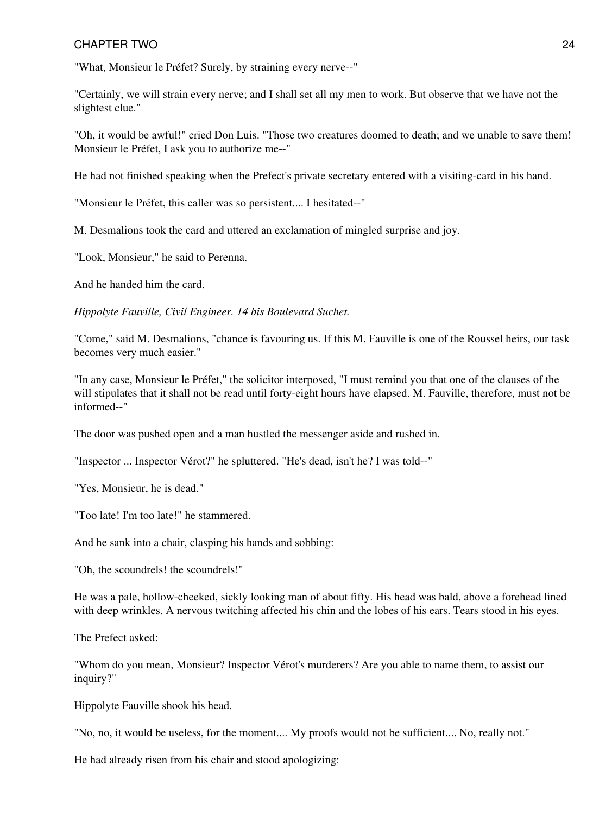"What, Monsieur le Préfet? Surely, by straining every nerve--"

"Certainly, we will strain every nerve; and I shall set all my men to work. But observe that we have not the slightest clue."

"Oh, it would be awful!" cried Don Luis. "Those two creatures doomed to death; and we unable to save them! Monsieur le Préfet, I ask you to authorize me--"

He had not finished speaking when the Prefect's private secretary entered with a visiting-card in his hand.

"Monsieur le Préfet, this caller was so persistent.... I hesitated--"

M. Desmalions took the card and uttered an exclamation of mingled surprise and joy.

"Look, Monsieur," he said to Perenna.

And he handed him the card.

*Hippolyte Fauville, Civil Engineer. 14 bis Boulevard Suchet.*

"Come," said M. Desmalions, "chance is favouring us. If this M. Fauville is one of the Roussel heirs, our task becomes very much easier."

"In any case, Monsieur le Préfet," the solicitor interposed, "I must remind you that one of the clauses of the will stipulates that it shall not be read until forty-eight hours have elapsed. M. Fauville, therefore, must not be informed--"

The door was pushed open and a man hustled the messenger aside and rushed in.

"Inspector ... Inspector Vérot?" he spluttered. "He's dead, isn't he? I was told--"

"Yes, Monsieur, he is dead."

"Too late! I'm too late!" he stammered.

And he sank into a chair, clasping his hands and sobbing:

"Oh, the scoundrels! the scoundrels!"

He was a pale, hollow-cheeked, sickly looking man of about fifty. His head was bald, above a forehead lined with deep wrinkles. A nervous twitching affected his chin and the lobes of his ears. Tears stood in his eyes.

The Prefect asked:

"Whom do you mean, Monsieur? Inspector Vérot's murderers? Are you able to name them, to assist our inquiry?"

Hippolyte Fauville shook his head.

"No, no, it would be useless, for the moment.... My proofs would not be sufficient.... No, really not."

He had already risen from his chair and stood apologizing: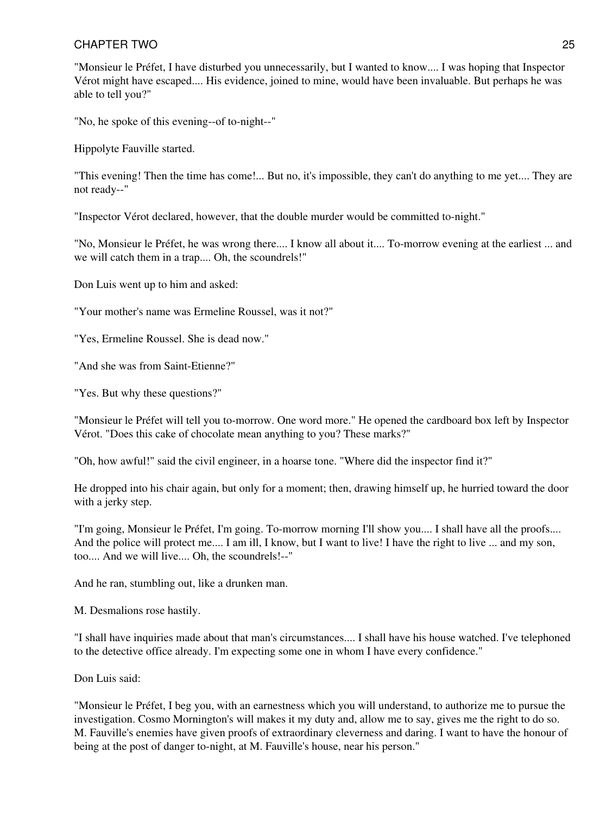"Monsieur le Préfet, I have disturbed you unnecessarily, but I wanted to know.... I was hoping that Inspector Vérot might have escaped.... His evidence, joined to mine, would have been invaluable. But perhaps he was able to tell you?"

"No, he spoke of this evening--of to-night--"

Hippolyte Fauville started.

"This evening! Then the time has come!... But no, it's impossible, they can't do anything to me yet.... They are not ready--"

"Inspector Vérot declared, however, that the double murder would be committed to-night."

"No, Monsieur le Préfet, he was wrong there.... I know all about it.... To-morrow evening at the earliest ... and we will catch them in a trap.... Oh, the scoundrels!"

Don Luis went up to him and asked:

"Your mother's name was Ermeline Roussel, was it not?"

"Yes, Ermeline Roussel. She is dead now."

"And she was from Saint-Etienne?"

"Yes. But why these questions?"

"Monsieur le Préfet will tell you to-morrow. One word more." He opened the cardboard box left by Inspector Vérot. "Does this cake of chocolate mean anything to you? These marks?"

"Oh, how awful!" said the civil engineer, in a hoarse tone. "Where did the inspector find it?"

He dropped into his chair again, but only for a moment; then, drawing himself up, he hurried toward the door with a jerky step.

"I'm going, Monsieur le Préfet, I'm going. To-morrow morning I'll show you.... I shall have all the proofs.... And the police will protect me.... I am ill, I know, but I want to live! I have the right to live ... and my son, too.... And we will live.... Oh, the scoundrels!--"

And he ran, stumbling out, like a drunken man.

M. Desmalions rose hastily.

"I shall have inquiries made about that man's circumstances.... I shall have his house watched. I've telephoned to the detective office already. I'm expecting some one in whom I have every confidence."

Don Luis said:

"Monsieur le Préfet, I beg you, with an earnestness which you will understand, to authorize me to pursue the investigation. Cosmo Mornington's will makes it my duty and, allow me to say, gives me the right to do so. M. Fauville's enemies have given proofs of extraordinary cleverness and daring. I want to have the honour of being at the post of danger to-night, at M. Fauville's house, near his person."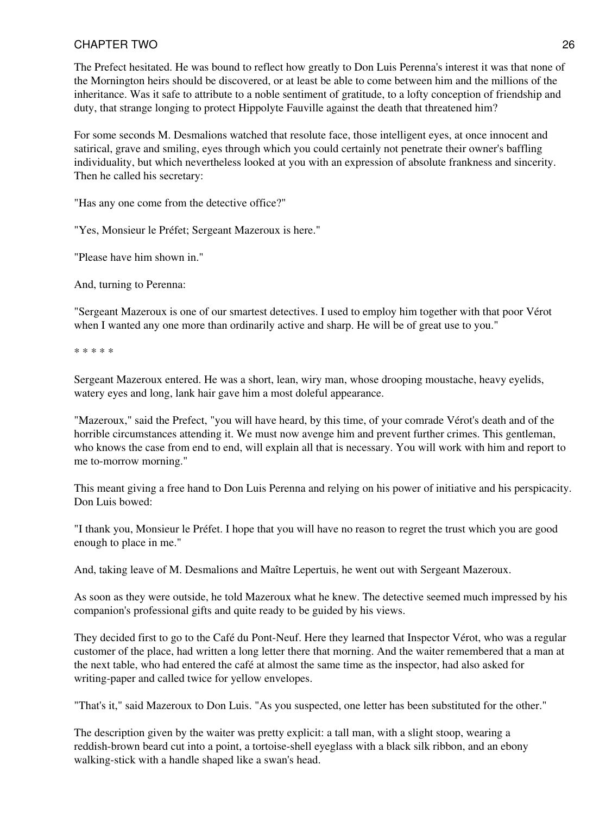The Prefect hesitated. He was bound to reflect how greatly to Don Luis Perenna's interest it was that none of the Mornington heirs should be discovered, or at least be able to come between him and the millions of the inheritance. Was it safe to attribute to a noble sentiment of gratitude, to a lofty conception of friendship and duty, that strange longing to protect Hippolyte Fauville against the death that threatened him?

For some seconds M. Desmalions watched that resolute face, those intelligent eyes, at once innocent and satirical, grave and smiling, eyes through which you could certainly not penetrate their owner's baffling individuality, but which nevertheless looked at you with an expression of absolute frankness and sincerity. Then he called his secretary:

"Has any one come from the detective office?"

"Yes, Monsieur le Préfet; Sergeant Mazeroux is here."

"Please have him shown in."

And, turning to Perenna:

"Sergeant Mazeroux is one of our smartest detectives. I used to employ him together with that poor Vérot when I wanted any one more than ordinarily active and sharp. He will be of great use to you."

\* \* \* \* \*

Sergeant Mazeroux entered. He was a short, lean, wiry man, whose drooping moustache, heavy eyelids, watery eyes and long, lank hair gave him a most doleful appearance.

"Mazeroux," said the Prefect, "you will have heard, by this time, of your comrade Vérot's death and of the horrible circumstances attending it. We must now avenge him and prevent further crimes. This gentleman, who knows the case from end to end, will explain all that is necessary. You will work with him and report to me to-morrow morning."

This meant giving a free hand to Don Luis Perenna and relying on his power of initiative and his perspicacity. Don Luis bowed:

"I thank you, Monsieur le Préfet. I hope that you will have no reason to regret the trust which you are good enough to place in me."

And, taking leave of M. Desmalions and Maître Lepertuis, he went out with Sergeant Mazeroux.

As soon as they were outside, he told Mazeroux what he knew. The detective seemed much impressed by his companion's professional gifts and quite ready to be guided by his views.

They decided first to go to the Café du Pont-Neuf. Here they learned that Inspector Vérot, who was a regular customer of the place, had written a long letter there that morning. And the waiter remembered that a man at the next table, who had entered the café at almost the same time as the inspector, had also asked for writing-paper and called twice for yellow envelopes.

"That's it," said Mazeroux to Don Luis. "As you suspected, one letter has been substituted for the other."

The description given by the waiter was pretty explicit: a tall man, with a slight stoop, wearing a reddish-brown beard cut into a point, a tortoise-shell eyeglass with a black silk ribbon, and an ebony walking-stick with a handle shaped like a swan's head.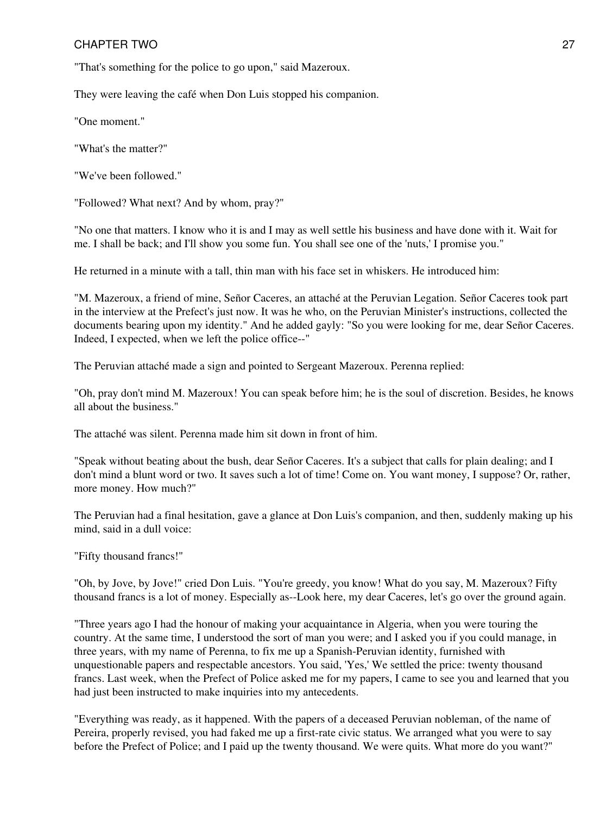"That's something for the police to go upon," said Mazeroux.

They were leaving the café when Don Luis stopped his companion.

"One moment."

"What's the matter?"

"We've been followed."

"Followed? What next? And by whom, pray?"

"No one that matters. I know who it is and I may as well settle his business and have done with it. Wait for me. I shall be back; and I'll show you some fun. You shall see one of the 'nuts,' I promise you."

He returned in a minute with a tall, thin man with his face set in whiskers. He introduced him:

"M. Mazeroux, a friend of mine, Señor Caceres, an attaché at the Peruvian Legation. Señor Caceres took part in the interview at the Prefect's just now. It was he who, on the Peruvian Minister's instructions, collected the documents bearing upon my identity." And he added gayly: "So you were looking for me, dear Señor Caceres. Indeed, I expected, when we left the police office--"

The Peruvian attaché made a sign and pointed to Sergeant Mazeroux. Perenna replied:

"Oh, pray don't mind M. Mazeroux! You can speak before him; he is the soul of discretion. Besides, he knows all about the business."

The attaché was silent. Perenna made him sit down in front of him.

"Speak without beating about the bush, dear Señor Caceres. It's a subject that calls for plain dealing; and I don't mind a blunt word or two. It saves such a lot of time! Come on. You want money, I suppose? Or, rather, more money. How much?"

The Peruvian had a final hesitation, gave a glance at Don Luis's companion, and then, suddenly making up his mind, said in a dull voice:

"Fifty thousand francs!"

"Oh, by Jove, by Jove!" cried Don Luis. "You're greedy, you know! What do you say, M. Mazeroux? Fifty thousand francs is a lot of money. Especially as--Look here, my dear Caceres, let's go over the ground again.

"Three years ago I had the honour of making your acquaintance in Algeria, when you were touring the country. At the same time, I understood the sort of man you were; and I asked you if you could manage, in three years, with my name of Perenna, to fix me up a Spanish-Peruvian identity, furnished with unquestionable papers and respectable ancestors. You said, 'Yes,' We settled the price: twenty thousand francs. Last week, when the Prefect of Police asked me for my papers, I came to see you and learned that you had just been instructed to make inquiries into my antecedents.

"Everything was ready, as it happened. With the papers of a deceased Peruvian nobleman, of the name of Pereira, properly revised, you had faked me up a first-rate civic status. We arranged what you were to say before the Prefect of Police; and I paid up the twenty thousand. We were quits. What more do you want?"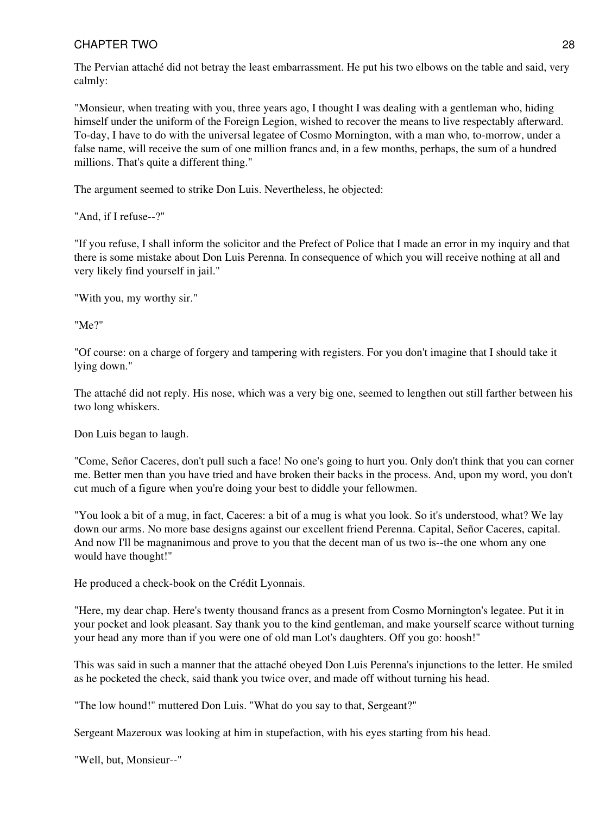The Pervian attaché did not betray the least embarrassment. He put his two elbows on the table and said, very calmly:

"Monsieur, when treating with you, three years ago, I thought I was dealing with a gentleman who, hiding himself under the uniform of the Foreign Legion, wished to recover the means to live respectably afterward. To-day, I have to do with the universal legatee of Cosmo Mornington, with a man who, to-morrow, under a false name, will receive the sum of one million francs and, in a few months, perhaps, the sum of a hundred millions. That's quite a different thing."

The argument seemed to strike Don Luis. Nevertheless, he objected:

"And, if I refuse--?"

"If you refuse, I shall inform the solicitor and the Prefect of Police that I made an error in my inquiry and that there is some mistake about Don Luis Perenna. In consequence of which you will receive nothing at all and very likely find yourself in jail."

"With you, my worthy sir."

"Me?"

"Of course: on a charge of forgery and tampering with registers. For you don't imagine that I should take it lying down."

The attaché did not reply. His nose, which was a very big one, seemed to lengthen out still farther between his two long whiskers.

Don Luis began to laugh.

"Come, Señor Caceres, don't pull such a face! No one's going to hurt you. Only don't think that you can corner me. Better men than you have tried and have broken their backs in the process. And, upon my word, you don't cut much of a figure when you're doing your best to diddle your fellowmen.

"You look a bit of a mug, in fact, Caceres: a bit of a mug is what you look. So it's understood, what? We lay down our arms. No more base designs against our excellent friend Perenna. Capital, Señor Caceres, capital. And now I'll be magnanimous and prove to you that the decent man of us two is--the one whom any one would have thought!"

He produced a check-book on the Crédit Lyonnais.

"Here, my dear chap. Here's twenty thousand francs as a present from Cosmo Mornington's legatee. Put it in your pocket and look pleasant. Say thank you to the kind gentleman, and make yourself scarce without turning your head any more than if you were one of old man Lot's daughters. Off you go: hoosh!"

This was said in such a manner that the attaché obeyed Don Luis Perenna's injunctions to the letter. He smiled as he pocketed the check, said thank you twice over, and made off without turning his head.

"The low hound!" muttered Don Luis. "What do you say to that, Sergeant?"

Sergeant Mazeroux was looking at him in stupefaction, with his eyes starting from his head.

"Well, but, Monsieur--"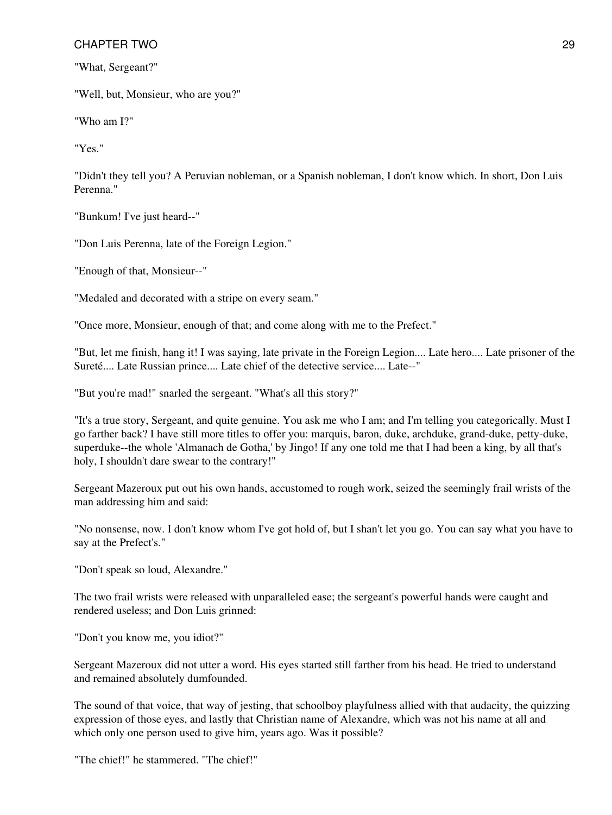"What, Sergeant?"

"Well, but, Monsieur, who are you?"

"Who am I?"

"Yes."

"Didn't they tell you? A Peruvian nobleman, or a Spanish nobleman, I don't know which. In short, Don Luis Perenna."

"Bunkum! I've just heard--"

"Don Luis Perenna, late of the Foreign Legion."

"Enough of that, Monsieur--"

"Medaled and decorated with a stripe on every seam."

"Once more, Monsieur, enough of that; and come along with me to the Prefect."

"But, let me finish, hang it! I was saying, late private in the Foreign Legion.... Late hero.... Late prisoner of the Sureté.... Late Russian prince.... Late chief of the detective service.... Late--"

"But you're mad!" snarled the sergeant. "What's all this story?"

"It's a true story, Sergeant, and quite genuine. You ask me who I am; and I'm telling you categorically. Must I go farther back? I have still more titles to offer you: marquis, baron, duke, archduke, grand-duke, petty-duke, superduke--the whole 'Almanach de Gotha,' by Jingo! If any one told me that I had been a king, by all that's holy, I shouldn't dare swear to the contrary!"

Sergeant Mazeroux put out his own hands, accustomed to rough work, seized the seemingly frail wrists of the man addressing him and said:

"No nonsense, now. I don't know whom I've got hold of, but I shan't let you go. You can say what you have to say at the Prefect's."

"Don't speak so loud, Alexandre."

The two frail wrists were released with unparalleled ease; the sergeant's powerful hands were caught and rendered useless; and Don Luis grinned:

"Don't you know me, you idiot?"

Sergeant Mazeroux did not utter a word. His eyes started still farther from his head. He tried to understand and remained absolutely dumfounded.

The sound of that voice, that way of jesting, that schoolboy playfulness allied with that audacity, the quizzing expression of those eyes, and lastly that Christian name of Alexandre, which was not his name at all and which only one person used to give him, years ago. Was it possible?

"The chief!" he stammered. "The chief!"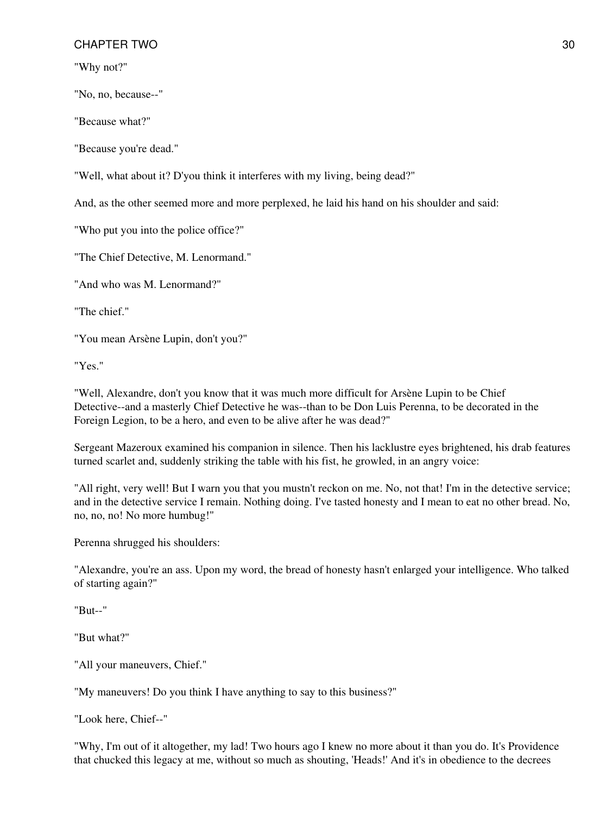"Why not?"

"No, no, because--"

"Because what?"

"Because you're dead."

"Well, what about it? D'you think it interferes with my living, being dead?"

And, as the other seemed more and more perplexed, he laid his hand on his shoulder and said:

"Who put you into the police office?"

"The Chief Detective, M. Lenormand."

"And who was M. Lenormand?"

"The chief."

"You mean Arsène Lupin, don't you?"

"Yes."

"Well, Alexandre, don't you know that it was much more difficult for Arsène Lupin to be Chief Detective--and a masterly Chief Detective he was--than to be Don Luis Perenna, to be decorated in the Foreign Legion, to be a hero, and even to be alive after he was dead?"

Sergeant Mazeroux examined his companion in silence. Then his lacklustre eyes brightened, his drab features turned scarlet and, suddenly striking the table with his fist, he growled, in an angry voice:

"All right, very well! But I warn you that you mustn't reckon on me. No, not that! I'm in the detective service; and in the detective service I remain. Nothing doing. I've tasted honesty and I mean to eat no other bread. No, no, no, no! No more humbug!"

Perenna shrugged his shoulders:

"Alexandre, you're an ass. Upon my word, the bread of honesty hasn't enlarged your intelligence. Who talked of starting again?"

"But--"

"But what?"

"All your maneuvers, Chief."

"My maneuvers! Do you think I have anything to say to this business?"

"Look here, Chief--"

"Why, I'm out of it altogether, my lad! Two hours ago I knew no more about it than you do. It's Providence that chucked this legacy at me, without so much as shouting, 'Heads!' And it's in obedience to the decrees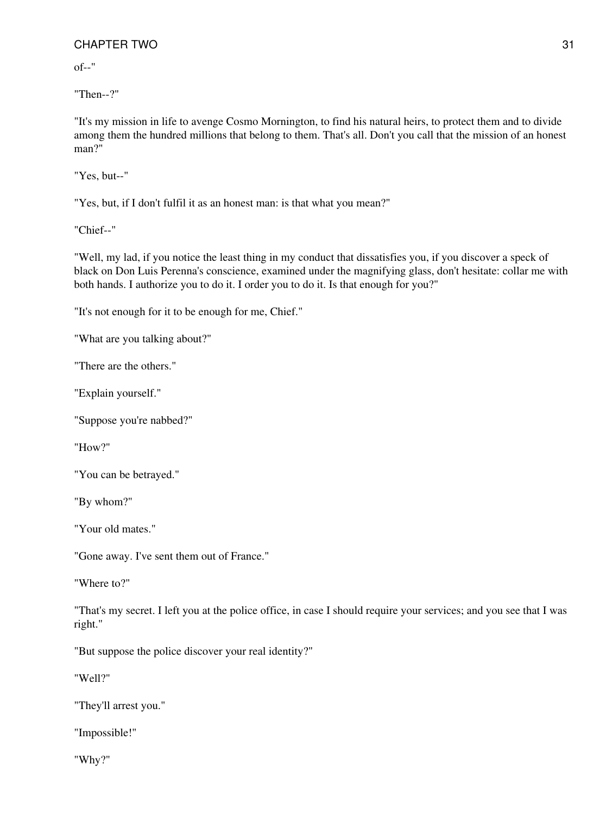of--"

"Then--?"

"It's my mission in life to avenge Cosmo Mornington, to find his natural heirs, to protect them and to divide among them the hundred millions that belong to them. That's all. Don't you call that the mission of an honest man?"

"Yes, but--"

"Yes, but, if I don't fulfil it as an honest man: is that what you mean?"

"Chief--"

"Well, my lad, if you notice the least thing in my conduct that dissatisfies you, if you discover a speck of black on Don Luis Perenna's conscience, examined under the magnifying glass, don't hesitate: collar me with both hands. I authorize you to do it. I order you to do it. Is that enough for you?"

"It's not enough for it to be enough for me, Chief."

"What are you talking about?"

"There are the others."

"Explain yourself."

"Suppose you're nabbed?"

"How?"

"You can be betrayed."

"By whom?"

"Your old mates."

"Gone away. I've sent them out of France."

"Where to?"

"That's my secret. I left you at the police office, in case I should require your services; and you see that I was right."

"But suppose the police discover your real identity?"

"Well?"

"They'll arrest you."

"Impossible!"

"Why?"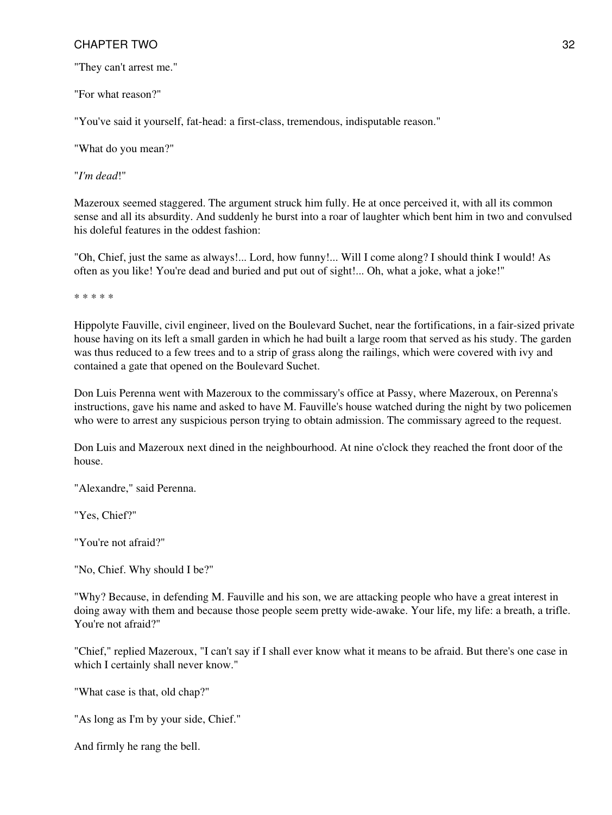"They can't arrest me."

"For what reason?"

"You've said it yourself, fat-head: a first-class, tremendous, indisputable reason."

"What do you mean?"

"*I'm dead*!"

Mazeroux seemed staggered. The argument struck him fully. He at once perceived it, with all its common sense and all its absurdity. And suddenly he burst into a roar of laughter which bent him in two and convulsed his doleful features in the oddest fashion:

"Oh, Chief, just the same as always!... Lord, how funny!... Will I come along? I should think I would! As often as you like! You're dead and buried and put out of sight!... Oh, what a joke, what a joke!"

\* \* \* \* \*

Hippolyte Fauville, civil engineer, lived on the Boulevard Suchet, near the fortifications, in a fair-sized private house having on its left a small garden in which he had built a large room that served as his study. The garden was thus reduced to a few trees and to a strip of grass along the railings, which were covered with ivy and contained a gate that opened on the Boulevard Suchet.

Don Luis Perenna went with Mazeroux to the commissary's office at Passy, where Mazeroux, on Perenna's instructions, gave his name and asked to have M. Fauville's house watched during the night by two policemen who were to arrest any suspicious person trying to obtain admission. The commissary agreed to the request.

Don Luis and Mazeroux next dined in the neighbourhood. At nine o'clock they reached the front door of the house.

"Alexandre," said Perenna.

"Yes, Chief?"

"You're not afraid?"

"No, Chief. Why should I be?"

"Why? Because, in defending M. Fauville and his son, we are attacking people who have a great interest in doing away with them and because those people seem pretty wide-awake. Your life, my life: a breath, a trifle. You're not afraid?"

"Chief," replied Mazeroux, "I can't say if I shall ever know what it means to be afraid. But there's one case in which I certainly shall never know."

"What case is that, old chap?"

"As long as I'm by your side, Chief."

And firmly he rang the bell.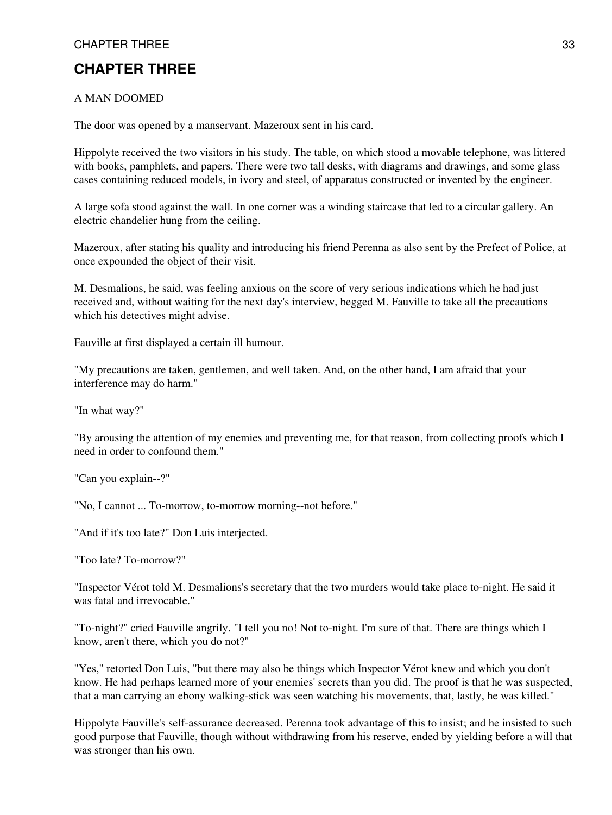# **CHAPTER THREE**

#### A MAN DOOMED

The door was opened by a manservant. Mazeroux sent in his card.

Hippolyte received the two visitors in his study. The table, on which stood a movable telephone, was littered with books, pamphlets, and papers. There were two tall desks, with diagrams and drawings, and some glass cases containing reduced models, in ivory and steel, of apparatus constructed or invented by the engineer.

A large sofa stood against the wall. In one corner was a winding staircase that led to a circular gallery. An electric chandelier hung from the ceiling.

Mazeroux, after stating his quality and introducing his friend Perenna as also sent by the Prefect of Police, at once expounded the object of their visit.

M. Desmalions, he said, was feeling anxious on the score of very serious indications which he had just received and, without waiting for the next day's interview, begged M. Fauville to take all the precautions which his detectives might advise.

Fauville at first displayed a certain ill humour.

"My precautions are taken, gentlemen, and well taken. And, on the other hand, I am afraid that your interference may do harm."

"In what way?"

"By arousing the attention of my enemies and preventing me, for that reason, from collecting proofs which I need in order to confound them."

"Can you explain--?"

"No, I cannot ... To-morrow, to-morrow morning--not before."

"And if it's too late?" Don Luis interjected.

"Too late? To-morrow?"

"Inspector Vérot told M. Desmalions's secretary that the two murders would take place to-night. He said it was fatal and irrevocable."

"To-night?" cried Fauville angrily. "I tell you no! Not to-night. I'm sure of that. There are things which I know, aren't there, which you do not?"

"Yes," retorted Don Luis, "but there may also be things which Inspector Vérot knew and which you don't know. He had perhaps learned more of your enemies' secrets than you did. The proof is that he was suspected, that a man carrying an ebony walking-stick was seen watching his movements, that, lastly, he was killed."

Hippolyte Fauville's self-assurance decreased. Perenna took advantage of this to insist; and he insisted to such good purpose that Fauville, though without withdrawing from his reserve, ended by yielding before a will that was stronger than his own.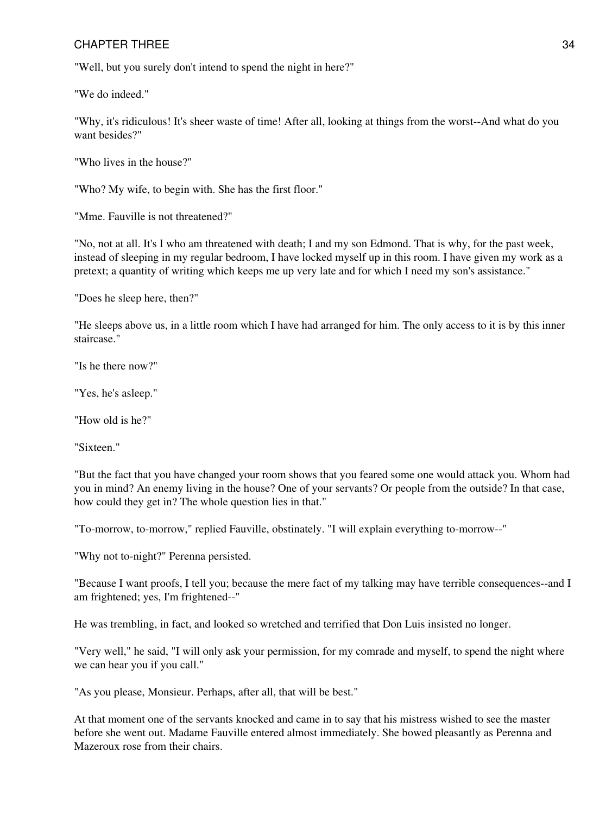"Well, but you surely don't intend to spend the night in here?"

"We do indeed."

"Why, it's ridiculous! It's sheer waste of time! After all, looking at things from the worst--And what do you want besides?"

"Who lives in the house?"

"Who? My wife, to begin with. She has the first floor."

"Mme. Fauville is not threatened?"

"No, not at all. It's I who am threatened with death; I and my son Edmond. That is why, for the past week, instead of sleeping in my regular bedroom, I have locked myself up in this room. I have given my work as a pretext; a quantity of writing which keeps me up very late and for which I need my son's assistance."

"Does he sleep here, then?"

"He sleeps above us, in a little room which I have had arranged for him. The only access to it is by this inner staircase."

"Is he there now?"

"Yes, he's asleep."

"How old is he?"

"Sixteen."

"But the fact that you have changed your room shows that you feared some one would attack you. Whom had you in mind? An enemy living in the house? One of your servants? Or people from the outside? In that case, how could they get in? The whole question lies in that."

"To-morrow, to-morrow," replied Fauville, obstinately. "I will explain everything to-morrow--"

"Why not to-night?" Perenna persisted.

"Because I want proofs, I tell you; because the mere fact of my talking may have terrible consequences--and I am frightened; yes, I'm frightened--"

He was trembling, in fact, and looked so wretched and terrified that Don Luis insisted no longer.

"Very well," he said, "I will only ask your permission, for my comrade and myself, to spend the night where we can hear you if you call."

"As you please, Monsieur. Perhaps, after all, that will be best."

At that moment one of the servants knocked and came in to say that his mistress wished to see the master before she went out. Madame Fauville entered almost immediately. She bowed pleasantly as Perenna and Mazeroux rose from their chairs.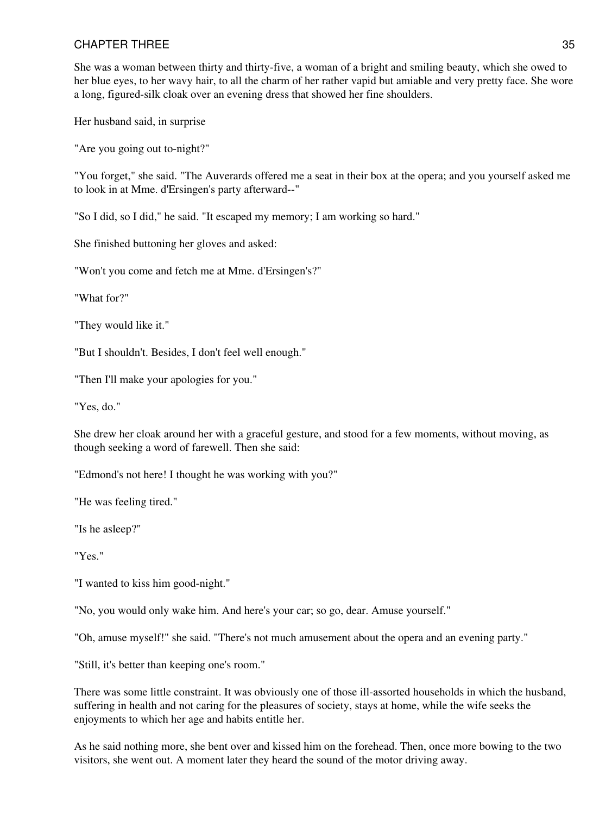She was a woman between thirty and thirty-five, a woman of a bright and smiling beauty, which she owed to her blue eyes, to her wavy hair, to all the charm of her rather vapid but amiable and very pretty face. She wore a long, figured-silk cloak over an evening dress that showed her fine shoulders.

Her husband said, in surprise

"Are you going out to-night?"

"You forget," she said. "The Auverards offered me a seat in their box at the opera; and you yourself asked me to look in at Mme. d'Ersingen's party afterward--"

"So I did, so I did," he said. "It escaped my memory; I am working so hard."

She finished buttoning her gloves and asked:

"Won't you come and fetch me at Mme. d'Ersingen's?"

"What for?"

"They would like it."

"But I shouldn't. Besides, I don't feel well enough."

"Then I'll make your apologies for you."

"Yes, do."

She drew her cloak around her with a graceful gesture, and stood for a few moments, without moving, as though seeking a word of farewell. Then she said:

"Edmond's not here! I thought he was working with you?"

"He was feeling tired."

"Is he asleep?"

"Yes."

"I wanted to kiss him good-night."

"No, you would only wake him. And here's your car; so go, dear. Amuse yourself."

"Oh, amuse myself!" she said. "There's not much amusement about the opera and an evening party."

"Still, it's better than keeping one's room."

There was some little constraint. It was obviously one of those ill-assorted households in which the husband, suffering in health and not caring for the pleasures of society, stays at home, while the wife seeks the enjoyments to which her age and habits entitle her.

As he said nothing more, she bent over and kissed him on the forehead. Then, once more bowing to the two visitors, she went out. A moment later they heard the sound of the motor driving away.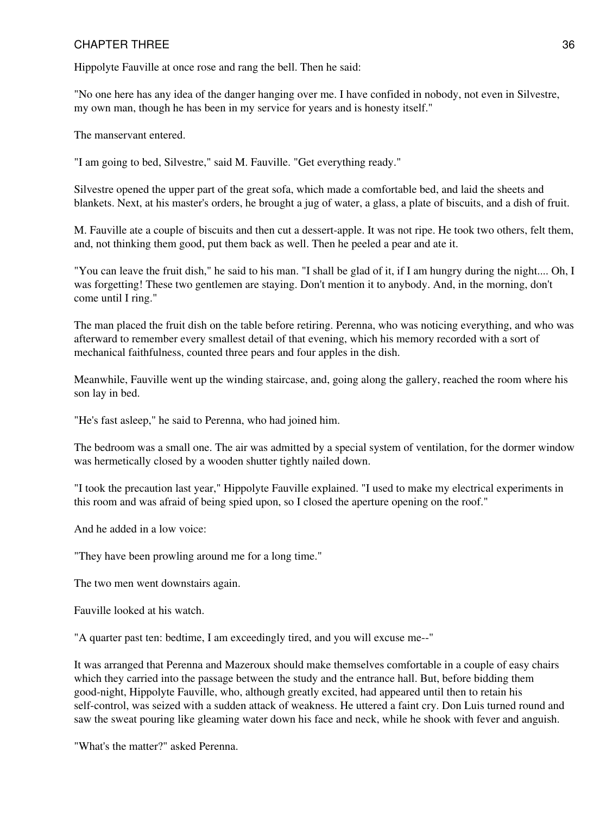Hippolyte Fauville at once rose and rang the bell. Then he said:

"No one here has any idea of the danger hanging over me. I have confided in nobody, not even in Silvestre, my own man, though he has been in my service for years and is honesty itself."

The manservant entered.

"I am going to bed, Silvestre," said M. Fauville. "Get everything ready."

Silvestre opened the upper part of the great sofa, which made a comfortable bed, and laid the sheets and blankets. Next, at his master's orders, he brought a jug of water, a glass, a plate of biscuits, and a dish of fruit.

M. Fauville ate a couple of biscuits and then cut a dessert-apple. It was not ripe. He took two others, felt them, and, not thinking them good, put them back as well. Then he peeled a pear and ate it.

"You can leave the fruit dish," he said to his man. "I shall be glad of it, if I am hungry during the night.... Oh, I was forgetting! These two gentlemen are staying. Don't mention it to anybody. And, in the morning, don't come until I ring."

The man placed the fruit dish on the table before retiring. Perenna, who was noticing everything, and who was afterward to remember every smallest detail of that evening, which his memory recorded with a sort of mechanical faithfulness, counted three pears and four apples in the dish.

Meanwhile, Fauville went up the winding staircase, and, going along the gallery, reached the room where his son lay in bed.

"He's fast asleep," he said to Perenna, who had joined him.

The bedroom was a small one. The air was admitted by a special system of ventilation, for the dormer window was hermetically closed by a wooden shutter tightly nailed down.

"I took the precaution last year," Hippolyte Fauville explained. "I used to make my electrical experiments in this room and was afraid of being spied upon, so I closed the aperture opening on the roof."

And he added in a low voice:

"They have been prowling around me for a long time."

The two men went downstairs again.

Fauville looked at his watch.

"A quarter past ten: bedtime, I am exceedingly tired, and you will excuse me--"

It was arranged that Perenna and Mazeroux should make themselves comfortable in a couple of easy chairs which they carried into the passage between the study and the entrance hall. But, before bidding them good-night, Hippolyte Fauville, who, although greatly excited, had appeared until then to retain his self-control, was seized with a sudden attack of weakness. He uttered a faint cry. Don Luis turned round and saw the sweat pouring like gleaming water down his face and neck, while he shook with fever and anguish.

"What's the matter?" asked Perenna.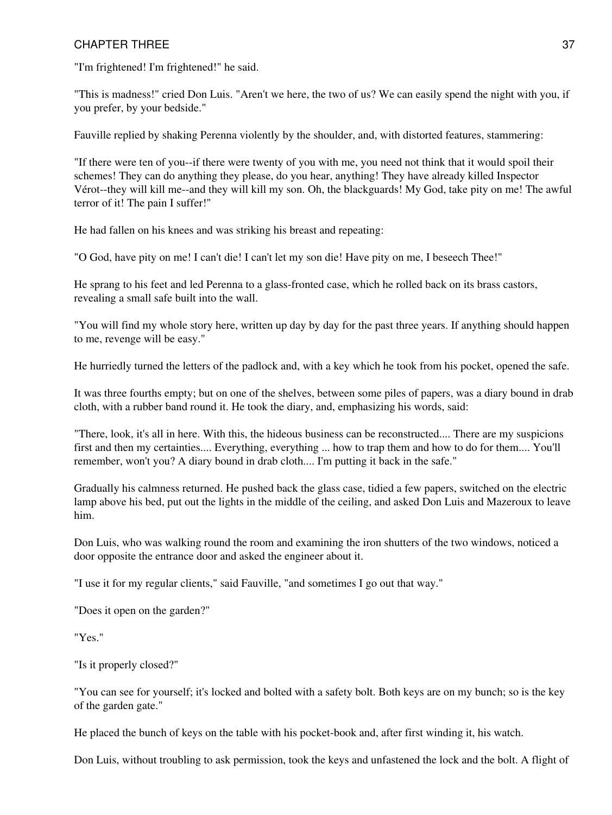"I'm frightened! I'm frightened!" he said.

"This is madness!" cried Don Luis. "Aren't we here, the two of us? We can easily spend the night with you, if you prefer, by your bedside."

Fauville replied by shaking Perenna violently by the shoulder, and, with distorted features, stammering:

"If there were ten of you--if there were twenty of you with me, you need not think that it would spoil their schemes! They can do anything they please, do you hear, anything! They have already killed Inspector Vérot--they will kill me--and they will kill my son. Oh, the blackguards! My God, take pity on me! The awful terror of it! The pain I suffer!"

He had fallen on his knees and was striking his breast and repeating:

"O God, have pity on me! I can't die! I can't let my son die! Have pity on me, I beseech Thee!"

He sprang to his feet and led Perenna to a glass-fronted case, which he rolled back on its brass castors, revealing a small safe built into the wall.

"You will find my whole story here, written up day by day for the past three years. If anything should happen to me, revenge will be easy."

He hurriedly turned the letters of the padlock and, with a key which he took from his pocket, opened the safe.

It was three fourths empty; but on one of the shelves, between some piles of papers, was a diary bound in drab cloth, with a rubber band round it. He took the diary, and, emphasizing his words, said:

"There, look, it's all in here. With this, the hideous business can be reconstructed.... There are my suspicions first and then my certainties.... Everything, everything ... how to trap them and how to do for them.... You'll remember, won't you? A diary bound in drab cloth.... I'm putting it back in the safe."

Gradually his calmness returned. He pushed back the glass case, tidied a few papers, switched on the electric lamp above his bed, put out the lights in the middle of the ceiling, and asked Don Luis and Mazeroux to leave him.

Don Luis, who was walking round the room and examining the iron shutters of the two windows, noticed a door opposite the entrance door and asked the engineer about it.

"I use it for my regular clients," said Fauville, "and sometimes I go out that way."

"Does it open on the garden?"

"Yes."

"Is it properly closed?"

"You can see for yourself; it's locked and bolted with a safety bolt. Both keys are on my bunch; so is the key of the garden gate."

He placed the bunch of keys on the table with his pocket-book and, after first winding it, his watch.

Don Luis, without troubling to ask permission, took the keys and unfastened the lock and the bolt. A flight of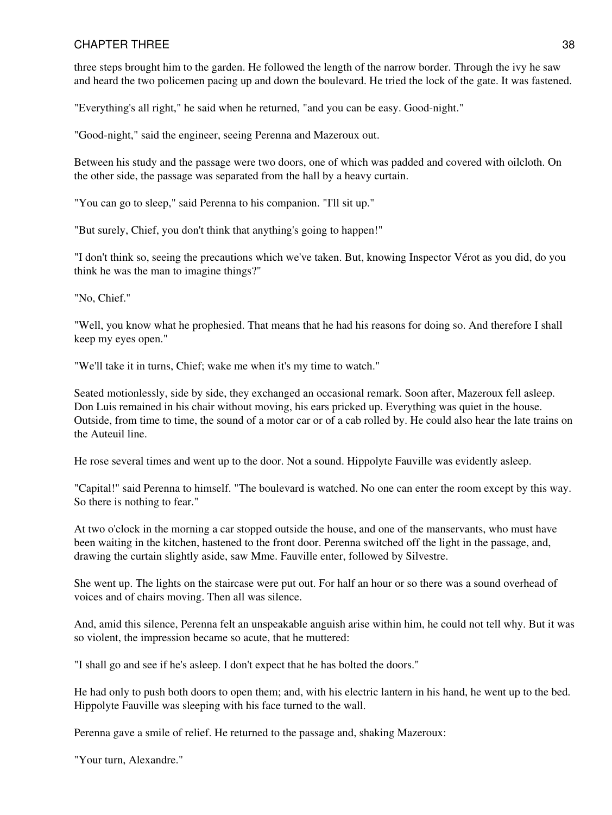three steps brought him to the garden. He followed the length of the narrow border. Through the ivy he saw and heard the two policemen pacing up and down the boulevard. He tried the lock of the gate. It was fastened.

"Everything's all right," he said when he returned, "and you can be easy. Good-night."

"Good-night," said the engineer, seeing Perenna and Mazeroux out.

Between his study and the passage were two doors, one of which was padded and covered with oilcloth. On the other side, the passage was separated from the hall by a heavy curtain.

"You can go to sleep," said Perenna to his companion. "I'll sit up."

"But surely, Chief, you don't think that anything's going to happen!"

"I don't think so, seeing the precautions which we've taken. But, knowing Inspector Vérot as you did, do you think he was the man to imagine things?"

"No, Chief."

"Well, you know what he prophesied. That means that he had his reasons for doing so. And therefore I shall keep my eyes open."

"We'll take it in turns, Chief; wake me when it's my time to watch."

Seated motionlessly, side by side, they exchanged an occasional remark. Soon after, Mazeroux fell asleep. Don Luis remained in his chair without moving, his ears pricked up. Everything was quiet in the house. Outside, from time to time, the sound of a motor car or of a cab rolled by. He could also hear the late trains on the Auteuil line.

He rose several times and went up to the door. Not a sound. Hippolyte Fauville was evidently asleep.

"Capital!" said Perenna to himself. "The boulevard is watched. No one can enter the room except by this way. So there is nothing to fear."

At two o'clock in the morning a car stopped outside the house, and one of the manservants, who must have been waiting in the kitchen, hastened to the front door. Perenna switched off the light in the passage, and, drawing the curtain slightly aside, saw Mme. Fauville enter, followed by Silvestre.

She went up. The lights on the staircase were put out. For half an hour or so there was a sound overhead of voices and of chairs moving. Then all was silence.

And, amid this silence, Perenna felt an unspeakable anguish arise within him, he could not tell why. But it was so violent, the impression became so acute, that he muttered:

"I shall go and see if he's asleep. I don't expect that he has bolted the doors."

He had only to push both doors to open them; and, with his electric lantern in his hand, he went up to the bed. Hippolyte Fauville was sleeping with his face turned to the wall.

Perenna gave a smile of relief. He returned to the passage and, shaking Mazeroux:

"Your turn, Alexandre."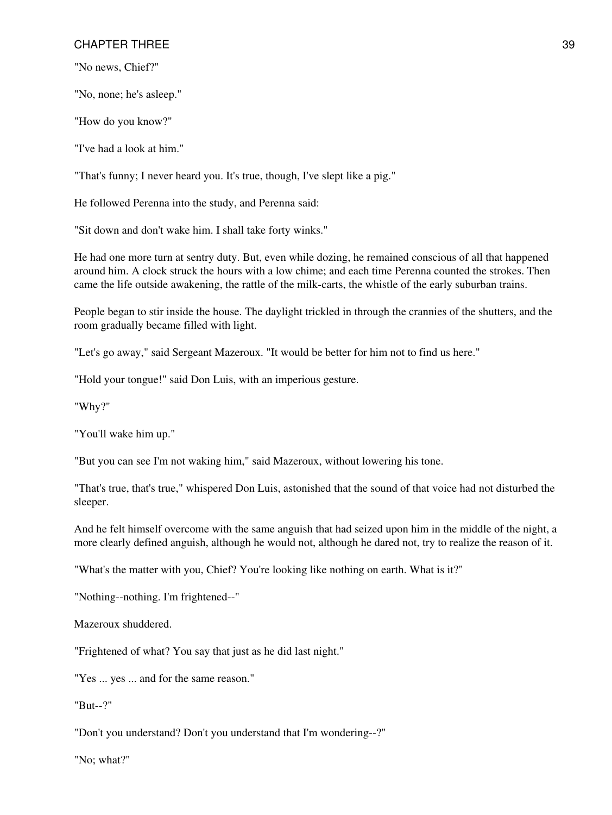"No news, Chief?"

"No, none; he's asleep."

"How do you know?"

"I've had a look at him."

"That's funny; I never heard you. It's true, though, I've slept like a pig."

He followed Perenna into the study, and Perenna said:

"Sit down and don't wake him. I shall take forty winks."

He had one more turn at sentry duty. But, even while dozing, he remained conscious of all that happened around him. A clock struck the hours with a low chime; and each time Perenna counted the strokes. Then came the life outside awakening, the rattle of the milk-carts, the whistle of the early suburban trains.

People began to stir inside the house. The daylight trickled in through the crannies of the shutters, and the room gradually became filled with light.

"Let's go away," said Sergeant Mazeroux. "It would be better for him not to find us here."

"Hold your tongue!" said Don Luis, with an imperious gesture.

"Why?"

"You'll wake him up."

"But you can see I'm not waking him," said Mazeroux, without lowering his tone.

"That's true, that's true," whispered Don Luis, astonished that the sound of that voice had not disturbed the sleeper.

And he felt himself overcome with the same anguish that had seized upon him in the middle of the night, a more clearly defined anguish, although he would not, although he dared not, try to realize the reason of it.

"What's the matter with you, Chief? You're looking like nothing on earth. What is it?"

"Nothing--nothing. I'm frightened--"

Mazeroux shuddered.

"Frightened of what? You say that just as he did last night."

"Yes ... yes ... and for the same reason."

"But--?"

"Don't you understand? Don't you understand that I'm wondering--?"

"No; what?"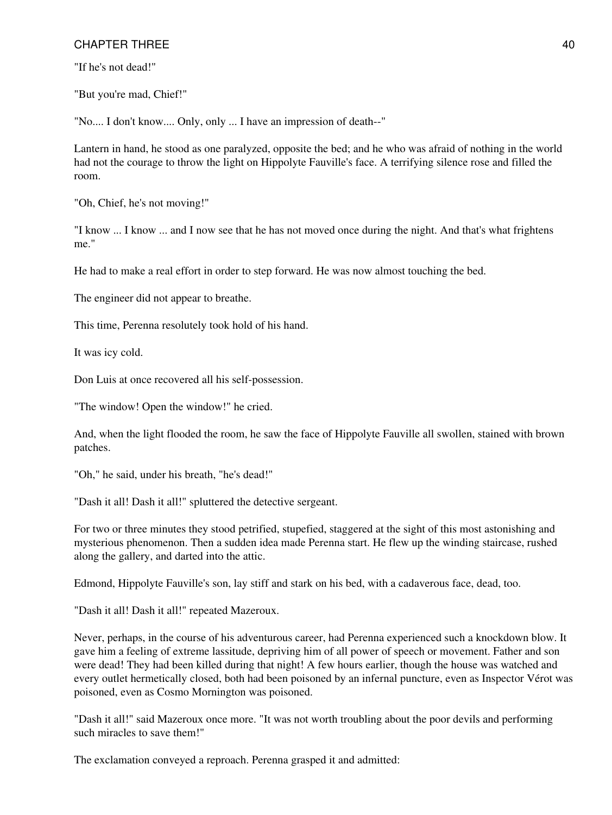"If he's not dead!"

"But you're mad, Chief!"

"No.... I don't know.... Only, only ... I have an impression of death--"

Lantern in hand, he stood as one paralyzed, opposite the bed; and he who was afraid of nothing in the world had not the courage to throw the light on Hippolyte Fauville's face. A terrifying silence rose and filled the room.

"Oh, Chief, he's not moving!"

"I know ... I know ... and I now see that he has not moved once during the night. And that's what frightens me."

He had to make a real effort in order to step forward. He was now almost touching the bed.

The engineer did not appear to breathe.

This time, Perenna resolutely took hold of his hand.

It was icy cold.

Don Luis at once recovered all his self-possession.

"The window! Open the window!" he cried.

And, when the light flooded the room, he saw the face of Hippolyte Fauville all swollen, stained with brown patches.

"Oh," he said, under his breath, "he's dead!"

"Dash it all! Dash it all!" spluttered the detective sergeant.

For two or three minutes they stood petrified, stupefied, staggered at the sight of this most astonishing and mysterious phenomenon. Then a sudden idea made Perenna start. He flew up the winding staircase, rushed along the gallery, and darted into the attic.

Edmond, Hippolyte Fauville's son, lay stiff and stark on his bed, with a cadaverous face, dead, too.

"Dash it all! Dash it all!" repeated Mazeroux.

Never, perhaps, in the course of his adventurous career, had Perenna experienced such a knockdown blow. It gave him a feeling of extreme lassitude, depriving him of all power of speech or movement. Father and son were dead! They had been killed during that night! A few hours earlier, though the house was watched and every outlet hermetically closed, both had been poisoned by an infernal puncture, even as Inspector Vérot was poisoned, even as Cosmo Mornington was poisoned.

"Dash it all!" said Mazeroux once more. "It was not worth troubling about the poor devils and performing such miracles to save them!"

The exclamation conveyed a reproach. Perenna grasped it and admitted: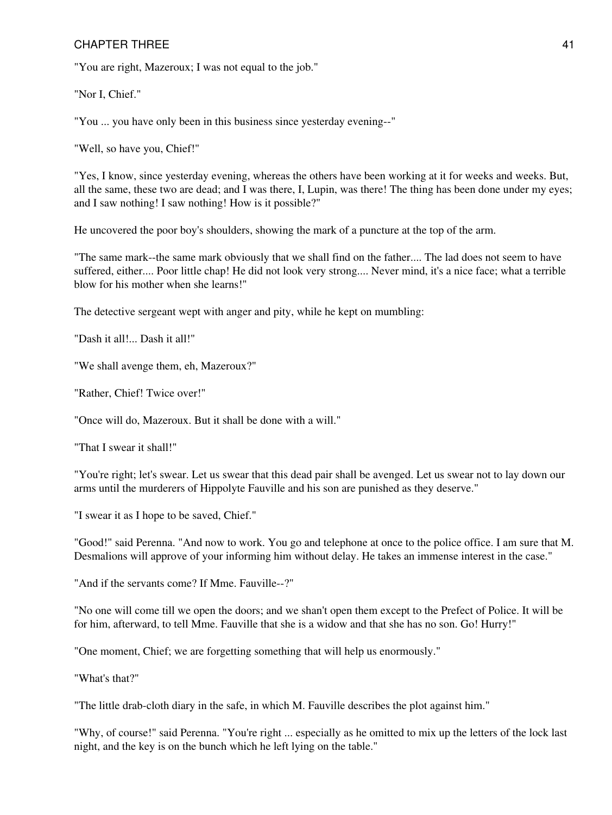"You are right, Mazeroux; I was not equal to the job."

"Nor I, Chief."

"You ... you have only been in this business since yesterday evening--"

"Well, so have you, Chief!"

"Yes, I know, since yesterday evening, whereas the others have been working at it for weeks and weeks. But, all the same, these two are dead; and I was there, I, Lupin, was there! The thing has been done under my eyes; and I saw nothing! I saw nothing! How is it possible?"

He uncovered the poor boy's shoulders, showing the mark of a puncture at the top of the arm.

"The same mark--the same mark obviously that we shall find on the father.... The lad does not seem to have suffered, either.... Poor little chap! He did not look very strong.... Never mind, it's a nice face; what a terrible blow for his mother when she learns!"

The detective sergeant wept with anger and pity, while he kept on mumbling:

"Dash it all!... Dash it all!"

"We shall avenge them, eh, Mazeroux?"

"Rather, Chief! Twice over!"

"Once will do, Mazeroux. But it shall be done with a will."

"That I swear it shall!"

"You're right; let's swear. Let us swear that this dead pair shall be avenged. Let us swear not to lay down our arms until the murderers of Hippolyte Fauville and his son are punished as they deserve."

"I swear it as I hope to be saved, Chief."

"Good!" said Perenna. "And now to work. You go and telephone at once to the police office. I am sure that M. Desmalions will approve of your informing him without delay. He takes an immense interest in the case."

"And if the servants come? If Mme. Fauville--?"

"No one will come till we open the doors; and we shan't open them except to the Prefect of Police. It will be for him, afterward, to tell Mme. Fauville that she is a widow and that she has no son. Go! Hurry!"

"One moment, Chief; we are forgetting something that will help us enormously."

"What's that?"

"The little drab-cloth diary in the safe, in which M. Fauville describes the plot against him."

"Why, of course!" said Perenna. "You're right ... especially as he omitted to mix up the letters of the lock last night, and the key is on the bunch which he left lying on the table."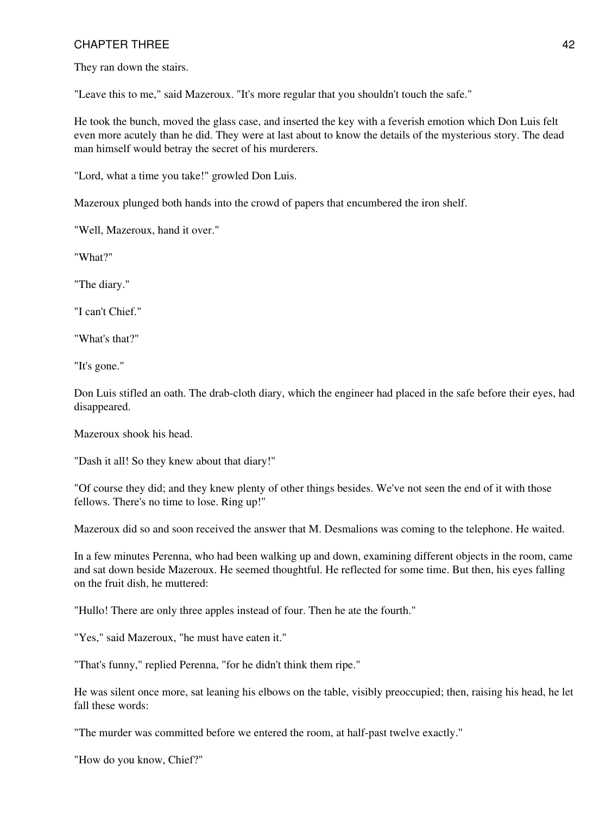They ran down the stairs.

"Leave this to me," said Mazeroux. "It's more regular that you shouldn't touch the safe."

He took the bunch, moved the glass case, and inserted the key with a feverish emotion which Don Luis felt even more acutely than he did. They were at last about to know the details of the mysterious story. The dead man himself would betray the secret of his murderers.

"Lord, what a time you take!" growled Don Luis.

Mazeroux plunged both hands into the crowd of papers that encumbered the iron shelf.

"Well, Mazeroux, hand it over."

"What?"

"The diary."

"I can't Chief."

"What's that?"

"It's gone."

Don Luis stifled an oath. The drab-cloth diary, which the engineer had placed in the safe before their eyes, had disappeared.

Mazeroux shook his head.

"Dash it all! So they knew about that diary!"

"Of course they did; and they knew plenty of other things besides. We've not seen the end of it with those fellows. There's no time to lose. Ring up!"

Mazeroux did so and soon received the answer that M. Desmalions was coming to the telephone. He waited.

In a few minutes Perenna, who had been walking up and down, examining different objects in the room, came and sat down beside Mazeroux. He seemed thoughtful. He reflected for some time. But then, his eyes falling on the fruit dish, he muttered:

"Hullo! There are only three apples instead of four. Then he ate the fourth."

"Yes," said Mazeroux, "he must have eaten it."

"That's funny," replied Perenna, "for he didn't think them ripe."

He was silent once more, sat leaning his elbows on the table, visibly preoccupied; then, raising his head, he let fall these words:

"The murder was committed before we entered the room, at half-past twelve exactly."

"How do you know, Chief?"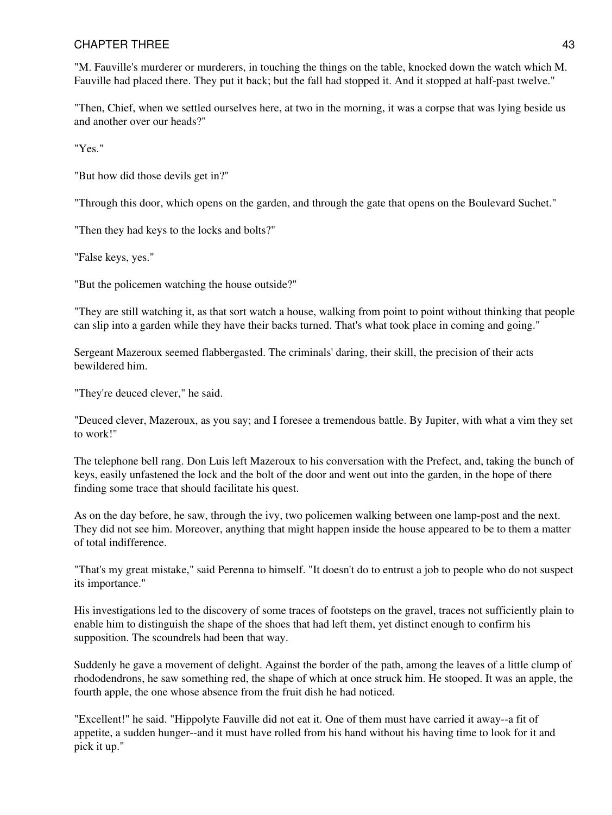"M. Fauville's murderer or murderers, in touching the things on the table, knocked down the watch which M. Fauville had placed there. They put it back; but the fall had stopped it. And it stopped at half-past twelve."

"Then, Chief, when we settled ourselves here, at two in the morning, it was a corpse that was lying beside us and another over our heads?"

"Yes."

"But how did those devils get in?"

"Through this door, which opens on the garden, and through the gate that opens on the Boulevard Suchet."

"Then they had keys to the locks and bolts?"

"False keys, yes."

"But the policemen watching the house outside?"

"They are still watching it, as that sort watch a house, walking from point to point without thinking that people can slip into a garden while they have their backs turned. That's what took place in coming and going."

Sergeant Mazeroux seemed flabbergasted. The criminals' daring, their skill, the precision of their acts bewildered him.

"They're deuced clever," he said.

"Deuced clever, Mazeroux, as you say; and I foresee a tremendous battle. By Jupiter, with what a vim they set to work!"

The telephone bell rang. Don Luis left Mazeroux to his conversation with the Prefect, and, taking the bunch of keys, easily unfastened the lock and the bolt of the door and went out into the garden, in the hope of there finding some trace that should facilitate his quest.

As on the day before, he saw, through the ivy, two policemen walking between one lamp-post and the next. They did not see him. Moreover, anything that might happen inside the house appeared to be to them a matter of total indifference.

"That's my great mistake," said Perenna to himself. "It doesn't do to entrust a job to people who do not suspect its importance."

His investigations led to the discovery of some traces of footsteps on the gravel, traces not sufficiently plain to enable him to distinguish the shape of the shoes that had left them, yet distinct enough to confirm his supposition. The scoundrels had been that way.

Suddenly he gave a movement of delight. Against the border of the path, among the leaves of a little clump of rhododendrons, he saw something red, the shape of which at once struck him. He stooped. It was an apple, the fourth apple, the one whose absence from the fruit dish he had noticed.

"Excellent!" he said. "Hippolyte Fauville did not eat it. One of them must have carried it away--a fit of appetite, a sudden hunger--and it must have rolled from his hand without his having time to look for it and pick it up."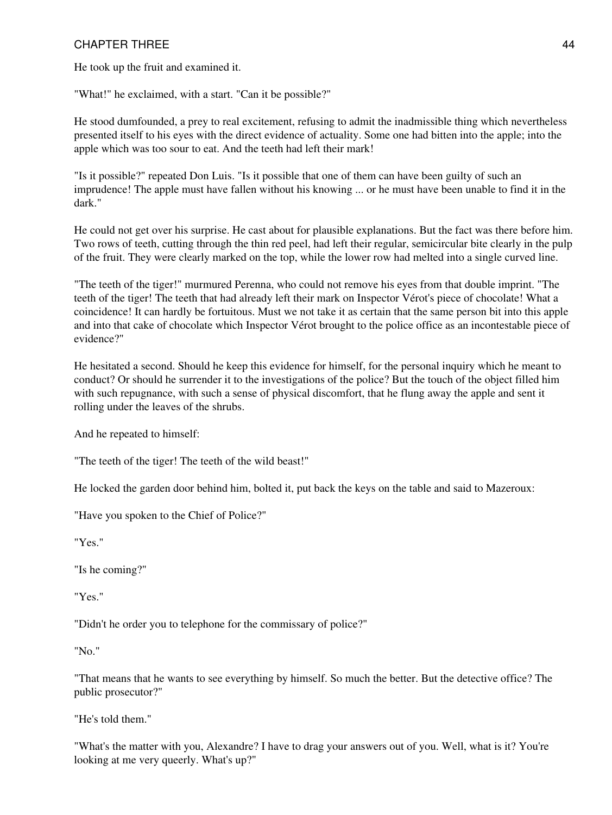He took up the fruit and examined it.

"What!" he exclaimed, with a start. "Can it be possible?"

He stood dumfounded, a prey to real excitement, refusing to admit the inadmissible thing which nevertheless presented itself to his eyes with the direct evidence of actuality. Some one had bitten into the apple; into the apple which was too sour to eat. And the teeth had left their mark!

"Is it possible?" repeated Don Luis. "Is it possible that one of them can have been guilty of such an imprudence! The apple must have fallen without his knowing ... or he must have been unable to find it in the dark."

He could not get over his surprise. He cast about for plausible explanations. But the fact was there before him. Two rows of teeth, cutting through the thin red peel, had left their regular, semicircular bite clearly in the pulp of the fruit. They were clearly marked on the top, while the lower row had melted into a single curved line.

"The teeth of the tiger!" murmured Perenna, who could not remove his eyes from that double imprint. "The teeth of the tiger! The teeth that had already left their mark on Inspector Vérot's piece of chocolate! What a coincidence! It can hardly be fortuitous. Must we not take it as certain that the same person bit into this apple and into that cake of chocolate which Inspector Vérot brought to the police office as an incontestable piece of evidence?"

He hesitated a second. Should he keep this evidence for himself, for the personal inquiry which he meant to conduct? Or should he surrender it to the investigations of the police? But the touch of the object filled him with such repugnance, with such a sense of physical discomfort, that he flung away the apple and sent it rolling under the leaves of the shrubs.

And he repeated to himself:

"The teeth of the tiger! The teeth of the wild beast!"

He locked the garden door behind him, bolted it, put back the keys on the table and said to Mazeroux:

"Have you spoken to the Chief of Police?"

"Yes."

"Is he coming?"

"Yes."

"Didn't he order you to telephone for the commissary of police?"

"No."

"That means that he wants to see everything by himself. So much the better. But the detective office? The public prosecutor?"

"He's told them."

"What's the matter with you, Alexandre? I have to drag your answers out of you. Well, what is it? You're looking at me very queerly. What's up?"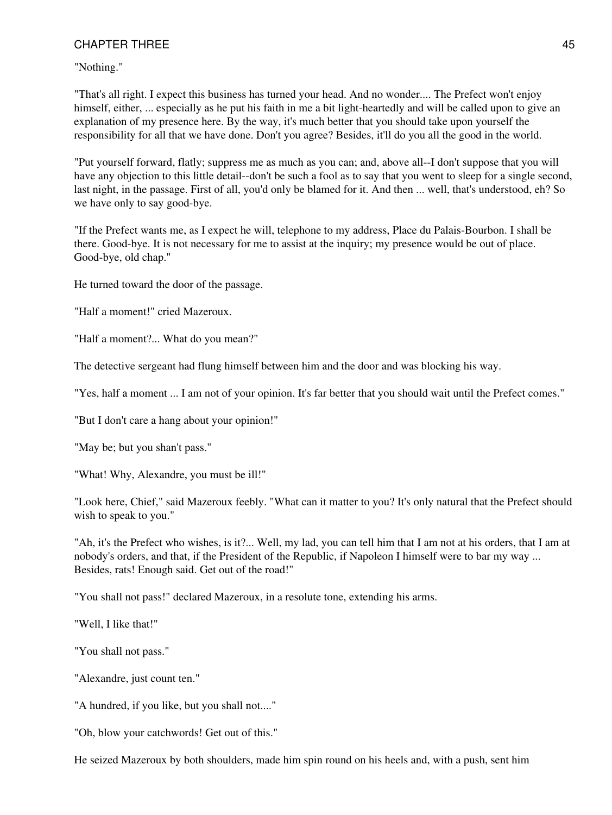"Nothing."

"That's all right. I expect this business has turned your head. And no wonder.... The Prefect won't enjoy himself, either, ... especially as he put his faith in me a bit light-heartedly and will be called upon to give an explanation of my presence here. By the way, it's much better that you should take upon yourself the responsibility for all that we have done. Don't you agree? Besides, it'll do you all the good in the world.

"Put yourself forward, flatly; suppress me as much as you can; and, above all--I don't suppose that you will have any objection to this little detail--don't be such a fool as to say that you went to sleep for a single second, last night, in the passage. First of all, you'd only be blamed for it. And then ... well, that's understood, eh? So we have only to say good-bye.

"If the Prefect wants me, as I expect he will, telephone to my address, Place du Palais-Bourbon. I shall be there. Good-bye. It is not necessary for me to assist at the inquiry; my presence would be out of place. Good-bye, old chap."

He turned toward the door of the passage.

"Half a moment!" cried Mazeroux.

"Half a moment?... What do you mean?"

The detective sergeant had flung himself between him and the door and was blocking his way.

"Yes, half a moment ... I am not of your opinion. It's far better that you should wait until the Prefect comes."

"But I don't care a hang about your opinion!"

"May be; but you shan't pass."

"What! Why, Alexandre, you must be ill!"

"Look here, Chief," said Mazeroux feebly. "What can it matter to you? It's only natural that the Prefect should wish to speak to you."

"Ah, it's the Prefect who wishes, is it?... Well, my lad, you can tell him that I am not at his orders, that I am at nobody's orders, and that, if the President of the Republic, if Napoleon I himself were to bar my way ... Besides, rats! Enough said. Get out of the road!"

"You shall not pass!" declared Mazeroux, in a resolute tone, extending his arms.

"Well, I like that!"

"You shall not pass."

"Alexandre, just count ten."

"A hundred, if you like, but you shall not...."

"Oh, blow your catchwords! Get out of this."

He seized Mazeroux by both shoulders, made him spin round on his heels and, with a push, sent him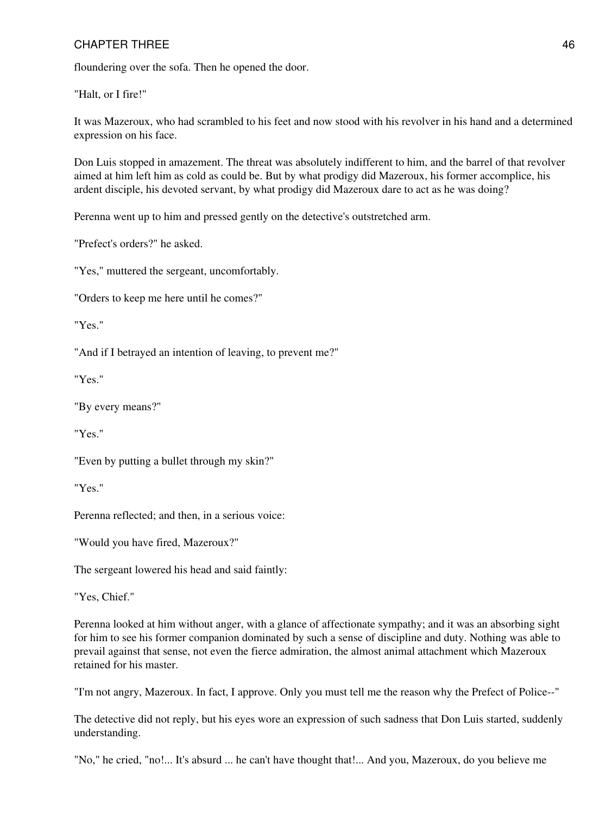floundering over the sofa. Then he opened the door.

"Halt, or I fire!"

It was Mazeroux, who had scrambled to his feet and now stood with his revolver in his hand and a determined expression on his face.

Don Luis stopped in amazement. The threat was absolutely indifferent to him, and the barrel of that revolver aimed at him left him as cold as could be. But by what prodigy did Mazeroux, his former accomplice, his ardent disciple, his devoted servant, by what prodigy did Mazeroux dare to act as he was doing?

Perenna went up to him and pressed gently on the detective's outstretched arm.

"Prefect's orders?" he asked.

"Yes," muttered the sergeant, uncomfortably.

"Orders to keep me here until he comes?"

"Yes."

"And if I betrayed an intention of leaving, to prevent me?"

"Yes."

"By every means?"

"Yes."

"Even by putting a bullet through my skin?"

"Yes."

Perenna reflected; and then, in a serious voice:

"Would you have fired, Mazeroux?"

The sergeant lowered his head and said faintly:

"Yes, Chief."

Perenna looked at him without anger, with a glance of affectionate sympathy; and it was an absorbing sight for him to see his former companion dominated by such a sense of discipline and duty. Nothing was able to prevail against that sense, not even the fierce admiration, the almost animal attachment which Mazeroux retained for his master.

"I'm not angry, Mazeroux. In fact, I approve. Only you must tell me the reason why the Prefect of Police--"

The detective did not reply, but his eyes wore an expression of such sadness that Don Luis started, suddenly understanding.

"No," he cried, "no!... It's absurd ... he can't have thought that!... And you, Mazeroux, do you believe me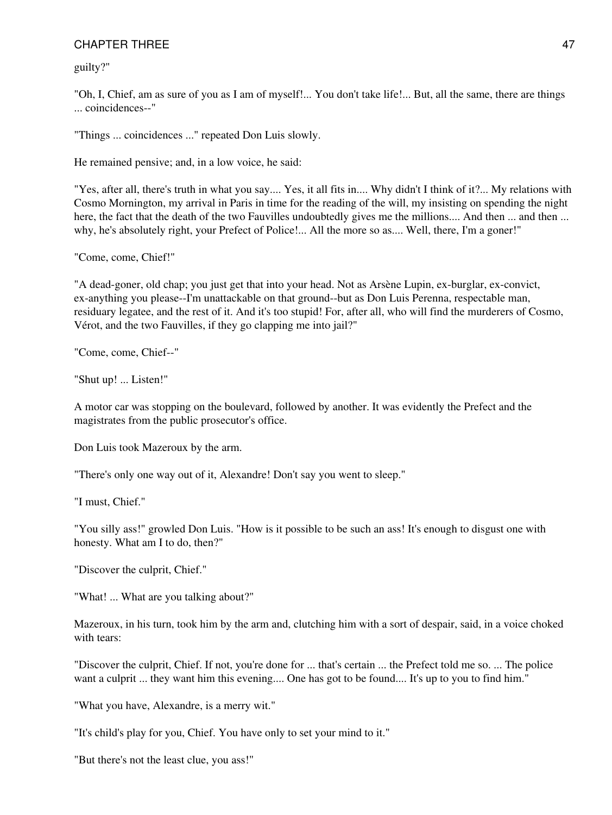guilty?"

"Oh, I, Chief, am as sure of you as I am of myself!... You don't take life!... But, all the same, there are things ... coincidences--"

"Things ... coincidences ..." repeated Don Luis slowly.

He remained pensive; and, in a low voice, he said:

"Yes, after all, there's truth in what you say.... Yes, it all fits in.... Why didn't I think of it?... My relations with Cosmo Mornington, my arrival in Paris in time for the reading of the will, my insisting on spending the night here, the fact that the death of the two Fauvilles undoubtedly gives me the millions.... And then ... and then ... why, he's absolutely right, your Prefect of Police!... All the more so as.... Well, there, I'm a goner!"

"Come, come, Chief!"

"A dead-goner, old chap; you just get that into your head. Not as Arsène Lupin, ex-burglar, ex-convict, ex-anything you please--I'm unattackable on that ground--but as Don Luis Perenna, respectable man, residuary legatee, and the rest of it. And it's too stupid! For, after all, who will find the murderers of Cosmo, Vérot, and the two Fauvilles, if they go clapping me into jail?"

"Come, come, Chief--"

"Shut up! ... Listen!"

A motor car was stopping on the boulevard, followed by another. It was evidently the Prefect and the magistrates from the public prosecutor's office.

Don Luis took Mazeroux by the arm.

"There's only one way out of it, Alexandre! Don't say you went to sleep."

"I must, Chief."

"You silly ass!" growled Don Luis. "How is it possible to be such an ass! It's enough to disgust one with honesty. What am I to do, then?"

"Discover the culprit, Chief."

"What! ... What are you talking about?"

Mazeroux, in his turn, took him by the arm and, clutching him with a sort of despair, said, in a voice choked with tears:

"Discover the culprit, Chief. If not, you're done for ... that's certain ... the Prefect told me so. ... The police want a culprit ... they want him this evening.... One has got to be found.... It's up to you to find him."

"What you have, Alexandre, is a merry wit."

"It's child's play for you, Chief. You have only to set your mind to it."

"But there's not the least clue, you ass!"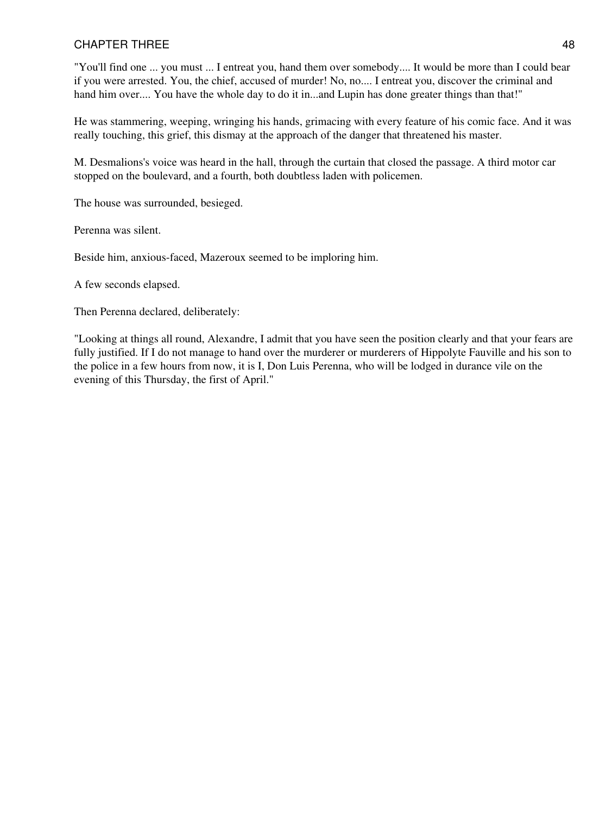"You'll find one ... you must ... I entreat you, hand them over somebody.... It would be more than I could bear if you were arrested. You, the chief, accused of murder! No, no.... I entreat you, discover the criminal and hand him over.... You have the whole day to do it in...and Lupin has done greater things than that!"

He was stammering, weeping, wringing his hands, grimacing with every feature of his comic face. And it was really touching, this grief, this dismay at the approach of the danger that threatened his master.

M. Desmalions's voice was heard in the hall, through the curtain that closed the passage. A third motor car stopped on the boulevard, and a fourth, both doubtless laden with policemen.

The house was surrounded, besieged.

Perenna was silent.

Beside him, anxious-faced, Mazeroux seemed to be imploring him.

A few seconds elapsed.

Then Perenna declared, deliberately:

"Looking at things all round, Alexandre, I admit that you have seen the position clearly and that your fears are fully justified. If I do not manage to hand over the murderer or murderers of Hippolyte Fauville and his son to the police in a few hours from now, it is I, Don Luis Perenna, who will be lodged in durance vile on the evening of this Thursday, the first of April."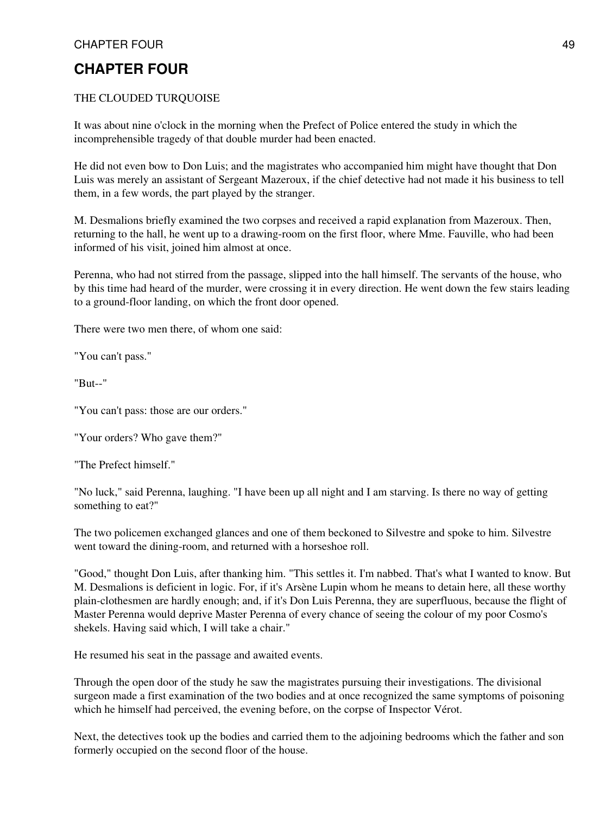# **CHAPTER FOUR**

#### THE CLOUDED TURQUOISE

It was about nine o'clock in the morning when the Prefect of Police entered the study in which the incomprehensible tragedy of that double murder had been enacted.

He did not even bow to Don Luis; and the magistrates who accompanied him might have thought that Don Luis was merely an assistant of Sergeant Mazeroux, if the chief detective had not made it his business to tell them, in a few words, the part played by the stranger.

M. Desmalions briefly examined the two corpses and received a rapid explanation from Mazeroux. Then, returning to the hall, he went up to a drawing-room on the first floor, where Mme. Fauville, who had been informed of his visit, joined him almost at once.

Perenna, who had not stirred from the passage, slipped into the hall himself. The servants of the house, who by this time had heard of the murder, were crossing it in every direction. He went down the few stairs leading to a ground-floor landing, on which the front door opened.

There were two men there, of whom one said:

"You can't pass."

"But--"

"You can't pass: those are our orders."

"Your orders? Who gave them?"

"The Prefect himself."

"No luck," said Perenna, laughing. "I have been up all night and I am starving. Is there no way of getting something to eat?"

The two policemen exchanged glances and one of them beckoned to Silvestre and spoke to him. Silvestre went toward the dining-room, and returned with a horseshoe roll.

"Good," thought Don Luis, after thanking him. "This settles it. I'm nabbed. That's what I wanted to know. But M. Desmalions is deficient in logic. For, if it's Arsène Lupin whom he means to detain here, all these worthy plain-clothesmen are hardly enough; and, if it's Don Luis Perenna, they are superfluous, because the flight of Master Perenna would deprive Master Perenna of every chance of seeing the colour of my poor Cosmo's shekels. Having said which, I will take a chair."

He resumed his seat in the passage and awaited events.

Through the open door of the study he saw the magistrates pursuing their investigations. The divisional surgeon made a first examination of the two bodies and at once recognized the same symptoms of poisoning which he himself had perceived, the evening before, on the corpse of Inspector Vérot.

Next, the detectives took up the bodies and carried them to the adjoining bedrooms which the father and son formerly occupied on the second floor of the house.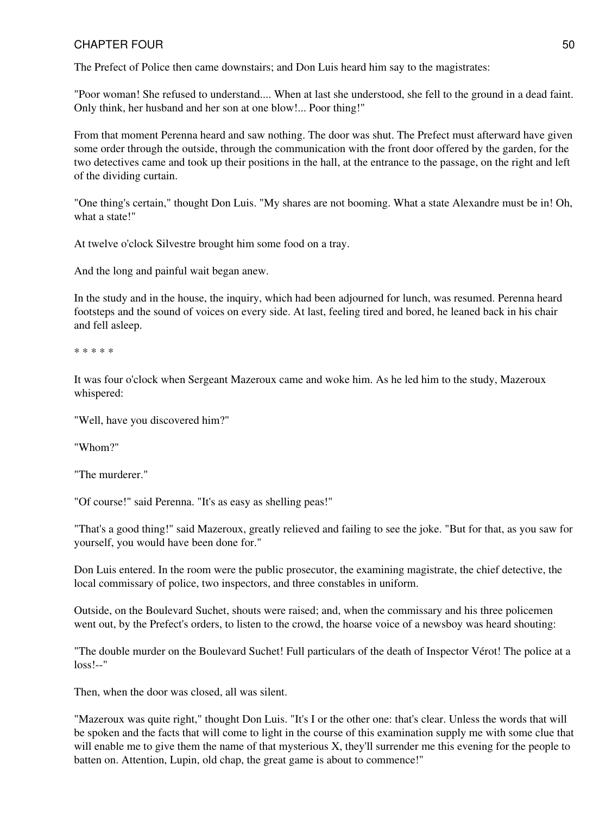The Prefect of Police then came downstairs; and Don Luis heard him say to the magistrates:

"Poor woman! She refused to understand.... When at last she understood, she fell to the ground in a dead faint. Only think, her husband and her son at one blow!... Poor thing!"

From that moment Perenna heard and saw nothing. The door was shut. The Prefect must afterward have given some order through the outside, through the communication with the front door offered by the garden, for the two detectives came and took up their positions in the hall, at the entrance to the passage, on the right and left of the dividing curtain.

"One thing's certain," thought Don Luis. "My shares are not booming. What a state Alexandre must be in! Oh, what a state!"

At twelve o'clock Silvestre brought him some food on a tray.

And the long and painful wait began anew.

In the study and in the house, the inquiry, which had been adjourned for lunch, was resumed. Perenna heard footsteps and the sound of voices on every side. At last, feeling tired and bored, he leaned back in his chair and fell asleep.

\* \* \* \* \*

It was four o'clock when Sergeant Mazeroux came and woke him. As he led him to the study, Mazeroux whispered:

"Well, have you discovered him?"

"Whom?"

"The murderer."

"Of course!" said Perenna. "It's as easy as shelling peas!"

"That's a good thing!" said Mazeroux, greatly relieved and failing to see the joke. "But for that, as you saw for yourself, you would have been done for."

Don Luis entered. In the room were the public prosecutor, the examining magistrate, the chief detective, the local commissary of police, two inspectors, and three constables in uniform.

Outside, on the Boulevard Suchet, shouts were raised; and, when the commissary and his three policemen went out, by the Prefect's orders, to listen to the crowd, the hoarse voice of a newsboy was heard shouting:

"The double murder on the Boulevard Suchet! Full particulars of the death of Inspector Vérot! The police at a  $loss!$ --"

Then, when the door was closed, all was silent.

"Mazeroux was quite right," thought Don Luis. "It's I or the other one: that's clear. Unless the words that will be spoken and the facts that will come to light in the course of this examination supply me with some clue that will enable me to give them the name of that mysterious X, they'll surrender me this evening for the people to batten on. Attention, Lupin, old chap, the great game is about to commence!"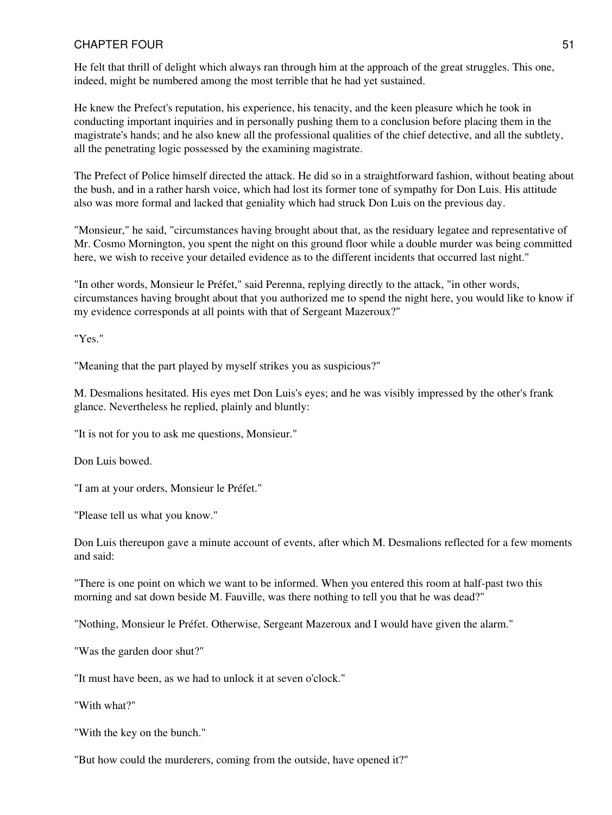He felt that thrill of delight which always ran through him at the approach of the great struggles. This one, indeed, might be numbered among the most terrible that he had yet sustained.

He knew the Prefect's reputation, his experience, his tenacity, and the keen pleasure which he took in conducting important inquiries and in personally pushing them to a conclusion before placing them in the magistrate's hands; and he also knew all the professional qualities of the chief detective, and all the subtlety, all the penetrating logic possessed by the examining magistrate.

The Prefect of Police himself directed the attack. He did so in a straightforward fashion, without beating about the bush, and in a rather harsh voice, which had lost its former tone of sympathy for Don Luis. His attitude also was more formal and lacked that geniality which had struck Don Luis on the previous day.

"Monsieur," he said, "circumstances having brought about that, as the residuary legatee and representative of Mr. Cosmo Mornington, you spent the night on this ground floor while a double murder was being committed here, we wish to receive your detailed evidence as to the different incidents that occurred last night."

"In other words, Monsieur le Préfet," said Perenna, replying directly to the attack, "in other words, circumstances having brought about that you authorized me to spend the night here, you would like to know if my evidence corresponds at all points with that of Sergeant Mazeroux?"

"Yes."

"Meaning that the part played by myself strikes you as suspicious?"

M. Desmalions hesitated. His eyes met Don Luis's eyes; and he was visibly impressed by the other's frank glance. Nevertheless he replied, plainly and bluntly:

"It is not for you to ask me questions, Monsieur."

Don Luis bowed.

"I am at your orders, Monsieur le Préfet."

"Please tell us what you know."

Don Luis thereupon gave a minute account of events, after which M. Desmalions reflected for a few moments and said:

"There is one point on which we want to be informed. When you entered this room at half-past two this morning and sat down beside M. Fauville, was there nothing to tell you that he was dead?"

"Nothing, Monsieur le Préfet. Otherwise, Sergeant Mazeroux and I would have given the alarm."

"Was the garden door shut?"

"It must have been, as we had to unlock it at seven o'clock."

"With what?"

"With the key on the bunch."

"But how could the murderers, coming from the outside, have opened it?"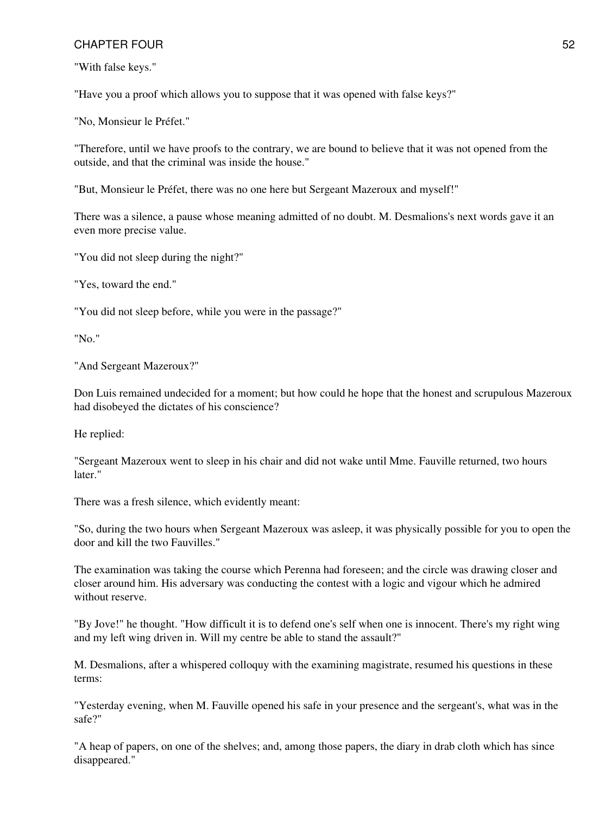"With false keys."

"Have you a proof which allows you to suppose that it was opened with false keys?"

"No, Monsieur le Préfet."

"Therefore, until we have proofs to the contrary, we are bound to believe that it was not opened from the outside, and that the criminal was inside the house."

"But, Monsieur le Préfet, there was no one here but Sergeant Mazeroux and myself!"

There was a silence, a pause whose meaning admitted of no doubt. M. Desmalions's next words gave it an even more precise value.

"You did not sleep during the night?"

"Yes, toward the end."

"You did not sleep before, while you were in the passage?"

"No."

"And Sergeant Mazeroux?"

Don Luis remained undecided for a moment; but how could he hope that the honest and scrupulous Mazeroux had disobeyed the dictates of his conscience?

He replied:

"Sergeant Mazeroux went to sleep in his chair and did not wake until Mme. Fauville returned, two hours later."

There was a fresh silence, which evidently meant:

"So, during the two hours when Sergeant Mazeroux was asleep, it was physically possible for you to open the door and kill the two Fauvilles."

The examination was taking the course which Perenna had foreseen; and the circle was drawing closer and closer around him. His adversary was conducting the contest with a logic and vigour which he admired without reserve.

"By Jove!" he thought. "How difficult it is to defend one's self when one is innocent. There's my right wing and my left wing driven in. Will my centre be able to stand the assault?"

M. Desmalions, after a whispered colloquy with the examining magistrate, resumed his questions in these terms:

"Yesterday evening, when M. Fauville opened his safe in your presence and the sergeant's, what was in the safe?"

"A heap of papers, on one of the shelves; and, among those papers, the diary in drab cloth which has since disappeared."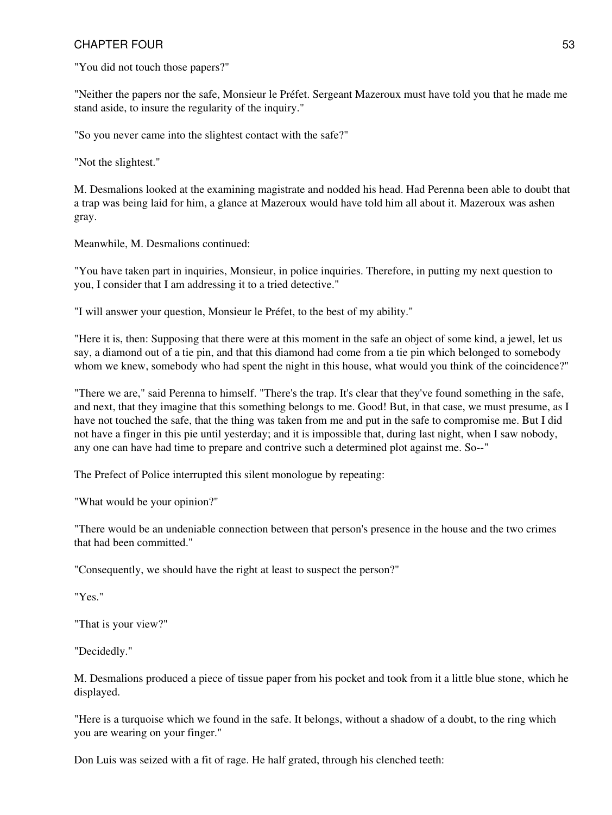"You did not touch those papers?"

"Neither the papers nor the safe, Monsieur le Préfet. Sergeant Mazeroux must have told you that he made me stand aside, to insure the regularity of the inquiry."

"So you never came into the slightest contact with the safe?"

"Not the slightest."

M. Desmalions looked at the examining magistrate and nodded his head. Had Perenna been able to doubt that a trap was being laid for him, a glance at Mazeroux would have told him all about it. Mazeroux was ashen gray.

Meanwhile, M. Desmalions continued:

"You have taken part in inquiries, Monsieur, in police inquiries. Therefore, in putting my next question to you, I consider that I am addressing it to a tried detective."

"I will answer your question, Monsieur le Préfet, to the best of my ability."

"Here it is, then: Supposing that there were at this moment in the safe an object of some kind, a jewel, let us say, a diamond out of a tie pin, and that this diamond had come from a tie pin which belonged to somebody whom we knew, somebody who had spent the night in this house, what would you think of the coincidence?"

"There we are," said Perenna to himself. "There's the trap. It's clear that they've found something in the safe, and next, that they imagine that this something belongs to me. Good! But, in that case, we must presume, as I have not touched the safe, that the thing was taken from me and put in the safe to compromise me. But I did not have a finger in this pie until yesterday; and it is impossible that, during last night, when I saw nobody, any one can have had time to prepare and contrive such a determined plot against me. So--"

The Prefect of Police interrupted this silent monologue by repeating:

"What would be your opinion?"

"There would be an undeniable connection between that person's presence in the house and the two crimes that had been committed."

"Consequently, we should have the right at least to suspect the person?"

"Yes."

"That is your view?"

"Decidedly."

M. Desmalions produced a piece of tissue paper from his pocket and took from it a little blue stone, which he displayed.

"Here is a turquoise which we found in the safe. It belongs, without a shadow of a doubt, to the ring which you are wearing on your finger."

Don Luis was seized with a fit of rage. He half grated, through his clenched teeth: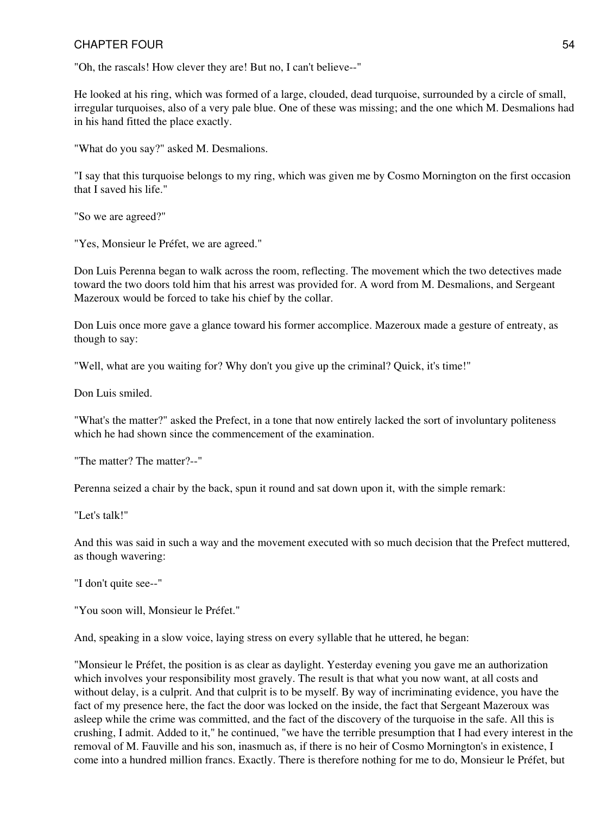"Oh, the rascals! How clever they are! But no, I can't believe--"

He looked at his ring, which was formed of a large, clouded, dead turquoise, surrounded by a circle of small, irregular turquoises, also of a very pale blue. One of these was missing; and the one which M. Desmalions had in his hand fitted the place exactly.

"What do you say?" asked M. Desmalions.

"I say that this turquoise belongs to my ring, which was given me by Cosmo Mornington on the first occasion that I saved his life."

"So we are agreed?"

"Yes, Monsieur le Préfet, we are agreed."

Don Luis Perenna began to walk across the room, reflecting. The movement which the two detectives made toward the two doors told him that his arrest was provided for. A word from M. Desmalions, and Sergeant Mazeroux would be forced to take his chief by the collar.

Don Luis once more gave a glance toward his former accomplice. Mazeroux made a gesture of entreaty, as though to say:

"Well, what are you waiting for? Why don't you give up the criminal? Quick, it's time!"

Don Luis smiled.

"What's the matter?" asked the Prefect, in a tone that now entirely lacked the sort of involuntary politeness which he had shown since the commencement of the examination.

"The matter? The matter?--"

Perenna seized a chair by the back, spun it round and sat down upon it, with the simple remark:

"Let's talk!"

And this was said in such a way and the movement executed with so much decision that the Prefect muttered, as though wavering:

"I don't quite see--"

"You soon will, Monsieur le Préfet."

And, speaking in a slow voice, laying stress on every syllable that he uttered, he began:

"Monsieur le Préfet, the position is as clear as daylight. Yesterday evening you gave me an authorization which involves your responsibility most gravely. The result is that what you now want, at all costs and without delay, is a culprit. And that culprit is to be myself. By way of incriminating evidence, you have the fact of my presence here, the fact the door was locked on the inside, the fact that Sergeant Mazeroux was asleep while the crime was committed, and the fact of the discovery of the turquoise in the safe. All this is crushing, I admit. Added to it," he continued, "we have the terrible presumption that I had every interest in the removal of M. Fauville and his son, inasmuch as, if there is no heir of Cosmo Mornington's in existence, I come into a hundred million francs. Exactly. There is therefore nothing for me to do, Monsieur le Préfet, but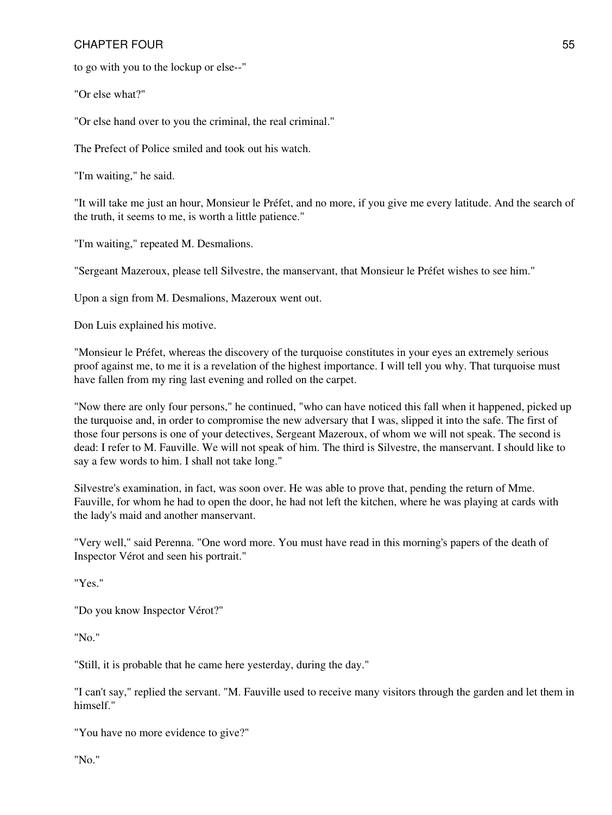to go with you to the lockup or else--"

"Or else what?"

"Or else hand over to you the criminal, the real criminal."

The Prefect of Police smiled and took out his watch.

"I'm waiting," he said.

"It will take me just an hour, Monsieur le Préfet, and no more, if you give me every latitude. And the search of the truth, it seems to me, is worth a little patience."

"I'm waiting," repeated M. Desmalions.

"Sergeant Mazeroux, please tell Silvestre, the manservant, that Monsieur le Préfet wishes to see him."

Upon a sign from M. Desmalions, Mazeroux went out.

Don Luis explained his motive.

"Monsieur le Préfet, whereas the discovery of the turquoise constitutes in your eyes an extremely serious proof against me, to me it is a revelation of the highest importance. I will tell you why. That turquoise must have fallen from my ring last evening and rolled on the carpet.

"Now there are only four persons," he continued, "who can have noticed this fall when it happened, picked up the turquoise and, in order to compromise the new adversary that I was, slipped it into the safe. The first of those four persons is one of your detectives, Sergeant Mazeroux, of whom we will not speak. The second is dead: I refer to M. Fauville. We will not speak of him. The third is Silvestre, the manservant. I should like to say a few words to him. I shall not take long."

Silvestre's examination, in fact, was soon over. He was able to prove that, pending the return of Mme. Fauville, for whom he had to open the door, he had not left the kitchen, where he was playing at cards with the lady's maid and another manservant.

"Very well," said Perenna. "One word more. You must have read in this morning's papers of the death of Inspector Vérot and seen his portrait."

"Yes."

"Do you know Inspector Vérot?"

"No."

"Still, it is probable that he came here yesterday, during the day."

"I can't say," replied the servant. "M. Fauville used to receive many visitors through the garden and let them in himself."

"You have no more evidence to give?"

"No."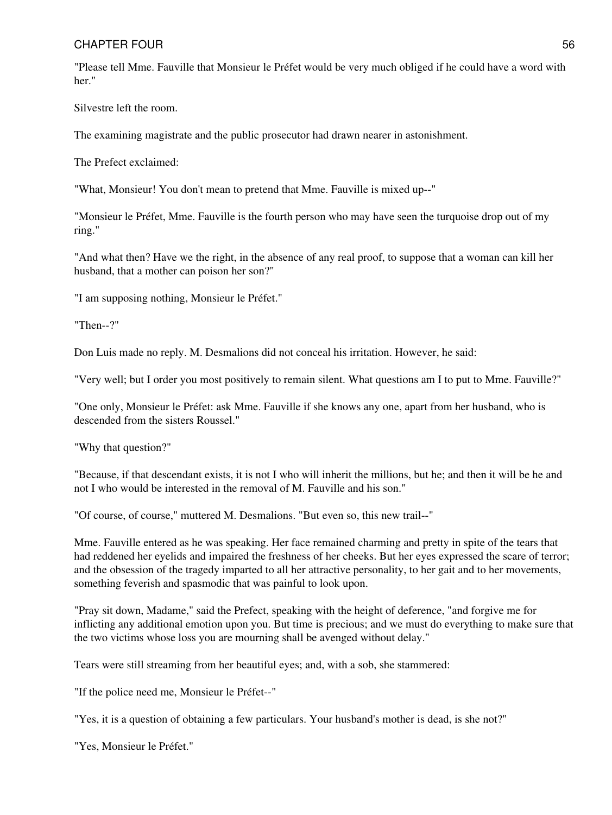"Please tell Mme. Fauville that Monsieur le Préfet would be very much obliged if he could have a word with her."

Silvestre left the room.

The examining magistrate and the public prosecutor had drawn nearer in astonishment.

The Prefect exclaimed:

"What, Monsieur! You don't mean to pretend that Mme. Fauville is mixed up--"

"Monsieur le Préfet, Mme. Fauville is the fourth person who may have seen the turquoise drop out of my ring."

"And what then? Have we the right, in the absence of any real proof, to suppose that a woman can kill her husband, that a mother can poison her son?"

"I am supposing nothing, Monsieur le Préfet."

"Then--?"

Don Luis made no reply. M. Desmalions did not conceal his irritation. However, he said:

"Very well; but I order you most positively to remain silent. What questions am I to put to Mme. Fauville?"

"One only, Monsieur le Préfet: ask Mme. Fauville if she knows any one, apart from her husband, who is descended from the sisters Roussel."

"Why that question?"

"Because, if that descendant exists, it is not I who will inherit the millions, but he; and then it will be he and not I who would be interested in the removal of M. Fauville and his son."

"Of course, of course," muttered M. Desmalions. "But even so, this new trail--"

Mme. Fauville entered as he was speaking. Her face remained charming and pretty in spite of the tears that had reddened her eyelids and impaired the freshness of her cheeks. But her eyes expressed the scare of terror; and the obsession of the tragedy imparted to all her attractive personality, to her gait and to her movements, something feverish and spasmodic that was painful to look upon.

"Pray sit down, Madame," said the Prefect, speaking with the height of deference, "and forgive me for inflicting any additional emotion upon you. But time is precious; and we must do everything to make sure that the two victims whose loss you are mourning shall be avenged without delay."

Tears were still streaming from her beautiful eyes; and, with a sob, she stammered:

"If the police need me, Monsieur le Préfet--"

"Yes, it is a question of obtaining a few particulars. Your husband's mother is dead, is she not?"

"Yes, Monsieur le Préfet."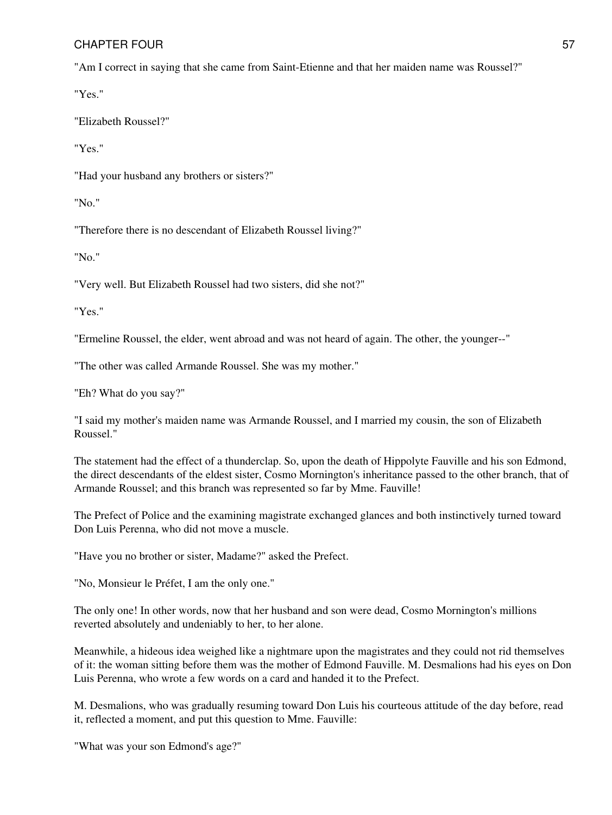"Am I correct in saying that she came from Saint-Etienne and that her maiden name was Roussel?"

"Yes."

"Elizabeth Roussel?"

"Yes."

"Had your husband any brothers or sisters?"

"No."

"Therefore there is no descendant of Elizabeth Roussel living?"

"No."

"Very well. But Elizabeth Roussel had two sisters, did she not?"

"Yes."

"Ermeline Roussel, the elder, went abroad and was not heard of again. The other, the younger--"

"The other was called Armande Roussel. She was my mother."

"Eh? What do you say?"

"I said my mother's maiden name was Armande Roussel, and I married my cousin, the son of Elizabeth Roussel."

The statement had the effect of a thunderclap. So, upon the death of Hippolyte Fauville and his son Edmond, the direct descendants of the eldest sister, Cosmo Mornington's inheritance passed to the other branch, that of Armande Roussel; and this branch was represented so far by Mme. Fauville!

The Prefect of Police and the examining magistrate exchanged glances and both instinctively turned toward Don Luis Perenna, who did not move a muscle.

"Have you no brother or sister, Madame?" asked the Prefect.

"No, Monsieur le Préfet, I am the only one."

The only one! In other words, now that her husband and son were dead, Cosmo Mornington's millions reverted absolutely and undeniably to her, to her alone.

Meanwhile, a hideous idea weighed like a nightmare upon the magistrates and they could not rid themselves of it: the woman sitting before them was the mother of Edmond Fauville. M. Desmalions had his eyes on Don Luis Perenna, who wrote a few words on a card and handed it to the Prefect.

M. Desmalions, who was gradually resuming toward Don Luis his courteous attitude of the day before, read it, reflected a moment, and put this question to Mme. Fauville:

"What was your son Edmond's age?"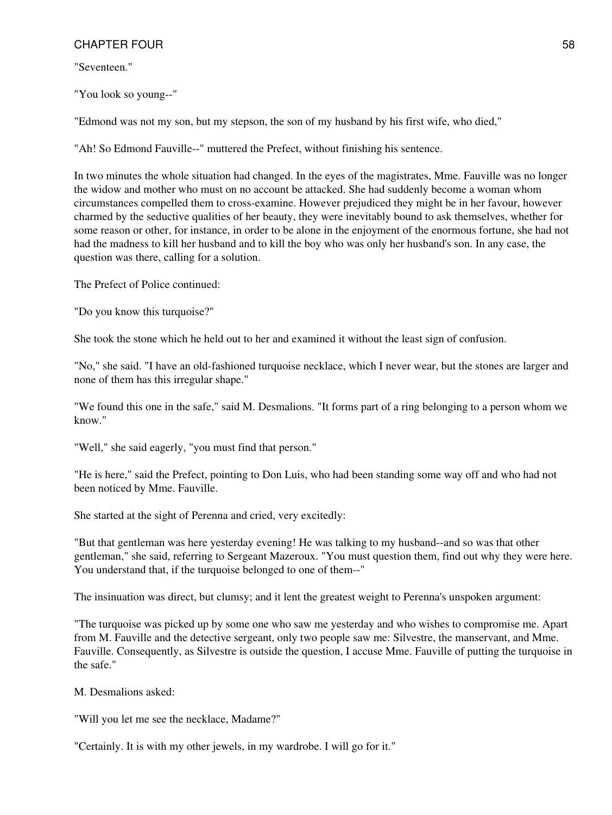"Seventeen."

"You look so young--"

"Edmond was not my son, but my stepson, the son of my husband by his first wife, who died,"

"Ah! So Edmond Fauville--" muttered the Prefect, without finishing his sentence.

In two minutes the whole situation had changed. In the eyes of the magistrates, Mme. Fauville was no longer the widow and mother who must on no account be attacked. She had suddenly become a woman whom circumstances compelled them to cross-examine. However prejudiced they might be in her favour, however charmed by the seductive qualities of her beauty, they were inevitably bound to ask themselves, whether for some reason or other, for instance, in order to be alone in the enjoyment of the enormous fortune, she had not had the madness to kill her husband and to kill the boy who was only her husband's son. In any case, the question was there, calling for a solution.

The Prefect of Police continued:

"Do you know this turquoise?"

She took the stone which he held out to her and examined it without the least sign of confusion.

"No," she said. "I have an old-fashioned turquoise necklace, which I never wear, but the stones are larger and none of them has this irregular shape."

"We found this one in the safe," said M. Desmalions. "It forms part of a ring belonging to a person whom we know."

"Well," she said eagerly, "you must find that person."

"He is here," said the Prefect, pointing to Don Luis, who had been standing some way off and who had not been noticed by Mme. Fauville.

She started at the sight of Perenna and cried, very excitedly:

"But that gentleman was here yesterday evening! He was talking to my husband--and so was that other gentleman," she said, referring to Sergeant Mazeroux. "You must question them, find out why they were here. You understand that, if the turquoise belonged to one of them--"

The insinuation was direct, but clumsy; and it lent the greatest weight to Perenna's unspoken argument:

"The turquoise was picked up by some one who saw me yesterday and who wishes to compromise me. Apart from M. Fauville and the detective sergeant, only two people saw me: Silvestre, the manservant, and Mme. Fauville. Consequently, as Silvestre is outside the question, I accuse Mme. Fauville of putting the turquoise in the safe."

M. Desmalions asked:

"Will you let me see the necklace, Madame?"

"Certainly. It is with my other jewels, in my wardrobe. I will go for it."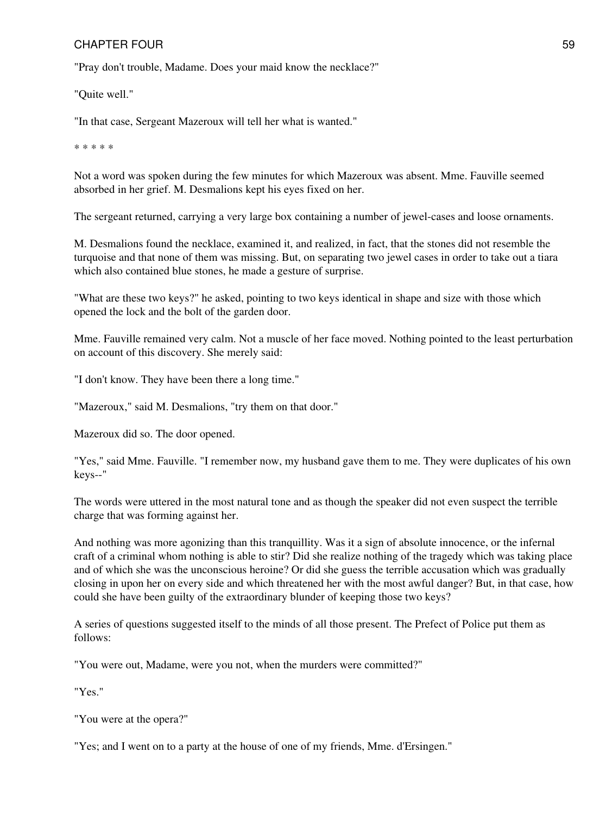"Pray don't trouble, Madame. Does your maid know the necklace?"

"Quite well."

"In that case, Sergeant Mazeroux will tell her what is wanted."

\* \* \* \* \*

Not a word was spoken during the few minutes for which Mazeroux was absent. Mme. Fauville seemed absorbed in her grief. M. Desmalions kept his eyes fixed on her.

The sergeant returned, carrying a very large box containing a number of jewel-cases and loose ornaments.

M. Desmalions found the necklace, examined it, and realized, in fact, that the stones did not resemble the turquoise and that none of them was missing. But, on separating two jewel cases in order to take out a tiara which also contained blue stones, he made a gesture of surprise.

"What are these two keys?" he asked, pointing to two keys identical in shape and size with those which opened the lock and the bolt of the garden door.

Mme. Fauville remained very calm. Not a muscle of her face moved. Nothing pointed to the least perturbation on account of this discovery. She merely said:

"I don't know. They have been there a long time."

"Mazeroux," said M. Desmalions, "try them on that door."

Mazeroux did so. The door opened.

"Yes," said Mme. Fauville. "I remember now, my husband gave them to me. They were duplicates of his own keys--"

The words were uttered in the most natural tone and as though the speaker did not even suspect the terrible charge that was forming against her.

And nothing was more agonizing than this tranquillity. Was it a sign of absolute innocence, or the infernal craft of a criminal whom nothing is able to stir? Did she realize nothing of the tragedy which was taking place and of which she was the unconscious heroine? Or did she guess the terrible accusation which was gradually closing in upon her on every side and which threatened her with the most awful danger? But, in that case, how could she have been guilty of the extraordinary blunder of keeping those two keys?

A series of questions suggested itself to the minds of all those present. The Prefect of Police put them as follows:

"You were out, Madame, were you not, when the murders were committed?"

"Yes."

"You were at the opera?"

"Yes; and I went on to a party at the house of one of my friends, Mme. d'Ersingen."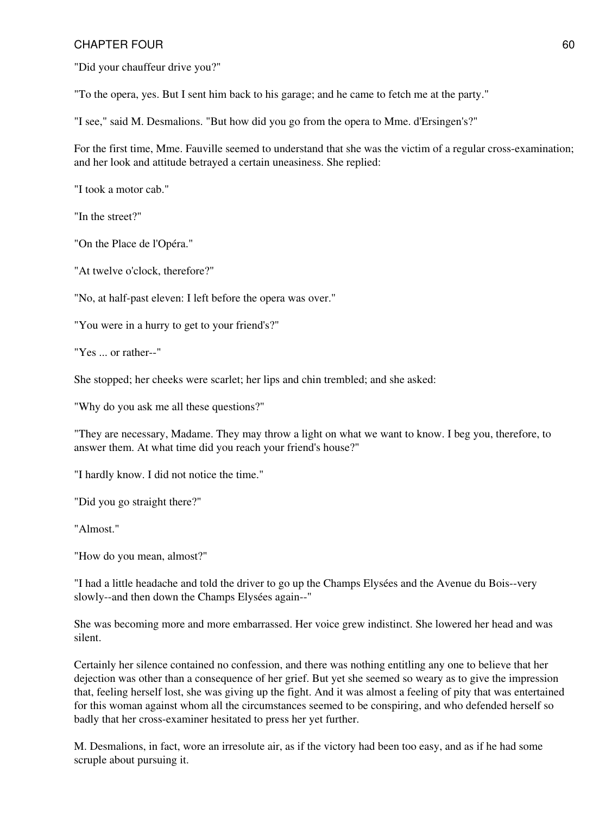"Did your chauffeur drive you?"

"To the opera, yes. But I sent him back to his garage; and he came to fetch me at the party."

"I see," said M. Desmalions. "But how did you go from the opera to Mme. d'Ersingen's?"

For the first time, Mme. Fauville seemed to understand that she was the victim of a regular cross-examination; and her look and attitude betrayed a certain uneasiness. She replied:

"I took a motor cab."

"In the street?"

"On the Place de l'Opéra."

"At twelve o'clock, therefore?"

"No, at half-past eleven: I left before the opera was over."

"You were in a hurry to get to your friend's?"

"Yes ... or rather--"

She stopped; her cheeks were scarlet; her lips and chin trembled; and she asked:

"Why do you ask me all these questions?"

"They are necessary, Madame. They may throw a light on what we want to know. I beg you, therefore, to answer them. At what time did you reach your friend's house?"

"I hardly know. I did not notice the time."

"Did you go straight there?"

"Almost."

"How do you mean, almost?"

"I had a little headache and told the driver to go up the Champs Elysées and the Avenue du Bois--very slowly--and then down the Champs Elysées again--"

She was becoming more and more embarrassed. Her voice grew indistinct. She lowered her head and was silent.

Certainly her silence contained no confession, and there was nothing entitling any one to believe that her dejection was other than a consequence of her grief. But yet she seemed so weary as to give the impression that, feeling herself lost, she was giving up the fight. And it was almost a feeling of pity that was entertained for this woman against whom all the circumstances seemed to be conspiring, and who defended herself so badly that her cross-examiner hesitated to press her yet further.

M. Desmalions, in fact, wore an irresolute air, as if the victory had been too easy, and as if he had some scruple about pursuing it.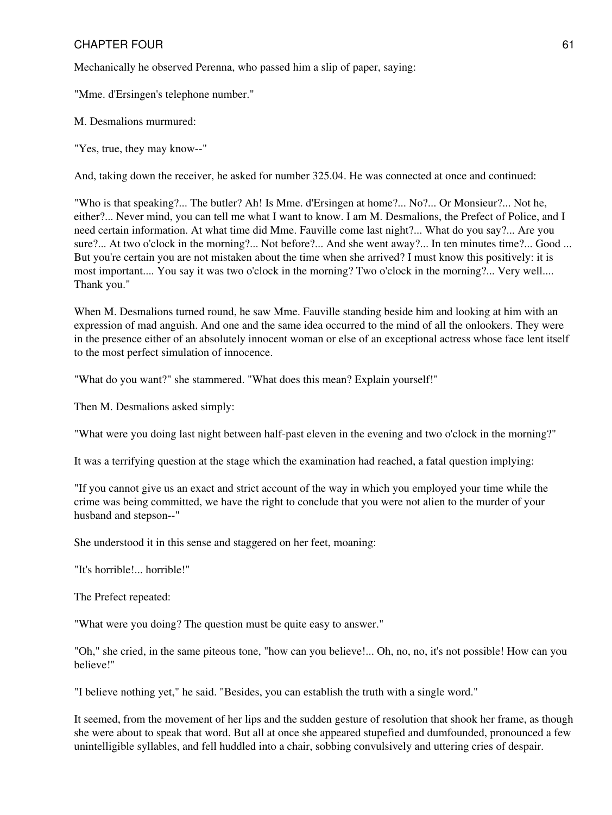Mechanically he observed Perenna, who passed him a slip of paper, saying:

"Mme. d'Ersingen's telephone number."

M. Desmalions murmured:

"Yes, true, they may know--"

And, taking down the receiver, he asked for number 325.04. He was connected at once and continued:

"Who is that speaking?... The butler? Ah! Is Mme. d'Ersingen at home?... No?... Or Monsieur?... Not he, either?... Never mind, you can tell me what I want to know. I am M. Desmalions, the Prefect of Police, and I need certain information. At what time did Mme. Fauville come last night?... What do you say?... Are you sure?... At two o'clock in the morning?... Not before?... And she went away?... In ten minutes time?... Good ... But you're certain you are not mistaken about the time when she arrived? I must know this positively: it is most important.... You say it was two o'clock in the morning? Two o'clock in the morning?... Very well.... Thank you."

When M. Desmalions turned round, he saw Mme. Fauville standing beside him and looking at him with an expression of mad anguish. And one and the same idea occurred to the mind of all the onlookers. They were in the presence either of an absolutely innocent woman or else of an exceptional actress whose face lent itself to the most perfect simulation of innocence.

"What do you want?" she stammered. "What does this mean? Explain yourself!"

Then M. Desmalions asked simply:

"What were you doing last night between half-past eleven in the evening and two o'clock in the morning?"

It was a terrifying question at the stage which the examination had reached, a fatal question implying:

"If you cannot give us an exact and strict account of the way in which you employed your time while the crime was being committed, we have the right to conclude that you were not alien to the murder of your husband and stepson--"

She understood it in this sense and staggered on her feet, moaning:

"It's horrible!... horrible!"

The Prefect repeated:

"What were you doing? The question must be quite easy to answer."

"Oh," she cried, in the same piteous tone, "how can you believe!... Oh, no, no, it's not possible! How can you believe!"

"I believe nothing yet," he said. "Besides, you can establish the truth with a single word."

It seemed, from the movement of her lips and the sudden gesture of resolution that shook her frame, as though she were about to speak that word. But all at once she appeared stupefied and dumfounded, pronounced a few unintelligible syllables, and fell huddled into a chair, sobbing convulsively and uttering cries of despair.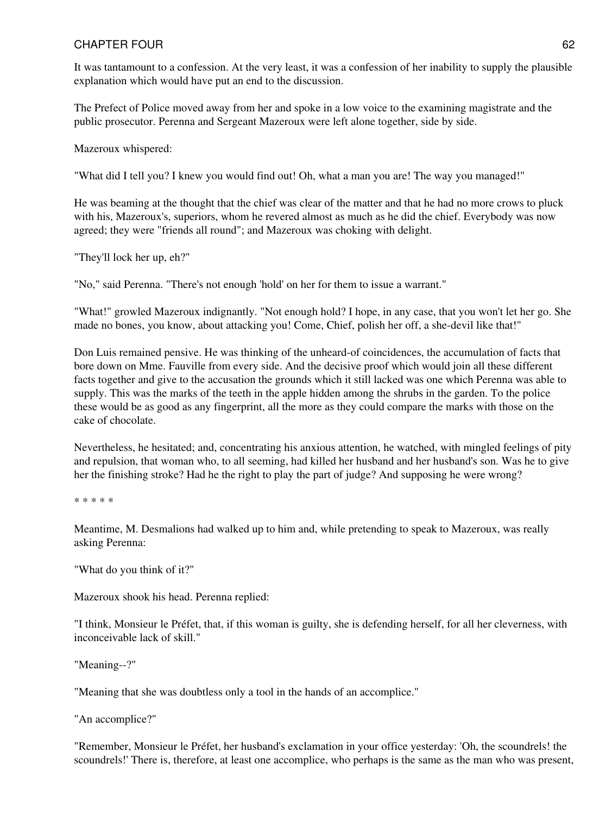It was tantamount to a confession. At the very least, it was a confession of her inability to supply the plausible explanation which would have put an end to the discussion.

The Prefect of Police moved away from her and spoke in a low voice to the examining magistrate and the public prosecutor. Perenna and Sergeant Mazeroux were left alone together, side by side.

Mazeroux whispered:

"What did I tell you? I knew you would find out! Oh, what a man you are! The way you managed!"

He was beaming at the thought that the chief was clear of the matter and that he had no more crows to pluck with his, Mazeroux's, superiors, whom he revered almost as much as he did the chief. Everybody was now agreed; they were "friends all round"; and Mazeroux was choking with delight.

"They'll lock her up, eh?"

"No," said Perenna. "There's not enough 'hold' on her for them to issue a warrant."

"What!" growled Mazeroux indignantly. "Not enough hold? I hope, in any case, that you won't let her go. She made no bones, you know, about attacking you! Come, Chief, polish her off, a she-devil like that!"

Don Luis remained pensive. He was thinking of the unheard-of coincidences, the accumulation of facts that bore down on Mme. Fauville from every side. And the decisive proof which would join all these different facts together and give to the accusation the grounds which it still lacked was one which Perenna was able to supply. This was the marks of the teeth in the apple hidden among the shrubs in the garden. To the police these would be as good as any fingerprint, all the more as they could compare the marks with those on the cake of chocolate.

Nevertheless, he hesitated; and, concentrating his anxious attention, he watched, with mingled feelings of pity and repulsion, that woman who, to all seeming, had killed her husband and her husband's son. Was he to give her the finishing stroke? Had he the right to play the part of judge? And supposing he were wrong?

\* \* \* \* \*

Meantime, M. Desmalions had walked up to him and, while pretending to speak to Mazeroux, was really asking Perenna:

"What do you think of it?"

Mazeroux shook his head. Perenna replied:

"I think, Monsieur le Préfet, that, if this woman is guilty, she is defending herself, for all her cleverness, with inconceivable lack of skill."

"Meaning--?"

"Meaning that she was doubtless only a tool in the hands of an accomplice."

"An accomplice?"

"Remember, Monsieur le Préfet, her husband's exclamation in your office yesterday: 'Oh, the scoundrels! the scoundrels!' There is, therefore, at least one accomplice, who perhaps is the same as the man who was present,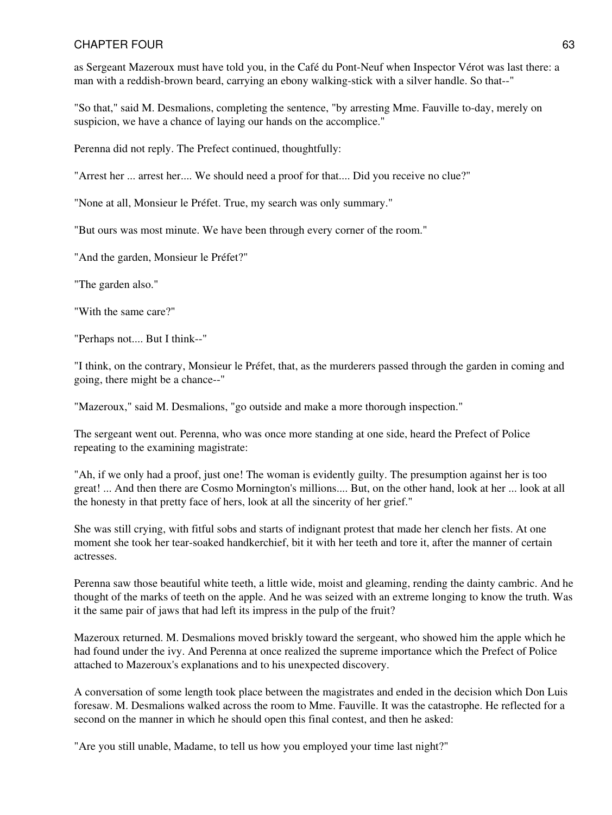as Sergeant Mazeroux must have told you, in the Café du Pont-Neuf when Inspector Vérot was last there: a man with a reddish-brown beard, carrying an ebony walking-stick with a silver handle. So that--"

"So that," said M. Desmalions, completing the sentence, "by arresting Mme. Fauville to-day, merely on suspicion, we have a chance of laying our hands on the accomplice."

Perenna did not reply. The Prefect continued, thoughtfully:

"Arrest her ... arrest her.... We should need a proof for that.... Did you receive no clue?"

"None at all, Monsieur le Préfet. True, my search was only summary."

"But ours was most minute. We have been through every corner of the room."

"And the garden, Monsieur le Préfet?"

"The garden also."

"With the same care?"

"Perhaps not.... But I think--"

"I think, on the contrary, Monsieur le Préfet, that, as the murderers passed through the garden in coming and going, there might be a chance--"

"Mazeroux," said M. Desmalions, "go outside and make a more thorough inspection."

The sergeant went out. Perenna, who was once more standing at one side, heard the Prefect of Police repeating to the examining magistrate:

"Ah, if we only had a proof, just one! The woman is evidently guilty. The presumption against her is too great! ... And then there are Cosmo Mornington's millions.... But, on the other hand, look at her ... look at all the honesty in that pretty face of hers, look at all the sincerity of her grief."

She was still crying, with fitful sobs and starts of indignant protest that made her clench her fists. At one moment she took her tear-soaked handkerchief, bit it with her teeth and tore it, after the manner of certain actresses.

Perenna saw those beautiful white teeth, a little wide, moist and gleaming, rending the dainty cambric. And he thought of the marks of teeth on the apple. And he was seized with an extreme longing to know the truth. Was it the same pair of jaws that had left its impress in the pulp of the fruit?

Mazeroux returned. M. Desmalions moved briskly toward the sergeant, who showed him the apple which he had found under the ivy. And Perenna at once realized the supreme importance which the Prefect of Police attached to Mazeroux's explanations and to his unexpected discovery.

A conversation of some length took place between the magistrates and ended in the decision which Don Luis foresaw. M. Desmalions walked across the room to Mme. Fauville. It was the catastrophe. He reflected for a second on the manner in which he should open this final contest, and then he asked:

"Are you still unable, Madame, to tell us how you employed your time last night?"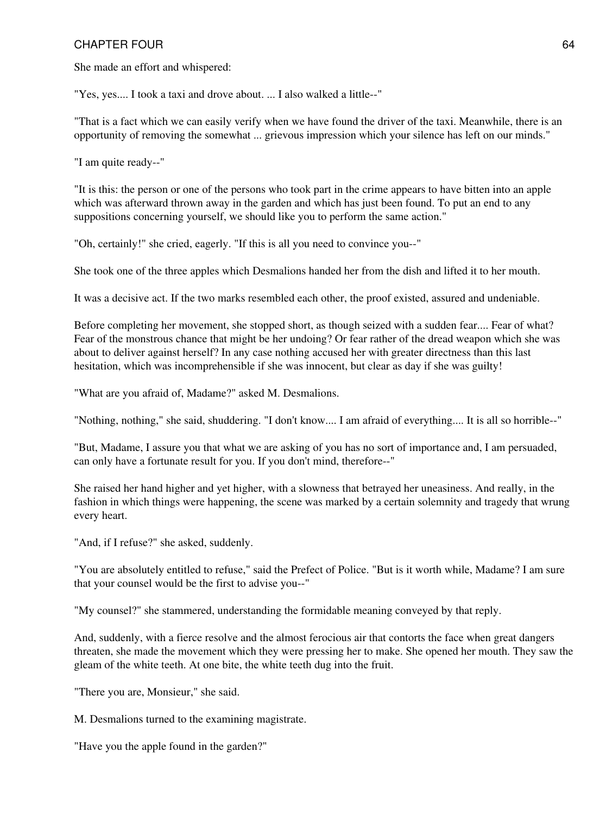She made an effort and whispered:

"Yes, yes.... I took a taxi and drove about. ... I also walked a little--"

"That is a fact which we can easily verify when we have found the driver of the taxi. Meanwhile, there is an opportunity of removing the somewhat ... grievous impression which your silence has left on our minds."

"I am quite ready--"

"It is this: the person or one of the persons who took part in the crime appears to have bitten into an apple which was afterward thrown away in the garden and which has just been found. To put an end to any suppositions concerning yourself, we should like you to perform the same action."

"Oh, certainly!" she cried, eagerly. "If this is all you need to convince you--"

She took one of the three apples which Desmalions handed her from the dish and lifted it to her mouth.

It was a decisive act. If the two marks resembled each other, the proof existed, assured and undeniable.

Before completing her movement, she stopped short, as though seized with a sudden fear.... Fear of what? Fear of the monstrous chance that might be her undoing? Or fear rather of the dread weapon which she was about to deliver against herself? In any case nothing accused her with greater directness than this last hesitation, which was incomprehensible if she was innocent, but clear as day if she was guilty!

"What are you afraid of, Madame?" asked M. Desmalions.

"Nothing, nothing," she said, shuddering. "I don't know.... I am afraid of everything.... It is all so horrible--"

"But, Madame, I assure you that what we are asking of you has no sort of importance and, I am persuaded, can only have a fortunate result for you. If you don't mind, therefore--"

She raised her hand higher and yet higher, with a slowness that betrayed her uneasiness. And really, in the fashion in which things were happening, the scene was marked by a certain solemnity and tragedy that wrung every heart.

"And, if I refuse?" she asked, suddenly.

"You are absolutely entitled to refuse," said the Prefect of Police. "But is it worth while, Madame? I am sure that your counsel would be the first to advise you--"

"My counsel?" she stammered, understanding the formidable meaning conveyed by that reply.

And, suddenly, with a fierce resolve and the almost ferocious air that contorts the face when great dangers threaten, she made the movement which they were pressing her to make. She opened her mouth. They saw the gleam of the white teeth. At one bite, the white teeth dug into the fruit.

"There you are, Monsieur," she said.

M. Desmalions turned to the examining magistrate.

"Have you the apple found in the garden?"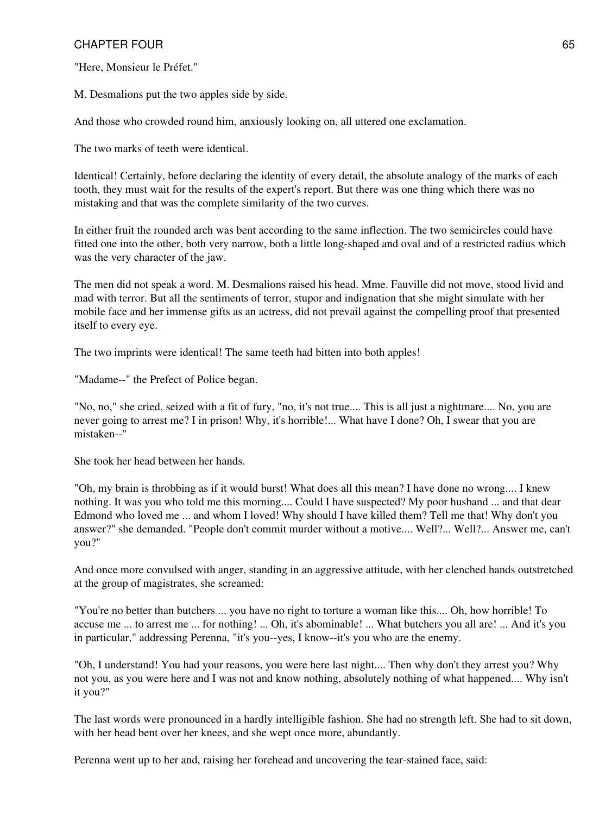"Here, Monsieur le Préfet."

M. Desmalions put the two apples side by side.

And those who crowded round him, anxiously looking on, all uttered one exclamation.

The two marks of teeth were identical.

Identical! Certainly, before declaring the identity of every detail, the absolute analogy of the marks of each tooth, they must wait for the results of the expert's report. But there was one thing which there was no mistaking and that was the complete similarity of the two curves.

In either fruit the rounded arch was bent according to the same inflection. The two semicircles could have fitted one into the other, both very narrow, both a little long-shaped and oval and of a restricted radius which was the very character of the jaw.

The men did not speak a word. M. Desmalions raised his head. Mme. Fauville did not move, stood livid and mad with terror. But all the sentiments of terror, stupor and indignation that she might simulate with her mobile face and her immense gifts as an actress, did not prevail against the compelling proof that presented itself to every eye.

The two imprints were identical! The same teeth had bitten into both apples!

"Madame--" the Prefect of Police began.

"No, no," she cried, seized with a fit of fury, "no, it's not true.... This is all just a nightmare.... No, you are never going to arrest me? I in prison! Why, it's horrible!... What have I done? Oh, I swear that you are mistaken--"

She took her head between her hands.

"Oh, my brain is throbbing as if it would burst! What does all this mean? I have done no wrong.... I knew nothing. It was you who told me this morning.... Could I have suspected? My poor husband ... and that dear Edmond who loved me ... and whom I loved! Why should I have killed them? Tell me that! Why don't you answer?" she demanded. "People don't commit murder without a motive.... Well?... Well?... Answer me, can't you?"

And once more convulsed with anger, standing in an aggressive attitude, with her clenched hands outstretched at the group of magistrates, she screamed:

"You're no better than butchers ... you have no right to torture a woman like this.... Oh, how horrible! To accuse me ... to arrest me ... for nothing! ... Oh, it's abominable! ... What butchers you all are! ... And it's you in particular," addressing Perenna, "it's you--yes, I know--it's you who are the enemy.

"Oh, I understand! You had your reasons, you were here last night.... Then why don't they arrest you? Why not you, as you were here and I was not and know nothing, absolutely nothing of what happened.... Why isn't it you?"

The last words were pronounced in a hardly intelligible fashion. She had no strength left. She had to sit down, with her head bent over her knees, and she wept once more, abundantly.

Perenna went up to her and, raising her forehead and uncovering the tear-stained face, said: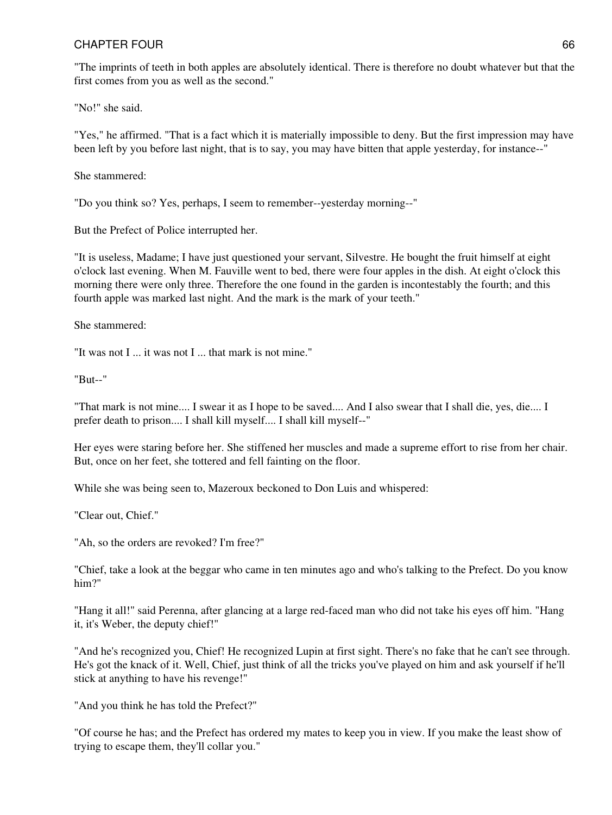"The imprints of teeth in both apples are absolutely identical. There is therefore no doubt whatever but that the first comes from you as well as the second."

"No!" she said.

"Yes," he affirmed. "That is a fact which it is materially impossible to deny. But the first impression may have been left by you before last night, that is to say, you may have bitten that apple yesterday, for instance--"

She stammered:

"Do you think so? Yes, perhaps, I seem to remember--yesterday morning--"

But the Prefect of Police interrupted her.

"It is useless, Madame; I have just questioned your servant, Silvestre. He bought the fruit himself at eight o'clock last evening. When M. Fauville went to bed, there were four apples in the dish. At eight o'clock this morning there were only three. Therefore the one found in the garden is incontestably the fourth; and this fourth apple was marked last night. And the mark is the mark of your teeth."

She stammered:

"It was not I ... it was not I ... that mark is not mine."

"But--"

"That mark is not mine.... I swear it as I hope to be saved.... And I also swear that I shall die, yes, die.... I prefer death to prison.... I shall kill myself.... I shall kill myself--"

Her eyes were staring before her. She stiffened her muscles and made a supreme effort to rise from her chair. But, once on her feet, she tottered and fell fainting on the floor.

While she was being seen to, Mazeroux beckoned to Don Luis and whispered:

"Clear out, Chief."

"Ah, so the orders are revoked? I'm free?"

"Chief, take a look at the beggar who came in ten minutes ago and who's talking to the Prefect. Do you know him?"

"Hang it all!" said Perenna, after glancing at a large red-faced man who did not take his eyes off him. "Hang it, it's Weber, the deputy chief!"

"And he's recognized you, Chief! He recognized Lupin at first sight. There's no fake that he can't see through. He's got the knack of it. Well, Chief, just think of all the tricks you've played on him and ask yourself if he'll stick at anything to have his revenge!"

"And you think he has told the Prefect?"

"Of course he has; and the Prefect has ordered my mates to keep you in view. If you make the least show of trying to escape them, they'll collar you."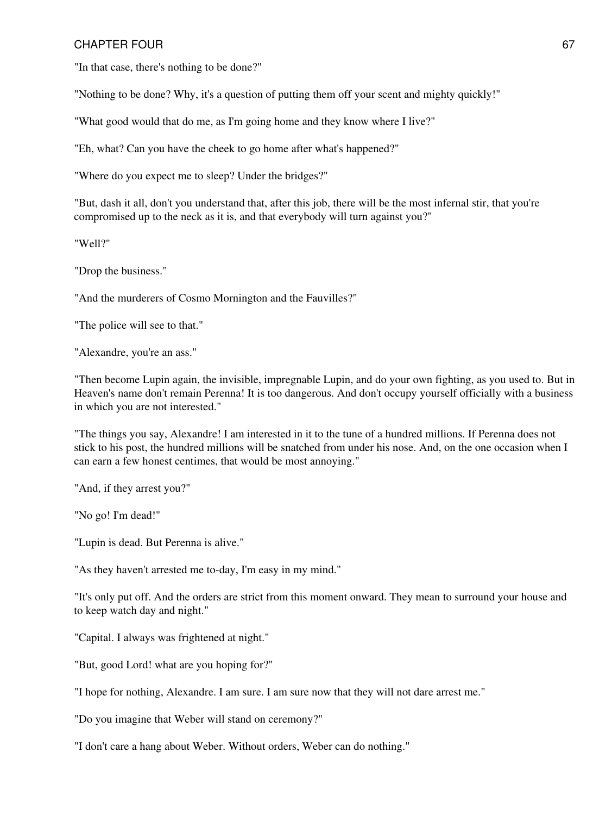"In that case, there's nothing to be done?"

"Nothing to be done? Why, it's a question of putting them off your scent and mighty quickly!"

"What good would that do me, as I'm going home and they know where I live?"

"Eh, what? Can you have the cheek to go home after what's happened?"

"Where do you expect me to sleep? Under the bridges?"

"But, dash it all, don't you understand that, after this job, there will be the most infernal stir, that you're compromised up to the neck as it is, and that everybody will turn against you?"

"Well?"

"Drop the business."

"And the murderers of Cosmo Mornington and the Fauvilles?"

"The police will see to that."

"Alexandre, you're an ass."

"Then become Lupin again, the invisible, impregnable Lupin, and do your own fighting, as you used to. But in Heaven's name don't remain Perenna! It is too dangerous. And don't occupy yourself officially with a business in which you are not interested."

"The things you say, Alexandre! I am interested in it to the tune of a hundred millions. If Perenna does not stick to his post, the hundred millions will be snatched from under his nose. And, on the one occasion when I can earn a few honest centimes, that would be most annoying."

"And, if they arrest you?"

"No go! I'm dead!"

"Lupin is dead. But Perenna is alive."

"As they haven't arrested me to-day, I'm easy in my mind."

"It's only put off. And the orders are strict from this moment onward. They mean to surround your house and to keep watch day and night."

"Capital. I always was frightened at night."

"But, good Lord! what are you hoping for?"

"I hope for nothing, Alexandre. I am sure. I am sure now that they will not dare arrest me."

"Do you imagine that Weber will stand on ceremony?"

"I don't care a hang about Weber. Without orders, Weber can do nothing."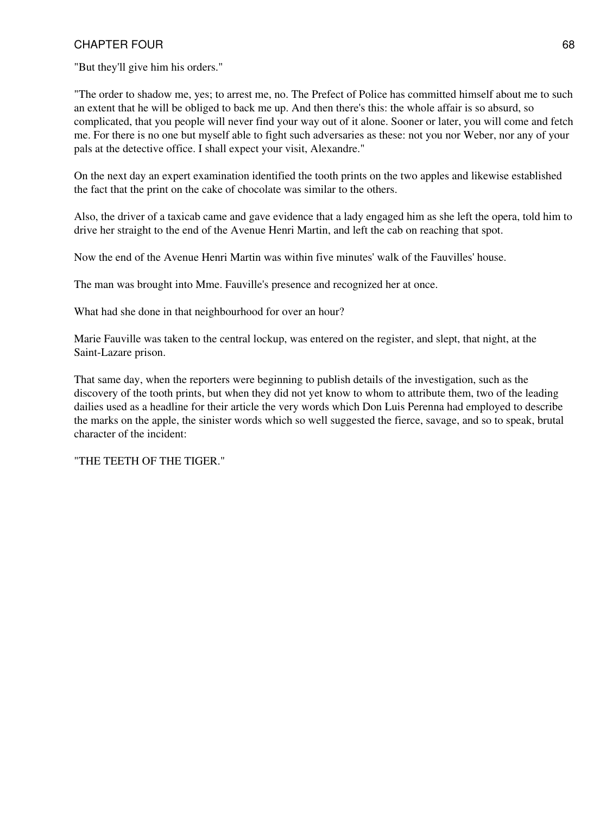"But they'll give him his orders."

"The order to shadow me, yes; to arrest me, no. The Prefect of Police has committed himself about me to such an extent that he will be obliged to back me up. And then there's this: the whole affair is so absurd, so complicated, that you people will never find your way out of it alone. Sooner or later, you will come and fetch me. For there is no one but myself able to fight such adversaries as these: not you nor Weber, nor any of your pals at the detective office. I shall expect your visit, Alexandre."

On the next day an expert examination identified the tooth prints on the two apples and likewise established the fact that the print on the cake of chocolate was similar to the others.

Also, the driver of a taxicab came and gave evidence that a lady engaged him as she left the opera, told him to drive her straight to the end of the Avenue Henri Martin, and left the cab on reaching that spot.

Now the end of the Avenue Henri Martin was within five minutes' walk of the Fauvilles' house.

The man was brought into Mme. Fauville's presence and recognized her at once.

What had she done in that neighbourhood for over an hour?

Marie Fauville was taken to the central lockup, was entered on the register, and slept, that night, at the Saint-Lazare prison.

That same day, when the reporters were beginning to publish details of the investigation, such as the discovery of the tooth prints, but when they did not yet know to whom to attribute them, two of the leading dailies used as a headline for their article the very words which Don Luis Perenna had employed to describe the marks on the apple, the sinister words which so well suggested the fierce, savage, and so to speak, brutal character of the incident:

"THE TEETH OF THE TIGER."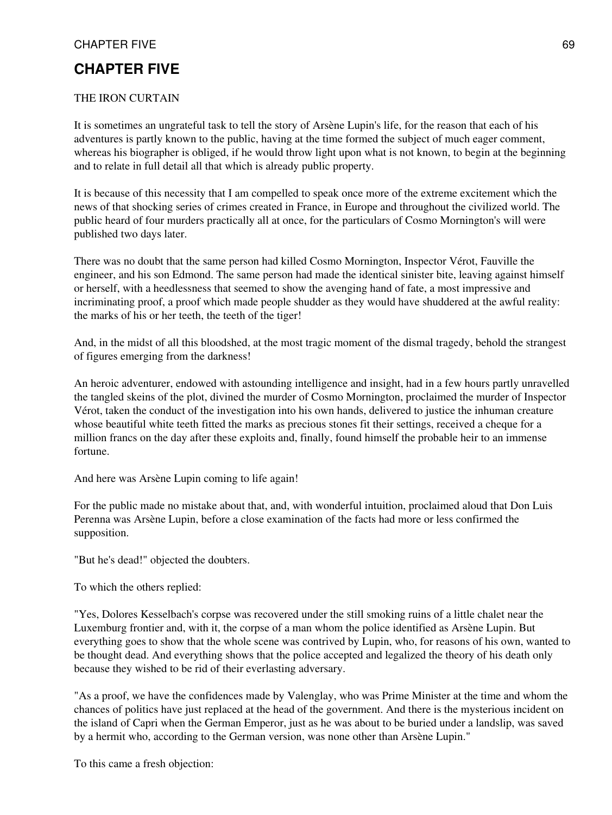# **CHAPTER FIVE**

#### THE IRON CURTAIN

It is sometimes an ungrateful task to tell the story of Arsène Lupin's life, for the reason that each of his adventures is partly known to the public, having at the time formed the subject of much eager comment, whereas his biographer is obliged, if he would throw light upon what is not known, to begin at the beginning and to relate in full detail all that which is already public property.

It is because of this necessity that I am compelled to speak once more of the extreme excitement which the news of that shocking series of crimes created in France, in Europe and throughout the civilized world. The public heard of four murders practically all at once, for the particulars of Cosmo Mornington's will were published two days later.

There was no doubt that the same person had killed Cosmo Mornington, Inspector Vérot, Fauville the engineer, and his son Edmond. The same person had made the identical sinister bite, leaving against himself or herself, with a heedlessness that seemed to show the avenging hand of fate, a most impressive and incriminating proof, a proof which made people shudder as they would have shuddered at the awful reality: the marks of his or her teeth, the teeth of the tiger!

And, in the midst of all this bloodshed, at the most tragic moment of the dismal tragedy, behold the strangest of figures emerging from the darkness!

An heroic adventurer, endowed with astounding intelligence and insight, had in a few hours partly unravelled the tangled skeins of the plot, divined the murder of Cosmo Mornington, proclaimed the murder of Inspector Vérot, taken the conduct of the investigation into his own hands, delivered to justice the inhuman creature whose beautiful white teeth fitted the marks as precious stones fit their settings, received a cheque for a million francs on the day after these exploits and, finally, found himself the probable heir to an immense fortune.

And here was Arsène Lupin coming to life again!

For the public made no mistake about that, and, with wonderful intuition, proclaimed aloud that Don Luis Perenna was Arsène Lupin, before a close examination of the facts had more or less confirmed the supposition.

"But he's dead!" objected the doubters.

To which the others replied:

"Yes, Dolores Kesselbach's corpse was recovered under the still smoking ruins of a little chalet near the Luxemburg frontier and, with it, the corpse of a man whom the police identified as Arsène Lupin. But everything goes to show that the whole scene was contrived by Lupin, who, for reasons of his own, wanted to be thought dead. And everything shows that the police accepted and legalized the theory of his death only because they wished to be rid of their everlasting adversary.

"As a proof, we have the confidences made by Valenglay, who was Prime Minister at the time and whom the chances of politics have just replaced at the head of the government. And there is the mysterious incident on the island of Capri when the German Emperor, just as he was about to be buried under a landslip, was saved by a hermit who, according to the German version, was none other than Arsène Lupin."

To this came a fresh objection: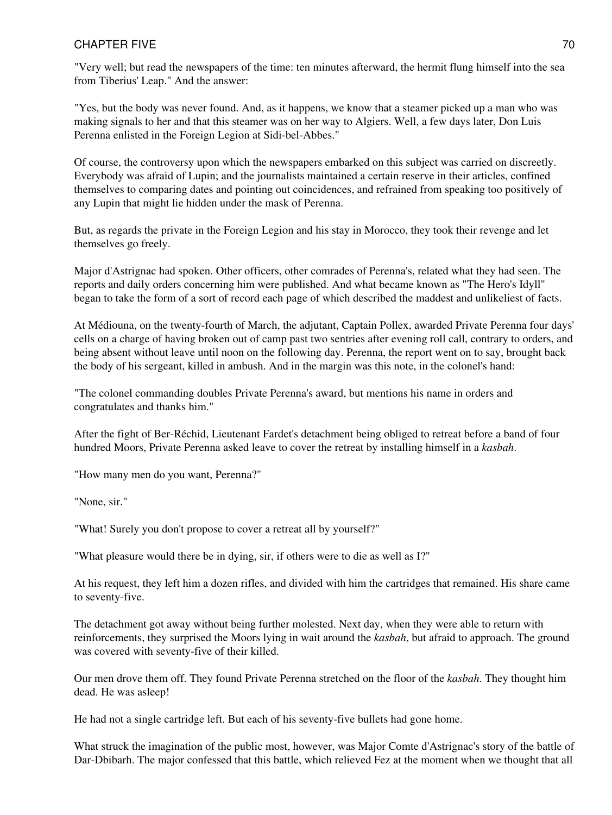"Very well; but read the newspapers of the time: ten minutes afterward, the hermit flung himself into the sea from Tiberius' Leap." And the answer:

"Yes, but the body was never found. And, as it happens, we know that a steamer picked up a man who was making signals to her and that this steamer was on her way to Algiers. Well, a few days later, Don Luis Perenna enlisted in the Foreign Legion at Sidi-bel-Abbes."

Of course, the controversy upon which the newspapers embarked on this subject was carried on discreetly. Everybody was afraid of Lupin; and the journalists maintained a certain reserve in their articles, confined themselves to comparing dates and pointing out coincidences, and refrained from speaking too positively of any Lupin that might lie hidden under the mask of Perenna.

But, as regards the private in the Foreign Legion and his stay in Morocco, they took their revenge and let themselves go freely.

Major d'Astrignac had spoken. Other officers, other comrades of Perenna's, related what they had seen. The reports and daily orders concerning him were published. And what became known as "The Hero's Idyll" began to take the form of a sort of record each page of which described the maddest and unlikeliest of facts.

At Médiouna, on the twenty-fourth of March, the adjutant, Captain Pollex, awarded Private Perenna four days' cells on a charge of having broken out of camp past two sentries after evening roll call, contrary to orders, and being absent without leave until noon on the following day. Perenna, the report went on to say, brought back the body of his sergeant, killed in ambush. And in the margin was this note, in the colonel's hand:

"The colonel commanding doubles Private Perenna's award, but mentions his name in orders and congratulates and thanks him."

After the fight of Ber-Réchid, Lieutenant Fardet's detachment being obliged to retreat before a band of four hundred Moors, Private Perenna asked leave to cover the retreat by installing himself in a *kasbah*.

"How many men do you want, Perenna?"

"None, sir."

"What! Surely you don't propose to cover a retreat all by yourself?"

"What pleasure would there be in dying, sir, if others were to die as well as I?"

At his request, they left him a dozen rifles, and divided with him the cartridges that remained. His share came to seventy-five.

The detachment got away without being further molested. Next day, when they were able to return with reinforcements, they surprised the Moors lying in wait around the *kasbah*, but afraid to approach. The ground was covered with seventy-five of their killed.

Our men drove them off. They found Private Perenna stretched on the floor of the *kasbah*. They thought him dead. He was asleep!

He had not a single cartridge left. But each of his seventy-five bullets had gone home.

What struck the imagination of the public most, however, was Major Comte d'Astrignac's story of the battle of Dar-Dbibarh. The major confessed that this battle, which relieved Fez at the moment when we thought that all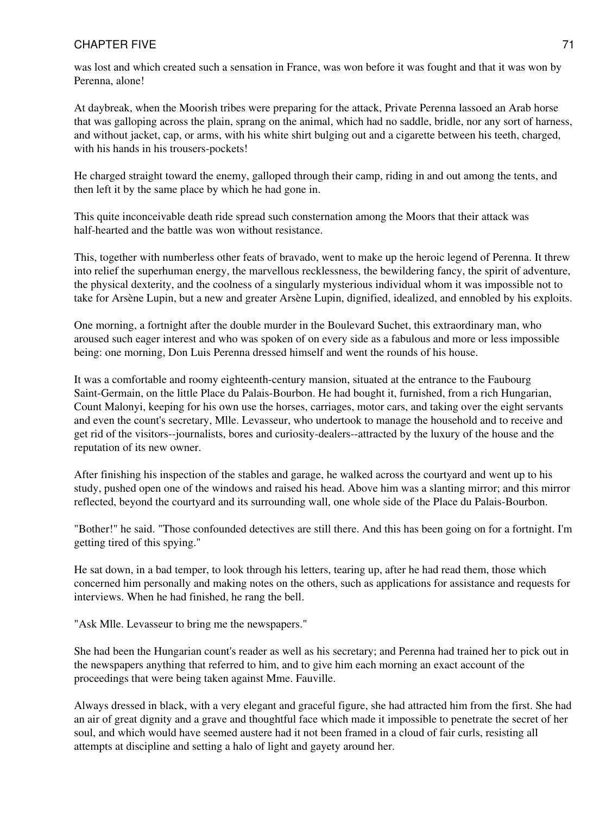was lost and which created such a sensation in France, was won before it was fought and that it was won by Perenna, alone!

At daybreak, when the Moorish tribes were preparing for the attack, Private Perenna lassoed an Arab horse that was galloping across the plain, sprang on the animal, which had no saddle, bridle, nor any sort of harness, and without jacket, cap, or arms, with his white shirt bulging out and a cigarette between his teeth, charged, with his hands in his trousers-pockets!

He charged straight toward the enemy, galloped through their camp, riding in and out among the tents, and then left it by the same place by which he had gone in.

This quite inconceivable death ride spread such consternation among the Moors that their attack was half-hearted and the battle was won without resistance.

This, together with numberless other feats of bravado, went to make up the heroic legend of Perenna. It threw into relief the superhuman energy, the marvellous recklessness, the bewildering fancy, the spirit of adventure, the physical dexterity, and the coolness of a singularly mysterious individual whom it was impossible not to take for Arsène Lupin, but a new and greater Arsène Lupin, dignified, idealized, and ennobled by his exploits.

One morning, a fortnight after the double murder in the Boulevard Suchet, this extraordinary man, who aroused such eager interest and who was spoken of on every side as a fabulous and more or less impossible being: one morning, Don Luis Perenna dressed himself and went the rounds of his house.

It was a comfortable and roomy eighteenth-century mansion, situated at the entrance to the Faubourg Saint-Germain, on the little Place du Palais-Bourbon. He had bought it, furnished, from a rich Hungarian, Count Malonyi, keeping for his own use the horses, carriages, motor cars, and taking over the eight servants and even the count's secretary, Mlle. Levasseur, who undertook to manage the household and to receive and get rid of the visitors--journalists, bores and curiosity-dealers--attracted by the luxury of the house and the reputation of its new owner.

After finishing his inspection of the stables and garage, he walked across the courtyard and went up to his study, pushed open one of the windows and raised his head. Above him was a slanting mirror; and this mirror reflected, beyond the courtyard and its surrounding wall, one whole side of the Place du Palais-Bourbon.

"Bother!" he said. "Those confounded detectives are still there. And this has been going on for a fortnight. I'm getting tired of this spying."

He sat down, in a bad temper, to look through his letters, tearing up, after he had read them, those which concerned him personally and making notes on the others, such as applications for assistance and requests for interviews. When he had finished, he rang the bell.

"Ask Mlle. Levasseur to bring me the newspapers."

She had been the Hungarian count's reader as well as his secretary; and Perenna had trained her to pick out in the newspapers anything that referred to him, and to give him each morning an exact account of the proceedings that were being taken against Mme. Fauville.

Always dressed in black, with a very elegant and graceful figure, she had attracted him from the first. She had an air of great dignity and a grave and thoughtful face which made it impossible to penetrate the secret of her soul, and which would have seemed austere had it not been framed in a cloud of fair curls, resisting all attempts at discipline and setting a halo of light and gayety around her.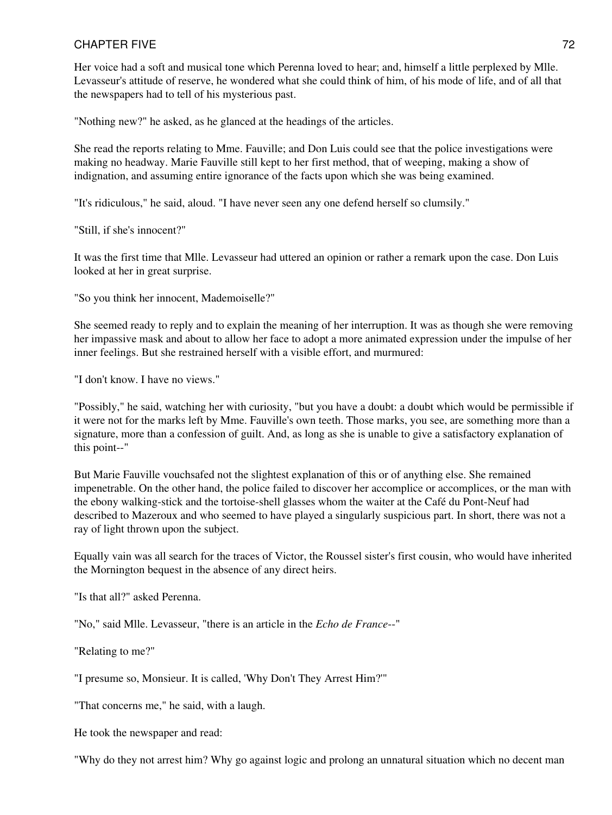Her voice had a soft and musical tone which Perenna loved to hear; and, himself a little perplexed by Mlle. Levasseur's attitude of reserve, he wondered what she could think of him, of his mode of life, and of all that the newspapers had to tell of his mysterious past.

"Nothing new?" he asked, as he glanced at the headings of the articles.

She read the reports relating to Mme. Fauville; and Don Luis could see that the police investigations were making no headway. Marie Fauville still kept to her first method, that of weeping, making a show of indignation, and assuming entire ignorance of the facts upon which she was being examined.

"It's ridiculous," he said, aloud. "I have never seen any one defend herself so clumsily."

"Still, if she's innocent?"

It was the first time that Mlle. Levasseur had uttered an opinion or rather a remark upon the case. Don Luis looked at her in great surprise.

"So you think her innocent, Mademoiselle?"

She seemed ready to reply and to explain the meaning of her interruption. It was as though she were removing her impassive mask and about to allow her face to adopt a more animated expression under the impulse of her inner feelings. But she restrained herself with a visible effort, and murmured:

"I don't know. I have no views."

"Possibly," he said, watching her with curiosity, "but you have a doubt: a doubt which would be permissible if it were not for the marks left by Mme. Fauville's own teeth. Those marks, you see, are something more than a signature, more than a confession of guilt. And, as long as she is unable to give a satisfactory explanation of this point--"

But Marie Fauville vouchsafed not the slightest explanation of this or of anything else. She remained impenetrable. On the other hand, the police failed to discover her accomplice or accomplices, or the man with the ebony walking-stick and the tortoise-shell glasses whom the waiter at the Café du Pont-Neuf had described to Mazeroux and who seemed to have played a singularly suspicious part. In short, there was not a ray of light thrown upon the subject.

Equally vain was all search for the traces of Victor, the Roussel sister's first cousin, who would have inherited the Mornington bequest in the absence of any direct heirs.

"Is that all?" asked Perenna.

"No," said Mlle. Levasseur, "there is an article in the *Echo de France*--"

"Relating to me?"

"I presume so, Monsieur. It is called, 'Why Don't They Arrest Him?'"

"That concerns me," he said, with a laugh.

He took the newspaper and read:

"Why do they not arrest him? Why go against logic and prolong an unnatural situation which no decent man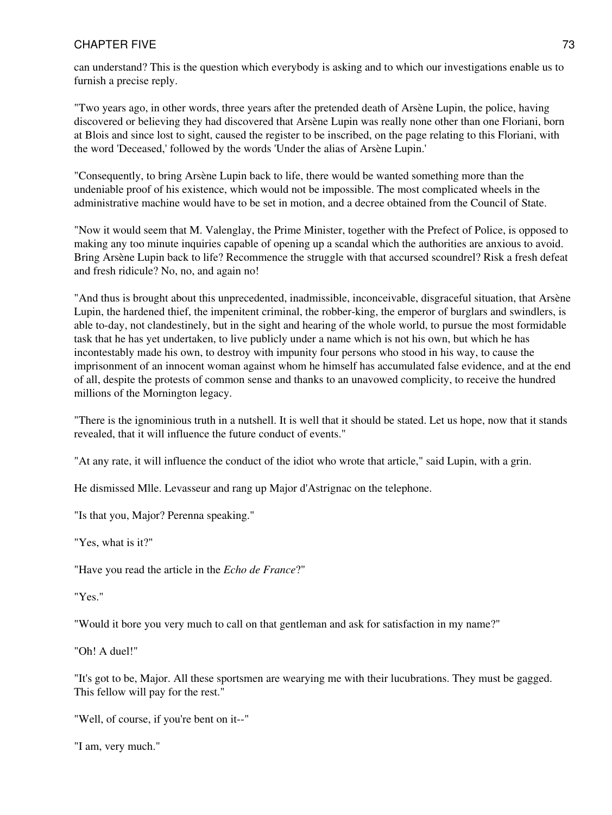can understand? This is the question which everybody is asking and to which our investigations enable us to furnish a precise reply.

"Two years ago, in other words, three years after the pretended death of Arsène Lupin, the police, having discovered or believing they had discovered that Arsène Lupin was really none other than one Floriani, born at Blois and since lost to sight, caused the register to be inscribed, on the page relating to this Floriani, with the word 'Deceased,' followed by the words 'Under the alias of Arsène Lupin.'

"Consequently, to bring Arsène Lupin back to life, there would be wanted something more than the undeniable proof of his existence, which would not be impossible. The most complicated wheels in the administrative machine would have to be set in motion, and a decree obtained from the Council of State.

"Now it would seem that M. Valenglay, the Prime Minister, together with the Prefect of Police, is opposed to making any too minute inquiries capable of opening up a scandal which the authorities are anxious to avoid. Bring Arsène Lupin back to life? Recommence the struggle with that accursed scoundrel? Risk a fresh defeat and fresh ridicule? No, no, and again no!

"And thus is brought about this unprecedented, inadmissible, inconceivable, disgraceful situation, that Arsène Lupin, the hardened thief, the impenitent criminal, the robber-king, the emperor of burglars and swindlers, is able to-day, not clandestinely, but in the sight and hearing of the whole world, to pursue the most formidable task that he has yet undertaken, to live publicly under a name which is not his own, but which he has incontestably made his own, to destroy with impunity four persons who stood in his way, to cause the imprisonment of an innocent woman against whom he himself has accumulated false evidence, and at the end of all, despite the protests of common sense and thanks to an unavowed complicity, to receive the hundred millions of the Mornington legacy.

"There is the ignominious truth in a nutshell. It is well that it should be stated. Let us hope, now that it stands revealed, that it will influence the future conduct of events."

"At any rate, it will influence the conduct of the idiot who wrote that article," said Lupin, with a grin.

He dismissed Mlle. Levasseur and rang up Major d'Astrignac on the telephone.

"Is that you, Major? Perenna speaking."

"Yes, what is it?"

"Have you read the article in the *Echo de France*?"

"Yes."

"Would it bore you very much to call on that gentleman and ask for satisfaction in my name?"

"Oh! A duel!"

"It's got to be, Major. All these sportsmen are wearying me with their lucubrations. They must be gagged. This fellow will pay for the rest."

"Well, of course, if you're bent on it--"

"I am, very much."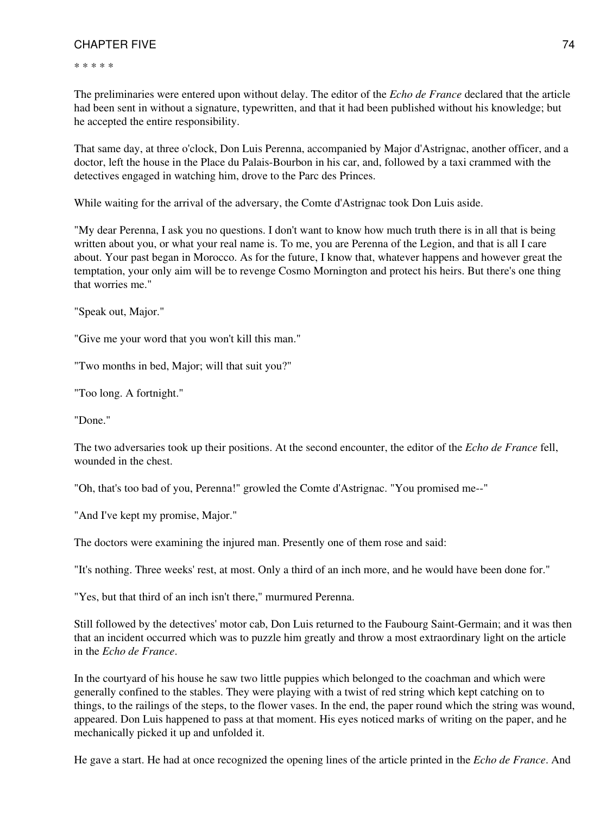\* \* \* \* \*

The preliminaries were entered upon without delay. The editor of the *Echo de France* declared that the article had been sent in without a signature, typewritten, and that it had been published without his knowledge; but he accepted the entire responsibility.

That same day, at three o'clock, Don Luis Perenna, accompanied by Major d'Astrignac, another officer, and a doctor, left the house in the Place du Palais-Bourbon in his car, and, followed by a taxi crammed with the detectives engaged in watching him, drove to the Parc des Princes.

While waiting for the arrival of the adversary, the Comte d'Astrignac took Don Luis aside.

"My dear Perenna, I ask you no questions. I don't want to know how much truth there is in all that is being written about you, or what your real name is. To me, you are Perenna of the Legion, and that is all I care about. Your past began in Morocco. As for the future, I know that, whatever happens and however great the temptation, your only aim will be to revenge Cosmo Mornington and protect his heirs. But there's one thing that worries me."

"Speak out, Major."

"Give me your word that you won't kill this man."

"Two months in bed, Major; will that suit you?"

"Too long. A fortnight."

"Done."

The two adversaries took up their positions. At the second encounter, the editor of the *Echo de France* fell, wounded in the chest.

"Oh, that's too bad of you, Perenna!" growled the Comte d'Astrignac. "You promised me--"

"And I've kept my promise, Major."

The doctors were examining the injured man. Presently one of them rose and said:

"It's nothing. Three weeks' rest, at most. Only a third of an inch more, and he would have been done for."

"Yes, but that third of an inch isn't there," murmured Perenna.

Still followed by the detectives' motor cab, Don Luis returned to the Faubourg Saint-Germain; and it was then that an incident occurred which was to puzzle him greatly and throw a most extraordinary light on the article in the *Echo de France*.

In the courtyard of his house he saw two little puppies which belonged to the coachman and which were generally confined to the stables. They were playing with a twist of red string which kept catching on to things, to the railings of the steps, to the flower vases. In the end, the paper round which the string was wound, appeared. Don Luis happened to pass at that moment. His eyes noticed marks of writing on the paper, and he mechanically picked it up and unfolded it.

He gave a start. He had at once recognized the opening lines of the article printed in the *Echo de France*. And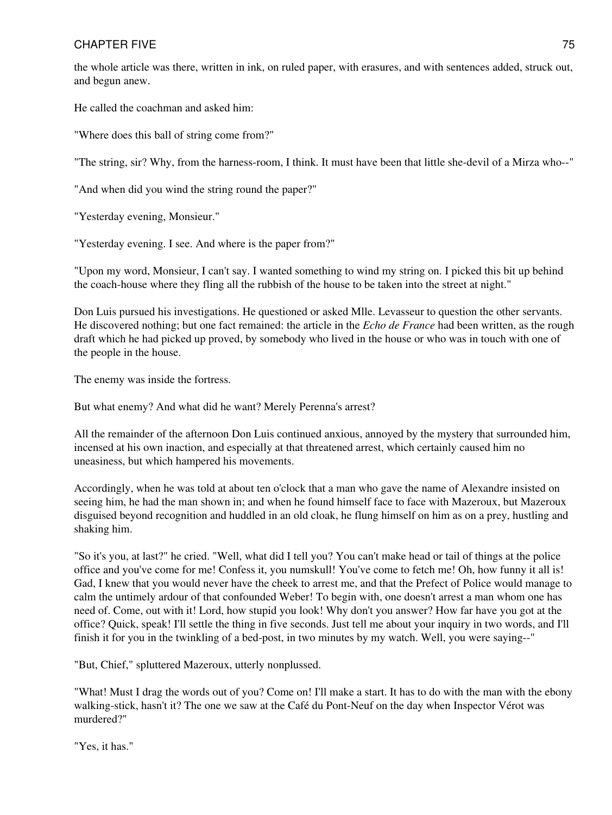the whole article was there, written in ink, on ruled paper, with erasures, and with sentences added, struck out, and begun anew.

He called the coachman and asked him:

"Where does this ball of string come from?"

"The string, sir? Why, from the harness-room, I think. It must have been that little she-devil of a Mirza who--"

"And when did you wind the string round the paper?"

"Yesterday evening, Monsieur."

"Yesterday evening. I see. And where is the paper from?"

"Upon my word, Monsieur, I can't say. I wanted something to wind my string on. I picked this bit up behind the coach-house where they fling all the rubbish of the house to be taken into the street at night."

Don Luis pursued his investigations. He questioned or asked Mlle. Levasseur to question the other servants. He discovered nothing; but one fact remained: the article in the *Echo de France* had been written, as the rough draft which he had picked up proved, by somebody who lived in the house or who was in touch with one of the people in the house.

The enemy was inside the fortress.

But what enemy? And what did he want? Merely Perenna's arrest?

All the remainder of the afternoon Don Luis continued anxious, annoyed by the mystery that surrounded him, incensed at his own inaction, and especially at that threatened arrest, which certainly caused him no uneasiness, but which hampered his movements.

Accordingly, when he was told at about ten o'clock that a man who gave the name of Alexandre insisted on seeing him, he had the man shown in; and when he found himself face to face with Mazeroux, but Mazeroux disguised beyond recognition and huddled in an old cloak, he flung himself on him as on a prey, hustling and shaking him.

"So it's you, at last?" he cried. "Well, what did I tell you? You can't make head or tail of things at the police office and you've come for me! Confess it, you numskull! You've come to fetch me! Oh, how funny it all is! Gad, I knew that you would never have the cheek to arrest me, and that the Prefect of Police would manage to calm the untimely ardour of that confounded Weber! To begin with, one doesn't arrest a man whom one has need of. Come, out with it! Lord, how stupid you look! Why don't you answer? How far have you got at the office? Quick, speak! I'll settle the thing in five seconds. Just tell me about your inquiry in two words, and I'll finish it for you in the twinkling of a bed-post, in two minutes by my watch. Well, you were saying--"

"But, Chief," spluttered Mazeroux, utterly nonplussed.

"What! Must I drag the words out of you? Come on! I'll make a start. It has to do with the man with the ebony walking-stick, hasn't it? The one we saw at the Café du Pont-Neuf on the day when Inspector Vérot was murdered?"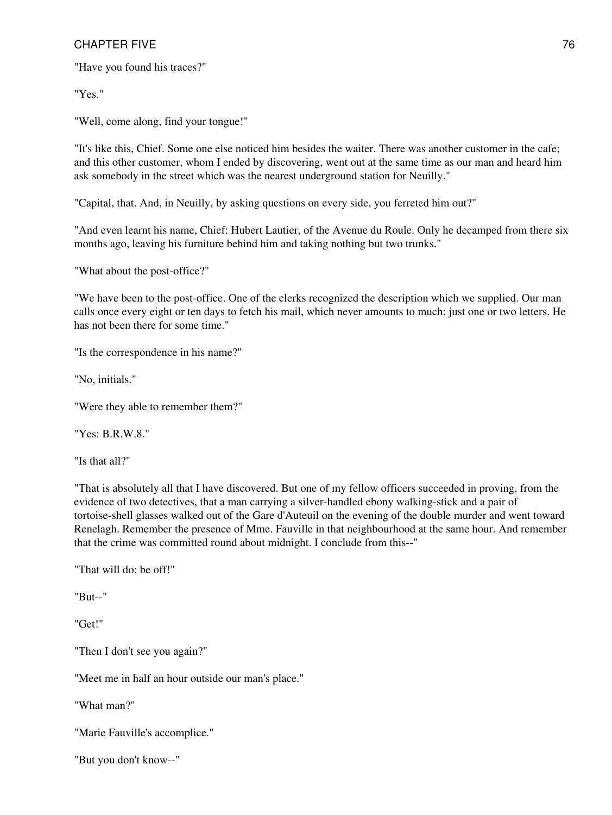"Have you found his traces?"

"Yes."

"Well, come along, find your tongue!"

"It's like this, Chief. Some one else noticed him besides the waiter. There was another customer in the cafe; and this other customer, whom I ended by discovering, went out at the same time as our man and heard him ask somebody in the street which was the nearest underground station for Neuilly."

"Capital, that. And, in Neuilly, by asking questions on every side, you ferreted him out?"

"And even learnt his name, Chief: Hubert Lautier, of the Avenue du Roule. Only he decamped from there six months ago, leaving his furniture behind him and taking nothing but two trunks."

"What about the post-office?"

"We have been to the post-office. One of the clerks recognized the description which we supplied. Our man calls once every eight or ten days to fetch his mail, which never amounts to much: just one or two letters. He has not been there for some time."

"Is the correspondence in his name?"

"No, initials."

"Were they able to remember them?"

"Yes: B.R.W.8."

"Is that all?"

"That is absolutely all that I have discovered. But one of my fellow officers succeeded in proving, from the evidence of two detectives, that a man carrying a silver-handled ebony walking-stick and a pair of tortoise-shell glasses walked out of the Gare d'Auteuil on the evening of the double murder and went toward Renelagh. Remember the presence of Mme. Fauville in that neighbourhood at the same hour. And remember that the crime was committed round about midnight. I conclude from this--"

"That will do; be off!"

"But--"

"Get!"

"Then I don't see you again?"

"Meet me in half an hour outside our man's place."

"What man?"

"Marie Fauville's accomplice."

"But you don't know--"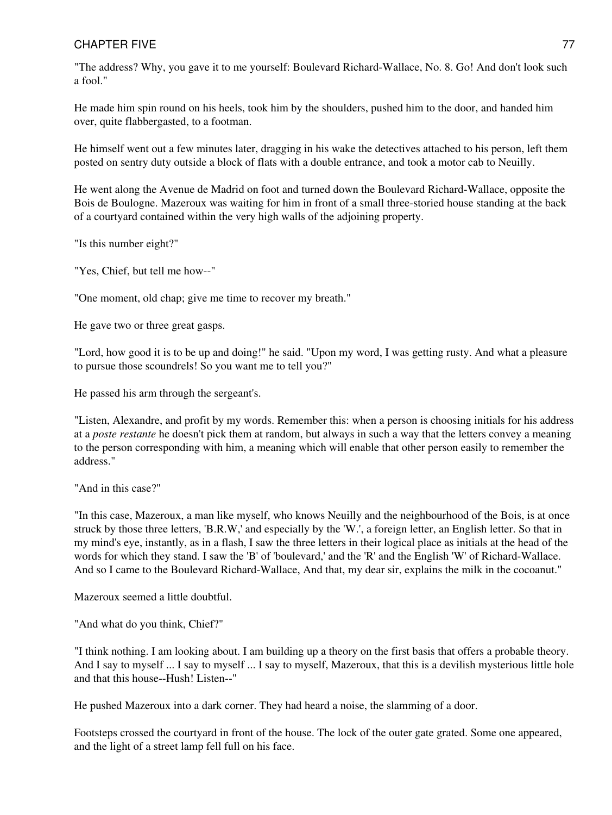"The address? Why, you gave it to me yourself: Boulevard Richard-Wallace, No. 8. Go! And don't look such a fool."

He made him spin round on his heels, took him by the shoulders, pushed him to the door, and handed him over, quite flabbergasted, to a footman.

He himself went out a few minutes later, dragging in his wake the detectives attached to his person, left them posted on sentry duty outside a block of flats with a double entrance, and took a motor cab to Neuilly.

He went along the Avenue de Madrid on foot and turned down the Boulevard Richard-Wallace, opposite the Bois de Boulogne. Mazeroux was waiting for him in front of a small three-storied house standing at the back of a courtyard contained within the very high walls of the adjoining property.

"Is this number eight?"

"Yes, Chief, but tell me how--"

"One moment, old chap; give me time to recover my breath."

He gave two or three great gasps.

"Lord, how good it is to be up and doing!" he said. "Upon my word, I was getting rusty. And what a pleasure to pursue those scoundrels! So you want me to tell you?"

He passed his arm through the sergeant's.

"Listen, Alexandre, and profit by my words. Remember this: when a person is choosing initials for his address at a *poste restante* he doesn't pick them at random, but always in such a way that the letters convey a meaning to the person corresponding with him, a meaning which will enable that other person easily to remember the address."

"And in this case?"

"In this case, Mazeroux, a man like myself, who knows Neuilly and the neighbourhood of the Bois, is at once struck by those three letters, 'B.R.W,' and especially by the 'W.', a foreign letter, an English letter. So that in my mind's eye, instantly, as in a flash, I saw the three letters in their logical place as initials at the head of the words for which they stand. I saw the 'B' of 'boulevard,' and the 'R' and the English 'W' of Richard-Wallace. And so I came to the Boulevard Richard-Wallace, And that, my dear sir, explains the milk in the cocoanut."

Mazeroux seemed a little doubtful.

"And what do you think, Chief?"

"I think nothing. I am looking about. I am building up a theory on the first basis that offers a probable theory. And I say to myself ... I say to myself ... I say to myself, Mazeroux, that this is a devilish mysterious little hole and that this house--Hush! Listen--"

He pushed Mazeroux into a dark corner. They had heard a noise, the slamming of a door.

Footsteps crossed the courtyard in front of the house. The lock of the outer gate grated. Some one appeared, and the light of a street lamp fell full on his face.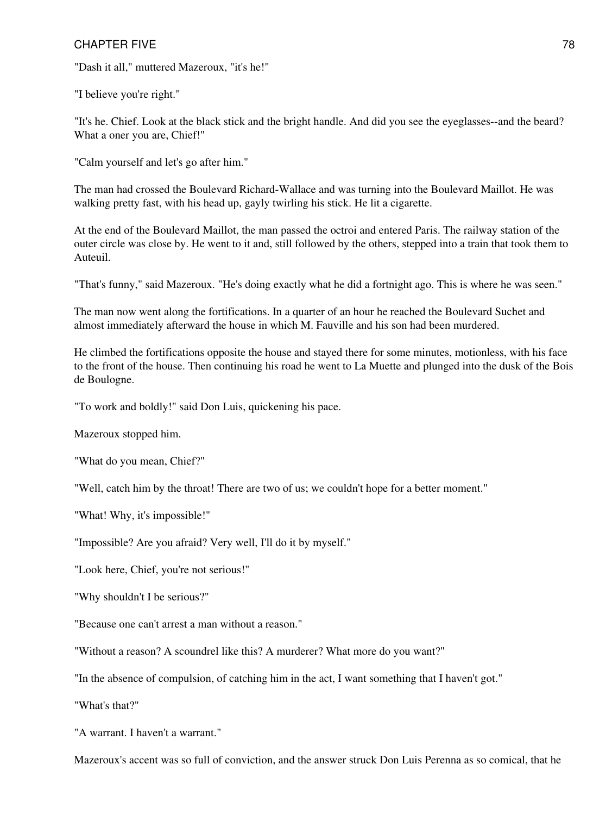"Dash it all," muttered Mazeroux, "it's he!"

"I believe you're right."

"It's he. Chief. Look at the black stick and the bright handle. And did you see the eyeglasses--and the beard? What a oner you are, Chief!"

"Calm yourself and let's go after him."

The man had crossed the Boulevard Richard-Wallace and was turning into the Boulevard Maillot. He was walking pretty fast, with his head up, gayly twirling his stick. He lit a cigarette.

At the end of the Boulevard Maillot, the man passed the octroi and entered Paris. The railway station of the outer circle was close by. He went to it and, still followed by the others, stepped into a train that took them to Auteuil.

"That's funny," said Mazeroux. "He's doing exactly what he did a fortnight ago. This is where he was seen."

The man now went along the fortifications. In a quarter of an hour he reached the Boulevard Suchet and almost immediately afterward the house in which M. Fauville and his son had been murdered.

He climbed the fortifications opposite the house and stayed there for some minutes, motionless, with his face to the front of the house. Then continuing his road he went to La Muette and plunged into the dusk of the Bois de Boulogne.

"To work and boldly!" said Don Luis, quickening his pace.

Mazeroux stopped him.

"What do you mean, Chief?"

"Well, catch him by the throat! There are two of us; we couldn't hope for a better moment."

"What! Why, it's impossible!"

"Impossible? Are you afraid? Very well, I'll do it by myself."

"Look here, Chief, you're not serious!"

"Why shouldn't I be serious?"

"Because one can't arrest a man without a reason."

"Without a reason? A scoundrel like this? A murderer? What more do you want?"

"In the absence of compulsion, of catching him in the act, I want something that I haven't got."

"What's that?"

"A warrant. I haven't a warrant."

Mazeroux's accent was so full of conviction, and the answer struck Don Luis Perenna as so comical, that he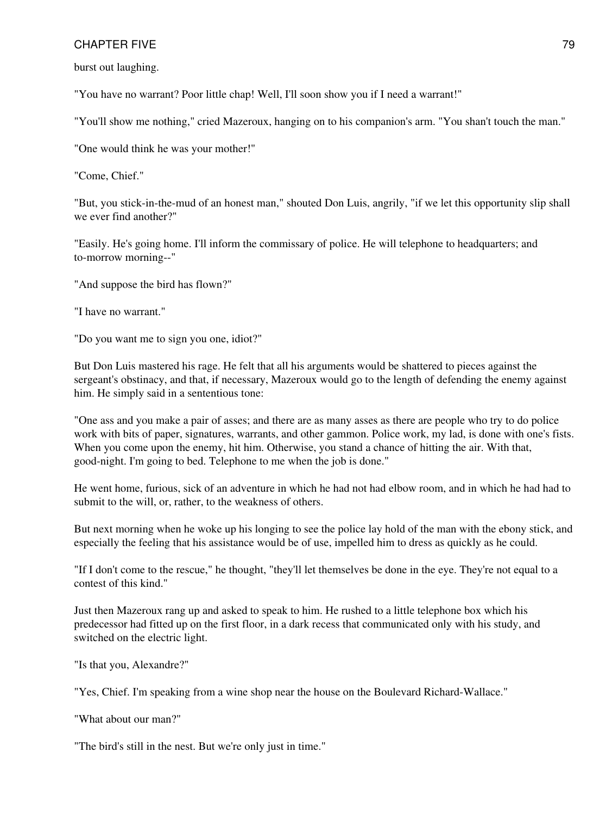burst out laughing.

"You have no warrant? Poor little chap! Well, I'll soon show you if I need a warrant!"

"You'll show me nothing," cried Mazeroux, hanging on to his companion's arm. "You shan't touch the man."

"One would think he was your mother!"

"Come, Chief."

"But, you stick-in-the-mud of an honest man," shouted Don Luis, angrily, "if we let this opportunity slip shall we ever find another?"

"Easily. He's going home. I'll inform the commissary of police. He will telephone to headquarters; and to-morrow morning--"

"And suppose the bird has flown?"

"I have no warrant."

"Do you want me to sign you one, idiot?"

But Don Luis mastered his rage. He felt that all his arguments would be shattered to pieces against the sergeant's obstinacy, and that, if necessary, Mazeroux would go to the length of defending the enemy against him. He simply said in a sententious tone:

"One ass and you make a pair of asses; and there are as many asses as there are people who try to do police work with bits of paper, signatures, warrants, and other gammon. Police work, my lad, is done with one's fists. When you come upon the enemy, hit him. Otherwise, you stand a chance of hitting the air. With that, good-night. I'm going to bed. Telephone to me when the job is done."

He went home, furious, sick of an adventure in which he had not had elbow room, and in which he had had to submit to the will, or, rather, to the weakness of others.

But next morning when he woke up his longing to see the police lay hold of the man with the ebony stick, and especially the feeling that his assistance would be of use, impelled him to dress as quickly as he could.

"If I don't come to the rescue," he thought, "they'll let themselves be done in the eye. They're not equal to a contest of this kind."

Just then Mazeroux rang up and asked to speak to him. He rushed to a little telephone box which his predecessor had fitted up on the first floor, in a dark recess that communicated only with his study, and switched on the electric light.

"Is that you, Alexandre?"

"Yes, Chief. I'm speaking from a wine shop near the house on the Boulevard Richard-Wallace."

"What about our man?"

"The bird's still in the nest. But we're only just in time."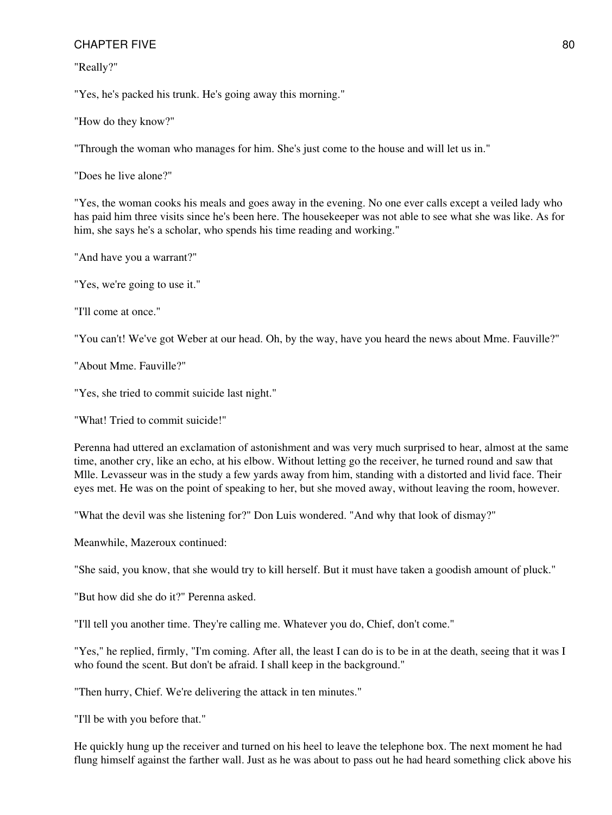"Really?"

"Yes, he's packed his trunk. He's going away this morning."

"How do they know?"

"Through the woman who manages for him. She's just come to the house and will let us in."

"Does he live alone?"

"Yes, the woman cooks his meals and goes away in the evening. No one ever calls except a veiled lady who has paid him three visits since he's been here. The housekeeper was not able to see what she was like. As for him, she says he's a scholar, who spends his time reading and working."

"And have you a warrant?"

"Yes, we're going to use it."

"I'll come at once."

"You can't! We've got Weber at our head. Oh, by the way, have you heard the news about Mme. Fauville?"

"About Mme. Fauville?"

"Yes, she tried to commit suicide last night."

"What! Tried to commit suicide!"

Perenna had uttered an exclamation of astonishment and was very much surprised to hear, almost at the same time, another cry, like an echo, at his elbow. Without letting go the receiver, he turned round and saw that Mlle. Levasseur was in the study a few yards away from him, standing with a distorted and livid face. Their eyes met. He was on the point of speaking to her, but she moved away, without leaving the room, however.

"What the devil was she listening for?" Don Luis wondered. "And why that look of dismay?"

Meanwhile, Mazeroux continued:

"She said, you know, that she would try to kill herself. But it must have taken a goodish amount of pluck."

"But how did she do it?" Perenna asked.

"I'll tell you another time. They're calling me. Whatever you do, Chief, don't come."

"Yes," he replied, firmly, "I'm coming. After all, the least I can do is to be in at the death, seeing that it was I who found the scent. But don't be afraid. I shall keep in the background."

"Then hurry, Chief. We're delivering the attack in ten minutes."

"I'll be with you before that."

He quickly hung up the receiver and turned on his heel to leave the telephone box. The next moment he had flung himself against the farther wall. Just as he was about to pass out he had heard something click above his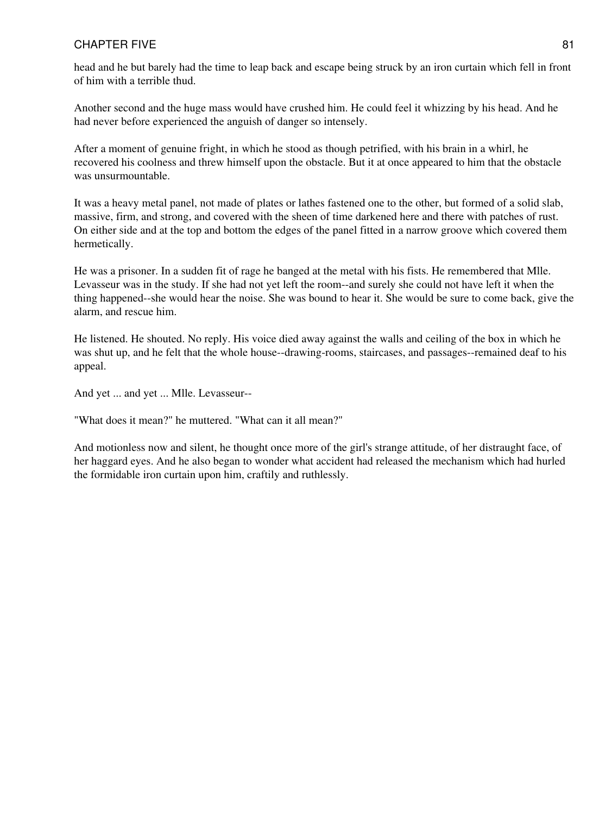head and he but barely had the time to leap back and escape being struck by an iron curtain which fell in front of him with a terrible thud.

Another second and the huge mass would have crushed him. He could feel it whizzing by his head. And he had never before experienced the anguish of danger so intensely.

After a moment of genuine fright, in which he stood as though petrified, with his brain in a whirl, he recovered his coolness and threw himself upon the obstacle. But it at once appeared to him that the obstacle was unsurmountable.

It was a heavy metal panel, not made of plates or lathes fastened one to the other, but formed of a solid slab, massive, firm, and strong, and covered with the sheen of time darkened here and there with patches of rust. On either side and at the top and bottom the edges of the panel fitted in a narrow groove which covered them hermetically.

He was a prisoner. In a sudden fit of rage he banged at the metal with his fists. He remembered that Mlle. Levasseur was in the study. If she had not yet left the room--and surely she could not have left it when the thing happened--she would hear the noise. She was bound to hear it. She would be sure to come back, give the alarm, and rescue him.

He listened. He shouted. No reply. His voice died away against the walls and ceiling of the box in which he was shut up, and he felt that the whole house--drawing-rooms, staircases, and passages--remained deaf to his appeal.

And yet ... and yet ... Mlle. Levasseur--

"What does it mean?" he muttered. "What can it all mean?"

And motionless now and silent, he thought once more of the girl's strange attitude, of her distraught face, of her haggard eyes. And he also began to wonder what accident had released the mechanism which had hurled the formidable iron curtain upon him, craftily and ruthlessly.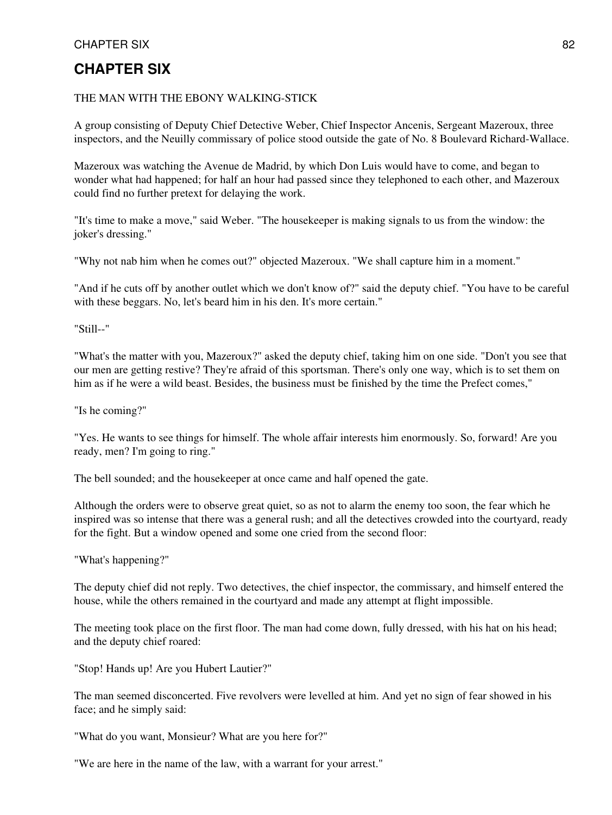#### THE MAN WITH THE EBONY WALKING-STICK

A group consisting of Deputy Chief Detective Weber, Chief Inspector Ancenis, Sergeant Mazeroux, three inspectors, and the Neuilly commissary of police stood outside the gate of No. 8 Boulevard Richard-Wallace.

Mazeroux was watching the Avenue de Madrid, by which Don Luis would have to come, and began to wonder what had happened; for half an hour had passed since they telephoned to each other, and Mazeroux could find no further pretext for delaying the work.

"It's time to make a move," said Weber. "The housekeeper is making signals to us from the window: the joker's dressing."

"Why not nab him when he comes out?" objected Mazeroux. "We shall capture him in a moment."

"And if he cuts off by another outlet which we don't know of?" said the deputy chief. "You have to be careful with these beggars. No, let's beard him in his den. It's more certain."

"Still--"

"What's the matter with you, Mazeroux?" asked the deputy chief, taking him on one side. "Don't you see that our men are getting restive? They're afraid of this sportsman. There's only one way, which is to set them on him as if he were a wild beast. Besides, the business must be finished by the time the Prefect comes,"

"Is he coming?"

"Yes. He wants to see things for himself. The whole affair interests him enormously. So, forward! Are you ready, men? I'm going to ring."

The bell sounded; and the housekeeper at once came and half opened the gate.

Although the orders were to observe great quiet, so as not to alarm the enemy too soon, the fear which he inspired was so intense that there was a general rush; and all the detectives crowded into the courtyard, ready for the fight. But a window opened and some one cried from the second floor:

"What's happening?"

The deputy chief did not reply. Two detectives, the chief inspector, the commissary, and himself entered the house, while the others remained in the courtyard and made any attempt at flight impossible.

The meeting took place on the first floor. The man had come down, fully dressed, with his hat on his head; and the deputy chief roared:

"Stop! Hands up! Are you Hubert Lautier?"

The man seemed disconcerted. Five revolvers were levelled at him. And yet no sign of fear showed in his face; and he simply said:

"What do you want, Monsieur? What are you here for?"

"We are here in the name of the law, with a warrant for your arrest."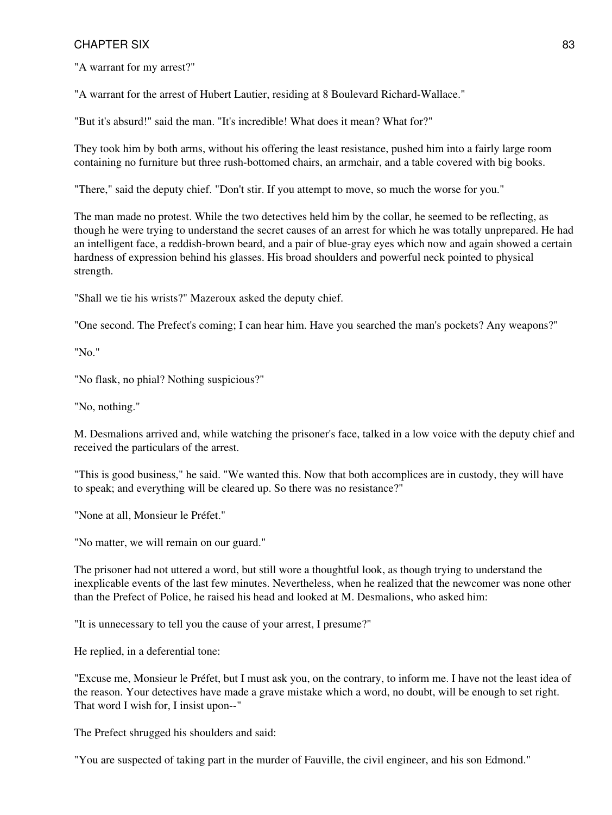"A warrant for my arrest?"

"A warrant for the arrest of Hubert Lautier, residing at 8 Boulevard Richard-Wallace."

"But it's absurd!" said the man. "It's incredible! What does it mean? What for?"

They took him by both arms, without his offering the least resistance, pushed him into a fairly large room containing no furniture but three rush-bottomed chairs, an armchair, and a table covered with big books.

"There," said the deputy chief. "Don't stir. If you attempt to move, so much the worse for you."

The man made no protest. While the two detectives held him by the collar, he seemed to be reflecting, as though he were trying to understand the secret causes of an arrest for which he was totally unprepared. He had an intelligent face, a reddish-brown beard, and a pair of blue-gray eyes which now and again showed a certain hardness of expression behind his glasses. His broad shoulders and powerful neck pointed to physical strength.

"Shall we tie his wrists?" Mazeroux asked the deputy chief.

"One second. The Prefect's coming; I can hear him. Have you searched the man's pockets? Any weapons?"

"No."

"No flask, no phial? Nothing suspicious?"

"No, nothing."

M. Desmalions arrived and, while watching the prisoner's face, talked in a low voice with the deputy chief and received the particulars of the arrest.

"This is good business," he said. "We wanted this. Now that both accomplices are in custody, they will have to speak; and everything will be cleared up. So there was no resistance?"

"None at all, Monsieur le Préfet."

"No matter, we will remain on our guard."

The prisoner had not uttered a word, but still wore a thoughtful look, as though trying to understand the inexplicable events of the last few minutes. Nevertheless, when he realized that the newcomer was none other than the Prefect of Police, he raised his head and looked at M. Desmalions, who asked him:

"It is unnecessary to tell you the cause of your arrest, I presume?"

He replied, in a deferential tone:

"Excuse me, Monsieur le Préfet, but I must ask you, on the contrary, to inform me. I have not the least idea of the reason. Your detectives have made a grave mistake which a word, no doubt, will be enough to set right. That word I wish for, I insist upon--"

The Prefect shrugged his shoulders and said:

"You are suspected of taking part in the murder of Fauville, the civil engineer, and his son Edmond."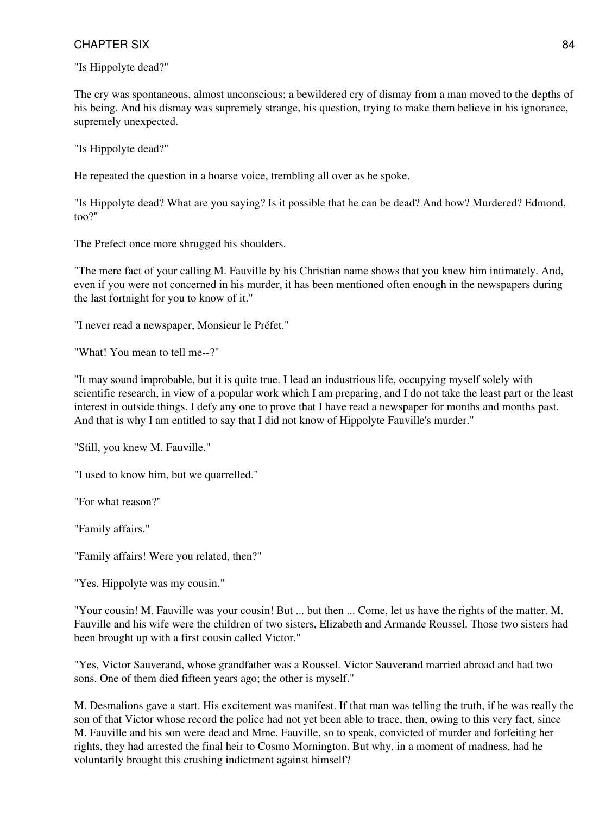"Is Hippolyte dead?"

The cry was spontaneous, almost unconscious; a bewildered cry of dismay from a man moved to the depths of his being. And his dismay was supremely strange, his question, trying to make them believe in his ignorance, supremely unexpected.

"Is Hippolyte dead?"

He repeated the question in a hoarse voice, trembling all over as he spoke.

"Is Hippolyte dead? What are you saying? Is it possible that he can be dead? And how? Murdered? Edmond, too?"

The Prefect once more shrugged his shoulders.

"The mere fact of your calling M. Fauville by his Christian name shows that you knew him intimately. And, even if you were not concerned in his murder, it has been mentioned often enough in the newspapers during the last fortnight for you to know of it."

"I never read a newspaper, Monsieur le Préfet."

"What! You mean to tell me--?"

"It may sound improbable, but it is quite true. I lead an industrious life, occupying myself solely with scientific research, in view of a popular work which I am preparing, and I do not take the least part or the least interest in outside things. I defy any one to prove that I have read a newspaper for months and months past. And that is why I am entitled to say that I did not know of Hippolyte Fauville's murder."

"Still, you knew M. Fauville."

"I used to know him, but we quarrelled."

"For what reason?"

"Family affairs."

"Family affairs! Were you related, then?"

"Yes. Hippolyte was my cousin."

"Your cousin! M. Fauville was your cousin! But ... but then ... Come, let us have the rights of the matter. M. Fauville and his wife were the children of two sisters, Elizabeth and Armande Roussel. Those two sisters had been brought up with a first cousin called Victor."

"Yes, Victor Sauverand, whose grandfather was a Roussel. Victor Sauverand married abroad and had two sons. One of them died fifteen years ago; the other is myself."

M. Desmalions gave a start. His excitement was manifest. If that man was telling the truth, if he was really the son of that Victor whose record the police had not yet been able to trace, then, owing to this very fact, since M. Fauville and his son were dead and Mme. Fauville, so to speak, convicted of murder and forfeiting her rights, they had arrested the final heir to Cosmo Mornington. But why, in a moment of madness, had he voluntarily brought this crushing indictment against himself?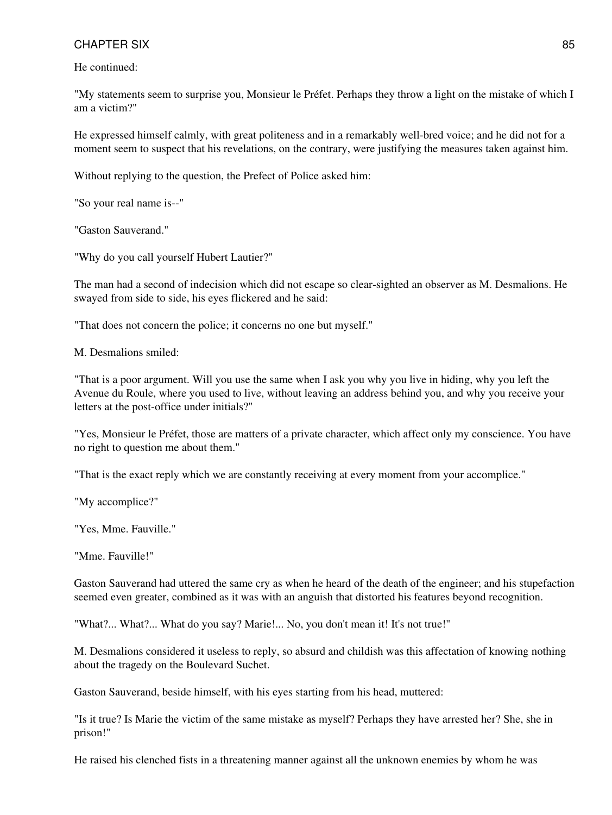He continued:

"My statements seem to surprise you, Monsieur le Préfet. Perhaps they throw a light on the mistake of which I am a victim?"

He expressed himself calmly, with great politeness and in a remarkably well-bred voice; and he did not for a moment seem to suspect that his revelations, on the contrary, were justifying the measures taken against him.

Without replying to the question, the Prefect of Police asked him:

"So your real name is--"

"Gaston Sauverand."

"Why do you call yourself Hubert Lautier?"

The man had a second of indecision which did not escape so clear-sighted an observer as M. Desmalions. He swayed from side to side, his eyes flickered and he said:

"That does not concern the police; it concerns no one but myself."

M. Desmalions smiled:

"That is a poor argument. Will you use the same when I ask you why you live in hiding, why you left the Avenue du Roule, where you used to live, without leaving an address behind you, and why you receive your letters at the post-office under initials?"

"Yes, Monsieur le Préfet, those are matters of a private character, which affect only my conscience. You have no right to question me about them."

"That is the exact reply which we are constantly receiving at every moment from your accomplice."

"My accomplice?"

"Yes, Mme. Fauville."

"Mme. Fauville!"

Gaston Sauverand had uttered the same cry as when he heard of the death of the engineer; and his stupefaction seemed even greater, combined as it was with an anguish that distorted his features beyond recognition.

"What?... What?... What do you say? Marie!... No, you don't mean it! It's not true!"

M. Desmalions considered it useless to reply, so absurd and childish was this affectation of knowing nothing about the tragedy on the Boulevard Suchet.

Gaston Sauverand, beside himself, with his eyes starting from his head, muttered:

"Is it true? Is Marie the victim of the same mistake as myself? Perhaps they have arrested her? She, she in prison!"

He raised his clenched fists in a threatening manner against all the unknown enemies by whom he was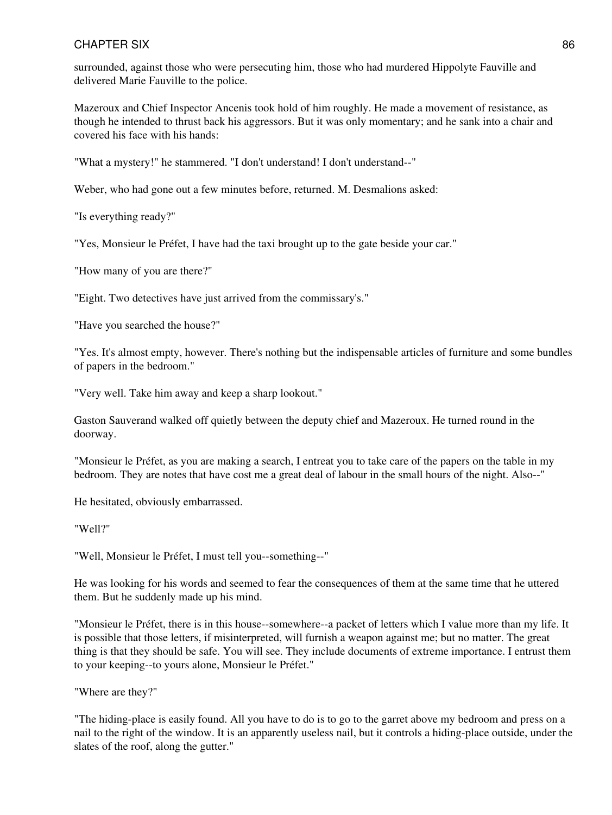surrounded, against those who were persecuting him, those who had murdered Hippolyte Fauville and delivered Marie Fauville to the police.

Mazeroux and Chief Inspector Ancenis took hold of him roughly. He made a movement of resistance, as though he intended to thrust back his aggressors. But it was only momentary; and he sank into a chair and covered his face with his hands:

"What a mystery!" he stammered. "I don't understand! I don't understand--"

Weber, who had gone out a few minutes before, returned. M. Desmalions asked:

"Is everything ready?"

"Yes, Monsieur le Préfet, I have had the taxi brought up to the gate beside your car."

"How many of you are there?"

"Eight. Two detectives have just arrived from the commissary's."

"Have you searched the house?"

"Yes. It's almost empty, however. There's nothing but the indispensable articles of furniture and some bundles of papers in the bedroom."

"Very well. Take him away and keep a sharp lookout."

Gaston Sauverand walked off quietly between the deputy chief and Mazeroux. He turned round in the doorway.

"Monsieur le Préfet, as you are making a search, I entreat you to take care of the papers on the table in my bedroom. They are notes that have cost me a great deal of labour in the small hours of the night. Also--"

He hesitated, obviously embarrassed.

"Well?"

"Well, Monsieur le Préfet, I must tell you--something--"

He was looking for his words and seemed to fear the consequences of them at the same time that he uttered them. But he suddenly made up his mind.

"Monsieur le Préfet, there is in this house--somewhere--a packet of letters which I value more than my life. It is possible that those letters, if misinterpreted, will furnish a weapon against me; but no matter. The great thing is that they should be safe. You will see. They include documents of extreme importance. I entrust them to your keeping--to yours alone, Monsieur le Préfet."

"Where are they?"

"The hiding-place is easily found. All you have to do is to go to the garret above my bedroom and press on a nail to the right of the window. It is an apparently useless nail, but it controls a hiding-place outside, under the slates of the roof, along the gutter."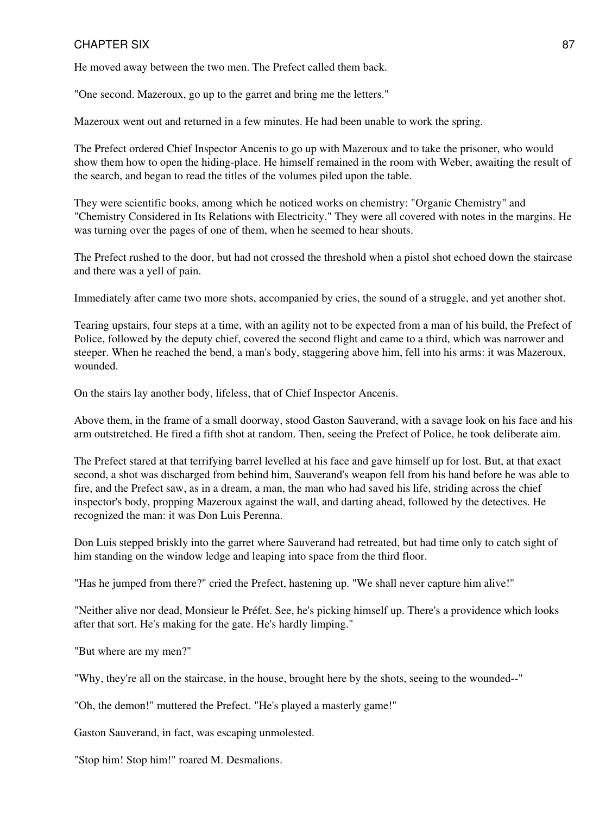He moved away between the two men. The Prefect called them back.

"One second. Mazeroux, go up to the garret and bring me the letters."

Mazeroux went out and returned in a few minutes. He had been unable to work the spring.

The Prefect ordered Chief Inspector Ancenis to go up with Mazeroux and to take the prisoner, who would show them how to open the hiding-place. He himself remained in the room with Weber, awaiting the result of the search, and began to read the titles of the volumes piled upon the table.

They were scientific books, among which he noticed works on chemistry: "Organic Chemistry" and "Chemistry Considered in Its Relations with Electricity." They were all covered with notes in the margins. He was turning over the pages of one of them, when he seemed to hear shouts.

The Prefect rushed to the door, but had not crossed the threshold when a pistol shot echoed down the staircase and there was a yell of pain.

Immediately after came two more shots, accompanied by cries, the sound of a struggle, and yet another shot.

Tearing upstairs, four steps at a time, with an agility not to be expected from a man of his build, the Prefect of Police, followed by the deputy chief, covered the second flight and came to a third, which was narrower and steeper. When he reached the bend, a man's body, staggering above him, fell into his arms: it was Mazeroux, wounded.

On the stairs lay another body, lifeless, that of Chief Inspector Ancenis.

Above them, in the frame of a small doorway, stood Gaston Sauverand, with a savage look on his face and his arm outstretched. He fired a fifth shot at random. Then, seeing the Prefect of Police, he took deliberate aim.

The Prefect stared at that terrifying barrel levelled at his face and gave himself up for lost. But, at that exact second, a shot was discharged from behind him, Sauverand's weapon fell from his hand before he was able to fire, and the Prefect saw, as in a dream, a man, the man who had saved his life, striding across the chief inspector's body, propping Mazeroux against the wall, and darting ahead, followed by the detectives. He recognized the man: it was Don Luis Perenna.

Don Luis stepped briskly into the garret where Sauverand had retreated, but had time only to catch sight of him standing on the window ledge and leaping into space from the third floor.

"Has he jumped from there?" cried the Prefect, hastening up. "We shall never capture him alive!"

"Neither alive nor dead, Monsieur le Préfet. See, he's picking himself up. There's a providence which looks after that sort. He's making for the gate. He's hardly limping."

"But where are my men?"

"Why, they're all on the staircase, in the house, brought here by the shots, seeing to the wounded--"

"Oh, the demon!" muttered the Prefect. "He's played a masterly game!"

Gaston Sauverand, in fact, was escaping unmolested.

"Stop him! Stop him!" roared M. Desmalions.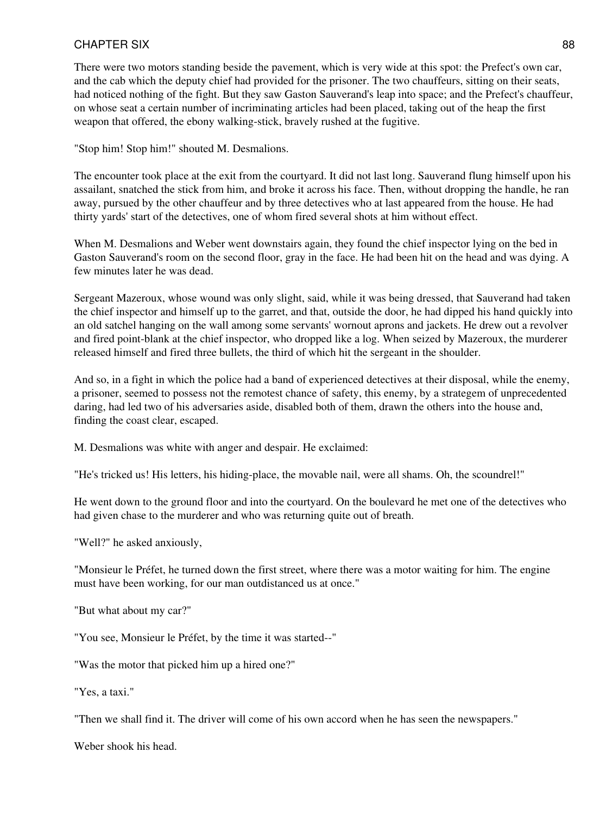There were two motors standing beside the pavement, which is very wide at this spot: the Prefect's own car, and the cab which the deputy chief had provided for the prisoner. The two chauffeurs, sitting on their seats, had noticed nothing of the fight. But they saw Gaston Sauverand's leap into space; and the Prefect's chauffeur, on whose seat a certain number of incriminating articles had been placed, taking out of the heap the first weapon that offered, the ebony walking-stick, bravely rushed at the fugitive.

"Stop him! Stop him!" shouted M. Desmalions.

The encounter took place at the exit from the courtyard. It did not last long. Sauverand flung himself upon his assailant, snatched the stick from him, and broke it across his face. Then, without dropping the handle, he ran away, pursued by the other chauffeur and by three detectives who at last appeared from the house. He had thirty yards' start of the detectives, one of whom fired several shots at him without effect.

When M. Desmalions and Weber went downstairs again, they found the chief inspector lying on the bed in Gaston Sauverand's room on the second floor, gray in the face. He had been hit on the head and was dying. A few minutes later he was dead.

Sergeant Mazeroux, whose wound was only slight, said, while it was being dressed, that Sauverand had taken the chief inspector and himself up to the garret, and that, outside the door, he had dipped his hand quickly into an old satchel hanging on the wall among some servants' wornout aprons and jackets. He drew out a revolver and fired point-blank at the chief inspector, who dropped like a log. When seized by Mazeroux, the murderer released himself and fired three bullets, the third of which hit the sergeant in the shoulder.

And so, in a fight in which the police had a band of experienced detectives at their disposal, while the enemy, a prisoner, seemed to possess not the remotest chance of safety, this enemy, by a strategem of unprecedented daring, had led two of his adversaries aside, disabled both of them, drawn the others into the house and, finding the coast clear, escaped.

M. Desmalions was white with anger and despair. He exclaimed:

"He's tricked us! His letters, his hiding-place, the movable nail, were all shams. Oh, the scoundrel!"

He went down to the ground floor and into the courtyard. On the boulevard he met one of the detectives who had given chase to the murderer and who was returning quite out of breath.

"Well?" he asked anxiously,

"Monsieur le Préfet, he turned down the first street, where there was a motor waiting for him. The engine must have been working, for our man outdistanced us at once."

"But what about my car?"

"You see, Monsieur le Préfet, by the time it was started--"

"Was the motor that picked him up a hired one?"

"Yes, a taxi."

"Then we shall find it. The driver will come of his own accord when he has seen the newspapers."

Weber shook his head.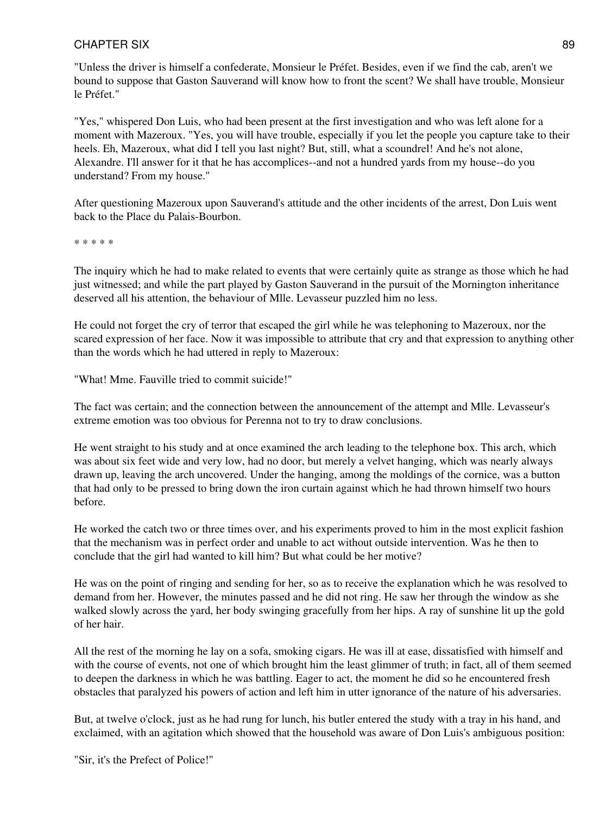"Unless the driver is himself a confederate, Monsieur le Préfet. Besides, even if we find the cab, aren't we bound to suppose that Gaston Sauverand will know how to front the scent? We shall have trouble, Monsieur le Préfet."

"Yes," whispered Don Luis, who had been present at the first investigation and who was left alone for a moment with Mazeroux. "Yes, you will have trouble, especially if you let the people you capture take to their heels. Eh, Mazeroux, what did I tell you last night? But, still, what a scoundrel! And he's not alone, Alexandre. I'll answer for it that he has accomplices--and not a hundred yards from my house--do you understand? From my house."

After questioning Mazeroux upon Sauverand's attitude and the other incidents of the arrest, Don Luis went back to the Place du Palais-Bourbon.

\* \* \* \* \*

The inquiry which he had to make related to events that were certainly quite as strange as those which he had just witnessed; and while the part played by Gaston Sauverand in the pursuit of the Mornington inheritance deserved all his attention, the behaviour of Mlle. Levasseur puzzled him no less.

He could not forget the cry of terror that escaped the girl while he was telephoning to Mazeroux, nor the scared expression of her face. Now it was impossible to attribute that cry and that expression to anything other than the words which he had uttered in reply to Mazeroux:

"What! Mme. Fauville tried to commit suicide!"

The fact was certain; and the connection between the announcement of the attempt and Mlle. Levasseur's extreme emotion was too obvious for Perenna not to try to draw conclusions.

He went straight to his study and at once examined the arch leading to the telephone box. This arch, which was about six feet wide and very low, had no door, but merely a velvet hanging, which was nearly always drawn up, leaving the arch uncovered. Under the hanging, among the moldings of the cornice, was a button that had only to be pressed to bring down the iron curtain against which he had thrown himself two hours before.

He worked the catch two or three times over, and his experiments proved to him in the most explicit fashion that the mechanism was in perfect order and unable to act without outside intervention. Was he then to conclude that the girl had wanted to kill him? But what could be her motive?

He was on the point of ringing and sending for her, so as to receive the explanation which he was resolved to demand from her. However, the minutes passed and he did not ring. He saw her through the window as she walked slowly across the yard, her body swinging gracefully from her hips. A ray of sunshine lit up the gold of her hair.

All the rest of the morning he lay on a sofa, smoking cigars. He was ill at ease, dissatisfied with himself and with the course of events, not one of which brought him the least glimmer of truth; in fact, all of them seemed to deepen the darkness in which he was battling. Eager to act, the moment he did so he encountered fresh obstacles that paralyzed his powers of action and left him in utter ignorance of the nature of his adversaries.

But, at twelve o'clock, just as he had rung for lunch, his butler entered the study with a tray in his hand, and exclaimed, with an agitation which showed that the household was aware of Don Luis's ambiguous position:

"Sir, it's the Prefect of Police!"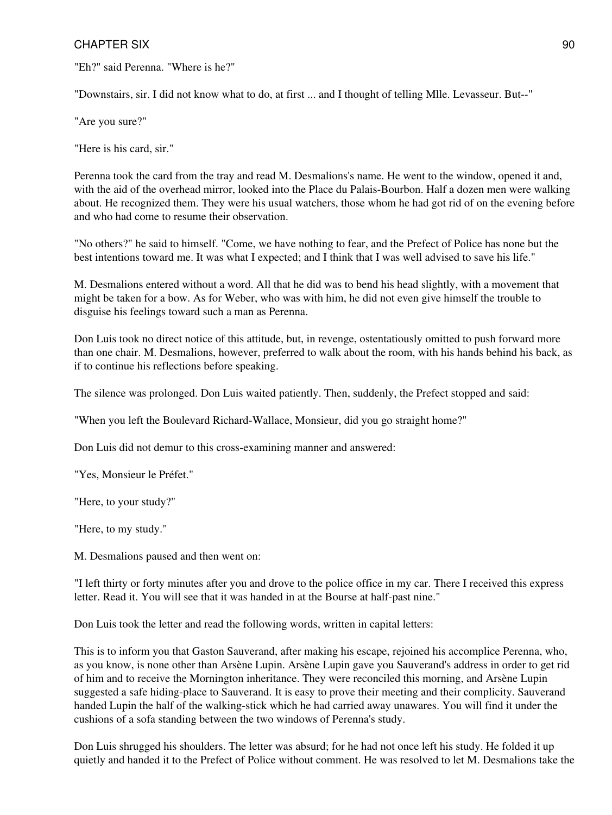"Eh?" said Perenna. "Where is he?"

"Downstairs, sir. I did not know what to do, at first ... and I thought of telling Mlle. Levasseur. But--"

"Are you sure?"

"Here is his card, sir."

Perenna took the card from the tray and read M. Desmalions's name. He went to the window, opened it and, with the aid of the overhead mirror, looked into the Place du Palais-Bourbon. Half a dozen men were walking about. He recognized them. They were his usual watchers, those whom he had got rid of on the evening before and who had come to resume their observation.

"No others?" he said to himself. "Come, we have nothing to fear, and the Prefect of Police has none but the best intentions toward me. It was what I expected; and I think that I was well advised to save his life."

M. Desmalions entered without a word. All that he did was to bend his head slightly, with a movement that might be taken for a bow. As for Weber, who was with him, he did not even give himself the trouble to disguise his feelings toward such a man as Perenna.

Don Luis took no direct notice of this attitude, but, in revenge, ostentatiously omitted to push forward more than one chair. M. Desmalions, however, preferred to walk about the room, with his hands behind his back, as if to continue his reflections before speaking.

The silence was prolonged. Don Luis waited patiently. Then, suddenly, the Prefect stopped and said:

"When you left the Boulevard Richard-Wallace, Monsieur, did you go straight home?"

Don Luis did not demur to this cross-examining manner and answered:

"Yes, Monsieur le Préfet."

"Here, to your study?"

"Here, to my study."

M. Desmalions paused and then went on:

"I left thirty or forty minutes after you and drove to the police office in my car. There I received this express letter. Read it. You will see that it was handed in at the Bourse at half-past nine."

Don Luis took the letter and read the following words, written in capital letters:

This is to inform you that Gaston Sauverand, after making his escape, rejoined his accomplice Perenna, who, as you know, is none other than Arsène Lupin. Arsène Lupin gave you Sauverand's address in order to get rid of him and to receive the Mornington inheritance. They were reconciled this morning, and Arsène Lupin suggested a safe hiding-place to Sauverand. It is easy to prove their meeting and their complicity. Sauverand handed Lupin the half of the walking-stick which he had carried away unawares. You will find it under the cushions of a sofa standing between the two windows of Perenna's study.

Don Luis shrugged his shoulders. The letter was absurd; for he had not once left his study. He folded it up quietly and handed it to the Prefect of Police without comment. He was resolved to let M. Desmalions take the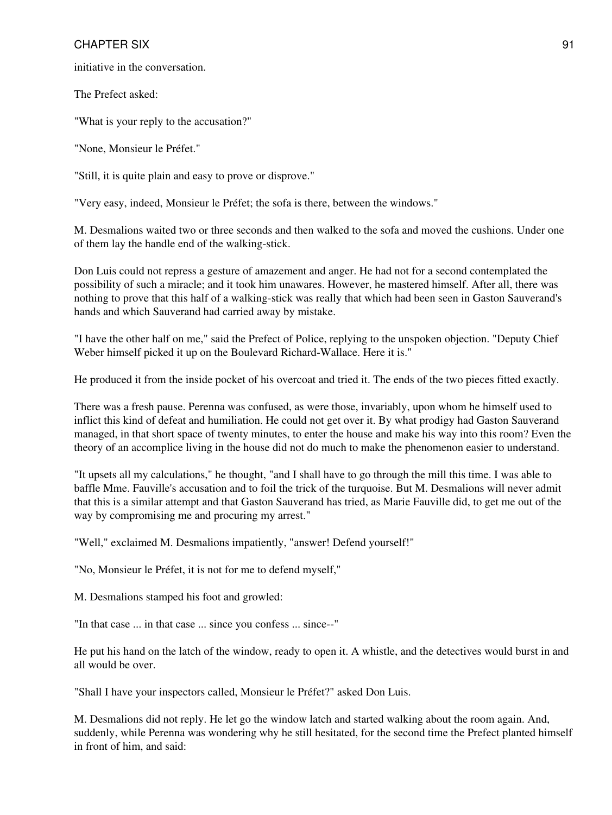initiative in the conversation.

The Prefect asked:

"What is your reply to the accusation?"

"None, Monsieur le Préfet."

"Still, it is quite plain and easy to prove or disprove."

"Very easy, indeed, Monsieur le Préfet; the sofa is there, between the windows."

M. Desmalions waited two or three seconds and then walked to the sofa and moved the cushions. Under one of them lay the handle end of the walking-stick.

Don Luis could not repress a gesture of amazement and anger. He had not for a second contemplated the possibility of such a miracle; and it took him unawares. However, he mastered himself. After all, there was nothing to prove that this half of a walking-stick was really that which had been seen in Gaston Sauverand's hands and which Sauverand had carried away by mistake.

"I have the other half on me," said the Prefect of Police, replying to the unspoken objection. "Deputy Chief Weber himself picked it up on the Boulevard Richard-Wallace. Here it is."

He produced it from the inside pocket of his overcoat and tried it. The ends of the two pieces fitted exactly.

There was a fresh pause. Perenna was confused, as were those, invariably, upon whom he himself used to inflict this kind of defeat and humiliation. He could not get over it. By what prodigy had Gaston Sauverand managed, in that short space of twenty minutes, to enter the house and make his way into this room? Even the theory of an accomplice living in the house did not do much to make the phenomenon easier to understand.

"It upsets all my calculations," he thought, "and I shall have to go through the mill this time. I was able to baffle Mme. Fauville's accusation and to foil the trick of the turquoise. But M. Desmalions will never admit that this is a similar attempt and that Gaston Sauverand has tried, as Marie Fauville did, to get me out of the way by compromising me and procuring my arrest."

"Well," exclaimed M. Desmalions impatiently, "answer! Defend yourself!"

"No, Monsieur le Préfet, it is not for me to defend myself,"

M. Desmalions stamped his foot and growled:

"In that case ... in that case ... since you confess ... since--"

He put his hand on the latch of the window, ready to open it. A whistle, and the detectives would burst in and all would be over.

"Shall I have your inspectors called, Monsieur le Préfet?" asked Don Luis.

M. Desmalions did not reply. He let go the window latch and started walking about the room again. And, suddenly, while Perenna was wondering why he still hesitated, for the second time the Prefect planted himself in front of him, and said: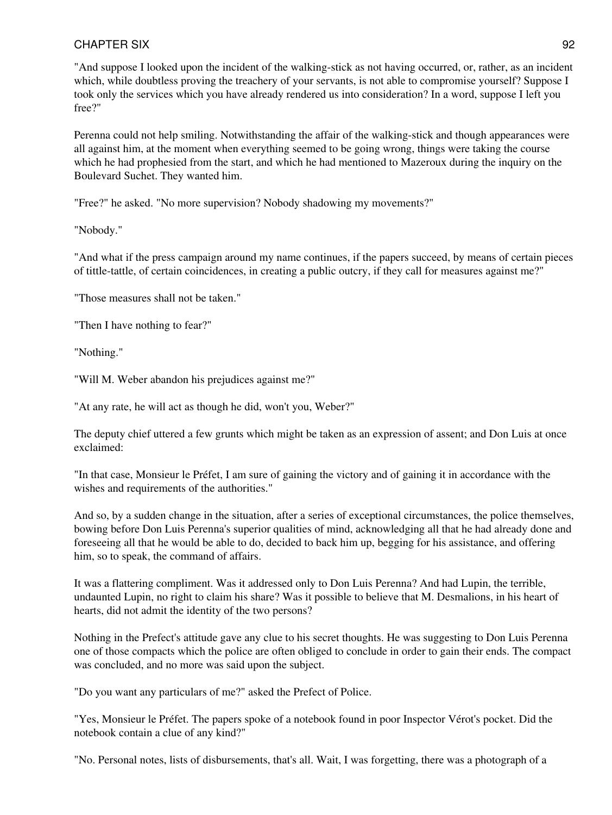"And suppose I looked upon the incident of the walking-stick as not having occurred, or, rather, as an incident which, while doubtless proving the treachery of your servants, is not able to compromise yourself? Suppose I took only the services which you have already rendered us into consideration? In a word, suppose I left you free?"

Perenna could not help smiling. Notwithstanding the affair of the walking-stick and though appearances were all against him, at the moment when everything seemed to be going wrong, things were taking the course which he had prophesied from the start, and which he had mentioned to Mazeroux during the inquiry on the Boulevard Suchet. They wanted him.

"Free?" he asked. "No more supervision? Nobody shadowing my movements?"

"Nobody."

"And what if the press campaign around my name continues, if the papers succeed, by means of certain pieces of tittle-tattle, of certain coincidences, in creating a public outcry, if they call for measures against me?"

"Those measures shall not be taken."

"Then I have nothing to fear?"

"Nothing."

"Will M. Weber abandon his prejudices against me?"

"At any rate, he will act as though he did, won't you, Weber?"

The deputy chief uttered a few grunts which might be taken as an expression of assent; and Don Luis at once exclaimed:

"In that case, Monsieur le Préfet, I am sure of gaining the victory and of gaining it in accordance with the wishes and requirements of the authorities."

And so, by a sudden change in the situation, after a series of exceptional circumstances, the police themselves, bowing before Don Luis Perenna's superior qualities of mind, acknowledging all that he had already done and foreseeing all that he would be able to do, decided to back him up, begging for his assistance, and offering him, so to speak, the command of affairs.

It was a flattering compliment. Was it addressed only to Don Luis Perenna? And had Lupin, the terrible, undaunted Lupin, no right to claim his share? Was it possible to believe that M. Desmalions, in his heart of hearts, did not admit the identity of the two persons?

Nothing in the Prefect's attitude gave any clue to his secret thoughts. He was suggesting to Don Luis Perenna one of those compacts which the police are often obliged to conclude in order to gain their ends. The compact was concluded, and no more was said upon the subject.

"Do you want any particulars of me?" asked the Prefect of Police.

"Yes, Monsieur le Préfet. The papers spoke of a notebook found in poor Inspector Vérot's pocket. Did the notebook contain a clue of any kind?"

"No. Personal notes, lists of disbursements, that's all. Wait, I was forgetting, there was a photograph of a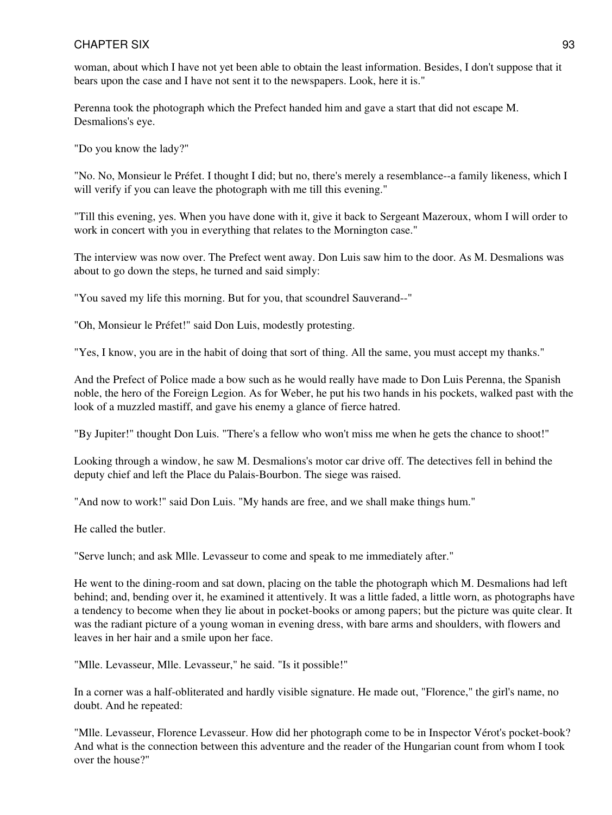woman, about which I have not yet been able to obtain the least information. Besides, I don't suppose that it bears upon the case and I have not sent it to the newspapers. Look, here it is."

Perenna took the photograph which the Prefect handed him and gave a start that did not escape M. Desmalions's eye.

"Do you know the lady?"

"No. No, Monsieur le Préfet. I thought I did; but no, there's merely a resemblance--a family likeness, which I will verify if you can leave the photograph with me till this evening."

"Till this evening, yes. When you have done with it, give it back to Sergeant Mazeroux, whom I will order to work in concert with you in everything that relates to the Mornington case."

The interview was now over. The Prefect went away. Don Luis saw him to the door. As M. Desmalions was about to go down the steps, he turned and said simply:

"You saved my life this morning. But for you, that scoundrel Sauverand--"

"Oh, Monsieur le Préfet!" said Don Luis, modestly protesting.

"Yes, I know, you are in the habit of doing that sort of thing. All the same, you must accept my thanks."

And the Prefect of Police made a bow such as he would really have made to Don Luis Perenna, the Spanish noble, the hero of the Foreign Legion. As for Weber, he put his two hands in his pockets, walked past with the look of a muzzled mastiff, and gave his enemy a glance of fierce hatred.

"By Jupiter!" thought Don Luis. "There's a fellow who won't miss me when he gets the chance to shoot!"

Looking through a window, he saw M. Desmalions's motor car drive off. The detectives fell in behind the deputy chief and left the Place du Palais-Bourbon. The siege was raised.

"And now to work!" said Don Luis. "My hands are free, and we shall make things hum."

He called the butler.

"Serve lunch; and ask Mlle. Levasseur to come and speak to me immediately after."

He went to the dining-room and sat down, placing on the table the photograph which M. Desmalions had left behind; and, bending over it, he examined it attentively. It was a little faded, a little worn, as photographs have a tendency to become when they lie about in pocket-books or among papers; but the picture was quite clear. It was the radiant picture of a young woman in evening dress, with bare arms and shoulders, with flowers and leaves in her hair and a smile upon her face.

"Mlle. Levasseur, Mlle. Levasseur," he said. "Is it possible!"

In a corner was a half-obliterated and hardly visible signature. He made out, "Florence," the girl's name, no doubt. And he repeated:

"Mlle. Levasseur, Florence Levasseur. How did her photograph come to be in Inspector Vérot's pocket-book? And what is the connection between this adventure and the reader of the Hungarian count from whom I took over the house?"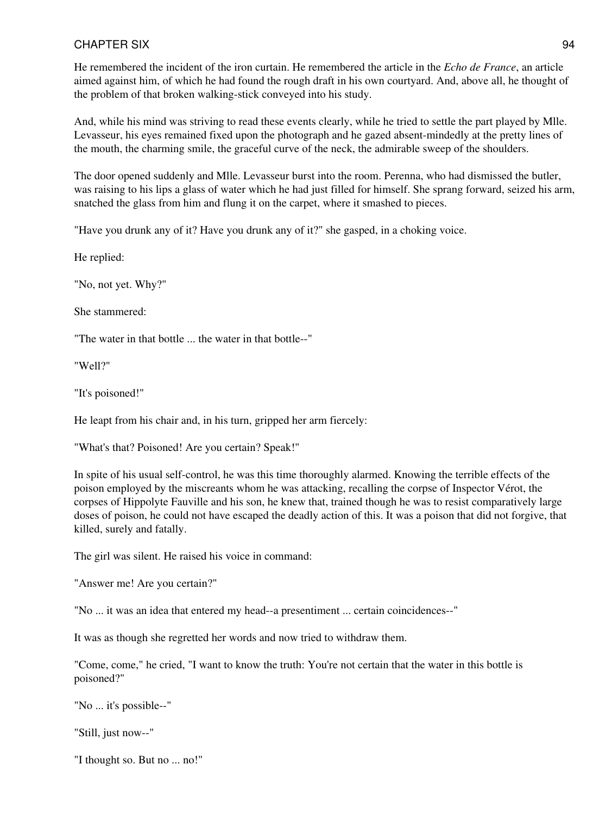He remembered the incident of the iron curtain. He remembered the article in the *Echo de France*, an article aimed against him, of which he had found the rough draft in his own courtyard. And, above all, he thought of the problem of that broken walking-stick conveyed into his study.

And, while his mind was striving to read these events clearly, while he tried to settle the part played by Mlle. Levasseur, his eyes remained fixed upon the photograph and he gazed absent-mindedly at the pretty lines of the mouth, the charming smile, the graceful curve of the neck, the admirable sweep of the shoulders.

The door opened suddenly and Mlle. Levasseur burst into the room. Perenna, who had dismissed the butler, was raising to his lips a glass of water which he had just filled for himself. She sprang forward, seized his arm, snatched the glass from him and flung it on the carpet, where it smashed to pieces.

"Have you drunk any of it? Have you drunk any of it?" she gasped, in a choking voice.

He replied:

"No, not yet. Why?"

She stammered:

"The water in that bottle ... the water in that bottle--"

"Well?"

"It's poisoned!"

He leapt from his chair and, in his turn, gripped her arm fiercely:

"What's that? Poisoned! Are you certain? Speak!"

In spite of his usual self-control, he was this time thoroughly alarmed. Knowing the terrible effects of the poison employed by the miscreants whom he was attacking, recalling the corpse of Inspector Vérot, the corpses of Hippolyte Fauville and his son, he knew that, trained though he was to resist comparatively large doses of poison, he could not have escaped the deadly action of this. It was a poison that did not forgive, that killed, surely and fatally.

The girl was silent. He raised his voice in command:

"Answer me! Are you certain?"

"No ... it was an idea that entered my head--a presentiment ... certain coincidences--"

It was as though she regretted her words and now tried to withdraw them.

"Come, come," he cried, "I want to know the truth: You're not certain that the water in this bottle is poisoned?"

"No ... it's possible--"

"Still, just now--"

"I thought so. But no ... no!"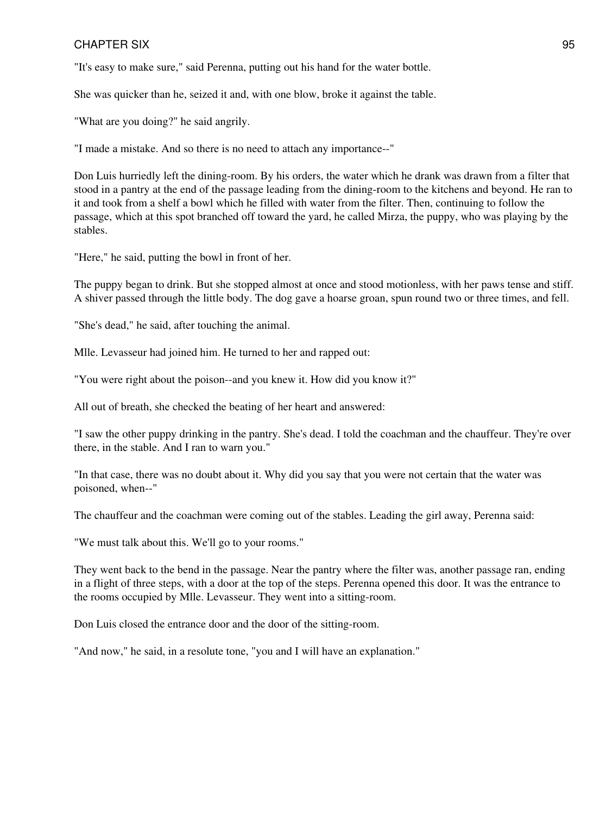"It's easy to make sure," said Perenna, putting out his hand for the water bottle.

She was quicker than he, seized it and, with one blow, broke it against the table.

"What are you doing?" he said angrily.

"I made a mistake. And so there is no need to attach any importance--"

Don Luis hurriedly left the dining-room. By his orders, the water which he drank was drawn from a filter that stood in a pantry at the end of the passage leading from the dining-room to the kitchens and beyond. He ran to it and took from a shelf a bowl which he filled with water from the filter. Then, continuing to follow the passage, which at this spot branched off toward the yard, he called Mirza, the puppy, who was playing by the stables.

"Here," he said, putting the bowl in front of her.

The puppy began to drink. But she stopped almost at once and stood motionless, with her paws tense and stiff. A shiver passed through the little body. The dog gave a hoarse groan, spun round two or three times, and fell.

"She's dead," he said, after touching the animal.

Mlle. Levasseur had joined him. He turned to her and rapped out:

"You were right about the poison--and you knew it. How did you know it?"

All out of breath, she checked the beating of her heart and answered:

"I saw the other puppy drinking in the pantry. She's dead. I told the coachman and the chauffeur. They're over there, in the stable. And I ran to warn you."

"In that case, there was no doubt about it. Why did you say that you were not certain that the water was poisoned, when--"

The chauffeur and the coachman were coming out of the stables. Leading the girl away, Perenna said:

"We must talk about this. We'll go to your rooms."

They went back to the bend in the passage. Near the pantry where the filter was, another passage ran, ending in a flight of three steps, with a door at the top of the steps. Perenna opened this door. It was the entrance to the rooms occupied by Mlle. Levasseur. They went into a sitting-room.

Don Luis closed the entrance door and the door of the sitting-room.

"And now," he said, in a resolute tone, "you and I will have an explanation."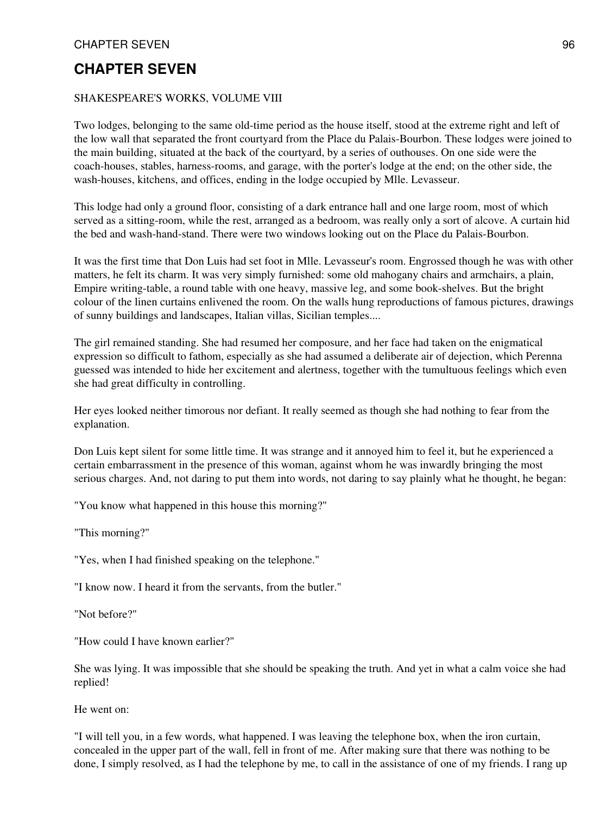#### SHAKESPEARE'S WORKS, VOLUME VIII

Two lodges, belonging to the same old-time period as the house itself, stood at the extreme right and left of the low wall that separated the front courtyard from the Place du Palais-Bourbon. These lodges were joined to the main building, situated at the back of the courtyard, by a series of outhouses. On one side were the coach-houses, stables, harness-rooms, and garage, with the porter's lodge at the end; on the other side, the wash-houses, kitchens, and offices, ending in the lodge occupied by Mlle. Levasseur.

This lodge had only a ground floor, consisting of a dark entrance hall and one large room, most of which served as a sitting-room, while the rest, arranged as a bedroom, was really only a sort of alcove. A curtain hid the bed and wash-hand-stand. There were two windows looking out on the Place du Palais-Bourbon.

It was the first time that Don Luis had set foot in Mlle. Levasseur's room. Engrossed though he was with other matters, he felt its charm. It was very simply furnished: some old mahogany chairs and armchairs, a plain, Empire writing-table, a round table with one heavy, massive leg, and some book-shelves. But the bright colour of the linen curtains enlivened the room. On the walls hung reproductions of famous pictures, drawings of sunny buildings and landscapes, Italian villas, Sicilian temples....

The girl remained standing. She had resumed her composure, and her face had taken on the enigmatical expression so difficult to fathom, especially as she had assumed a deliberate air of dejection, which Perenna guessed was intended to hide her excitement and alertness, together with the tumultuous feelings which even she had great difficulty in controlling.

Her eyes looked neither timorous nor defiant. It really seemed as though she had nothing to fear from the explanation.

Don Luis kept silent for some little time. It was strange and it annoyed him to feel it, but he experienced a certain embarrassment in the presence of this woman, against whom he was inwardly bringing the most serious charges. And, not daring to put them into words, not daring to say plainly what he thought, he began:

"You know what happened in this house this morning?"

"This morning?"

"Yes, when I had finished speaking on the telephone."

"I know now. I heard it from the servants, from the butler."

"Not before?"

"How could I have known earlier?"

She was lying. It was impossible that she should be speaking the truth. And yet in what a calm voice she had replied!

He went on:

"I will tell you, in a few words, what happened. I was leaving the telephone box, when the iron curtain, concealed in the upper part of the wall, fell in front of me. After making sure that there was nothing to be done, I simply resolved, as I had the telephone by me, to call in the assistance of one of my friends. I rang up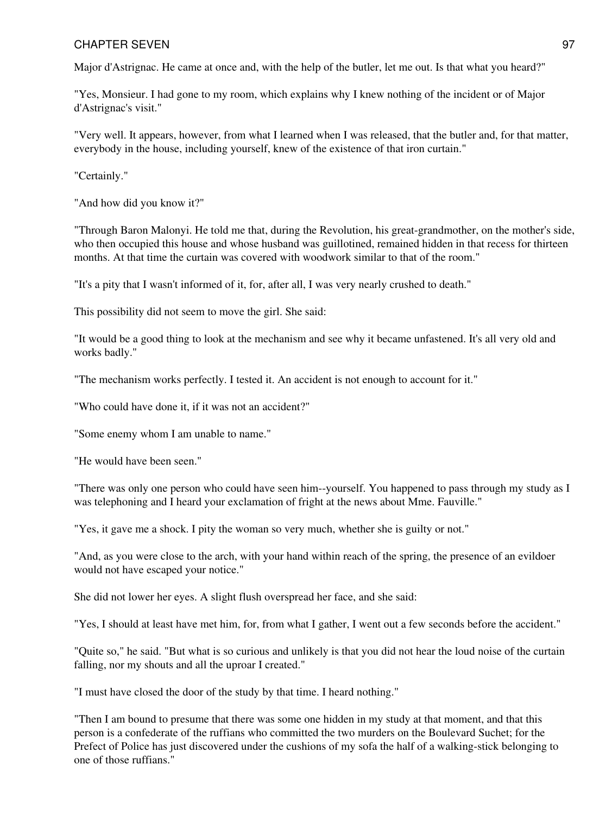Major d'Astrignac. He came at once and, with the help of the butler, let me out. Is that what you heard?"

"Yes, Monsieur. I had gone to my room, which explains why I knew nothing of the incident or of Major d'Astrignac's visit."

"Very well. It appears, however, from what I learned when I was released, that the butler and, for that matter, everybody in the house, including yourself, knew of the existence of that iron curtain."

"Certainly."

"And how did you know it?"

"Through Baron Malonyi. He told me that, during the Revolution, his great-grandmother, on the mother's side, who then occupied this house and whose husband was guillotined, remained hidden in that recess for thirteen months. At that time the curtain was covered with woodwork similar to that of the room."

"It's a pity that I wasn't informed of it, for, after all, I was very nearly crushed to death."

This possibility did not seem to move the girl. She said:

"It would be a good thing to look at the mechanism and see why it became unfastened. It's all very old and works badly."

"The mechanism works perfectly. I tested it. An accident is not enough to account for it."

"Who could have done it, if it was not an accident?"

"Some enemy whom I am unable to name."

"He would have been seen."

"There was only one person who could have seen him--yourself. You happened to pass through my study as I was telephoning and I heard your exclamation of fright at the news about Mme. Fauville."

"Yes, it gave me a shock. I pity the woman so very much, whether she is guilty or not."

"And, as you were close to the arch, with your hand within reach of the spring, the presence of an evildoer would not have escaped your notice."

She did not lower her eyes. A slight flush overspread her face, and she said:

"Yes, I should at least have met him, for, from what I gather, I went out a few seconds before the accident."

"Quite so," he said. "But what is so curious and unlikely is that you did not hear the loud noise of the curtain falling, nor my shouts and all the uproar I created."

"I must have closed the door of the study by that time. I heard nothing."

"Then I am bound to presume that there was some one hidden in my study at that moment, and that this person is a confederate of the ruffians who committed the two murders on the Boulevard Suchet; for the Prefect of Police has just discovered under the cushions of my sofa the half of a walking-stick belonging to one of those ruffians."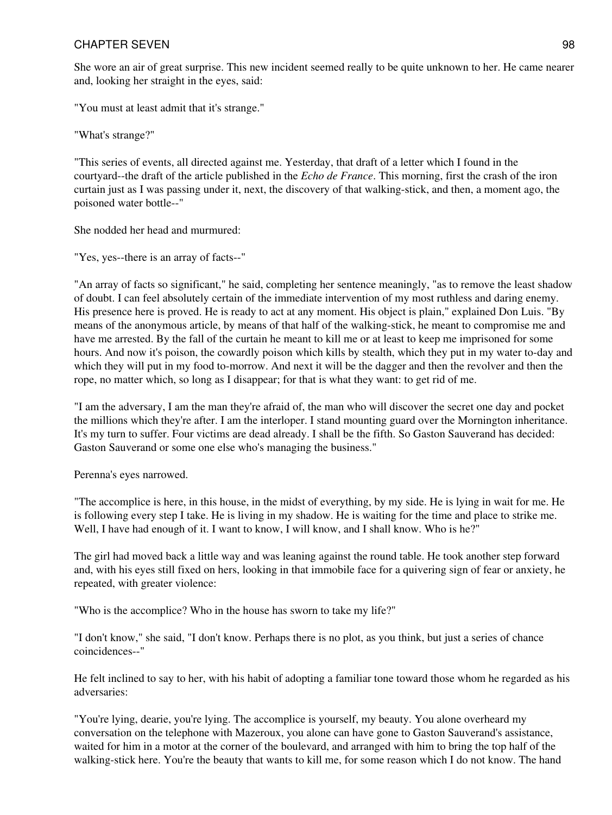She wore an air of great surprise. This new incident seemed really to be quite unknown to her. He came nearer and, looking her straight in the eyes, said:

"You must at least admit that it's strange."

"What's strange?"

"This series of events, all directed against me. Yesterday, that draft of a letter which I found in the courtyard--the draft of the article published in the *Echo de France*. This morning, first the crash of the iron curtain just as I was passing under it, next, the discovery of that walking-stick, and then, a moment ago, the poisoned water bottle--"

She nodded her head and murmured:

"Yes, yes--there is an array of facts--"

"An array of facts so significant," he said, completing her sentence meaningly, "as to remove the least shadow of doubt. I can feel absolutely certain of the immediate intervention of my most ruthless and daring enemy. His presence here is proved. He is ready to act at any moment. His object is plain," explained Don Luis. "By means of the anonymous article, by means of that half of the walking-stick, he meant to compromise me and have me arrested. By the fall of the curtain he meant to kill me or at least to keep me imprisoned for some hours. And now it's poison, the cowardly poison which kills by stealth, which they put in my water to-day and which they will put in my food to-morrow. And next it will be the dagger and then the revolver and then the rope, no matter which, so long as I disappear; for that is what they want: to get rid of me.

"I am the adversary, I am the man they're afraid of, the man who will discover the secret one day and pocket the millions which they're after. I am the interloper. I stand mounting guard over the Mornington inheritance. It's my turn to suffer. Four victims are dead already. I shall be the fifth. So Gaston Sauverand has decided: Gaston Sauverand or some one else who's managing the business."

Perenna's eyes narrowed.

"The accomplice is here, in this house, in the midst of everything, by my side. He is lying in wait for me. He is following every step I take. He is living in my shadow. He is waiting for the time and place to strike me. Well, I have had enough of it. I want to know, I will know, and I shall know. Who is he?"

The girl had moved back a little way and was leaning against the round table. He took another step forward and, with his eyes still fixed on hers, looking in that immobile face for a quivering sign of fear or anxiety, he repeated, with greater violence:

"Who is the accomplice? Who in the house has sworn to take my life?"

"I don't know," she said, "I don't know. Perhaps there is no plot, as you think, but just a series of chance coincidences--"

He felt inclined to say to her, with his habit of adopting a familiar tone toward those whom he regarded as his adversaries:

"You're lying, dearie, you're lying. The accomplice is yourself, my beauty. You alone overheard my conversation on the telephone with Mazeroux, you alone can have gone to Gaston Sauverand's assistance, waited for him in a motor at the corner of the boulevard, and arranged with him to bring the top half of the walking-stick here. You're the beauty that wants to kill me, for some reason which I do not know. The hand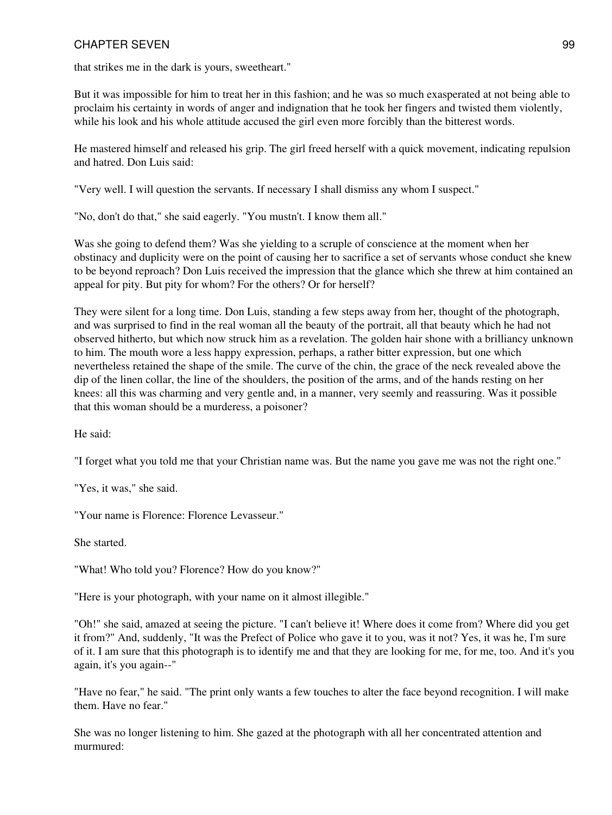that strikes me in the dark is yours, sweetheart."

But it was impossible for him to treat her in this fashion; and he was so much exasperated at not being able to proclaim his certainty in words of anger and indignation that he took her fingers and twisted them violently, while his look and his whole attitude accused the girl even more forcibly than the bitterest words.

He mastered himself and released his grip. The girl freed herself with a quick movement, indicating repulsion and hatred. Don Luis said:

"Very well. I will question the servants. If necessary I shall dismiss any whom I suspect."

"No, don't do that," she said eagerly. "You mustn't. I know them all."

Was she going to defend them? Was she yielding to a scruple of conscience at the moment when her obstinacy and duplicity were on the point of causing her to sacrifice a set of servants whose conduct she knew to be beyond reproach? Don Luis received the impression that the glance which she threw at him contained an appeal for pity. But pity for whom? For the others? Or for herself?

They were silent for a long time. Don Luis, standing a few steps away from her, thought of the photograph, and was surprised to find in the real woman all the beauty of the portrait, all that beauty which he had not observed hitherto, but which now struck him as a revelation. The golden hair shone with a brilliancy unknown to him. The mouth wore a less happy expression, perhaps, a rather bitter expression, but one which nevertheless retained the shape of the smile. The curve of the chin, the grace of the neck revealed above the dip of the linen collar, the line of the shoulders, the position of the arms, and of the hands resting on her knees: all this was charming and very gentle and, in a manner, very seemly and reassuring. Was it possible that this woman should be a murderess, a poisoner?

He said:

"I forget what you told me that your Christian name was. But the name you gave me was not the right one."

"Yes, it was," she said.

"Your name is Florence: Florence Levasseur."

She started.

"What! Who told you? Florence? How do you know?"

"Here is your photograph, with your name on it almost illegible."

"Oh!" she said, amazed at seeing the picture. "I can't believe it! Where does it come from? Where did you get it from?" And, suddenly, "It was the Prefect of Police who gave it to you, was it not? Yes, it was he, I'm sure of it. I am sure that this photograph is to identify me and that they are looking for me, for me, too. And it's you again, it's you again--"

"Have no fear," he said. "The print only wants a few touches to alter the face beyond recognition. I will make them. Have no fear."

She was no longer listening to him. She gazed at the photograph with all her concentrated attention and murmured: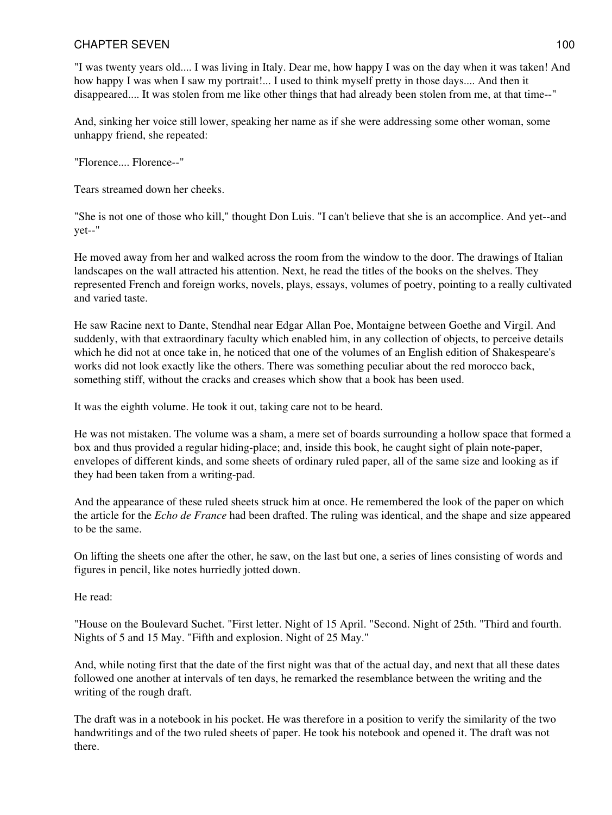"I was twenty years old.... I was living in Italy. Dear me, how happy I was on the day when it was taken! And how happy I was when I saw my portrait!... I used to think myself pretty in those days.... And then it disappeared.... It was stolen from me like other things that had already been stolen from me, at that time--"

And, sinking her voice still lower, speaking her name as if she were addressing some other woman, some unhappy friend, she repeated:

"Florence.... Florence--"

Tears streamed down her cheeks.

"She is not one of those who kill," thought Don Luis. "I can't believe that she is an accomplice. And yet--and yet--"

He moved away from her and walked across the room from the window to the door. The drawings of Italian landscapes on the wall attracted his attention. Next, he read the titles of the books on the shelves. They represented French and foreign works, novels, plays, essays, volumes of poetry, pointing to a really cultivated and varied taste.

He saw Racine next to Dante, Stendhal near Edgar Allan Poe, Montaigne between Goethe and Virgil. And suddenly, with that extraordinary faculty which enabled him, in any collection of objects, to perceive details which he did not at once take in, he noticed that one of the volumes of an English edition of Shakespeare's works did not look exactly like the others. There was something peculiar about the red morocco back, something stiff, without the cracks and creases which show that a book has been used.

It was the eighth volume. He took it out, taking care not to be heard.

He was not mistaken. The volume was a sham, a mere set of boards surrounding a hollow space that formed a box and thus provided a regular hiding-place; and, inside this book, he caught sight of plain note-paper, envelopes of different kinds, and some sheets of ordinary ruled paper, all of the same size and looking as if they had been taken from a writing-pad.

And the appearance of these ruled sheets struck him at once. He remembered the look of the paper on which the article for the *Echo de France* had been drafted. The ruling was identical, and the shape and size appeared to be the same.

On lifting the sheets one after the other, he saw, on the last but one, a series of lines consisting of words and figures in pencil, like notes hurriedly jotted down.

He read:

"House on the Boulevard Suchet. "First letter. Night of 15 April. "Second. Night of 25th. "Third and fourth. Nights of 5 and 15 May. "Fifth and explosion. Night of 25 May."

And, while noting first that the date of the first night was that of the actual day, and next that all these dates followed one another at intervals of ten days, he remarked the resemblance between the writing and the writing of the rough draft.

The draft was in a notebook in his pocket. He was therefore in a position to verify the similarity of the two handwritings and of the two ruled sheets of paper. He took his notebook and opened it. The draft was not there.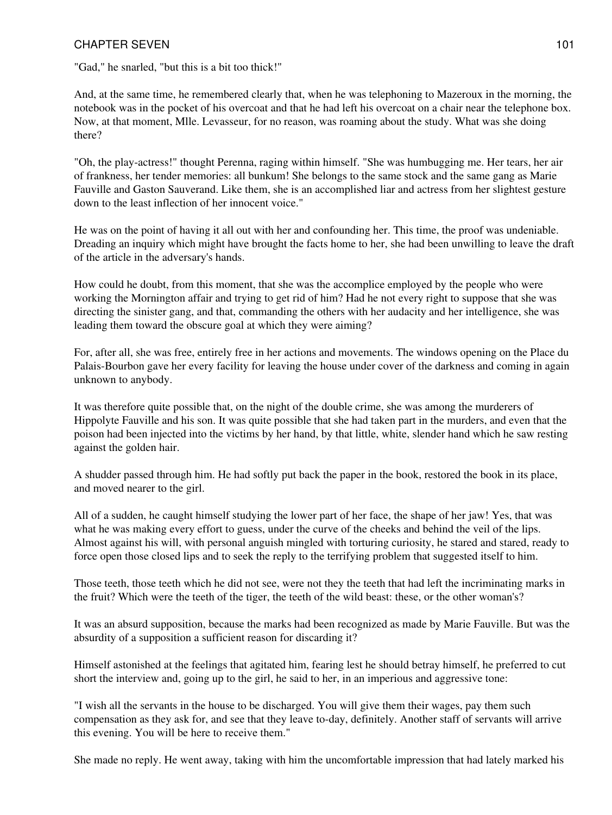"Gad," he snarled, "but this is a bit too thick!"

And, at the same time, he remembered clearly that, when he was telephoning to Mazeroux in the morning, the notebook was in the pocket of his overcoat and that he had left his overcoat on a chair near the telephone box. Now, at that moment, Mlle. Levasseur, for no reason, was roaming about the study. What was she doing there?

"Oh, the play-actress!" thought Perenna, raging within himself. "She was humbugging me. Her tears, her air of frankness, her tender memories: all bunkum! She belongs to the same stock and the same gang as Marie Fauville and Gaston Sauverand. Like them, she is an accomplished liar and actress from her slightest gesture down to the least inflection of her innocent voice."

He was on the point of having it all out with her and confounding her. This time, the proof was undeniable. Dreading an inquiry which might have brought the facts home to her, she had been unwilling to leave the draft of the article in the adversary's hands.

How could he doubt, from this moment, that she was the accomplice employed by the people who were working the Mornington affair and trying to get rid of him? Had he not every right to suppose that she was directing the sinister gang, and that, commanding the others with her audacity and her intelligence, she was leading them toward the obscure goal at which they were aiming?

For, after all, she was free, entirely free in her actions and movements. The windows opening on the Place du Palais-Bourbon gave her every facility for leaving the house under cover of the darkness and coming in again unknown to anybody.

It was therefore quite possible that, on the night of the double crime, she was among the murderers of Hippolyte Fauville and his son. It was quite possible that she had taken part in the murders, and even that the poison had been injected into the victims by her hand, by that little, white, slender hand which he saw resting against the golden hair.

A shudder passed through him. He had softly put back the paper in the book, restored the book in its place, and moved nearer to the girl.

All of a sudden, he caught himself studying the lower part of her face, the shape of her jaw! Yes, that was what he was making every effort to guess, under the curve of the cheeks and behind the veil of the lips. Almost against his will, with personal anguish mingled with torturing curiosity, he stared and stared, ready to force open those closed lips and to seek the reply to the terrifying problem that suggested itself to him.

Those teeth, those teeth which he did not see, were not they the teeth that had left the incriminating marks in the fruit? Which were the teeth of the tiger, the teeth of the wild beast: these, or the other woman's?

It was an absurd supposition, because the marks had been recognized as made by Marie Fauville. But was the absurdity of a supposition a sufficient reason for discarding it?

Himself astonished at the feelings that agitated him, fearing lest he should betray himself, he preferred to cut short the interview and, going up to the girl, he said to her, in an imperious and aggressive tone:

"I wish all the servants in the house to be discharged. You will give them their wages, pay them such compensation as they ask for, and see that they leave to-day, definitely. Another staff of servants will arrive this evening. You will be here to receive them."

She made no reply. He went away, taking with him the uncomfortable impression that had lately marked his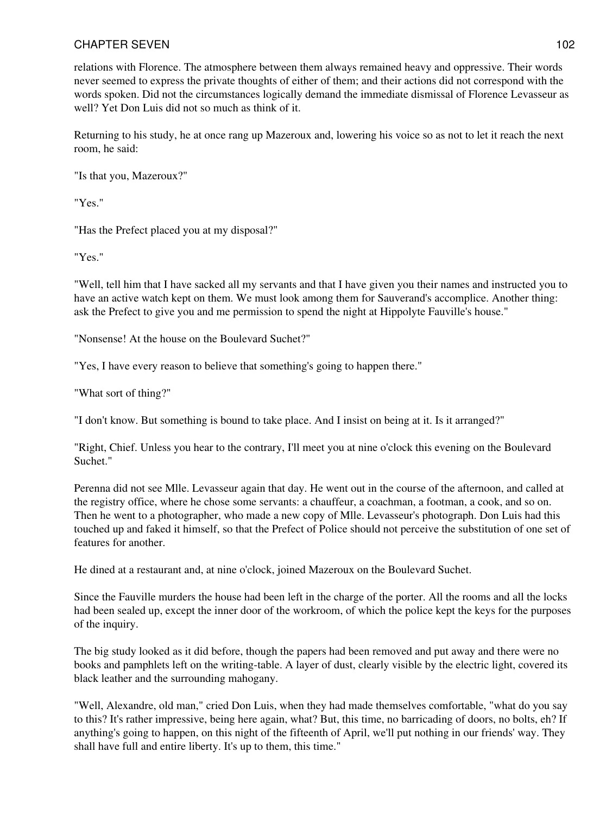relations with Florence. The atmosphere between them always remained heavy and oppressive. Their words never seemed to express the private thoughts of either of them; and their actions did not correspond with the words spoken. Did not the circumstances logically demand the immediate dismissal of Florence Levasseur as well? Yet Don Luis did not so much as think of it.

Returning to his study, he at once rang up Mazeroux and, lowering his voice so as not to let it reach the next room, he said:

"Is that you, Mazeroux?"

"Yes."

"Has the Prefect placed you at my disposal?"

"Yes."

"Well, tell him that I have sacked all my servants and that I have given you their names and instructed you to have an active watch kept on them. We must look among them for Sauverand's accomplice. Another thing: ask the Prefect to give you and me permission to spend the night at Hippolyte Fauville's house."

"Nonsense! At the house on the Boulevard Suchet?"

"Yes, I have every reason to believe that something's going to happen there."

"What sort of thing?"

"I don't know. But something is bound to take place. And I insist on being at it. Is it arranged?"

"Right, Chief. Unless you hear to the contrary, I'll meet you at nine o'clock this evening on the Boulevard Suchet."

Perenna did not see Mlle. Levasseur again that day. He went out in the course of the afternoon, and called at the registry office, where he chose some servants: a chauffeur, a coachman, a footman, a cook, and so on. Then he went to a photographer, who made a new copy of Mlle. Levasseur's photograph. Don Luis had this touched up and faked it himself, so that the Prefect of Police should not perceive the substitution of one set of features for another.

He dined at a restaurant and, at nine o'clock, joined Mazeroux on the Boulevard Suchet.

Since the Fauville murders the house had been left in the charge of the porter. All the rooms and all the locks had been sealed up, except the inner door of the workroom, of which the police kept the keys for the purposes of the inquiry.

The big study looked as it did before, though the papers had been removed and put away and there were no books and pamphlets left on the writing-table. A layer of dust, clearly visible by the electric light, covered its black leather and the surrounding mahogany.

"Well, Alexandre, old man," cried Don Luis, when they had made themselves comfortable, "what do you say to this? It's rather impressive, being here again, what? But, this time, no barricading of doors, no bolts, eh? If anything's going to happen, on this night of the fifteenth of April, we'll put nothing in our friends' way. They shall have full and entire liberty. It's up to them, this time."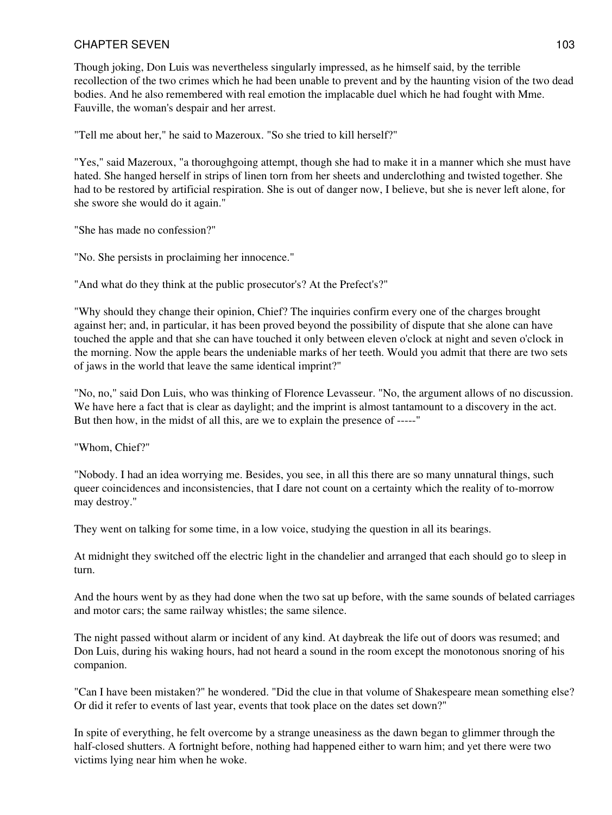Though joking, Don Luis was nevertheless singularly impressed, as he himself said, by the terrible recollection of the two crimes which he had been unable to prevent and by the haunting vision of the two dead bodies. And he also remembered with real emotion the implacable duel which he had fought with Mme. Fauville, the woman's despair and her arrest.

"Tell me about her," he said to Mazeroux. "So she tried to kill herself?"

"Yes," said Mazeroux, "a thoroughgoing attempt, though she had to make it in a manner which she must have hated. She hanged herself in strips of linen torn from her sheets and underclothing and twisted together. She had to be restored by artificial respiration. She is out of danger now, I believe, but she is never left alone, for she swore she would do it again."

"She has made no confession?"

"No. She persists in proclaiming her innocence."

"And what do they think at the public prosecutor's? At the Prefect's?"

"Why should they change their opinion, Chief? The inquiries confirm every one of the charges brought against her; and, in particular, it has been proved beyond the possibility of dispute that she alone can have touched the apple and that she can have touched it only between eleven o'clock at night and seven o'clock in the morning. Now the apple bears the undeniable marks of her teeth. Would you admit that there are two sets of jaws in the world that leave the same identical imprint?"

"No, no," said Don Luis, who was thinking of Florence Levasseur. "No, the argument allows of no discussion. We have here a fact that is clear as daylight; and the imprint is almost tantamount to a discovery in the act. But then how, in the midst of all this, are we to explain the presence of -----"

"Whom, Chief?"

"Nobody. I had an idea worrying me. Besides, you see, in all this there are so many unnatural things, such queer coincidences and inconsistencies, that I dare not count on a certainty which the reality of to-morrow may destroy."

They went on talking for some time, in a low voice, studying the question in all its bearings.

At midnight they switched off the electric light in the chandelier and arranged that each should go to sleep in turn.

And the hours went by as they had done when the two sat up before, with the same sounds of belated carriages and motor cars; the same railway whistles; the same silence.

The night passed without alarm or incident of any kind. At daybreak the life out of doors was resumed; and Don Luis, during his waking hours, had not heard a sound in the room except the monotonous snoring of his companion.

"Can I have been mistaken?" he wondered. "Did the clue in that volume of Shakespeare mean something else? Or did it refer to events of last year, events that took place on the dates set down?"

In spite of everything, he felt overcome by a strange uneasiness as the dawn began to glimmer through the half-closed shutters. A fortnight before, nothing had happened either to warn him; and yet there were two victims lying near him when he woke.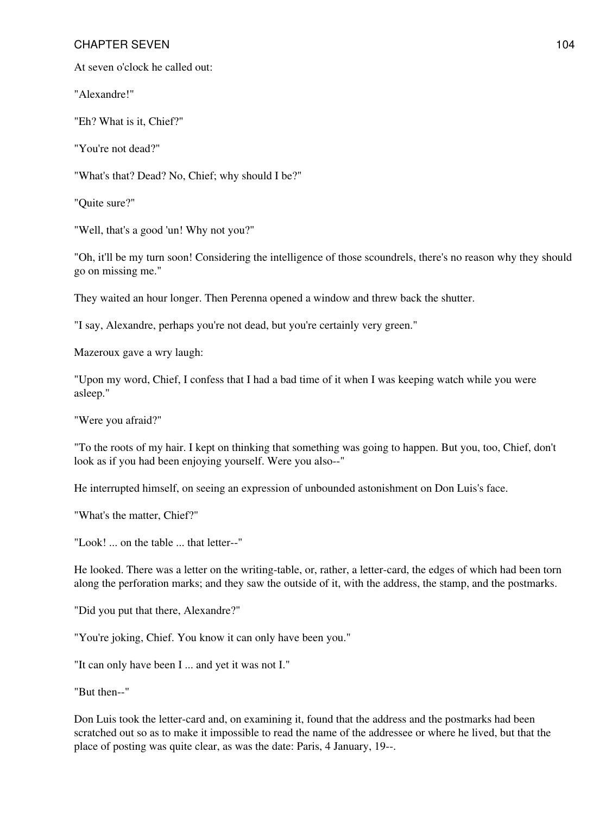At seven o'clock he called out:

"Alexandre!"

"Eh? What is it, Chief?"

"You're not dead?"

"What's that? Dead? No, Chief; why should I be?"

"Quite sure?"

"Well, that's a good 'un! Why not you?"

"Oh, it'll be my turn soon! Considering the intelligence of those scoundrels, there's no reason why they should go on missing me."

They waited an hour longer. Then Perenna opened a window and threw back the shutter.

"I say, Alexandre, perhaps you're not dead, but you're certainly very green."

Mazeroux gave a wry laugh:

"Upon my word, Chief, I confess that I had a bad time of it when I was keeping watch while you were asleep."

"Were you afraid?"

"To the roots of my hair. I kept on thinking that something was going to happen. But you, too, Chief, don't look as if you had been enjoying yourself. Were you also--"

He interrupted himself, on seeing an expression of unbounded astonishment on Don Luis's face.

"What's the matter, Chief?"

"Look! ... on the table ... that letter--"

He looked. There was a letter on the writing-table, or, rather, a letter-card, the edges of which had been torn along the perforation marks; and they saw the outside of it, with the address, the stamp, and the postmarks.

"Did you put that there, Alexandre?"

"You're joking, Chief. You know it can only have been you."

"It can only have been I ... and yet it was not I."

"But then--"

Don Luis took the letter-card and, on examining it, found that the address and the postmarks had been scratched out so as to make it impossible to read the name of the addressee or where he lived, but that the place of posting was quite clear, as was the date: Paris, 4 January, 19--.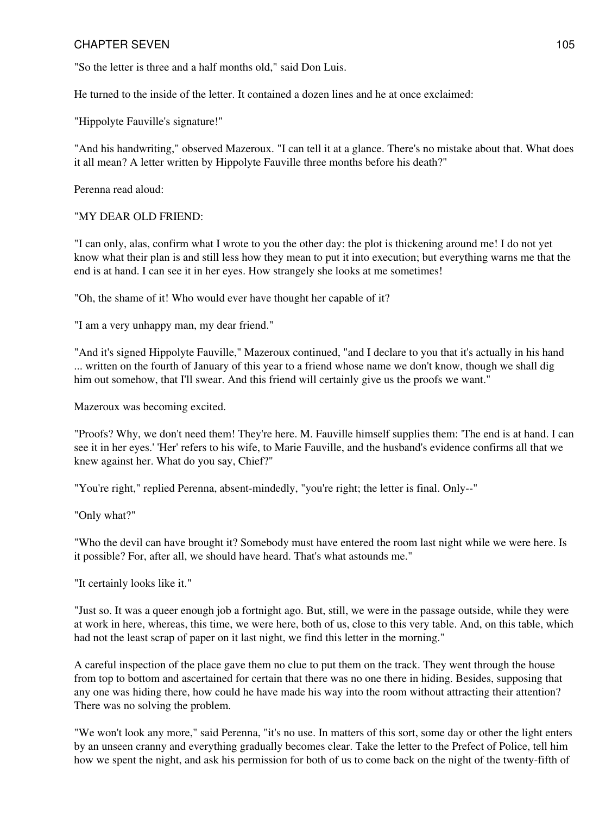"So the letter is three and a half months old," said Don Luis.

He turned to the inside of the letter. It contained a dozen lines and he at once exclaimed:

"Hippolyte Fauville's signature!"

"And his handwriting," observed Mazeroux. "I can tell it at a glance. There's no mistake about that. What does it all mean? A letter written by Hippolyte Fauville three months before his death?"

Perenna read aloud:

#### "MY DEAR OLD FRIEND:

"I can only, alas, confirm what I wrote to you the other day: the plot is thickening around me! I do not yet know what their plan is and still less how they mean to put it into execution; but everything warns me that the end is at hand. I can see it in her eyes. How strangely she looks at me sometimes!

"Oh, the shame of it! Who would ever have thought her capable of it?

"I am a very unhappy man, my dear friend."

"And it's signed Hippolyte Fauville," Mazeroux continued, "and I declare to you that it's actually in his hand ... written on the fourth of January of this year to a friend whose name we don't know, though we shall dig him out somehow, that I'll swear. And this friend will certainly give us the proofs we want."

Mazeroux was becoming excited.

"Proofs? Why, we don't need them! They're here. M. Fauville himself supplies them: 'The end is at hand. I can see it in her eyes.' 'Her' refers to his wife, to Marie Fauville, and the husband's evidence confirms all that we knew against her. What do you say, Chief?"

"You're right," replied Perenna, absent-mindedly, "you're right; the letter is final. Only--"

"Only what?"

"Who the devil can have brought it? Somebody must have entered the room last night while we were here. Is it possible? For, after all, we should have heard. That's what astounds me."

"It certainly looks like it."

"Just so. It was a queer enough job a fortnight ago. But, still, we were in the passage outside, while they were at work in here, whereas, this time, we were here, both of us, close to this very table. And, on this table, which had not the least scrap of paper on it last night, we find this letter in the morning."

A careful inspection of the place gave them no clue to put them on the track. They went through the house from top to bottom and ascertained for certain that there was no one there in hiding. Besides, supposing that any one was hiding there, how could he have made his way into the room without attracting their attention? There was no solving the problem.

"We won't look any more," said Perenna, "it's no use. In matters of this sort, some day or other the light enters by an unseen cranny and everything gradually becomes clear. Take the letter to the Prefect of Police, tell him how we spent the night, and ask his permission for both of us to come back on the night of the twenty-fifth of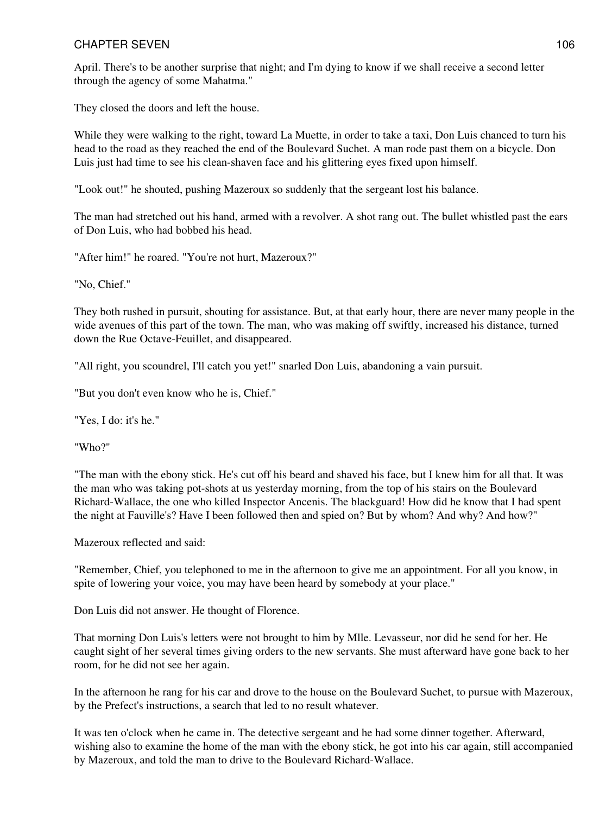April. There's to be another surprise that night; and I'm dying to know if we shall receive a second letter through the agency of some Mahatma."

They closed the doors and left the house.

While they were walking to the right, toward La Muette, in order to take a taxi, Don Luis chanced to turn his head to the road as they reached the end of the Boulevard Suchet. A man rode past them on a bicycle. Don Luis just had time to see his clean-shaven face and his glittering eyes fixed upon himself.

"Look out!" he shouted, pushing Mazeroux so suddenly that the sergeant lost his balance.

The man had stretched out his hand, armed with a revolver. A shot rang out. The bullet whistled past the ears of Don Luis, who had bobbed his head.

"After him!" he roared. "You're not hurt, Mazeroux?"

"No, Chief."

They both rushed in pursuit, shouting for assistance. But, at that early hour, there are never many people in the wide avenues of this part of the town. The man, who was making off swiftly, increased his distance, turned down the Rue Octave-Feuillet, and disappeared.

"All right, you scoundrel, I'll catch you yet!" snarled Don Luis, abandoning a vain pursuit.

"But you don't even know who he is, Chief."

"Yes, I do: it's he."

"Who?"

"The man with the ebony stick. He's cut off his beard and shaved his face, but I knew him for all that. It was the man who was taking pot-shots at us yesterday morning, from the top of his stairs on the Boulevard Richard-Wallace, the one who killed Inspector Ancenis. The blackguard! How did he know that I had spent the night at Fauville's? Have I been followed then and spied on? But by whom? And why? And how?"

Mazeroux reflected and said:

"Remember, Chief, you telephoned to me in the afternoon to give me an appointment. For all you know, in spite of lowering your voice, you may have been heard by somebody at your place."

Don Luis did not answer. He thought of Florence.

That morning Don Luis's letters were not brought to him by Mlle. Levasseur, nor did he send for her. He caught sight of her several times giving orders to the new servants. She must afterward have gone back to her room, for he did not see her again.

In the afternoon he rang for his car and drove to the house on the Boulevard Suchet, to pursue with Mazeroux, by the Prefect's instructions, a search that led to no result whatever.

It was ten o'clock when he came in. The detective sergeant and he had some dinner together. Afterward, wishing also to examine the home of the man with the ebony stick, he got into his car again, still accompanied by Mazeroux, and told the man to drive to the Boulevard Richard-Wallace.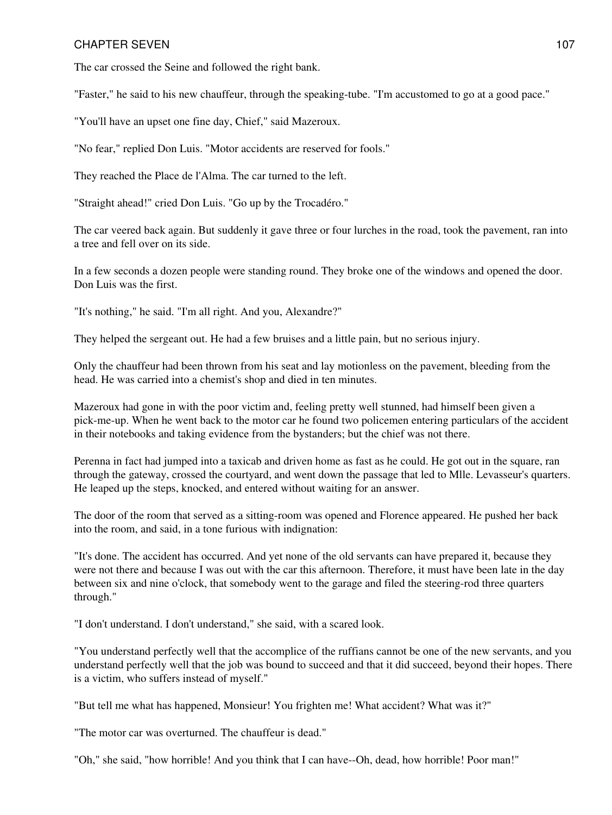The car crossed the Seine and followed the right bank.

"Faster," he said to his new chauffeur, through the speaking-tube. "I'm accustomed to go at a good pace."

"You'll have an upset one fine day, Chief," said Mazeroux.

"No fear," replied Don Luis. "Motor accidents are reserved for fools."

They reached the Place de l'Alma. The car turned to the left.

"Straight ahead!" cried Don Luis. "Go up by the Trocadéro."

The car veered back again. But suddenly it gave three or four lurches in the road, took the pavement, ran into a tree and fell over on its side.

In a few seconds a dozen people were standing round. They broke one of the windows and opened the door. Don Luis was the first.

"It's nothing," he said. "I'm all right. And you, Alexandre?"

They helped the sergeant out. He had a few bruises and a little pain, but no serious injury.

Only the chauffeur had been thrown from his seat and lay motionless on the pavement, bleeding from the head. He was carried into a chemist's shop and died in ten minutes.

Mazeroux had gone in with the poor victim and, feeling pretty well stunned, had himself been given a pick-me-up. When he went back to the motor car he found two policemen entering particulars of the accident in their notebooks and taking evidence from the bystanders; but the chief was not there.

Perenna in fact had jumped into a taxicab and driven home as fast as he could. He got out in the square, ran through the gateway, crossed the courtyard, and went down the passage that led to Mlle. Levasseur's quarters. He leaped up the steps, knocked, and entered without waiting for an answer.

The door of the room that served as a sitting-room was opened and Florence appeared. He pushed her back into the room, and said, in a tone furious with indignation:

"It's done. The accident has occurred. And yet none of the old servants can have prepared it, because they were not there and because I was out with the car this afternoon. Therefore, it must have been late in the day between six and nine o'clock, that somebody went to the garage and filed the steering-rod three quarters through."

"I don't understand. I don't understand," she said, with a scared look.

"You understand perfectly well that the accomplice of the ruffians cannot be one of the new servants, and you understand perfectly well that the job was bound to succeed and that it did succeed, beyond their hopes. There is a victim, who suffers instead of myself."

"But tell me what has happened, Monsieur! You frighten me! What accident? What was it?"

"The motor car was overturned. The chauffeur is dead."

"Oh," she said, "how horrible! And you think that I can have--Oh, dead, how horrible! Poor man!"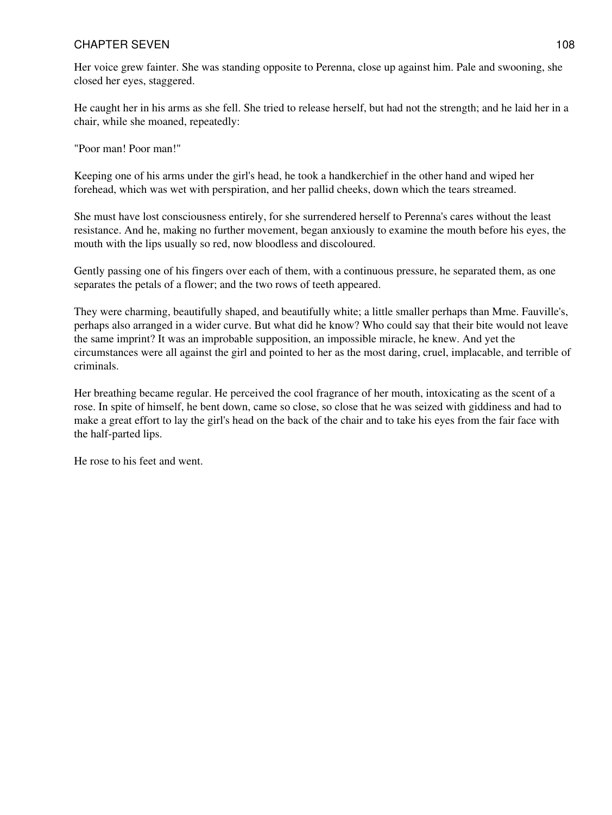Her voice grew fainter. She was standing opposite to Perenna, close up against him. Pale and swooning, she closed her eyes, staggered.

He caught her in his arms as she fell. She tried to release herself, but had not the strength; and he laid her in a chair, while she moaned, repeatedly:

"Poor man! Poor man!"

Keeping one of his arms under the girl's head, he took a handkerchief in the other hand and wiped her forehead, which was wet with perspiration, and her pallid cheeks, down which the tears streamed.

She must have lost consciousness entirely, for she surrendered herself to Perenna's cares without the least resistance. And he, making no further movement, began anxiously to examine the mouth before his eyes, the mouth with the lips usually so red, now bloodless and discoloured.

Gently passing one of his fingers over each of them, with a continuous pressure, he separated them, as one separates the petals of a flower; and the two rows of teeth appeared.

They were charming, beautifully shaped, and beautifully white; a little smaller perhaps than Mme. Fauville's, perhaps also arranged in a wider curve. But what did he know? Who could say that their bite would not leave the same imprint? It was an improbable supposition, an impossible miracle, he knew. And yet the circumstances were all against the girl and pointed to her as the most daring, cruel, implacable, and terrible of criminals.

Her breathing became regular. He perceived the cool fragrance of her mouth, intoxicating as the scent of a rose. In spite of himself, he bent down, came so close, so close that he was seized with giddiness and had to make a great effort to lay the girl's head on the back of the chair and to take his eyes from the fair face with the half-parted lips.

He rose to his feet and went.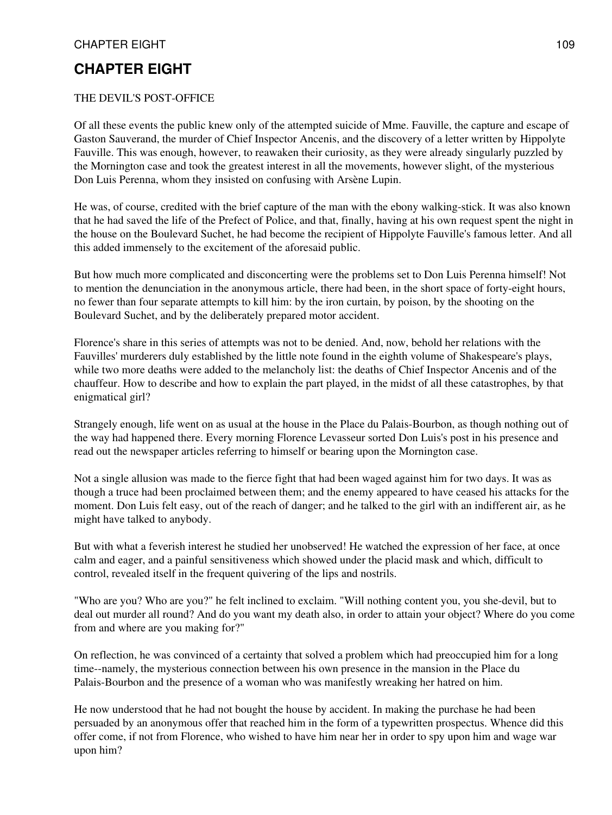### THE DEVIL'S POST-OFFICE

Of all these events the public knew only of the attempted suicide of Mme. Fauville, the capture and escape of Gaston Sauverand, the murder of Chief Inspector Ancenis, and the discovery of a letter written by Hippolyte Fauville. This was enough, however, to reawaken their curiosity, as they were already singularly puzzled by the Mornington case and took the greatest interest in all the movements, however slight, of the mysterious Don Luis Perenna, whom they insisted on confusing with Arsène Lupin.

He was, of course, credited with the brief capture of the man with the ebony walking-stick. It was also known that he had saved the life of the Prefect of Police, and that, finally, having at his own request spent the night in the house on the Boulevard Suchet, he had become the recipient of Hippolyte Fauville's famous letter. And all this added immensely to the excitement of the aforesaid public.

But how much more complicated and disconcerting were the problems set to Don Luis Perenna himself! Not to mention the denunciation in the anonymous article, there had been, in the short space of forty-eight hours, no fewer than four separate attempts to kill him: by the iron curtain, by poison, by the shooting on the Boulevard Suchet, and by the deliberately prepared motor accident.

Florence's share in this series of attempts was not to be denied. And, now, behold her relations with the Fauvilles' murderers duly established by the little note found in the eighth volume of Shakespeare's plays, while two more deaths were added to the melancholy list: the deaths of Chief Inspector Ancenis and of the chauffeur. How to describe and how to explain the part played, in the midst of all these catastrophes, by that enigmatical girl?

Strangely enough, life went on as usual at the house in the Place du Palais-Bourbon, as though nothing out of the way had happened there. Every morning Florence Levasseur sorted Don Luis's post in his presence and read out the newspaper articles referring to himself or bearing upon the Mornington case.

Not a single allusion was made to the fierce fight that had been waged against him for two days. It was as though a truce had been proclaimed between them; and the enemy appeared to have ceased his attacks for the moment. Don Luis felt easy, out of the reach of danger; and he talked to the girl with an indifferent air, as he might have talked to anybody.

But with what a feverish interest he studied her unobserved! He watched the expression of her face, at once calm and eager, and a painful sensitiveness which showed under the placid mask and which, difficult to control, revealed itself in the frequent quivering of the lips and nostrils.

"Who are you? Who are you?" he felt inclined to exclaim. "Will nothing content you, you she-devil, but to deal out murder all round? And do you want my death also, in order to attain your object? Where do you come from and where are you making for?"

On reflection, he was convinced of a certainty that solved a problem which had preoccupied him for a long time--namely, the mysterious connection between his own presence in the mansion in the Place du Palais-Bourbon and the presence of a woman who was manifestly wreaking her hatred on him.

He now understood that he had not bought the house by accident. In making the purchase he had been persuaded by an anonymous offer that reached him in the form of a typewritten prospectus. Whence did this offer come, if not from Florence, who wished to have him near her in order to spy upon him and wage war upon him?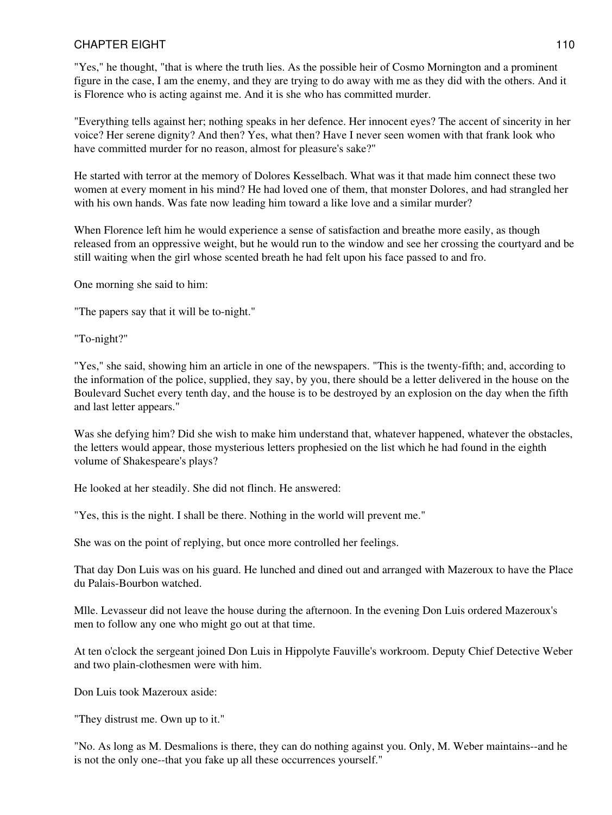"Yes," he thought, "that is where the truth lies. As the possible heir of Cosmo Mornington and a prominent figure in the case, I am the enemy, and they are trying to do away with me as they did with the others. And it is Florence who is acting against me. And it is she who has committed murder.

"Everything tells against her; nothing speaks in her defence. Her innocent eyes? The accent of sincerity in her voice? Her serene dignity? And then? Yes, what then? Have I never seen women with that frank look who have committed murder for no reason, almost for pleasure's sake?"

He started with terror at the memory of Dolores Kesselbach. What was it that made him connect these two women at every moment in his mind? He had loved one of them, that monster Dolores, and had strangled her with his own hands. Was fate now leading him toward a like love and a similar murder?

When Florence left him he would experience a sense of satisfaction and breathe more easily, as though released from an oppressive weight, but he would run to the window and see her crossing the courtyard and be still waiting when the girl whose scented breath he had felt upon his face passed to and fro.

One morning she said to him:

"The papers say that it will be to-night."

"To-night?"

"Yes," she said, showing him an article in one of the newspapers. "This is the twenty-fifth; and, according to the information of the police, supplied, they say, by you, there should be a letter delivered in the house on the Boulevard Suchet every tenth day, and the house is to be destroyed by an explosion on the day when the fifth and last letter appears."

Was she defying him? Did she wish to make him understand that, whatever happened, whatever the obstacles, the letters would appear, those mysterious letters prophesied on the list which he had found in the eighth volume of Shakespeare's plays?

He looked at her steadily. She did not flinch. He answered:

"Yes, this is the night. I shall be there. Nothing in the world will prevent me."

She was on the point of replying, but once more controlled her feelings.

That day Don Luis was on his guard. He lunched and dined out and arranged with Mazeroux to have the Place du Palais-Bourbon watched.

Mlle. Levasseur did not leave the house during the afternoon. In the evening Don Luis ordered Mazeroux's men to follow any one who might go out at that time.

At ten o'clock the sergeant joined Don Luis in Hippolyte Fauville's workroom. Deputy Chief Detective Weber and two plain-clothesmen were with him.

Don Luis took Mazeroux aside:

"They distrust me. Own up to it."

"No. As long as M. Desmalions is there, they can do nothing against you. Only, M. Weber maintains--and he is not the only one--that you fake up all these occurrences yourself."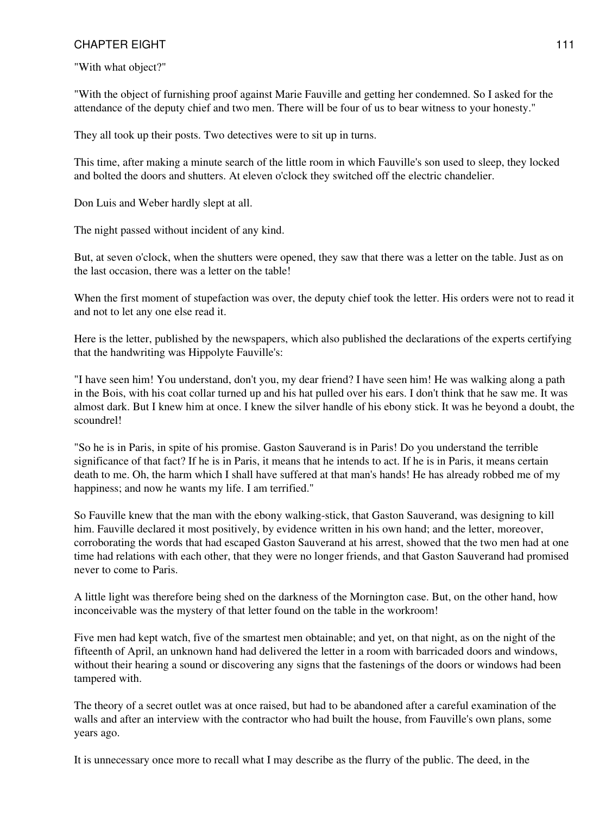"With what object?"

"With the object of furnishing proof against Marie Fauville and getting her condemned. So I asked for the attendance of the deputy chief and two men. There will be four of us to bear witness to your honesty."

They all took up their posts. Two detectives were to sit up in turns.

This time, after making a minute search of the little room in which Fauville's son used to sleep, they locked and bolted the doors and shutters. At eleven o'clock they switched off the electric chandelier.

Don Luis and Weber hardly slept at all.

The night passed without incident of any kind.

But, at seven o'clock, when the shutters were opened, they saw that there was a letter on the table. Just as on the last occasion, there was a letter on the table!

When the first moment of stupefaction was over, the deputy chief took the letter. His orders were not to read it and not to let any one else read it.

Here is the letter, published by the newspapers, which also published the declarations of the experts certifying that the handwriting was Hippolyte Fauville's:

"I have seen him! You understand, don't you, my dear friend? I have seen him! He was walking along a path in the Bois, with his coat collar turned up and his hat pulled over his ears. I don't think that he saw me. It was almost dark. But I knew him at once. I knew the silver handle of his ebony stick. It was he beyond a doubt, the scoundrel!

"So he is in Paris, in spite of his promise. Gaston Sauverand is in Paris! Do you understand the terrible significance of that fact? If he is in Paris, it means that he intends to act. If he is in Paris, it means certain death to me. Oh, the harm which I shall have suffered at that man's hands! He has already robbed me of my happiness; and now he wants my life. I am terrified."

So Fauville knew that the man with the ebony walking-stick, that Gaston Sauverand, was designing to kill him. Fauville declared it most positively, by evidence written in his own hand; and the letter, moreover, corroborating the words that had escaped Gaston Sauverand at his arrest, showed that the two men had at one time had relations with each other, that they were no longer friends, and that Gaston Sauverand had promised never to come to Paris.

A little light was therefore being shed on the darkness of the Mornington case. But, on the other hand, how inconceivable was the mystery of that letter found on the table in the workroom!

Five men had kept watch, five of the smartest men obtainable; and yet, on that night, as on the night of the fifteenth of April, an unknown hand had delivered the letter in a room with barricaded doors and windows, without their hearing a sound or discovering any signs that the fastenings of the doors or windows had been tampered with.

The theory of a secret outlet was at once raised, but had to be abandoned after a careful examination of the walls and after an interview with the contractor who had built the house, from Fauville's own plans, some years ago.

It is unnecessary once more to recall what I may describe as the flurry of the public. The deed, in the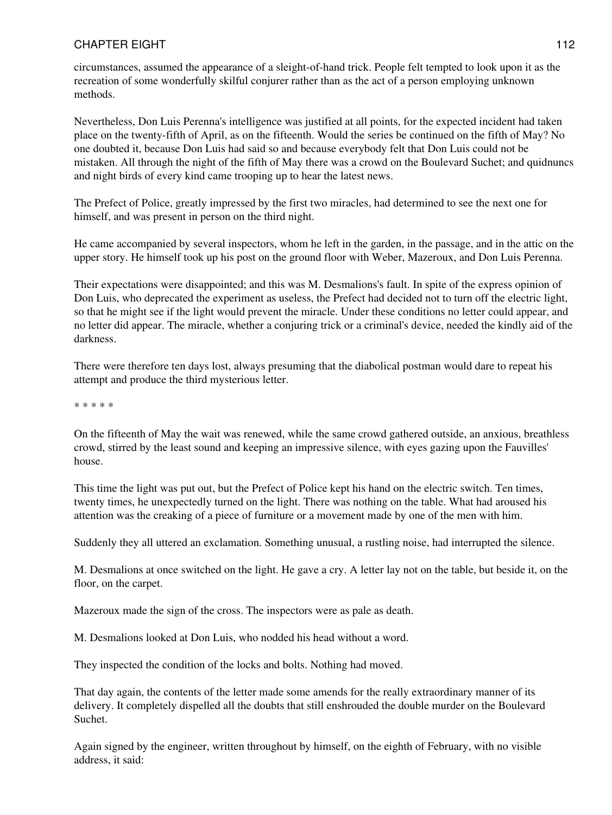circumstances, assumed the appearance of a sleight-of-hand trick. People felt tempted to look upon it as the recreation of some wonderfully skilful conjurer rather than as the act of a person employing unknown methods.

Nevertheless, Don Luis Perenna's intelligence was justified at all points, for the expected incident had taken place on the twenty-fifth of April, as on the fifteenth. Would the series be continued on the fifth of May? No one doubted it, because Don Luis had said so and because everybody felt that Don Luis could not be mistaken. All through the night of the fifth of May there was a crowd on the Boulevard Suchet; and quidnuncs and night birds of every kind came trooping up to hear the latest news.

The Prefect of Police, greatly impressed by the first two miracles, had determined to see the next one for himself, and was present in person on the third night.

He came accompanied by several inspectors, whom he left in the garden, in the passage, and in the attic on the upper story. He himself took up his post on the ground floor with Weber, Mazeroux, and Don Luis Perenna.

Their expectations were disappointed; and this was M. Desmalions's fault. In spite of the express opinion of Don Luis, who deprecated the experiment as useless, the Prefect had decided not to turn off the electric light, so that he might see if the light would prevent the miracle. Under these conditions no letter could appear, and no letter did appear. The miracle, whether a conjuring trick or a criminal's device, needed the kindly aid of the darkness.

There were therefore ten days lost, always presuming that the diabolical postman would dare to repeat his attempt and produce the third mysterious letter.

\* \* \* \* \*

On the fifteenth of May the wait was renewed, while the same crowd gathered outside, an anxious, breathless crowd, stirred by the least sound and keeping an impressive silence, with eyes gazing upon the Fauvilles' house.

This time the light was put out, but the Prefect of Police kept his hand on the electric switch. Ten times, twenty times, he unexpectedly turned on the light. There was nothing on the table. What had aroused his attention was the creaking of a piece of furniture or a movement made by one of the men with him.

Suddenly they all uttered an exclamation. Something unusual, a rustling noise, had interrupted the silence.

M. Desmalions at once switched on the light. He gave a cry. A letter lay not on the table, but beside it, on the floor, on the carpet.

Mazeroux made the sign of the cross. The inspectors were as pale as death.

M. Desmalions looked at Don Luis, who nodded his head without a word.

They inspected the condition of the locks and bolts. Nothing had moved.

That day again, the contents of the letter made some amends for the really extraordinary manner of its delivery. It completely dispelled all the doubts that still enshrouded the double murder on the Boulevard Suchet.

Again signed by the engineer, written throughout by himself, on the eighth of February, with no visible address, it said: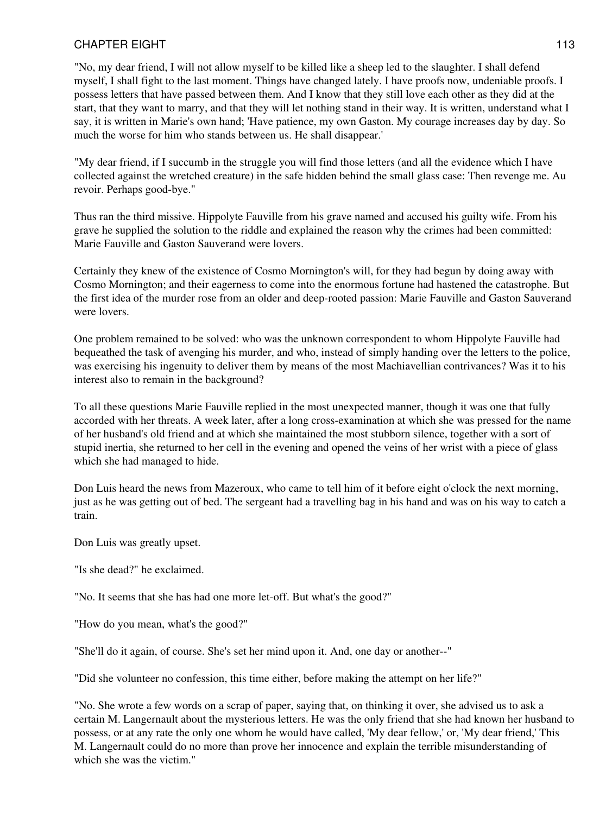"No, my dear friend, I will not allow myself to be killed like a sheep led to the slaughter. I shall defend myself, I shall fight to the last moment. Things have changed lately. I have proofs now, undeniable proofs. I possess letters that have passed between them. And I know that they still love each other as they did at the start, that they want to marry, and that they will let nothing stand in their way. It is written, understand what I say, it is written in Marie's own hand; 'Have patience, my own Gaston. My courage increases day by day. So much the worse for him who stands between us. He shall disappear.'

"My dear friend, if I succumb in the struggle you will find those letters (and all the evidence which I have collected against the wretched creature) in the safe hidden behind the small glass case: Then revenge me. Au revoir. Perhaps good-bye."

Thus ran the third missive. Hippolyte Fauville from his grave named and accused his guilty wife. From his grave he supplied the solution to the riddle and explained the reason why the crimes had been committed: Marie Fauville and Gaston Sauverand were lovers.

Certainly they knew of the existence of Cosmo Mornington's will, for they had begun by doing away with Cosmo Mornington; and their eagerness to come into the enormous fortune had hastened the catastrophe. But the first idea of the murder rose from an older and deep-rooted passion: Marie Fauville and Gaston Sauverand were lovers.

One problem remained to be solved: who was the unknown correspondent to whom Hippolyte Fauville had bequeathed the task of avenging his murder, and who, instead of simply handing over the letters to the police, was exercising his ingenuity to deliver them by means of the most Machiavellian contrivances? Was it to his interest also to remain in the background?

To all these questions Marie Fauville replied in the most unexpected manner, though it was one that fully accorded with her threats. A week later, after a long cross-examination at which she was pressed for the name of her husband's old friend and at which she maintained the most stubborn silence, together with a sort of stupid inertia, she returned to her cell in the evening and opened the veins of her wrist with a piece of glass which she had managed to hide.

Don Luis heard the news from Mazeroux, who came to tell him of it before eight o'clock the next morning, just as he was getting out of bed. The sergeant had a travelling bag in his hand and was on his way to catch a train.

Don Luis was greatly upset.

"Is she dead?" he exclaimed.

"No. It seems that she has had one more let-off. But what's the good?"

"How do you mean, what's the good?"

"She'll do it again, of course. She's set her mind upon it. And, one day or another--"

"Did she volunteer no confession, this time either, before making the attempt on her life?"

"No. She wrote a few words on a scrap of paper, saying that, on thinking it over, she advised us to ask a certain M. Langernault about the mysterious letters. He was the only friend that she had known her husband to possess, or at any rate the only one whom he would have called, 'My dear fellow,' or, 'My dear friend,' This M. Langernault could do no more than prove her innocence and explain the terrible misunderstanding of which she was the victim."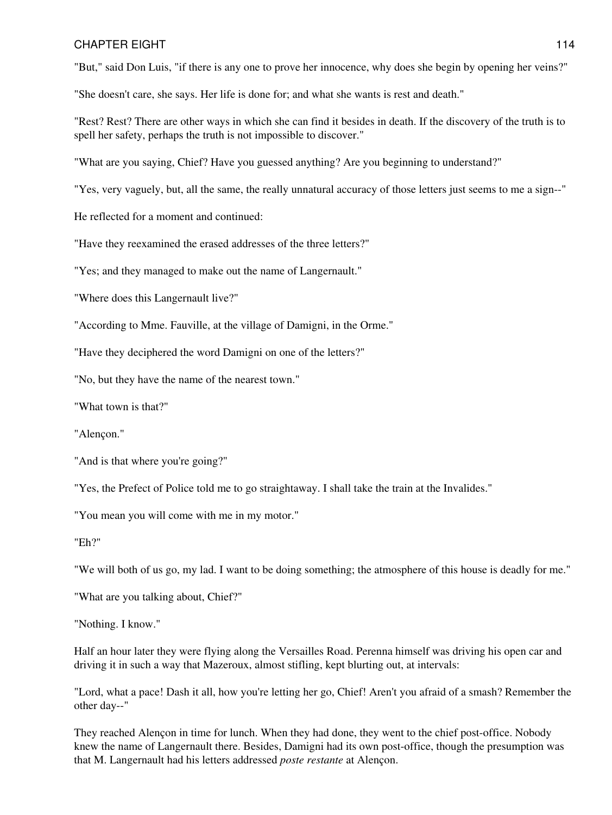"But," said Don Luis, "if there is any one to prove her innocence, why does she begin by opening her veins?"

"She doesn't care, she says. Her life is done for; and what she wants is rest and death."

"Rest? Rest? There are other ways in which she can find it besides in death. If the discovery of the truth is to spell her safety, perhaps the truth is not impossible to discover."

"What are you saying, Chief? Have you guessed anything? Are you beginning to understand?"

"Yes, very vaguely, but, all the same, the really unnatural accuracy of those letters just seems to me a sign--"

He reflected for a moment and continued:

"Have they reexamined the erased addresses of the three letters?"

"Yes; and they managed to make out the name of Langernault."

"Where does this Langernault live?"

"According to Mme. Fauville, at the village of Damigni, in the Orme."

"Have they deciphered the word Damigni on one of the letters?"

"No, but they have the name of the nearest town."

"What town is that?"

"Alençon."

"And is that where you're going?"

"Yes, the Prefect of Police told me to go straightaway. I shall take the train at the Invalides."

"You mean you will come with me in my motor."

"Eh?"

"We will both of us go, my lad. I want to be doing something; the atmosphere of this house is deadly for me."

"What are you talking about, Chief?"

"Nothing. I know."

Half an hour later they were flying along the Versailles Road. Perenna himself was driving his open car and driving it in such a way that Mazeroux, almost stifling, kept blurting out, at intervals:

"Lord, what a pace! Dash it all, how you're letting her go, Chief! Aren't you afraid of a smash? Remember the other day--"

They reached Alençon in time for lunch. When they had done, they went to the chief post-office. Nobody knew the name of Langernault there. Besides, Damigni had its own post-office, though the presumption was that M. Langernault had his letters addressed *poste restante* at Alençon.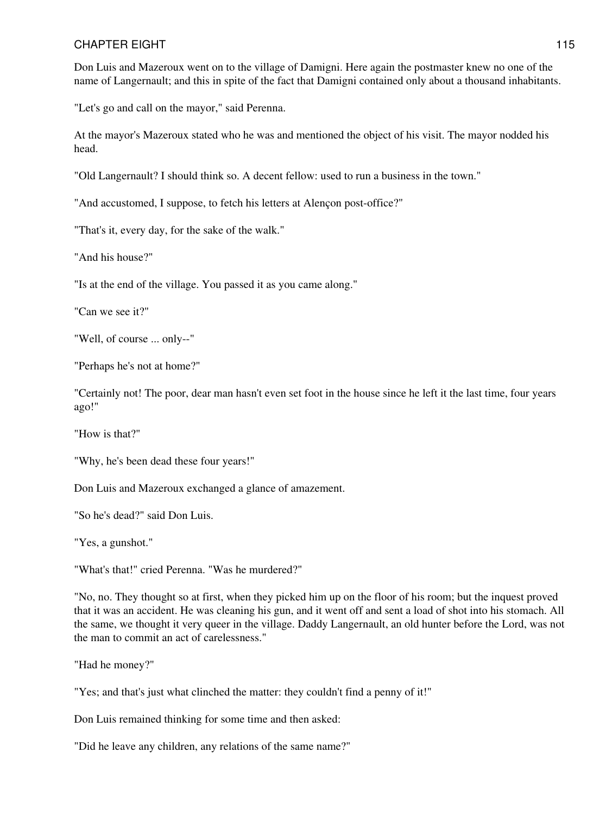Don Luis and Mazeroux went on to the village of Damigni. Here again the postmaster knew no one of the name of Langernault; and this in spite of the fact that Damigni contained only about a thousand inhabitants.

"Let's go and call on the mayor," said Perenna.

At the mayor's Mazeroux stated who he was and mentioned the object of his visit. The mayor nodded his head.

"Old Langernault? I should think so. A decent fellow: used to run a business in the town."

"And accustomed, I suppose, to fetch his letters at Alençon post-office?"

"That's it, every day, for the sake of the walk."

"And his house?"

"Is at the end of the village. You passed it as you came along."

"Can we see it?"

"Well, of course ... only--"

"Perhaps he's not at home?"

"Certainly not! The poor, dear man hasn't even set foot in the house since he left it the last time, four years ago!"

"How is that?"

"Why, he's been dead these four years!"

Don Luis and Mazeroux exchanged a glance of amazement.

"So he's dead?" said Don Luis.

"Yes, a gunshot."

"What's that!" cried Perenna. "Was he murdered?"

"No, no. They thought so at first, when they picked him up on the floor of his room; but the inquest proved that it was an accident. He was cleaning his gun, and it went off and sent a load of shot into his stomach. All the same, we thought it very queer in the village. Daddy Langernault, an old hunter before the Lord, was not the man to commit an act of carelessness."

"Had he money?"

"Yes; and that's just what clinched the matter: they couldn't find a penny of it!"

Don Luis remained thinking for some time and then asked:

"Did he leave any children, any relations of the same name?"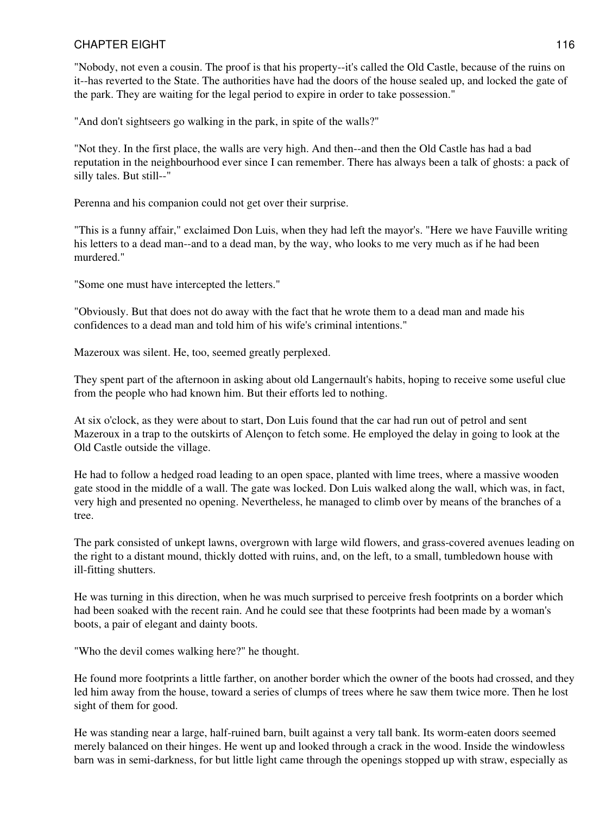"Nobody, not even a cousin. The proof is that his property--it's called the Old Castle, because of the ruins on it--has reverted to the State. The authorities have had the doors of the house sealed up, and locked the gate of the park. They are waiting for the legal period to expire in order to take possession."

"And don't sightseers go walking in the park, in spite of the walls?"

"Not they. In the first place, the walls are very high. And then--and then the Old Castle has had a bad reputation in the neighbourhood ever since I can remember. There has always been a talk of ghosts: a pack of silly tales. But still--"

Perenna and his companion could not get over their surprise.

"This is a funny affair," exclaimed Don Luis, when they had left the mayor's. "Here we have Fauville writing his letters to a dead man--and to a dead man, by the way, who looks to me very much as if he had been murdered."

"Some one must have intercepted the letters."

"Obviously. But that does not do away with the fact that he wrote them to a dead man and made his confidences to a dead man and told him of his wife's criminal intentions."

Mazeroux was silent. He, too, seemed greatly perplexed.

They spent part of the afternoon in asking about old Langernault's habits, hoping to receive some useful clue from the people who had known him. But their efforts led to nothing.

At six o'clock, as they were about to start, Don Luis found that the car had run out of petrol and sent Mazeroux in a trap to the outskirts of Alençon to fetch some. He employed the delay in going to look at the Old Castle outside the village.

He had to follow a hedged road leading to an open space, planted with lime trees, where a massive wooden gate stood in the middle of a wall. The gate was locked. Don Luis walked along the wall, which was, in fact, very high and presented no opening. Nevertheless, he managed to climb over by means of the branches of a tree.

The park consisted of unkept lawns, overgrown with large wild flowers, and grass-covered avenues leading on the right to a distant mound, thickly dotted with ruins, and, on the left, to a small, tumbledown house with ill-fitting shutters.

He was turning in this direction, when he was much surprised to perceive fresh footprints on a border which had been soaked with the recent rain. And he could see that these footprints had been made by a woman's boots, a pair of elegant and dainty boots.

"Who the devil comes walking here?" he thought.

He found more footprints a little farther, on another border which the owner of the boots had crossed, and they led him away from the house, toward a series of clumps of trees where he saw them twice more. Then he lost sight of them for good.

He was standing near a large, half-ruined barn, built against a very tall bank. Its worm-eaten doors seemed merely balanced on their hinges. He went up and looked through a crack in the wood. Inside the windowless barn was in semi-darkness, for but little light came through the openings stopped up with straw, especially as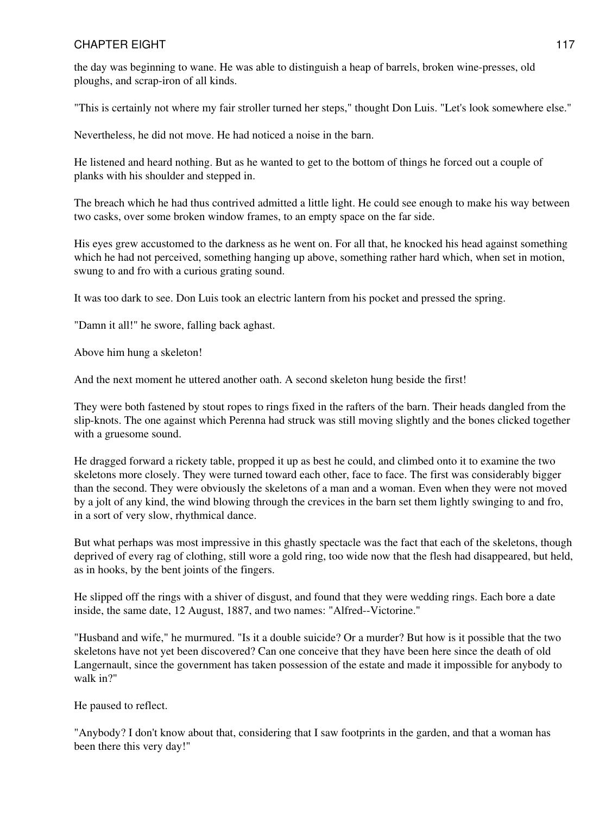the day was beginning to wane. He was able to distinguish a heap of barrels, broken wine-presses, old ploughs, and scrap-iron of all kinds.

"This is certainly not where my fair stroller turned her steps," thought Don Luis. "Let's look somewhere else."

Nevertheless, he did not move. He had noticed a noise in the barn.

He listened and heard nothing. But as he wanted to get to the bottom of things he forced out a couple of planks with his shoulder and stepped in.

The breach which he had thus contrived admitted a little light. He could see enough to make his way between two casks, over some broken window frames, to an empty space on the far side.

His eyes grew accustomed to the darkness as he went on. For all that, he knocked his head against something which he had not perceived, something hanging up above, something rather hard which, when set in motion, swung to and fro with a curious grating sound.

It was too dark to see. Don Luis took an electric lantern from his pocket and pressed the spring.

"Damn it all!" he swore, falling back aghast.

Above him hung a skeleton!

And the next moment he uttered another oath. A second skeleton hung beside the first!

They were both fastened by stout ropes to rings fixed in the rafters of the barn. Their heads dangled from the slip-knots. The one against which Perenna had struck was still moving slightly and the bones clicked together with a gruesome sound.

He dragged forward a rickety table, propped it up as best he could, and climbed onto it to examine the two skeletons more closely. They were turned toward each other, face to face. The first was considerably bigger than the second. They were obviously the skeletons of a man and a woman. Even when they were not moved by a jolt of any kind, the wind blowing through the crevices in the barn set them lightly swinging to and fro, in a sort of very slow, rhythmical dance.

But what perhaps was most impressive in this ghastly spectacle was the fact that each of the skeletons, though deprived of every rag of clothing, still wore a gold ring, too wide now that the flesh had disappeared, but held, as in hooks, by the bent joints of the fingers.

He slipped off the rings with a shiver of disgust, and found that they were wedding rings. Each bore a date inside, the same date, 12 August, 1887, and two names: "Alfred--Victorine."

"Husband and wife," he murmured. "Is it a double suicide? Or a murder? But how is it possible that the two skeletons have not yet been discovered? Can one conceive that they have been here since the death of old Langernault, since the government has taken possession of the estate and made it impossible for anybody to walk in?"

He paused to reflect.

"Anybody? I don't know about that, considering that I saw footprints in the garden, and that a woman has been there this very day!"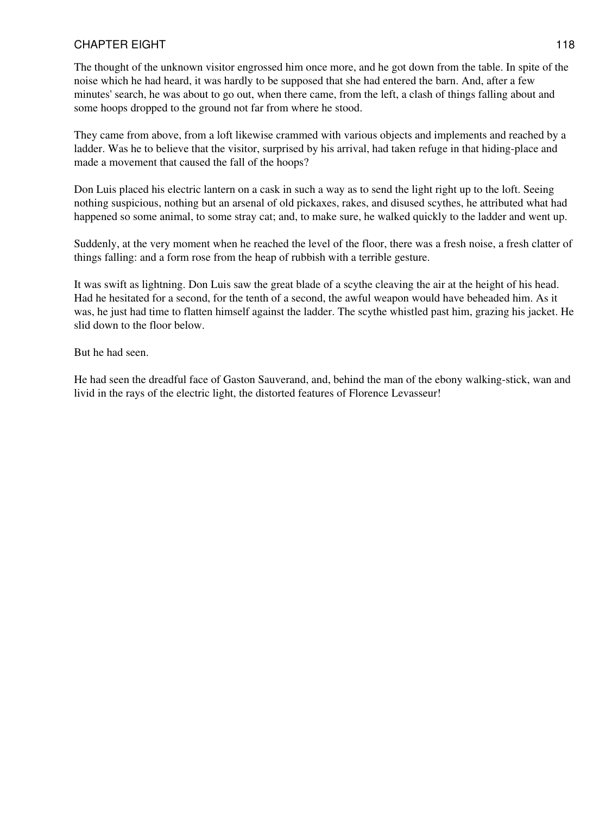The thought of the unknown visitor engrossed him once more, and he got down from the table. In spite of the noise which he had heard, it was hardly to be supposed that she had entered the barn. And, after a few minutes' search, he was about to go out, when there came, from the left, a clash of things falling about and some hoops dropped to the ground not far from where he stood.

They came from above, from a loft likewise crammed with various objects and implements and reached by a ladder. Was he to believe that the visitor, surprised by his arrival, had taken refuge in that hiding-place and made a movement that caused the fall of the hoops?

Don Luis placed his electric lantern on a cask in such a way as to send the light right up to the loft. Seeing nothing suspicious, nothing but an arsenal of old pickaxes, rakes, and disused scythes, he attributed what had happened so some animal, to some stray cat; and, to make sure, he walked quickly to the ladder and went up.

Suddenly, at the very moment when he reached the level of the floor, there was a fresh noise, a fresh clatter of things falling: and a form rose from the heap of rubbish with a terrible gesture.

It was swift as lightning. Don Luis saw the great blade of a scythe cleaving the air at the height of his head. Had he hesitated for a second, for the tenth of a second, the awful weapon would have beheaded him. As it was, he just had time to flatten himself against the ladder. The scythe whistled past him, grazing his jacket. He slid down to the floor below.

But he had seen.

He had seen the dreadful face of Gaston Sauverand, and, behind the man of the ebony walking-stick, wan and livid in the rays of the electric light, the distorted features of Florence Levasseur!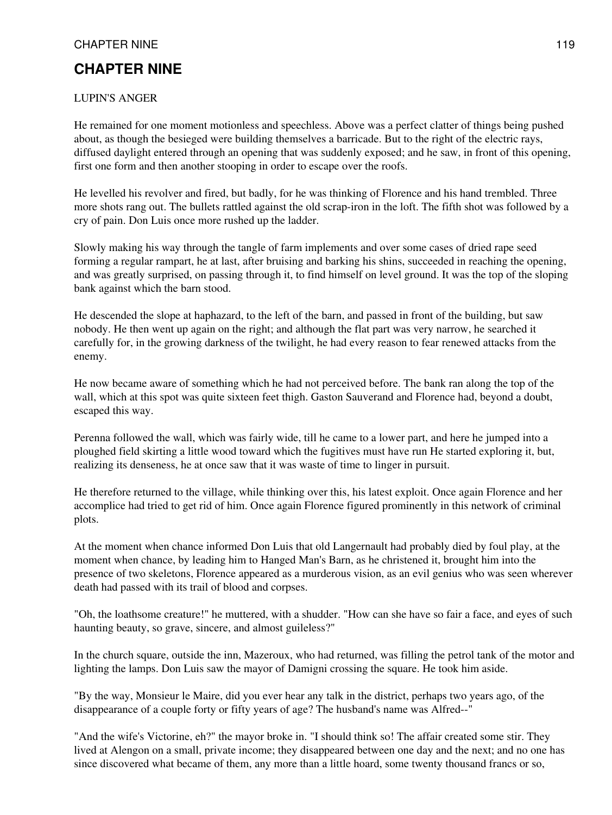# **CHAPTER NINE**

#### LUPIN'S ANGER

He remained for one moment motionless and speechless. Above was a perfect clatter of things being pushed about, as though the besieged were building themselves a barricade. But to the right of the electric rays, diffused daylight entered through an opening that was suddenly exposed; and he saw, in front of this opening, first one form and then another stooping in order to escape over the roofs.

He levelled his revolver and fired, but badly, for he was thinking of Florence and his hand trembled. Three more shots rang out. The bullets rattled against the old scrap-iron in the loft. The fifth shot was followed by a cry of pain. Don Luis once more rushed up the ladder.

Slowly making his way through the tangle of farm implements and over some cases of dried rape seed forming a regular rampart, he at last, after bruising and barking his shins, succeeded in reaching the opening, and was greatly surprised, on passing through it, to find himself on level ground. It was the top of the sloping bank against which the barn stood.

He descended the slope at haphazard, to the left of the barn, and passed in front of the building, but saw nobody. He then went up again on the right; and although the flat part was very narrow, he searched it carefully for, in the growing darkness of the twilight, he had every reason to fear renewed attacks from the enemy.

He now became aware of something which he had not perceived before. The bank ran along the top of the wall, which at this spot was quite sixteen feet thigh. Gaston Sauverand and Florence had, beyond a doubt, escaped this way.

Perenna followed the wall, which was fairly wide, till he came to a lower part, and here he jumped into a ploughed field skirting a little wood toward which the fugitives must have run He started exploring it, but, realizing its denseness, he at once saw that it was waste of time to linger in pursuit.

He therefore returned to the village, while thinking over this, his latest exploit. Once again Florence and her accomplice had tried to get rid of him. Once again Florence figured prominently in this network of criminal plots.

At the moment when chance informed Don Luis that old Langernault had probably died by foul play, at the moment when chance, by leading him to Hanged Man's Barn, as he christened it, brought him into the presence of two skeletons, Florence appeared as a murderous vision, as an evil genius who was seen wherever death had passed with its trail of blood and corpses.

"Oh, the loathsome creature!" he muttered, with a shudder. "How can she have so fair a face, and eyes of such haunting beauty, so grave, sincere, and almost guileless?"

In the church square, outside the inn, Mazeroux, who had returned, was filling the petrol tank of the motor and lighting the lamps. Don Luis saw the mayor of Damigni crossing the square. He took him aside.

"By the way, Monsieur le Maire, did you ever hear any talk in the district, perhaps two years ago, of the disappearance of a couple forty or fifty years of age? The husband's name was Alfred--"

"And the wife's Victorine, eh?" the mayor broke in. "I should think so! The affair created some stir. They lived at Alengon on a small, private income; they disappeared between one day and the next; and no one has since discovered what became of them, any more than a little hoard, some twenty thousand francs or so,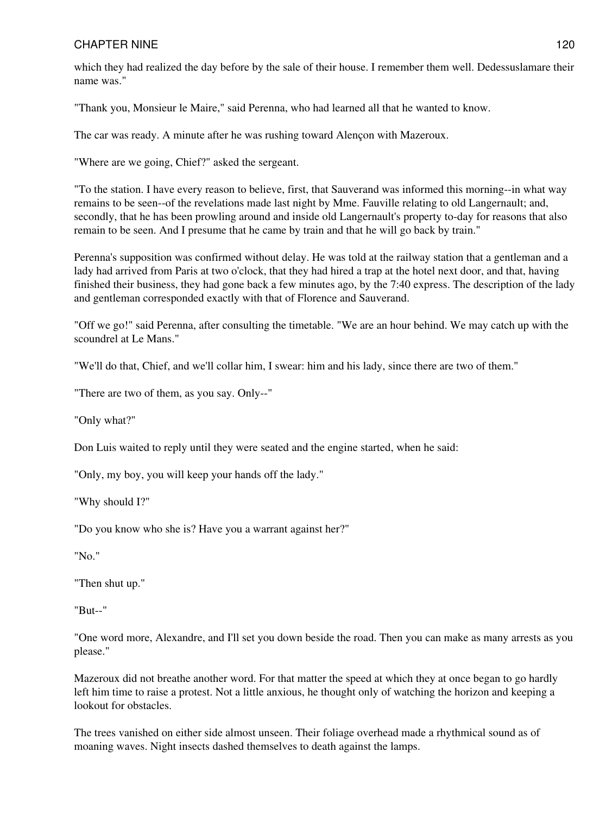which they had realized the day before by the sale of their house. I remember them well. Dedessuslamare their name was."

"Thank you, Monsieur le Maire," said Perenna, who had learned all that he wanted to know.

The car was ready. A minute after he was rushing toward Alençon with Mazeroux.

"Where are we going, Chief?" asked the sergeant.

"To the station. I have every reason to believe, first, that Sauverand was informed this morning--in what way remains to be seen--of the revelations made last night by Mme. Fauville relating to old Langernault; and, secondly, that he has been prowling around and inside old Langernault's property to-day for reasons that also remain to be seen. And I presume that he came by train and that he will go back by train."

Perenna's supposition was confirmed without delay. He was told at the railway station that a gentleman and a lady had arrived from Paris at two o'clock, that they had hired a trap at the hotel next door, and that, having finished their business, they had gone back a few minutes ago, by the 7:40 express. The description of the lady and gentleman corresponded exactly with that of Florence and Sauverand.

"Off we go!" said Perenna, after consulting the timetable. "We are an hour behind. We may catch up with the scoundrel at Le Mans."

"We'll do that, Chief, and we'll collar him, I swear: him and his lady, since there are two of them."

"There are two of them, as you say. Only--"

"Only what?"

Don Luis waited to reply until they were seated and the engine started, when he said:

"Only, my boy, you will keep your hands off the lady."

"Why should I?"

"Do you know who she is? Have you a warrant against her?"

"No."

"Then shut up."

"But--"

"One word more, Alexandre, and I'll set you down beside the road. Then you can make as many arrests as you please."

Mazeroux did not breathe another word. For that matter the speed at which they at once began to go hardly left him time to raise a protest. Not a little anxious, he thought only of watching the horizon and keeping a lookout for obstacles.

The trees vanished on either side almost unseen. Their foliage overhead made a rhythmical sound as of moaning waves. Night insects dashed themselves to death against the lamps.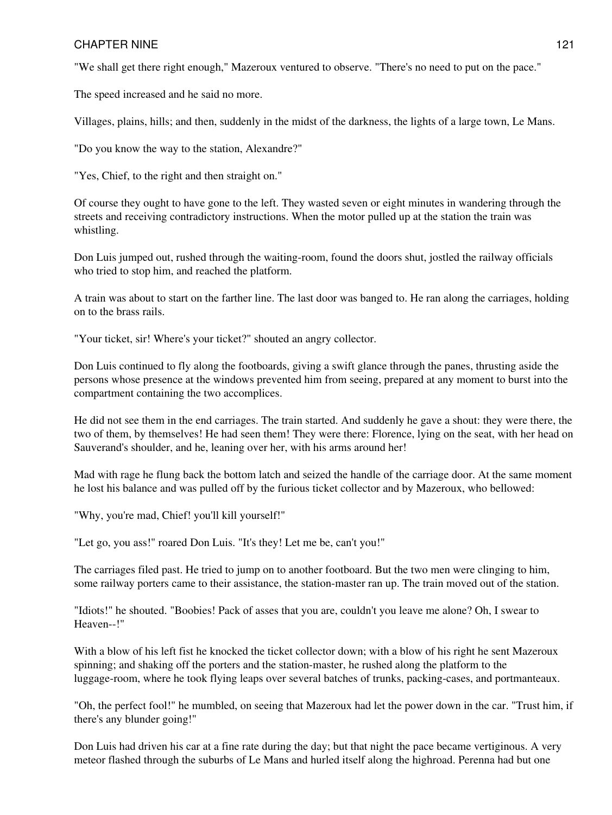"We shall get there right enough," Mazeroux ventured to observe. "There's no need to put on the pace."

The speed increased and he said no more.

Villages, plains, hills; and then, suddenly in the midst of the darkness, the lights of a large town, Le Mans.

"Do you know the way to the station, Alexandre?"

"Yes, Chief, to the right and then straight on."

Of course they ought to have gone to the left. They wasted seven or eight minutes in wandering through the streets and receiving contradictory instructions. When the motor pulled up at the station the train was whistling.

Don Luis jumped out, rushed through the waiting-room, found the doors shut, jostled the railway officials who tried to stop him, and reached the platform.

A train was about to start on the farther line. The last door was banged to. He ran along the carriages, holding on to the brass rails.

"Your ticket, sir! Where's your ticket?" shouted an angry collector.

Don Luis continued to fly along the footboards, giving a swift glance through the panes, thrusting aside the persons whose presence at the windows prevented him from seeing, prepared at any moment to burst into the compartment containing the two accomplices.

He did not see them in the end carriages. The train started. And suddenly he gave a shout: they were there, the two of them, by themselves! He had seen them! They were there: Florence, lying on the seat, with her head on Sauverand's shoulder, and he, leaning over her, with his arms around her!

Mad with rage he flung back the bottom latch and seized the handle of the carriage door. At the same moment he lost his balance and was pulled off by the furious ticket collector and by Mazeroux, who bellowed:

"Why, you're mad, Chief! you'll kill yourself!"

"Let go, you ass!" roared Don Luis. "It's they! Let me be, can't you!"

The carriages filed past. He tried to jump on to another footboard. But the two men were clinging to him, some railway porters came to their assistance, the station-master ran up. The train moved out of the station.

"Idiots!" he shouted. "Boobies! Pack of asses that you are, couldn't you leave me alone? Oh, I swear to Heaven--!"

With a blow of his left fist he knocked the ticket collector down; with a blow of his right he sent Mazeroux spinning; and shaking off the porters and the station-master, he rushed along the platform to the luggage-room, where he took flying leaps over several batches of trunks, packing-cases, and portmanteaux.

"Oh, the perfect fool!" he mumbled, on seeing that Mazeroux had let the power down in the car. "Trust him, if there's any blunder going!"

Don Luis had driven his car at a fine rate during the day; but that night the pace became vertiginous. A very meteor flashed through the suburbs of Le Mans and hurled itself along the highroad. Perenna had but one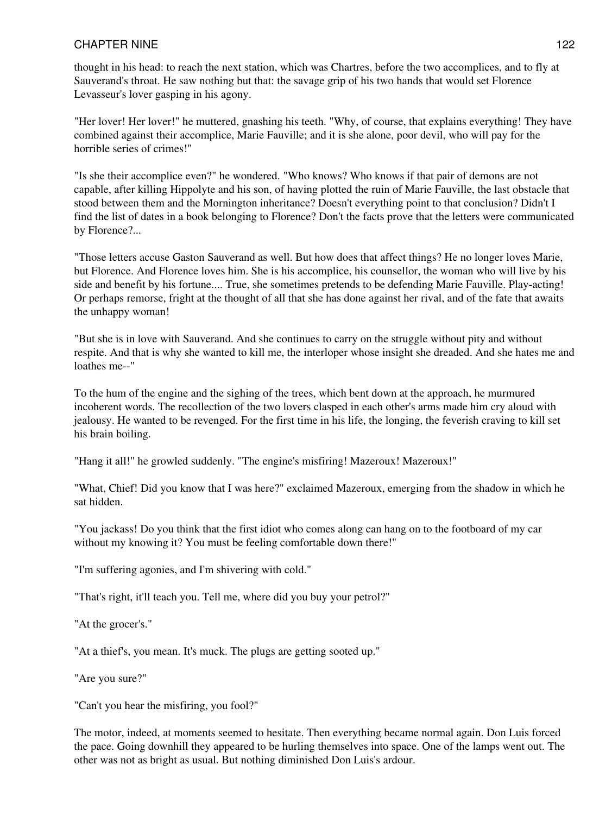thought in his head: to reach the next station, which was Chartres, before the two accomplices, and to fly at Sauverand's throat. He saw nothing but that: the savage grip of his two hands that would set Florence Levasseur's lover gasping in his agony.

"Her lover! Her lover!" he muttered, gnashing his teeth. "Why, of course, that explains everything! They have combined against their accomplice, Marie Fauville; and it is she alone, poor devil, who will pay for the horrible series of crimes!"

"Is she their accomplice even?" he wondered. "Who knows? Who knows if that pair of demons are not capable, after killing Hippolyte and his son, of having plotted the ruin of Marie Fauville, the last obstacle that stood between them and the Mornington inheritance? Doesn't everything point to that conclusion? Didn't I find the list of dates in a book belonging to Florence? Don't the facts prove that the letters were communicated by Florence?...

"Those letters accuse Gaston Sauverand as well. But how does that affect things? He no longer loves Marie, but Florence. And Florence loves him. She is his accomplice, his counsellor, the woman who will live by his side and benefit by his fortune.... True, she sometimes pretends to be defending Marie Fauville. Play-acting! Or perhaps remorse, fright at the thought of all that she has done against her rival, and of the fate that awaits the unhappy woman!

"But she is in love with Sauverand. And she continues to carry on the struggle without pity and without respite. And that is why she wanted to kill me, the interloper whose insight she dreaded. And she hates me and loathes me--"

To the hum of the engine and the sighing of the trees, which bent down at the approach, he murmured incoherent words. The recollection of the two lovers clasped in each other's arms made him cry aloud with jealousy. He wanted to be revenged. For the first time in his life, the longing, the feverish craving to kill set his brain boiling.

"Hang it all!" he growled suddenly. "The engine's misfiring! Mazeroux! Mazeroux!"

"What, Chief! Did you know that I was here?" exclaimed Mazeroux, emerging from the shadow in which he sat hidden.

"You jackass! Do you think that the first idiot who comes along can hang on to the footboard of my car without my knowing it? You must be feeling comfortable down there!"

"I'm suffering agonies, and I'm shivering with cold."

"That's right, it'll teach you. Tell me, where did you buy your petrol?"

"At the grocer's."

"At a thief's, you mean. It's muck. The plugs are getting sooted up."

"Are you sure?"

"Can't you hear the misfiring, you fool?"

The motor, indeed, at moments seemed to hesitate. Then everything became normal again. Don Luis forced the pace. Going downhill they appeared to be hurling themselves into space. One of the lamps went out. The other was not as bright as usual. But nothing diminished Don Luis's ardour.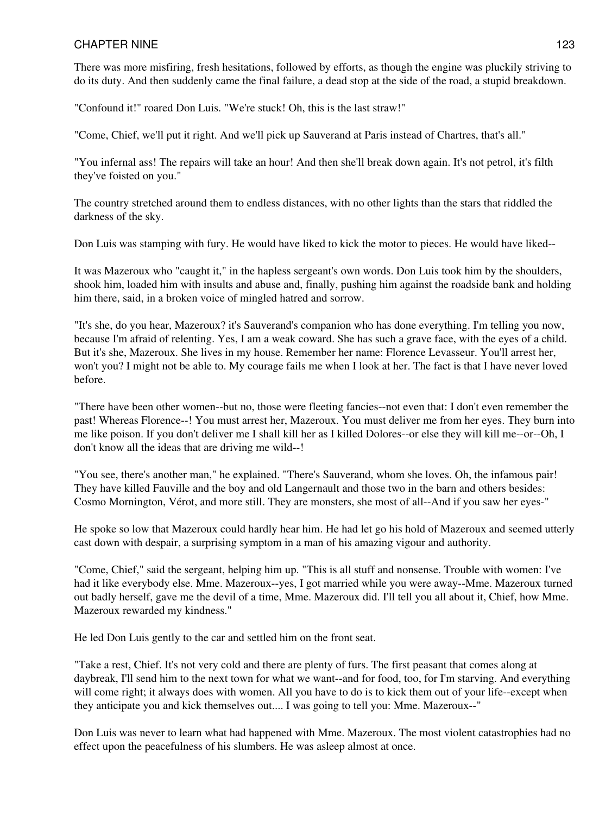There was more misfiring, fresh hesitations, followed by efforts, as though the engine was pluckily striving to do its duty. And then suddenly came the final failure, a dead stop at the side of the road, a stupid breakdown.

"Confound it!" roared Don Luis. "We're stuck! Oh, this is the last straw!"

"Come, Chief, we'll put it right. And we'll pick up Sauverand at Paris instead of Chartres, that's all."

"You infernal ass! The repairs will take an hour! And then she'll break down again. It's not petrol, it's filth they've foisted on you."

The country stretched around them to endless distances, with no other lights than the stars that riddled the darkness of the sky.

Don Luis was stamping with fury. He would have liked to kick the motor to pieces. He would have liked--

It was Mazeroux who "caught it," in the hapless sergeant's own words. Don Luis took him by the shoulders, shook him, loaded him with insults and abuse and, finally, pushing him against the roadside bank and holding him there, said, in a broken voice of mingled hatred and sorrow.

"It's she, do you hear, Mazeroux? it's Sauverand's companion who has done everything. I'm telling you now, because I'm afraid of relenting. Yes, I am a weak coward. She has such a grave face, with the eyes of a child. But it's she, Mazeroux. She lives in my house. Remember her name: Florence Levasseur. You'll arrest her, won't you? I might not be able to. My courage fails me when I look at her. The fact is that I have never loved before.

"There have been other women--but no, those were fleeting fancies--not even that: I don't even remember the past! Whereas Florence--! You must arrest her, Mazeroux. You must deliver me from her eyes. They burn into me like poison. If you don't deliver me I shall kill her as I killed Dolores--or else they will kill me--or--Oh, I don't know all the ideas that are driving me wild--!

"You see, there's another man," he explained. "There's Sauverand, whom she loves. Oh, the infamous pair! They have killed Fauville and the boy and old Langernault and those two in the barn and others besides: Cosmo Mornington, Vérot, and more still. They are monsters, she most of all--And if you saw her eyes-"

He spoke so low that Mazeroux could hardly hear him. He had let go his hold of Mazeroux and seemed utterly cast down with despair, a surprising symptom in a man of his amazing vigour and authority.

"Come, Chief," said the sergeant, helping him up. "This is all stuff and nonsense. Trouble with women: I've had it like everybody else. Mme. Mazeroux--yes, I got married while you were away--Mme. Mazeroux turned out badly herself, gave me the devil of a time, Mme. Mazeroux did. I'll tell you all about it, Chief, how Mme. Mazeroux rewarded my kindness."

He led Don Luis gently to the car and settled him on the front seat.

"Take a rest, Chief. It's not very cold and there are plenty of furs. The first peasant that comes along at daybreak, I'll send him to the next town for what we want--and for food, too, for I'm starving. And everything will come right; it always does with women. All you have to do is to kick them out of your life--except when they anticipate you and kick themselves out.... I was going to tell you: Mme. Mazeroux--"

Don Luis was never to learn what had happened with Mme. Mazeroux. The most violent catastrophies had no effect upon the peacefulness of his slumbers. He was asleep almost at once.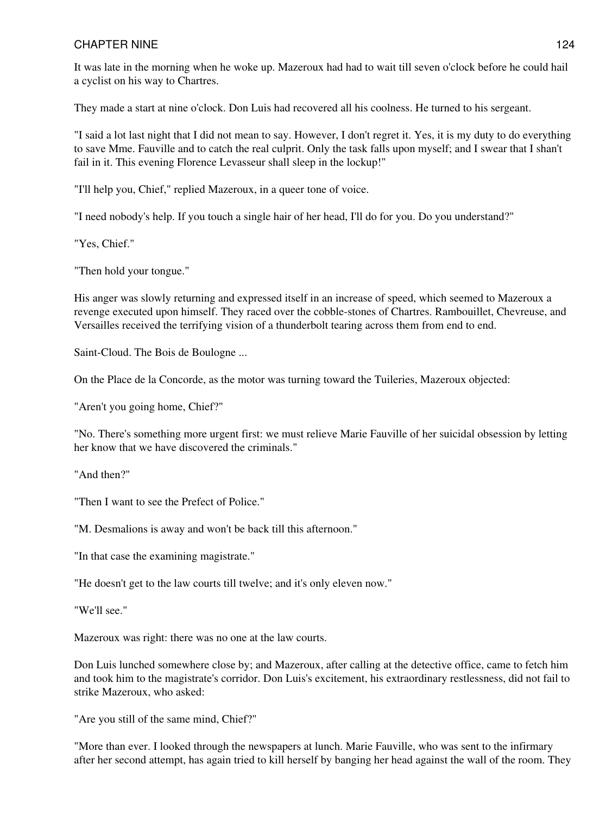It was late in the morning when he woke up. Mazeroux had had to wait till seven o'clock before he could hail a cyclist on his way to Chartres.

They made a start at nine o'clock. Don Luis had recovered all his coolness. He turned to his sergeant.

"I said a lot last night that I did not mean to say. However, I don't regret it. Yes, it is my duty to do everything to save Mme. Fauville and to catch the real culprit. Only the task falls upon myself; and I swear that I shan't fail in it. This evening Florence Levasseur shall sleep in the lockup!"

"I'll help you, Chief," replied Mazeroux, in a queer tone of voice.

"I need nobody's help. If you touch a single hair of her head, I'll do for you. Do you understand?"

"Yes, Chief."

"Then hold your tongue."

His anger was slowly returning and expressed itself in an increase of speed, which seemed to Mazeroux a revenge executed upon himself. They raced over the cobble-stones of Chartres. Rambouillet, Chevreuse, and Versailles received the terrifying vision of a thunderbolt tearing across them from end to end.

Saint-Cloud. The Bois de Boulogne ...

On the Place de la Concorde, as the motor was turning toward the Tuileries, Mazeroux objected:

"Aren't you going home, Chief?"

"No. There's something more urgent first: we must relieve Marie Fauville of her suicidal obsession by letting her know that we have discovered the criminals."

"And then?"

"Then I want to see the Prefect of Police."

"M. Desmalions is away and won't be back till this afternoon."

"In that case the examining magistrate."

"He doesn't get to the law courts till twelve; and it's only eleven now."

"We'll see."

Mazeroux was right: there was no one at the law courts.

Don Luis lunched somewhere close by; and Mazeroux, after calling at the detective office, came to fetch him and took him to the magistrate's corridor. Don Luis's excitement, his extraordinary restlessness, did not fail to strike Mazeroux, who asked:

"Are you still of the same mind, Chief?"

"More than ever. I looked through the newspapers at lunch. Marie Fauville, who was sent to the infirmary after her second attempt, has again tried to kill herself by banging her head against the wall of the room. They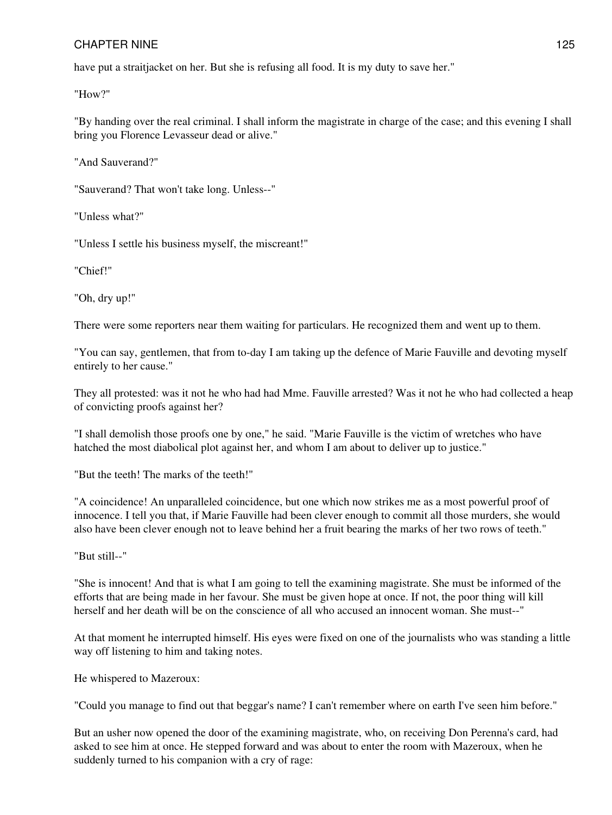have put a straitjacket on her. But she is refusing all food. It is my duty to save her."

"How?"

"By handing over the real criminal. I shall inform the magistrate in charge of the case; and this evening I shall bring you Florence Levasseur dead or alive."

"And Sauverand?"

"Sauverand? That won't take long. Unless--"

"Unless what?"

"Unless I settle his business myself, the miscreant!"

"Chief!"

"Oh, dry up!"

There were some reporters near them waiting for particulars. He recognized them and went up to them.

"You can say, gentlemen, that from to-day I am taking up the defence of Marie Fauville and devoting myself entirely to her cause."

They all protested: was it not he who had had Mme. Fauville arrested? Was it not he who had collected a heap of convicting proofs against her?

"I shall demolish those proofs one by one," he said. "Marie Fauville is the victim of wretches who have hatched the most diabolical plot against her, and whom I am about to deliver up to justice."

"But the teeth! The marks of the teeth!"

"A coincidence! An unparalleled coincidence, but one which now strikes me as a most powerful proof of innocence. I tell you that, if Marie Fauville had been clever enough to commit all those murders, she would also have been clever enough not to leave behind her a fruit bearing the marks of her two rows of teeth."

"But still--"

"She is innocent! And that is what I am going to tell the examining magistrate. She must be informed of the efforts that are being made in her favour. She must be given hope at once. If not, the poor thing will kill herself and her death will be on the conscience of all who accused an innocent woman. She must--"

At that moment he interrupted himself. His eyes were fixed on one of the journalists who was standing a little way off listening to him and taking notes.

He whispered to Mazeroux:

"Could you manage to find out that beggar's name? I can't remember where on earth I've seen him before."

But an usher now opened the door of the examining magistrate, who, on receiving Don Perenna's card, had asked to see him at once. He stepped forward and was about to enter the room with Mazeroux, when he suddenly turned to his companion with a cry of rage: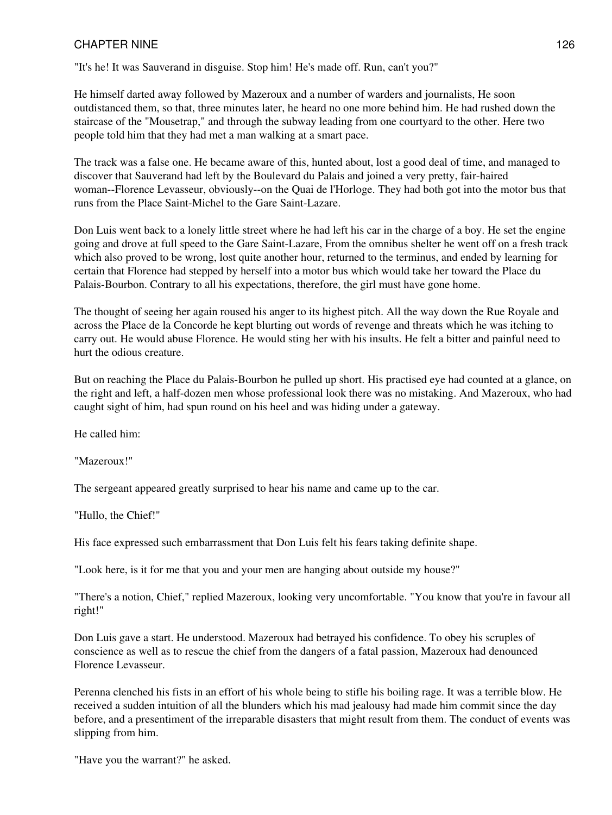"It's he! It was Sauverand in disguise. Stop him! He's made off. Run, can't you?"

He himself darted away followed by Mazeroux and a number of warders and journalists, He soon outdistanced them, so that, three minutes later, he heard no one more behind him. He had rushed down the staircase of the "Mousetrap," and through the subway leading from one courtyard to the other. Here two people told him that they had met a man walking at a smart pace.

The track was a false one. He became aware of this, hunted about, lost a good deal of time, and managed to discover that Sauverand had left by the Boulevard du Palais and joined a very pretty, fair-haired woman--Florence Levasseur, obviously--on the Quai de l'Horloge. They had both got into the motor bus that runs from the Place Saint-Michel to the Gare Saint-Lazare.

Don Luis went back to a lonely little street where he had left his car in the charge of a boy. He set the engine going and drove at full speed to the Gare Saint-Lazare, From the omnibus shelter he went off on a fresh track which also proved to be wrong, lost quite another hour, returned to the terminus, and ended by learning for certain that Florence had stepped by herself into a motor bus which would take her toward the Place du Palais-Bourbon. Contrary to all his expectations, therefore, the girl must have gone home.

The thought of seeing her again roused his anger to its highest pitch. All the way down the Rue Royale and across the Place de la Concorde he kept blurting out words of revenge and threats which he was itching to carry out. He would abuse Florence. He would sting her with his insults. He felt a bitter and painful need to hurt the odious creature.

But on reaching the Place du Palais-Bourbon he pulled up short. His practised eye had counted at a glance, on the right and left, a half-dozen men whose professional look there was no mistaking. And Mazeroux, who had caught sight of him, had spun round on his heel and was hiding under a gateway.

He called him:

"Mazeroux!"

The sergeant appeared greatly surprised to hear his name and came up to the car.

"Hullo, the Chief!"

His face expressed such embarrassment that Don Luis felt his fears taking definite shape.

"Look here, is it for me that you and your men are hanging about outside my house?"

"There's a notion, Chief," replied Mazeroux, looking very uncomfortable. "You know that you're in favour all right!"

Don Luis gave a start. He understood. Mazeroux had betrayed his confidence. To obey his scruples of conscience as well as to rescue the chief from the dangers of a fatal passion, Mazeroux had denounced Florence Levasseur.

Perenna clenched his fists in an effort of his whole being to stifle his boiling rage. It was a terrible blow. He received a sudden intuition of all the blunders which his mad jealousy had made him commit since the day before, and a presentiment of the irreparable disasters that might result from them. The conduct of events was slipping from him.

"Have you the warrant?" he asked.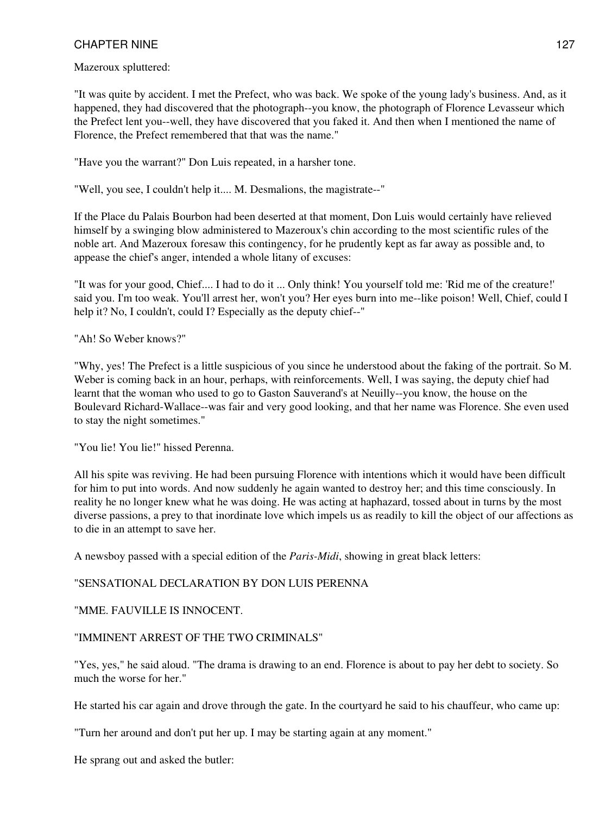Mazeroux spluttered:

"It was quite by accident. I met the Prefect, who was back. We spoke of the young lady's business. And, as it happened, they had discovered that the photograph--you know, the photograph of Florence Levasseur which the Prefect lent you--well, they have discovered that you faked it. And then when I mentioned the name of Florence, the Prefect remembered that that was the name."

"Have you the warrant?" Don Luis repeated, in a harsher tone.

"Well, you see, I couldn't help it.... M. Desmalions, the magistrate--"

If the Place du Palais Bourbon had been deserted at that moment, Don Luis would certainly have relieved himself by a swinging blow administered to Mazeroux's chin according to the most scientific rules of the noble art. And Mazeroux foresaw this contingency, for he prudently kept as far away as possible and, to appease the chief's anger, intended a whole litany of excuses:

"It was for your good, Chief.... I had to do it ... Only think! You yourself told me: 'Rid me of the creature!' said you. I'm too weak. You'll arrest her, won't you? Her eyes burn into me--like poison! Well, Chief, could I help it? No, I couldn't, could I? Especially as the deputy chief--"

"Ah! So Weber knows?"

"Why, yes! The Prefect is a little suspicious of you since he understood about the faking of the portrait. So M. Weber is coming back in an hour, perhaps, with reinforcements. Well, I was saying, the deputy chief had learnt that the woman who used to go to Gaston Sauverand's at Neuilly--you know, the house on the Boulevard Richard-Wallace--was fair and very good looking, and that her name was Florence. She even used to stay the night sometimes."

"You lie! You lie!" hissed Perenna.

All his spite was reviving. He had been pursuing Florence with intentions which it would have been difficult for him to put into words. And now suddenly he again wanted to destroy her; and this time consciously. In reality he no longer knew what he was doing. He was acting at haphazard, tossed about in turns by the most diverse passions, a prey to that inordinate love which impels us as readily to kill the object of our affections as to die in an attempt to save her.

A newsboy passed with a special edition of the *Paris-Midi*, showing in great black letters:

"SENSATIONAL DECLARATION BY DON LUIS PERENNA

"MME. FAUVILLE IS INNOCENT.

#### "IMMINENT ARREST OF THE TWO CRIMINALS"

"Yes, yes," he said aloud. "The drama is drawing to an end. Florence is about to pay her debt to society. So much the worse for her."

He started his car again and drove through the gate. In the courtyard he said to his chauffeur, who came up:

"Turn her around and don't put her up. I may be starting again at any moment."

He sprang out and asked the butler: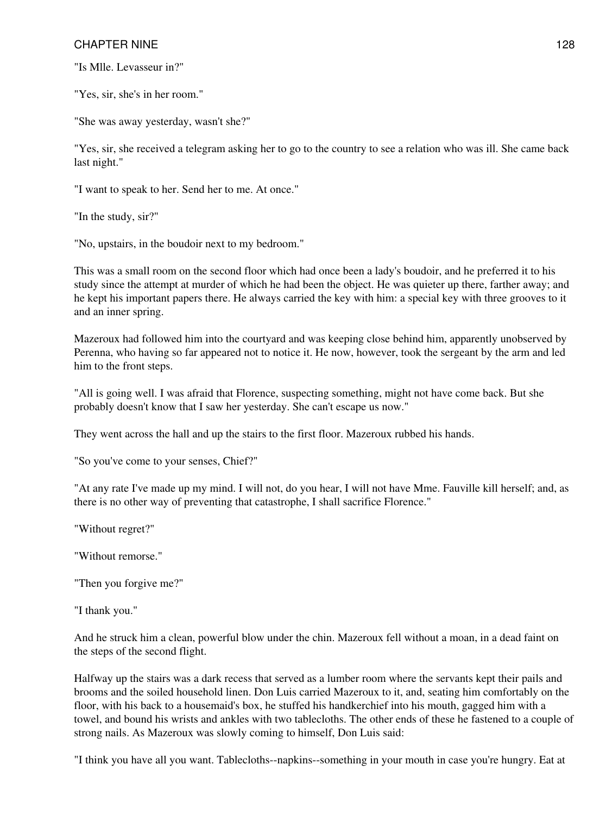"Is Mlle. Levasseur in?"

"Yes, sir, she's in her room."

"She was away yesterday, wasn't she?"

"Yes, sir, she received a telegram asking her to go to the country to see a relation who was ill. She came back last night."

"I want to speak to her. Send her to me. At once."

"In the study, sir?"

"No, upstairs, in the boudoir next to my bedroom."

This was a small room on the second floor which had once been a lady's boudoir, and he preferred it to his study since the attempt at murder of which he had been the object. He was quieter up there, farther away; and he kept his important papers there. He always carried the key with him: a special key with three grooves to it and an inner spring.

Mazeroux had followed him into the courtyard and was keeping close behind him, apparently unobserved by Perenna, who having so far appeared not to notice it. He now, however, took the sergeant by the arm and led him to the front steps.

"All is going well. I was afraid that Florence, suspecting something, might not have come back. But she probably doesn't know that I saw her yesterday. She can't escape us now."

They went across the hall and up the stairs to the first floor. Mazeroux rubbed his hands.

"So you've come to your senses, Chief?"

"At any rate I've made up my mind. I will not, do you hear, I will not have Mme. Fauville kill herself; and, as there is no other way of preventing that catastrophe, I shall sacrifice Florence."

"Without regret?"

"Without remorse."

"Then you forgive me?"

"I thank you."

And he struck him a clean, powerful blow under the chin. Mazeroux fell without a moan, in a dead faint on the steps of the second flight.

Halfway up the stairs was a dark recess that served as a lumber room where the servants kept their pails and brooms and the soiled household linen. Don Luis carried Mazeroux to it, and, seating him comfortably on the floor, with his back to a housemaid's box, he stuffed his handkerchief into his mouth, gagged him with a towel, and bound his wrists and ankles with two tablecloths. The other ends of these he fastened to a couple of strong nails. As Mazeroux was slowly coming to himself, Don Luis said:

"I think you have all you want. Tablecloths--napkins--something in your mouth in case you're hungry. Eat at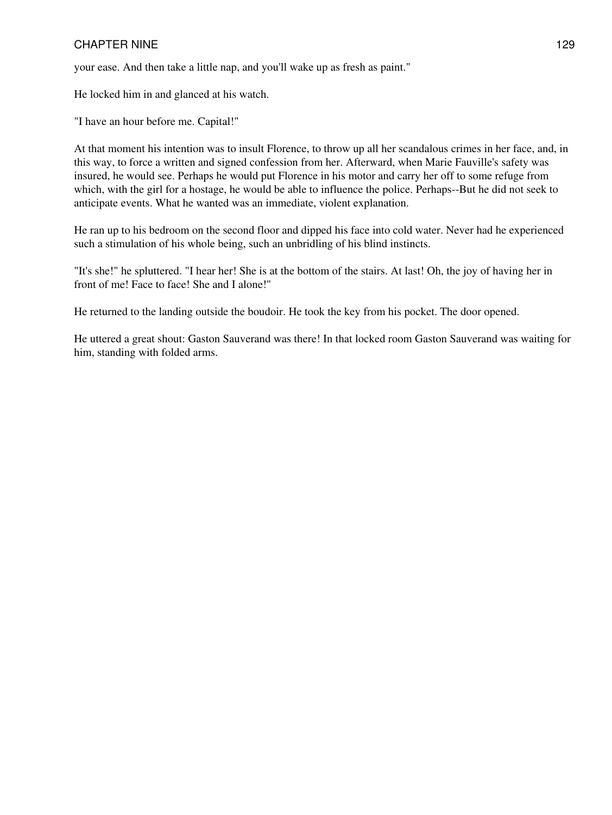your ease. And then take a little nap, and you'll wake up as fresh as paint."

He locked him in and glanced at his watch.

"I have an hour before me. Capital!"

At that moment his intention was to insult Florence, to throw up all her scandalous crimes in her face, and, in this way, to force a written and signed confession from her. Afterward, when Marie Fauville's safety was insured, he would see. Perhaps he would put Florence in his motor and carry her off to some refuge from which, with the girl for a hostage, he would be able to influence the police. Perhaps--But he did not seek to anticipate events. What he wanted was an immediate, violent explanation.

He ran up to his bedroom on the second floor and dipped his face into cold water. Never had he experienced such a stimulation of his whole being, such an unbridling of his blind instincts.

"It's she!" he spluttered. "I hear her! She is at the bottom of the stairs. At last! Oh, the joy of having her in front of me! Face to face! She and I alone!"

He returned to the landing outside the boudoir. He took the key from his pocket. The door opened.

He uttered a great shout: Gaston Sauverand was there! In that locked room Gaston Sauverand was waiting for him, standing with folded arms.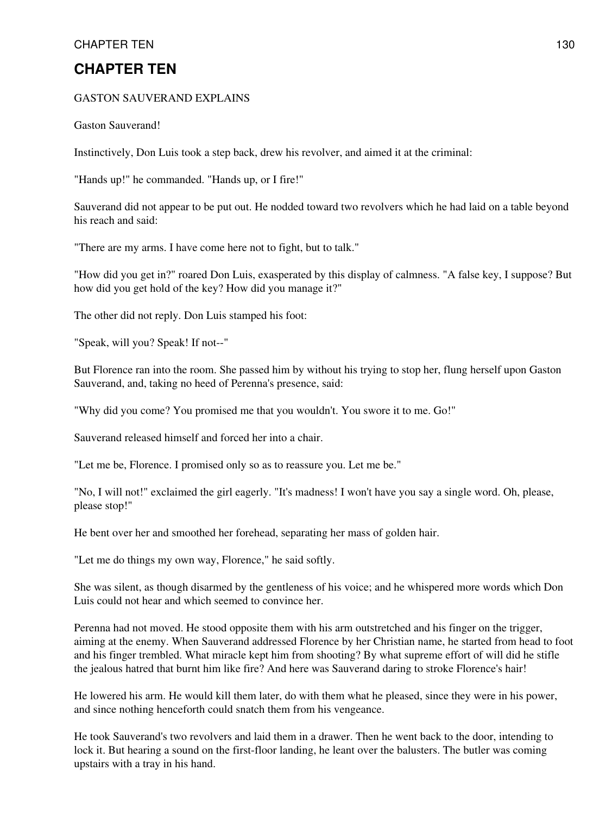# **CHAPTER TEN**

#### GASTON SAUVERAND EXPLAINS

Gaston Sauverand!

Instinctively, Don Luis took a step back, drew his revolver, and aimed it at the criminal:

"Hands up!" he commanded. "Hands up, or I fire!"

Sauverand did not appear to be put out. He nodded toward two revolvers which he had laid on a table beyond his reach and said:

"There are my arms. I have come here not to fight, but to talk."

"How did you get in?" roared Don Luis, exasperated by this display of calmness. "A false key, I suppose? But how did you get hold of the key? How did you manage it?"

The other did not reply. Don Luis stamped his foot:

"Speak, will you? Speak! If not--"

But Florence ran into the room. She passed him by without his trying to stop her, flung herself upon Gaston Sauverand, and, taking no heed of Perenna's presence, said:

"Why did you come? You promised me that you wouldn't. You swore it to me. Go!"

Sauverand released himself and forced her into a chair.

"Let me be, Florence. I promised only so as to reassure you. Let me be."

"No, I will not!" exclaimed the girl eagerly. "It's madness! I won't have you say a single word. Oh, please, please stop!"

He bent over her and smoothed her forehead, separating her mass of golden hair.

"Let me do things my own way, Florence," he said softly.

She was silent, as though disarmed by the gentleness of his voice; and he whispered more words which Don Luis could not hear and which seemed to convince her.

Perenna had not moved. He stood opposite them with his arm outstretched and his finger on the trigger, aiming at the enemy. When Sauverand addressed Florence by her Christian name, he started from head to foot and his finger trembled. What miracle kept him from shooting? By what supreme effort of will did he stifle the jealous hatred that burnt him like fire? And here was Sauverand daring to stroke Florence's hair!

He lowered his arm. He would kill them later, do with them what he pleased, since they were in his power, and since nothing henceforth could snatch them from his vengeance.

He took Sauverand's two revolvers and laid them in a drawer. Then he went back to the door, intending to lock it. But hearing a sound on the first-floor landing, he leant over the balusters. The butler was coming upstairs with a tray in his hand.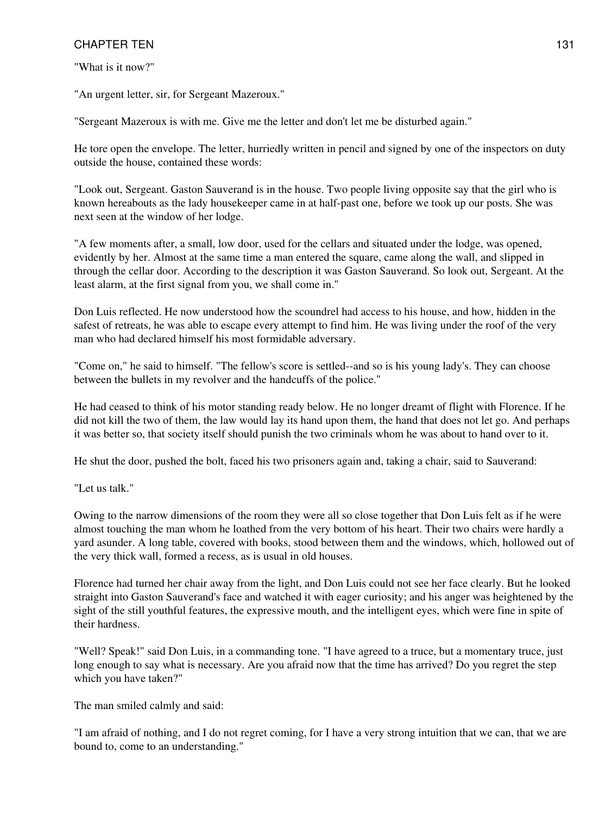"What is it now?"

"An urgent letter, sir, for Sergeant Mazeroux."

"Sergeant Mazeroux is with me. Give me the letter and don't let me be disturbed again."

He tore open the envelope. The letter, hurriedly written in pencil and signed by one of the inspectors on duty outside the house, contained these words:

"Look out, Sergeant. Gaston Sauverand is in the house. Two people living opposite say that the girl who is known hereabouts as the lady housekeeper came in at half-past one, before we took up our posts. She was next seen at the window of her lodge.

"A few moments after, a small, low door, used for the cellars and situated under the lodge, was opened, evidently by her. Almost at the same time a man entered the square, came along the wall, and slipped in through the cellar door. According to the description it was Gaston Sauverand. So look out, Sergeant. At the least alarm, at the first signal from you, we shall come in."

Don Luis reflected. He now understood how the scoundrel had access to his house, and how, hidden in the safest of retreats, he was able to escape every attempt to find him. He was living under the roof of the very man who had declared himself his most formidable adversary.

"Come on," he said to himself. "The fellow's score is settled--and so is his young lady's. They can choose between the bullets in my revolver and the handcuffs of the police."

He had ceased to think of his motor standing ready below. He no longer dreamt of flight with Florence. If he did not kill the two of them, the law would lay its hand upon them, the hand that does not let go. And perhaps it was better so, that society itself should punish the two criminals whom he was about to hand over to it.

He shut the door, pushed the bolt, faced his two prisoners again and, taking a chair, said to Sauverand:

"Let us talk."

Owing to the narrow dimensions of the room they were all so close together that Don Luis felt as if he were almost touching the man whom he loathed from the very bottom of his heart. Their two chairs were hardly a yard asunder. A long table, covered with books, stood between them and the windows, which, hollowed out of the very thick wall, formed a recess, as is usual in old houses.

Florence had turned her chair away from the light, and Don Luis could not see her face clearly. But he looked straight into Gaston Sauverand's face and watched it with eager curiosity; and his anger was heightened by the sight of the still youthful features, the expressive mouth, and the intelligent eyes, which were fine in spite of their hardness.

"Well? Speak!" said Don Luis, in a commanding tone. "I have agreed to a truce, but a momentary truce, just long enough to say what is necessary. Are you afraid now that the time has arrived? Do you regret the step which you have taken?"

The man smiled calmly and said:

"I am afraid of nothing, and I do not regret coming, for I have a very strong intuition that we can, that we are bound to, come to an understanding."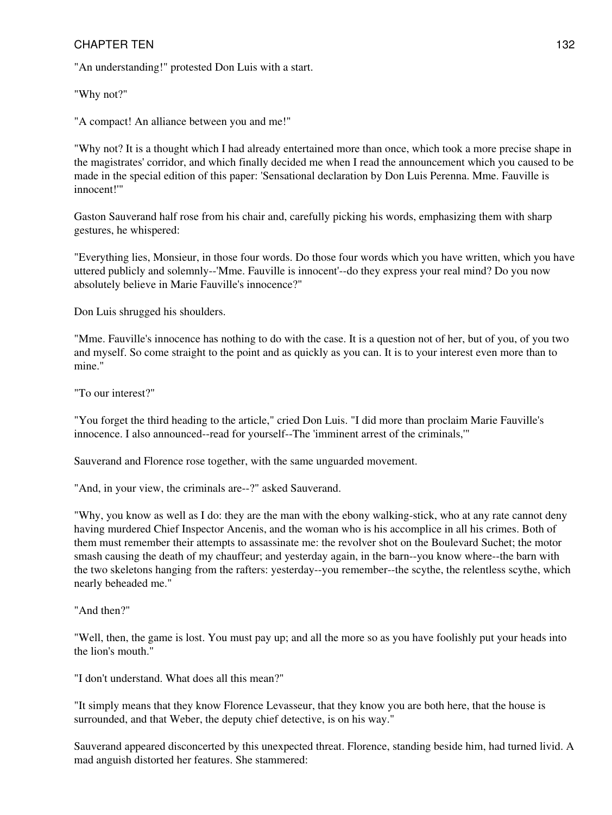"An understanding!" protested Don Luis with a start.

"Why not?"

"A compact! An alliance between you and me!"

"Why not? It is a thought which I had already entertained more than once, which took a more precise shape in the magistrates' corridor, and which finally decided me when I read the announcement which you caused to be made in the special edition of this paper: 'Sensational declaration by Don Luis Perenna. Mme. Fauville is innocent!'"

Gaston Sauverand half rose from his chair and, carefully picking his words, emphasizing them with sharp gestures, he whispered:

"Everything lies, Monsieur, in those four words. Do those four words which you have written, which you have uttered publicly and solemnly--'Mme. Fauville is innocent'--do they express your real mind? Do you now absolutely believe in Marie Fauville's innocence?"

Don Luis shrugged his shoulders.

"Mme. Fauville's innocence has nothing to do with the case. It is a question not of her, but of you, of you two and myself. So come straight to the point and as quickly as you can. It is to your interest even more than to mine."

"To our interest?"

"You forget the third heading to the article," cried Don Luis. "I did more than proclaim Marie Fauville's innocence. I also announced--read for yourself--The 'imminent arrest of the criminals,'"

Sauverand and Florence rose together, with the same unguarded movement.

"And, in your view, the criminals are--?" asked Sauverand.

"Why, you know as well as I do: they are the man with the ebony walking-stick, who at any rate cannot deny having murdered Chief Inspector Ancenis, and the woman who is his accomplice in all his crimes. Both of them must remember their attempts to assassinate me: the revolver shot on the Boulevard Suchet; the motor smash causing the death of my chauffeur; and yesterday again, in the barn--you know where--the barn with the two skeletons hanging from the rafters: yesterday--you remember--the scythe, the relentless scythe, which nearly beheaded me."

"And then?"

"Well, then, the game is lost. You must pay up; and all the more so as you have foolishly put your heads into the lion's mouth."

"I don't understand. What does all this mean?"

"It simply means that they know Florence Levasseur, that they know you are both here, that the house is surrounded, and that Weber, the deputy chief detective, is on his way."

Sauverand appeared disconcerted by this unexpected threat. Florence, standing beside him, had turned livid. A mad anguish distorted her features. She stammered: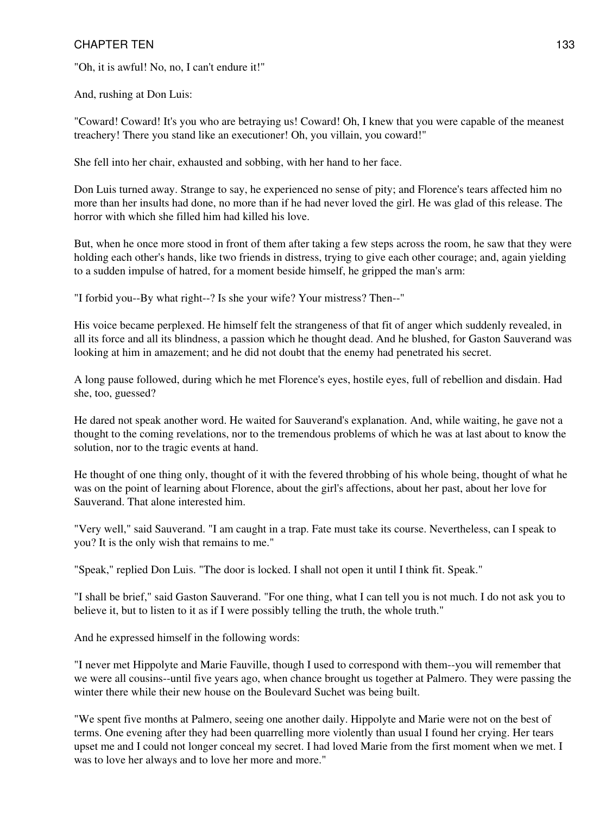"Oh, it is awful! No, no, I can't endure it!"

And, rushing at Don Luis:

"Coward! Coward! It's you who are betraying us! Coward! Oh, I knew that you were capable of the meanest treachery! There you stand like an executioner! Oh, you villain, you coward!"

She fell into her chair, exhausted and sobbing, with her hand to her face.

Don Luis turned away. Strange to say, he experienced no sense of pity; and Florence's tears affected him no more than her insults had done, no more than if he had never loved the girl. He was glad of this release. The horror with which she filled him had killed his love.

But, when he once more stood in front of them after taking a few steps across the room, he saw that they were holding each other's hands, like two friends in distress, trying to give each other courage; and, again yielding to a sudden impulse of hatred, for a moment beside himself, he gripped the man's arm:

"I forbid you--By what right--? Is she your wife? Your mistress? Then--"

His voice became perplexed. He himself felt the strangeness of that fit of anger which suddenly revealed, in all its force and all its blindness, a passion which he thought dead. And he blushed, for Gaston Sauverand was looking at him in amazement; and he did not doubt that the enemy had penetrated his secret.

A long pause followed, during which he met Florence's eyes, hostile eyes, full of rebellion and disdain. Had she, too, guessed?

He dared not speak another word. He waited for Sauverand's explanation. And, while waiting, he gave not a thought to the coming revelations, nor to the tremendous problems of which he was at last about to know the solution, nor to the tragic events at hand.

He thought of one thing only, thought of it with the fevered throbbing of his whole being, thought of what he was on the point of learning about Florence, about the girl's affections, about her past, about her love for Sauverand. That alone interested him.

"Very well," said Sauverand. "I am caught in a trap. Fate must take its course. Nevertheless, can I speak to you? It is the only wish that remains to me."

"Speak," replied Don Luis. "The door is locked. I shall not open it until I think fit. Speak."

"I shall be brief," said Gaston Sauverand. "For one thing, what I can tell you is not much. I do not ask you to believe it, but to listen to it as if I were possibly telling the truth, the whole truth."

And he expressed himself in the following words:

"I never met Hippolyte and Marie Fauville, though I used to correspond with them--you will remember that we were all cousins--until five years ago, when chance brought us together at Palmero. They were passing the winter there while their new house on the Boulevard Suchet was being built.

"We spent five months at Palmero, seeing one another daily. Hippolyte and Marie were not on the best of terms. One evening after they had been quarrelling more violently than usual I found her crying. Her tears upset me and I could not longer conceal my secret. I had loved Marie from the first moment when we met. I was to love her always and to love her more and more."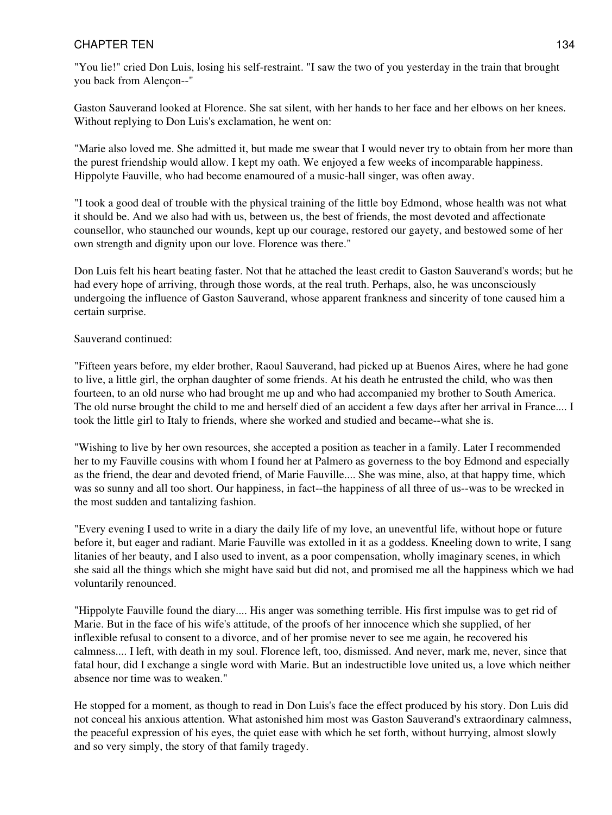"You lie!" cried Don Luis, losing his self-restraint. "I saw the two of you yesterday in the train that brought you back from Alençon--"

Gaston Sauverand looked at Florence. She sat silent, with her hands to her face and her elbows on her knees. Without replying to Don Luis's exclamation, he went on:

"Marie also loved me. She admitted it, but made me swear that I would never try to obtain from her more than the purest friendship would allow. I kept my oath. We enjoyed a few weeks of incomparable happiness. Hippolyte Fauville, who had become enamoured of a music-hall singer, was often away.

"I took a good deal of trouble with the physical training of the little boy Edmond, whose health was not what it should be. And we also had with us, between us, the best of friends, the most devoted and affectionate counsellor, who staunched our wounds, kept up our courage, restored our gayety, and bestowed some of her own strength and dignity upon our love. Florence was there."

Don Luis felt his heart beating faster. Not that he attached the least credit to Gaston Sauverand's words; but he had every hope of arriving, through those words, at the real truth. Perhaps, also, he was unconsciously undergoing the influence of Gaston Sauverand, whose apparent frankness and sincerity of tone caused him a certain surprise.

### Sauverand continued:

"Fifteen years before, my elder brother, Raoul Sauverand, had picked up at Buenos Aires, where he had gone to live, a little girl, the orphan daughter of some friends. At his death he entrusted the child, who was then fourteen, to an old nurse who had brought me up and who had accompanied my brother to South America. The old nurse brought the child to me and herself died of an accident a few days after her arrival in France.... I took the little girl to Italy to friends, where she worked and studied and became--what she is.

"Wishing to live by her own resources, she accepted a position as teacher in a family. Later I recommended her to my Fauville cousins with whom I found her at Palmero as governess to the boy Edmond and especially as the friend, the dear and devoted friend, of Marie Fauville.... She was mine, also, at that happy time, which was so sunny and all too short. Our happiness, in fact--the happiness of all three of us--was to be wrecked in the most sudden and tantalizing fashion.

"Every evening I used to write in a diary the daily life of my love, an uneventful life, without hope or future before it, but eager and radiant. Marie Fauville was extolled in it as a goddess. Kneeling down to write, I sang litanies of her beauty, and I also used to invent, as a poor compensation, wholly imaginary scenes, in which she said all the things which she might have said but did not, and promised me all the happiness which we had voluntarily renounced.

"Hippolyte Fauville found the diary.... His anger was something terrible. His first impulse was to get rid of Marie. But in the face of his wife's attitude, of the proofs of her innocence which she supplied, of her inflexible refusal to consent to a divorce, and of her promise never to see me again, he recovered his calmness.... I left, with death in my soul. Florence left, too, dismissed. And never, mark me, never, since that fatal hour, did I exchange a single word with Marie. But an indestructible love united us, a love which neither absence nor time was to weaken."

He stopped for a moment, as though to read in Don Luis's face the effect produced by his story. Don Luis did not conceal his anxious attention. What astonished him most was Gaston Sauverand's extraordinary calmness, the peaceful expression of his eyes, the quiet ease with which he set forth, without hurrying, almost slowly and so very simply, the story of that family tragedy.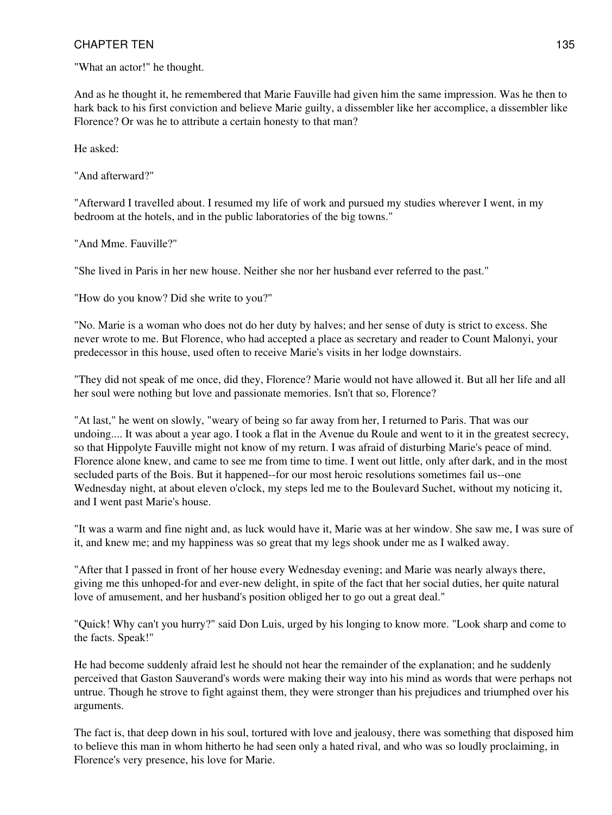"What an actor!" he thought.

And as he thought it, he remembered that Marie Fauville had given him the same impression. Was he then to hark back to his first conviction and believe Marie guilty, a dissembler like her accomplice, a dissembler like Florence? Or was he to attribute a certain honesty to that man?

He asked:

"And afterward?"

"Afterward I travelled about. I resumed my life of work and pursued my studies wherever I went, in my bedroom at the hotels, and in the public laboratories of the big towns."

"And Mme. Fauville?"

"She lived in Paris in her new house. Neither she nor her husband ever referred to the past."

"How do you know? Did she write to you?"

"No. Marie is a woman who does not do her duty by halves; and her sense of duty is strict to excess. She never wrote to me. But Florence, who had accepted a place as secretary and reader to Count Malonyi, your predecessor in this house, used often to receive Marie's visits in her lodge downstairs.

"They did not speak of me once, did they, Florence? Marie would not have allowed it. But all her life and all her soul were nothing but love and passionate memories. Isn't that so, Florence?

"At last," he went on slowly, "weary of being so far away from her, I returned to Paris. That was our undoing.... It was about a year ago. I took a flat in the Avenue du Roule and went to it in the greatest secrecy, so that Hippolyte Fauville might not know of my return. I was afraid of disturbing Marie's peace of mind. Florence alone knew, and came to see me from time to time. I went out little, only after dark, and in the most secluded parts of the Bois. But it happened--for our most heroic resolutions sometimes fail us--one Wednesday night, at about eleven o'clock, my steps led me to the Boulevard Suchet, without my noticing it, and I went past Marie's house.

"It was a warm and fine night and, as luck would have it, Marie was at her window. She saw me, I was sure of it, and knew me; and my happiness was so great that my legs shook under me as I walked away.

"After that I passed in front of her house every Wednesday evening; and Marie was nearly always there, giving me this unhoped-for and ever-new delight, in spite of the fact that her social duties, her quite natural love of amusement, and her husband's position obliged her to go out a great deal."

"Quick! Why can't you hurry?" said Don Luis, urged by his longing to know more. "Look sharp and come to the facts. Speak!"

He had become suddenly afraid lest he should not hear the remainder of the explanation; and he suddenly perceived that Gaston Sauverand's words were making their way into his mind as words that were perhaps not untrue. Though he strove to fight against them, they were stronger than his prejudices and triumphed over his arguments.

The fact is, that deep down in his soul, tortured with love and jealousy, there was something that disposed him to believe this man in whom hitherto he had seen only a hated rival, and who was so loudly proclaiming, in Florence's very presence, his love for Marie.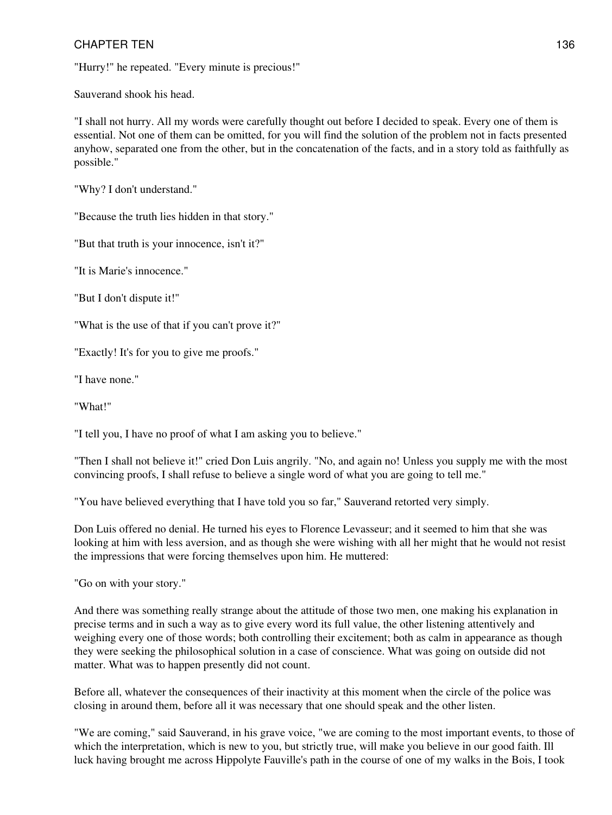"Hurry!" he repeated. "Every minute is precious!"

Sauverand shook his head.

"I shall not hurry. All my words were carefully thought out before I decided to speak. Every one of them is essential. Not one of them can be omitted, for you will find the solution of the problem not in facts presented anyhow, separated one from the other, but in the concatenation of the facts, and in a story told as faithfully as possible."

"Why? I don't understand."

"Because the truth lies hidden in that story."

"But that truth is your innocence, isn't it?"

"It is Marie's innocence."

"But I don't dispute it!"

"What is the use of that if you can't prove it?"

"Exactly! It's for you to give me proofs."

"I have none."

"What!"

"I tell you, I have no proof of what I am asking you to believe."

"Then I shall not believe it!" cried Don Luis angrily. "No, and again no! Unless you supply me with the most convincing proofs, I shall refuse to believe a single word of what you are going to tell me."

"You have believed everything that I have told you so far," Sauverand retorted very simply.

Don Luis offered no denial. He turned his eyes to Florence Levasseur; and it seemed to him that she was looking at him with less aversion, and as though she were wishing with all her might that he would not resist the impressions that were forcing themselves upon him. He muttered:

"Go on with your story."

And there was something really strange about the attitude of those two men, one making his explanation in precise terms and in such a way as to give every word its full value, the other listening attentively and weighing every one of those words; both controlling their excitement; both as calm in appearance as though they were seeking the philosophical solution in a case of conscience. What was going on outside did not matter. What was to happen presently did not count.

Before all, whatever the consequences of their inactivity at this moment when the circle of the police was closing in around them, before all it was necessary that one should speak and the other listen.

"We are coming," said Sauverand, in his grave voice, "we are coming to the most important events, to those of which the interpretation, which is new to you, but strictly true, will make you believe in our good faith. Ill luck having brought me across Hippolyte Fauville's path in the course of one of my walks in the Bois, I took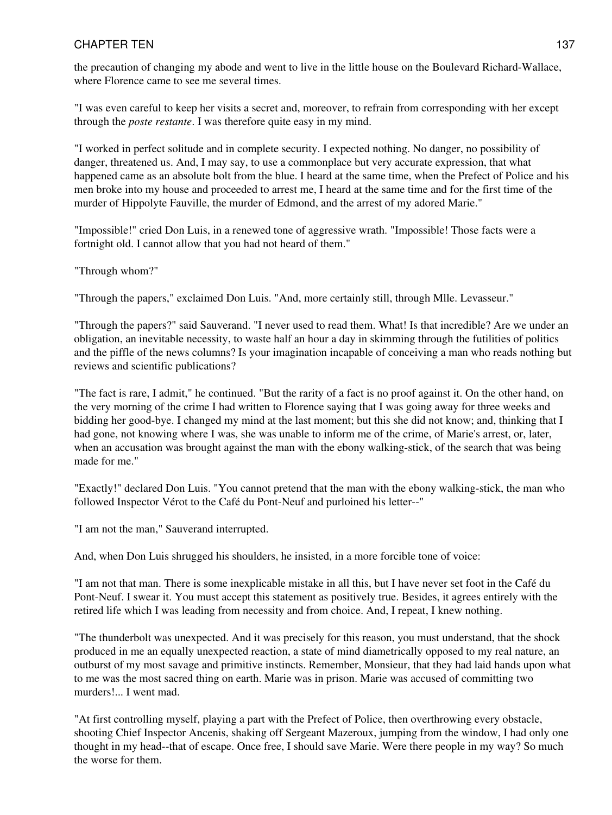the precaution of changing my abode and went to live in the little house on the Boulevard Richard-Wallace, where Florence came to see me several times.

"I was even careful to keep her visits a secret and, moreover, to refrain from corresponding with her except through the *poste restante*. I was therefore quite easy in my mind.

"I worked in perfect solitude and in complete security. I expected nothing. No danger, no possibility of danger, threatened us. And, I may say, to use a commonplace but very accurate expression, that what happened came as an absolute bolt from the blue. I heard at the same time, when the Prefect of Police and his men broke into my house and proceeded to arrest me, I heard at the same time and for the first time of the murder of Hippolyte Fauville, the murder of Edmond, and the arrest of my adored Marie."

"Impossible!" cried Don Luis, in a renewed tone of aggressive wrath. "Impossible! Those facts were a fortnight old. I cannot allow that you had not heard of them."

"Through whom?"

"Through the papers," exclaimed Don Luis. "And, more certainly still, through Mlle. Levasseur."

"Through the papers?" said Sauverand. "I never used to read them. What! Is that incredible? Are we under an obligation, an inevitable necessity, to waste half an hour a day in skimming through the futilities of politics and the piffle of the news columns? Is your imagination incapable of conceiving a man who reads nothing but reviews and scientific publications?

"The fact is rare, I admit," he continued. "But the rarity of a fact is no proof against it. On the other hand, on the very morning of the crime I had written to Florence saying that I was going away for three weeks and bidding her good-bye. I changed my mind at the last moment; but this she did not know; and, thinking that I had gone, not knowing where I was, she was unable to inform me of the crime, of Marie's arrest, or, later, when an accusation was brought against the man with the ebony walking-stick, of the search that was being made for me."

"Exactly!" declared Don Luis. "You cannot pretend that the man with the ebony walking-stick, the man who followed Inspector Vérot to the Café du Pont-Neuf and purloined his letter--"

"I am not the man," Sauverand interrupted.

And, when Don Luis shrugged his shoulders, he insisted, in a more forcible tone of voice:

"I am not that man. There is some inexplicable mistake in all this, but I have never set foot in the Café du Pont-Neuf. I swear it. You must accept this statement as positively true. Besides, it agrees entirely with the retired life which I was leading from necessity and from choice. And, I repeat, I knew nothing.

"The thunderbolt was unexpected. And it was precisely for this reason, you must understand, that the shock produced in me an equally unexpected reaction, a state of mind diametrically opposed to my real nature, an outburst of my most savage and primitive instincts. Remember, Monsieur, that they had laid hands upon what to me was the most sacred thing on earth. Marie was in prison. Marie was accused of committing two murders!... I went mad.

"At first controlling myself, playing a part with the Prefect of Police, then overthrowing every obstacle, shooting Chief Inspector Ancenis, shaking off Sergeant Mazeroux, jumping from the window, I had only one thought in my head--that of escape. Once free, I should save Marie. Were there people in my way? So much the worse for them.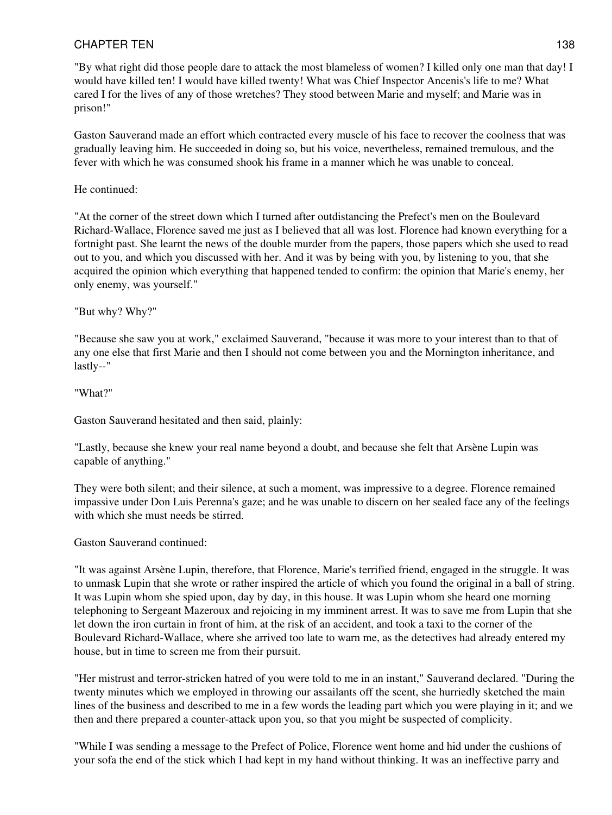"By what right did those people dare to attack the most blameless of women? I killed only one man that day! I would have killed ten! I would have killed twenty! What was Chief Inspector Ancenis's life to me? What cared I for the lives of any of those wretches? They stood between Marie and myself; and Marie was in prison!"

Gaston Sauverand made an effort which contracted every muscle of his face to recover the coolness that was gradually leaving him. He succeeded in doing so, but his voice, nevertheless, remained tremulous, and the fever with which he was consumed shook his frame in a manner which he was unable to conceal.

### He continued:

"At the corner of the street down which I turned after outdistancing the Prefect's men on the Boulevard Richard-Wallace, Florence saved me just as I believed that all was lost. Florence had known everything for a fortnight past. She learnt the news of the double murder from the papers, those papers which she used to read out to you, and which you discussed with her. And it was by being with you, by listening to you, that she acquired the opinion which everything that happened tended to confirm: the opinion that Marie's enemy, her only enemy, was yourself."

### "But why? Why?"

"Because she saw you at work," exclaimed Sauverand, "because it was more to your interest than to that of any one else that first Marie and then I should not come between you and the Mornington inheritance, and lastly--"

"What?"

Gaston Sauverand hesitated and then said, plainly:

"Lastly, because she knew your real name beyond a doubt, and because she felt that Arsène Lupin was capable of anything."

They were both silent; and their silence, at such a moment, was impressive to a degree. Florence remained impassive under Don Luis Perenna's gaze; and he was unable to discern on her sealed face any of the feelings with which she must needs be stirred.

#### Gaston Sauverand continued:

"It was against Arsène Lupin, therefore, that Florence, Marie's terrified friend, engaged in the struggle. It was to unmask Lupin that she wrote or rather inspired the article of which you found the original in a ball of string. It was Lupin whom she spied upon, day by day, in this house. It was Lupin whom she heard one morning telephoning to Sergeant Mazeroux and rejoicing in my imminent arrest. It was to save me from Lupin that she let down the iron curtain in front of him, at the risk of an accident, and took a taxi to the corner of the Boulevard Richard-Wallace, where she arrived too late to warn me, as the detectives had already entered my house, but in time to screen me from their pursuit.

"Her mistrust and terror-stricken hatred of you were told to me in an instant," Sauverand declared. "During the twenty minutes which we employed in throwing our assailants off the scent, she hurriedly sketched the main lines of the business and described to me in a few words the leading part which you were playing in it; and we then and there prepared a counter-attack upon you, so that you might be suspected of complicity.

"While I was sending a message to the Prefect of Police, Florence went home and hid under the cushions of your sofa the end of the stick which I had kept in my hand without thinking. It was an ineffective parry and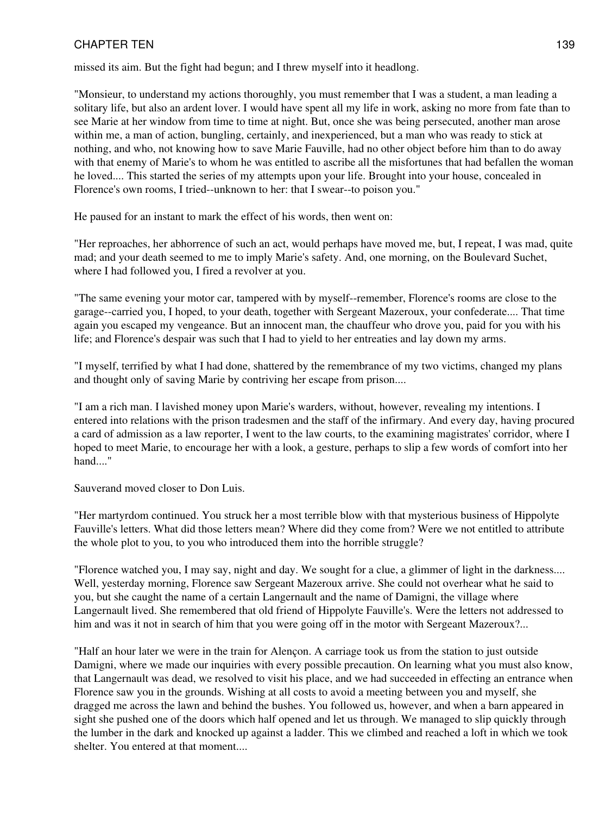missed its aim. But the fight had begun; and I threw myself into it headlong.

"Monsieur, to understand my actions thoroughly, you must remember that I was a student, a man leading a solitary life, but also an ardent lover. I would have spent all my life in work, asking no more from fate than to see Marie at her window from time to time at night. But, once she was being persecuted, another man arose within me, a man of action, bungling, certainly, and inexperienced, but a man who was ready to stick at nothing, and who, not knowing how to save Marie Fauville, had no other object before him than to do away with that enemy of Marie's to whom he was entitled to ascribe all the misfortunes that had befallen the woman he loved.... This started the series of my attempts upon your life. Brought into your house, concealed in Florence's own rooms, I tried--unknown to her: that I swear--to poison you."

He paused for an instant to mark the effect of his words, then went on:

"Her reproaches, her abhorrence of such an act, would perhaps have moved me, but, I repeat, I was mad, quite mad; and your death seemed to me to imply Marie's safety. And, one morning, on the Boulevard Suchet, where I had followed you, I fired a revolver at you.

"The same evening your motor car, tampered with by myself--remember, Florence's rooms are close to the garage--carried you, I hoped, to your death, together with Sergeant Mazeroux, your confederate.... That time again you escaped my vengeance. But an innocent man, the chauffeur who drove you, paid for you with his life; and Florence's despair was such that I had to yield to her entreaties and lay down my arms.

"I myself, terrified by what I had done, shattered by the remembrance of my two victims, changed my plans and thought only of saving Marie by contriving her escape from prison....

"I am a rich man. I lavished money upon Marie's warders, without, however, revealing my intentions. I entered into relations with the prison tradesmen and the staff of the infirmary. And every day, having procured a card of admission as a law reporter, I went to the law courts, to the examining magistrates' corridor, where I hoped to meet Marie, to encourage her with a look, a gesture, perhaps to slip a few words of comfort into her hand."

Sauverand moved closer to Don Luis.

"Her martyrdom continued. You struck her a most terrible blow with that mysterious business of Hippolyte Fauville's letters. What did those letters mean? Where did they come from? Were we not entitled to attribute the whole plot to you, to you who introduced them into the horrible struggle?

"Florence watched you, I may say, night and day. We sought for a clue, a glimmer of light in the darkness.... Well, yesterday morning, Florence saw Sergeant Mazeroux arrive. She could not overhear what he said to you, but she caught the name of a certain Langernault and the name of Damigni, the village where Langernault lived. She remembered that old friend of Hippolyte Fauville's. Were the letters not addressed to him and was it not in search of him that you were going off in the motor with Sergeant Mazeroux?...

"Half an hour later we were in the train for Alençon. A carriage took us from the station to just outside Damigni, where we made our inquiries with every possible precaution. On learning what you must also know, that Langernault was dead, we resolved to visit his place, and we had succeeded in effecting an entrance when Florence saw you in the grounds. Wishing at all costs to avoid a meeting between you and myself, she dragged me across the lawn and behind the bushes. You followed us, however, and when a barn appeared in sight she pushed one of the doors which half opened and let us through. We managed to slip quickly through the lumber in the dark and knocked up against a ladder. This we climbed and reached a loft in which we took shelter. You entered at that moment....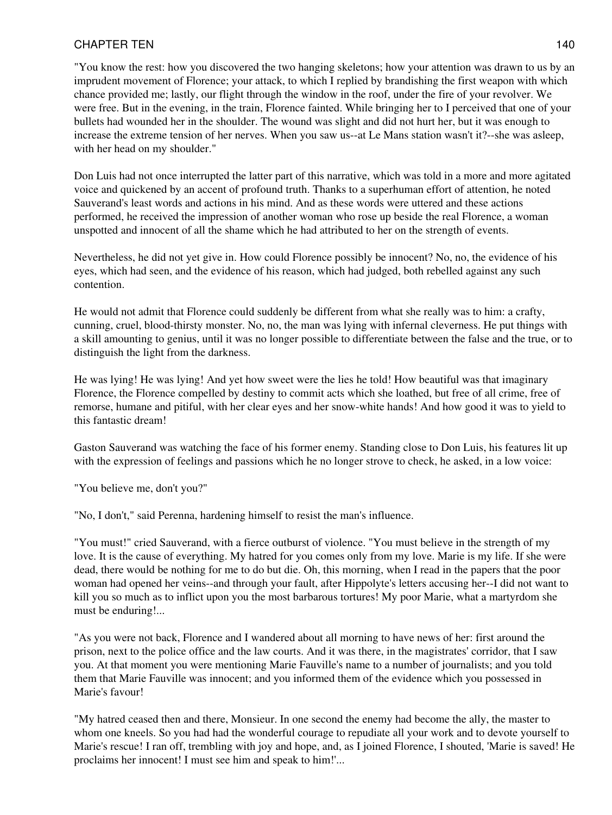"You know the rest: how you discovered the two hanging skeletons; how your attention was drawn to us by an imprudent movement of Florence; your attack, to which I replied by brandishing the first weapon with which chance provided me; lastly, our flight through the window in the roof, under the fire of your revolver. We were free. But in the evening, in the train, Florence fainted. While bringing her to I perceived that one of your bullets had wounded her in the shoulder. The wound was slight and did not hurt her, but it was enough to increase the extreme tension of her nerves. When you saw us--at Le Mans station wasn't it?--she was asleep, with her head on my shoulder."

Don Luis had not once interrupted the latter part of this narrative, which was told in a more and more agitated voice and quickened by an accent of profound truth. Thanks to a superhuman effort of attention, he noted Sauverand's least words and actions in his mind. And as these words were uttered and these actions performed, he received the impression of another woman who rose up beside the real Florence, a woman unspotted and innocent of all the shame which he had attributed to her on the strength of events.

Nevertheless, he did not yet give in. How could Florence possibly be innocent? No, no, the evidence of his eyes, which had seen, and the evidence of his reason, which had judged, both rebelled against any such contention.

He would not admit that Florence could suddenly be different from what she really was to him: a crafty, cunning, cruel, blood-thirsty monster. No, no, the man was lying with infernal cleverness. He put things with a skill amounting to genius, until it was no longer possible to differentiate between the false and the true, or to distinguish the light from the darkness.

He was lying! He was lying! And yet how sweet were the lies he told! How beautiful was that imaginary Florence, the Florence compelled by destiny to commit acts which she loathed, but free of all crime, free of remorse, humane and pitiful, with her clear eyes and her snow-white hands! And how good it was to yield to this fantastic dream!

Gaston Sauverand was watching the face of his former enemy. Standing close to Don Luis, his features lit up with the expression of feelings and passions which he no longer strove to check, he asked, in a low voice:

"You believe me, don't you?"

"No, I don't," said Perenna, hardening himself to resist the man's influence.

"You must!" cried Sauverand, with a fierce outburst of violence. "You must believe in the strength of my love. It is the cause of everything. My hatred for you comes only from my love. Marie is my life. If she were dead, there would be nothing for me to do but die. Oh, this morning, when I read in the papers that the poor woman had opened her veins--and through your fault, after Hippolyte's letters accusing her--I did not want to kill you so much as to inflict upon you the most barbarous tortures! My poor Marie, what a martyrdom she must be enduring!...

"As you were not back, Florence and I wandered about all morning to have news of her: first around the prison, next to the police office and the law courts. And it was there, in the magistrates' corridor, that I saw you. At that moment you were mentioning Marie Fauville's name to a number of journalists; and you told them that Marie Fauville was innocent; and you informed them of the evidence which you possessed in Marie's favour!

"My hatred ceased then and there, Monsieur. In one second the enemy had become the ally, the master to whom one kneels. So you had had the wonderful courage to repudiate all your work and to devote yourself to Marie's rescue! I ran off, trembling with joy and hope, and, as I joined Florence, I shouted, 'Marie is saved! He proclaims her innocent! I must see him and speak to him!'...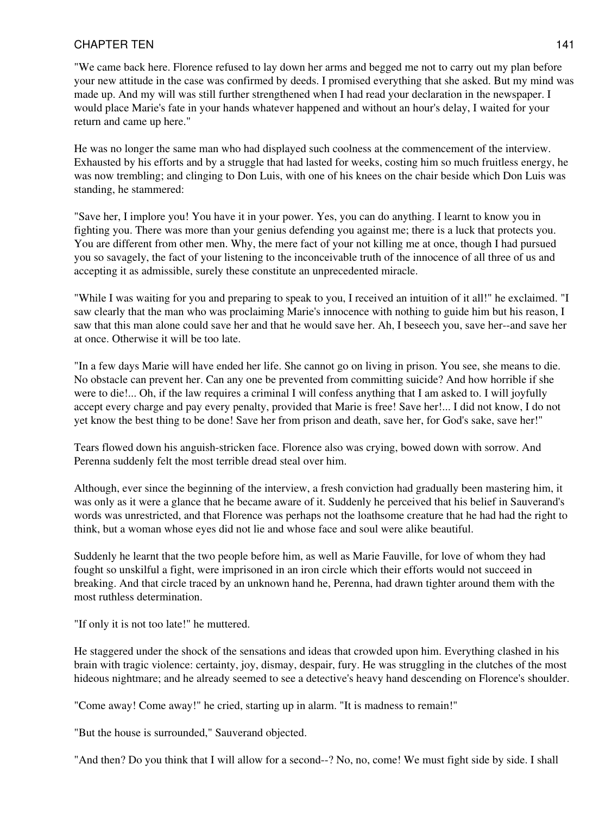"We came back here. Florence refused to lay down her arms and begged me not to carry out my plan before your new attitude in the case was confirmed by deeds. I promised everything that she asked. But my mind was made up. And my will was still further strengthened when I had read your declaration in the newspaper. I would place Marie's fate in your hands whatever happened and without an hour's delay, I waited for your return and came up here."

He was no longer the same man who had displayed such coolness at the commencement of the interview. Exhausted by his efforts and by a struggle that had lasted for weeks, costing him so much fruitless energy, he was now trembling; and clinging to Don Luis, with one of his knees on the chair beside which Don Luis was standing, he stammered:

"Save her, I implore you! You have it in your power. Yes, you can do anything. I learnt to know you in fighting you. There was more than your genius defending you against me; there is a luck that protects you. You are different from other men. Why, the mere fact of your not killing me at once, though I had pursued you so savagely, the fact of your listening to the inconceivable truth of the innocence of all three of us and accepting it as admissible, surely these constitute an unprecedented miracle.

"While I was waiting for you and preparing to speak to you, I received an intuition of it all!" he exclaimed. "I saw clearly that the man who was proclaiming Marie's innocence with nothing to guide him but his reason, I saw that this man alone could save her and that he would save her. Ah, I beseech you, save her--and save her at once. Otherwise it will be too late.

"In a few days Marie will have ended her life. She cannot go on living in prison. You see, she means to die. No obstacle can prevent her. Can any one be prevented from committing suicide? And how horrible if she were to die!... Oh, if the law requires a criminal I will confess anything that I am asked to. I will joyfully accept every charge and pay every penalty, provided that Marie is free! Save her!... I did not know, I do not yet know the best thing to be done! Save her from prison and death, save her, for God's sake, save her!"

Tears flowed down his anguish-stricken face. Florence also was crying, bowed down with sorrow. And Perenna suddenly felt the most terrible dread steal over him.

Although, ever since the beginning of the interview, a fresh conviction had gradually been mastering him, it was only as it were a glance that he became aware of it. Suddenly he perceived that his belief in Sauverand's words was unrestricted, and that Florence was perhaps not the loathsome creature that he had had the right to think, but a woman whose eyes did not lie and whose face and soul were alike beautiful.

Suddenly he learnt that the two people before him, as well as Marie Fauville, for love of whom they had fought so unskilful a fight, were imprisoned in an iron circle which their efforts would not succeed in breaking. And that circle traced by an unknown hand he, Perenna, had drawn tighter around them with the most ruthless determination.

"If only it is not too late!" he muttered.

He staggered under the shock of the sensations and ideas that crowded upon him. Everything clashed in his brain with tragic violence: certainty, joy, dismay, despair, fury. He was struggling in the clutches of the most hideous nightmare; and he already seemed to see a detective's heavy hand descending on Florence's shoulder.

"Come away! Come away!" he cried, starting up in alarm. "It is madness to remain!"

"But the house is surrounded," Sauverand objected.

"And then? Do you think that I will allow for a second--? No, no, come! We must fight side by side. I shall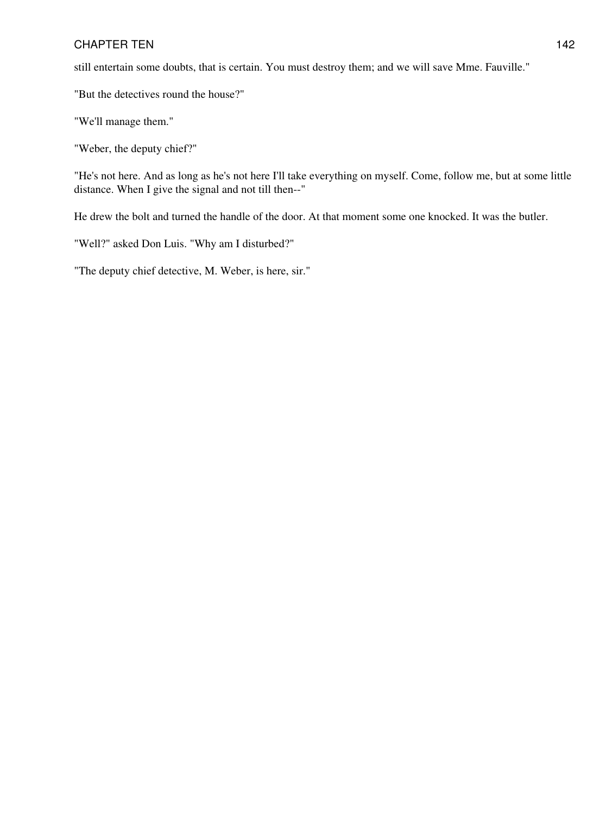still entertain some doubts, that is certain. You must destroy them; and we will save Mme. Fauville."

"But the detectives round the house?"

"We'll manage them."

"Weber, the deputy chief?"

"He's not here. And as long as he's not here I'll take everything on myself. Come, follow me, but at some little distance. When I give the signal and not till then--"

He drew the bolt and turned the handle of the door. At that moment some one knocked. It was the butler.

"Well?" asked Don Luis. "Why am I disturbed?"

"The deputy chief detective, M. Weber, is here, sir."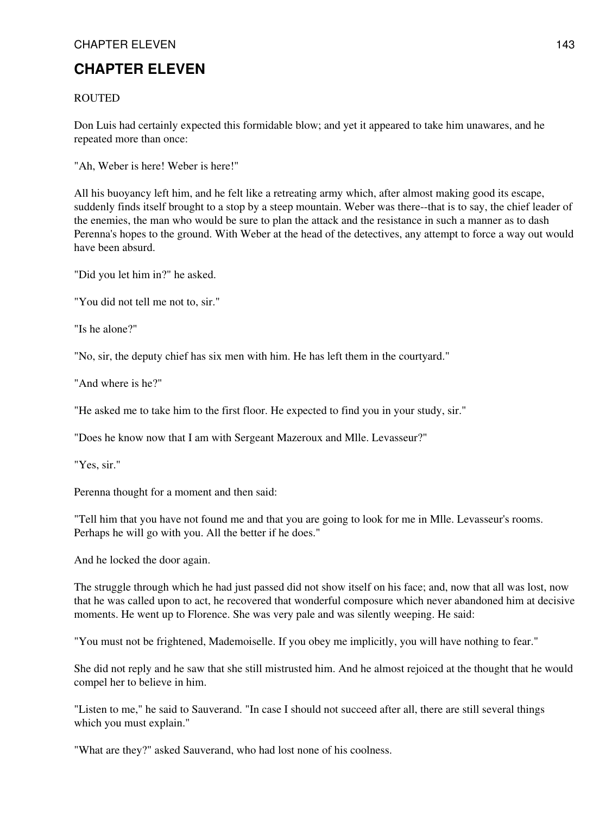# CHAPTER ELEVEN 143

# **CHAPTER ELEVEN**

### **ROUTED**

Don Luis had certainly expected this formidable blow; and yet it appeared to take him unawares, and he repeated more than once:

"Ah, Weber is here! Weber is here!"

All his buoyancy left him, and he felt like a retreating army which, after almost making good its escape, suddenly finds itself brought to a stop by a steep mountain. Weber was there--that is to say, the chief leader of the enemies, the man who would be sure to plan the attack and the resistance in such a manner as to dash Perenna's hopes to the ground. With Weber at the head of the detectives, any attempt to force a way out would have been absurd.

"Did you let him in?" he asked.

"You did not tell me not to, sir."

"Is he alone?"

"No, sir, the deputy chief has six men with him. He has left them in the courtyard."

"And where is he?"

"He asked me to take him to the first floor. He expected to find you in your study, sir."

"Does he know now that I am with Sergeant Mazeroux and Mlle. Levasseur?"

"Yes, sir."

Perenna thought for a moment and then said:

"Tell him that you have not found me and that you are going to look for me in Mlle. Levasseur's rooms. Perhaps he will go with you. All the better if he does."

And he locked the door again.

The struggle through which he had just passed did not show itself on his face; and, now that all was lost, now that he was called upon to act, he recovered that wonderful composure which never abandoned him at decisive moments. He went up to Florence. She was very pale and was silently weeping. He said:

"You must not be frightened, Mademoiselle. If you obey me implicitly, you will have nothing to fear."

She did not reply and he saw that she still mistrusted him. And he almost rejoiced at the thought that he would compel her to believe in him.

"Listen to me," he said to Sauverand. "In case I should not succeed after all, there are still several things which you must explain."

"What are they?" asked Sauverand, who had lost none of his coolness.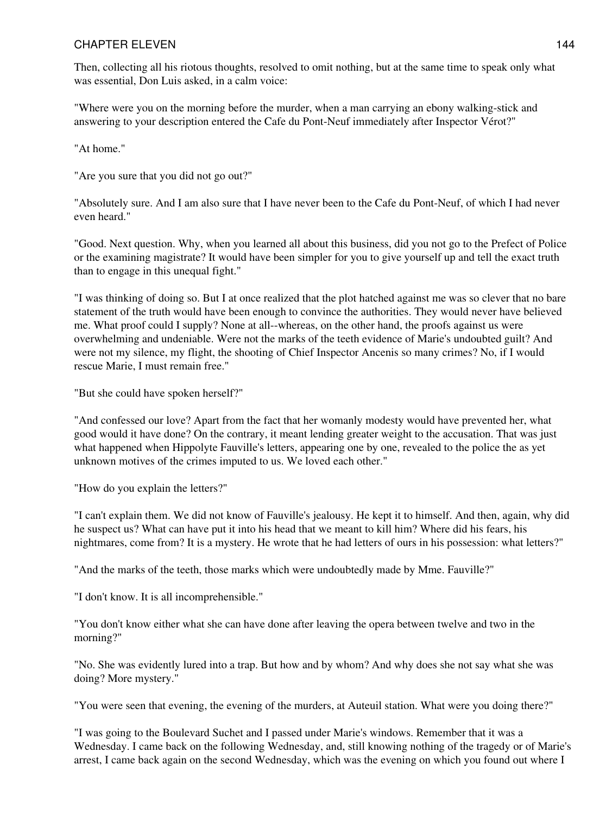# CHAPTER ELEVEN 144

Then, collecting all his riotous thoughts, resolved to omit nothing, but at the same time to speak only what was essential, Don Luis asked, in a calm voice:

"Where were you on the morning before the murder, when a man carrying an ebony walking-stick and answering to your description entered the Cafe du Pont-Neuf immediately after Inspector Vérot?"

"At home."

"Are you sure that you did not go out?"

"Absolutely sure. And I am also sure that I have never been to the Cafe du Pont-Neuf, of which I had never even heard."

"Good. Next question. Why, when you learned all about this business, did you not go to the Prefect of Police or the examining magistrate? It would have been simpler for you to give yourself up and tell the exact truth than to engage in this unequal fight."

"I was thinking of doing so. But I at once realized that the plot hatched against me was so clever that no bare statement of the truth would have been enough to convince the authorities. They would never have believed me. What proof could I supply? None at all--whereas, on the other hand, the proofs against us were overwhelming and undeniable. Were not the marks of the teeth evidence of Marie's undoubted guilt? And were not my silence, my flight, the shooting of Chief Inspector Ancenis so many crimes? No, if I would rescue Marie, I must remain free."

"But she could have spoken herself?"

"And confessed our love? Apart from the fact that her womanly modesty would have prevented her, what good would it have done? On the contrary, it meant lending greater weight to the accusation. That was just what happened when Hippolyte Fauville's letters, appearing one by one, revealed to the police the as yet unknown motives of the crimes imputed to us. We loved each other."

"How do you explain the letters?"

"I can't explain them. We did not know of Fauville's jealousy. He kept it to himself. And then, again, why did he suspect us? What can have put it into his head that we meant to kill him? Where did his fears, his nightmares, come from? It is a mystery. He wrote that he had letters of ours in his possession: what letters?"

"And the marks of the teeth, those marks which were undoubtedly made by Mme. Fauville?"

"I don't know. It is all incomprehensible."

"You don't know either what she can have done after leaving the opera between twelve and two in the morning?"

"No. She was evidently lured into a trap. But how and by whom? And why does she not say what she was doing? More mystery."

"You were seen that evening, the evening of the murders, at Auteuil station. What were you doing there?"

"I was going to the Boulevard Suchet and I passed under Marie's windows. Remember that it was a Wednesday. I came back on the following Wednesday, and, still knowing nothing of the tragedy or of Marie's arrest, I came back again on the second Wednesday, which was the evening on which you found out where I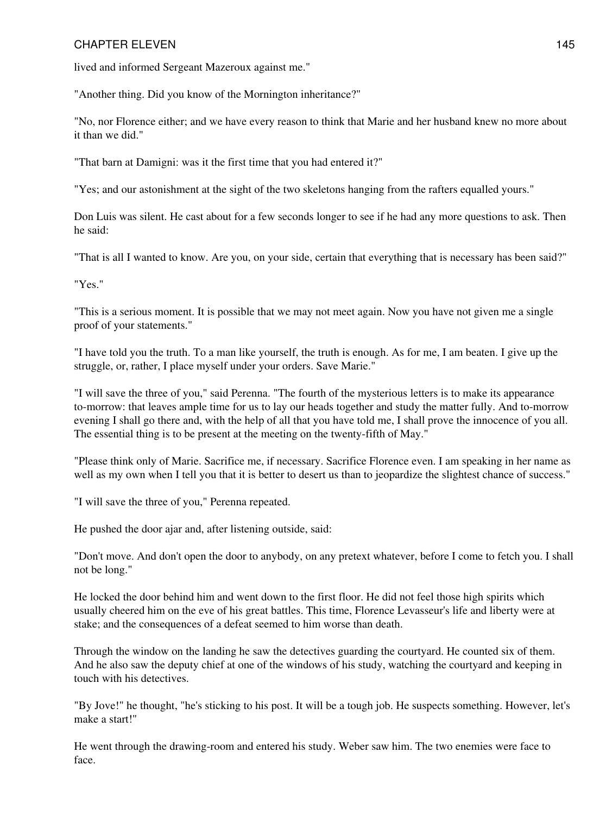lived and informed Sergeant Mazeroux against me."

"Another thing. Did you know of the Mornington inheritance?"

"No, nor Florence either; and we have every reason to think that Marie and her husband knew no more about it than we did."

"That barn at Damigni: was it the first time that you had entered it?"

"Yes; and our astonishment at the sight of the two skeletons hanging from the rafters equalled yours."

Don Luis was silent. He cast about for a few seconds longer to see if he had any more questions to ask. Then he said:

"That is all I wanted to know. Are you, on your side, certain that everything that is necessary has been said?"

"Yes."

"This is a serious moment. It is possible that we may not meet again. Now you have not given me a single proof of your statements."

"I have told you the truth. To a man like yourself, the truth is enough. As for me, I am beaten. I give up the struggle, or, rather, I place myself under your orders. Save Marie."

"I will save the three of you," said Perenna. "The fourth of the mysterious letters is to make its appearance to-morrow: that leaves ample time for us to lay our heads together and study the matter fully. And to-morrow evening I shall go there and, with the help of all that you have told me, I shall prove the innocence of you all. The essential thing is to be present at the meeting on the twenty-fifth of May."

"Please think only of Marie. Sacrifice me, if necessary. Sacrifice Florence even. I am speaking in her name as well as my own when I tell you that it is better to desert us than to jeopardize the slightest chance of success."

"I will save the three of you," Perenna repeated.

He pushed the door ajar and, after listening outside, said:

"Don't move. And don't open the door to anybody, on any pretext whatever, before I come to fetch you. I shall not be long."

He locked the door behind him and went down to the first floor. He did not feel those high spirits which usually cheered him on the eve of his great battles. This time, Florence Levasseur's life and liberty were at stake; and the consequences of a defeat seemed to him worse than death.

Through the window on the landing he saw the detectives guarding the courtyard. He counted six of them. And he also saw the deputy chief at one of the windows of his study, watching the courtyard and keeping in touch with his detectives.

"By Jove!" he thought, "he's sticking to his post. It will be a tough job. He suspects something. However, let's make a start!"

He went through the drawing-room and entered his study. Weber saw him. The two enemies were face to face.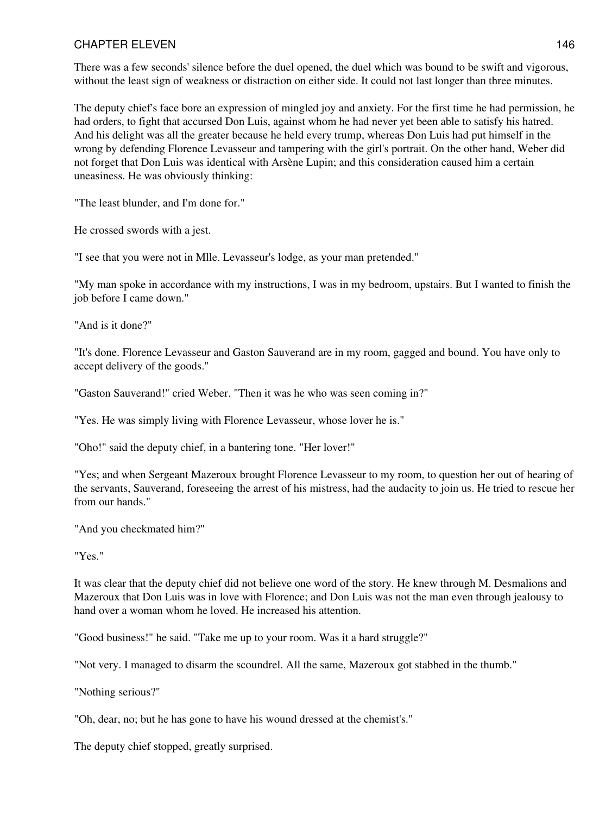There was a few seconds' silence before the duel opened, the duel which was bound to be swift and vigorous, without the least sign of weakness or distraction on either side. It could not last longer than three minutes.

The deputy chief's face bore an expression of mingled joy and anxiety. For the first time he had permission, he had orders, to fight that accursed Don Luis, against whom he had never yet been able to satisfy his hatred. And his delight was all the greater because he held every trump, whereas Don Luis had put himself in the wrong by defending Florence Levasseur and tampering with the girl's portrait. On the other hand, Weber did not forget that Don Luis was identical with Arsène Lupin; and this consideration caused him a certain uneasiness. He was obviously thinking:

"The least blunder, and I'm done for."

He crossed swords with a jest.

"I see that you were not in Mlle. Levasseur's lodge, as your man pretended."

"My man spoke in accordance with my instructions, I was in my bedroom, upstairs. But I wanted to finish the job before I came down."

"And is it done?"

"It's done. Florence Levasseur and Gaston Sauverand are in my room, gagged and bound. You have only to accept delivery of the goods."

"Gaston Sauverand!" cried Weber. "Then it was he who was seen coming in?"

"Yes. He was simply living with Florence Levasseur, whose lover he is."

"Oho!" said the deputy chief, in a bantering tone. "Her lover!"

"Yes; and when Sergeant Mazeroux brought Florence Levasseur to my room, to question her out of hearing of the servants, Sauverand, foreseeing the arrest of his mistress, had the audacity to join us. He tried to rescue her from our hands."

"And you checkmated him?"

"Yes."

It was clear that the deputy chief did not believe one word of the story. He knew through M. Desmalions and Mazeroux that Don Luis was in love with Florence; and Don Luis was not the man even through jealousy to hand over a woman whom he loved. He increased his attention.

"Good business!" he said. "Take me up to your room. Was it a hard struggle?"

"Not very. I managed to disarm the scoundrel. All the same, Mazeroux got stabbed in the thumb."

"Nothing serious?"

"Oh, dear, no; but he has gone to have his wound dressed at the chemist's."

The deputy chief stopped, greatly surprised.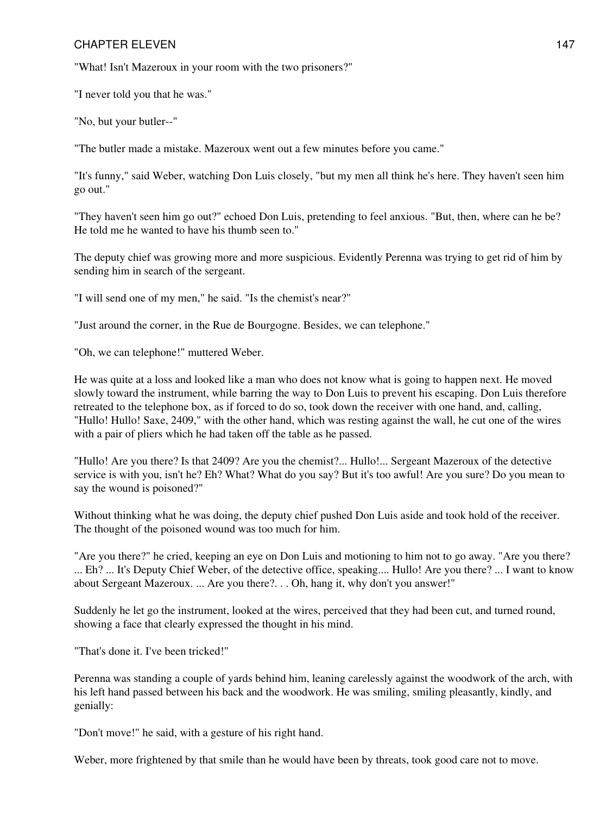"What! Isn't Mazeroux in your room with the two prisoners?"

"I never told you that he was."

"No, but your butler--"

"The butler made a mistake. Mazeroux went out a few minutes before you came."

"It's funny," said Weber, watching Don Luis closely, "but my men all think he's here. They haven't seen him go out."

"They haven't seen him go out?" echoed Don Luis, pretending to feel anxious. "But, then, where can he be? He told me he wanted to have his thumb seen to."

The deputy chief was growing more and more suspicious. Evidently Perenna was trying to get rid of him by sending him in search of the sergeant.

"I will send one of my men," he said. "Is the chemist's near?"

"Just around the corner, in the Rue de Bourgogne. Besides, we can telephone."

"Oh, we can telephone!" muttered Weber.

He was quite at a loss and looked like a man who does not know what is going to happen next. He moved slowly toward the instrument, while barring the way to Don Luis to prevent his escaping. Don Luis therefore retreated to the telephone box, as if forced to do so, took down the receiver with one hand, and, calling, "Hullo! Hullo! Saxe, 2409," with the other hand, which was resting against the wall, he cut one of the wires with a pair of pliers which he had taken off the table as he passed.

"Hullo! Are you there? Is that 2409? Are you the chemist?... Hullo!... Sergeant Mazeroux of the detective service is with you, isn't he? Eh? What? What do you say? But it's too awful! Are you sure? Do you mean to say the wound is poisoned?"

Without thinking what he was doing, the deputy chief pushed Don Luis aside and took hold of the receiver. The thought of the poisoned wound was too much for him.

"Are you there?" he cried, keeping an eye on Don Luis and motioning to him not to go away. "Are you there? ... Eh? ... It's Deputy Chief Weber, of the detective office, speaking.... Hullo! Are you there? ... I want to know about Sergeant Mazeroux. ... Are you there?. . . Oh, hang it, why don't you answer!"

Suddenly he let go the instrument, looked at the wires, perceived that they had been cut, and turned round, showing a face that clearly expressed the thought in his mind.

"That's done it. I've been tricked!"

Perenna was standing a couple of yards behind him, leaning carelessly against the woodwork of the arch, with his left hand passed between his back and the woodwork. He was smiling, smiling pleasantly, kindly, and genially:

"Don't move!" he said, with a gesture of his right hand.

Weber, more frightened by that smile than he would have been by threats, took good care not to move.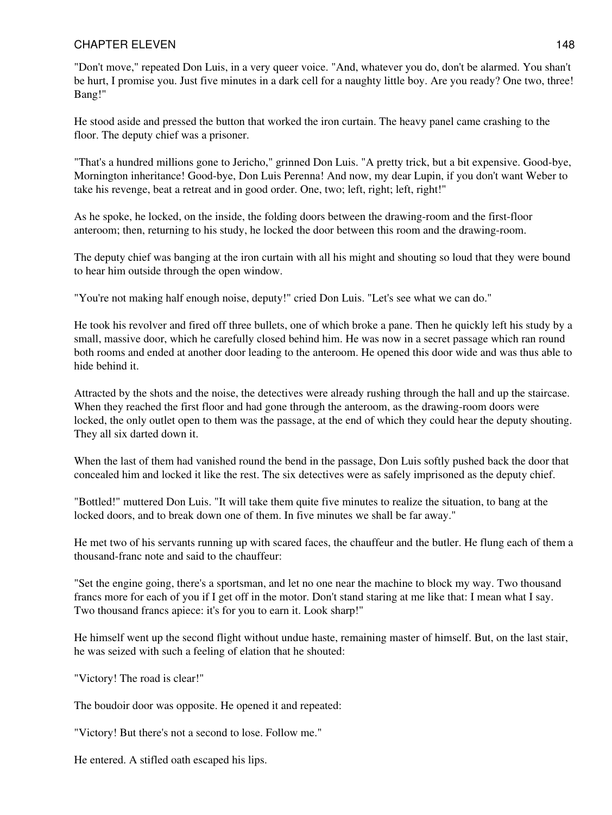"Don't move," repeated Don Luis, in a very queer voice. "And, whatever you do, don't be alarmed. You shan't be hurt, I promise you. Just five minutes in a dark cell for a naughty little boy. Are you ready? One two, three! Bang!"

He stood aside and pressed the button that worked the iron curtain. The heavy panel came crashing to the floor. The deputy chief was a prisoner.

"That's a hundred millions gone to Jericho," grinned Don Luis. "A pretty trick, but a bit expensive. Good-bye, Mornington inheritance! Good-bye, Don Luis Perenna! And now, my dear Lupin, if you don't want Weber to take his revenge, beat a retreat and in good order. One, two; left, right; left, right!"

As he spoke, he locked, on the inside, the folding doors between the drawing-room and the first-floor anteroom; then, returning to his study, he locked the door between this room and the drawing-room.

The deputy chief was banging at the iron curtain with all his might and shouting so loud that they were bound to hear him outside through the open window.

"You're not making half enough noise, deputy!" cried Don Luis. "Let's see what we can do."

He took his revolver and fired off three bullets, one of which broke a pane. Then he quickly left his study by a small, massive door, which he carefully closed behind him. He was now in a secret passage which ran round both rooms and ended at another door leading to the anteroom. He opened this door wide and was thus able to hide behind it.

Attracted by the shots and the noise, the detectives were already rushing through the hall and up the staircase. When they reached the first floor and had gone through the anteroom, as the drawing-room doors were locked, the only outlet open to them was the passage, at the end of which they could hear the deputy shouting. They all six darted down it.

When the last of them had vanished round the bend in the passage. Don Luis softly pushed back the door that concealed him and locked it like the rest. The six detectives were as safely imprisoned as the deputy chief.

"Bottled!" muttered Don Luis. "It will take them quite five minutes to realize the situation, to bang at the locked doors, and to break down one of them. In five minutes we shall be far away."

He met two of his servants running up with scared faces, the chauffeur and the butler. He flung each of them a thousand-franc note and said to the chauffeur:

"Set the engine going, there's a sportsman, and let no one near the machine to block my way. Two thousand francs more for each of you if I get off in the motor. Don't stand staring at me like that: I mean what I say. Two thousand francs apiece: it's for you to earn it. Look sharp!"

He himself went up the second flight without undue haste, remaining master of himself. But, on the last stair, he was seized with such a feeling of elation that he shouted:

"Victory! The road is clear!"

The boudoir door was opposite. He opened it and repeated:

"Victory! But there's not a second to lose. Follow me."

He entered. A stifled oath escaped his lips.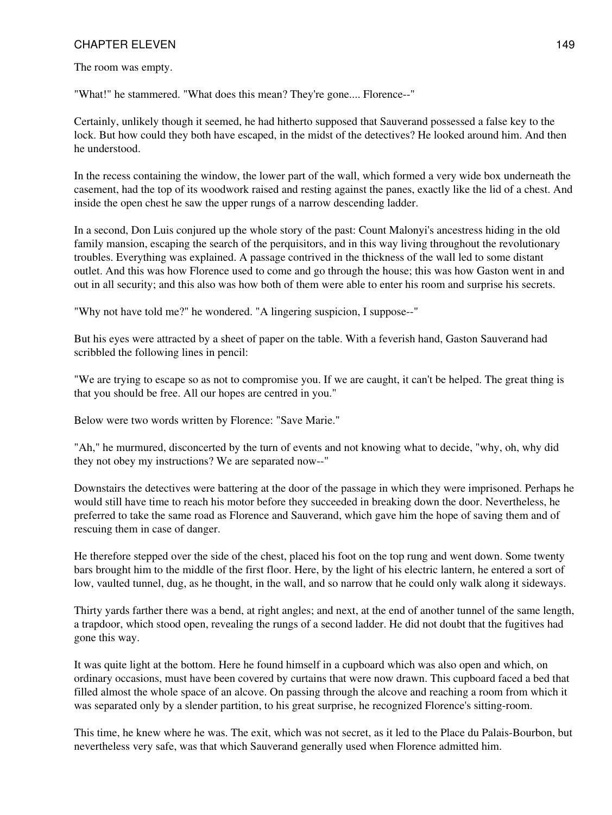The room was empty.

"What!" he stammered. "What does this mean? They're gone.... Florence--"

Certainly, unlikely though it seemed, he had hitherto supposed that Sauverand possessed a false key to the lock. But how could they both have escaped, in the midst of the detectives? He looked around him. And then he understood.

In the recess containing the window, the lower part of the wall, which formed a very wide box underneath the casement, had the top of its woodwork raised and resting against the panes, exactly like the lid of a chest. And inside the open chest he saw the upper rungs of a narrow descending ladder.

In a second, Don Luis conjured up the whole story of the past: Count Malonyi's ancestress hiding in the old family mansion, escaping the search of the perquisitors, and in this way living throughout the revolutionary troubles. Everything was explained. A passage contrived in the thickness of the wall led to some distant outlet. And this was how Florence used to come and go through the house; this was how Gaston went in and out in all security; and this also was how both of them were able to enter his room and surprise his secrets.

"Why not have told me?" he wondered. "A lingering suspicion, I suppose--"

But his eyes were attracted by a sheet of paper on the table. With a feverish hand, Gaston Sauverand had scribbled the following lines in pencil:

"We are trying to escape so as not to compromise you. If we are caught, it can't be helped. The great thing is that you should be free. All our hopes are centred in you."

Below were two words written by Florence: "Save Marie."

"Ah," he murmured, disconcerted by the turn of events and not knowing what to decide, "why, oh, why did they not obey my instructions? We are separated now--"

Downstairs the detectives were battering at the door of the passage in which they were imprisoned. Perhaps he would still have time to reach his motor before they succeeded in breaking down the door. Nevertheless, he preferred to take the same road as Florence and Sauverand, which gave him the hope of saving them and of rescuing them in case of danger.

He therefore stepped over the side of the chest, placed his foot on the top rung and went down. Some twenty bars brought him to the middle of the first floor. Here, by the light of his electric lantern, he entered a sort of low, vaulted tunnel, dug, as he thought, in the wall, and so narrow that he could only walk along it sideways.

Thirty yards farther there was a bend, at right angles; and next, at the end of another tunnel of the same length, a trapdoor, which stood open, revealing the rungs of a second ladder. He did not doubt that the fugitives had gone this way.

It was quite light at the bottom. Here he found himself in a cupboard which was also open and which, on ordinary occasions, must have been covered by curtains that were now drawn. This cupboard faced a bed that filled almost the whole space of an alcove. On passing through the alcove and reaching a room from which it was separated only by a slender partition, to his great surprise, he recognized Florence's sitting-room.

This time, he knew where he was. The exit, which was not secret, as it led to the Place du Palais-Bourbon, but nevertheless very safe, was that which Sauverand generally used when Florence admitted him.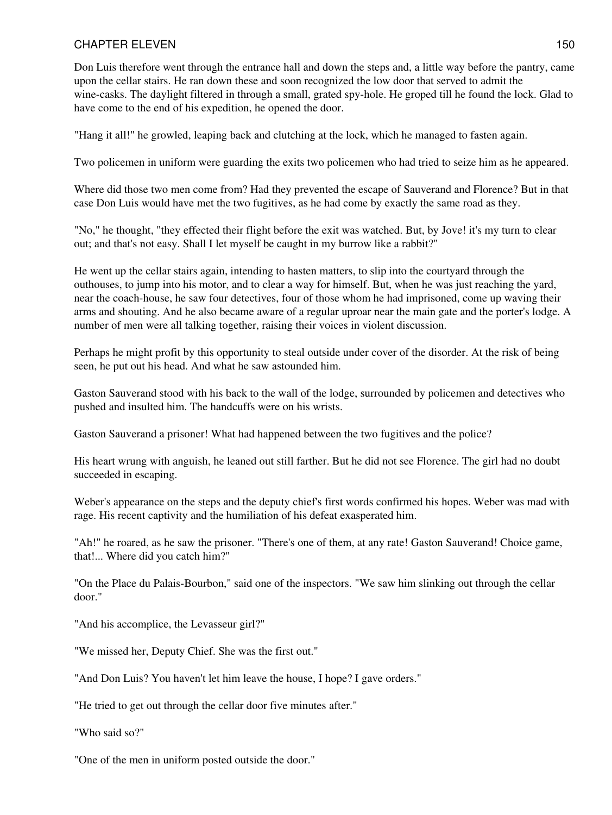Don Luis therefore went through the entrance hall and down the steps and, a little way before the pantry, came upon the cellar stairs. He ran down these and soon recognized the low door that served to admit the wine-casks. The daylight filtered in through a small, grated spy-hole. He groped till he found the lock. Glad to have come to the end of his expedition, he opened the door.

"Hang it all!" he growled, leaping back and clutching at the lock, which he managed to fasten again.

Two policemen in uniform were guarding the exits two policemen who had tried to seize him as he appeared.

Where did those two men come from? Had they prevented the escape of Sauverand and Florence? But in that case Don Luis would have met the two fugitives, as he had come by exactly the same road as they.

"No," he thought, "they effected their flight before the exit was watched. But, by Jove! it's my turn to clear out; and that's not easy. Shall I let myself be caught in my burrow like a rabbit?"

He went up the cellar stairs again, intending to hasten matters, to slip into the courtyard through the outhouses, to jump into his motor, and to clear a way for himself. But, when he was just reaching the yard, near the coach-house, he saw four detectives, four of those whom he had imprisoned, come up waving their arms and shouting. And he also became aware of a regular uproar near the main gate and the porter's lodge. A number of men were all talking together, raising their voices in violent discussion.

Perhaps he might profit by this opportunity to steal outside under cover of the disorder. At the risk of being seen, he put out his head. And what he saw astounded him.

Gaston Sauverand stood with his back to the wall of the lodge, surrounded by policemen and detectives who pushed and insulted him. The handcuffs were on his wrists.

Gaston Sauverand a prisoner! What had happened between the two fugitives and the police?

His heart wrung with anguish, he leaned out still farther. But he did not see Florence. The girl had no doubt succeeded in escaping.

Weber's appearance on the steps and the deputy chief's first words confirmed his hopes. Weber was mad with rage. His recent captivity and the humiliation of his defeat exasperated him.

"Ah!" he roared, as he saw the prisoner. "There's one of them, at any rate! Gaston Sauverand! Choice game, that!... Where did you catch him?"

"On the Place du Palais-Bourbon," said one of the inspectors. "We saw him slinking out through the cellar door."

"And his accomplice, the Levasseur girl?"

"We missed her, Deputy Chief. She was the first out."

"And Don Luis? You haven't let him leave the house, I hope? I gave orders."

"He tried to get out through the cellar door five minutes after."

"Who said so?"

"One of the men in uniform posted outside the door."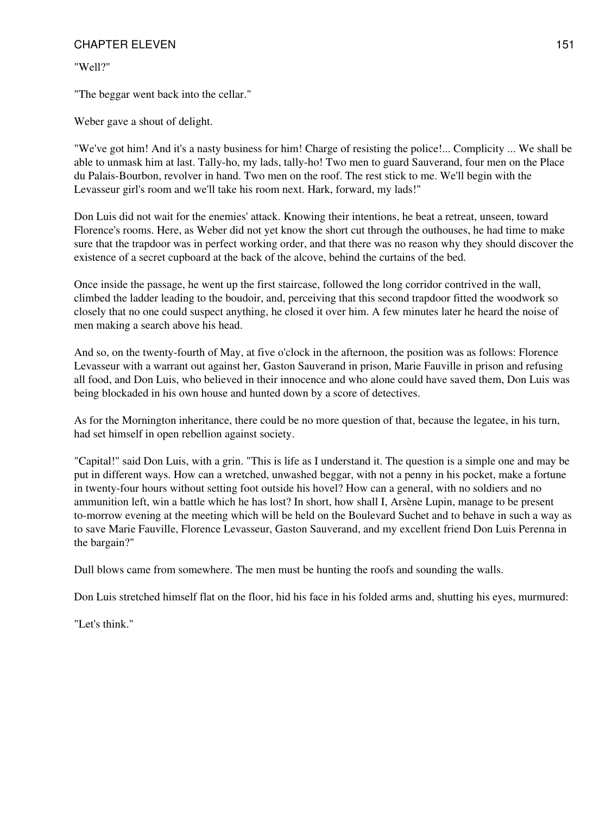"Well?"

"The beggar went back into the cellar."

Weber gave a shout of delight.

"We've got him! And it's a nasty business for him! Charge of resisting the police!... Complicity ... We shall be able to unmask him at last. Tally-ho, my lads, tally-ho! Two men to guard Sauverand, four men on the Place du Palais-Bourbon, revolver in hand. Two men on the roof. The rest stick to me. We'll begin with the Levasseur girl's room and we'll take his room next. Hark, forward, my lads!"

Don Luis did not wait for the enemies' attack. Knowing their intentions, he beat a retreat, unseen, toward Florence's rooms. Here, as Weber did not yet know the short cut through the outhouses, he had time to make sure that the trapdoor was in perfect working order, and that there was no reason why they should discover the existence of a secret cupboard at the back of the alcove, behind the curtains of the bed.

Once inside the passage, he went up the first staircase, followed the long corridor contrived in the wall, climbed the ladder leading to the boudoir, and, perceiving that this second trapdoor fitted the woodwork so closely that no one could suspect anything, he closed it over him. A few minutes later he heard the noise of men making a search above his head.

And so, on the twenty-fourth of May, at five o'clock in the afternoon, the position was as follows: Florence Levasseur with a warrant out against her, Gaston Sauverand in prison, Marie Fauville in prison and refusing all food, and Don Luis, who believed in their innocence and who alone could have saved them, Don Luis was being blockaded in his own house and hunted down by a score of detectives.

As for the Mornington inheritance, there could be no more question of that, because the legatee, in his turn, had set himself in open rebellion against society.

"Capital!" said Don Luis, with a grin. "This is life as I understand it. The question is a simple one and may be put in different ways. How can a wretched, unwashed beggar, with not a penny in his pocket, make a fortune in twenty-four hours without setting foot outside his hovel? How can a general, with no soldiers and no ammunition left, win a battle which he has lost? In short, how shall I, Arsène Lupin, manage to be present to-morrow evening at the meeting which will be held on the Boulevard Suchet and to behave in such a way as to save Marie Fauville, Florence Levasseur, Gaston Sauverand, and my excellent friend Don Luis Perenna in the bargain?"

Dull blows came from somewhere. The men must be hunting the roofs and sounding the walls.

Don Luis stretched himself flat on the floor, hid his face in his folded arms and, shutting his eyes, murmured:

"Let's think."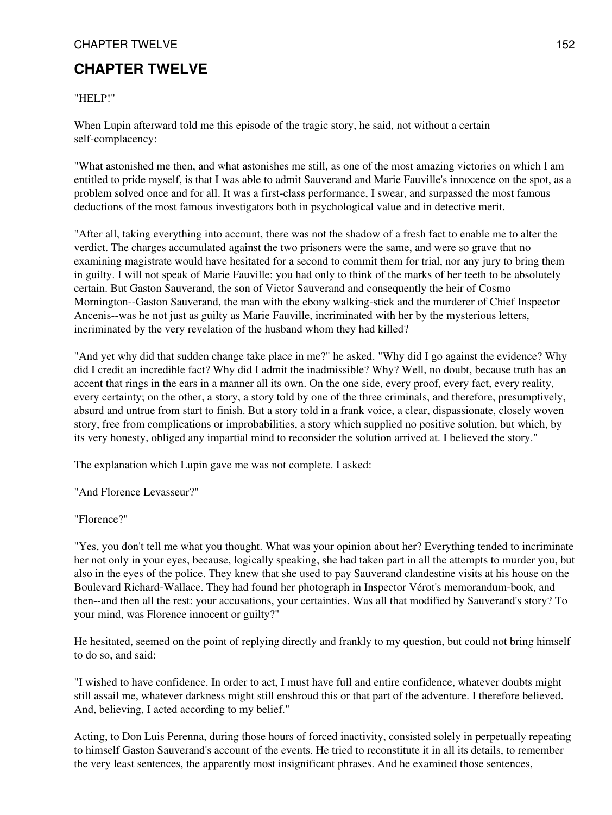## **CHAPTER TWELVE**

#### "HELP!"

When Lupin afterward told me this episode of the tragic story, he said, not without a certain self-complacency:

"What astonished me then, and what astonishes me still, as one of the most amazing victories on which I am entitled to pride myself, is that I was able to admit Sauverand and Marie Fauville's innocence on the spot, as a problem solved once and for all. It was a first-class performance, I swear, and surpassed the most famous deductions of the most famous investigators both in psychological value and in detective merit.

"After all, taking everything into account, there was not the shadow of a fresh fact to enable me to alter the verdict. The charges accumulated against the two prisoners were the same, and were so grave that no examining magistrate would have hesitated for a second to commit them for trial, nor any jury to bring them in guilty. I will not speak of Marie Fauville: you had only to think of the marks of her teeth to be absolutely certain. But Gaston Sauverand, the son of Victor Sauverand and consequently the heir of Cosmo Mornington--Gaston Sauverand, the man with the ebony walking-stick and the murderer of Chief Inspector Ancenis--was he not just as guilty as Marie Fauville, incriminated with her by the mysterious letters, incriminated by the very revelation of the husband whom they had killed?

"And yet why did that sudden change take place in me?" he asked. "Why did I go against the evidence? Why did I credit an incredible fact? Why did I admit the inadmissible? Why? Well, no doubt, because truth has an accent that rings in the ears in a manner all its own. On the one side, every proof, every fact, every reality, every certainty; on the other, a story, a story told by one of the three criminals, and therefore, presumptively, absurd and untrue from start to finish. But a story told in a frank voice, a clear, dispassionate, closely woven story, free from complications or improbabilities, a story which supplied no positive solution, but which, by its very honesty, obliged any impartial mind to reconsider the solution arrived at. I believed the story."

The explanation which Lupin gave me was not complete. I asked:

"And Florence Levasseur?"

#### "Florence?"

"Yes, you don't tell me what you thought. What was your opinion about her? Everything tended to incriminate her not only in your eyes, because, logically speaking, she had taken part in all the attempts to murder you, but also in the eyes of the police. They knew that she used to pay Sauverand clandestine visits at his house on the Boulevard Richard-Wallace. They had found her photograph in Inspector Vérot's memorandum-book, and then--and then all the rest: your accusations, your certainties. Was all that modified by Sauverand's story? To your mind, was Florence innocent or guilty?"

He hesitated, seemed on the point of replying directly and frankly to my question, but could not bring himself to do so, and said:

"I wished to have confidence. In order to act, I must have full and entire confidence, whatever doubts might still assail me, whatever darkness might still enshroud this or that part of the adventure. I therefore believed. And, believing, I acted according to my belief."

Acting, to Don Luis Perenna, during those hours of forced inactivity, consisted solely in perpetually repeating to himself Gaston Sauverand's account of the events. He tried to reconstitute it in all its details, to remember the very least sentences, the apparently most insignificant phrases. And he examined those sentences,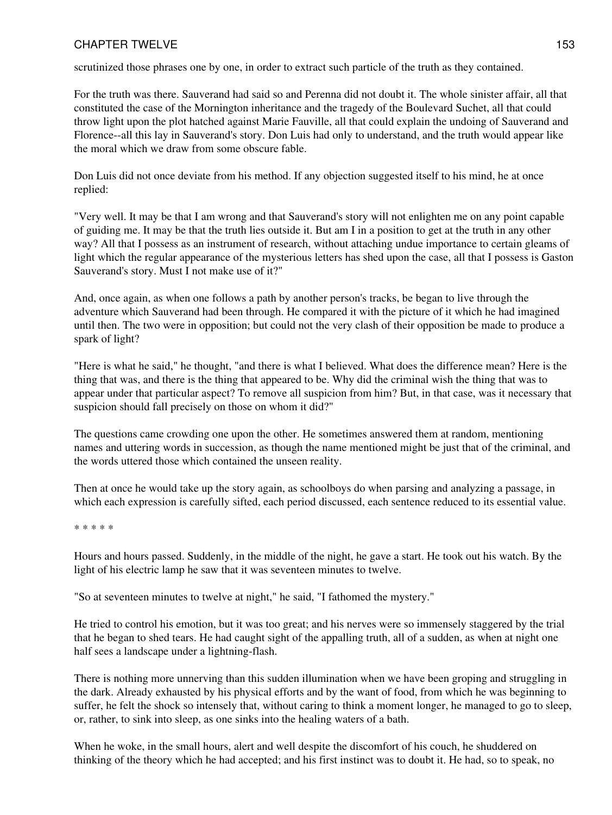scrutinized those phrases one by one, in order to extract such particle of the truth as they contained.

For the truth was there. Sauverand had said so and Perenna did not doubt it. The whole sinister affair, all that constituted the case of the Mornington inheritance and the tragedy of the Boulevard Suchet, all that could throw light upon the plot hatched against Marie Fauville, all that could explain the undoing of Sauverand and Florence--all this lay in Sauverand's story. Don Luis had only to understand, and the truth would appear like the moral which we draw from some obscure fable.

Don Luis did not once deviate from his method. If any objection suggested itself to his mind, he at once replied:

"Very well. It may be that I am wrong and that Sauverand's story will not enlighten me on any point capable of guiding me. It may be that the truth lies outside it. But am I in a position to get at the truth in any other way? All that I possess as an instrument of research, without attaching undue importance to certain gleams of light which the regular appearance of the mysterious letters has shed upon the case, all that I possess is Gaston Sauverand's story. Must I not make use of it?"

And, once again, as when one follows a path by another person's tracks, be began to live through the adventure which Sauverand had been through. He compared it with the picture of it which he had imagined until then. The two were in opposition; but could not the very clash of their opposition be made to produce a spark of light?

"Here is what he said," he thought, "and there is what I believed. What does the difference mean? Here is the thing that was, and there is the thing that appeared to be. Why did the criminal wish the thing that was to appear under that particular aspect? To remove all suspicion from him? But, in that case, was it necessary that suspicion should fall precisely on those on whom it did?"

The questions came crowding one upon the other. He sometimes answered them at random, mentioning names and uttering words in succession, as though the name mentioned might be just that of the criminal, and the words uttered those which contained the unseen reality.

Then at once he would take up the story again, as schoolboys do when parsing and analyzing a passage, in which each expression is carefully sifted, each period discussed, each sentence reduced to its essential value.

\* \* \* \* \*

Hours and hours passed. Suddenly, in the middle of the night, he gave a start. He took out his watch. By the light of his electric lamp he saw that it was seventeen minutes to twelve.

"So at seventeen minutes to twelve at night," he said, "I fathomed the mystery."

He tried to control his emotion, but it was too great; and his nerves were so immensely staggered by the trial that he began to shed tears. He had caught sight of the appalling truth, all of a sudden, as when at night one half sees a landscape under a lightning-flash.

There is nothing more unnerving than this sudden illumination when we have been groping and struggling in the dark. Already exhausted by his physical efforts and by the want of food, from which he was beginning to suffer, he felt the shock so intensely that, without caring to think a moment longer, he managed to go to sleep, or, rather, to sink into sleep, as one sinks into the healing waters of a bath.

When he woke, in the small hours, alert and well despite the discomfort of his couch, he shuddered on thinking of the theory which he had accepted; and his first instinct was to doubt it. He had, so to speak, no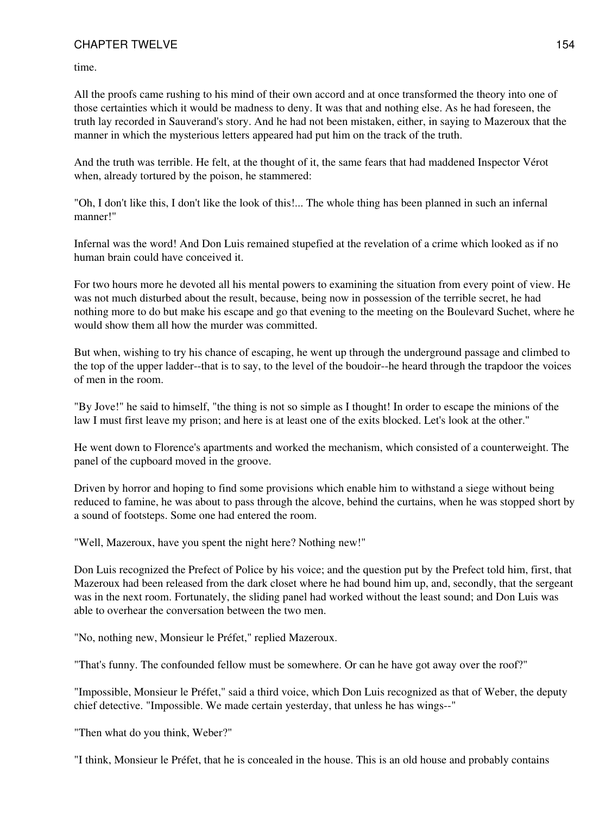time.

All the proofs came rushing to his mind of their own accord and at once transformed the theory into one of those certainties which it would be madness to deny. It was that and nothing else. As he had foreseen, the truth lay recorded in Sauverand's story. And he had not been mistaken, either, in saying to Mazeroux that the manner in which the mysterious letters appeared had put him on the track of the truth.

And the truth was terrible. He felt, at the thought of it, the same fears that had maddened Inspector Vérot when, already tortured by the poison, he stammered:

"Oh, I don't like this, I don't like the look of this!... The whole thing has been planned in such an infernal manner!"

Infernal was the word! And Don Luis remained stupefied at the revelation of a crime which looked as if no human brain could have conceived it.

For two hours more he devoted all his mental powers to examining the situation from every point of view. He was not much disturbed about the result, because, being now in possession of the terrible secret, he had nothing more to do but make his escape and go that evening to the meeting on the Boulevard Suchet, where he would show them all how the murder was committed.

But when, wishing to try his chance of escaping, he went up through the underground passage and climbed to the top of the upper ladder--that is to say, to the level of the boudoir--he heard through the trapdoor the voices of men in the room.

"By Jove!" he said to himself, "the thing is not so simple as I thought! In order to escape the minions of the law I must first leave my prison; and here is at least one of the exits blocked. Let's look at the other."

He went down to Florence's apartments and worked the mechanism, which consisted of a counterweight. The panel of the cupboard moved in the groove.

Driven by horror and hoping to find some provisions which enable him to withstand a siege without being reduced to famine, he was about to pass through the alcove, behind the curtains, when he was stopped short by a sound of footsteps. Some one had entered the room.

"Well, Mazeroux, have you spent the night here? Nothing new!"

Don Luis recognized the Prefect of Police by his voice; and the question put by the Prefect told him, first, that Mazeroux had been released from the dark closet where he had bound him up, and, secondly, that the sergeant was in the next room. Fortunately, the sliding panel had worked without the least sound; and Don Luis was able to overhear the conversation between the two men.

"No, nothing new, Monsieur le Préfet," replied Mazeroux.

"That's funny. The confounded fellow must be somewhere. Or can he have got away over the roof?"

"Impossible, Monsieur le Préfet," said a third voice, which Don Luis recognized as that of Weber, the deputy chief detective. "Impossible. We made certain yesterday, that unless he has wings--"

"Then what do you think, Weber?"

"I think, Monsieur le Préfet, that he is concealed in the house. This is an old house and probably contains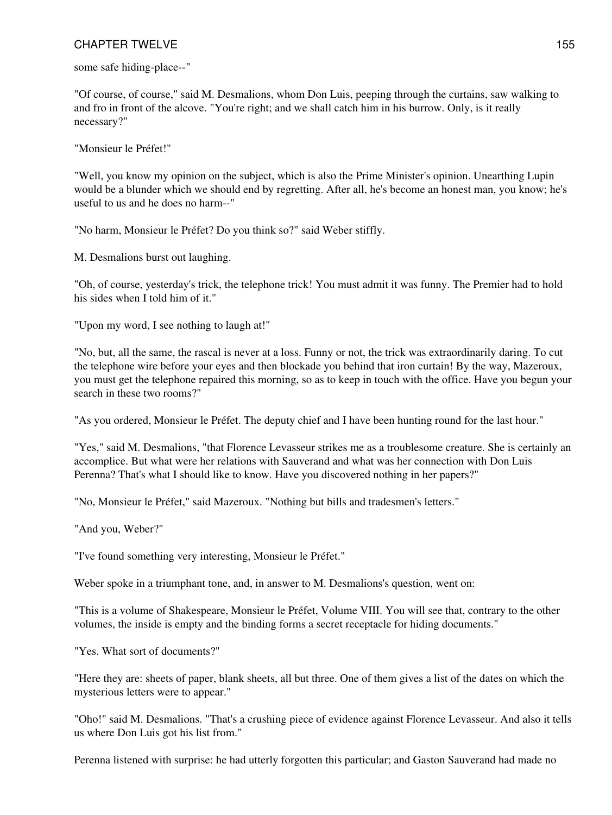some safe hiding-place--"

"Of course, of course," said M. Desmalions, whom Don Luis, peeping through the curtains, saw walking to and fro in front of the alcove. "You're right; and we shall catch him in his burrow. Only, is it really necessary?"

"Monsieur le Préfet!"

"Well, you know my opinion on the subject, which is also the Prime Minister's opinion. Unearthing Lupin would be a blunder which we should end by regretting. After all, he's become an honest man, you know; he's useful to us and he does no harm--"

"No harm, Monsieur le Préfet? Do you think so?" said Weber stiffly.

M. Desmalions burst out laughing.

"Oh, of course, yesterday's trick, the telephone trick! You must admit it was funny. The Premier had to hold his sides when I told him of it."

"Upon my word, I see nothing to laugh at!"

"No, but, all the same, the rascal is never at a loss. Funny or not, the trick was extraordinarily daring. To cut the telephone wire before your eyes and then blockade you behind that iron curtain! By the way, Mazeroux, you must get the telephone repaired this morning, so as to keep in touch with the office. Have you begun your search in these two rooms?"

"As you ordered, Monsieur le Préfet. The deputy chief and I have been hunting round for the last hour."

"Yes," said M. Desmalions, "that Florence Levasseur strikes me as a troublesome creature. She is certainly an accomplice. But what were her relations with Sauverand and what was her connection with Don Luis Perenna? That's what I should like to know. Have you discovered nothing in her papers?"

"No, Monsieur le Préfet," said Mazeroux. "Nothing but bills and tradesmen's letters."

"And you, Weber?"

"I've found something very interesting, Monsieur le Préfet."

Weber spoke in a triumphant tone, and, in answer to M. Desmalions's question, went on:

"This is a volume of Shakespeare, Monsieur le Préfet, Volume VIII. You will see that, contrary to the other volumes, the inside is empty and the binding forms a secret receptacle for hiding documents."

"Yes. What sort of documents?"

"Here they are: sheets of paper, blank sheets, all but three. One of them gives a list of the dates on which the mysterious letters were to appear."

"Oho!" said M. Desmalions. "That's a crushing piece of evidence against Florence Levasseur. And also it tells us where Don Luis got his list from."

Perenna listened with surprise: he had utterly forgotten this particular; and Gaston Sauverand had made no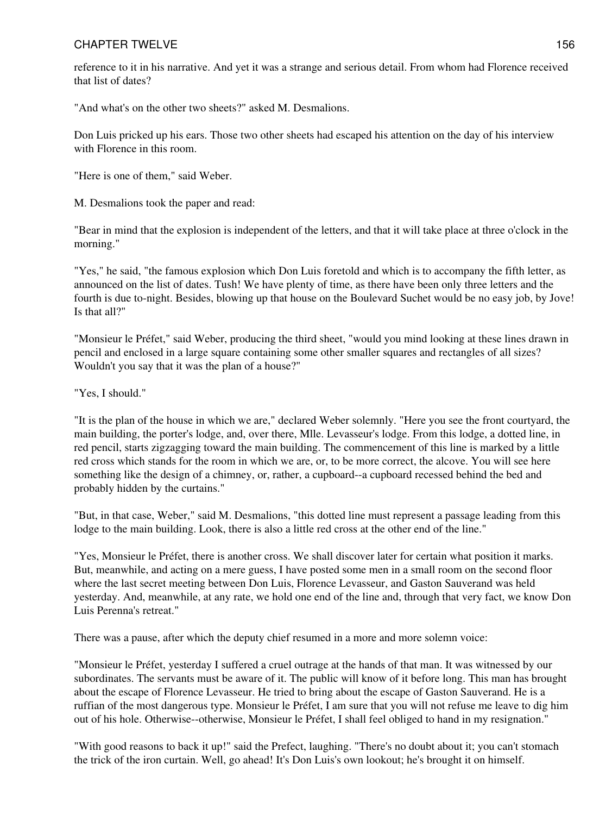reference to it in his narrative. And yet it was a strange and serious detail. From whom had Florence received that list of dates?

"And what's on the other two sheets?" asked M. Desmalions.

Don Luis pricked up his ears. Those two other sheets had escaped his attention on the day of his interview with Florence in this room.

"Here is one of them," said Weber.

M. Desmalions took the paper and read:

"Bear in mind that the explosion is independent of the letters, and that it will take place at three o'clock in the morning."

"Yes," he said, "the famous explosion which Don Luis foretold and which is to accompany the fifth letter, as announced on the list of dates. Tush! We have plenty of time, as there have been only three letters and the fourth is due to-night. Besides, blowing up that house on the Boulevard Suchet would be no easy job, by Jove! Is that all?"

"Monsieur le Préfet," said Weber, producing the third sheet, "would you mind looking at these lines drawn in pencil and enclosed in a large square containing some other smaller squares and rectangles of all sizes? Wouldn't you say that it was the plan of a house?"

"Yes, I should."

"It is the plan of the house in which we are," declared Weber solemnly. "Here you see the front courtyard, the main building, the porter's lodge, and, over there, Mlle. Levasseur's lodge. From this lodge, a dotted line, in red pencil, starts zigzagging toward the main building. The commencement of this line is marked by a little red cross which stands for the room in which we are, or, to be more correct, the alcove. You will see here something like the design of a chimney, or, rather, a cupboard--a cupboard recessed behind the bed and probably hidden by the curtains."

"But, in that case, Weber," said M. Desmalions, "this dotted line must represent a passage leading from this lodge to the main building. Look, there is also a little red cross at the other end of the line."

"Yes, Monsieur le Préfet, there is another cross. We shall discover later for certain what position it marks. But, meanwhile, and acting on a mere guess, I have posted some men in a small room on the second floor where the last secret meeting between Don Luis, Florence Levasseur, and Gaston Sauverand was held yesterday. And, meanwhile, at any rate, we hold one end of the line and, through that very fact, we know Don Luis Perenna's retreat."

There was a pause, after which the deputy chief resumed in a more and more solemn voice:

"Monsieur le Préfet, yesterday I suffered a cruel outrage at the hands of that man. It was witnessed by our subordinates. The servants must be aware of it. The public will know of it before long. This man has brought about the escape of Florence Levasseur. He tried to bring about the escape of Gaston Sauverand. He is a ruffian of the most dangerous type. Monsieur le Préfet, I am sure that you will not refuse me leave to dig him out of his hole. Otherwise--otherwise, Monsieur le Préfet, I shall feel obliged to hand in my resignation."

"With good reasons to back it up!" said the Prefect, laughing. "There's no doubt about it; you can't stomach the trick of the iron curtain. Well, go ahead! It's Don Luis's own lookout; he's brought it on himself.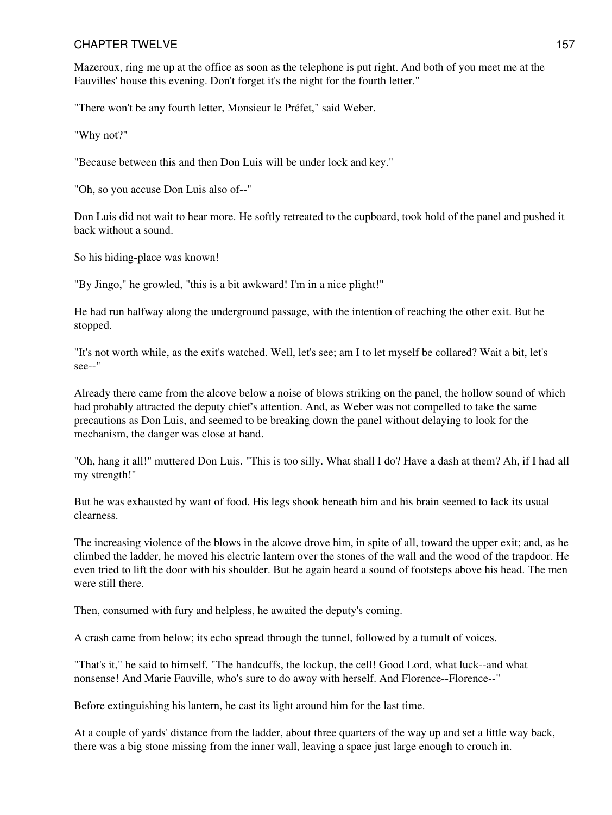Mazeroux, ring me up at the office as soon as the telephone is put right. And both of you meet me at the Fauvilles' house this evening. Don't forget it's the night for the fourth letter."

"There won't be any fourth letter, Monsieur le Préfet," said Weber.

"Why not?"

"Because between this and then Don Luis will be under lock and key."

"Oh, so you accuse Don Luis also of--"

Don Luis did not wait to hear more. He softly retreated to the cupboard, took hold of the panel and pushed it back without a sound.

So his hiding-place was known!

"By Jingo," he growled, "this is a bit awkward! I'm in a nice plight!"

He had run halfway along the underground passage, with the intention of reaching the other exit. But he stopped.

"It's not worth while, as the exit's watched. Well, let's see; am I to let myself be collared? Wait a bit, let's see--"

Already there came from the alcove below a noise of blows striking on the panel, the hollow sound of which had probably attracted the deputy chief's attention. And, as Weber was not compelled to take the same precautions as Don Luis, and seemed to be breaking down the panel without delaying to look for the mechanism, the danger was close at hand.

"Oh, hang it all!" muttered Don Luis. "This is too silly. What shall I do? Have a dash at them? Ah, if I had all my strength!"

But he was exhausted by want of food. His legs shook beneath him and his brain seemed to lack its usual clearness.

The increasing violence of the blows in the alcove drove him, in spite of all, toward the upper exit; and, as he climbed the ladder, he moved his electric lantern over the stones of the wall and the wood of the trapdoor. He even tried to lift the door with his shoulder. But he again heard a sound of footsteps above his head. The men were still there.

Then, consumed with fury and helpless, he awaited the deputy's coming.

A crash came from below; its echo spread through the tunnel, followed by a tumult of voices.

"That's it," he said to himself. "The handcuffs, the lockup, the cell! Good Lord, what luck--and what nonsense! And Marie Fauville, who's sure to do away with herself. And Florence--Florence--"

Before extinguishing his lantern, he cast its light around him for the last time.

At a couple of yards' distance from the ladder, about three quarters of the way up and set a little way back, there was a big stone missing from the inner wall, leaving a space just large enough to crouch in.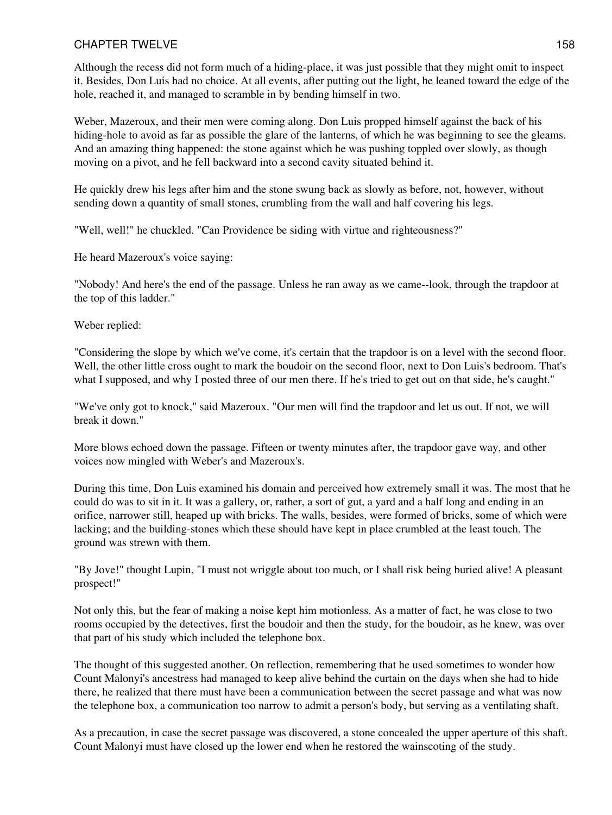Although the recess did not form much of a hiding-place, it was just possible that they might omit to inspect it. Besides, Don Luis had no choice. At all events, after putting out the light, he leaned toward the edge of the hole, reached it, and managed to scramble in by bending himself in two.

Weber, Mazeroux, and their men were coming along. Don Luis propped himself against the back of his hiding-hole to avoid as far as possible the glare of the lanterns, of which he was beginning to see the gleams. And an amazing thing happened: the stone against which he was pushing toppled over slowly, as though moving on a pivot, and he fell backward into a second cavity situated behind it.

He quickly drew his legs after him and the stone swung back as slowly as before, not, however, without sending down a quantity of small stones, crumbling from the wall and half covering his legs.

"Well, well!" he chuckled. "Can Providence be siding with virtue and righteousness?"

He heard Mazeroux's voice saying:

"Nobody! And here's the end of the passage. Unless he ran away as we came--look, through the trapdoor at the top of this ladder."

Weber replied:

"Considering the slope by which we've come, it's certain that the trapdoor is on a level with the second floor. Well, the other little cross ought to mark the boudoir on the second floor, next to Don Luis's bedroom. That's what I supposed, and why I posted three of our men there. If he's tried to get out on that side, he's caught."

"We've only got to knock," said Mazeroux. "Our men will find the trapdoor and let us out. If not, we will break it down."

More blows echoed down the passage. Fifteen or twenty minutes after, the trapdoor gave way, and other voices now mingled with Weber's and Mazeroux's.

During this time, Don Luis examined his domain and perceived how extremely small it was. The most that he could do was to sit in it. It was a gallery, or, rather, a sort of gut, a yard and a half long and ending in an orifice, narrower still, heaped up with bricks. The walls, besides, were formed of bricks, some of which were lacking; and the building-stones which these should have kept in place crumbled at the least touch. The ground was strewn with them.

"By Jove!" thought Lupin, "I must not wriggle about too much, or I shall risk being buried alive! A pleasant prospect!"

Not only this, but the fear of making a noise kept him motionless. As a matter of fact, he was close to two rooms occupied by the detectives, first the boudoir and then the study, for the boudoir, as he knew, was over that part of his study which included the telephone box.

The thought of this suggested another. On reflection, remembering that he used sometimes to wonder how Count Malonyi's ancestress had managed to keep alive behind the curtain on the days when she had to hide there, he realized that there must have been a communication between the secret passage and what was now the telephone box, a communication too narrow to admit a person's body, but serving as a ventilating shaft.

As a precaution, in case the secret passage was discovered, a stone concealed the upper aperture of this shaft. Count Malonyi must have closed up the lower end when he restored the wainscoting of the study.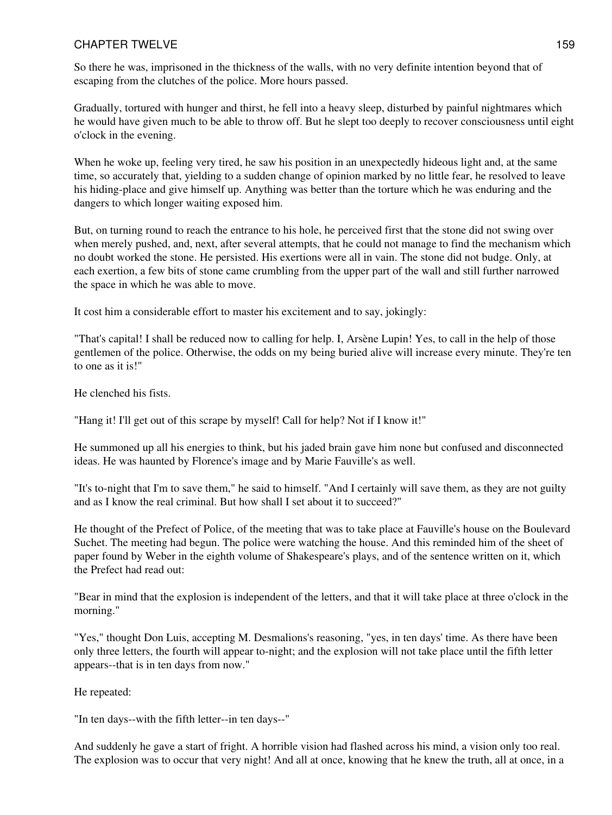So there he was, imprisoned in the thickness of the walls, with no very definite intention beyond that of escaping from the clutches of the police. More hours passed.

Gradually, tortured with hunger and thirst, he fell into a heavy sleep, disturbed by painful nightmares which he would have given much to be able to throw off. But he slept too deeply to recover consciousness until eight o'clock in the evening.

When he woke up, feeling very tired, he saw his position in an unexpectedly hideous light and, at the same time, so accurately that, yielding to a sudden change of opinion marked by no little fear, he resolved to leave his hiding-place and give himself up. Anything was better than the torture which he was enduring and the dangers to which longer waiting exposed him.

But, on turning round to reach the entrance to his hole, he perceived first that the stone did not swing over when merely pushed, and, next, after several attempts, that he could not manage to find the mechanism which no doubt worked the stone. He persisted. His exertions were all in vain. The stone did not budge. Only, at each exertion, a few bits of stone came crumbling from the upper part of the wall and still further narrowed the space in which he was able to move.

It cost him a considerable effort to master his excitement and to say, jokingly:

"That's capital! I shall be reduced now to calling for help. I, Arsène Lupin! Yes, to call in the help of those gentlemen of the police. Otherwise, the odds on my being buried alive will increase every minute. They're ten to one as it is!"

He clenched his fists.

"Hang it! I'll get out of this scrape by myself! Call for help? Not if I know it!"

He summoned up all his energies to think, but his jaded brain gave him none but confused and disconnected ideas. He was haunted by Florence's image and by Marie Fauville's as well.

"It's to-night that I'm to save them," he said to himself. "And I certainly will save them, as they are not guilty and as I know the real criminal. But how shall I set about it to succeed?"

He thought of the Prefect of Police, of the meeting that was to take place at Fauville's house on the Boulevard Suchet. The meeting had begun. The police were watching the house. And this reminded him of the sheet of paper found by Weber in the eighth volume of Shakespeare's plays, and of the sentence written on it, which the Prefect had read out:

"Bear in mind that the explosion is independent of the letters, and that it will take place at three o'clock in the morning."

"Yes," thought Don Luis, accepting M. Desmalions's reasoning, "yes, in ten days' time. As there have been only three letters, the fourth will appear to-night; and the explosion will not take place until the fifth letter appears--that is in ten days from now."

He repeated:

"In ten days--with the fifth letter--in ten days--"

And suddenly he gave a start of fright. A horrible vision had flashed across his mind, a vision only too real. The explosion was to occur that very night! And all at once, knowing that he knew the truth, all at once, in a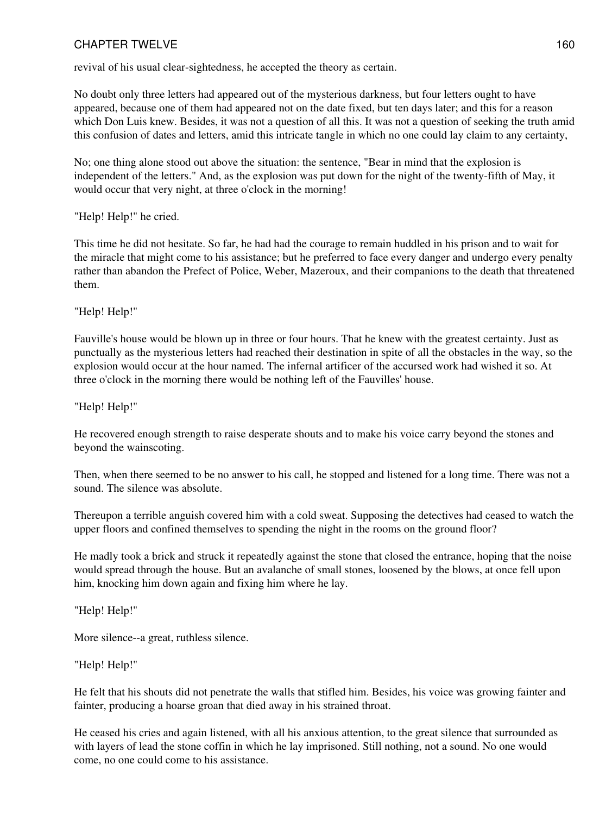revival of his usual clear-sightedness, he accepted the theory as certain.

No doubt only three letters had appeared out of the mysterious darkness, but four letters ought to have appeared, because one of them had appeared not on the date fixed, but ten days later; and this for a reason which Don Luis knew. Besides, it was not a question of all this. It was not a question of seeking the truth amid this confusion of dates and letters, amid this intricate tangle in which no one could lay claim to any certainty,

No; one thing alone stood out above the situation: the sentence, "Bear in mind that the explosion is independent of the letters." And, as the explosion was put down for the night of the twenty-fifth of May, it would occur that very night, at three o'clock in the morning!

"Help! Help!" he cried.

This time he did not hesitate. So far, he had had the courage to remain huddled in his prison and to wait for the miracle that might come to his assistance; but he preferred to face every danger and undergo every penalty rather than abandon the Prefect of Police, Weber, Mazeroux, and their companions to the death that threatened them.

"Help! Help!"

Fauville's house would be blown up in three or four hours. That he knew with the greatest certainty. Just as punctually as the mysterious letters had reached their destination in spite of all the obstacles in the way, so the explosion would occur at the hour named. The infernal artificer of the accursed work had wished it so. At three o'clock in the morning there would be nothing left of the Fauvilles' house.

"Help! Help!"

He recovered enough strength to raise desperate shouts and to make his voice carry beyond the stones and beyond the wainscoting.

Then, when there seemed to be no answer to his call, he stopped and listened for a long time. There was not a sound. The silence was absolute.

Thereupon a terrible anguish covered him with a cold sweat. Supposing the detectives had ceased to watch the upper floors and confined themselves to spending the night in the rooms on the ground floor?

He madly took a brick and struck it repeatedly against the stone that closed the entrance, hoping that the noise would spread through the house. But an avalanche of small stones, loosened by the blows, at once fell upon him, knocking him down again and fixing him where he lay.

"Help! Help!"

More silence--a great, ruthless silence.

"Help! Help!"

He felt that his shouts did not penetrate the walls that stifled him. Besides, his voice was growing fainter and fainter, producing a hoarse groan that died away in his strained throat.

He ceased his cries and again listened, with all his anxious attention, to the great silence that surrounded as with layers of lead the stone coffin in which he lay imprisoned. Still nothing, not a sound. No one would come, no one could come to his assistance.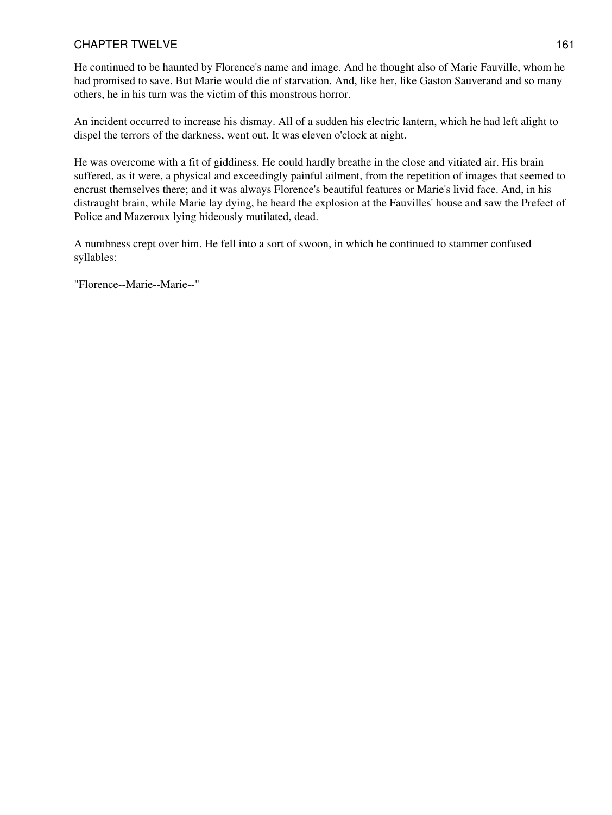He continued to be haunted by Florence's name and image. And he thought also of Marie Fauville, whom he had promised to save. But Marie would die of starvation. And, like her, like Gaston Sauverand and so many others, he in his turn was the victim of this monstrous horror.

An incident occurred to increase his dismay. All of a sudden his electric lantern, which he had left alight to dispel the terrors of the darkness, went out. It was eleven o'clock at night.

He was overcome with a fit of giddiness. He could hardly breathe in the close and vitiated air. His brain suffered, as it were, a physical and exceedingly painful ailment, from the repetition of images that seemed to encrust themselves there; and it was always Florence's beautiful features or Marie's livid face. And, in his distraught brain, while Marie lay dying, he heard the explosion at the Fauvilles' house and saw the Prefect of Police and Mazeroux lying hideously mutilated, dead.

A numbness crept over him. He fell into a sort of swoon, in which he continued to stammer confused syllables:

"Florence--Marie--Marie--"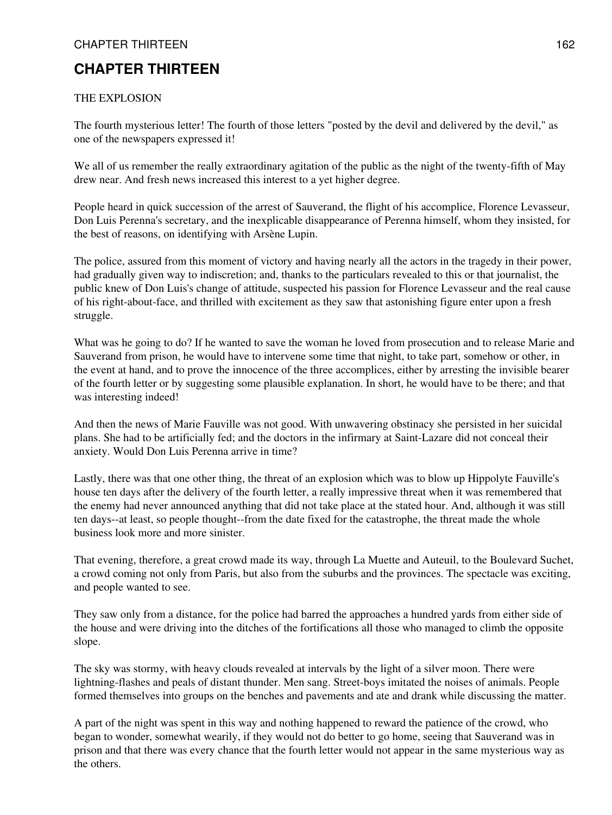## THE EXPLOSION

The fourth mysterious letter! The fourth of those letters "posted by the devil and delivered by the devil," as one of the newspapers expressed it!

We all of us remember the really extraordinary agitation of the public as the night of the twenty-fifth of May drew near. And fresh news increased this interest to a yet higher degree.

People heard in quick succession of the arrest of Sauverand, the flight of his accomplice, Florence Levasseur, Don Luis Perenna's secretary, and the inexplicable disappearance of Perenna himself, whom they insisted, for the best of reasons, on identifying with Arsène Lupin.

The police, assured from this moment of victory and having nearly all the actors in the tragedy in their power, had gradually given way to indiscretion; and, thanks to the particulars revealed to this or that journalist, the public knew of Don Luis's change of attitude, suspected his passion for Florence Levasseur and the real cause of his right-about-face, and thrilled with excitement as they saw that astonishing figure enter upon a fresh struggle.

What was he going to do? If he wanted to save the woman he loved from prosecution and to release Marie and Sauverand from prison, he would have to intervene some time that night, to take part, somehow or other, in the event at hand, and to prove the innocence of the three accomplices, either by arresting the invisible bearer of the fourth letter or by suggesting some plausible explanation. In short, he would have to be there; and that was interesting indeed!

And then the news of Marie Fauville was not good. With unwavering obstinacy she persisted in her suicidal plans. She had to be artificially fed; and the doctors in the infirmary at Saint-Lazare did not conceal their anxiety. Would Don Luis Perenna arrive in time?

Lastly, there was that one other thing, the threat of an explosion which was to blow up Hippolyte Fauville's house ten days after the delivery of the fourth letter, a really impressive threat when it was remembered that the enemy had never announced anything that did not take place at the stated hour. And, although it was still ten days--at least, so people thought--from the date fixed for the catastrophe, the threat made the whole business look more and more sinister.

That evening, therefore, a great crowd made its way, through La Muette and Auteuil, to the Boulevard Suchet, a crowd coming not only from Paris, but also from the suburbs and the provinces. The spectacle was exciting, and people wanted to see.

They saw only from a distance, for the police had barred the approaches a hundred yards from either side of the house and were driving into the ditches of the fortifications all those who managed to climb the opposite slope.

The sky was stormy, with heavy clouds revealed at intervals by the light of a silver moon. There were lightning-flashes and peals of distant thunder. Men sang. Street-boys imitated the noises of animals. People formed themselves into groups on the benches and pavements and ate and drank while discussing the matter.

A part of the night was spent in this way and nothing happened to reward the patience of the crowd, who began to wonder, somewhat wearily, if they would not do better to go home, seeing that Sauverand was in prison and that there was every chance that the fourth letter would not appear in the same mysterious way as the others.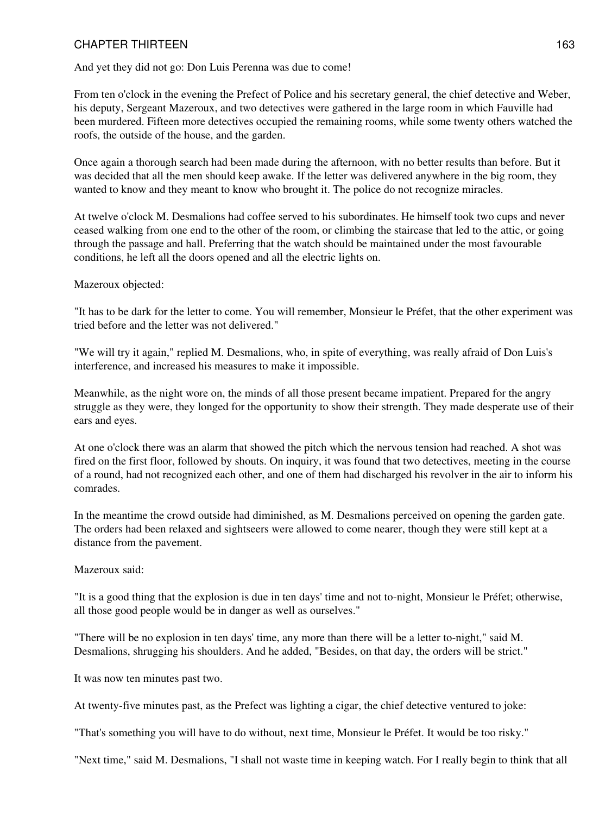And yet they did not go: Don Luis Perenna was due to come!

From ten o'clock in the evening the Prefect of Police and his secretary general, the chief detective and Weber, his deputy, Sergeant Mazeroux, and two detectives were gathered in the large room in which Fauville had been murdered. Fifteen more detectives occupied the remaining rooms, while some twenty others watched the roofs, the outside of the house, and the garden.

Once again a thorough search had been made during the afternoon, with no better results than before. But it was decided that all the men should keep awake. If the letter was delivered anywhere in the big room, they wanted to know and they meant to know who brought it. The police do not recognize miracles.

At twelve o'clock M. Desmalions had coffee served to his subordinates. He himself took two cups and never ceased walking from one end to the other of the room, or climbing the staircase that led to the attic, or going through the passage and hall. Preferring that the watch should be maintained under the most favourable conditions, he left all the doors opened and all the electric lights on.

#### Mazeroux objected:

"It has to be dark for the letter to come. You will remember, Monsieur le Préfet, that the other experiment was tried before and the letter was not delivered."

"We will try it again," replied M. Desmalions, who, in spite of everything, was really afraid of Don Luis's interference, and increased his measures to make it impossible.

Meanwhile, as the night wore on, the minds of all those present became impatient. Prepared for the angry struggle as they were, they longed for the opportunity to show their strength. They made desperate use of their ears and eyes.

At one o'clock there was an alarm that showed the pitch which the nervous tension had reached. A shot was fired on the first floor, followed by shouts. On inquiry, it was found that two detectives, meeting in the course of a round, had not recognized each other, and one of them had discharged his revolver in the air to inform his comrades.

In the meantime the crowd outside had diminished, as M. Desmalions perceived on opening the garden gate. The orders had been relaxed and sightseers were allowed to come nearer, though they were still kept at a distance from the pavement.

#### Mazeroux said:

"It is a good thing that the explosion is due in ten days' time and not to-night, Monsieur le Préfet; otherwise, all those good people would be in danger as well as ourselves."

"There will be no explosion in ten days' time, any more than there will be a letter to-night," said M. Desmalions, shrugging his shoulders. And he added, "Besides, on that day, the orders will be strict."

It was now ten minutes past two.

At twenty-five minutes past, as the Prefect was lighting a cigar, the chief detective ventured to joke:

"That's something you will have to do without, next time, Monsieur le Préfet. It would be too risky."

"Next time," said M. Desmalions, "I shall not waste time in keeping watch. For I really begin to think that all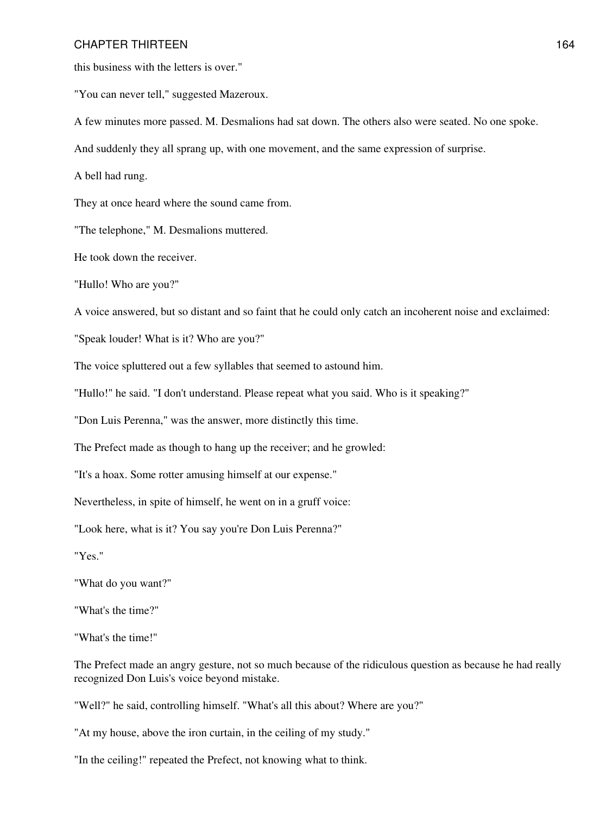this business with the letters is over."

"You can never tell," suggested Mazeroux.

A few minutes more passed. M. Desmalions had sat down. The others also were seated. No one spoke.

And suddenly they all sprang up, with one movement, and the same expression of surprise.

A bell had rung.

They at once heard where the sound came from.

"The telephone," M. Desmalions muttered.

He took down the receiver.

"Hullo! Who are you?"

A voice answered, but so distant and so faint that he could only catch an incoherent noise and exclaimed:

"Speak louder! What is it? Who are you?"

The voice spluttered out a few syllables that seemed to astound him.

"Hullo!" he said. "I don't understand. Please repeat what you said. Who is it speaking?"

"Don Luis Perenna," was the answer, more distinctly this time.

The Prefect made as though to hang up the receiver; and he growled:

"It's a hoax. Some rotter amusing himself at our expense."

Nevertheless, in spite of himself, he went on in a gruff voice:

"Look here, what is it? You say you're Don Luis Perenna?"

"Yes."

"What do you want?"

"What's the time?"

"What's the time!"

The Prefect made an angry gesture, not so much because of the ridiculous question as because he had really recognized Don Luis's voice beyond mistake.

"Well?" he said, controlling himself. "What's all this about? Where are you?"

"At my house, above the iron curtain, in the ceiling of my study."

"In the ceiling!" repeated the Prefect, not knowing what to think.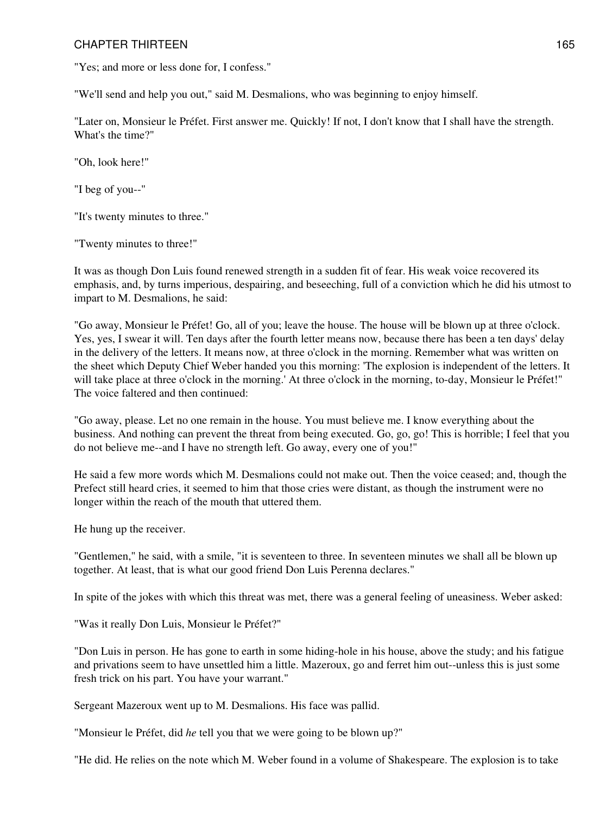"Yes; and more or less done for, I confess."

"We'll send and help you out," said M. Desmalions, who was beginning to enjoy himself.

"Later on, Monsieur le Préfet. First answer me. Quickly! If not, I don't know that I shall have the strength. What's the time?"

"Oh, look here!"

"I beg of you--"

"It's twenty minutes to three."

"Twenty minutes to three!"

It was as though Don Luis found renewed strength in a sudden fit of fear. His weak voice recovered its emphasis, and, by turns imperious, despairing, and beseeching, full of a conviction which he did his utmost to impart to M. Desmalions, he said:

"Go away, Monsieur le Préfet! Go, all of you; leave the house. The house will be blown up at three o'clock. Yes, yes, I swear it will. Ten days after the fourth letter means now, because there has been a ten days' delay in the delivery of the letters. It means now, at three o'clock in the morning. Remember what was written on the sheet which Deputy Chief Weber handed you this morning: 'The explosion is independent of the letters. It will take place at three o'clock in the morning.' At three o'clock in the morning, to-day, Monsieur le Préfet!" The voice faltered and then continued:

"Go away, please. Let no one remain in the house. You must believe me. I know everything about the business. And nothing can prevent the threat from being executed. Go, go, go! This is horrible; I feel that you do not believe me--and I have no strength left. Go away, every one of you!"

He said a few more words which M. Desmalions could not make out. Then the voice ceased; and, though the Prefect still heard cries, it seemed to him that those cries were distant, as though the instrument were no longer within the reach of the mouth that uttered them.

He hung up the receiver.

"Gentlemen," he said, with a smile, "it is seventeen to three. In seventeen minutes we shall all be blown up together. At least, that is what our good friend Don Luis Perenna declares."

In spite of the jokes with which this threat was met, there was a general feeling of uneasiness. Weber asked:

"Was it really Don Luis, Monsieur le Préfet?"

"Don Luis in person. He has gone to earth in some hiding-hole in his house, above the study; and his fatigue and privations seem to have unsettled him a little. Mazeroux, go and ferret him out--unless this is just some fresh trick on his part. You have your warrant."

Sergeant Mazeroux went up to M. Desmalions. His face was pallid.

"Monsieur le Préfet, did *he* tell you that we were going to be blown up?"

"He did. He relies on the note which M. Weber found in a volume of Shakespeare. The explosion is to take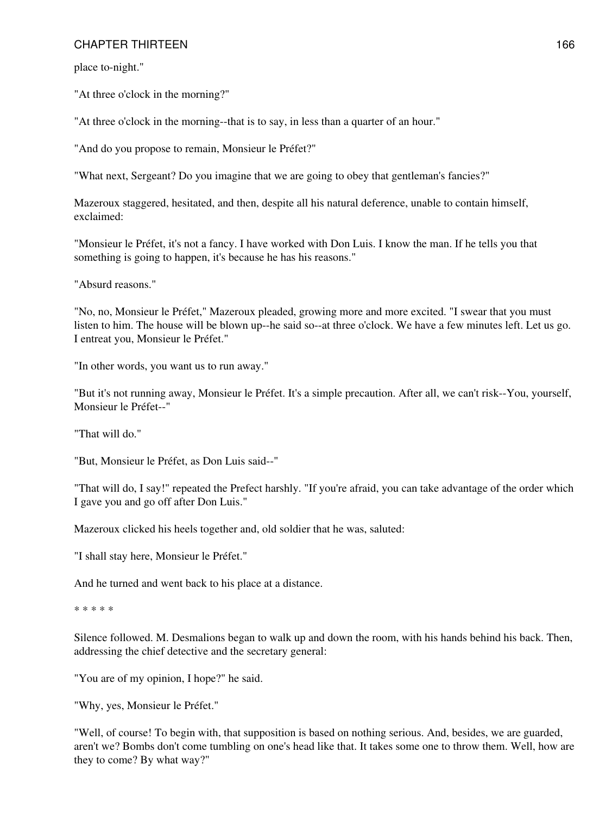place to-night."

"At three o'clock in the morning?"

"At three o'clock in the morning--that is to say, in less than a quarter of an hour."

"And do you propose to remain, Monsieur le Préfet?"

"What next, Sergeant? Do you imagine that we are going to obey that gentleman's fancies?"

Mazeroux staggered, hesitated, and then, despite all his natural deference, unable to contain himself, exclaimed:

"Monsieur le Préfet, it's not a fancy. I have worked with Don Luis. I know the man. If he tells you that something is going to happen, it's because he has his reasons."

"Absurd reasons."

"No, no, Monsieur le Préfet," Mazeroux pleaded, growing more and more excited. "I swear that you must listen to him. The house will be blown up--he said so--at three o'clock. We have a few minutes left. Let us go. I entreat you, Monsieur le Préfet."

"In other words, you want us to run away."

"But it's not running away, Monsieur le Préfet. It's a simple precaution. After all, we can't risk--You, yourself, Monsieur le Préfet--"

"That will do."

"But, Monsieur le Préfet, as Don Luis said--"

"That will do, I say!" repeated the Prefect harshly. "If you're afraid, you can take advantage of the order which I gave you and go off after Don Luis."

Mazeroux clicked his heels together and, old soldier that he was, saluted:

"I shall stay here, Monsieur le Préfet."

And he turned and went back to his place at a distance.

\* \* \* \* \*

Silence followed. M. Desmalions began to walk up and down the room, with his hands behind his back. Then, addressing the chief detective and the secretary general:

"You are of my opinion, I hope?" he said.

"Why, yes, Monsieur le Préfet."

"Well, of course! To begin with, that supposition is based on nothing serious. And, besides, we are guarded, aren't we? Bombs don't come tumbling on one's head like that. It takes some one to throw them. Well, how are they to come? By what way?"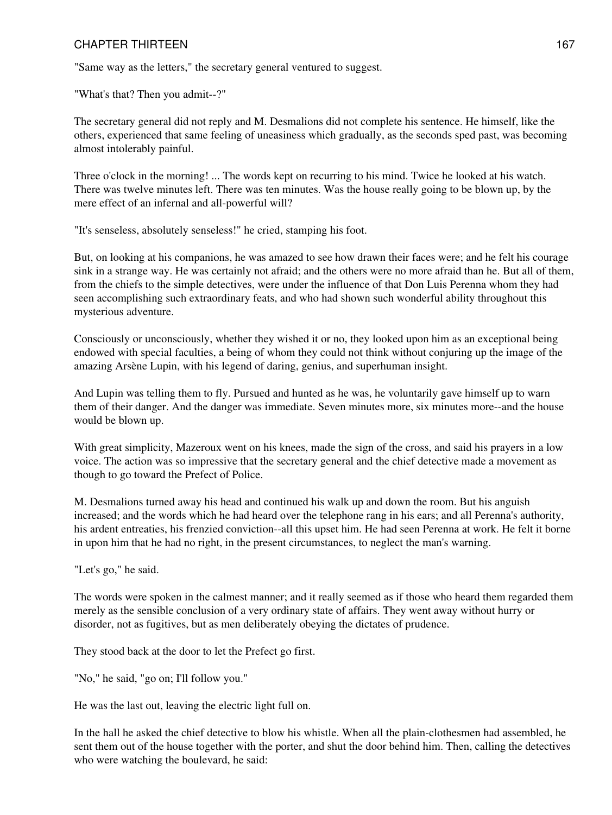"Same way as the letters," the secretary general ventured to suggest.

"What's that? Then you admit--?"

The secretary general did not reply and M. Desmalions did not complete his sentence. He himself, like the others, experienced that same feeling of uneasiness which gradually, as the seconds sped past, was becoming almost intolerably painful.

Three o'clock in the morning! ... The words kept on recurring to his mind. Twice he looked at his watch. There was twelve minutes left. There was ten minutes. Was the house really going to be blown up, by the mere effect of an infernal and all-powerful will?

"It's senseless, absolutely senseless!" he cried, stamping his foot.

But, on looking at his companions, he was amazed to see how drawn their faces were; and he felt his courage sink in a strange way. He was certainly not afraid; and the others were no more afraid than he. But all of them, from the chiefs to the simple detectives, were under the influence of that Don Luis Perenna whom they had seen accomplishing such extraordinary feats, and who had shown such wonderful ability throughout this mysterious adventure.

Consciously or unconsciously, whether they wished it or no, they looked upon him as an exceptional being endowed with special faculties, a being of whom they could not think without conjuring up the image of the amazing Arsène Lupin, with his legend of daring, genius, and superhuman insight.

And Lupin was telling them to fly. Pursued and hunted as he was, he voluntarily gave himself up to warn them of their danger. And the danger was immediate. Seven minutes more, six minutes more--and the house would be blown up.

With great simplicity, Mazeroux went on his knees, made the sign of the cross, and said his prayers in a low voice. The action was so impressive that the secretary general and the chief detective made a movement as though to go toward the Prefect of Police.

M. Desmalions turned away his head and continued his walk up and down the room. But his anguish increased; and the words which he had heard over the telephone rang in his ears; and all Perenna's authority, his ardent entreaties, his frenzied conviction--all this upset him. He had seen Perenna at work. He felt it borne in upon him that he had no right, in the present circumstances, to neglect the man's warning.

"Let's go," he said.

The words were spoken in the calmest manner; and it really seemed as if those who heard them regarded them merely as the sensible conclusion of a very ordinary state of affairs. They went away without hurry or disorder, not as fugitives, but as men deliberately obeying the dictates of prudence.

They stood back at the door to let the Prefect go first.

"No," he said, "go on; I'll follow you."

He was the last out, leaving the electric light full on.

In the hall he asked the chief detective to blow his whistle. When all the plain-clothesmen had assembled, he sent them out of the house together with the porter, and shut the door behind him. Then, calling the detectives who were watching the boulevard, he said: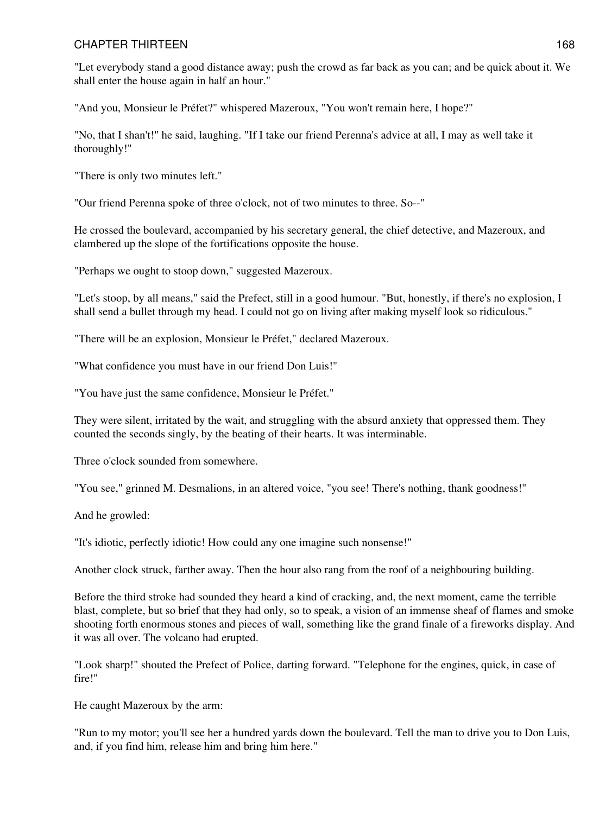"Let everybody stand a good distance away; push the crowd as far back as you can; and be quick about it. We shall enter the house again in half an hour."

"And you, Monsieur le Préfet?" whispered Mazeroux, "You won't remain here, I hope?"

"No, that I shan't!" he said, laughing. "If I take our friend Perenna's advice at all, I may as well take it thoroughly!"

"There is only two minutes left."

"Our friend Perenna spoke of three o'clock, not of two minutes to three. So--"

He crossed the boulevard, accompanied by his secretary general, the chief detective, and Mazeroux, and clambered up the slope of the fortifications opposite the house.

"Perhaps we ought to stoop down," suggested Mazeroux.

"Let's stoop, by all means," said the Prefect, still in a good humour. "But, honestly, if there's no explosion, I shall send a bullet through my head. I could not go on living after making myself look so ridiculous."

"There will be an explosion, Monsieur le Préfet," declared Mazeroux.

"What confidence you must have in our friend Don Luis!"

"You have just the same confidence, Monsieur le Préfet."

They were silent, irritated by the wait, and struggling with the absurd anxiety that oppressed them. They counted the seconds singly, by the beating of their hearts. It was interminable.

Three o'clock sounded from somewhere.

"You see," grinned M. Desmalions, in an altered voice, "you see! There's nothing, thank goodness!"

And he growled:

"It's idiotic, perfectly idiotic! How could any one imagine such nonsense!"

Another clock struck, farther away. Then the hour also rang from the roof of a neighbouring building.

Before the third stroke had sounded they heard a kind of cracking, and, the next moment, came the terrible blast, complete, but so brief that they had only, so to speak, a vision of an immense sheaf of flames and smoke shooting forth enormous stones and pieces of wall, something like the grand finale of a fireworks display. And it was all over. The volcano had erupted.

"Look sharp!" shouted the Prefect of Police, darting forward. "Telephone for the engines, quick, in case of fire!"

He caught Mazeroux by the arm:

"Run to my motor; you'll see her a hundred yards down the boulevard. Tell the man to drive you to Don Luis, and, if you find him, release him and bring him here."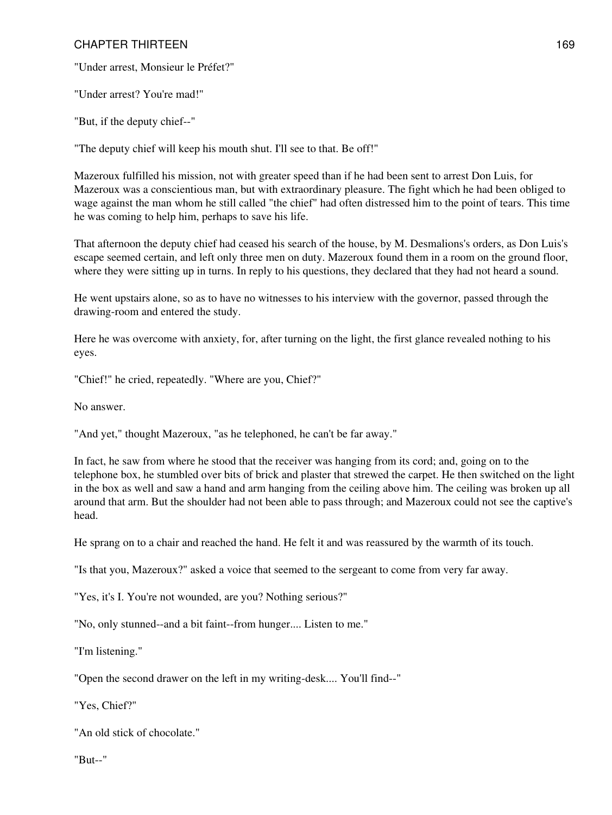"Under arrest, Monsieur le Préfet?"

"Under arrest? You're mad!"

"But, if the deputy chief--"

"The deputy chief will keep his mouth shut. I'll see to that. Be off!"

Mazeroux fulfilled his mission, not with greater speed than if he had been sent to arrest Don Luis, for Mazeroux was a conscientious man, but with extraordinary pleasure. The fight which he had been obliged to wage against the man whom he still called "the chief" had often distressed him to the point of tears. This time he was coming to help him, perhaps to save his life.

That afternoon the deputy chief had ceased his search of the house, by M. Desmalions's orders, as Don Luis's escape seemed certain, and left only three men on duty. Mazeroux found them in a room on the ground floor, where they were sitting up in turns. In reply to his questions, they declared that they had not heard a sound.

He went upstairs alone, so as to have no witnesses to his interview with the governor, passed through the drawing-room and entered the study.

Here he was overcome with anxiety, for, after turning on the light, the first glance revealed nothing to his eyes.

"Chief!" he cried, repeatedly. "Where are you, Chief?"

No answer.

"And yet," thought Mazeroux, "as he telephoned, he can't be far away."

In fact, he saw from where he stood that the receiver was hanging from its cord; and, going on to the telephone box, he stumbled over bits of brick and plaster that strewed the carpet. He then switched on the light in the box as well and saw a hand and arm hanging from the ceiling above him. The ceiling was broken up all around that arm. But the shoulder had not been able to pass through; and Mazeroux could not see the captive's head.

He sprang on to a chair and reached the hand. He felt it and was reassured by the warmth of its touch.

"Is that you, Mazeroux?" asked a voice that seemed to the sergeant to come from very far away.

"Yes, it's I. You're not wounded, are you? Nothing serious?"

"No, only stunned--and a bit faint--from hunger.... Listen to me."

"I'm listening."

"Open the second drawer on the left in my writing-desk.... You'll find--"

"Yes, Chief?"

"An old stick of chocolate."

"But--"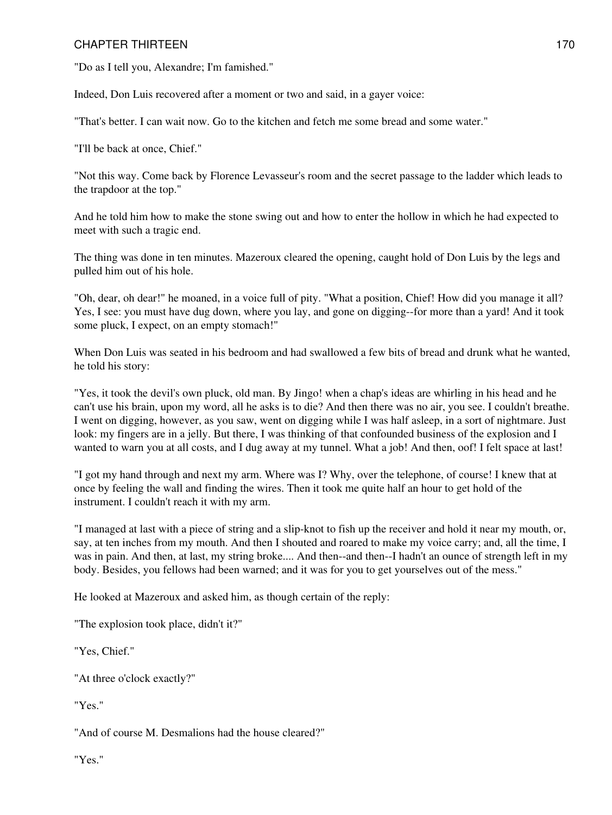"Do as I tell you, Alexandre; I'm famished."

Indeed, Don Luis recovered after a moment or two and said, in a gayer voice:

"That's better. I can wait now. Go to the kitchen and fetch me some bread and some water."

"I'll be back at once, Chief."

"Not this way. Come back by Florence Levasseur's room and the secret passage to the ladder which leads to the trapdoor at the top."

And he told him how to make the stone swing out and how to enter the hollow in which he had expected to meet with such a tragic end.

The thing was done in ten minutes. Mazeroux cleared the opening, caught hold of Don Luis by the legs and pulled him out of his hole.

"Oh, dear, oh dear!" he moaned, in a voice full of pity. "What a position, Chief! How did you manage it all? Yes, I see: you must have dug down, where you lay, and gone on digging--for more than a yard! And it took some pluck, I expect, on an empty stomach!"

When Don Luis was seated in his bedroom and had swallowed a few bits of bread and drunk what he wanted, he told his story:

"Yes, it took the devil's own pluck, old man. By Jingo! when a chap's ideas are whirling in his head and he can't use his brain, upon my word, all he asks is to die? And then there was no air, you see. I couldn't breathe. I went on digging, however, as you saw, went on digging while I was half asleep, in a sort of nightmare. Just look: my fingers are in a jelly. But there, I was thinking of that confounded business of the explosion and I wanted to warn you at all costs, and I dug away at my tunnel. What a job! And then, oof! I felt space at last!

"I got my hand through and next my arm. Where was I? Why, over the telephone, of course! I knew that at once by feeling the wall and finding the wires. Then it took me quite half an hour to get hold of the instrument. I couldn't reach it with my arm.

"I managed at last with a piece of string and a slip-knot to fish up the receiver and hold it near my mouth, or, say, at ten inches from my mouth. And then I shouted and roared to make my voice carry; and, all the time, I was in pain. And then, at last, my string broke.... And then--and then--I hadn't an ounce of strength left in my body. Besides, you fellows had been warned; and it was for you to get yourselves out of the mess."

He looked at Mazeroux and asked him, as though certain of the reply:

"The explosion took place, didn't it?"

"Yes, Chief."

"At three o'clock exactly?"

"Yes."

"And of course M. Desmalions had the house cleared?"

"Yes."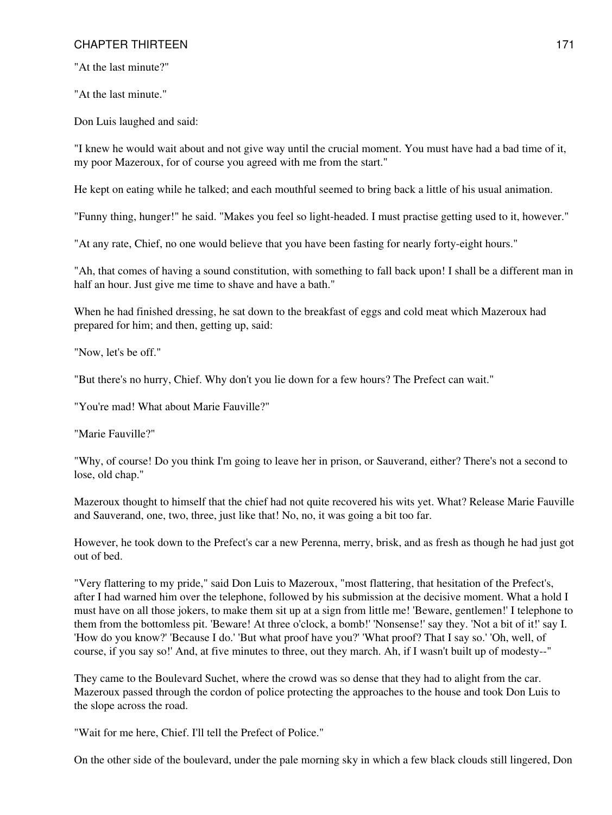"At the last minute?"

"At the last minute."

Don Luis laughed and said:

"I knew he would wait about and not give way until the crucial moment. You must have had a bad time of it, my poor Mazeroux, for of course you agreed with me from the start."

He kept on eating while he talked; and each mouthful seemed to bring back a little of his usual animation.

"Funny thing, hunger!" he said. "Makes you feel so light-headed. I must practise getting used to it, however."

"At any rate, Chief, no one would believe that you have been fasting for nearly forty-eight hours."

"Ah, that comes of having a sound constitution, with something to fall back upon! I shall be a different man in half an hour. Just give me time to shave and have a bath."

When he had finished dressing, he sat down to the breakfast of eggs and cold meat which Mazeroux had prepared for him; and then, getting up, said:

"Now, let's be off."

"But there's no hurry, Chief. Why don't you lie down for a few hours? The Prefect can wait."

"You're mad! What about Marie Fauville?"

"Marie Fauville?"

"Why, of course! Do you think I'm going to leave her in prison, or Sauverand, either? There's not a second to lose, old chap."

Mazeroux thought to himself that the chief had not quite recovered his wits yet. What? Release Marie Fauville and Sauverand, one, two, three, just like that! No, no, it was going a bit too far.

However, he took down to the Prefect's car a new Perenna, merry, brisk, and as fresh as though he had just got out of bed.

"Very flattering to my pride," said Don Luis to Mazeroux, "most flattering, that hesitation of the Prefect's, after I had warned him over the telephone, followed by his submission at the decisive moment. What a hold I must have on all those jokers, to make them sit up at a sign from little me! 'Beware, gentlemen!' I telephone to them from the bottomless pit. 'Beware! At three o'clock, a bomb!' 'Nonsense!' say they. 'Not a bit of it!' say I. 'How do you know?' 'Because I do.' 'But what proof have you?' 'What proof? That I say so.' 'Oh, well, of course, if you say so!' And, at five minutes to three, out they march. Ah, if I wasn't built up of modesty--"

They came to the Boulevard Suchet, where the crowd was so dense that they had to alight from the car. Mazeroux passed through the cordon of police protecting the approaches to the house and took Don Luis to the slope across the road.

"Wait for me here, Chief. I'll tell the Prefect of Police."

On the other side of the boulevard, under the pale morning sky in which a few black clouds still lingered, Don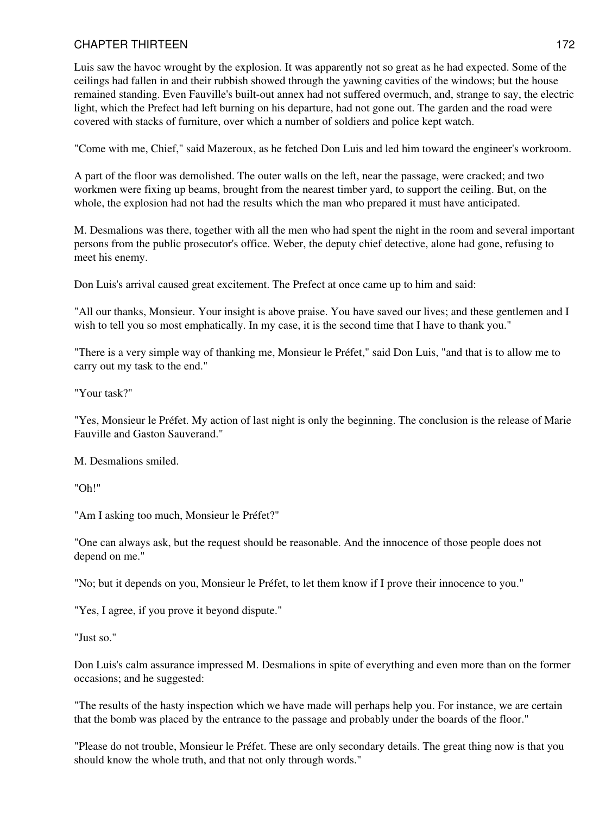Luis saw the havoc wrought by the explosion. It was apparently not so great as he had expected. Some of the ceilings had fallen in and their rubbish showed through the yawning cavities of the windows; but the house remained standing. Even Fauville's built-out annex had not suffered overmuch, and, strange to say, the electric light, which the Prefect had left burning on his departure, had not gone out. The garden and the road were covered with stacks of furniture, over which a number of soldiers and police kept watch.

"Come with me, Chief," said Mazeroux, as he fetched Don Luis and led him toward the engineer's workroom.

A part of the floor was demolished. The outer walls on the left, near the passage, were cracked; and two workmen were fixing up beams, brought from the nearest timber yard, to support the ceiling. But, on the whole, the explosion had not had the results which the man who prepared it must have anticipated.

M. Desmalions was there, together with all the men who had spent the night in the room and several important persons from the public prosecutor's office. Weber, the deputy chief detective, alone had gone, refusing to meet his enemy.

Don Luis's arrival caused great excitement. The Prefect at once came up to him and said:

"All our thanks, Monsieur. Your insight is above praise. You have saved our lives; and these gentlemen and I wish to tell you so most emphatically. In my case, it is the second time that I have to thank you."

"There is a very simple way of thanking me, Monsieur le Préfet," said Don Luis, "and that is to allow me to carry out my task to the end."

"Your task?"

"Yes, Monsieur le Préfet. My action of last night is only the beginning. The conclusion is the release of Marie Fauville and Gaston Sauverand."

M. Desmalions smiled.

"Oh!"

"Am I asking too much, Monsieur le Préfet?"

"One can always ask, but the request should be reasonable. And the innocence of those people does not depend on me."

"No; but it depends on you, Monsieur le Préfet, to let them know if I prove their innocence to you."

"Yes, I agree, if you prove it beyond dispute."

"Just so."

Don Luis's calm assurance impressed M. Desmalions in spite of everything and even more than on the former occasions; and he suggested:

"The results of the hasty inspection which we have made will perhaps help you. For instance, we are certain that the bomb was placed by the entrance to the passage and probably under the boards of the floor."

"Please do not trouble, Monsieur le Préfet. These are only secondary details. The great thing now is that you should know the whole truth, and that not only through words."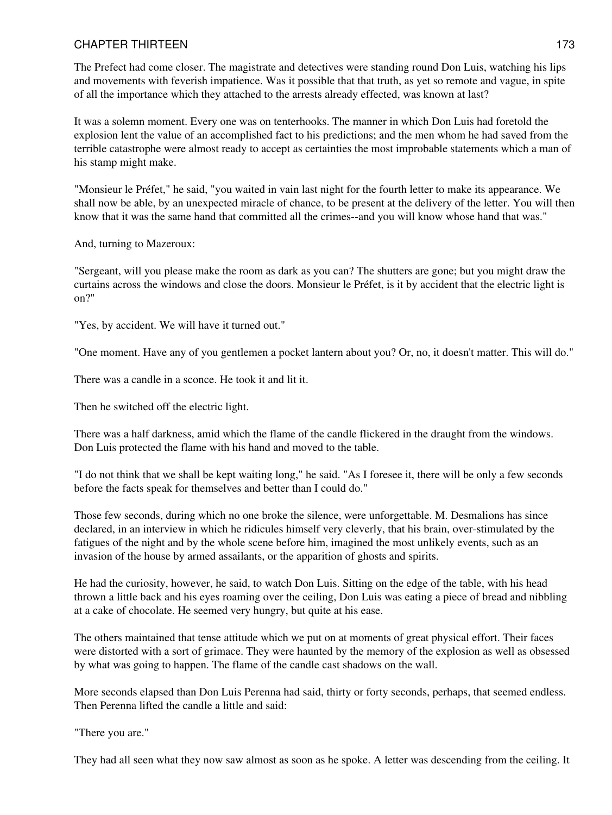The Prefect had come closer. The magistrate and detectives were standing round Don Luis, watching his lips and movements with feverish impatience. Was it possible that that truth, as yet so remote and vague, in spite of all the importance which they attached to the arrests already effected, was known at last?

It was a solemn moment. Every one was on tenterhooks. The manner in which Don Luis had foretold the explosion lent the value of an accomplished fact to his predictions; and the men whom he had saved from the terrible catastrophe were almost ready to accept as certainties the most improbable statements which a man of his stamp might make.

"Monsieur le Préfet," he said, "you waited in vain last night for the fourth letter to make its appearance. We shall now be able, by an unexpected miracle of chance, to be present at the delivery of the letter. You will then know that it was the same hand that committed all the crimes--and you will know whose hand that was."

And, turning to Mazeroux:

"Sergeant, will you please make the room as dark as you can? The shutters are gone; but you might draw the curtains across the windows and close the doors. Monsieur le Préfet, is it by accident that the electric light is on?"

"Yes, by accident. We will have it turned out."

"One moment. Have any of you gentlemen a pocket lantern about you? Or, no, it doesn't matter. This will do."

There was a candle in a sconce. He took it and lit it.

Then he switched off the electric light.

There was a half darkness, amid which the flame of the candle flickered in the draught from the windows. Don Luis protected the flame with his hand and moved to the table.

"I do not think that we shall be kept waiting long," he said. "As I foresee it, there will be only a few seconds before the facts speak for themselves and better than I could do."

Those few seconds, during which no one broke the silence, were unforgettable. M. Desmalions has since declared, in an interview in which he ridicules himself very cleverly, that his brain, over-stimulated by the fatigues of the night and by the whole scene before him, imagined the most unlikely events, such as an invasion of the house by armed assailants, or the apparition of ghosts and spirits.

He had the curiosity, however, he said, to watch Don Luis. Sitting on the edge of the table, with his head thrown a little back and his eyes roaming over the ceiling, Don Luis was eating a piece of bread and nibbling at a cake of chocolate. He seemed very hungry, but quite at his ease.

The others maintained that tense attitude which we put on at moments of great physical effort. Their faces were distorted with a sort of grimace. They were haunted by the memory of the explosion as well as obsessed by what was going to happen. The flame of the candle cast shadows on the wall.

More seconds elapsed than Don Luis Perenna had said, thirty or forty seconds, perhaps, that seemed endless. Then Perenna lifted the candle a little and said:

"There you are."

They had all seen what they now saw almost as soon as he spoke. A letter was descending from the ceiling. It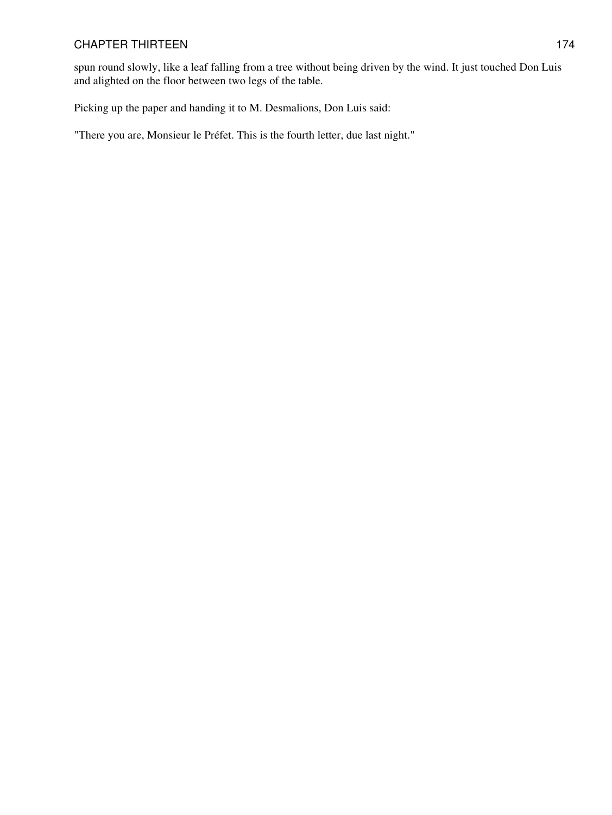spun round slowly, like a leaf falling from a tree without being driven by the wind. It just touched Don Luis and alighted on the floor between two legs of the table.

Picking up the paper and handing it to M. Desmalions, Don Luis said:

"There you are, Monsieur le Préfet. This is the fourth letter, due last night."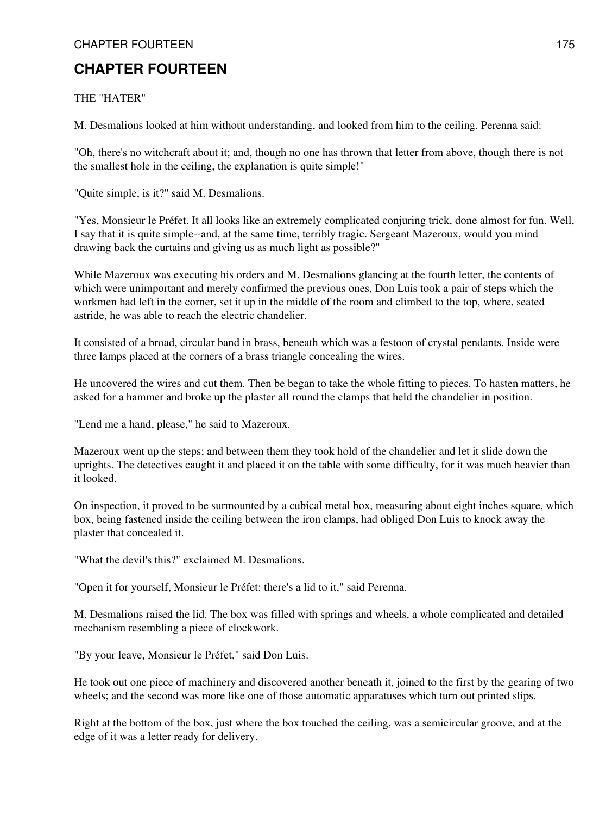## THE "HATER"

M. Desmalions looked at him without understanding, and looked from him to the ceiling. Perenna said:

"Oh, there's no witchcraft about it; and, though no one has thrown that letter from above, though there is not the smallest hole in the ceiling, the explanation is quite simple!"

"Quite simple, is it?" said M. Desmalions.

"Yes, Monsieur le Préfet. It all looks like an extremely complicated conjuring trick, done almost for fun. Well, I say that it is quite simple--and, at the same time, terribly tragic. Sergeant Mazeroux, would you mind drawing back the curtains and giving us as much light as possible?"

While Mazeroux was executing his orders and M. Desmalions glancing at the fourth letter, the contents of which were unimportant and merely confirmed the previous ones, Don Luis took a pair of steps which the workmen had left in the corner, set it up in the middle of the room and climbed to the top, where, seated astride, he was able to reach the electric chandelier.

It consisted of a broad, circular band in brass, beneath which was a festoon of crystal pendants. Inside were three lamps placed at the corners of a brass triangle concealing the wires.

He uncovered the wires and cut them. Then be began to take the whole fitting to pieces. To hasten matters, he asked for a hammer and broke up the plaster all round the clamps that held the chandelier in position.

"Lend me a hand, please," he said to Mazeroux.

Mazeroux went up the steps; and between them they took hold of the chandelier and let it slide down the uprights. The detectives caught it and placed it on the table with some difficulty, for it was much heavier than it looked.

On inspection, it proved to be surmounted by a cubical metal box, measuring about eight inches square, which box, being fastened inside the ceiling between the iron clamps, had obliged Don Luis to knock away the plaster that concealed it.

"What the devil's this?" exclaimed M. Desmalions.

"Open it for yourself, Monsieur le Préfet: there's a lid to it," said Perenna.

M. Desmalions raised the lid. The box was filled with springs and wheels, a whole complicated and detailed mechanism resembling a piece of clockwork.

"By your leave, Monsieur le Préfet," said Don Luis.

He took out one piece of machinery and discovered another beneath it, joined to the first by the gearing of two wheels; and the second was more like one of those automatic apparatuses which turn out printed slips.

Right at the bottom of the box, just where the box touched the ceiling, was a semicircular groove, and at the edge of it was a letter ready for delivery.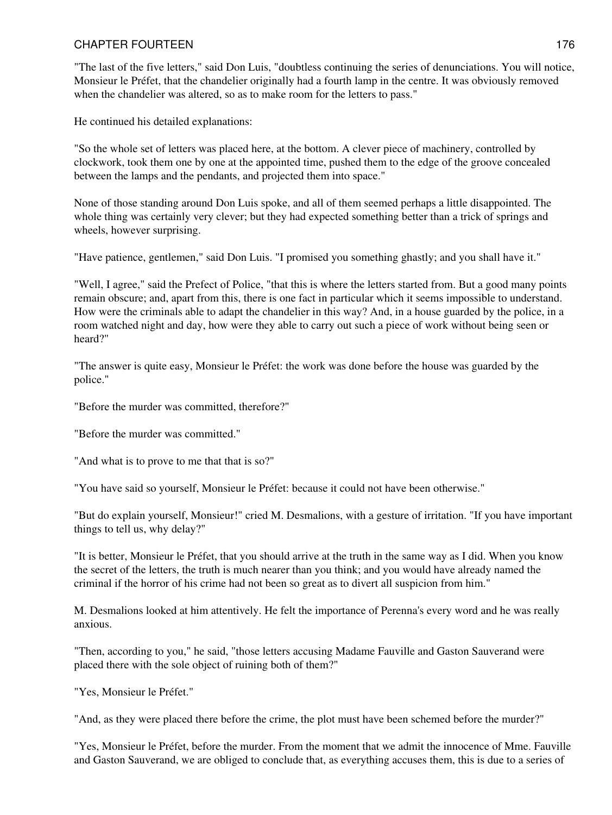"The last of the five letters," said Don Luis, "doubtless continuing the series of denunciations. You will notice, Monsieur le Préfet, that the chandelier originally had a fourth lamp in the centre. It was obviously removed when the chandelier was altered, so as to make room for the letters to pass."

He continued his detailed explanations:

"So the whole set of letters was placed here, at the bottom. A clever piece of machinery, controlled by clockwork, took them one by one at the appointed time, pushed them to the edge of the groove concealed between the lamps and the pendants, and projected them into space."

None of those standing around Don Luis spoke, and all of them seemed perhaps a little disappointed. The whole thing was certainly very clever; but they had expected something better than a trick of springs and wheels, however surprising.

"Have patience, gentlemen," said Don Luis. "I promised you something ghastly; and you shall have it."

"Well, I agree," said the Prefect of Police, "that this is where the letters started from. But a good many points remain obscure; and, apart from this, there is one fact in particular which it seems impossible to understand. How were the criminals able to adapt the chandelier in this way? And, in a house guarded by the police, in a room watched night and day, how were they able to carry out such a piece of work without being seen or heard?"

"The answer is quite easy, Monsieur le Préfet: the work was done before the house was guarded by the police."

"Before the murder was committed, therefore?"

"Before the murder was committed."

"And what is to prove to me that that is so?"

"You have said so yourself, Monsieur le Préfet: because it could not have been otherwise."

"But do explain yourself, Monsieur!" cried M. Desmalions, with a gesture of irritation. "If you have important things to tell us, why delay?"

"It is better, Monsieur le Préfet, that you should arrive at the truth in the same way as I did. When you know the secret of the letters, the truth is much nearer than you think; and you would have already named the criminal if the horror of his crime had not been so great as to divert all suspicion from him."

M. Desmalions looked at him attentively. He felt the importance of Perenna's every word and he was really anxious.

"Then, according to you," he said, "those letters accusing Madame Fauville and Gaston Sauverand were placed there with the sole object of ruining both of them?"

"Yes, Monsieur le Préfet."

"And, as they were placed there before the crime, the plot must have been schemed before the murder?"

"Yes, Monsieur le Préfet, before the murder. From the moment that we admit the innocence of Mme. Fauville and Gaston Sauverand, we are obliged to conclude that, as everything accuses them, this is due to a series of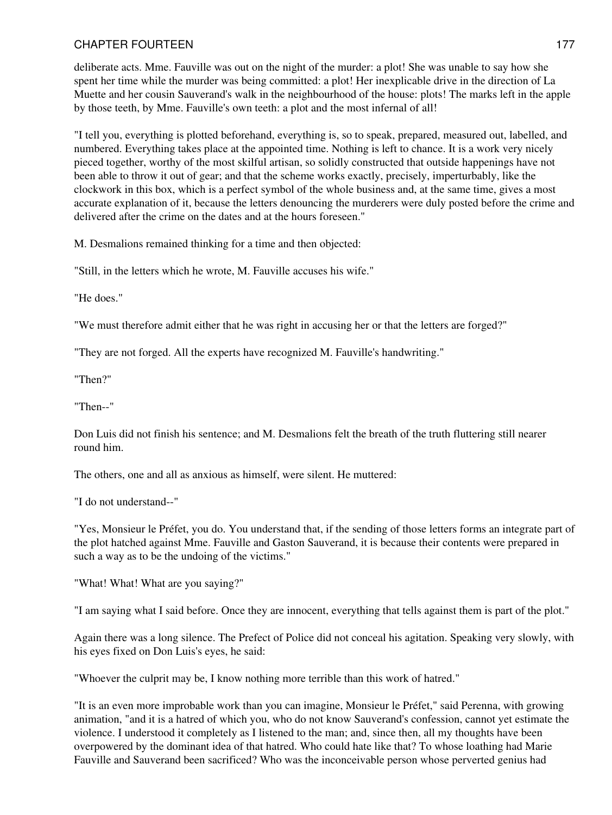deliberate acts. Mme. Fauville was out on the night of the murder: a plot! She was unable to say how she spent her time while the murder was being committed: a plot! Her inexplicable drive in the direction of La Muette and her cousin Sauverand's walk in the neighbourhood of the house: plots! The marks left in the apple by those teeth, by Mme. Fauville's own teeth: a plot and the most infernal of all!

"I tell you, everything is plotted beforehand, everything is, so to speak, prepared, measured out, labelled, and numbered. Everything takes place at the appointed time. Nothing is left to chance. It is a work very nicely pieced together, worthy of the most skilful artisan, so solidly constructed that outside happenings have not been able to throw it out of gear; and that the scheme works exactly, precisely, imperturbably, like the clockwork in this box, which is a perfect symbol of the whole business and, at the same time, gives a most accurate explanation of it, because the letters denouncing the murderers were duly posted before the crime and delivered after the crime on the dates and at the hours foreseen."

M. Desmalions remained thinking for a time and then objected:

"Still, in the letters which he wrote, M. Fauville accuses his wife."

"He does."

"We must therefore admit either that he was right in accusing her or that the letters are forged?"

"They are not forged. All the experts have recognized M. Fauville's handwriting."

"Then?"

"Then--"

Don Luis did not finish his sentence; and M. Desmalions felt the breath of the truth fluttering still nearer round him.

The others, one and all as anxious as himself, were silent. He muttered:

"I do not understand--"

"Yes, Monsieur le Préfet, you do. You understand that, if the sending of those letters forms an integrate part of the plot hatched against Mme. Fauville and Gaston Sauverand, it is because their contents were prepared in such a way as to be the undoing of the victims."

"What! What! What are you saying?"

"I am saying what I said before. Once they are innocent, everything that tells against them is part of the plot."

Again there was a long silence. The Prefect of Police did not conceal his agitation. Speaking very slowly, with his eyes fixed on Don Luis's eyes, he said:

"Whoever the culprit may be, I know nothing more terrible than this work of hatred."

"It is an even more improbable work than you can imagine, Monsieur le Préfet," said Perenna, with growing animation, "and it is a hatred of which you, who do not know Sauverand's confession, cannot yet estimate the violence. I understood it completely as I listened to the man; and, since then, all my thoughts have been overpowered by the dominant idea of that hatred. Who could hate like that? To whose loathing had Marie Fauville and Sauverand been sacrificed? Who was the inconceivable person whose perverted genius had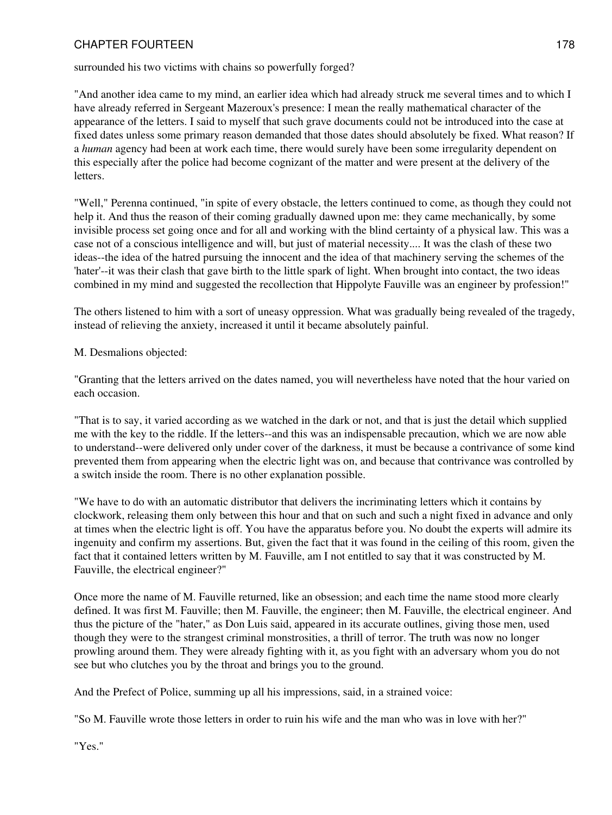surrounded his two victims with chains so powerfully forged?

"And another idea came to my mind, an earlier idea which had already struck me several times and to which I have already referred in Sergeant Mazeroux's presence: I mean the really mathematical character of the appearance of the letters. I said to myself that such grave documents could not be introduced into the case at fixed dates unless some primary reason demanded that those dates should absolutely be fixed. What reason? If a *human* agency had been at work each time, there would surely have been some irregularity dependent on this especially after the police had become cognizant of the matter and were present at the delivery of the letters.

"Well," Perenna continued, "in spite of every obstacle, the letters continued to come, as though they could not help it. And thus the reason of their coming gradually dawned upon me: they came mechanically, by some invisible process set going once and for all and working with the blind certainty of a physical law. This was a case not of a conscious intelligence and will, but just of material necessity.... It was the clash of these two ideas--the idea of the hatred pursuing the innocent and the idea of that machinery serving the schemes of the 'hater'--it was their clash that gave birth to the little spark of light. When brought into contact, the two ideas combined in my mind and suggested the recollection that Hippolyte Fauville was an engineer by profession!"

The others listened to him with a sort of uneasy oppression. What was gradually being revealed of the tragedy, instead of relieving the anxiety, increased it until it became absolutely painful.

M. Desmalions objected:

"Granting that the letters arrived on the dates named, you will nevertheless have noted that the hour varied on each occasion.

"That is to say, it varied according as we watched in the dark or not, and that is just the detail which supplied me with the key to the riddle. If the letters--and this was an indispensable precaution, which we are now able to understand--were delivered only under cover of the darkness, it must be because a contrivance of some kind prevented them from appearing when the electric light was on, and because that contrivance was controlled by a switch inside the room. There is no other explanation possible.

"We have to do with an automatic distributor that delivers the incriminating letters which it contains by clockwork, releasing them only between this hour and that on such and such a night fixed in advance and only at times when the electric light is off. You have the apparatus before you. No doubt the experts will admire its ingenuity and confirm my assertions. But, given the fact that it was found in the ceiling of this room, given the fact that it contained letters written by M. Fauville, am I not entitled to say that it was constructed by M. Fauville, the electrical engineer?"

Once more the name of M. Fauville returned, like an obsession; and each time the name stood more clearly defined. It was first M. Fauville; then M. Fauville, the engineer; then M. Fauville, the electrical engineer. And thus the picture of the "hater," as Don Luis said, appeared in its accurate outlines, giving those men, used though they were to the strangest criminal monstrosities, a thrill of terror. The truth was now no longer prowling around them. They were already fighting with it, as you fight with an adversary whom you do not see but who clutches you by the throat and brings you to the ground.

And the Prefect of Police, summing up all his impressions, said, in a strained voice:

"So M. Fauville wrote those letters in order to ruin his wife and the man who was in love with her?"

"Yes."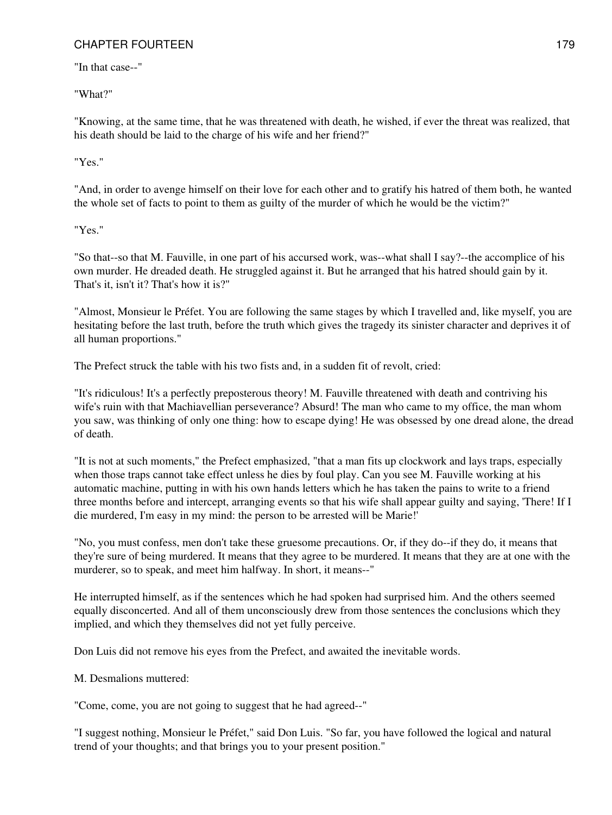"In that case--"

"What?"

"Knowing, at the same time, that he was threatened with death, he wished, if ever the threat was realized, that his death should be laid to the charge of his wife and her friend?"

"Yes."

"And, in order to avenge himself on their love for each other and to gratify his hatred of them both, he wanted the whole set of facts to point to them as guilty of the murder of which he would be the victim?"

"Yes."

"So that--so that M. Fauville, in one part of his accursed work, was--what shall I say?--the accomplice of his own murder. He dreaded death. He struggled against it. But he arranged that his hatred should gain by it. That's it, isn't it? That's how it is?"

"Almost, Monsieur le Préfet. You are following the same stages by which I travelled and, like myself, you are hesitating before the last truth, before the truth which gives the tragedy its sinister character and deprives it of all human proportions."

The Prefect struck the table with his two fists and, in a sudden fit of revolt, cried:

"It's ridiculous! It's a perfectly preposterous theory! M. Fauville threatened with death and contriving his wife's ruin with that Machiavellian perseverance? Absurd! The man who came to my office, the man whom you saw, was thinking of only one thing: how to escape dying! He was obsessed by one dread alone, the dread of death.

"It is not at such moments," the Prefect emphasized, "that a man fits up clockwork and lays traps, especially when those traps cannot take effect unless he dies by foul play. Can you see M. Fauville working at his automatic machine, putting in with his own hands letters which he has taken the pains to write to a friend three months before and intercept, arranging events so that his wife shall appear guilty and saying, 'There! If I die murdered, I'm easy in my mind: the person to be arrested will be Marie!'

"No, you must confess, men don't take these gruesome precautions. Or, if they do--if they do, it means that they're sure of being murdered. It means that they agree to be murdered. It means that they are at one with the murderer, so to speak, and meet him halfway. In short, it means--"

He interrupted himself, as if the sentences which he had spoken had surprised him. And the others seemed equally disconcerted. And all of them unconsciously drew from those sentences the conclusions which they implied, and which they themselves did not yet fully perceive.

Don Luis did not remove his eyes from the Prefect, and awaited the inevitable words.

M. Desmalions muttered:

"Come, come, you are not going to suggest that he had agreed--"

"I suggest nothing, Monsieur le Préfet," said Don Luis. "So far, you have followed the logical and natural trend of your thoughts; and that brings you to your present position."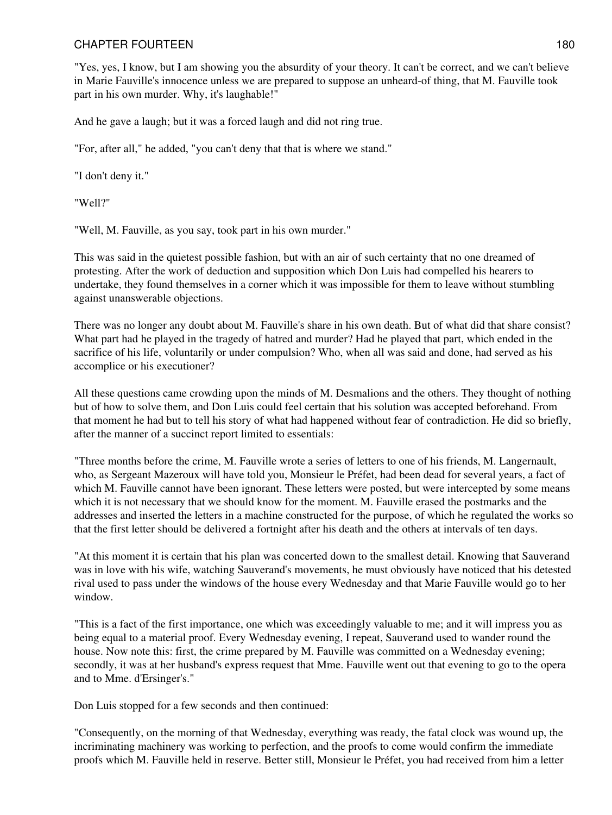"Yes, yes, I know, but I am showing you the absurdity of your theory. It can't be correct, and we can't believe in Marie Fauville's innocence unless we are prepared to suppose an unheard-of thing, that M. Fauville took part in his own murder. Why, it's laughable!"

And he gave a laugh; but it was a forced laugh and did not ring true.

"For, after all," he added, "you can't deny that that is where we stand."

"I don't deny it."

"Well?"

"Well, M. Fauville, as you say, took part in his own murder."

This was said in the quietest possible fashion, but with an air of such certainty that no one dreamed of protesting. After the work of deduction and supposition which Don Luis had compelled his hearers to undertake, they found themselves in a corner which it was impossible for them to leave without stumbling against unanswerable objections.

There was no longer any doubt about M. Fauville's share in his own death. But of what did that share consist? What part had he played in the tragedy of hatred and murder? Had he played that part, which ended in the sacrifice of his life, voluntarily or under compulsion? Who, when all was said and done, had served as his accomplice or his executioner?

All these questions came crowding upon the minds of M. Desmalions and the others. They thought of nothing but of how to solve them, and Don Luis could feel certain that his solution was accepted beforehand. From that moment he had but to tell his story of what had happened without fear of contradiction. He did so briefly, after the manner of a succinct report limited to essentials:

"Three months before the crime, M. Fauville wrote a series of letters to one of his friends, M. Langernault, who, as Sergeant Mazeroux will have told you, Monsieur le Préfet, had been dead for several years, a fact of which M. Fauville cannot have been ignorant. These letters were posted, but were intercepted by some means which it is not necessary that we should know for the moment. M. Fauville erased the postmarks and the addresses and inserted the letters in a machine constructed for the purpose, of which he regulated the works so that the first letter should be delivered a fortnight after his death and the others at intervals of ten days.

"At this moment it is certain that his plan was concerted down to the smallest detail. Knowing that Sauverand was in love with his wife, watching Sauverand's movements, he must obviously have noticed that his detested rival used to pass under the windows of the house every Wednesday and that Marie Fauville would go to her window.

"This is a fact of the first importance, one which was exceedingly valuable to me; and it will impress you as being equal to a material proof. Every Wednesday evening, I repeat, Sauverand used to wander round the house. Now note this: first, the crime prepared by M. Fauville was committed on a Wednesday evening; secondly, it was at her husband's express request that Mme. Fauville went out that evening to go to the opera and to Mme. d'Ersinger's."

Don Luis stopped for a few seconds and then continued:

"Consequently, on the morning of that Wednesday, everything was ready, the fatal clock was wound up, the incriminating machinery was working to perfection, and the proofs to come would confirm the immediate proofs which M. Fauville held in reserve. Better still, Monsieur le Préfet, you had received from him a letter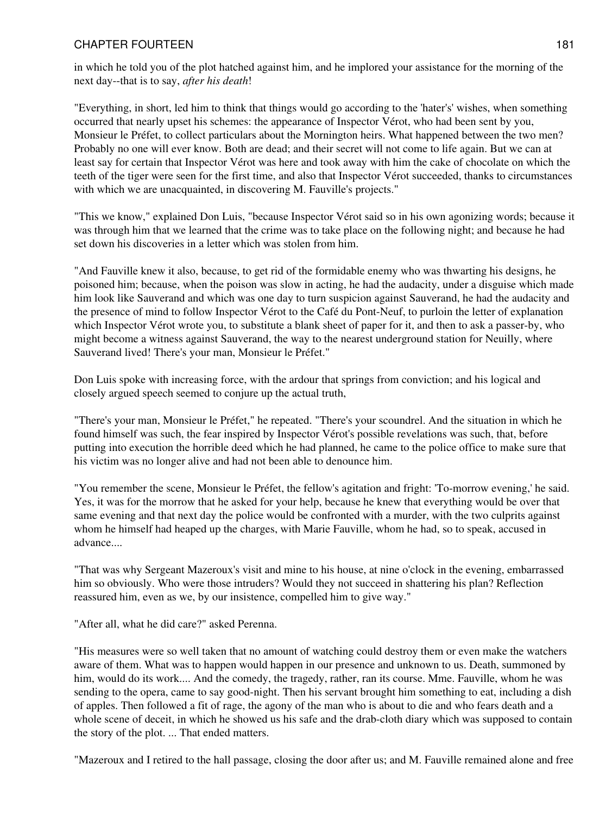in which he told you of the plot hatched against him, and he implored your assistance for the morning of the next day--that is to say, *after his death*!

"Everything, in short, led him to think that things would go according to the 'hater's' wishes, when something occurred that nearly upset his schemes: the appearance of Inspector Vérot, who had been sent by you, Monsieur le Préfet, to collect particulars about the Mornington heirs. What happened between the two men? Probably no one will ever know. Both are dead; and their secret will not come to life again. But we can at least say for certain that Inspector Vérot was here and took away with him the cake of chocolate on which the teeth of the tiger were seen for the first time, and also that Inspector Vérot succeeded, thanks to circumstances with which we are unacquainted, in discovering M. Fauville's projects."

"This we know," explained Don Luis, "because Inspector Vérot said so in his own agonizing words; because it was through him that we learned that the crime was to take place on the following night; and because he had set down his discoveries in a letter which was stolen from him.

"And Fauville knew it also, because, to get rid of the formidable enemy who was thwarting his designs, he poisoned him; because, when the poison was slow in acting, he had the audacity, under a disguise which made him look like Sauverand and which was one day to turn suspicion against Sauverand, he had the audacity and the presence of mind to follow Inspector Vérot to the Café du Pont-Neuf, to purloin the letter of explanation which Inspector Vérot wrote you, to substitute a blank sheet of paper for it, and then to ask a passer-by, who might become a witness against Sauverand, the way to the nearest underground station for Neuilly, where Sauverand lived! There's your man, Monsieur le Préfet."

Don Luis spoke with increasing force, with the ardour that springs from conviction; and his logical and closely argued speech seemed to conjure up the actual truth,

"There's your man, Monsieur le Préfet," he repeated. "There's your scoundrel. And the situation in which he found himself was such, the fear inspired by Inspector Vérot's possible revelations was such, that, before putting into execution the horrible deed which he had planned, he came to the police office to make sure that his victim was no longer alive and had not been able to denounce him.

"You remember the scene, Monsieur le Préfet, the fellow's agitation and fright: 'To-morrow evening,' he said. Yes, it was for the morrow that he asked for your help, because he knew that everything would be over that same evening and that next day the police would be confronted with a murder, with the two culprits against whom he himself had heaped up the charges, with Marie Fauville, whom he had, so to speak, accused in advance....

"That was why Sergeant Mazeroux's visit and mine to his house, at nine o'clock in the evening, embarrassed him so obviously. Who were those intruders? Would they not succeed in shattering his plan? Reflection reassured him, even as we, by our insistence, compelled him to give way."

"After all, what he did care?" asked Perenna.

"His measures were so well taken that no amount of watching could destroy them or even make the watchers aware of them. What was to happen would happen in our presence and unknown to us. Death, summoned by him, would do its work.... And the comedy, the tragedy, rather, ran its course. Mme. Fauville, whom he was sending to the opera, came to say good-night. Then his servant brought him something to eat, including a dish of apples. Then followed a fit of rage, the agony of the man who is about to die and who fears death and a whole scene of deceit, in which he showed us his safe and the drab-cloth diary which was supposed to contain the story of the plot. ... That ended matters.

"Mazeroux and I retired to the hall passage, closing the door after us; and M. Fauville remained alone and free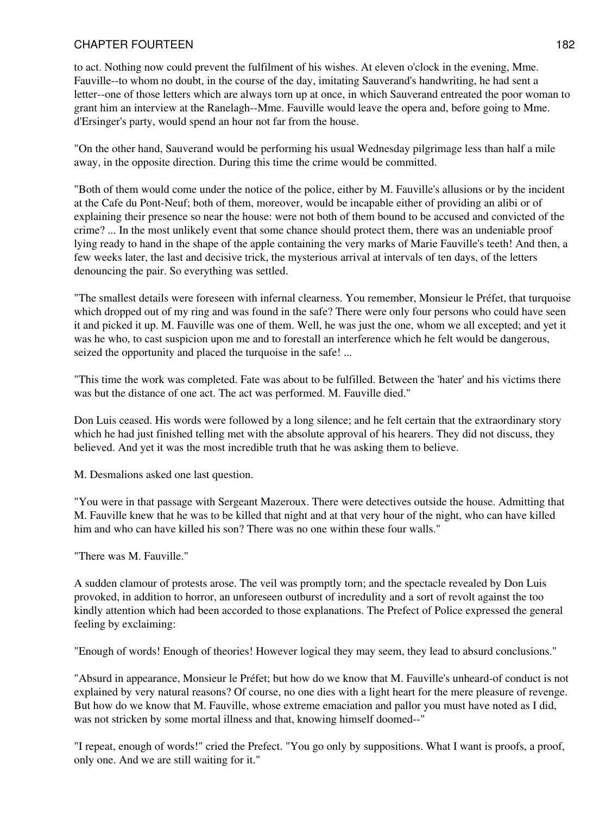to act. Nothing now could prevent the fulfilment of his wishes. At eleven o'clock in the evening, Mme. Fauville--to whom no doubt, in the course of the day, imitating Sauverand's handwriting, he had sent a letter--one of those letters which are always torn up at once, in which Sauverand entreated the poor woman to grant him an interview at the Ranelagh--Mme. Fauville would leave the opera and, before going to Mme. d'Ersinger's party, would spend an hour not far from the house.

"On the other hand, Sauverand would be performing his usual Wednesday pilgrimage less than half a mile away, in the opposite direction. During this time the crime would be committed.

"Both of them would come under the notice of the police, either by M. Fauville's allusions or by the incident at the Cafe du Pont-Neuf; both of them, moreover, would be incapable either of providing an alibi or of explaining their presence so near the house: were not both of them bound to be accused and convicted of the crime? ... In the most unlikely event that some chance should protect them, there was an undeniable proof lying ready to hand in the shape of the apple containing the very marks of Marie Fauville's teeth! And then, a few weeks later, the last and decisive trick, the mysterious arrival at intervals of ten days, of the letters denouncing the pair. So everything was settled.

"The smallest details were foreseen with infernal clearness. You remember, Monsieur le Préfet, that turquoise which dropped out of my ring and was found in the safe? There were only four persons who could have seen it and picked it up. M. Fauville was one of them. Well, he was just the one, whom we all excepted; and yet it was he who, to cast suspicion upon me and to forestall an interference which he felt would be dangerous, seized the opportunity and placed the turquoise in the safe! ...

"This time the work was completed. Fate was about to be fulfilled. Between the 'hater' and his victims there was but the distance of one act. The act was performed. M. Fauville died."

Don Luis ceased. His words were followed by a long silence; and he felt certain that the extraordinary story which he had just finished telling met with the absolute approval of his hearers. They did not discuss, they believed. And yet it was the most incredible truth that he was asking them to believe.

M. Desmalions asked one last question.

"You were in that passage with Sergeant Mazeroux. There were detectives outside the house. Admitting that M. Fauville knew that he was to be killed that night and at that very hour of the night, who can have killed him and who can have killed his son? There was no one within these four walls."

"There was M. Fauville."

A sudden clamour of protests arose. The veil was promptly torn; and the spectacle revealed by Don Luis provoked, in addition to horror, an unforeseen outburst of incredulity and a sort of revolt against the too kindly attention which had been accorded to those explanations. The Prefect of Police expressed the general feeling by exclaiming:

"Enough of words! Enough of theories! However logical they may seem, they lead to absurd conclusions."

"Absurd in appearance, Monsieur le Préfet; but how do we know that M. Fauville's unheard-of conduct is not explained by very natural reasons? Of course, no one dies with a light heart for the mere pleasure of revenge. But how do we know that M. Fauville, whose extreme emaciation and pallor you must have noted as I did, was not stricken by some mortal illness and that, knowing himself doomed--"

"I repeat, enough of words!" cried the Prefect. "You go only by suppositions. What I want is proofs, a proof, only one. And we are still waiting for it."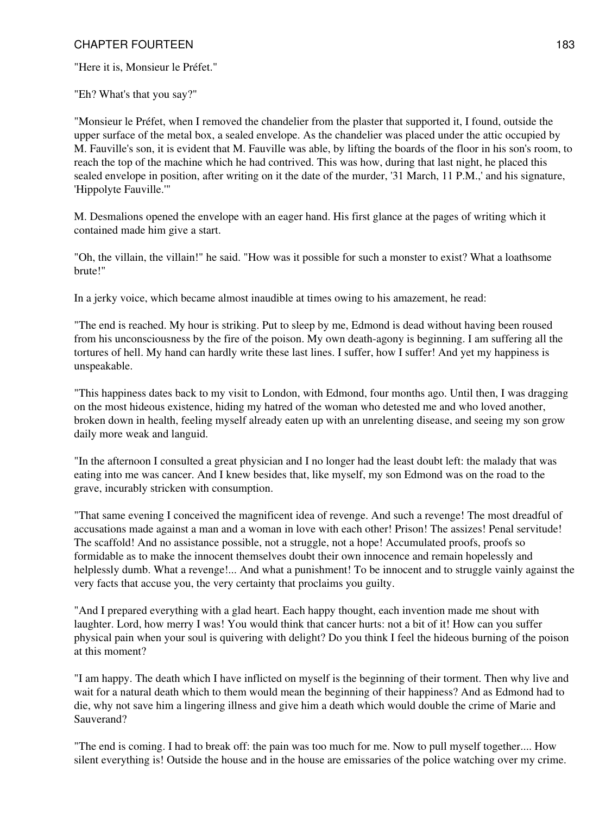"Here it is, Monsieur le Préfet."

"Eh? What's that you say?"

"Monsieur le Préfet, when I removed the chandelier from the plaster that supported it, I found, outside the upper surface of the metal box, a sealed envelope. As the chandelier was placed under the attic occupied by M. Fauville's son, it is evident that M. Fauville was able, by lifting the boards of the floor in his son's room, to reach the top of the machine which he had contrived. This was how, during that last night, he placed this sealed envelope in position, after writing on it the date of the murder, '31 March, 11 P.M.,' and his signature, 'Hippolyte Fauville.'"

M. Desmalions opened the envelope with an eager hand. His first glance at the pages of writing which it contained made him give a start.

"Oh, the villain, the villain!" he said. "How was it possible for such a monster to exist? What a loathsome brute!"

In a jerky voice, which became almost inaudible at times owing to his amazement, he read:

"The end is reached. My hour is striking. Put to sleep by me, Edmond is dead without having been roused from his unconsciousness by the fire of the poison. My own death-agony is beginning. I am suffering all the tortures of hell. My hand can hardly write these last lines. I suffer, how I suffer! And yet my happiness is unspeakable.

"This happiness dates back to my visit to London, with Edmond, four months ago. Until then, I was dragging on the most hideous existence, hiding my hatred of the woman who detested me and who loved another, broken down in health, feeling myself already eaten up with an unrelenting disease, and seeing my son grow daily more weak and languid.

"In the afternoon I consulted a great physician and I no longer had the least doubt left: the malady that was eating into me was cancer. And I knew besides that, like myself, my son Edmond was on the road to the grave, incurably stricken with consumption.

"That same evening I conceived the magnificent idea of revenge. And such a revenge! The most dreadful of accusations made against a man and a woman in love with each other! Prison! The assizes! Penal servitude! The scaffold! And no assistance possible, not a struggle, not a hope! Accumulated proofs, proofs so formidable as to make the innocent themselves doubt their own innocence and remain hopelessly and helplessly dumb. What a revenge!... And what a punishment! To be innocent and to struggle vainly against the very facts that accuse you, the very certainty that proclaims you guilty.

"And I prepared everything with a glad heart. Each happy thought, each invention made me shout with laughter. Lord, how merry I was! You would think that cancer hurts: not a bit of it! How can you suffer physical pain when your soul is quivering with delight? Do you think I feel the hideous burning of the poison at this moment?

"I am happy. The death which I have inflicted on myself is the beginning of their torment. Then why live and wait for a natural death which to them would mean the beginning of their happiness? And as Edmond had to die, why not save him a lingering illness and give him a death which would double the crime of Marie and Sauverand?

"The end is coming. I had to break off: the pain was too much for me. Now to pull myself together.... How silent everything is! Outside the house and in the house are emissaries of the police watching over my crime.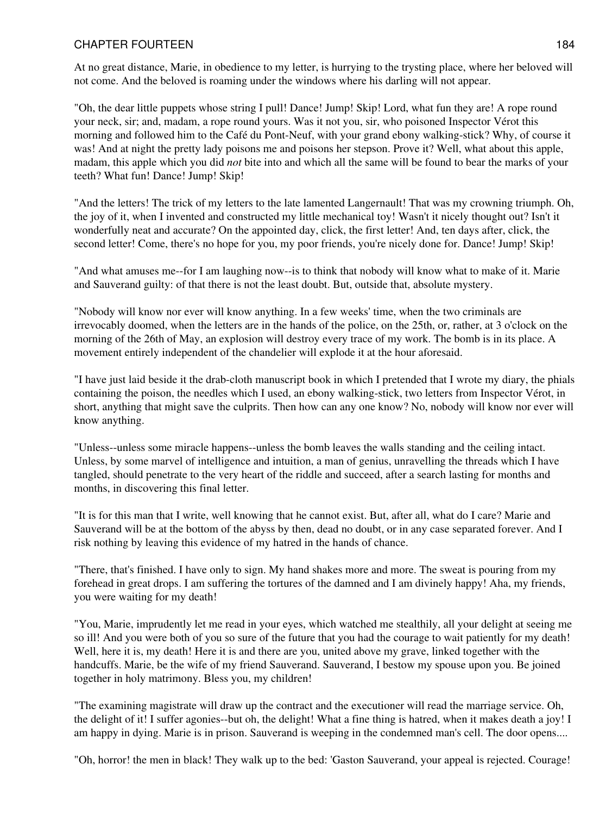At no great distance, Marie, in obedience to my letter, is hurrying to the trysting place, where her beloved will not come. And the beloved is roaming under the windows where his darling will not appear.

"Oh, the dear little puppets whose string I pull! Dance! Jump! Skip! Lord, what fun they are! A rope round your neck, sir; and, madam, a rope round yours. Was it not you, sir, who poisoned Inspector Vérot this morning and followed him to the Café du Pont-Neuf, with your grand ebony walking-stick? Why, of course it was! And at night the pretty lady poisons me and poisons her stepson. Prove it? Well, what about this apple, madam, this apple which you did *not* bite into and which all the same will be found to bear the marks of your teeth? What fun! Dance! Jump! Skip!

"And the letters! The trick of my letters to the late lamented Langernault! That was my crowning triumph. Oh, the joy of it, when I invented and constructed my little mechanical toy! Wasn't it nicely thought out? Isn't it wonderfully neat and accurate? On the appointed day, click, the first letter! And, ten days after, click, the second letter! Come, there's no hope for you, my poor friends, you're nicely done for. Dance! Jump! Skip!

"And what amuses me--for I am laughing now--is to think that nobody will know what to make of it. Marie and Sauverand guilty: of that there is not the least doubt. But, outside that, absolute mystery.

"Nobody will know nor ever will know anything. In a few weeks' time, when the two criminals are irrevocably doomed, when the letters are in the hands of the police, on the 25th, or, rather, at 3 o'clock on the morning of the 26th of May, an explosion will destroy every trace of my work. The bomb is in its place. A movement entirely independent of the chandelier will explode it at the hour aforesaid.

"I have just laid beside it the drab-cloth manuscript book in which I pretended that I wrote my diary, the phials containing the poison, the needles which I used, an ebony walking-stick, two letters from Inspector Vérot, in short, anything that might save the culprits. Then how can any one know? No, nobody will know nor ever will know anything.

"Unless--unless some miracle happens--unless the bomb leaves the walls standing and the ceiling intact. Unless, by some marvel of intelligence and intuition, a man of genius, unravelling the threads which I have tangled, should penetrate to the very heart of the riddle and succeed, after a search lasting for months and months, in discovering this final letter.

"It is for this man that I write, well knowing that he cannot exist. But, after all, what do I care? Marie and Sauverand will be at the bottom of the abyss by then, dead no doubt, or in any case separated forever. And I risk nothing by leaving this evidence of my hatred in the hands of chance.

"There, that's finished. I have only to sign. My hand shakes more and more. The sweat is pouring from my forehead in great drops. I am suffering the tortures of the damned and I am divinely happy! Aha, my friends, you were waiting for my death!

"You, Marie, imprudently let me read in your eyes, which watched me stealthily, all your delight at seeing me so ill! And you were both of you so sure of the future that you had the courage to wait patiently for my death! Well, here it is, my death! Here it is and there are you, united above my grave, linked together with the handcuffs. Marie, be the wife of my friend Sauverand. Sauverand, I bestow my spouse upon you. Be joined together in holy matrimony. Bless you, my children!

"The examining magistrate will draw up the contract and the executioner will read the marriage service. Oh, the delight of it! I suffer agonies--but oh, the delight! What a fine thing is hatred, when it makes death a joy! I am happy in dying. Marie is in prison. Sauverand is weeping in the condemned man's cell. The door opens....

"Oh, horror! the men in black! They walk up to the bed: 'Gaston Sauverand, your appeal is rejected. Courage!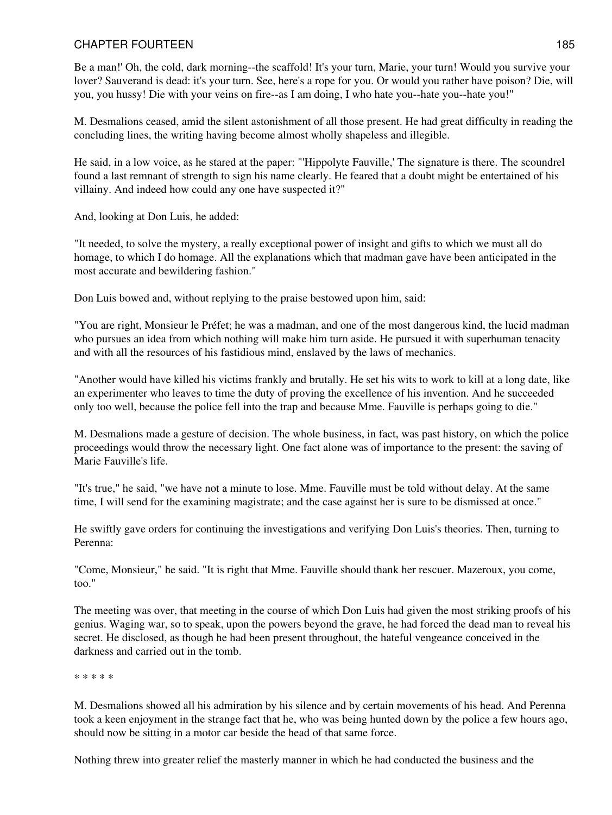Be a man!' Oh, the cold, dark morning--the scaffold! It's your turn, Marie, your turn! Would you survive your lover? Sauverand is dead: it's your turn. See, here's a rope for you. Or would you rather have poison? Die, will you, you hussy! Die with your veins on fire--as I am doing, I who hate you--hate you--hate you!"

M. Desmalions ceased, amid the silent astonishment of all those present. He had great difficulty in reading the concluding lines, the writing having become almost wholly shapeless and illegible.

He said, in a low voice, as he stared at the paper: "'Hippolyte Fauville,' The signature is there. The scoundrel found a last remnant of strength to sign his name clearly. He feared that a doubt might be entertained of his villainy. And indeed how could any one have suspected it?"

And, looking at Don Luis, he added:

"It needed, to solve the mystery, a really exceptional power of insight and gifts to which we must all do homage, to which I do homage. All the explanations which that madman gave have been anticipated in the most accurate and bewildering fashion."

Don Luis bowed and, without replying to the praise bestowed upon him, said:

"You are right, Monsieur le Préfet; he was a madman, and one of the most dangerous kind, the lucid madman who pursues an idea from which nothing will make him turn aside. He pursued it with superhuman tenacity and with all the resources of his fastidious mind, enslaved by the laws of mechanics.

"Another would have killed his victims frankly and brutally. He set his wits to work to kill at a long date, like an experimenter who leaves to time the duty of proving the excellence of his invention. And he succeeded only too well, because the police fell into the trap and because Mme. Fauville is perhaps going to die."

M. Desmalions made a gesture of decision. The whole business, in fact, was past history, on which the police proceedings would throw the necessary light. One fact alone was of importance to the present: the saving of Marie Fauville's life.

"It's true," he said, "we have not a minute to lose. Mme. Fauville must be told without delay. At the same time, I will send for the examining magistrate; and the case against her is sure to be dismissed at once."

He swiftly gave orders for continuing the investigations and verifying Don Luis's theories. Then, turning to Perenna:

"Come, Monsieur," he said. "It is right that Mme. Fauville should thank her rescuer. Mazeroux, you come, too."

The meeting was over, that meeting in the course of which Don Luis had given the most striking proofs of his genius. Waging war, so to speak, upon the powers beyond the grave, he had forced the dead man to reveal his secret. He disclosed, as though he had been present throughout, the hateful vengeance conceived in the darkness and carried out in the tomb.

\* \* \* \* \*

M. Desmalions showed all his admiration by his silence and by certain movements of his head. And Perenna took a keen enjoyment in the strange fact that he, who was being hunted down by the police a few hours ago, should now be sitting in a motor car beside the head of that same force.

Nothing threw into greater relief the masterly manner in which he had conducted the business and the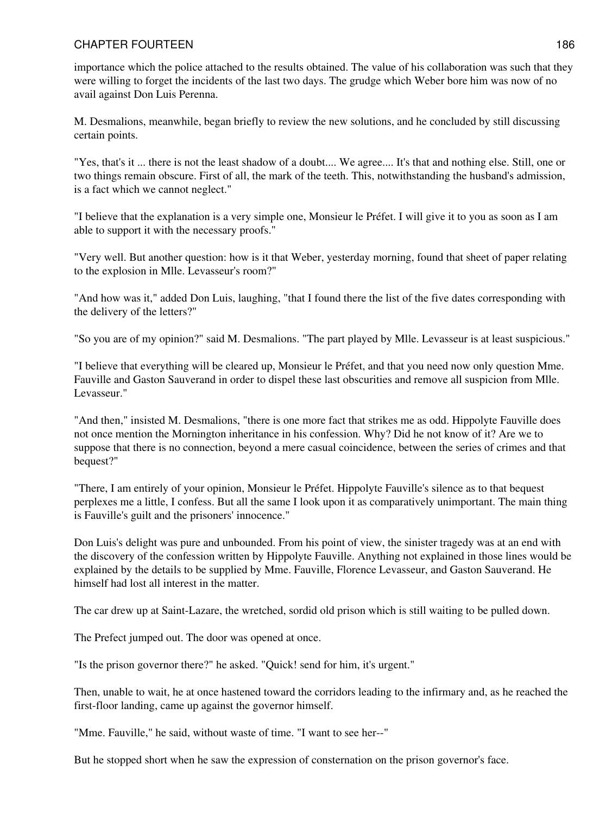importance which the police attached to the results obtained. The value of his collaboration was such that they were willing to forget the incidents of the last two days. The grudge which Weber bore him was now of no avail against Don Luis Perenna.

M. Desmalions, meanwhile, began briefly to review the new solutions, and he concluded by still discussing certain points.

"Yes, that's it ... there is not the least shadow of a doubt.... We agree.... It's that and nothing else. Still, one or two things remain obscure. First of all, the mark of the teeth. This, notwithstanding the husband's admission, is a fact which we cannot neglect."

"I believe that the explanation is a very simple one, Monsieur le Préfet. I will give it to you as soon as I am able to support it with the necessary proofs."

"Very well. But another question: how is it that Weber, yesterday morning, found that sheet of paper relating to the explosion in Mlle. Levasseur's room?"

"And how was it," added Don Luis, laughing, "that I found there the list of the five dates corresponding with the delivery of the letters?"

"So you are of my opinion?" said M. Desmalions. "The part played by Mlle. Levasseur is at least suspicious."

"I believe that everything will be cleared up, Monsieur le Préfet, and that you need now only question Mme. Fauville and Gaston Sauverand in order to dispel these last obscurities and remove all suspicion from Mlle. Levasseur."

"And then," insisted M. Desmalions, "there is one more fact that strikes me as odd. Hippolyte Fauville does not once mention the Mornington inheritance in his confession. Why? Did he not know of it? Are we to suppose that there is no connection, beyond a mere casual coincidence, between the series of crimes and that bequest?"

"There, I am entirely of your opinion, Monsieur le Préfet. Hippolyte Fauville's silence as to that bequest perplexes me a little, I confess. But all the same I look upon it as comparatively unimportant. The main thing is Fauville's guilt and the prisoners' innocence."

Don Luis's delight was pure and unbounded. From his point of view, the sinister tragedy was at an end with the discovery of the confession written by Hippolyte Fauville. Anything not explained in those lines would be explained by the details to be supplied by Mme. Fauville, Florence Levasseur, and Gaston Sauverand. He himself had lost all interest in the matter.

The car drew up at Saint-Lazare, the wretched, sordid old prison which is still waiting to be pulled down.

The Prefect jumped out. The door was opened at once.

"Is the prison governor there?" he asked. "Quick! send for him, it's urgent."

Then, unable to wait, he at once hastened toward the corridors leading to the infirmary and, as he reached the first-floor landing, came up against the governor himself.

"Mme. Fauville," he said, without waste of time. "I want to see her--"

But he stopped short when he saw the expression of consternation on the prison governor's face.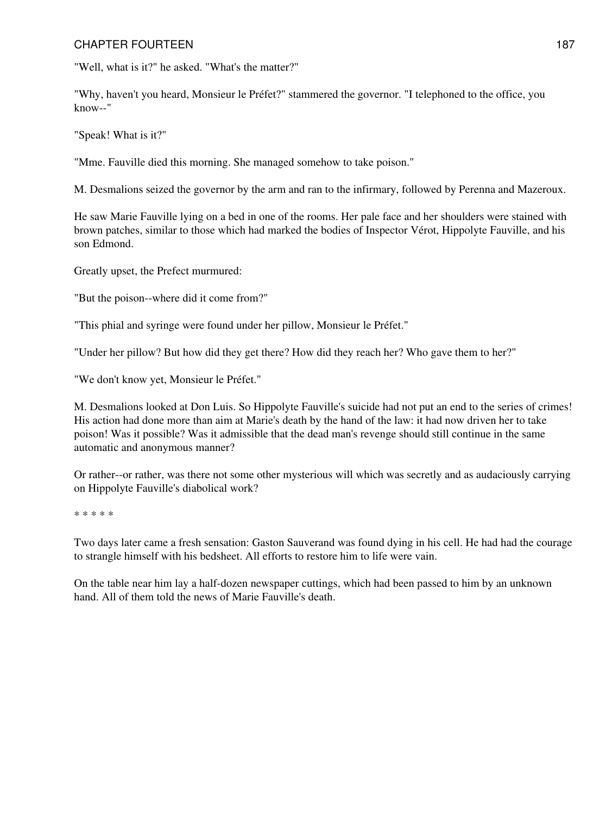"Well, what is it?" he asked. "What's the matter?"

"Why, haven't you heard, Monsieur le Préfet?" stammered the governor. "I telephoned to the office, you know--"

"Speak! What is it?"

"Mme. Fauville died this morning. She managed somehow to take poison."

M. Desmalions seized the governor by the arm and ran to the infirmary, followed by Perenna and Mazeroux.

He saw Marie Fauville lying on a bed in one of the rooms. Her pale face and her shoulders were stained with brown patches, similar to those which had marked the bodies of Inspector Vérot, Hippolyte Fauville, and his son Edmond.

Greatly upset, the Prefect murmured:

"But the poison--where did it come from?"

"This phial and syringe were found under her pillow, Monsieur le Préfet."

"Under her pillow? But how did they get there? How did they reach her? Who gave them to her?"

"We don't know yet, Monsieur le Préfet."

M. Desmalions looked at Don Luis. So Hippolyte Fauville's suicide had not put an end to the series of crimes! His action had done more than aim at Marie's death by the hand of the law: it had now driven her to take poison! Was it possible? Was it admissible that the dead man's revenge should still continue in the same automatic and anonymous manner?

Or rather--or rather, was there not some other mysterious will which was secretly and as audaciously carrying on Hippolyte Fauville's diabolical work?

\* \* \* \* \*

Two days later came a fresh sensation: Gaston Sauverand was found dying in his cell. He had had the courage to strangle himself with his bedsheet. All efforts to restore him to life were vain.

On the table near him lay a half-dozen newspaper cuttings, which had been passed to him by an unknown hand. All of them told the news of Marie Fauville's death.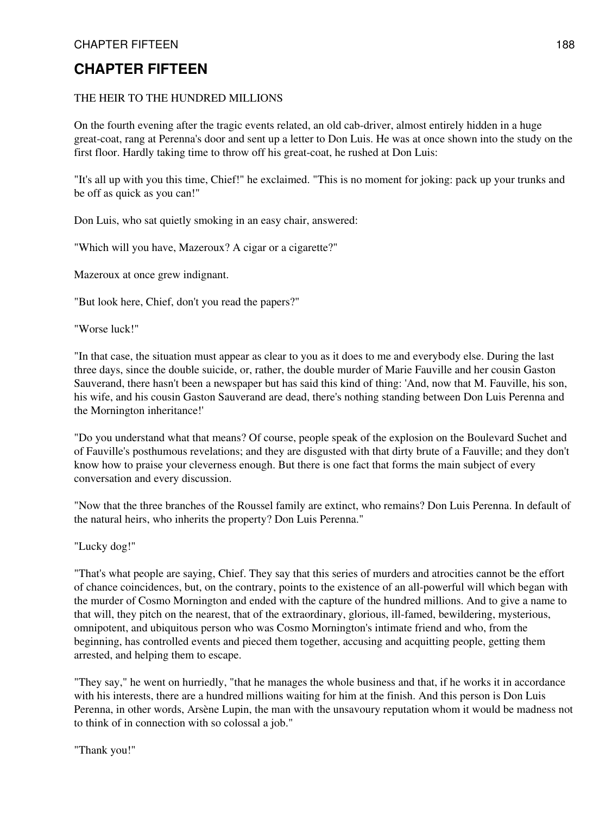#### THE HEIR TO THE HUNDRED MILLIONS

On the fourth evening after the tragic events related, an old cab-driver, almost entirely hidden in a huge great-coat, rang at Perenna's door and sent up a letter to Don Luis. He was at once shown into the study on the first floor. Hardly taking time to throw off his great-coat, he rushed at Don Luis:

"It's all up with you this time, Chief!" he exclaimed. "This is no moment for joking: pack up your trunks and be off as quick as you can!"

Don Luis, who sat quietly smoking in an easy chair, answered:

"Which will you have, Mazeroux? A cigar or a cigarette?"

Mazeroux at once grew indignant.

"But look here, Chief, don't you read the papers?"

"Worse luck!"

"In that case, the situation must appear as clear to you as it does to me and everybody else. During the last three days, since the double suicide, or, rather, the double murder of Marie Fauville and her cousin Gaston Sauverand, there hasn't been a newspaper but has said this kind of thing: 'And, now that M. Fauville, his son, his wife, and his cousin Gaston Sauverand are dead, there's nothing standing between Don Luis Perenna and the Mornington inheritance!'

"Do you understand what that means? Of course, people speak of the explosion on the Boulevard Suchet and of Fauville's posthumous revelations; and they are disgusted with that dirty brute of a Fauville; and they don't know how to praise your cleverness enough. But there is one fact that forms the main subject of every conversation and every discussion.

"Now that the three branches of the Roussel family are extinct, who remains? Don Luis Perenna. In default of the natural heirs, who inherits the property? Don Luis Perenna."

"Lucky dog!"

"That's what people are saying, Chief. They say that this series of murders and atrocities cannot be the effort of chance coincidences, but, on the contrary, points to the existence of an all-powerful will which began with the murder of Cosmo Mornington and ended with the capture of the hundred millions. And to give a name to that will, they pitch on the nearest, that of the extraordinary, glorious, ill-famed, bewildering, mysterious, omnipotent, and ubiquitous person who was Cosmo Mornington's intimate friend and who, from the beginning, has controlled events and pieced them together, accusing and acquitting people, getting them arrested, and helping them to escape.

"They say," he went on hurriedly, "that he manages the whole business and that, if he works it in accordance with his interests, there are a hundred millions waiting for him at the finish. And this person is Don Luis Perenna, in other words, Arsène Lupin, the man with the unsavoury reputation whom it would be madness not to think of in connection with so colossal a job."

"Thank you!"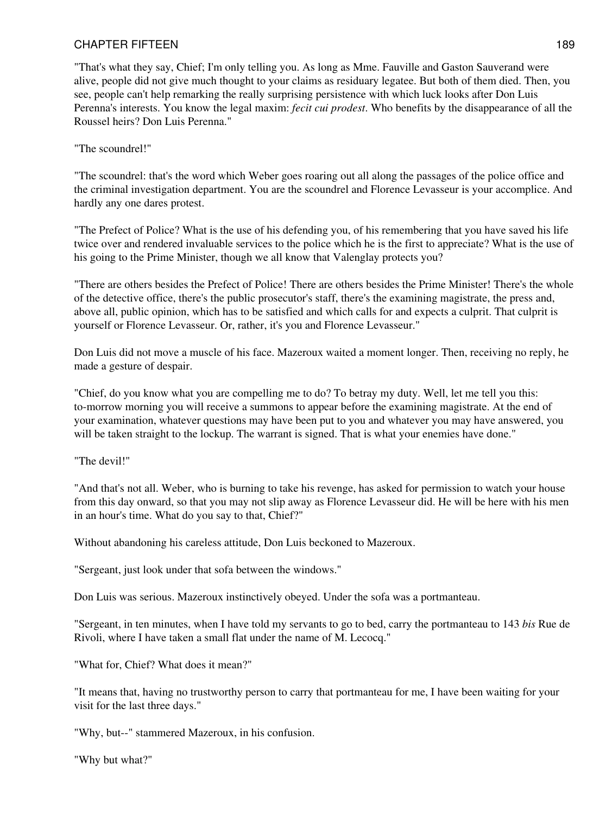"That's what they say, Chief; I'm only telling you. As long as Mme. Fauville and Gaston Sauverand were alive, people did not give much thought to your claims as residuary legatee. But both of them died. Then, you see, people can't help remarking the really surprising persistence with which luck looks after Don Luis Perenna's interests. You know the legal maxim: *fecit cui prodest*. Who benefits by the disappearance of all the Roussel heirs? Don Luis Perenna."

"The scoundrel!"

"The scoundrel: that's the word which Weber goes roaring out all along the passages of the police office and the criminal investigation department. You are the scoundrel and Florence Levasseur is your accomplice. And hardly any one dares protest.

"The Prefect of Police? What is the use of his defending you, of his remembering that you have saved his life twice over and rendered invaluable services to the police which he is the first to appreciate? What is the use of his going to the Prime Minister, though we all know that Valenglay protects you?

"There are others besides the Prefect of Police! There are others besides the Prime Minister! There's the whole of the detective office, there's the public prosecutor's staff, there's the examining magistrate, the press and, above all, public opinion, which has to be satisfied and which calls for and expects a culprit. That culprit is yourself or Florence Levasseur. Or, rather, it's you and Florence Levasseur."

Don Luis did not move a muscle of his face. Mazeroux waited a moment longer. Then, receiving no reply, he made a gesture of despair.

"Chief, do you know what you are compelling me to do? To betray my duty. Well, let me tell you this: to-morrow morning you will receive a summons to appear before the examining magistrate. At the end of your examination, whatever questions may have been put to you and whatever you may have answered, you will be taken straight to the lockup. The warrant is signed. That is what your enemies have done."

"The devil!"

"And that's not all. Weber, who is burning to take his revenge, has asked for permission to watch your house from this day onward, so that you may not slip away as Florence Levasseur did. He will be here with his men in an hour's time. What do you say to that, Chief?"

Without abandoning his careless attitude, Don Luis beckoned to Mazeroux.

"Sergeant, just look under that sofa between the windows."

Don Luis was serious. Mazeroux instinctively obeyed. Under the sofa was a portmanteau.

"Sergeant, in ten minutes, when I have told my servants to go to bed, carry the portmanteau to 143 *bis* Rue de Rivoli, where I have taken a small flat under the name of M. Lecocq."

"What for, Chief? What does it mean?"

"It means that, having no trustworthy person to carry that portmanteau for me, I have been waiting for your visit for the last three days."

"Why, but--" stammered Mazeroux, in his confusion.

"Why but what?"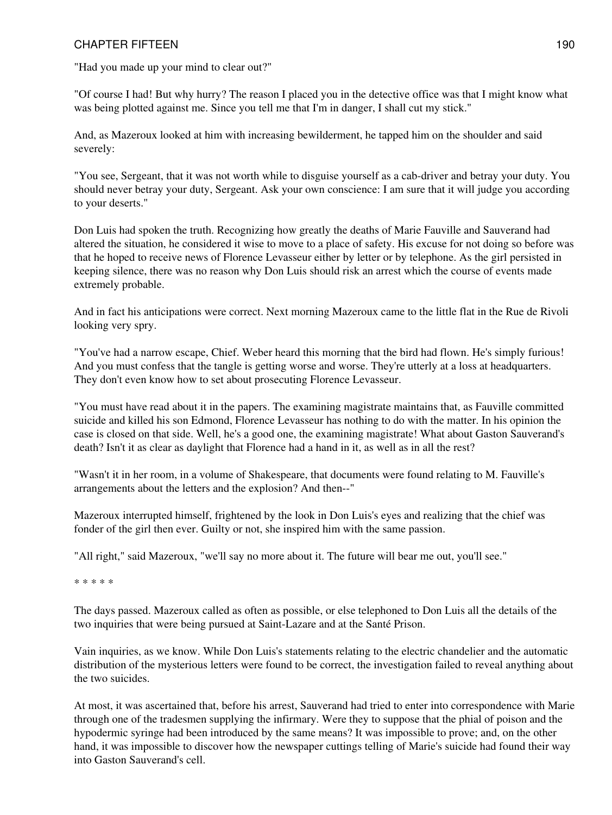"Had you made up your mind to clear out?"

"Of course I had! But why hurry? The reason I placed you in the detective office was that I might know what was being plotted against me. Since you tell me that I'm in danger, I shall cut my stick."

And, as Mazeroux looked at him with increasing bewilderment, he tapped him on the shoulder and said severely:

"You see, Sergeant, that it was not worth while to disguise yourself as a cab-driver and betray your duty. You should never betray your duty, Sergeant. Ask your own conscience: I am sure that it will judge you according to your deserts."

Don Luis had spoken the truth. Recognizing how greatly the deaths of Marie Fauville and Sauverand had altered the situation, he considered it wise to move to a place of safety. His excuse for not doing so before was that he hoped to receive news of Florence Levasseur either by letter or by telephone. As the girl persisted in keeping silence, there was no reason why Don Luis should risk an arrest which the course of events made extremely probable.

And in fact his anticipations were correct. Next morning Mazeroux came to the little flat in the Rue de Rivoli looking very spry.

"You've had a narrow escape, Chief. Weber heard this morning that the bird had flown. He's simply furious! And you must confess that the tangle is getting worse and worse. They're utterly at a loss at headquarters. They don't even know how to set about prosecuting Florence Levasseur.

"You must have read about it in the papers. The examining magistrate maintains that, as Fauville committed suicide and killed his son Edmond, Florence Levasseur has nothing to do with the matter. In his opinion the case is closed on that side. Well, he's a good one, the examining magistrate! What about Gaston Sauverand's death? Isn't it as clear as daylight that Florence had a hand in it, as well as in all the rest?

"Wasn't it in her room, in a volume of Shakespeare, that documents were found relating to M. Fauville's arrangements about the letters and the explosion? And then--"

Mazeroux interrupted himself, frightened by the look in Don Luis's eyes and realizing that the chief was fonder of the girl then ever. Guilty or not, she inspired him with the same passion.

"All right," said Mazeroux, "we'll say no more about it. The future will bear me out, you'll see."

\* \* \* \* \*

The days passed. Mazeroux called as often as possible, or else telephoned to Don Luis all the details of the two inquiries that were being pursued at Saint-Lazare and at the Santé Prison.

Vain inquiries, as we know. While Don Luis's statements relating to the electric chandelier and the automatic distribution of the mysterious letters were found to be correct, the investigation failed to reveal anything about the two suicides.

At most, it was ascertained that, before his arrest, Sauverand had tried to enter into correspondence with Marie through one of the tradesmen supplying the infirmary. Were they to suppose that the phial of poison and the hypodermic syringe had been introduced by the same means? It was impossible to prove; and, on the other hand, it was impossible to discover how the newspaper cuttings telling of Marie's suicide had found their way into Gaston Sauverand's cell.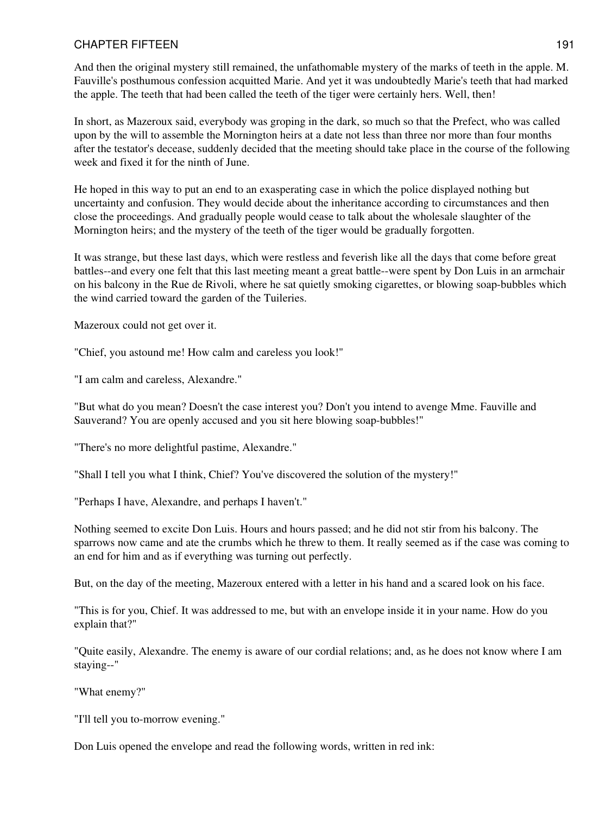And then the original mystery still remained, the unfathomable mystery of the marks of teeth in the apple. M. Fauville's posthumous confession acquitted Marie. And yet it was undoubtedly Marie's teeth that had marked the apple. The teeth that had been called the teeth of the tiger were certainly hers. Well, then!

In short, as Mazeroux said, everybody was groping in the dark, so much so that the Prefect, who was called upon by the will to assemble the Mornington heirs at a date not less than three nor more than four months after the testator's decease, suddenly decided that the meeting should take place in the course of the following week and fixed it for the ninth of June.

He hoped in this way to put an end to an exasperating case in which the police displayed nothing but uncertainty and confusion. They would decide about the inheritance according to circumstances and then close the proceedings. And gradually people would cease to talk about the wholesale slaughter of the Mornington heirs; and the mystery of the teeth of the tiger would be gradually forgotten.

It was strange, but these last days, which were restless and feverish like all the days that come before great battles--and every one felt that this last meeting meant a great battle--were spent by Don Luis in an armchair on his balcony in the Rue de Rivoli, where he sat quietly smoking cigarettes, or blowing soap-bubbles which the wind carried toward the garden of the Tuileries.

Mazeroux could not get over it.

"Chief, you astound me! How calm and careless you look!"

"I am calm and careless, Alexandre."

"But what do you mean? Doesn't the case interest you? Don't you intend to avenge Mme. Fauville and Sauverand? You are openly accused and you sit here blowing soap-bubbles!"

"There's no more delightful pastime, Alexandre."

"Shall I tell you what I think, Chief? You've discovered the solution of the mystery!"

"Perhaps I have, Alexandre, and perhaps I haven't."

Nothing seemed to excite Don Luis. Hours and hours passed; and he did not stir from his balcony. The sparrows now came and ate the crumbs which he threw to them. It really seemed as if the case was coming to an end for him and as if everything was turning out perfectly.

But, on the day of the meeting, Mazeroux entered with a letter in his hand and a scared look on his face.

"This is for you, Chief. It was addressed to me, but with an envelope inside it in your name. How do you explain that?"

"Quite easily, Alexandre. The enemy is aware of our cordial relations; and, as he does not know where I am staying--"

"What enemy?"

"I'll tell you to-morrow evening."

Don Luis opened the envelope and read the following words, written in red ink: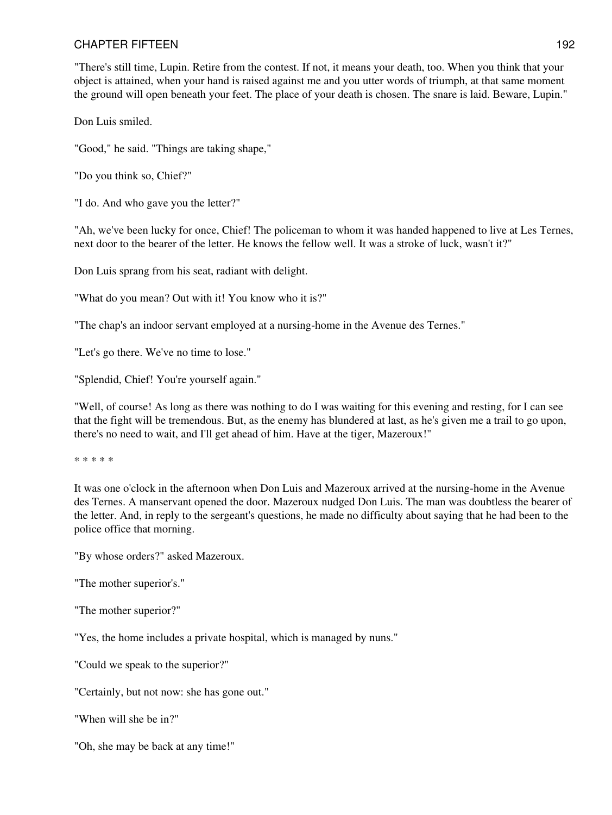"There's still time, Lupin. Retire from the contest. If not, it means your death, too. When you think that your object is attained, when your hand is raised against me and you utter words of triumph, at that same moment the ground will open beneath your feet. The place of your death is chosen. The snare is laid. Beware, Lupin."

Don Luis smiled.

"Good," he said. "Things are taking shape,"

"Do you think so, Chief?"

"I do. And who gave you the letter?"

"Ah, we've been lucky for once, Chief! The policeman to whom it was handed happened to live at Les Ternes, next door to the bearer of the letter. He knows the fellow well. It was a stroke of luck, wasn't it?"

Don Luis sprang from his seat, radiant with delight.

"What do you mean? Out with it! You know who it is?"

"The chap's an indoor servant employed at a nursing-home in the Avenue des Ternes."

"Let's go there. We've no time to lose."

"Splendid, Chief! You're yourself again."

"Well, of course! As long as there was nothing to do I was waiting for this evening and resting, for I can see that the fight will be tremendous. But, as the enemy has blundered at last, as he's given me a trail to go upon, there's no need to wait, and I'll get ahead of him. Have at the tiger, Mazeroux!"

\* \* \* \* \*

It was one o'clock in the afternoon when Don Luis and Mazeroux arrived at the nursing-home in the Avenue des Ternes. A manservant opened the door. Mazeroux nudged Don Luis. The man was doubtless the bearer of the letter. And, in reply to the sergeant's questions, he made no difficulty about saying that he had been to the police office that morning.

"By whose orders?" asked Mazeroux.

"The mother superior's."

"The mother superior?"

"Yes, the home includes a private hospital, which is managed by nuns."

"Could we speak to the superior?"

"Certainly, but not now: she has gone out."

"When will she be in?"

"Oh, she may be back at any time!"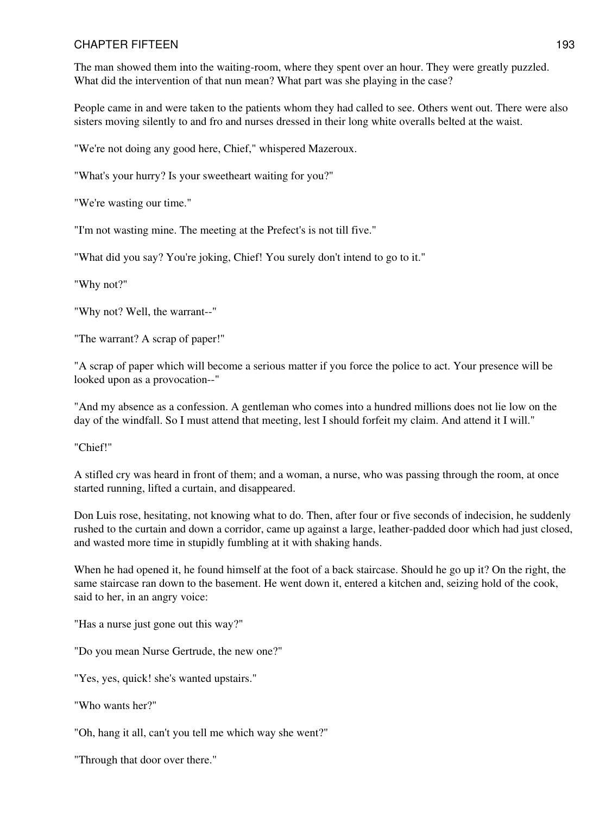The man showed them into the waiting-room, where they spent over an hour. They were greatly puzzled. What did the intervention of that nun mean? What part was she playing in the case?

People came in and were taken to the patients whom they had called to see. Others went out. There were also sisters moving silently to and fro and nurses dressed in their long white overalls belted at the waist.

"We're not doing any good here, Chief," whispered Mazeroux.

"What's your hurry? Is your sweetheart waiting for you?"

"We're wasting our time."

"I'm not wasting mine. The meeting at the Prefect's is not till five."

"What did you say? You're joking, Chief! You surely don't intend to go to it."

"Why not?"

"Why not? Well, the warrant--"

"The warrant? A scrap of paper!"

"A scrap of paper which will become a serious matter if you force the police to act. Your presence will be looked upon as a provocation--"

"And my absence as a confession. A gentleman who comes into a hundred millions does not lie low on the day of the windfall. So I must attend that meeting, lest I should forfeit my claim. And attend it I will."

"Chief!"

A stifled cry was heard in front of them; and a woman, a nurse, who was passing through the room, at once started running, lifted a curtain, and disappeared.

Don Luis rose, hesitating, not knowing what to do. Then, after four or five seconds of indecision, he suddenly rushed to the curtain and down a corridor, came up against a large, leather-padded door which had just closed, and wasted more time in stupidly fumbling at it with shaking hands.

When he had opened it, he found himself at the foot of a back staircase. Should he go up it? On the right, the same staircase ran down to the basement. He went down it, entered a kitchen and, seizing hold of the cook, said to her, in an angry voice:

"Has a nurse just gone out this way?"

"Do you mean Nurse Gertrude, the new one?"

"Yes, yes, quick! she's wanted upstairs."

"Who wants her?"

"Oh, hang it all, can't you tell me which way she went?"

"Through that door over there."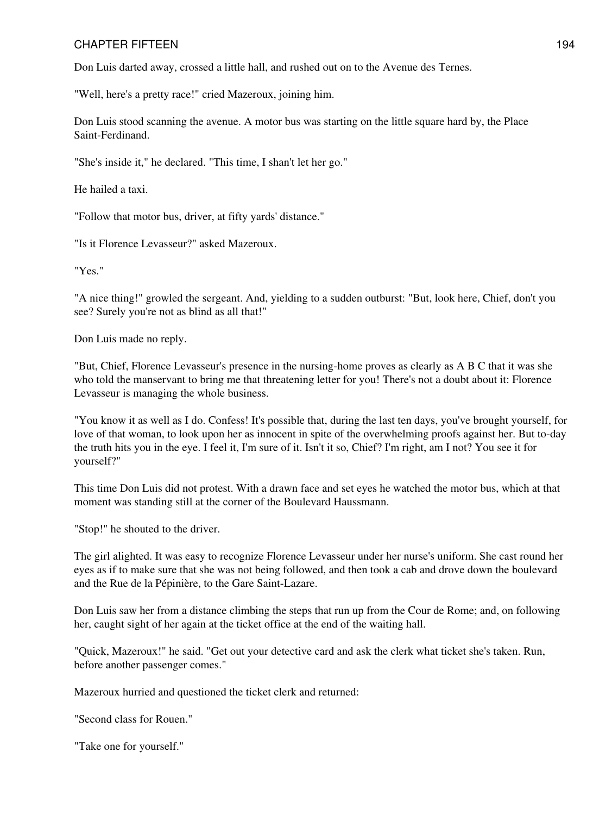Don Luis darted away, crossed a little hall, and rushed out on to the Avenue des Ternes.

"Well, here's a pretty race!" cried Mazeroux, joining him.

Don Luis stood scanning the avenue. A motor bus was starting on the little square hard by, the Place Saint-Ferdinand.

"She's inside it," he declared. "This time, I shan't let her go."

He hailed a taxi.

"Follow that motor bus, driver, at fifty yards' distance."

"Is it Florence Levasseur?" asked Mazeroux.

"Yes."

"A nice thing!" growled the sergeant. And, yielding to a sudden outburst: "But, look here, Chief, don't you see? Surely you're not as blind as all that!"

Don Luis made no reply.

"But, Chief, Florence Levasseur's presence in the nursing-home proves as clearly as A B C that it was she who told the manservant to bring me that threatening letter for you! There's not a doubt about it: Florence Levasseur is managing the whole business.

"You know it as well as I do. Confess! It's possible that, during the last ten days, you've brought yourself, for love of that woman, to look upon her as innocent in spite of the overwhelming proofs against her. But to-day the truth hits you in the eye. I feel it, I'm sure of it. Isn't it so, Chief? I'm right, am I not? You see it for yourself?"

This time Don Luis did not protest. With a drawn face and set eyes he watched the motor bus, which at that moment was standing still at the corner of the Boulevard Haussmann.

"Stop!" he shouted to the driver.

The girl alighted. It was easy to recognize Florence Levasseur under her nurse's uniform. She cast round her eyes as if to make sure that she was not being followed, and then took a cab and drove down the boulevard and the Rue de la Pépinière, to the Gare Saint-Lazare.

Don Luis saw her from a distance climbing the steps that run up from the Cour de Rome; and, on following her, caught sight of her again at the ticket office at the end of the waiting hall.

"Quick, Mazeroux!" he said. "Get out your detective card and ask the clerk what ticket she's taken. Run, before another passenger comes."

Mazeroux hurried and questioned the ticket clerk and returned:

"Second class for Rouen."

"Take one for yourself."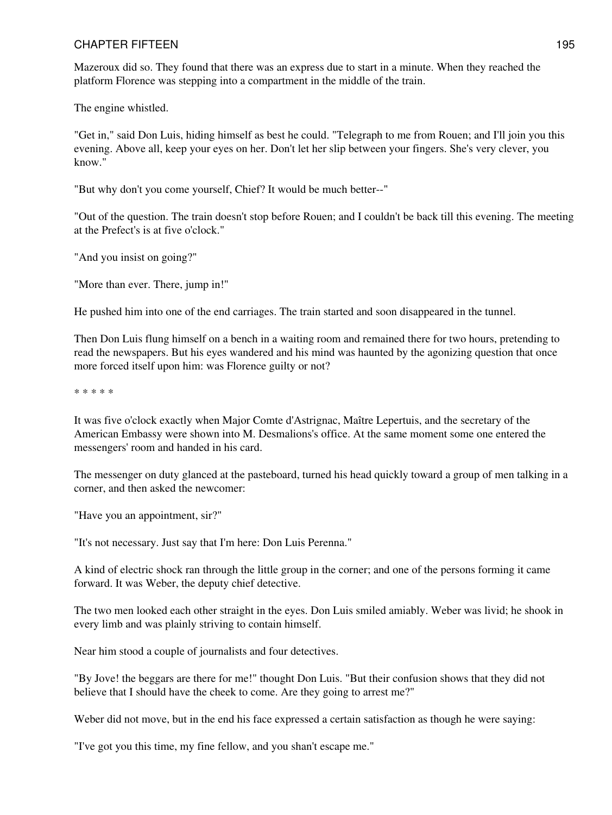Mazeroux did so. They found that there was an express due to start in a minute. When they reached the platform Florence was stepping into a compartment in the middle of the train.

The engine whistled.

"Get in," said Don Luis, hiding himself as best he could. "Telegraph to me from Rouen; and I'll join you this evening. Above all, keep your eyes on her. Don't let her slip between your fingers. She's very clever, you know."

"But why don't you come yourself, Chief? It would be much better--"

"Out of the question. The train doesn't stop before Rouen; and I couldn't be back till this evening. The meeting at the Prefect's is at five o'clock."

"And you insist on going?"

"More than ever. There, jump in!"

He pushed him into one of the end carriages. The train started and soon disappeared in the tunnel.

Then Don Luis flung himself on a bench in a waiting room and remained there for two hours, pretending to read the newspapers. But his eyes wandered and his mind was haunted by the agonizing question that once more forced itself upon him: was Florence guilty or not?

\* \* \* \* \*

It was five o'clock exactly when Major Comte d'Astrignac, Maître Lepertuis, and the secretary of the American Embassy were shown into M. Desmalions's office. At the same moment some one entered the messengers' room and handed in his card.

The messenger on duty glanced at the pasteboard, turned his head quickly toward a group of men talking in a corner, and then asked the newcomer:

"Have you an appointment, sir?"

"It's not necessary. Just say that I'm here: Don Luis Perenna."

A kind of electric shock ran through the little group in the corner; and one of the persons forming it came forward. It was Weber, the deputy chief detective.

The two men looked each other straight in the eyes. Don Luis smiled amiably. Weber was livid; he shook in every limb and was plainly striving to contain himself.

Near him stood a couple of journalists and four detectives.

"By Jove! the beggars are there for me!" thought Don Luis. "But their confusion shows that they did not believe that I should have the cheek to come. Are they going to arrest me?"

Weber did not move, but in the end his face expressed a certain satisfaction as though he were saying:

"I've got you this time, my fine fellow, and you shan't escape me."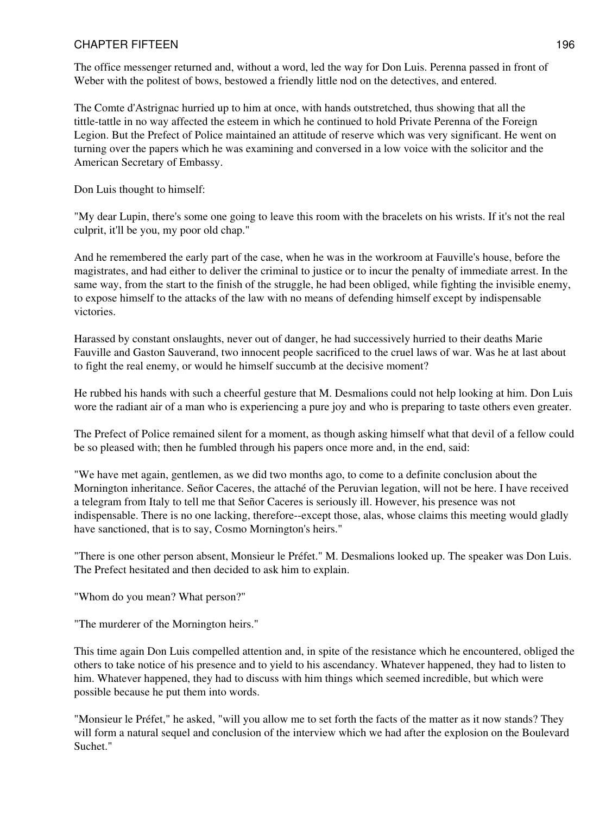The office messenger returned and, without a word, led the way for Don Luis. Perenna passed in front of Weber with the politest of bows, bestowed a friendly little nod on the detectives, and entered.

The Comte d'Astrignac hurried up to him at once, with hands outstretched, thus showing that all the tittle-tattle in no way affected the esteem in which he continued to hold Private Perenna of the Foreign Legion. But the Prefect of Police maintained an attitude of reserve which was very significant. He went on turning over the papers which he was examining and conversed in a low voice with the solicitor and the American Secretary of Embassy.

Don Luis thought to himself:

"My dear Lupin, there's some one going to leave this room with the bracelets on his wrists. If it's not the real culprit, it'll be you, my poor old chap."

And he remembered the early part of the case, when he was in the workroom at Fauville's house, before the magistrates, and had either to deliver the criminal to justice or to incur the penalty of immediate arrest. In the same way, from the start to the finish of the struggle, he had been obliged, while fighting the invisible enemy, to expose himself to the attacks of the law with no means of defending himself except by indispensable victories.

Harassed by constant onslaughts, never out of danger, he had successively hurried to their deaths Marie Fauville and Gaston Sauverand, two innocent people sacrificed to the cruel laws of war. Was he at last about to fight the real enemy, or would he himself succumb at the decisive moment?

He rubbed his hands with such a cheerful gesture that M. Desmalions could not help looking at him. Don Luis wore the radiant air of a man who is experiencing a pure joy and who is preparing to taste others even greater.

The Prefect of Police remained silent for a moment, as though asking himself what that devil of a fellow could be so pleased with; then he fumbled through his papers once more and, in the end, said:

"We have met again, gentlemen, as we did two months ago, to come to a definite conclusion about the Mornington inheritance. Señor Caceres, the attaché of the Peruvian legation, will not be here. I have received a telegram from Italy to tell me that Señor Caceres is seriously ill. However, his presence was not indispensable. There is no one lacking, therefore--except those, alas, whose claims this meeting would gladly have sanctioned, that is to say, Cosmo Mornington's heirs."

"There is one other person absent, Monsieur le Préfet." M. Desmalions looked up. The speaker was Don Luis. The Prefect hesitated and then decided to ask him to explain.

"Whom do you mean? What person?"

"The murderer of the Mornington heirs."

This time again Don Luis compelled attention and, in spite of the resistance which he encountered, obliged the others to take notice of his presence and to yield to his ascendancy. Whatever happened, they had to listen to him. Whatever happened, they had to discuss with him things which seemed incredible, but which were possible because he put them into words.

"Monsieur le Préfet," he asked, "will you allow me to set forth the facts of the matter as it now stands? They will form a natural sequel and conclusion of the interview which we had after the explosion on the Boulevard Suchet."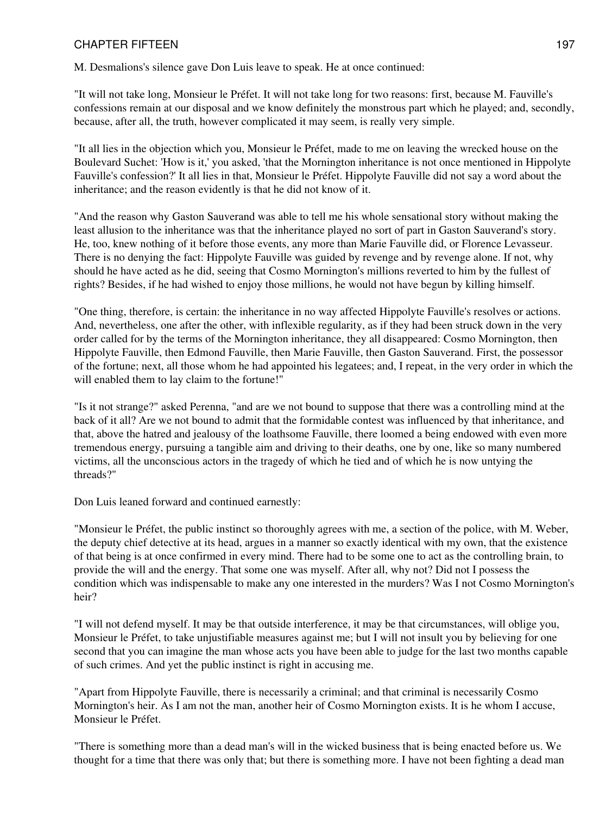M. Desmalions's silence gave Don Luis leave to speak. He at once continued:

"It will not take long, Monsieur le Préfet. It will not take long for two reasons: first, because M. Fauville's confessions remain at our disposal and we know definitely the monstrous part which he played; and, secondly, because, after all, the truth, however complicated it may seem, is really very simple.

"It all lies in the objection which you, Monsieur le Préfet, made to me on leaving the wrecked house on the Boulevard Suchet: 'How is it,' you asked, 'that the Mornington inheritance is not once mentioned in Hippolyte Fauville's confession?' It all lies in that, Monsieur le Préfet. Hippolyte Fauville did not say a word about the inheritance; and the reason evidently is that he did not know of it.

"And the reason why Gaston Sauverand was able to tell me his whole sensational story without making the least allusion to the inheritance was that the inheritance played no sort of part in Gaston Sauverand's story. He, too, knew nothing of it before those events, any more than Marie Fauville did, or Florence Levasseur. There is no denying the fact: Hippolyte Fauville was guided by revenge and by revenge alone. If not, why should he have acted as he did, seeing that Cosmo Mornington's millions reverted to him by the fullest of rights? Besides, if he had wished to enjoy those millions, he would not have begun by killing himself.

"One thing, therefore, is certain: the inheritance in no way affected Hippolyte Fauville's resolves or actions. And, nevertheless, one after the other, with inflexible regularity, as if they had been struck down in the very order called for by the terms of the Mornington inheritance, they all disappeared: Cosmo Mornington, then Hippolyte Fauville, then Edmond Fauville, then Marie Fauville, then Gaston Sauverand. First, the possessor of the fortune; next, all those whom he had appointed his legatees; and, I repeat, in the very order in which the will enabled them to lay claim to the fortune!"

"Is it not strange?" asked Perenna, "and are we not bound to suppose that there was a controlling mind at the back of it all? Are we not bound to admit that the formidable contest was influenced by that inheritance, and that, above the hatred and jealousy of the loathsome Fauville, there loomed a being endowed with even more tremendous energy, pursuing a tangible aim and driving to their deaths, one by one, like so many numbered victims, all the unconscious actors in the tragedy of which he tied and of which he is now untying the threads?"

Don Luis leaned forward and continued earnestly:

"Monsieur le Préfet, the public instinct so thoroughly agrees with me, a section of the police, with M. Weber, the deputy chief detective at its head, argues in a manner so exactly identical with my own, that the existence of that being is at once confirmed in every mind. There had to be some one to act as the controlling brain, to provide the will and the energy. That some one was myself. After all, why not? Did not I possess the condition which was indispensable to make any one interested in the murders? Was I not Cosmo Mornington's heir?

"I will not defend myself. It may be that outside interference, it may be that circumstances, will oblige you, Monsieur le Préfet, to take unjustifiable measures against me; but I will not insult you by believing for one second that you can imagine the man whose acts you have been able to judge for the last two months capable of such crimes. And yet the public instinct is right in accusing me.

"Apart from Hippolyte Fauville, there is necessarily a criminal; and that criminal is necessarily Cosmo Mornington's heir. As I am not the man, another heir of Cosmo Mornington exists. It is he whom I accuse, Monsieur le Préfet.

"There is something more than a dead man's will in the wicked business that is being enacted before us. We thought for a time that there was only that; but there is something more. I have not been fighting a dead man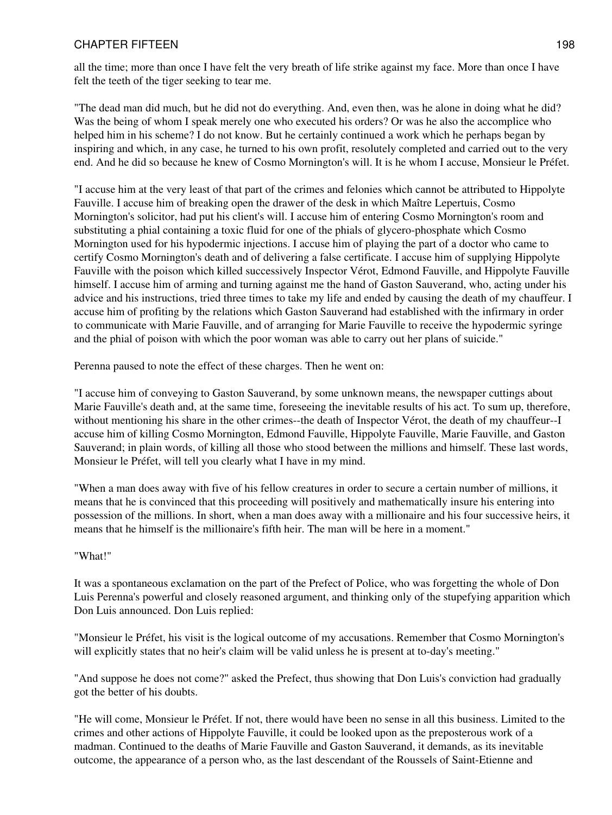all the time; more than once I have felt the very breath of life strike against my face. More than once I have felt the teeth of the tiger seeking to tear me.

"The dead man did much, but he did not do everything. And, even then, was he alone in doing what he did? Was the being of whom I speak merely one who executed his orders? Or was he also the accomplice who helped him in his scheme? I do not know. But he certainly continued a work which he perhaps began by inspiring and which, in any case, he turned to his own profit, resolutely completed and carried out to the very end. And he did so because he knew of Cosmo Mornington's will. It is he whom I accuse, Monsieur le Préfet.

"I accuse him at the very least of that part of the crimes and felonies which cannot be attributed to Hippolyte Fauville. I accuse him of breaking open the drawer of the desk in which Maître Lepertuis, Cosmo Mornington's solicitor, had put his client's will. I accuse him of entering Cosmo Mornington's room and substituting a phial containing a toxic fluid for one of the phials of glycero-phosphate which Cosmo Mornington used for his hypodermic injections. I accuse him of playing the part of a doctor who came to certify Cosmo Mornington's death and of delivering a false certificate. I accuse him of supplying Hippolyte Fauville with the poison which killed successively Inspector Vérot, Edmond Fauville, and Hippolyte Fauville himself. I accuse him of arming and turning against me the hand of Gaston Sauverand, who, acting under his advice and his instructions, tried three times to take my life and ended by causing the death of my chauffeur. I accuse him of profiting by the relations which Gaston Sauverand had established with the infirmary in order to communicate with Marie Fauville, and of arranging for Marie Fauville to receive the hypodermic syringe and the phial of poison with which the poor woman was able to carry out her plans of suicide."

Perenna paused to note the effect of these charges. Then he went on:

"I accuse him of conveying to Gaston Sauverand, by some unknown means, the newspaper cuttings about Marie Fauville's death and, at the same time, foreseeing the inevitable results of his act. To sum up, therefore, without mentioning his share in the other crimes--the death of Inspector Vérot, the death of my chauffeur--I accuse him of killing Cosmo Mornington, Edmond Fauville, Hippolyte Fauville, Marie Fauville, and Gaston Sauverand; in plain words, of killing all those who stood between the millions and himself. These last words, Monsieur le Préfet, will tell you clearly what I have in my mind.

"When a man does away with five of his fellow creatures in order to secure a certain number of millions, it means that he is convinced that this proceeding will positively and mathematically insure his entering into possession of the millions. In short, when a man does away with a millionaire and his four successive heirs, it means that he himself is the millionaire's fifth heir. The man will be here in a moment."

#### "What!"

It was a spontaneous exclamation on the part of the Prefect of Police, who was forgetting the whole of Don Luis Perenna's powerful and closely reasoned argument, and thinking only of the stupefying apparition which Don Luis announced. Don Luis replied:

"Monsieur le Préfet, his visit is the logical outcome of my accusations. Remember that Cosmo Mornington's will explicitly states that no heir's claim will be valid unless he is present at to-day's meeting."

"And suppose he does not come?" asked the Prefect, thus showing that Don Luis's conviction had gradually got the better of his doubts.

"He will come, Monsieur le Préfet. If not, there would have been no sense in all this business. Limited to the crimes and other actions of Hippolyte Fauville, it could be looked upon as the preposterous work of a madman. Continued to the deaths of Marie Fauville and Gaston Sauverand, it demands, as its inevitable outcome, the appearance of a person who, as the last descendant of the Roussels of Saint-Etienne and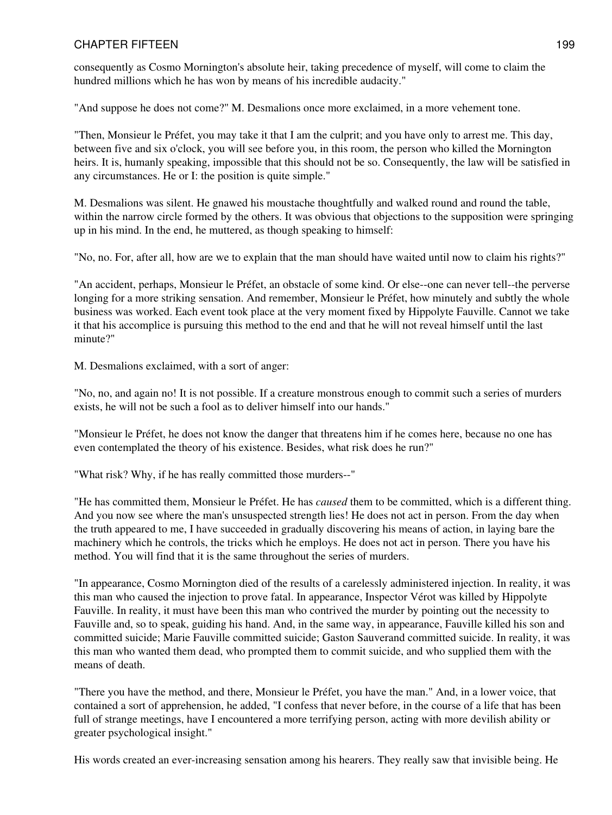consequently as Cosmo Mornington's absolute heir, taking precedence of myself, will come to claim the hundred millions which he has won by means of his incredible audacity."

"And suppose he does not come?" M. Desmalions once more exclaimed, in a more vehement tone.

"Then, Monsieur le Préfet, you may take it that I am the culprit; and you have only to arrest me. This day, between five and six o'clock, you will see before you, in this room, the person who killed the Mornington heirs. It is, humanly speaking, impossible that this should not be so. Consequently, the law will be satisfied in any circumstances. He or I: the position is quite simple."

M. Desmalions was silent. He gnawed his moustache thoughtfully and walked round and round the table, within the narrow circle formed by the others. It was obvious that objections to the supposition were springing up in his mind. In the end, he muttered, as though speaking to himself:

"No, no. For, after all, how are we to explain that the man should have waited until now to claim his rights?"

"An accident, perhaps, Monsieur le Préfet, an obstacle of some kind. Or else--one can never tell--the perverse longing for a more striking sensation. And remember, Monsieur le Préfet, how minutely and subtly the whole business was worked. Each event took place at the very moment fixed by Hippolyte Fauville. Cannot we take it that his accomplice is pursuing this method to the end and that he will not reveal himself until the last minute?"

M. Desmalions exclaimed, with a sort of anger:

"No, no, and again no! It is not possible. If a creature monstrous enough to commit such a series of murders exists, he will not be such a fool as to deliver himself into our hands."

"Monsieur le Préfet, he does not know the danger that threatens him if he comes here, because no one has even contemplated the theory of his existence. Besides, what risk does he run?"

"What risk? Why, if he has really committed those murders--"

"He has committed them, Monsieur le Préfet. He has *caused* them to be committed, which is a different thing. And you now see where the man's unsuspected strength lies! He does not act in person. From the day when the truth appeared to me, I have succeeded in gradually discovering his means of action, in laying bare the machinery which he controls, the tricks which he employs. He does not act in person. There you have his method. You will find that it is the same throughout the series of murders.

"In appearance, Cosmo Mornington died of the results of a carelessly administered injection. In reality, it was this man who caused the injection to prove fatal. In appearance, Inspector Vérot was killed by Hippolyte Fauville. In reality, it must have been this man who contrived the murder by pointing out the necessity to Fauville and, so to speak, guiding his hand. And, in the same way, in appearance, Fauville killed his son and committed suicide; Marie Fauville committed suicide; Gaston Sauverand committed suicide. In reality, it was this man who wanted them dead, who prompted them to commit suicide, and who supplied them with the means of death.

"There you have the method, and there, Monsieur le Préfet, you have the man." And, in a lower voice, that contained a sort of apprehension, he added, "I confess that never before, in the course of a life that has been full of strange meetings, have I encountered a more terrifying person, acting with more devilish ability or greater psychological insight."

His words created an ever-increasing sensation among his hearers. They really saw that invisible being. He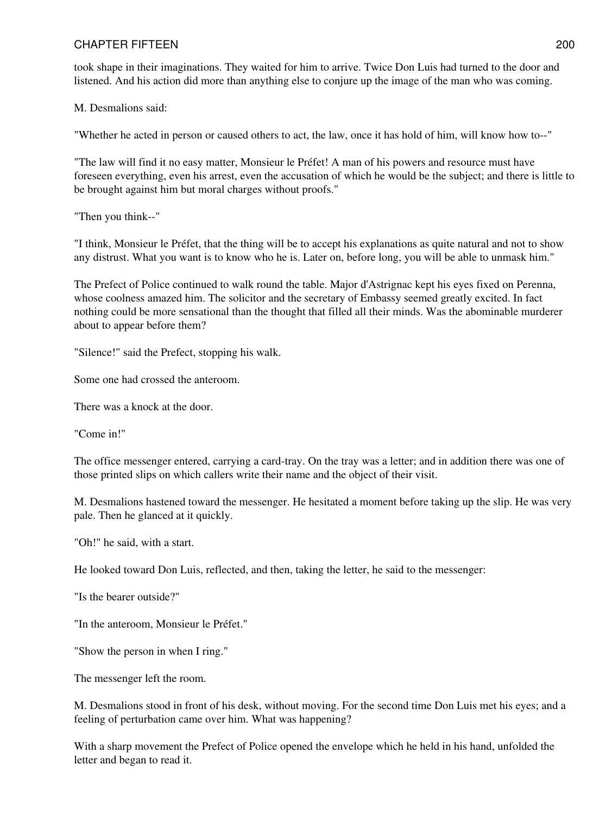took shape in their imaginations. They waited for him to arrive. Twice Don Luis had turned to the door and listened. And his action did more than anything else to conjure up the image of the man who was coming.

M. Desmalions said:

"Whether he acted in person or caused others to act, the law, once it has hold of him, will know how to--"

"The law will find it no easy matter, Monsieur le Préfet! A man of his powers and resource must have foreseen everything, even his arrest, even the accusation of which he would be the subject; and there is little to be brought against him but moral charges without proofs."

"Then you think--"

"I think, Monsieur le Préfet, that the thing will be to accept his explanations as quite natural and not to show any distrust. What you want is to know who he is. Later on, before long, you will be able to unmask him."

The Prefect of Police continued to walk round the table. Major d'Astrignac kept his eyes fixed on Perenna, whose coolness amazed him. The solicitor and the secretary of Embassy seemed greatly excited. In fact nothing could be more sensational than the thought that filled all their minds. Was the abominable murderer about to appear before them?

"Silence!" said the Prefect, stopping his walk.

Some one had crossed the anteroom.

There was a knock at the door.

"Come in!"

The office messenger entered, carrying a card-tray. On the tray was a letter; and in addition there was one of those printed slips on which callers write their name and the object of their visit.

M. Desmalions hastened toward the messenger. He hesitated a moment before taking up the slip. He was very pale. Then he glanced at it quickly.

"Oh!" he said, with a start.

He looked toward Don Luis, reflected, and then, taking the letter, he said to the messenger:

"Is the bearer outside?"

"In the anteroom, Monsieur le Préfet."

"Show the person in when I ring."

The messenger left the room.

M. Desmalions stood in front of his desk, without moving. For the second time Don Luis met his eyes; and a feeling of perturbation came over him. What was happening?

With a sharp movement the Prefect of Police opened the envelope which he held in his hand, unfolded the letter and began to read it.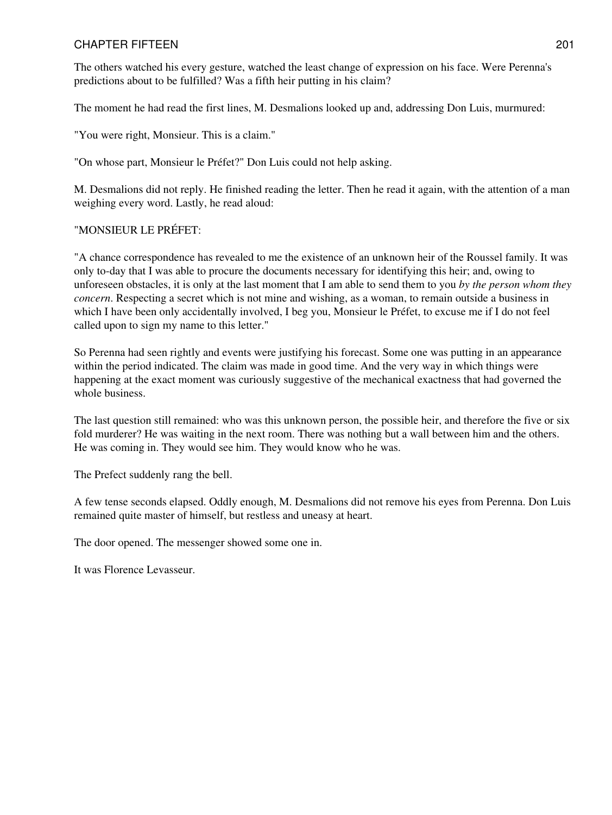The others watched his every gesture, watched the least change of expression on his face. Were Perenna's predictions about to be fulfilled? Was a fifth heir putting in his claim?

The moment he had read the first lines, M. Desmalions looked up and, addressing Don Luis, murmured:

"You were right, Monsieur. This is a claim."

"On whose part, Monsieur le Préfet?" Don Luis could not help asking.

M. Desmalions did not reply. He finished reading the letter. Then he read it again, with the attention of a man weighing every word. Lastly, he read aloud:

#### "MONSIEUR LE PRÉFET:

"A chance correspondence has revealed to me the existence of an unknown heir of the Roussel family. It was only to-day that I was able to procure the documents necessary for identifying this heir; and, owing to unforeseen obstacles, it is only at the last moment that I am able to send them to you *by the person whom they concern*. Respecting a secret which is not mine and wishing, as a woman, to remain outside a business in which I have been only accidentally involved, I beg you, Monsieur le Préfet, to excuse me if I do not feel called upon to sign my name to this letter."

So Perenna had seen rightly and events were justifying his forecast. Some one was putting in an appearance within the period indicated. The claim was made in good time. And the very way in which things were happening at the exact moment was curiously suggestive of the mechanical exactness that had governed the whole business.

The last question still remained: who was this unknown person, the possible heir, and therefore the five or six fold murderer? He was waiting in the next room. There was nothing but a wall between him and the others. He was coming in. They would see him. They would know who he was.

The Prefect suddenly rang the bell.

A few tense seconds elapsed. Oddly enough, M. Desmalions did not remove his eyes from Perenna. Don Luis remained quite master of himself, but restless and uneasy at heart.

The door opened. The messenger showed some one in.

It was Florence Levasseur.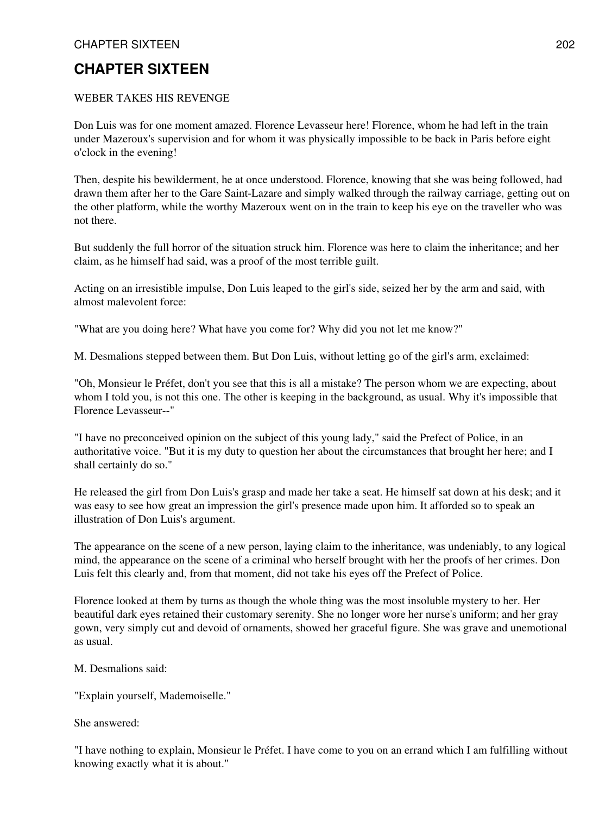## **CHAPTER SIXTEEN**

#### WEBER TAKES HIS REVENGE

Don Luis was for one moment amazed. Florence Levasseur here! Florence, whom he had left in the train under Mazeroux's supervision and for whom it was physically impossible to be back in Paris before eight o'clock in the evening!

Then, despite his bewilderment, he at once understood. Florence, knowing that she was being followed, had drawn them after her to the Gare Saint-Lazare and simply walked through the railway carriage, getting out on the other platform, while the worthy Mazeroux went on in the train to keep his eye on the traveller who was not there.

But suddenly the full horror of the situation struck him. Florence was here to claim the inheritance; and her claim, as he himself had said, was a proof of the most terrible guilt.

Acting on an irresistible impulse, Don Luis leaped to the girl's side, seized her by the arm and said, with almost malevolent force:

"What are you doing here? What have you come for? Why did you not let me know?"

M. Desmalions stepped between them. But Don Luis, without letting go of the girl's arm, exclaimed:

"Oh, Monsieur le Préfet, don't you see that this is all a mistake? The person whom we are expecting, about whom I told you, is not this one. The other is keeping in the background, as usual. Why it's impossible that Florence Levasseur--"

"I have no preconceived opinion on the subject of this young lady," said the Prefect of Police, in an authoritative voice. "But it is my duty to question her about the circumstances that brought her here; and I shall certainly do so."

He released the girl from Don Luis's grasp and made her take a seat. He himself sat down at his desk; and it was easy to see how great an impression the girl's presence made upon him. It afforded so to speak an illustration of Don Luis's argument.

The appearance on the scene of a new person, laying claim to the inheritance, was undeniably, to any logical mind, the appearance on the scene of a criminal who herself brought with her the proofs of her crimes. Don Luis felt this clearly and, from that moment, did not take his eyes off the Prefect of Police.

Florence looked at them by turns as though the whole thing was the most insoluble mystery to her. Her beautiful dark eyes retained their customary serenity. She no longer wore her nurse's uniform; and her gray gown, very simply cut and devoid of ornaments, showed her graceful figure. She was grave and unemotional as usual.

M. Desmalions said:

"Explain yourself, Mademoiselle."

She answered:

"I have nothing to explain, Monsieur le Préfet. I have come to you on an errand which I am fulfilling without knowing exactly what it is about."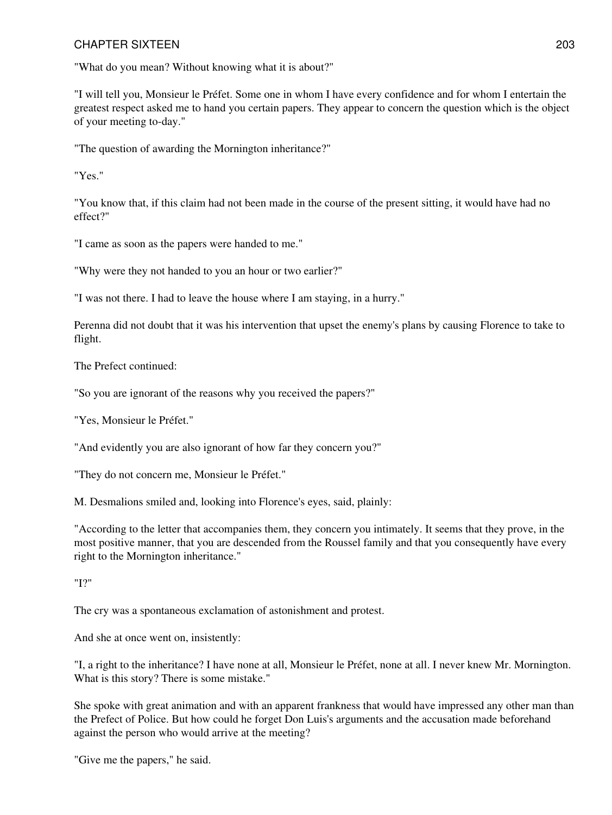"What do you mean? Without knowing what it is about?"

"I will tell you, Monsieur le Préfet. Some one in whom I have every confidence and for whom I entertain the greatest respect asked me to hand you certain papers. They appear to concern the question which is the object of your meeting to-day."

"The question of awarding the Mornington inheritance?"

"Yes."

"You know that, if this claim had not been made in the course of the present sitting, it would have had no effect?"

"I came as soon as the papers were handed to me."

"Why were they not handed to you an hour or two earlier?"

"I was not there. I had to leave the house where I am staying, in a hurry."

Perenna did not doubt that it was his intervention that upset the enemy's plans by causing Florence to take to flight.

The Prefect continued:

"So you are ignorant of the reasons why you received the papers?"

"Yes, Monsieur le Préfet."

"And evidently you are also ignorant of how far they concern you?"

"They do not concern me, Monsieur le Préfet."

M. Desmalions smiled and, looking into Florence's eyes, said, plainly:

"According to the letter that accompanies them, they concern you intimately. It seems that they prove, in the most positive manner, that you are descended from the Roussel family and that you consequently have every right to the Mornington inheritance."

"I?"

The cry was a spontaneous exclamation of astonishment and protest.

And she at once went on, insistently:

"I, a right to the inheritance? I have none at all, Monsieur le Préfet, none at all. I never knew Mr. Mornington. What is this story? There is some mistake."

She spoke with great animation and with an apparent frankness that would have impressed any other man than the Prefect of Police. But how could he forget Don Luis's arguments and the accusation made beforehand against the person who would arrive at the meeting?

"Give me the papers," he said.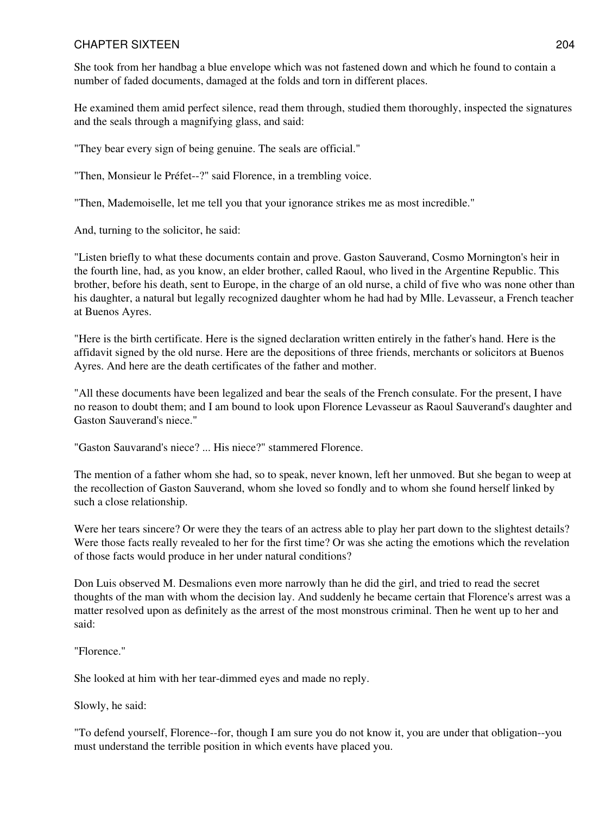She took from her handbag a blue envelope which was not fastened down and which he found to contain a number of faded documents, damaged at the folds and torn in different places.

He examined them amid perfect silence, read them through, studied them thoroughly, inspected the signatures and the seals through a magnifying glass, and said:

"They bear every sign of being genuine. The seals are official."

"Then, Monsieur le Préfet--?" said Florence, in a trembling voice.

"Then, Mademoiselle, let me tell you that your ignorance strikes me as most incredible."

And, turning to the solicitor, he said:

"Listen briefly to what these documents contain and prove. Gaston Sauverand, Cosmo Mornington's heir in the fourth line, had, as you know, an elder brother, called Raoul, who lived in the Argentine Republic. This brother, before his death, sent to Europe, in the charge of an old nurse, a child of five who was none other than his daughter, a natural but legally recognized daughter whom he had had by Mlle. Levasseur, a French teacher at Buenos Ayres.

"Here is the birth certificate. Here is the signed declaration written entirely in the father's hand. Here is the affidavit signed by the old nurse. Here are the depositions of three friends, merchants or solicitors at Buenos Ayres. And here are the death certificates of the father and mother.

"All these documents have been legalized and bear the seals of the French consulate. For the present, I have no reason to doubt them; and I am bound to look upon Florence Levasseur as Raoul Sauverand's daughter and Gaston Sauverand's niece."

"Gaston Sauvarand's niece? ... His niece?" stammered Florence.

The mention of a father whom she had, so to speak, never known, left her unmoved. But she began to weep at the recollection of Gaston Sauverand, whom she loved so fondly and to whom she found herself linked by such a close relationship.

Were her tears sincere? Or were they the tears of an actress able to play her part down to the slightest details? Were those facts really revealed to her for the first time? Or was she acting the emotions which the revelation of those facts would produce in her under natural conditions?

Don Luis observed M. Desmalions even more narrowly than he did the girl, and tried to read the secret thoughts of the man with whom the decision lay. And suddenly he became certain that Florence's arrest was a matter resolved upon as definitely as the arrest of the most monstrous criminal. Then he went up to her and said:

"Florence."

She looked at him with her tear-dimmed eyes and made no reply.

Slowly, he said:

"To defend yourself, Florence--for, though I am sure you do not know it, you are under that obligation--you must understand the terrible position in which events have placed you.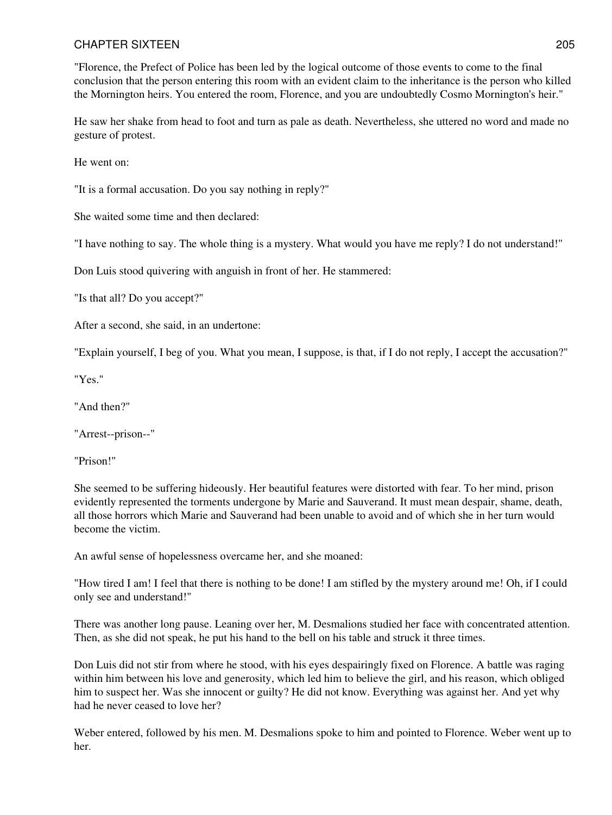"Florence, the Prefect of Police has been led by the logical outcome of those events to come to the final conclusion that the person entering this room with an evident claim to the inheritance is the person who killed the Mornington heirs. You entered the room, Florence, and you are undoubtedly Cosmo Mornington's heir."

He saw her shake from head to foot and turn as pale as death. Nevertheless, she uttered no word and made no gesture of protest.

He went on:

"It is a formal accusation. Do you say nothing in reply?"

She waited some time and then declared:

"I have nothing to say. The whole thing is a mystery. What would you have me reply? I do not understand!"

Don Luis stood quivering with anguish in front of her. He stammered:

"Is that all? Do you accept?"

After a second, she said, in an undertone:

"Explain yourself, I beg of you. What you mean, I suppose, is that, if I do not reply, I accept the accusation?"

"Yes."

"And then?"

"Arrest--prison--"

"Prison!"

She seemed to be suffering hideously. Her beautiful features were distorted with fear. To her mind, prison evidently represented the torments undergone by Marie and Sauverand. It must mean despair, shame, death, all those horrors which Marie and Sauverand had been unable to avoid and of which she in her turn would become the victim.

An awful sense of hopelessness overcame her, and she moaned:

"How tired I am! I feel that there is nothing to be done! I am stifled by the mystery around me! Oh, if I could only see and understand!"

There was another long pause. Leaning over her, M. Desmalions studied her face with concentrated attention. Then, as she did not speak, he put his hand to the bell on his table and struck it three times.

Don Luis did not stir from where he stood, with his eyes despairingly fixed on Florence. A battle was raging within him between his love and generosity, which led him to believe the girl, and his reason, which obliged him to suspect her. Was she innocent or guilty? He did not know. Everything was against her. And yet why had he never ceased to love her?

Weber entered, followed by his men. M. Desmalions spoke to him and pointed to Florence. Weber went up to her.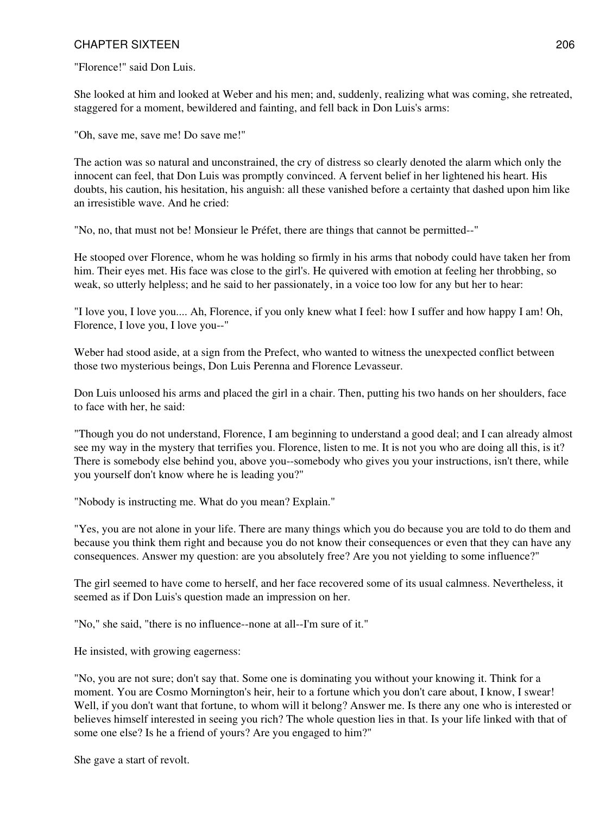"Florence!" said Don Luis.

She looked at him and looked at Weber and his men; and, suddenly, realizing what was coming, she retreated, staggered for a moment, bewildered and fainting, and fell back in Don Luis's arms:

"Oh, save me, save me! Do save me!"

The action was so natural and unconstrained, the cry of distress so clearly denoted the alarm which only the innocent can feel, that Don Luis was promptly convinced. A fervent belief in her lightened his heart. His doubts, his caution, his hesitation, his anguish: all these vanished before a certainty that dashed upon him like an irresistible wave. And he cried:

"No, no, that must not be! Monsieur le Préfet, there are things that cannot be permitted--"

He stooped over Florence, whom he was holding so firmly in his arms that nobody could have taken her from him. Their eyes met. His face was close to the girl's. He quivered with emotion at feeling her throbbing, so weak, so utterly helpless; and he said to her passionately, in a voice too low for any but her to hear:

"I love you, I love you.... Ah, Florence, if you only knew what I feel: how I suffer and how happy I am! Oh, Florence, I love you, I love you--"

Weber had stood aside, at a sign from the Prefect, who wanted to witness the unexpected conflict between those two mysterious beings, Don Luis Perenna and Florence Levasseur.

Don Luis unloosed his arms and placed the girl in a chair. Then, putting his two hands on her shoulders, face to face with her, he said:

"Though you do not understand, Florence, I am beginning to understand a good deal; and I can already almost see my way in the mystery that terrifies you. Florence, listen to me. It is not you who are doing all this, is it? There is somebody else behind you, above you--somebody who gives you your instructions, isn't there, while you yourself don't know where he is leading you?"

"Nobody is instructing me. What do you mean? Explain."

"Yes, you are not alone in your life. There are many things which you do because you are told to do them and because you think them right and because you do not know their consequences or even that they can have any consequences. Answer my question: are you absolutely free? Are you not yielding to some influence?"

The girl seemed to have come to herself, and her face recovered some of its usual calmness. Nevertheless, it seemed as if Don Luis's question made an impression on her.

"No," she said, "there is no influence--none at all--I'm sure of it."

He insisted, with growing eagerness:

"No, you are not sure; don't say that. Some one is dominating you without your knowing it. Think for a moment. You are Cosmo Mornington's heir, heir to a fortune which you don't care about, I know, I swear! Well, if you don't want that fortune, to whom will it belong? Answer me. Is there any one who is interested or believes himself interested in seeing you rich? The whole question lies in that. Is your life linked with that of some one else? Is he a friend of yours? Are you engaged to him?"

She gave a start of revolt.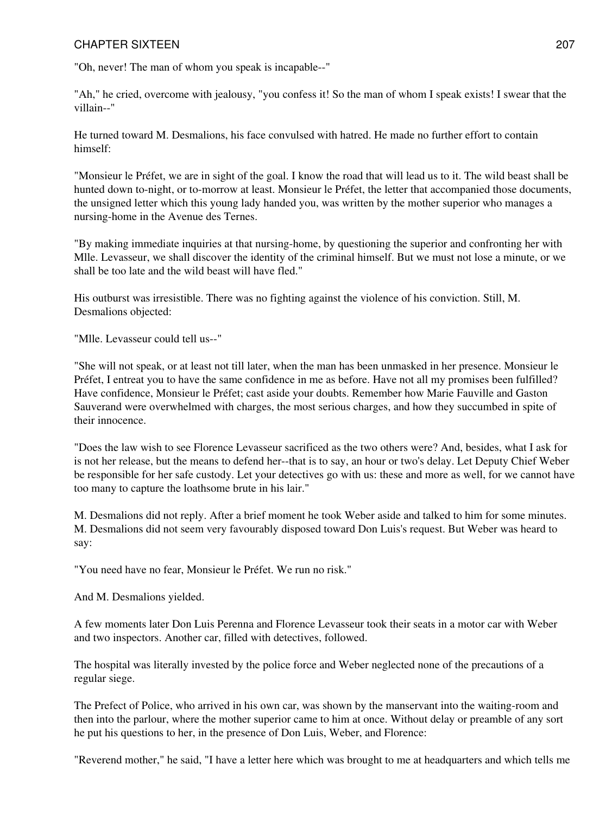"Oh, never! The man of whom you speak is incapable--"

"Ah," he cried, overcome with jealousy, "you confess it! So the man of whom I speak exists! I swear that the villain--"

He turned toward M. Desmalions, his face convulsed with hatred. He made no further effort to contain himself:

"Monsieur le Préfet, we are in sight of the goal. I know the road that will lead us to it. The wild beast shall be hunted down to-night, or to-morrow at least. Monsieur le Préfet, the letter that accompanied those documents, the unsigned letter which this young lady handed you, was written by the mother superior who manages a nursing-home in the Avenue des Ternes.

"By making immediate inquiries at that nursing-home, by questioning the superior and confronting her with Mlle. Levasseur, we shall discover the identity of the criminal himself. But we must not lose a minute, or we shall be too late and the wild beast will have fled."

His outburst was irresistible. There was no fighting against the violence of his conviction. Still, M. Desmalions objected:

"Mlle. Levasseur could tell us--"

"She will not speak, or at least not till later, when the man has been unmasked in her presence. Monsieur le Préfet, I entreat you to have the same confidence in me as before. Have not all my promises been fulfilled? Have confidence, Monsieur le Préfet; cast aside your doubts. Remember how Marie Fauville and Gaston Sauverand were overwhelmed with charges, the most serious charges, and how they succumbed in spite of their innocence.

"Does the law wish to see Florence Levasseur sacrificed as the two others were? And, besides, what I ask for is not her release, but the means to defend her--that is to say, an hour or two's delay. Let Deputy Chief Weber be responsible for her safe custody. Let your detectives go with us: these and more as well, for we cannot have too many to capture the loathsome brute in his lair."

M. Desmalions did not reply. After a brief moment he took Weber aside and talked to him for some minutes. M. Desmalions did not seem very favourably disposed toward Don Luis's request. But Weber was heard to say:

"You need have no fear, Monsieur le Préfet. We run no risk."

And M. Desmalions yielded.

A few moments later Don Luis Perenna and Florence Levasseur took their seats in a motor car with Weber and two inspectors. Another car, filled with detectives, followed.

The hospital was literally invested by the police force and Weber neglected none of the precautions of a regular siege.

The Prefect of Police, who arrived in his own car, was shown by the manservant into the waiting-room and then into the parlour, where the mother superior came to him at once. Without delay or preamble of any sort he put his questions to her, in the presence of Don Luis, Weber, and Florence:

"Reverend mother," he said, "I have a letter here which was brought to me at headquarters and which tells me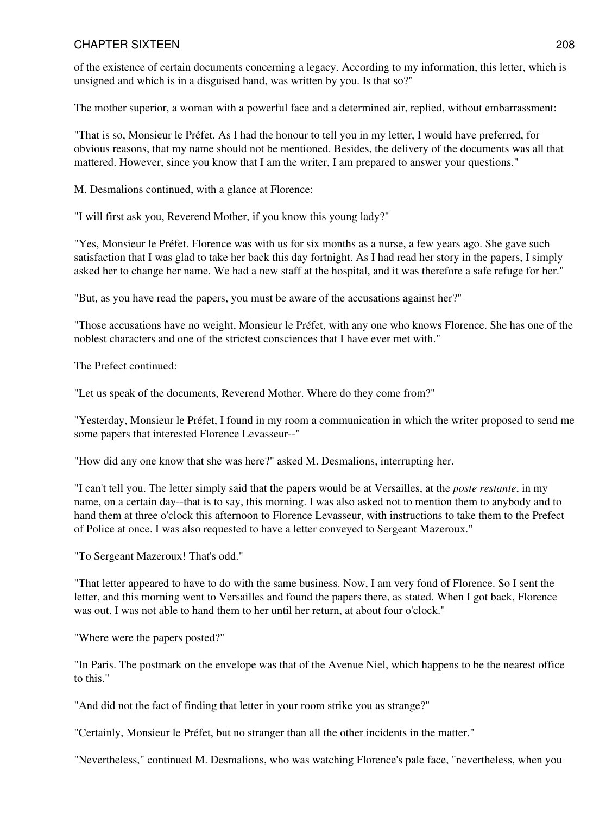of the existence of certain documents concerning a legacy. According to my information, this letter, which is unsigned and which is in a disguised hand, was written by you. Is that so?"

The mother superior, a woman with a powerful face and a determined air, replied, without embarrassment:

"That is so, Monsieur le Préfet. As I had the honour to tell you in my letter, I would have preferred, for obvious reasons, that my name should not be mentioned. Besides, the delivery of the documents was all that mattered. However, since you know that I am the writer, I am prepared to answer your questions."

M. Desmalions continued, with a glance at Florence:

"I will first ask you, Reverend Mother, if you know this young lady?"

"Yes, Monsieur le Préfet. Florence was with us for six months as a nurse, a few years ago. She gave such satisfaction that I was glad to take her back this day fortnight. As I had read her story in the papers, I simply asked her to change her name. We had a new staff at the hospital, and it was therefore a safe refuge for her."

"But, as you have read the papers, you must be aware of the accusations against her?"

"Those accusations have no weight, Monsieur le Préfet, with any one who knows Florence. She has one of the noblest characters and one of the strictest consciences that I have ever met with."

The Prefect continued:

"Let us speak of the documents, Reverend Mother. Where do they come from?"

"Yesterday, Monsieur le Préfet, I found in my room a communication in which the writer proposed to send me some papers that interested Florence Levasseur--"

"How did any one know that she was here?" asked M. Desmalions, interrupting her.

"I can't tell you. The letter simply said that the papers would be at Versailles, at the *poste restante*, in my name, on a certain day--that is to say, this morning. I was also asked not to mention them to anybody and to hand them at three o'clock this afternoon to Florence Levasseur, with instructions to take them to the Prefect of Police at once. I was also requested to have a letter conveyed to Sergeant Mazeroux."

"To Sergeant Mazeroux! That's odd."

"That letter appeared to have to do with the same business. Now, I am very fond of Florence. So I sent the letter, and this morning went to Versailles and found the papers there, as stated. When I got back, Florence was out. I was not able to hand them to her until her return, at about four o'clock."

"Where were the papers posted?"

"In Paris. The postmark on the envelope was that of the Avenue Niel, which happens to be the nearest office to this."

"And did not the fact of finding that letter in your room strike you as strange?"

"Certainly, Monsieur le Préfet, but no stranger than all the other incidents in the matter."

"Nevertheless," continued M. Desmalions, who was watching Florence's pale face, "nevertheless, when you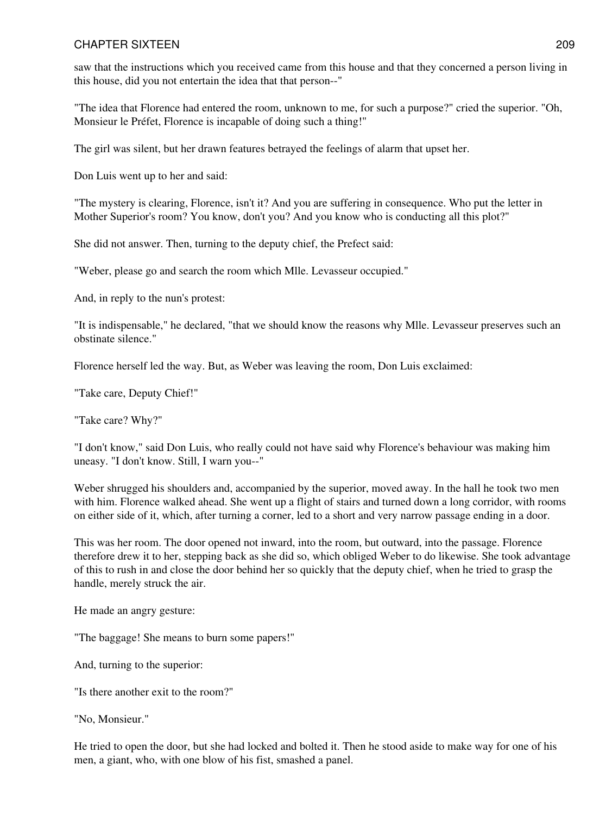saw that the instructions which you received came from this house and that they concerned a person living in this house, did you not entertain the idea that that person--"

"The idea that Florence had entered the room, unknown to me, for such a purpose?" cried the superior. "Oh, Monsieur le Préfet, Florence is incapable of doing such a thing!"

The girl was silent, but her drawn features betrayed the feelings of alarm that upset her.

Don Luis went up to her and said:

"The mystery is clearing, Florence, isn't it? And you are suffering in consequence. Who put the letter in Mother Superior's room? You know, don't you? And you know who is conducting all this plot?"

She did not answer. Then, turning to the deputy chief, the Prefect said:

"Weber, please go and search the room which Mlle. Levasseur occupied."

And, in reply to the nun's protest:

"It is indispensable," he declared, "that we should know the reasons why Mlle. Levasseur preserves such an obstinate silence."

Florence herself led the way. But, as Weber was leaving the room, Don Luis exclaimed:

"Take care, Deputy Chief!"

"Take care? Why?"

"I don't know," said Don Luis, who really could not have said why Florence's behaviour was making him uneasy. "I don't know. Still, I warn you--"

Weber shrugged his shoulders and, accompanied by the superior, moved away. In the hall he took two men with him. Florence walked ahead. She went up a flight of stairs and turned down a long corridor, with rooms on either side of it, which, after turning a corner, led to a short and very narrow passage ending in a door.

This was her room. The door opened not inward, into the room, but outward, into the passage. Florence therefore drew it to her, stepping back as she did so, which obliged Weber to do likewise. She took advantage of this to rush in and close the door behind her so quickly that the deputy chief, when he tried to grasp the handle, merely struck the air.

He made an angry gesture:

"The baggage! She means to burn some papers!"

And, turning to the superior:

"Is there another exit to the room?"

"No, Monsieur."

He tried to open the door, but she had locked and bolted it. Then he stood aside to make way for one of his men, a giant, who, with one blow of his fist, smashed a panel.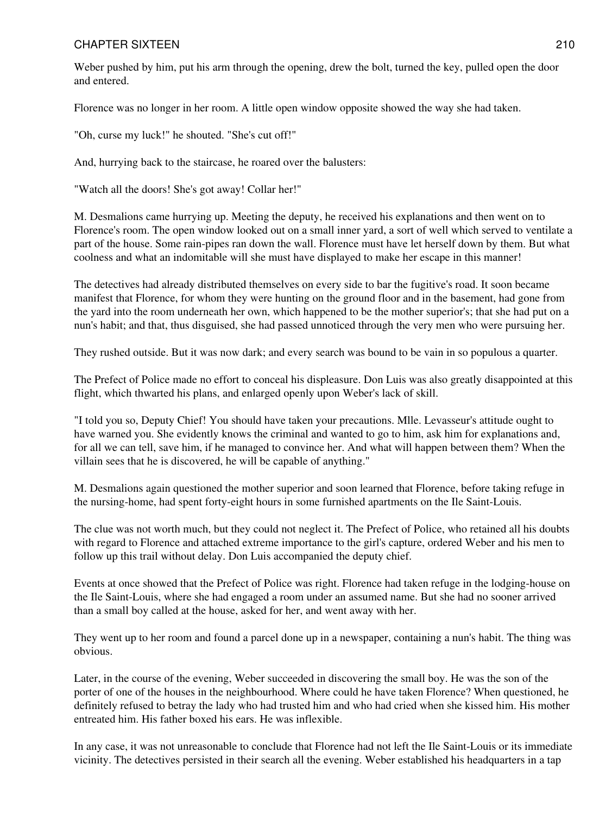Weber pushed by him, put his arm through the opening, drew the bolt, turned the key, pulled open the door and entered.

Florence was no longer in her room. A little open window opposite showed the way she had taken.

"Oh, curse my luck!" he shouted. "She's cut off!"

And, hurrying back to the staircase, he roared over the balusters:

"Watch all the doors! She's got away! Collar her!"

M. Desmalions came hurrying up. Meeting the deputy, he received his explanations and then went on to Florence's room. The open window looked out on a small inner yard, a sort of well which served to ventilate a part of the house. Some rain-pipes ran down the wall. Florence must have let herself down by them. But what coolness and what an indomitable will she must have displayed to make her escape in this manner!

The detectives had already distributed themselves on every side to bar the fugitive's road. It soon became manifest that Florence, for whom they were hunting on the ground floor and in the basement, had gone from the yard into the room underneath her own, which happened to be the mother superior's; that she had put on a nun's habit; and that, thus disguised, she had passed unnoticed through the very men who were pursuing her.

They rushed outside. But it was now dark; and every search was bound to be vain in so populous a quarter.

The Prefect of Police made no effort to conceal his displeasure. Don Luis was also greatly disappointed at this flight, which thwarted his plans, and enlarged openly upon Weber's lack of skill.

"I told you so, Deputy Chief! You should have taken your precautions. Mlle. Levasseur's attitude ought to have warned you. She evidently knows the criminal and wanted to go to him, ask him for explanations and, for all we can tell, save him, if he managed to convince her. And what will happen between them? When the villain sees that he is discovered, he will be capable of anything."

M. Desmalions again questioned the mother superior and soon learned that Florence, before taking refuge in the nursing-home, had spent forty-eight hours in some furnished apartments on the Ile Saint-Louis.

The clue was not worth much, but they could not neglect it. The Prefect of Police, who retained all his doubts with regard to Florence and attached extreme importance to the girl's capture, ordered Weber and his men to follow up this trail without delay. Don Luis accompanied the deputy chief.

Events at once showed that the Prefect of Police was right. Florence had taken refuge in the lodging-house on the Ile Saint-Louis, where she had engaged a room under an assumed name. But she had no sooner arrived than a small boy called at the house, asked for her, and went away with her.

They went up to her room and found a parcel done up in a newspaper, containing a nun's habit. The thing was obvious.

Later, in the course of the evening, Weber succeeded in discovering the small boy. He was the son of the porter of one of the houses in the neighbourhood. Where could he have taken Florence? When questioned, he definitely refused to betray the lady who had trusted him and who had cried when she kissed him. His mother entreated him. His father boxed his ears. He was inflexible.

In any case, it was not unreasonable to conclude that Florence had not left the Ile Saint-Louis or its immediate vicinity. The detectives persisted in their search all the evening. Weber established his headquarters in a tap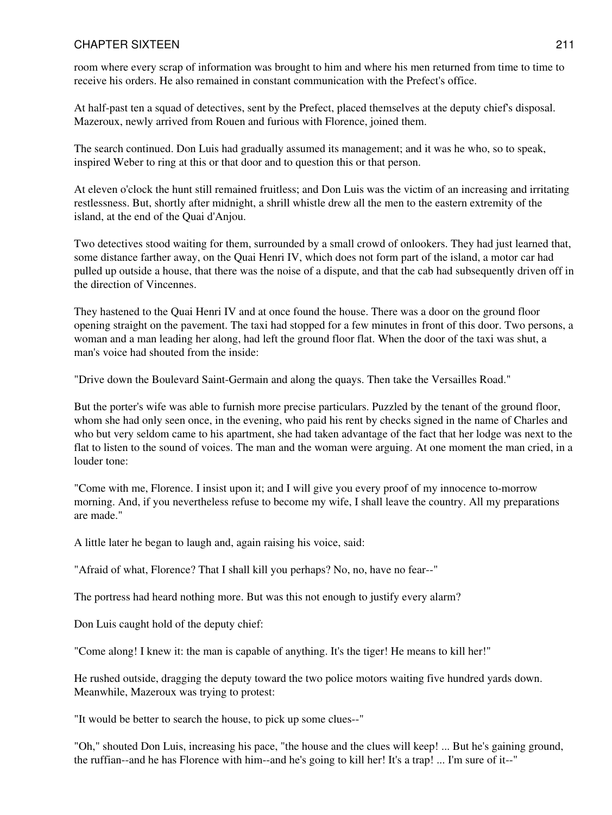room where every scrap of information was brought to him and where his men returned from time to time to receive his orders. He also remained in constant communication with the Prefect's office.

At half-past ten a squad of detectives, sent by the Prefect, placed themselves at the deputy chief's disposal. Mazeroux, newly arrived from Rouen and furious with Florence, joined them.

The search continued. Don Luis had gradually assumed its management; and it was he who, so to speak, inspired Weber to ring at this or that door and to question this or that person.

At eleven o'clock the hunt still remained fruitless; and Don Luis was the victim of an increasing and irritating restlessness. But, shortly after midnight, a shrill whistle drew all the men to the eastern extremity of the island, at the end of the Quai d'Anjou.

Two detectives stood waiting for them, surrounded by a small crowd of onlookers. They had just learned that, some distance farther away, on the Quai Henri IV, which does not form part of the island, a motor car had pulled up outside a house, that there was the noise of a dispute, and that the cab had subsequently driven off in the direction of Vincennes.

They hastened to the Quai Henri IV and at once found the house. There was a door on the ground floor opening straight on the pavement. The taxi had stopped for a few minutes in front of this door. Two persons, a woman and a man leading her along, had left the ground floor flat. When the door of the taxi was shut, a man's voice had shouted from the inside:

"Drive down the Boulevard Saint-Germain and along the quays. Then take the Versailles Road."

But the porter's wife was able to furnish more precise particulars. Puzzled by the tenant of the ground floor, whom she had only seen once, in the evening, who paid his rent by checks signed in the name of Charles and who but very seldom came to his apartment, she had taken advantage of the fact that her lodge was next to the flat to listen to the sound of voices. The man and the woman were arguing. At one moment the man cried, in a louder tone:

"Come with me, Florence. I insist upon it; and I will give you every proof of my innocence to-morrow morning. And, if you nevertheless refuse to become my wife, I shall leave the country. All my preparations are made."

A little later he began to laugh and, again raising his voice, said:

"Afraid of what, Florence? That I shall kill you perhaps? No, no, have no fear--"

The portress had heard nothing more. But was this not enough to justify every alarm?

Don Luis caught hold of the deputy chief:

"Come along! I knew it: the man is capable of anything. It's the tiger! He means to kill her!"

He rushed outside, dragging the deputy toward the two police motors waiting five hundred yards down. Meanwhile, Mazeroux was trying to protest:

"It would be better to search the house, to pick up some clues--"

"Oh," shouted Don Luis, increasing his pace, "the house and the clues will keep! ... But he's gaining ground, the ruffian--and he has Florence with him--and he's going to kill her! It's a trap! ... I'm sure of it--"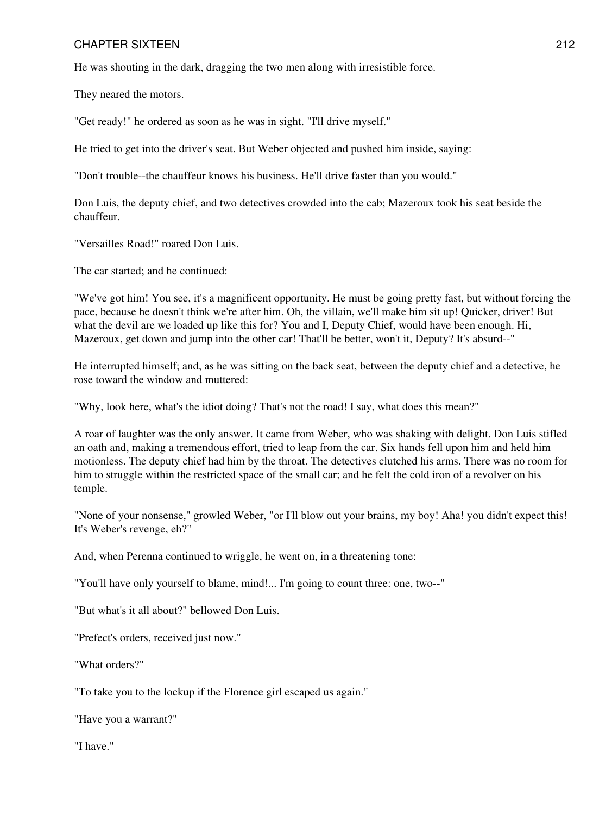He was shouting in the dark, dragging the two men along with irresistible force.

They neared the motors.

"Get ready!" he ordered as soon as he was in sight. "I'll drive myself."

He tried to get into the driver's seat. But Weber objected and pushed him inside, saying:

"Don't trouble--the chauffeur knows his business. He'll drive faster than you would."

Don Luis, the deputy chief, and two detectives crowded into the cab; Mazeroux took his seat beside the chauffeur.

"Versailles Road!" roared Don Luis.

The car started; and he continued:

"We've got him! You see, it's a magnificent opportunity. He must be going pretty fast, but without forcing the pace, because he doesn't think we're after him. Oh, the villain, we'll make him sit up! Quicker, driver! But what the devil are we loaded up like this for? You and I, Deputy Chief, would have been enough. Hi, Mazeroux, get down and jump into the other car! That'll be better, won't it, Deputy? It's absurd--"

He interrupted himself; and, as he was sitting on the back seat, between the deputy chief and a detective, he rose toward the window and muttered:

"Why, look here, what's the idiot doing? That's not the road! I say, what does this mean?"

A roar of laughter was the only answer. It came from Weber, who was shaking with delight. Don Luis stifled an oath and, making a tremendous effort, tried to leap from the car. Six hands fell upon him and held him motionless. The deputy chief had him by the throat. The detectives clutched his arms. There was no room for him to struggle within the restricted space of the small car; and he felt the cold iron of a revolver on his temple.

"None of your nonsense," growled Weber, "or I'll blow out your brains, my boy! Aha! you didn't expect this! It's Weber's revenge, eh?"

And, when Perenna continued to wriggle, he went on, in a threatening tone:

"You'll have only yourself to blame, mind!... I'm going to count three: one, two--"

"But what's it all about?" bellowed Don Luis.

"Prefect's orders, received just now."

"What orders?"

"To take you to the lockup if the Florence girl escaped us again."

"Have you a warrant?"

"I have."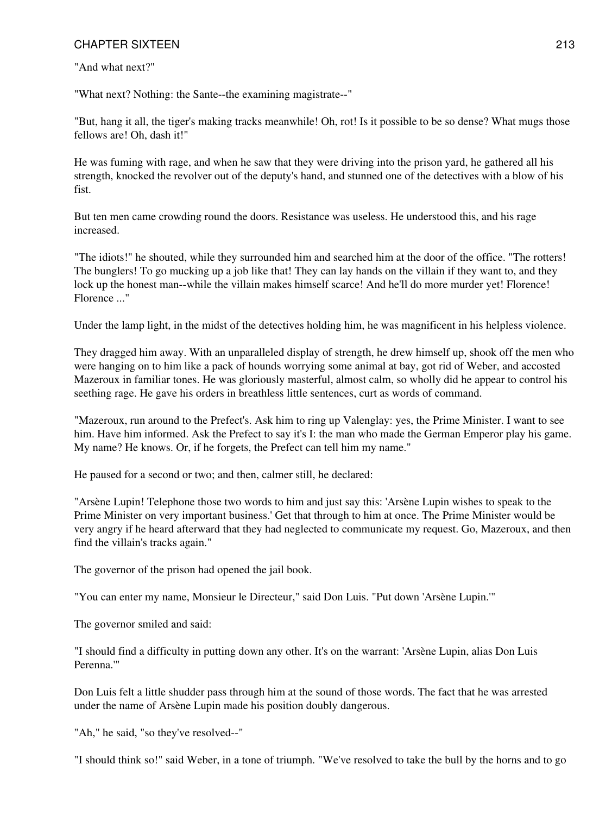"And what next?"

"What next? Nothing: the Sante--the examining magistrate--"

"But, hang it all, the tiger's making tracks meanwhile! Oh, rot! Is it possible to be so dense? What mugs those fellows are! Oh, dash it!"

He was fuming with rage, and when he saw that they were driving into the prison yard, he gathered all his strength, knocked the revolver out of the deputy's hand, and stunned one of the detectives with a blow of his fist.

But ten men came crowding round the doors. Resistance was useless. He understood this, and his rage increased.

"The idiots!" he shouted, while they surrounded him and searched him at the door of the office. "The rotters! The bunglers! To go mucking up a job like that! They can lay hands on the villain if they want to, and they lock up the honest man--while the villain makes himself scarce! And he'll do more murder yet! Florence! Florence ..."

Under the lamp light, in the midst of the detectives holding him, he was magnificent in his helpless violence.

They dragged him away. With an unparalleled display of strength, he drew himself up, shook off the men who were hanging on to him like a pack of hounds worrying some animal at bay, got rid of Weber, and accosted Mazeroux in familiar tones. He was gloriously masterful, almost calm, so wholly did he appear to control his seething rage. He gave his orders in breathless little sentences, curt as words of command.

"Mazeroux, run around to the Prefect's. Ask him to ring up Valenglay: yes, the Prime Minister. I want to see him. Have him informed. Ask the Prefect to say it's I: the man who made the German Emperor play his game. My name? He knows. Or, if he forgets, the Prefect can tell him my name."

He paused for a second or two; and then, calmer still, he declared:

"Arsène Lupin! Telephone those two words to him and just say this: 'Arsène Lupin wishes to speak to the Prime Minister on very important business.' Get that through to him at once. The Prime Minister would be very angry if he heard afterward that they had neglected to communicate my request. Go, Mazeroux, and then find the villain's tracks again."

The governor of the prison had opened the jail book.

"You can enter my name, Monsieur le Directeur," said Don Luis. "Put down 'Arsène Lupin.'"

The governor smiled and said:

"I should find a difficulty in putting down any other. It's on the warrant: 'Arsène Lupin, alias Don Luis Perenna.'"

Don Luis felt a little shudder pass through him at the sound of those words. The fact that he was arrested under the name of Arsène Lupin made his position doubly dangerous.

"Ah," he said, "so they've resolved--"

"I should think so!" said Weber, in a tone of triumph. "We've resolved to take the bull by the horns and to go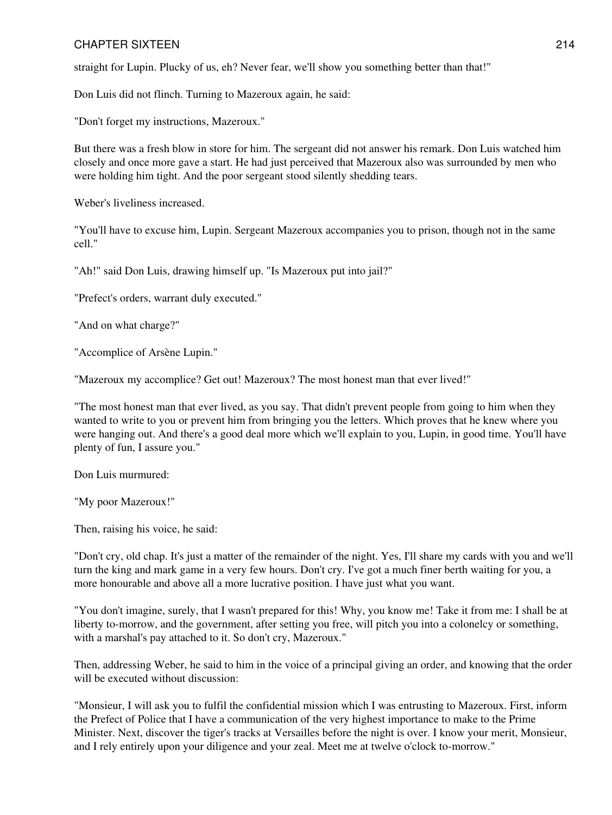straight for Lupin. Plucky of us, eh? Never fear, we'll show you something better than that!"

Don Luis did not flinch. Turning to Mazeroux again, he said:

"Don't forget my instructions, Mazeroux."

But there was a fresh blow in store for him. The sergeant did not answer his remark. Don Luis watched him closely and once more gave a start. He had just perceived that Mazeroux also was surrounded by men who were holding him tight. And the poor sergeant stood silently shedding tears.

Weber's liveliness increased.

"You'll have to excuse him, Lupin. Sergeant Mazeroux accompanies you to prison, though not in the same cell."

"Ah!" said Don Luis, drawing himself up. "Is Mazeroux put into jail?"

"Prefect's orders, warrant duly executed."

"And on what charge?"

"Accomplice of Arsène Lupin."

"Mazeroux my accomplice? Get out! Mazeroux? The most honest man that ever lived!"

"The most honest man that ever lived, as you say. That didn't prevent people from going to him when they wanted to write to you or prevent him from bringing you the letters. Which proves that he knew where you were hanging out. And there's a good deal more which we'll explain to you, Lupin, in good time. You'll have plenty of fun, I assure you."

Don Luis murmured:

"My poor Mazeroux!"

Then, raising his voice, he said:

"Don't cry, old chap. It's just a matter of the remainder of the night. Yes, I'll share my cards with you and we'll turn the king and mark game in a very few hours. Don't cry. I've got a much finer berth waiting for you, a more honourable and above all a more lucrative position. I have just what you want.

"You don't imagine, surely, that I wasn't prepared for this! Why, you know me! Take it from me: I shall be at liberty to-morrow, and the government, after setting you free, will pitch you into a colonelcy or something, with a marshal's pay attached to it. So don't cry, Mazeroux."

Then, addressing Weber, he said to him in the voice of a principal giving an order, and knowing that the order will be executed without discussion:

"Monsieur, I will ask you to fulfil the confidential mission which I was entrusting to Mazeroux. First, inform the Prefect of Police that I have a communication of the very highest importance to make to the Prime Minister. Next, discover the tiger's tracks at Versailles before the night is over. I know your merit, Monsieur, and I rely entirely upon your diligence and your zeal. Meet me at twelve o'clock to-morrow."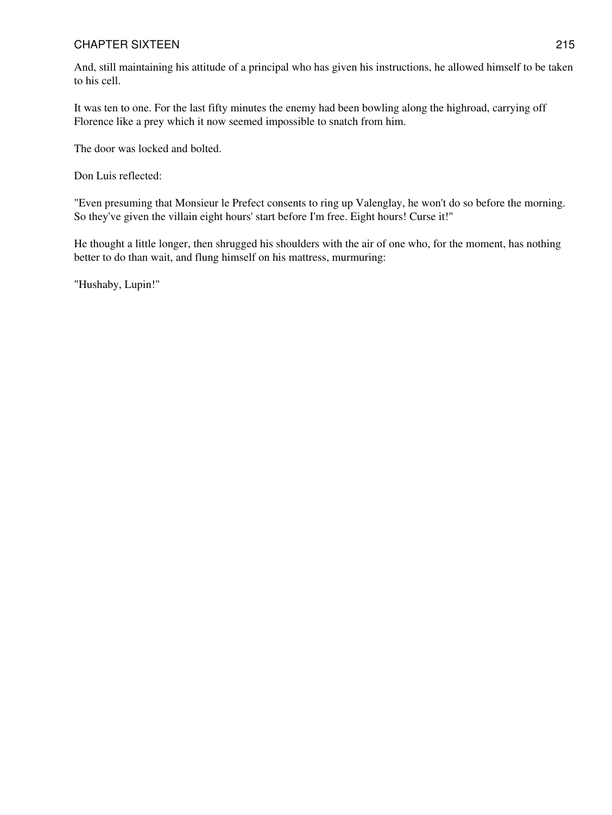And, still maintaining his attitude of a principal who has given his instructions, he allowed himself to be taken to his cell.

It was ten to one. For the last fifty minutes the enemy had been bowling along the highroad, carrying off Florence like a prey which it now seemed impossible to snatch from him.

The door was locked and bolted.

Don Luis reflected:

"Even presuming that Monsieur le Prefect consents to ring up Valenglay, he won't do so before the morning. So they've given the villain eight hours' start before I'm free. Eight hours! Curse it!"

He thought a little longer, then shrugged his shoulders with the air of one who, for the moment, has nothing better to do than wait, and flung himself on his mattress, murmuring:

"Hushaby, Lupin!"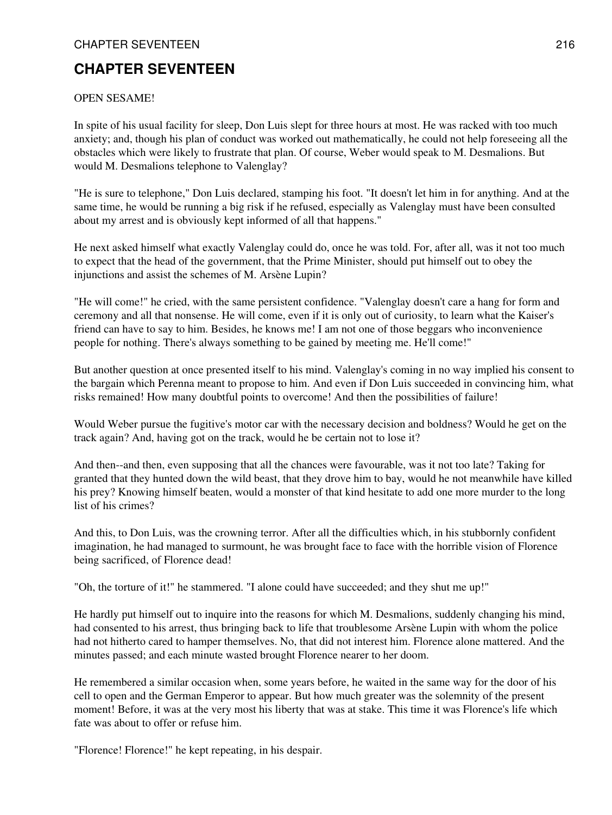# **CHAPTER SEVENTEEN**

## OPEN SESAME!

In spite of his usual facility for sleep, Don Luis slept for three hours at most. He was racked with too much anxiety; and, though his plan of conduct was worked out mathematically, he could not help foreseeing all the obstacles which were likely to frustrate that plan. Of course, Weber would speak to M. Desmalions. But would M. Desmalions telephone to Valenglay?

"He is sure to telephone," Don Luis declared, stamping his foot. "It doesn't let him in for anything. And at the same time, he would be running a big risk if he refused, especially as Valenglay must have been consulted about my arrest and is obviously kept informed of all that happens."

He next asked himself what exactly Valenglay could do, once he was told. For, after all, was it not too much to expect that the head of the government, that the Prime Minister, should put himself out to obey the injunctions and assist the schemes of M. Arsène Lupin?

"He will come!" he cried, with the same persistent confidence. "Valenglay doesn't care a hang for form and ceremony and all that nonsense. He will come, even if it is only out of curiosity, to learn what the Kaiser's friend can have to say to him. Besides, he knows me! I am not one of those beggars who inconvenience people for nothing. There's always something to be gained by meeting me. He'll come!"

But another question at once presented itself to his mind. Valenglay's coming in no way implied his consent to the bargain which Perenna meant to propose to him. And even if Don Luis succeeded in convincing him, what risks remained! How many doubtful points to overcome! And then the possibilities of failure!

Would Weber pursue the fugitive's motor car with the necessary decision and boldness? Would he get on the track again? And, having got on the track, would he be certain not to lose it?

And then--and then, even supposing that all the chances were favourable, was it not too late? Taking for granted that they hunted down the wild beast, that they drove him to bay, would he not meanwhile have killed his prey? Knowing himself beaten, would a monster of that kind hesitate to add one more murder to the long list of his crimes?

And this, to Don Luis, was the crowning terror. After all the difficulties which, in his stubbornly confident imagination, he had managed to surmount, he was brought face to face with the horrible vision of Florence being sacrificed, of Florence dead!

"Oh, the torture of it!" he stammered. "I alone could have succeeded; and they shut me up!"

He hardly put himself out to inquire into the reasons for which M. Desmalions, suddenly changing his mind, had consented to his arrest, thus bringing back to life that troublesome Arsène Lupin with whom the police had not hitherto cared to hamper themselves. No, that did not interest him. Florence alone mattered. And the minutes passed; and each minute wasted brought Florence nearer to her doom.

He remembered a similar occasion when, some years before, he waited in the same way for the door of his cell to open and the German Emperor to appear. But how much greater was the solemnity of the present moment! Before, it was at the very most his liberty that was at stake. This time it was Florence's life which fate was about to offer or refuse him.

"Florence! Florence!" he kept repeating, in his despair.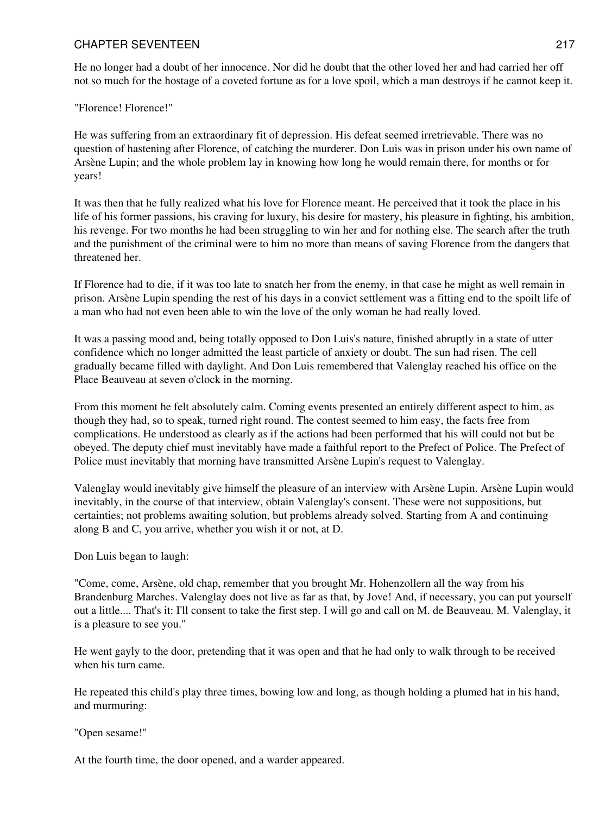He no longer had a doubt of her innocence. Nor did he doubt that the other loved her and had carried her off not so much for the hostage of a coveted fortune as for a love spoil, which a man destroys if he cannot keep it.

"Florence! Florence!"

He was suffering from an extraordinary fit of depression. His defeat seemed irretrievable. There was no question of hastening after Florence, of catching the murderer. Don Luis was in prison under his own name of Arsène Lupin; and the whole problem lay in knowing how long he would remain there, for months or for years!

It was then that he fully realized what his love for Florence meant. He perceived that it took the place in his life of his former passions, his craving for luxury, his desire for mastery, his pleasure in fighting, his ambition, his revenge. For two months he had been struggling to win her and for nothing else. The search after the truth and the punishment of the criminal were to him no more than means of saving Florence from the dangers that threatened her.

If Florence had to die, if it was too late to snatch her from the enemy, in that case he might as well remain in prison. Arsène Lupin spending the rest of his days in a convict settlement was a fitting end to the spoilt life of a man who had not even been able to win the love of the only woman he had really loved.

It was a passing mood and, being totally opposed to Don Luis's nature, finished abruptly in a state of utter confidence which no longer admitted the least particle of anxiety or doubt. The sun had risen. The cell gradually became filled with daylight. And Don Luis remembered that Valenglay reached his office on the Place Beauveau at seven o'clock in the morning.

From this moment he felt absolutely calm. Coming events presented an entirely different aspect to him, as though they had, so to speak, turned right round. The contest seemed to him easy, the facts free from complications. He understood as clearly as if the actions had been performed that his will could not but be obeyed. The deputy chief must inevitably have made a faithful report to the Prefect of Police. The Prefect of Police must inevitably that morning have transmitted Arsène Lupin's request to Valenglay.

Valenglay would inevitably give himself the pleasure of an interview with Arsène Lupin. Arsène Lupin would inevitably, in the course of that interview, obtain Valenglay's consent. These were not suppositions, but certainties; not problems awaiting solution, but problems already solved. Starting from A and continuing along B and C, you arrive, whether you wish it or not, at D.

Don Luis began to laugh:

"Come, come, Arsène, old chap, remember that you brought Mr. Hohenzollern all the way from his Brandenburg Marches. Valenglay does not live as far as that, by Jove! And, if necessary, you can put yourself out a little.... That's it: I'll consent to take the first step. I will go and call on M. de Beauveau. M. Valenglay, it is a pleasure to see you."

He went gayly to the door, pretending that it was open and that he had only to walk through to be received when his turn came.

He repeated this child's play three times, bowing low and long, as though holding a plumed hat in his hand, and murmuring:

"Open sesame!"

At the fourth time, the door opened, and a warder appeared.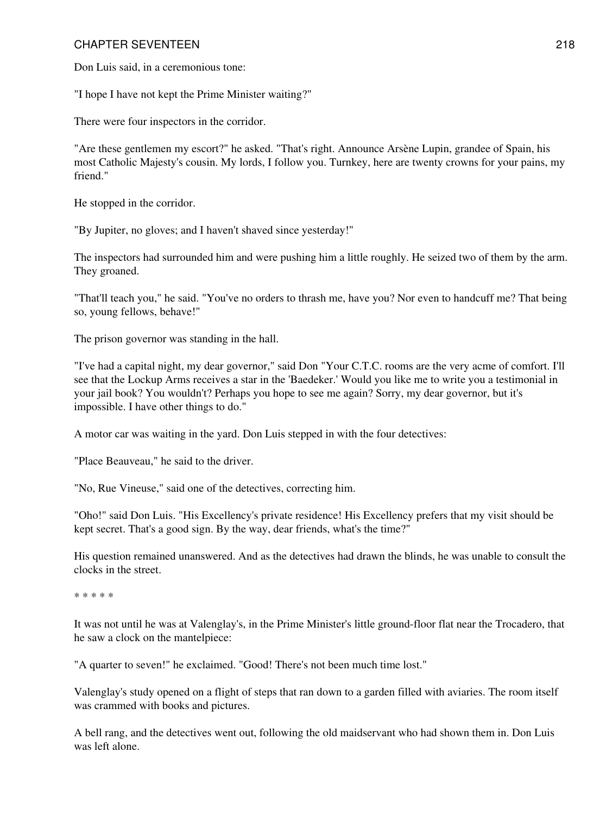Don Luis said, in a ceremonious tone:

"I hope I have not kept the Prime Minister waiting?"

There were four inspectors in the corridor.

"Are these gentlemen my escort?" he asked. "That's right. Announce Arsène Lupin, grandee of Spain, his most Catholic Majesty's cousin. My lords, I follow you. Turnkey, here are twenty crowns for your pains, my friend."

He stopped in the corridor.

"By Jupiter, no gloves; and I haven't shaved since yesterday!"

The inspectors had surrounded him and were pushing him a little roughly. He seized two of them by the arm. They groaned.

"That'll teach you," he said. "You've no orders to thrash me, have you? Nor even to handcuff me? That being so, young fellows, behave!"

The prison governor was standing in the hall.

"I've had a capital night, my dear governor," said Don "Your C.T.C. rooms are the very acme of comfort. I'll see that the Lockup Arms receives a star in the 'Baedeker.' Would you like me to write you a testimonial in your jail book? You wouldn't? Perhaps you hope to see me again? Sorry, my dear governor, but it's impossible. I have other things to do."

A motor car was waiting in the yard. Don Luis stepped in with the four detectives:

"Place Beauveau," he said to the driver.

"No, Rue Vineuse," said one of the detectives, correcting him.

"Oho!" said Don Luis. "His Excellency's private residence! His Excellency prefers that my visit should be kept secret. That's a good sign. By the way, dear friends, what's the time?"

His question remained unanswered. And as the detectives had drawn the blinds, he was unable to consult the clocks in the street.

\* \* \* \* \*

It was not until he was at Valenglay's, in the Prime Minister's little ground-floor flat near the Trocadero, that he saw a clock on the mantelpiece:

"A quarter to seven!" he exclaimed. "Good! There's not been much time lost."

Valenglay's study opened on a flight of steps that ran down to a garden filled with aviaries. The room itself was crammed with books and pictures.

A bell rang, and the detectives went out, following the old maidservant who had shown them in. Don Luis was left alone.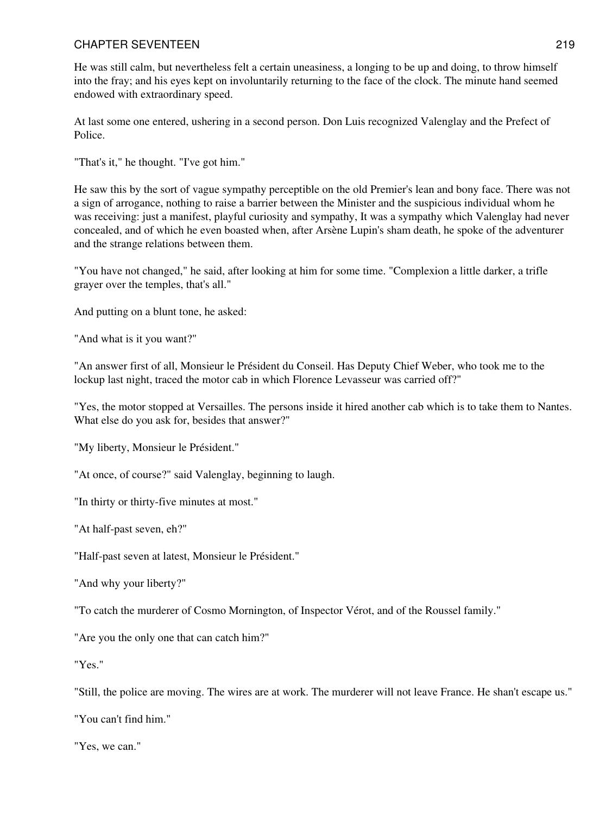He was still calm, but nevertheless felt a certain uneasiness, a longing to be up and doing, to throw himself into the fray; and his eyes kept on involuntarily returning to the face of the clock. The minute hand seemed endowed with extraordinary speed.

At last some one entered, ushering in a second person. Don Luis recognized Valenglay and the Prefect of Police.

"That's it," he thought. "I've got him."

He saw this by the sort of vague sympathy perceptible on the old Premier's lean and bony face. There was not a sign of arrogance, nothing to raise a barrier between the Minister and the suspicious individual whom he was receiving: just a manifest, playful curiosity and sympathy, It was a sympathy which Valenglay had never concealed, and of which he even boasted when, after Arsène Lupin's sham death, he spoke of the adventurer and the strange relations between them.

"You have not changed," he said, after looking at him for some time. "Complexion a little darker, a trifle grayer over the temples, that's all."

And putting on a blunt tone, he asked:

"And what is it you want?"

"An answer first of all, Monsieur le Président du Conseil. Has Deputy Chief Weber, who took me to the lockup last night, traced the motor cab in which Florence Levasseur was carried off?"

"Yes, the motor stopped at Versailles. The persons inside it hired another cab which is to take them to Nantes. What else do you ask for, besides that answer?"

"My liberty, Monsieur le Président."

"At once, of course?" said Valenglay, beginning to laugh.

"In thirty or thirty-five minutes at most."

"At half-past seven, eh?"

"Half-past seven at latest, Monsieur le Président."

"And why your liberty?"

"To catch the murderer of Cosmo Mornington, of Inspector Vérot, and of the Roussel family."

"Are you the only one that can catch him?"

"Yes."

"Still, the police are moving. The wires are at work. The murderer will not leave France. He shan't escape us."

"You can't find him."

"Yes, we can."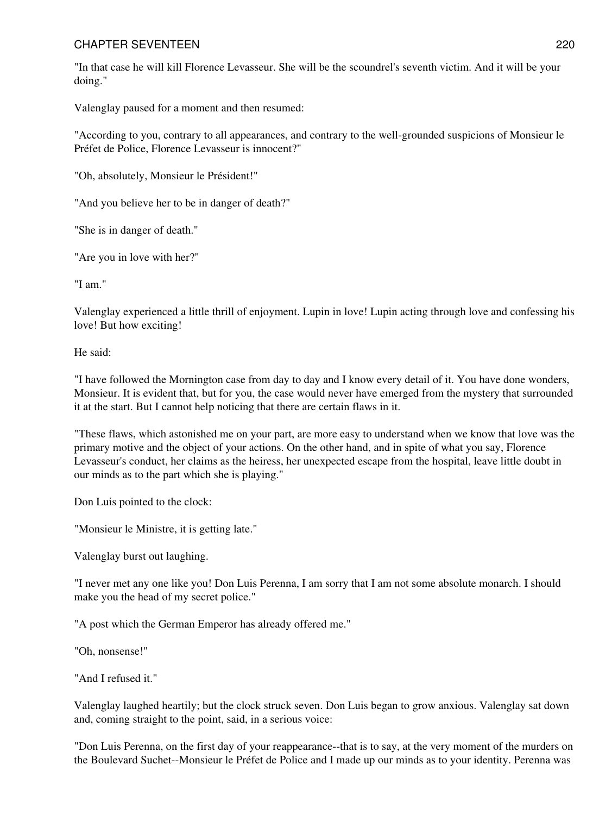"In that case he will kill Florence Levasseur. She will be the scoundrel's seventh victim. And it will be your doing."

Valenglay paused for a moment and then resumed:

"According to you, contrary to all appearances, and contrary to the well-grounded suspicions of Monsieur le Préfet de Police, Florence Levasseur is innocent?"

"Oh, absolutely, Monsieur le Président!"

"And you believe her to be in danger of death?"

"She is in danger of death."

"Are you in love with her?"

"I am."

Valenglay experienced a little thrill of enjoyment. Lupin in love! Lupin acting through love and confessing his love! But how exciting!

He said:

"I have followed the Mornington case from day to day and I know every detail of it. You have done wonders, Monsieur. It is evident that, but for you, the case would never have emerged from the mystery that surrounded it at the start. But I cannot help noticing that there are certain flaws in it.

"These flaws, which astonished me on your part, are more easy to understand when we know that love was the primary motive and the object of your actions. On the other hand, and in spite of what you say, Florence Levasseur's conduct, her claims as the heiress, her unexpected escape from the hospital, leave little doubt in our minds as to the part which she is playing."

Don Luis pointed to the clock:

"Monsieur le Ministre, it is getting late."

Valenglay burst out laughing.

"I never met any one like you! Don Luis Perenna, I am sorry that I am not some absolute monarch. I should make you the head of my secret police."

"A post which the German Emperor has already offered me."

"Oh, nonsense!"

"And I refused it."

Valenglay laughed heartily; but the clock struck seven. Don Luis began to grow anxious. Valenglay sat down and, coming straight to the point, said, in a serious voice:

"Don Luis Perenna, on the first day of your reappearance--that is to say, at the very moment of the murders on the Boulevard Suchet--Monsieur le Préfet de Police and I made up our minds as to your identity. Perenna was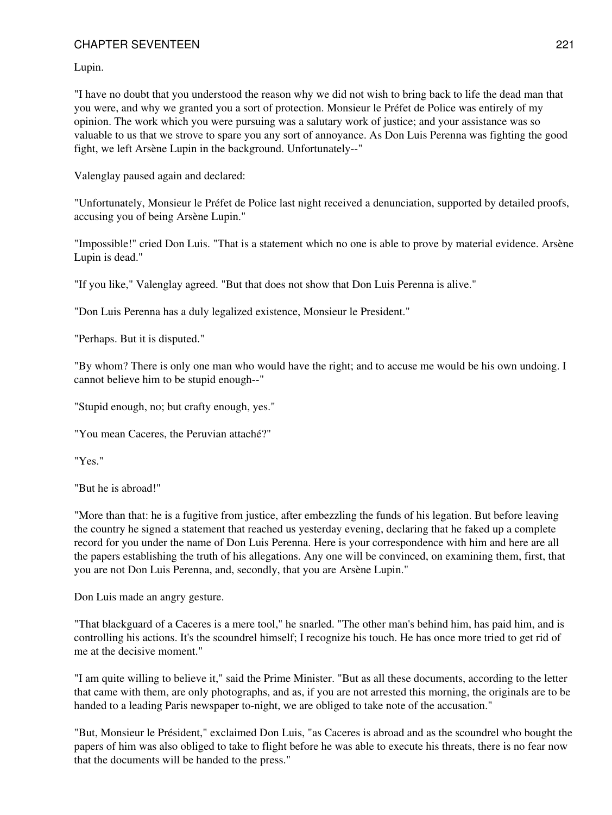Lupin.

"I have no doubt that you understood the reason why we did not wish to bring back to life the dead man that you were, and why we granted you a sort of protection. Monsieur le Préfet de Police was entirely of my opinion. The work which you were pursuing was a salutary work of justice; and your assistance was so valuable to us that we strove to spare you any sort of annoyance. As Don Luis Perenna was fighting the good fight, we left Arsène Lupin in the background. Unfortunately--"

Valenglay paused again and declared:

"Unfortunately, Monsieur le Préfet de Police last night received a denunciation, supported by detailed proofs, accusing you of being Arsène Lupin."

"Impossible!" cried Don Luis. "That is a statement which no one is able to prove by material evidence. Arsène Lupin is dead."

"If you like," Valenglay agreed. "But that does not show that Don Luis Perenna is alive."

"Don Luis Perenna has a duly legalized existence, Monsieur le President."

"Perhaps. But it is disputed."

"By whom? There is only one man who would have the right; and to accuse me would be his own undoing. I cannot believe him to be stupid enough--"

"Stupid enough, no; but crafty enough, yes."

"You mean Caceres, the Peruvian attaché?"

"Yes."

"But he is abroad!"

"More than that: he is a fugitive from justice, after embezzling the funds of his legation. But before leaving the country he signed a statement that reached us yesterday evening, declaring that he faked up a complete record for you under the name of Don Luis Perenna. Here is your correspondence with him and here are all the papers establishing the truth of his allegations. Any one will be convinced, on examining them, first, that you are not Don Luis Perenna, and, secondly, that you are Arsène Lupin."

Don Luis made an angry gesture.

"That blackguard of a Caceres is a mere tool," he snarled. "The other man's behind him, has paid him, and is controlling his actions. It's the scoundrel himself; I recognize his touch. He has once more tried to get rid of me at the decisive moment."

"I am quite willing to believe it," said the Prime Minister. "But as all these documents, according to the letter that came with them, are only photographs, and as, if you are not arrested this morning, the originals are to be handed to a leading Paris newspaper to-night, we are obliged to take note of the accusation."

"But, Monsieur le Président," exclaimed Don Luis, "as Caceres is abroad and as the scoundrel who bought the papers of him was also obliged to take to flight before he was able to execute his threats, there is no fear now that the documents will be handed to the press."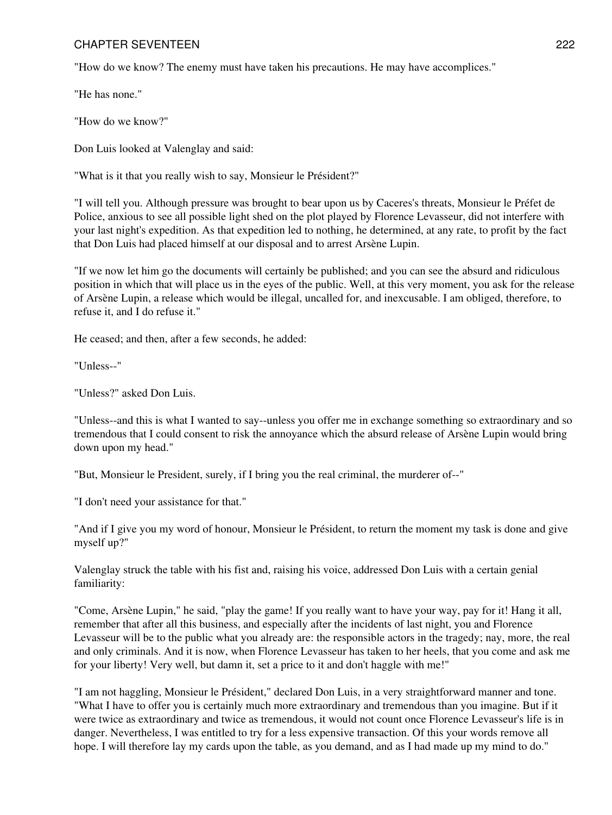"How do we know? The enemy must have taken his precautions. He may have accomplices."

"He has none."

"How do we know?"

Don Luis looked at Valenglay and said:

"What is it that you really wish to say, Monsieur le Président?"

"I will tell you. Although pressure was brought to bear upon us by Caceres's threats, Monsieur le Préfet de Police, anxious to see all possible light shed on the plot played by Florence Levasseur, did not interfere with your last night's expedition. As that expedition led to nothing, he determined, at any rate, to profit by the fact that Don Luis had placed himself at our disposal and to arrest Arsène Lupin.

"If we now let him go the documents will certainly be published; and you can see the absurd and ridiculous position in which that will place us in the eyes of the public. Well, at this very moment, you ask for the release of Arsène Lupin, a release which would be illegal, uncalled for, and inexcusable. I am obliged, therefore, to refuse it, and I do refuse it."

He ceased; and then, after a few seconds, he added:

"Unless--"

"Unless?" asked Don Luis.

"Unless--and this is what I wanted to say--unless you offer me in exchange something so extraordinary and so tremendous that I could consent to risk the annoyance which the absurd release of Arsène Lupin would bring down upon my head."

"But, Monsieur le President, surely, if I bring you the real criminal, the murderer of--"

"I don't need your assistance for that."

"And if I give you my word of honour, Monsieur le Président, to return the moment my task is done and give myself up?"

Valenglay struck the table with his fist and, raising his voice, addressed Don Luis with a certain genial familiarity:

"Come, Arsène Lupin," he said, "play the game! If you really want to have your way, pay for it! Hang it all, remember that after all this business, and especially after the incidents of last night, you and Florence Levasseur will be to the public what you already are: the responsible actors in the tragedy; nay, more, the real and only criminals. And it is now, when Florence Levasseur has taken to her heels, that you come and ask me for your liberty! Very well, but damn it, set a price to it and don't haggle with me!"

"I am not haggling, Monsieur le Président," declared Don Luis, in a very straightforward manner and tone. "What I have to offer you is certainly much more extraordinary and tremendous than you imagine. But if it were twice as extraordinary and twice as tremendous, it would not count once Florence Levasseur's life is in danger. Nevertheless, I was entitled to try for a less expensive transaction. Of this your words remove all hope. I will therefore lay my cards upon the table, as you demand, and as I had made up my mind to do."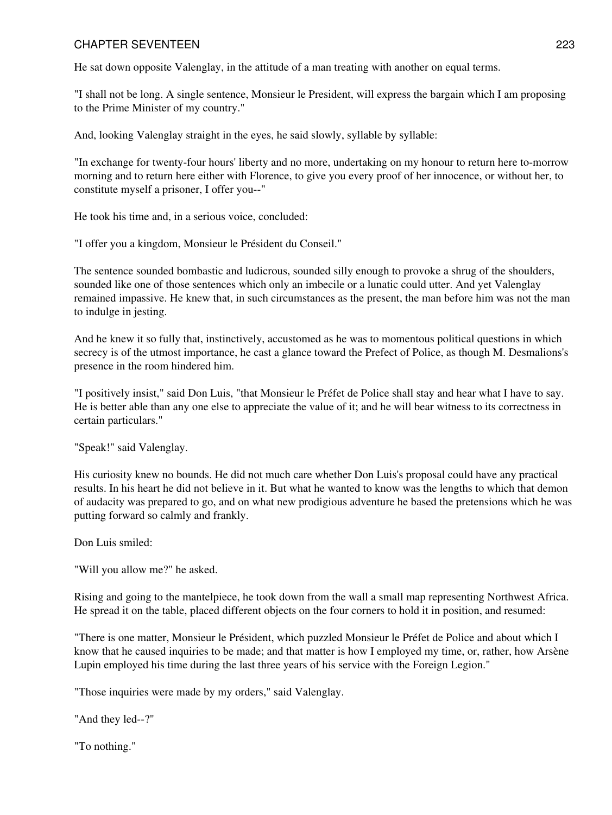He sat down opposite Valenglay, in the attitude of a man treating with another on equal terms.

"I shall not be long. A single sentence, Monsieur le President, will express the bargain which I am proposing to the Prime Minister of my country."

And, looking Valenglay straight in the eyes, he said slowly, syllable by syllable:

"In exchange for twenty-four hours' liberty and no more, undertaking on my honour to return here to-morrow morning and to return here either with Florence, to give you every proof of her innocence, or without her, to constitute myself a prisoner, I offer you--"

He took his time and, in a serious voice, concluded:

"I offer you a kingdom, Monsieur le Président du Conseil."

The sentence sounded bombastic and ludicrous, sounded silly enough to provoke a shrug of the shoulders, sounded like one of those sentences which only an imbecile or a lunatic could utter. And yet Valenglay remained impassive. He knew that, in such circumstances as the present, the man before him was not the man to indulge in jesting.

And he knew it so fully that, instinctively, accustomed as he was to momentous political questions in which secrecy is of the utmost importance, he cast a glance toward the Prefect of Police, as though M. Desmalions's presence in the room hindered him.

"I positively insist," said Don Luis, "that Monsieur le Préfet de Police shall stay and hear what I have to say. He is better able than any one else to appreciate the value of it; and he will bear witness to its correctness in certain particulars."

"Speak!" said Valenglay.

His curiosity knew no bounds. He did not much care whether Don Luis's proposal could have any practical results. In his heart he did not believe in it. But what he wanted to know was the lengths to which that demon of audacity was prepared to go, and on what new prodigious adventure he based the pretensions which he was putting forward so calmly and frankly.

Don Luis smiled:

"Will you allow me?" he asked.

Rising and going to the mantelpiece, he took down from the wall a small map representing Northwest Africa. He spread it on the table, placed different objects on the four corners to hold it in position, and resumed:

"There is one matter, Monsieur le Président, which puzzled Monsieur le Préfet de Police and about which I know that he caused inquiries to be made; and that matter is how I employed my time, or, rather, how Arsène Lupin employed his time during the last three years of his service with the Foreign Legion."

"Those inquiries were made by my orders," said Valenglay.

"And they led--?"

"To nothing."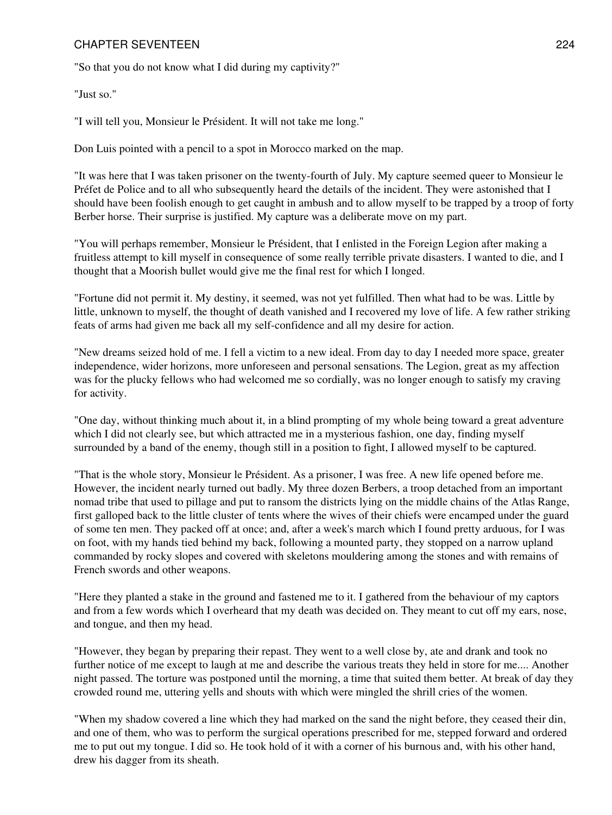"So that you do not know what I did during my captivity?"

"Just so."

"I will tell you, Monsieur le Président. It will not take me long."

Don Luis pointed with a pencil to a spot in Morocco marked on the map.

"It was here that I was taken prisoner on the twenty-fourth of July. My capture seemed queer to Monsieur le Préfet de Police and to all who subsequently heard the details of the incident. They were astonished that I should have been foolish enough to get caught in ambush and to allow myself to be trapped by a troop of forty Berber horse. Their surprise is justified. My capture was a deliberate move on my part.

"You will perhaps remember, Monsieur le Président, that I enlisted in the Foreign Legion after making a fruitless attempt to kill myself in consequence of some really terrible private disasters. I wanted to die, and I thought that a Moorish bullet would give me the final rest for which I longed.

"Fortune did not permit it. My destiny, it seemed, was not yet fulfilled. Then what had to be was. Little by little, unknown to myself, the thought of death vanished and I recovered my love of life. A few rather striking feats of arms had given me back all my self-confidence and all my desire for action.

"New dreams seized hold of me. I fell a victim to a new ideal. From day to day I needed more space, greater independence, wider horizons, more unforeseen and personal sensations. The Legion, great as my affection was for the plucky fellows who had welcomed me so cordially, was no longer enough to satisfy my craving for activity.

"One day, without thinking much about it, in a blind prompting of my whole being toward a great adventure which I did not clearly see, but which attracted me in a mysterious fashion, one day, finding myself surrounded by a band of the enemy, though still in a position to fight, I allowed myself to be captured.

"That is the whole story, Monsieur le Président. As a prisoner, I was free. A new life opened before me. However, the incident nearly turned out badly. My three dozen Berbers, a troop detached from an important nomad tribe that used to pillage and put to ransom the districts lying on the middle chains of the Atlas Range, first galloped back to the little cluster of tents where the wives of their chiefs were encamped under the guard of some ten men. They packed off at once; and, after a week's march which I found pretty arduous, for I was on foot, with my hands tied behind my back, following a mounted party, they stopped on a narrow upland commanded by rocky slopes and covered with skeletons mouldering among the stones and with remains of French swords and other weapons.

"Here they planted a stake in the ground and fastened me to it. I gathered from the behaviour of my captors and from a few words which I overheard that my death was decided on. They meant to cut off my ears, nose, and tongue, and then my head.

"However, they began by preparing their repast. They went to a well close by, ate and drank and took no further notice of me except to laugh at me and describe the various treats they held in store for me.... Another night passed. The torture was postponed until the morning, a time that suited them better. At break of day they crowded round me, uttering yells and shouts with which were mingled the shrill cries of the women.

"When my shadow covered a line which they had marked on the sand the night before, they ceased their din, and one of them, who was to perform the surgical operations prescribed for me, stepped forward and ordered me to put out my tongue. I did so. He took hold of it with a corner of his burnous and, with his other hand, drew his dagger from its sheath.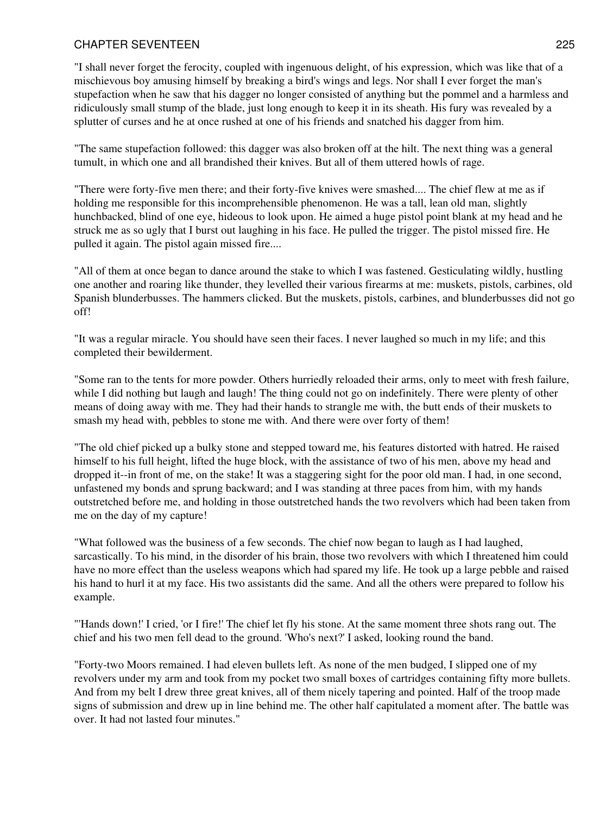"I shall never forget the ferocity, coupled with ingenuous delight, of his expression, which was like that of a mischievous boy amusing himself by breaking a bird's wings and legs. Nor shall I ever forget the man's stupefaction when he saw that his dagger no longer consisted of anything but the pommel and a harmless and ridiculously small stump of the blade, just long enough to keep it in its sheath. His fury was revealed by a splutter of curses and he at once rushed at one of his friends and snatched his dagger from him.

"The same stupefaction followed: this dagger was also broken off at the hilt. The next thing was a general tumult, in which one and all brandished their knives. But all of them uttered howls of rage.

"There were forty-five men there; and their forty-five knives were smashed.... The chief flew at me as if holding me responsible for this incomprehensible phenomenon. He was a tall, lean old man, slightly hunchbacked, blind of one eye, hideous to look upon. He aimed a huge pistol point blank at my head and he struck me as so ugly that I burst out laughing in his face. He pulled the trigger. The pistol missed fire. He pulled it again. The pistol again missed fire....

"All of them at once began to dance around the stake to which I was fastened. Gesticulating wildly, hustling one another and roaring like thunder, they levelled their various firearms at me: muskets, pistols, carbines, old Spanish blunderbusses. The hammers clicked. But the muskets, pistols, carbines, and blunderbusses did not go off!

"It was a regular miracle. You should have seen their faces. I never laughed so much in my life; and this completed their bewilderment.

"Some ran to the tents for more powder. Others hurriedly reloaded their arms, only to meet with fresh failure, while I did nothing but laugh and laugh! The thing could not go on indefinitely. There were plenty of other means of doing away with me. They had their hands to strangle me with, the butt ends of their muskets to smash my head with, pebbles to stone me with. And there were over forty of them!

"The old chief picked up a bulky stone and stepped toward me, his features distorted with hatred. He raised himself to his full height, lifted the huge block, with the assistance of two of his men, above my head and dropped it--in front of me, on the stake! It was a staggering sight for the poor old man. I had, in one second, unfastened my bonds and sprung backward; and I was standing at three paces from him, with my hands outstretched before me, and holding in those outstretched hands the two revolvers which had been taken from me on the day of my capture!

"What followed was the business of a few seconds. The chief now began to laugh as I had laughed, sarcastically. To his mind, in the disorder of his brain, those two revolvers with which I threatened him could have no more effect than the useless weapons which had spared my life. He took up a large pebble and raised his hand to hurl it at my face. His two assistants did the same. And all the others were prepared to follow his example.

"'Hands down!' I cried, 'or I fire!' The chief let fly his stone. At the same moment three shots rang out. The chief and his two men fell dead to the ground. 'Who's next?' I asked, looking round the band.

"Forty-two Moors remained. I had eleven bullets left. As none of the men budged, I slipped one of my revolvers under my arm and took from my pocket two small boxes of cartridges containing fifty more bullets. And from my belt I drew three great knives, all of them nicely tapering and pointed. Half of the troop made signs of submission and drew up in line behind me. The other half capitulated a moment after. The battle was over. It had not lasted four minutes."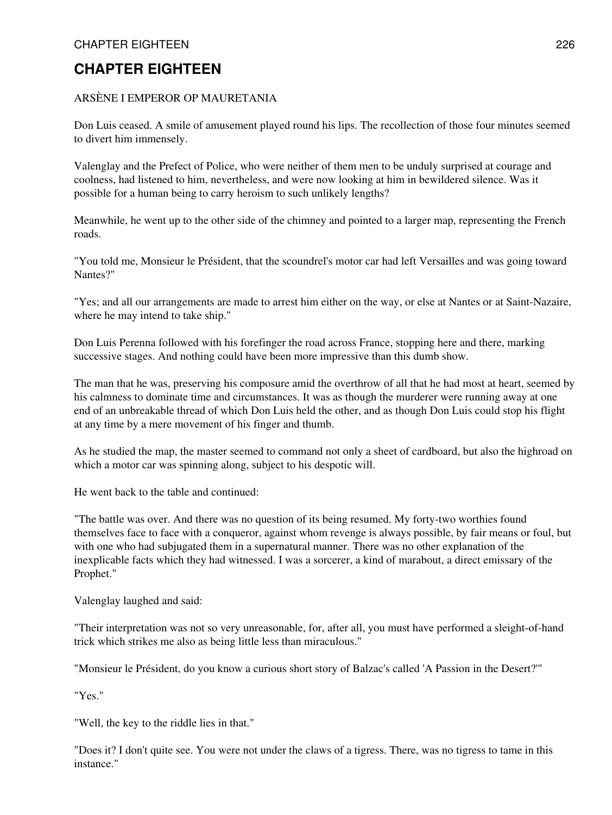## ARSÈNE I EMPEROR OP MAURETANIA

Don Luis ceased. A smile of amusement played round his lips. The recollection of those four minutes seemed to divert him immensely.

Valenglay and the Prefect of Police, who were neither of them men to be unduly surprised at courage and coolness, had listened to him, nevertheless, and were now looking at him in bewildered silence. Was it possible for a human being to carry heroism to such unlikely lengths?

Meanwhile, he went up to the other side of the chimney and pointed to a larger map, representing the French roads.

"You told me, Monsieur le Président, that the scoundrel's motor car had left Versailles and was going toward Nantes?"

"Yes; and all our arrangements are made to arrest him either on the way, or else at Nantes or at Saint-Nazaire, where he may intend to take ship."

Don Luis Perenna followed with his forefinger the road across France, stopping here and there, marking successive stages. And nothing could have been more impressive than this dumb show.

The man that he was, preserving his composure amid the overthrow of all that he had most at heart, seemed by his calmness to dominate time and circumstances. It was as though the murderer were running away at one end of an unbreakable thread of which Don Luis held the other, and as though Don Luis could stop his flight at any time by a mere movement of his finger and thumb.

As he studied the map, the master seemed to command not only a sheet of cardboard, but also the highroad on which a motor car was spinning along, subject to his despotic will.

He went back to the table and continued:

"The battle was over. And there was no question of its being resumed. My forty-two worthies found themselves face to face with a conqueror, against whom revenge is always possible, by fair means or foul, but with one who had subjugated them in a supernatural manner. There was no other explanation of the inexplicable facts which they had witnessed. I was a sorcerer, a kind of marabout, a direct emissary of the Prophet."

Valenglay laughed and said:

"Their interpretation was not so very unreasonable, for, after all, you must have performed a sleight-of-hand trick which strikes me also as being little less than miraculous."

"Monsieur le Président, do you know a curious short story of Balzac's called 'A Passion in the Desert?'"

"Yes."

"Well, the key to the riddle lies in that."

"Does it? I don't quite see. You were not under the claws of a tigress. There, was no tigress to tame in this instance."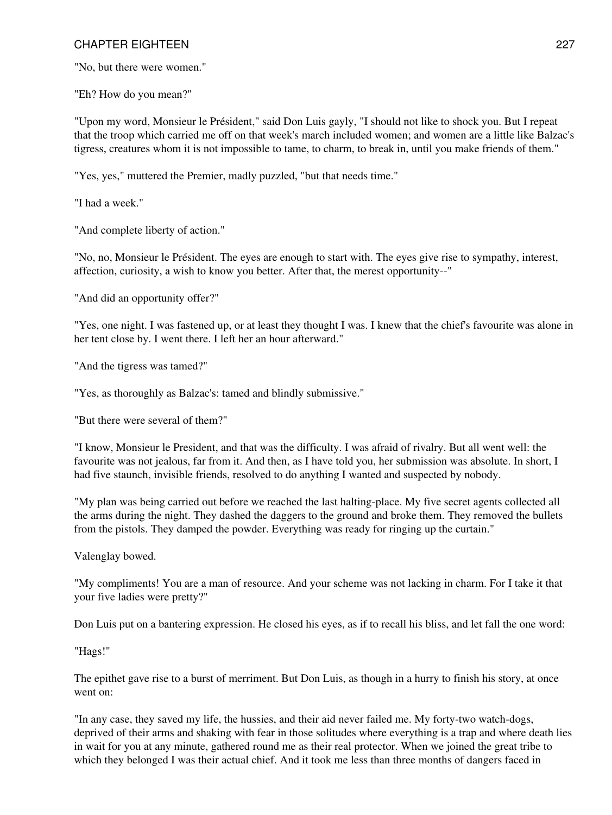"No, but there were women."

"Eh? How do you mean?"

"Upon my word, Monsieur le Président," said Don Luis gayly, "I should not like to shock you. But I repeat that the troop which carried me off on that week's march included women; and women are a little like Balzac's tigress, creatures whom it is not impossible to tame, to charm, to break in, until you make friends of them."

"Yes, yes," muttered the Premier, madly puzzled, "but that needs time."

"I had a week."

"And complete liberty of action."

"No, no, Monsieur le Président. The eyes are enough to start with. The eyes give rise to sympathy, interest, affection, curiosity, a wish to know you better. After that, the merest opportunity--"

"And did an opportunity offer?"

"Yes, one night. I was fastened up, or at least they thought I was. I knew that the chief's favourite was alone in her tent close by. I went there. I left her an hour afterward."

"And the tigress was tamed?"

"Yes, as thoroughly as Balzac's: tamed and blindly submissive."

"But there were several of them?"

"I know, Monsieur le President, and that was the difficulty. I was afraid of rivalry. But all went well: the favourite was not jealous, far from it. And then, as I have told you, her submission was absolute. In short, I had five staunch, invisible friends, resolved to do anything I wanted and suspected by nobody.

"My plan was being carried out before we reached the last halting-place. My five secret agents collected all the arms during the night. They dashed the daggers to the ground and broke them. They removed the bullets from the pistols. They damped the powder. Everything was ready for ringing up the curtain."

Valenglay bowed.

"My compliments! You are a man of resource. And your scheme was not lacking in charm. For I take it that your five ladies were pretty?"

Don Luis put on a bantering expression. He closed his eyes, as if to recall his bliss, and let fall the one word:

"Hags!"

The epithet gave rise to a burst of merriment. But Don Luis, as though in a hurry to finish his story, at once went on:

"In any case, they saved my life, the hussies, and their aid never failed me. My forty-two watch-dogs, deprived of their arms and shaking with fear in those solitudes where everything is a trap and where death lies in wait for you at any minute, gathered round me as their real protector. When we joined the great tribe to which they belonged I was their actual chief. And it took me less than three months of dangers faced in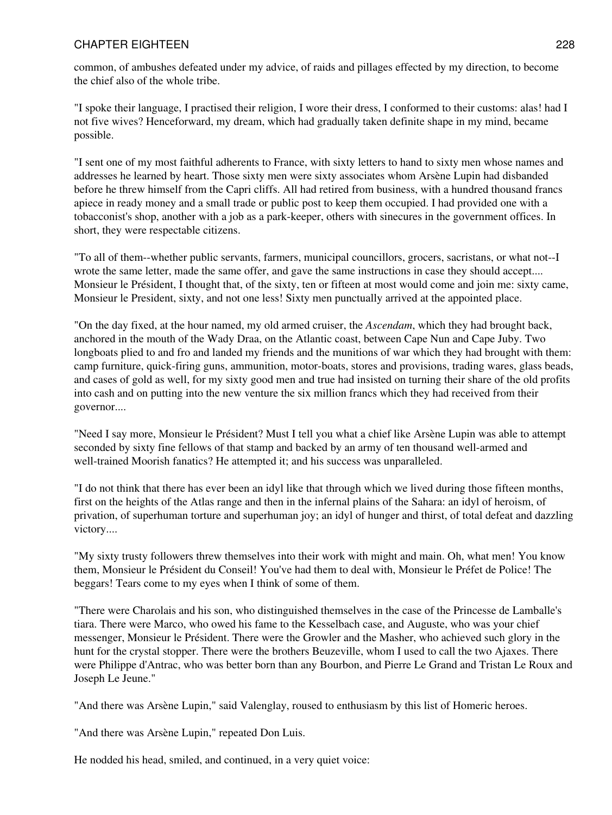common, of ambushes defeated under my advice, of raids and pillages effected by my direction, to become the chief also of the whole tribe.

"I spoke their language, I practised their religion, I wore their dress, I conformed to their customs: alas! had I not five wives? Henceforward, my dream, which had gradually taken definite shape in my mind, became possible.

"I sent one of my most faithful adherents to France, with sixty letters to hand to sixty men whose names and addresses he learned by heart. Those sixty men were sixty associates whom Arsène Lupin had disbanded before he threw himself from the Capri cliffs. All had retired from business, with a hundred thousand francs apiece in ready money and a small trade or public post to keep them occupied. I had provided one with a tobacconist's shop, another with a job as a park-keeper, others with sinecures in the government offices. In short, they were respectable citizens.

"To all of them--whether public servants, farmers, municipal councillors, grocers, sacristans, or what not--I wrote the same letter, made the same offer, and gave the same instructions in case they should accept.... Monsieur le Président, I thought that, of the sixty, ten or fifteen at most would come and join me: sixty came, Monsieur le President, sixty, and not one less! Sixty men punctually arrived at the appointed place.

"On the day fixed, at the hour named, my old armed cruiser, the *Ascendam*, which they had brought back, anchored in the mouth of the Wady Draa, on the Atlantic coast, between Cape Nun and Cape Juby. Two longboats plied to and fro and landed my friends and the munitions of war which they had brought with them: camp furniture, quick-firing guns, ammunition, motor-boats, stores and provisions, trading wares, glass beads, and cases of gold as well, for my sixty good men and true had insisted on turning their share of the old profits into cash and on putting into the new venture the six million francs which they had received from their governor....

"Need I say more, Monsieur le Président? Must I tell you what a chief like Arsène Lupin was able to attempt seconded by sixty fine fellows of that stamp and backed by an army of ten thousand well-armed and well-trained Moorish fanatics? He attempted it; and his success was unparalleled.

"I do not think that there has ever been an idyl like that through which we lived during those fifteen months, first on the heights of the Atlas range and then in the infernal plains of the Sahara: an idyl of heroism, of privation, of superhuman torture and superhuman joy; an idyl of hunger and thirst, of total defeat and dazzling victory....

"My sixty trusty followers threw themselves into their work with might and main. Oh, what men! You know them, Monsieur le Président du Conseil! You've had them to deal with, Monsieur le Préfet de Police! The beggars! Tears come to my eyes when I think of some of them.

"There were Charolais and his son, who distinguished themselves in the case of the Princesse de Lamballe's tiara. There were Marco, who owed his fame to the Kesselbach case, and Auguste, who was your chief messenger, Monsieur le Président. There were the Growler and the Masher, who achieved such glory in the hunt for the crystal stopper. There were the brothers Beuzeville, whom I used to call the two Ajaxes. There were Philippe d'Antrac, who was better born than any Bourbon, and Pierre Le Grand and Tristan Le Roux and Joseph Le Jeune."

"And there was Arsène Lupin," said Valenglay, roused to enthusiasm by this list of Homeric heroes.

"And there was Arsène Lupin," repeated Don Luis.

He nodded his head, smiled, and continued, in a very quiet voice: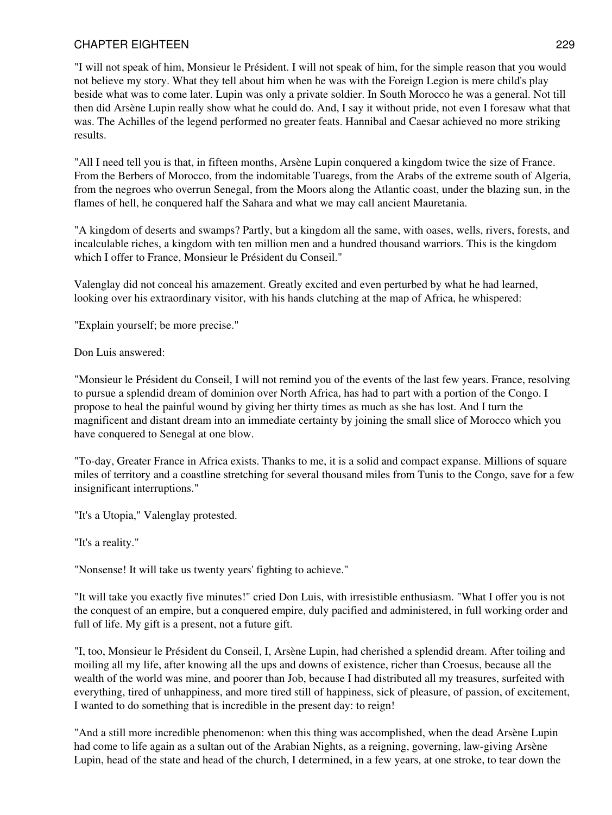"I will not speak of him, Monsieur le Président. I will not speak of him, for the simple reason that you would not believe my story. What they tell about him when he was with the Foreign Legion is mere child's play beside what was to come later. Lupin was only a private soldier. In South Morocco he was a general. Not till then did Arsène Lupin really show what he could do. And, I say it without pride, not even I foresaw what that was. The Achilles of the legend performed no greater feats. Hannibal and Caesar achieved no more striking results.

"All I need tell you is that, in fifteen months, Arsène Lupin conquered a kingdom twice the size of France. From the Berbers of Morocco, from the indomitable Tuaregs, from the Arabs of the extreme south of Algeria, from the negroes who overrun Senegal, from the Moors along the Atlantic coast, under the blazing sun, in the flames of hell, he conquered half the Sahara and what we may call ancient Mauretania.

"A kingdom of deserts and swamps? Partly, but a kingdom all the same, with oases, wells, rivers, forests, and incalculable riches, a kingdom with ten million men and a hundred thousand warriors. This is the kingdom which I offer to France, Monsieur le Président du Conseil."

Valenglay did not conceal his amazement. Greatly excited and even perturbed by what he had learned, looking over his extraordinary visitor, with his hands clutching at the map of Africa, he whispered:

"Explain yourself; be more precise."

Don Luis answered:

"Monsieur le Président du Conseil, I will not remind you of the events of the last few years. France, resolving to pursue a splendid dream of dominion over North Africa, has had to part with a portion of the Congo. I propose to heal the painful wound by giving her thirty times as much as she has lost. And I turn the magnificent and distant dream into an immediate certainty by joining the small slice of Morocco which you have conquered to Senegal at one blow.

"To-day, Greater France in Africa exists. Thanks to me, it is a solid and compact expanse. Millions of square miles of territory and a coastline stretching for several thousand miles from Tunis to the Congo, save for a few insignificant interruptions."

"It's a Utopia," Valenglay protested.

"It's a reality."

"Nonsense! It will take us twenty years' fighting to achieve."

"It will take you exactly five minutes!" cried Don Luis, with irresistible enthusiasm. "What I offer you is not the conquest of an empire, but a conquered empire, duly pacified and administered, in full working order and full of life. My gift is a present, not a future gift.

"I, too, Monsieur le Président du Conseil, I, Arsène Lupin, had cherished a splendid dream. After toiling and moiling all my life, after knowing all the ups and downs of existence, richer than Croesus, because all the wealth of the world was mine, and poorer than Job, because I had distributed all my treasures, surfeited with everything, tired of unhappiness, and more tired still of happiness, sick of pleasure, of passion, of excitement, I wanted to do something that is incredible in the present day: to reign!

"And a still more incredible phenomenon: when this thing was accomplished, when the dead Arsène Lupin had come to life again as a sultan out of the Arabian Nights, as a reigning, governing, law-giving Arsène Lupin, head of the state and head of the church, I determined, in a few years, at one stroke, to tear down the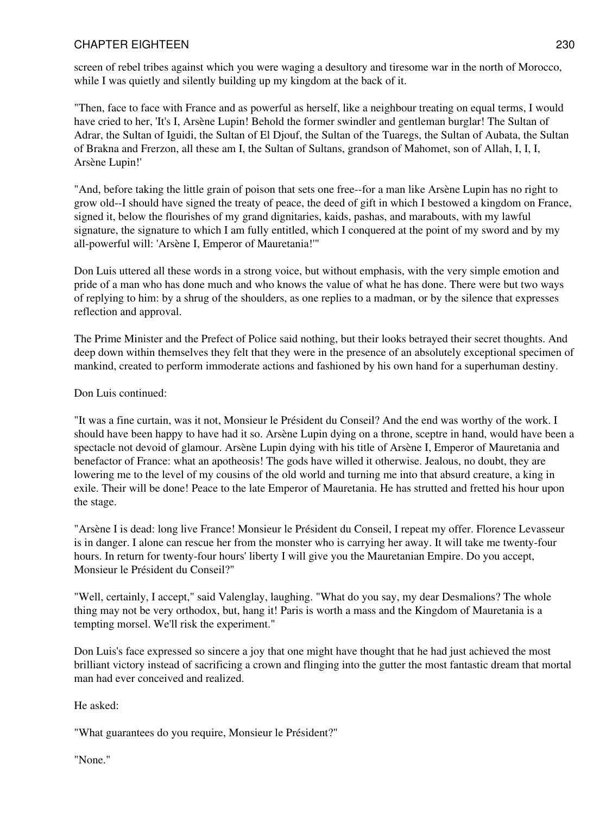screen of rebel tribes against which you were waging a desultory and tiresome war in the north of Morocco, while I was quietly and silently building up my kingdom at the back of it.

"Then, face to face with France and as powerful as herself, like a neighbour treating on equal terms, I would have cried to her, 'It's I, Arsène Lupin! Behold the former swindler and gentleman burglar! The Sultan of Adrar, the Sultan of Iguidi, the Sultan of El Djouf, the Sultan of the Tuaregs, the Sultan of Aubata, the Sultan of Brakna and Frerzon, all these am I, the Sultan of Sultans, grandson of Mahomet, son of Allah, I, I, I, Arsène Lupin!'

"And, before taking the little grain of poison that sets one free--for a man like Arsène Lupin has no right to grow old--I should have signed the treaty of peace, the deed of gift in which I bestowed a kingdom on France, signed it, below the flourishes of my grand dignitaries, kaids, pashas, and marabouts, with my lawful signature, the signature to which I am fully entitled, which I conquered at the point of my sword and by my all-powerful will: 'Arsène I, Emperor of Mauretania!'"

Don Luis uttered all these words in a strong voice, but without emphasis, with the very simple emotion and pride of a man who has done much and who knows the value of what he has done. There were but two ways of replying to him: by a shrug of the shoulders, as one replies to a madman, or by the silence that expresses reflection and approval.

The Prime Minister and the Prefect of Police said nothing, but their looks betrayed their secret thoughts. And deep down within themselves they felt that they were in the presence of an absolutely exceptional specimen of mankind, created to perform immoderate actions and fashioned by his own hand for a superhuman destiny.

## Don Luis continued:

"It was a fine curtain, was it not, Monsieur le Président du Conseil? And the end was worthy of the work. I should have been happy to have had it so. Arsène Lupin dying on a throne, sceptre in hand, would have been a spectacle not devoid of glamour. Arsène Lupin dying with his title of Arsène I, Emperor of Mauretania and benefactor of France: what an apotheosis! The gods have willed it otherwise. Jealous, no doubt, they are lowering me to the level of my cousins of the old world and turning me into that absurd creature, a king in exile. Their will be done! Peace to the late Emperor of Mauretania. He has strutted and fretted his hour upon the stage.

"Arsène I is dead: long live France! Monsieur le Président du Conseil, I repeat my offer. Florence Levasseur is in danger. I alone can rescue her from the monster who is carrying her away. It will take me twenty-four hours. In return for twenty-four hours' liberty I will give you the Mauretanian Empire. Do you accept, Monsieur le Président du Conseil?"

"Well, certainly, I accept," said Valenglay, laughing. "What do you say, my dear Desmalions? The whole thing may not be very orthodox, but, hang it! Paris is worth a mass and the Kingdom of Mauretania is a tempting morsel. We'll risk the experiment."

Don Luis's face expressed so sincere a joy that one might have thought that he had just achieved the most brilliant victory instead of sacrificing a crown and flinging into the gutter the most fantastic dream that mortal man had ever conceived and realized.

He asked:

"What guarantees do you require, Monsieur le Président?"

"None."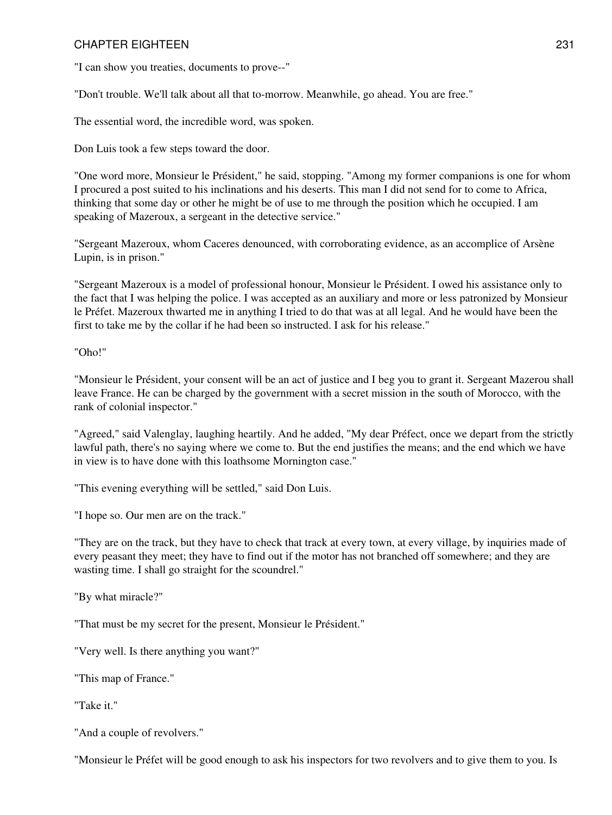"I can show you treaties, documents to prove--"

"Don't trouble. We'll talk about all that to-morrow. Meanwhile, go ahead. You are free."

The essential word, the incredible word, was spoken.

Don Luis took a few steps toward the door.

"One word more, Monsieur le Président," he said, stopping. "Among my former companions is one for whom I procured a post suited to his inclinations and his deserts. This man I did not send for to come to Africa, thinking that some day or other he might be of use to me through the position which he occupied. I am speaking of Mazeroux, a sergeant in the detective service."

"Sergeant Mazeroux, whom Caceres denounced, with corroborating evidence, as an accomplice of Arsène Lupin, is in prison."

"Sergeant Mazeroux is a model of professional honour, Monsieur le Président. I owed his assistance only to the fact that I was helping the police. I was accepted as an auxiliary and more or less patronized by Monsieur le Préfet. Mazeroux thwarted me in anything I tried to do that was at all legal. And he would have been the first to take me by the collar if he had been so instructed. I ask for his release."

"Oho!"

"Monsieur le Président, your consent will be an act of justice and I beg you to grant it. Sergeant Mazerou shall leave France. He can be charged by the government with a secret mission in the south of Morocco, with the rank of colonial inspector."

"Agreed," said Valenglay, laughing heartily. And he added, "My dear Préfect, once we depart from the strictly lawful path, there's no saying where we come to. But the end justifies the means; and the end which we have in view is to have done with this loathsome Mornington case."

"This evening everything will be settled," said Don Luis.

"I hope so. Our men are on the track."

"They are on the track, but they have to check that track at every town, at every village, by inquiries made of every peasant they meet; they have to find out if the motor has not branched off somewhere; and they are wasting time. I shall go straight for the scoundrel."

"By what miracle?"

"That must be my secret for the present, Monsieur le Président."

"Very well. Is there anything you want?"

"This map of France."

"Take it."

"And a couple of revolvers."

"Monsieur le Préfet will be good enough to ask his inspectors for two revolvers and to give them to you. Is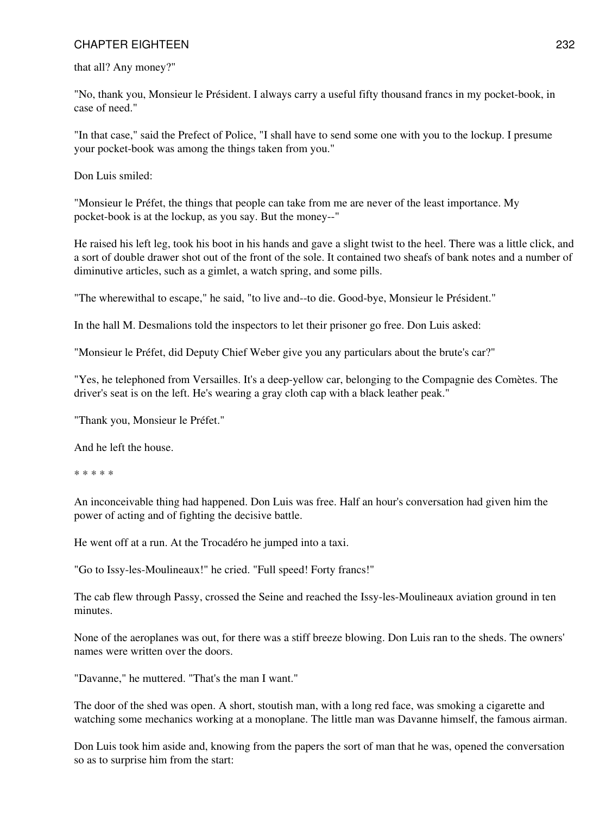that all? Any money?"

"No, thank you, Monsieur le Président. I always carry a useful fifty thousand francs in my pocket-book, in case of need."

"In that case," said the Prefect of Police, "I shall have to send some one with you to the lockup. I presume your pocket-book was among the things taken from you."

Don Luis smiled:

"Monsieur le Préfet, the things that people can take from me are never of the least importance. My pocket-book is at the lockup, as you say. But the money--"

He raised his left leg, took his boot in his hands and gave a slight twist to the heel. There was a little click, and a sort of double drawer shot out of the front of the sole. It contained two sheafs of bank notes and a number of diminutive articles, such as a gimlet, a watch spring, and some pills.

"The wherewithal to escape," he said, "to live and--to die. Good-bye, Monsieur le Président."

In the hall M. Desmalions told the inspectors to let their prisoner go free. Don Luis asked:

"Monsieur le Préfet, did Deputy Chief Weber give you any particulars about the brute's car?"

"Yes, he telephoned from Versailles. It's a deep-yellow car, belonging to the Compagnie des Comètes. The driver's seat is on the left. He's wearing a gray cloth cap with a black leather peak."

"Thank you, Monsieur le Préfet."

And he left the house.

\* \* \* \* \*

An inconceivable thing had happened. Don Luis was free. Half an hour's conversation had given him the power of acting and of fighting the decisive battle.

He went off at a run. At the Trocadéro he jumped into a taxi.

"Go to Issy-les-Moulineaux!" he cried. "Full speed! Forty francs!"

The cab flew through Passy, crossed the Seine and reached the Issy-les-Moulineaux aviation ground in ten minutes.

None of the aeroplanes was out, for there was a stiff breeze blowing. Don Luis ran to the sheds. The owners' names were written over the doors.

"Davanne," he muttered. "That's the man I want."

The door of the shed was open. A short, stoutish man, with a long red face, was smoking a cigarette and watching some mechanics working at a monoplane. The little man was Davanne himself, the famous airman.

Don Luis took him aside and, knowing from the papers the sort of man that he was, opened the conversation so as to surprise him from the start: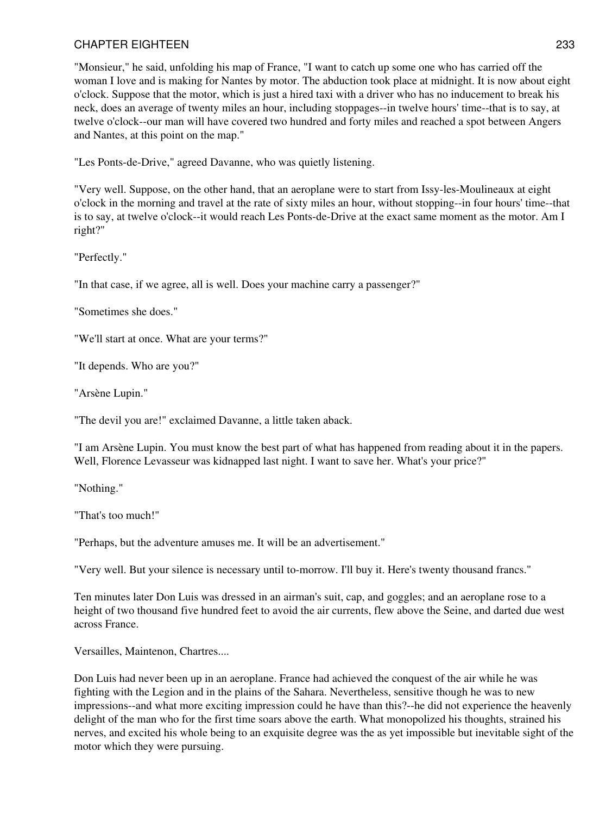"Monsieur," he said, unfolding his map of France, "I want to catch up some one who has carried off the woman I love and is making for Nantes by motor. The abduction took place at midnight. It is now about eight o'clock. Suppose that the motor, which is just a hired taxi with a driver who has no inducement to break his neck, does an average of twenty miles an hour, including stoppages--in twelve hours' time--that is to say, at twelve o'clock--our man will have covered two hundred and forty miles and reached a spot between Angers and Nantes, at this point on the map."

"Les Ponts-de-Drive," agreed Davanne, who was quietly listening.

"Very well. Suppose, on the other hand, that an aeroplane were to start from Issy-les-Moulineaux at eight o'clock in the morning and travel at the rate of sixty miles an hour, without stopping--in four hours' time--that is to say, at twelve o'clock--it would reach Les Ponts-de-Drive at the exact same moment as the motor. Am I right?"

"Perfectly."

"In that case, if we agree, all is well. Does your machine carry a passenger?"

"Sometimes she does."

"We'll start at once. What are your terms?"

"It depends. Who are you?"

"Arsène Lupin."

"The devil you are!" exclaimed Davanne, a little taken aback.

"I am Arsène Lupin. You must know the best part of what has happened from reading about it in the papers. Well, Florence Levasseur was kidnapped last night. I want to save her. What's your price?"

"Nothing."

"That's too much!"

"Perhaps, but the adventure amuses me. It will be an advertisement."

"Very well. But your silence is necessary until to-morrow. I'll buy it. Here's twenty thousand francs."

Ten minutes later Don Luis was dressed in an airman's suit, cap, and goggles; and an aeroplane rose to a height of two thousand five hundred feet to avoid the air currents, flew above the Seine, and darted due west across France.

Versailles, Maintenon, Chartres....

Don Luis had never been up in an aeroplane. France had achieved the conquest of the air while he was fighting with the Legion and in the plains of the Sahara. Nevertheless, sensitive though he was to new impressions--and what more exciting impression could he have than this?--he did not experience the heavenly delight of the man who for the first time soars above the earth. What monopolized his thoughts, strained his nerves, and excited his whole being to an exquisite degree was the as yet impossible but inevitable sight of the motor which they were pursuing.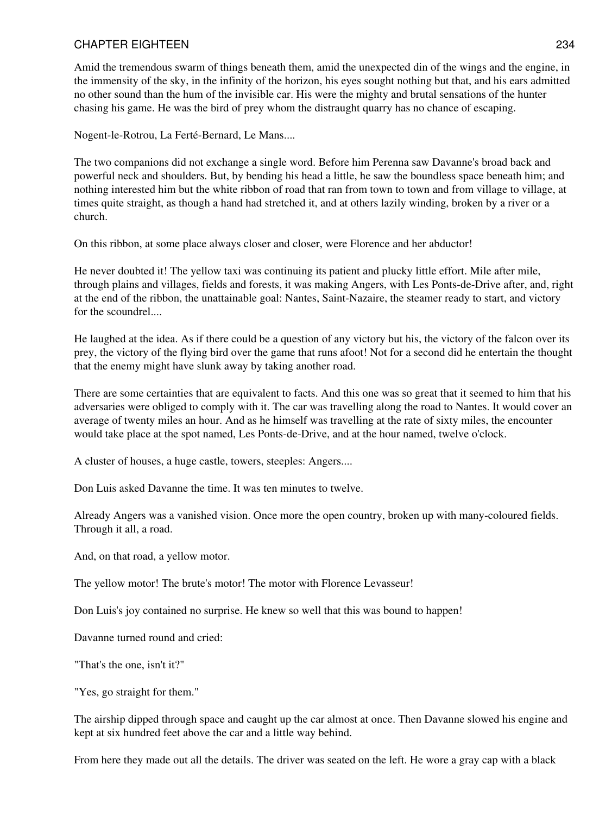Amid the tremendous swarm of things beneath them, amid the unexpected din of the wings and the engine, in the immensity of the sky, in the infinity of the horizon, his eyes sought nothing but that, and his ears admitted no other sound than the hum of the invisible car. His were the mighty and brutal sensations of the hunter chasing his game. He was the bird of prey whom the distraught quarry has no chance of escaping.

Nogent-le-Rotrou, La Ferté-Bernard, Le Mans....

The two companions did not exchange a single word. Before him Perenna saw Davanne's broad back and powerful neck and shoulders. But, by bending his head a little, he saw the boundless space beneath him; and nothing interested him but the white ribbon of road that ran from town to town and from village to village, at times quite straight, as though a hand had stretched it, and at others lazily winding, broken by a river or a church.

On this ribbon, at some place always closer and closer, were Florence and her abductor!

He never doubted it! The yellow taxi was continuing its patient and plucky little effort. Mile after mile, through plains and villages, fields and forests, it was making Angers, with Les Ponts-de-Drive after, and, right at the end of the ribbon, the unattainable goal: Nantes, Saint-Nazaire, the steamer ready to start, and victory for the scoundrel....

He laughed at the idea. As if there could be a question of any victory but his, the victory of the falcon over its prey, the victory of the flying bird over the game that runs afoot! Not for a second did he entertain the thought that the enemy might have slunk away by taking another road.

There are some certainties that are equivalent to facts. And this one was so great that it seemed to him that his adversaries were obliged to comply with it. The car was travelling along the road to Nantes. It would cover an average of twenty miles an hour. And as he himself was travelling at the rate of sixty miles, the encounter would take place at the spot named, Les Ponts-de-Drive, and at the hour named, twelve o'clock.

A cluster of houses, a huge castle, towers, steeples: Angers....

Don Luis asked Davanne the time. It was ten minutes to twelve.

Already Angers was a vanished vision. Once more the open country, broken up with many-coloured fields. Through it all, a road.

And, on that road, a yellow motor.

The yellow motor! The brute's motor! The motor with Florence Levasseur!

Don Luis's joy contained no surprise. He knew so well that this was bound to happen!

Davanne turned round and cried:

"That's the one, isn't it?"

"Yes, go straight for them."

The airship dipped through space and caught up the car almost at once. Then Davanne slowed his engine and kept at six hundred feet above the car and a little way behind.

From here they made out all the details. The driver was seated on the left. He wore a gray cap with a black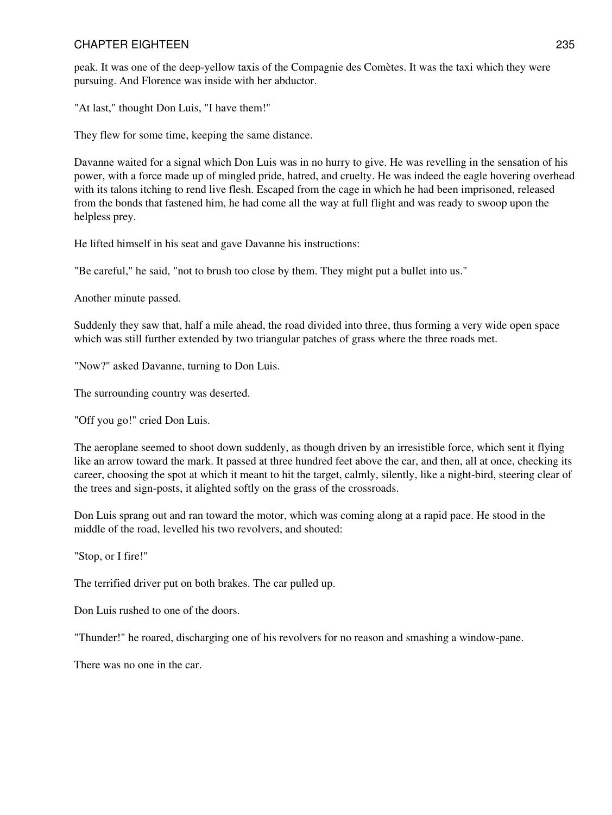peak. It was one of the deep-yellow taxis of the Compagnie des Comètes. It was the taxi which they were pursuing. And Florence was inside with her abductor.

"At last," thought Don Luis, "I have them!"

They flew for some time, keeping the same distance.

Davanne waited for a signal which Don Luis was in no hurry to give. He was revelling in the sensation of his power, with a force made up of mingled pride, hatred, and cruelty. He was indeed the eagle hovering overhead with its talons itching to rend live flesh. Escaped from the cage in which he had been imprisoned, released from the bonds that fastened him, he had come all the way at full flight and was ready to swoop upon the helpless prey.

He lifted himself in his seat and gave Davanne his instructions:

"Be careful," he said, "not to brush too close by them. They might put a bullet into us."

Another minute passed.

Suddenly they saw that, half a mile ahead, the road divided into three, thus forming a very wide open space which was still further extended by two triangular patches of grass where the three roads met.

"Now?" asked Davanne, turning to Don Luis.

The surrounding country was deserted.

"Off you go!" cried Don Luis.

The aeroplane seemed to shoot down suddenly, as though driven by an irresistible force, which sent it flying like an arrow toward the mark. It passed at three hundred feet above the car, and then, all at once, checking its career, choosing the spot at which it meant to hit the target, calmly, silently, like a night-bird, steering clear of the trees and sign-posts, it alighted softly on the grass of the crossroads.

Don Luis sprang out and ran toward the motor, which was coming along at a rapid pace. He stood in the middle of the road, levelled his two revolvers, and shouted:

"Stop, or I fire!"

The terrified driver put on both brakes. The car pulled up.

Don Luis rushed to one of the doors.

"Thunder!" he roared, discharging one of his revolvers for no reason and smashing a window-pane.

There was no one in the car.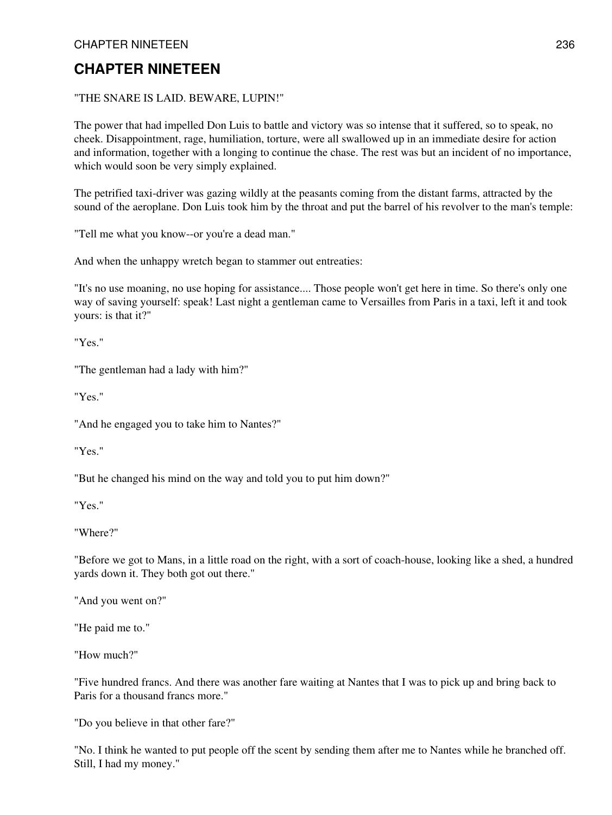## "THE SNARE IS LAID. BEWARE, LUPIN!"

The power that had impelled Don Luis to battle and victory was so intense that it suffered, so to speak, no cheek. Disappointment, rage, humiliation, torture, were all swallowed up in an immediate desire for action and information, together with a longing to continue the chase. The rest was but an incident of no importance, which would soon be very simply explained.

The petrified taxi-driver was gazing wildly at the peasants coming from the distant farms, attracted by the sound of the aeroplane. Don Luis took him by the throat and put the barrel of his revolver to the man's temple:

"Tell me what you know--or you're a dead man."

And when the unhappy wretch began to stammer out entreaties:

"It's no use moaning, no use hoping for assistance.... Those people won't get here in time. So there's only one way of saving yourself: speak! Last night a gentleman came to Versailles from Paris in a taxi, left it and took yours: is that it?"

"Yes."

"The gentleman had a lady with him?"

"Yes."

"And he engaged you to take him to Nantes?"

"Yes."

"But he changed his mind on the way and told you to put him down?"

"Yes."

"Where?"

"Before we got to Mans, in a little road on the right, with a sort of coach-house, looking like a shed, a hundred yards down it. They both got out there."

"And you went on?"

"He paid me to."

"How much?"

"Five hundred francs. And there was another fare waiting at Nantes that I was to pick up and bring back to Paris for a thousand francs more."

"Do you believe in that other fare?"

"No. I think he wanted to put people off the scent by sending them after me to Nantes while he branched off. Still, I had my money."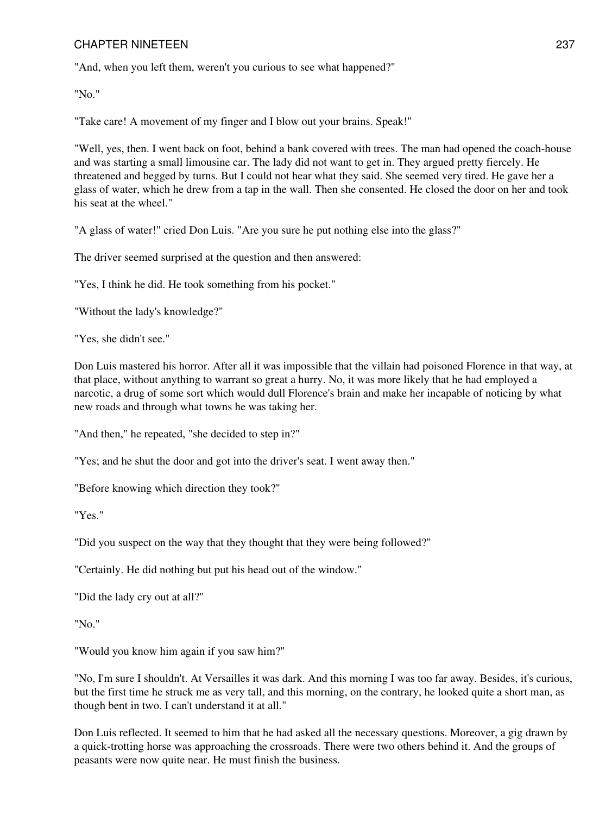"And, when you left them, weren't you curious to see what happened?"

"No."

"Take care! A movement of my finger and I blow out your brains. Speak!"

"Well, yes, then. I went back on foot, behind a bank covered with trees. The man had opened the coach-house and was starting a small limousine car. The lady did not want to get in. They argued pretty fiercely. He threatened and begged by turns. But I could not hear what they said. She seemed very tired. He gave her a glass of water, which he drew from a tap in the wall. Then she consented. He closed the door on her and took his seat at the wheel."

"A glass of water!" cried Don Luis. "Are you sure he put nothing else into the glass?"

The driver seemed surprised at the question and then answered:

"Yes, I think he did. He took something from his pocket."

"Without the lady's knowledge?"

"Yes, she didn't see."

Don Luis mastered his horror. After all it was impossible that the villain had poisoned Florence in that way, at that place, without anything to warrant so great a hurry. No, it was more likely that he had employed a narcotic, a drug of some sort which would dull Florence's brain and make her incapable of noticing by what new roads and through what towns he was taking her.

"And then," he repeated, "she decided to step in?"

"Yes; and he shut the door and got into the driver's seat. I went away then."

"Before knowing which direction they took?"

"Yes."

"Did you suspect on the way that they thought that they were being followed?"

"Certainly. He did nothing but put his head out of the window."

"Did the lady cry out at all?"

"No."

"Would you know him again if you saw him?"

"No, I'm sure I shouldn't. At Versailles it was dark. And this morning I was too far away. Besides, it's curious, but the first time he struck me as very tall, and this morning, on the contrary, he looked quite a short man, as though bent in two. I can't understand it at all."

Don Luis reflected. It seemed to him that he had asked all the necessary questions. Moreover, a gig drawn by a quick-trotting horse was approaching the crossroads. There were two others behind it. And the groups of peasants were now quite near. He must finish the business.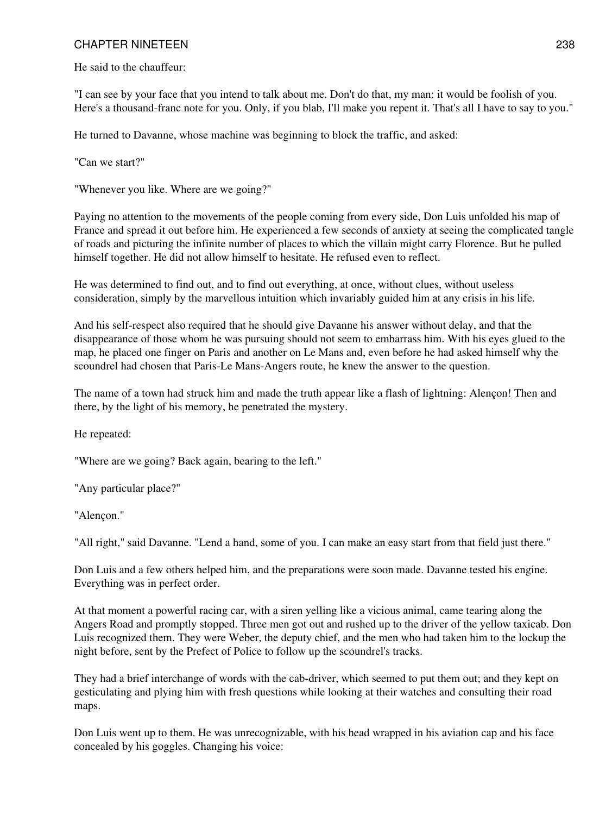He said to the chauffeur:

"I can see by your face that you intend to talk about me. Don't do that, my man: it would be foolish of you. Here's a thousand-franc note for you. Only, if you blab, I'll make you repent it. That's all I have to say to you."

He turned to Davanne, whose machine was beginning to block the traffic, and asked:

"Can we start?"

"Whenever you like. Where are we going?"

Paying no attention to the movements of the people coming from every side, Don Luis unfolded his map of France and spread it out before him. He experienced a few seconds of anxiety at seeing the complicated tangle of roads and picturing the infinite number of places to which the villain might carry Florence. But he pulled himself together. He did not allow himself to hesitate. He refused even to reflect.

He was determined to find out, and to find out everything, at once, without clues, without useless consideration, simply by the marvellous intuition which invariably guided him at any crisis in his life.

And his self-respect also required that he should give Davanne his answer without delay, and that the disappearance of those whom he was pursuing should not seem to embarrass him. With his eyes glued to the map, he placed one finger on Paris and another on Le Mans and, even before he had asked himself why the scoundrel had chosen that Paris-Le Mans-Angers route, he knew the answer to the question.

The name of a town had struck him and made the truth appear like a flash of lightning: Alençon! Then and there, by the light of his memory, he penetrated the mystery.

He repeated:

"Where are we going? Back again, bearing to the left."

"Any particular place?"

"Alençon."

"All right," said Davanne. "Lend a hand, some of you. I can make an easy start from that field just there."

Don Luis and a few others helped him, and the preparations were soon made. Davanne tested his engine. Everything was in perfect order.

At that moment a powerful racing car, with a siren yelling like a vicious animal, came tearing along the Angers Road and promptly stopped. Three men got out and rushed up to the driver of the yellow taxicab. Don Luis recognized them. They were Weber, the deputy chief, and the men who had taken him to the lockup the night before, sent by the Prefect of Police to follow up the scoundrel's tracks.

They had a brief interchange of words with the cab-driver, which seemed to put them out; and they kept on gesticulating and plying him with fresh questions while looking at their watches and consulting their road maps.

Don Luis went up to them. He was unrecognizable, with his head wrapped in his aviation cap and his face concealed by his goggles. Changing his voice: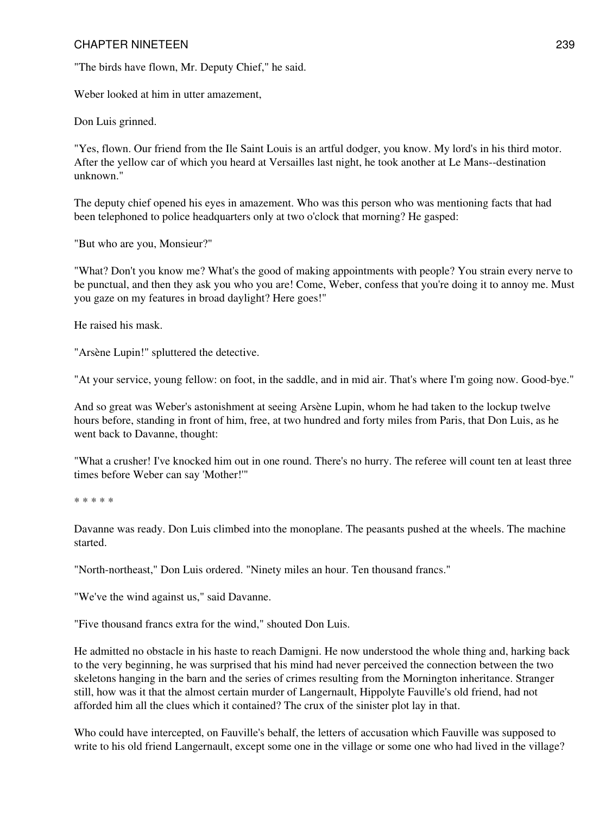"The birds have flown, Mr. Deputy Chief," he said.

Weber looked at him in utter amazement,

Don Luis grinned.

"Yes, flown. Our friend from the Ile Saint Louis is an artful dodger, you know. My lord's in his third motor. After the yellow car of which you heard at Versailles last night, he took another at Le Mans--destination unknown."

The deputy chief opened his eyes in amazement. Who was this person who was mentioning facts that had been telephoned to police headquarters only at two o'clock that morning? He gasped:

"But who are you, Monsieur?"

"What? Don't you know me? What's the good of making appointments with people? You strain every nerve to be punctual, and then they ask you who you are! Come, Weber, confess that you're doing it to annoy me. Must you gaze on my features in broad daylight? Here goes!"

He raised his mask.

"Arsène Lupin!" spluttered the detective.

"At your service, young fellow: on foot, in the saddle, and in mid air. That's where I'm going now. Good-bye."

And so great was Weber's astonishment at seeing Arsène Lupin, whom he had taken to the lockup twelve hours before, standing in front of him, free, at two hundred and forty miles from Paris, that Don Luis, as he went back to Davanne, thought:

"What a crusher! I've knocked him out in one round. There's no hurry. The referee will count ten at least three times before Weber can say 'Mother!'"

\* \* \* \* \*

Davanne was ready. Don Luis climbed into the monoplane. The peasants pushed at the wheels. The machine started.

"North-northeast," Don Luis ordered. "Ninety miles an hour. Ten thousand francs."

"We've the wind against us," said Davanne.

"Five thousand francs extra for the wind," shouted Don Luis.

He admitted no obstacle in his haste to reach Damigni. He now understood the whole thing and, harking back to the very beginning, he was surprised that his mind had never perceived the connection between the two skeletons hanging in the barn and the series of crimes resulting from the Mornington inheritance. Stranger still, how was it that the almost certain murder of Langernault, Hippolyte Fauville's old friend, had not afforded him all the clues which it contained? The crux of the sinister plot lay in that.

Who could have intercepted, on Fauville's behalf, the letters of accusation which Fauville was supposed to write to his old friend Langernault, except some one in the village or some one who had lived in the village?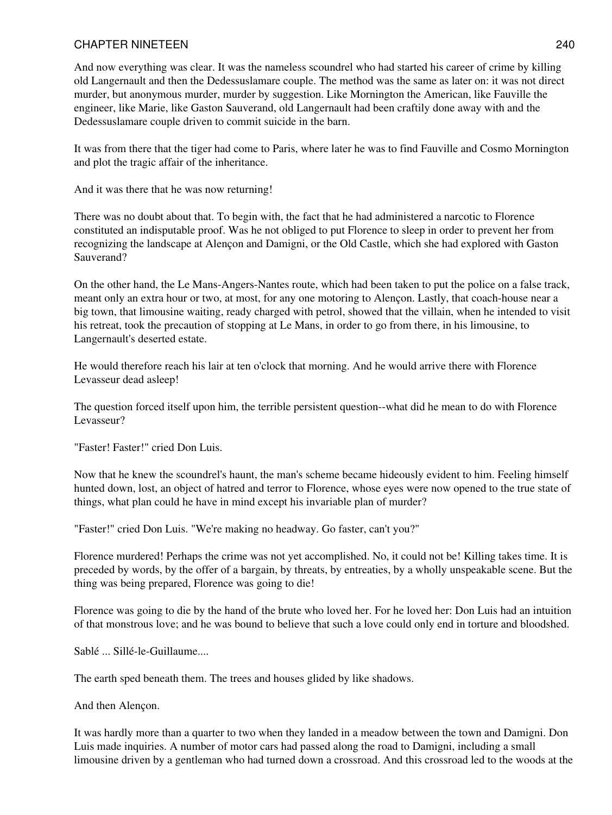And now everything was clear. It was the nameless scoundrel who had started his career of crime by killing old Langernault and then the Dedessuslamare couple. The method was the same as later on: it was not direct murder, but anonymous murder, murder by suggestion. Like Mornington the American, like Fauville the engineer, like Marie, like Gaston Sauverand, old Langernault had been craftily done away with and the Dedessuslamare couple driven to commit suicide in the barn.

It was from there that the tiger had come to Paris, where later he was to find Fauville and Cosmo Mornington and plot the tragic affair of the inheritance.

And it was there that he was now returning!

There was no doubt about that. To begin with, the fact that he had administered a narcotic to Florence constituted an indisputable proof. Was he not obliged to put Florence to sleep in order to prevent her from recognizing the landscape at Alençon and Damigni, or the Old Castle, which she had explored with Gaston Sauverand?

On the other hand, the Le Mans-Angers-Nantes route, which had been taken to put the police on a false track, meant only an extra hour or two, at most, for any one motoring to Alençon. Lastly, that coach-house near a big town, that limousine waiting, ready charged with petrol, showed that the villain, when he intended to visit his retreat, took the precaution of stopping at Le Mans, in order to go from there, in his limousine, to Langernault's deserted estate.

He would therefore reach his lair at ten o'clock that morning. And he would arrive there with Florence Levasseur dead asleep!

The question forced itself upon him, the terrible persistent question--what did he mean to do with Florence Levasseur?

"Faster! Faster!" cried Don Luis.

Now that he knew the scoundrel's haunt, the man's scheme became hideously evident to him. Feeling himself hunted down, lost, an object of hatred and terror to Florence, whose eyes were now opened to the true state of things, what plan could he have in mind except his invariable plan of murder?

"Faster!" cried Don Luis. "We're making no headway. Go faster, can't you?"

Florence murdered! Perhaps the crime was not yet accomplished. No, it could not be! Killing takes time. It is preceded by words, by the offer of a bargain, by threats, by entreaties, by a wholly unspeakable scene. But the thing was being prepared, Florence was going to die!

Florence was going to die by the hand of the brute who loved her. For he loved her: Don Luis had an intuition of that monstrous love; and he was bound to believe that such a love could only end in torture and bloodshed.

Sablé ... Sillé-le-Guillaume....

The earth sped beneath them. The trees and houses glided by like shadows.

And then Alençon.

It was hardly more than a quarter to two when they landed in a meadow between the town and Damigni. Don Luis made inquiries. A number of motor cars had passed along the road to Damigni, including a small limousine driven by a gentleman who had turned down a crossroad. And this crossroad led to the woods at the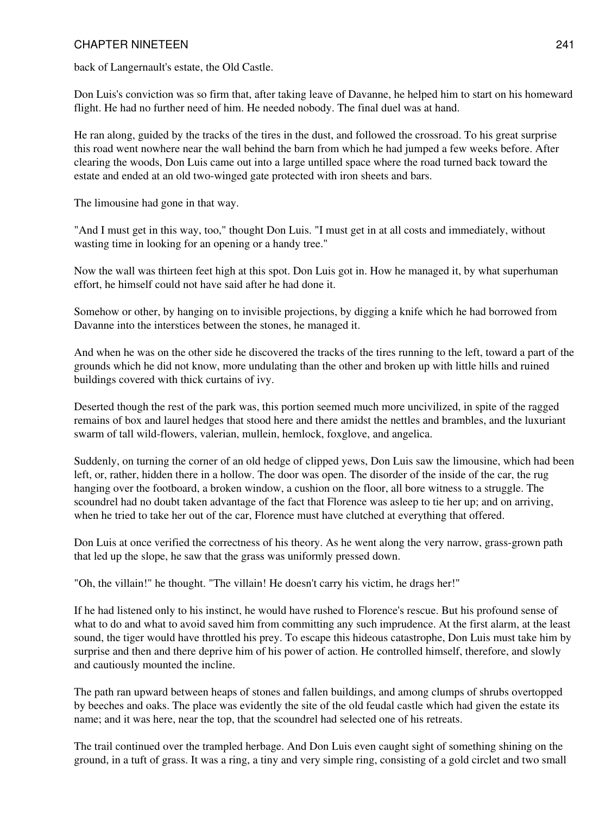back of Langernault's estate, the Old Castle.

Don Luis's conviction was so firm that, after taking leave of Davanne, he helped him to start on his homeward flight. He had no further need of him. He needed nobody. The final duel was at hand.

He ran along, guided by the tracks of the tires in the dust, and followed the crossroad. To his great surprise this road went nowhere near the wall behind the barn from which he had jumped a few weeks before. After clearing the woods, Don Luis came out into a large untilled space where the road turned back toward the estate and ended at an old two-winged gate protected with iron sheets and bars.

The limousine had gone in that way.

"And I must get in this way, too," thought Don Luis. "I must get in at all costs and immediately, without wasting time in looking for an opening or a handy tree."

Now the wall was thirteen feet high at this spot. Don Luis got in. How he managed it, by what superhuman effort, he himself could not have said after he had done it.

Somehow or other, by hanging on to invisible projections, by digging a knife which he had borrowed from Davanne into the interstices between the stones, he managed it.

And when he was on the other side he discovered the tracks of the tires running to the left, toward a part of the grounds which he did not know, more undulating than the other and broken up with little hills and ruined buildings covered with thick curtains of ivy.

Deserted though the rest of the park was, this portion seemed much more uncivilized, in spite of the ragged remains of box and laurel hedges that stood here and there amidst the nettles and brambles, and the luxuriant swarm of tall wild-flowers, valerian, mullein, hemlock, foxglove, and angelica.

Suddenly, on turning the corner of an old hedge of clipped yews, Don Luis saw the limousine, which had been left, or, rather, hidden there in a hollow. The door was open. The disorder of the inside of the car, the rug hanging over the footboard, a broken window, a cushion on the floor, all bore witness to a struggle. The scoundrel had no doubt taken advantage of the fact that Florence was asleep to tie her up; and on arriving, when he tried to take her out of the car, Florence must have clutched at everything that offered.

Don Luis at once verified the correctness of his theory. As he went along the very narrow, grass-grown path that led up the slope, he saw that the grass was uniformly pressed down.

"Oh, the villain!" he thought. "The villain! He doesn't carry his victim, he drags her!"

If he had listened only to his instinct, he would have rushed to Florence's rescue. But his profound sense of what to do and what to avoid saved him from committing any such imprudence. At the first alarm, at the least sound, the tiger would have throttled his prey. To escape this hideous catastrophe, Don Luis must take him by surprise and then and there deprive him of his power of action. He controlled himself, therefore, and slowly and cautiously mounted the incline.

The path ran upward between heaps of stones and fallen buildings, and among clumps of shrubs overtopped by beeches and oaks. The place was evidently the site of the old feudal castle which had given the estate its name; and it was here, near the top, that the scoundrel had selected one of his retreats.

The trail continued over the trampled herbage. And Don Luis even caught sight of something shining on the ground, in a tuft of grass. It was a ring, a tiny and very simple ring, consisting of a gold circlet and two small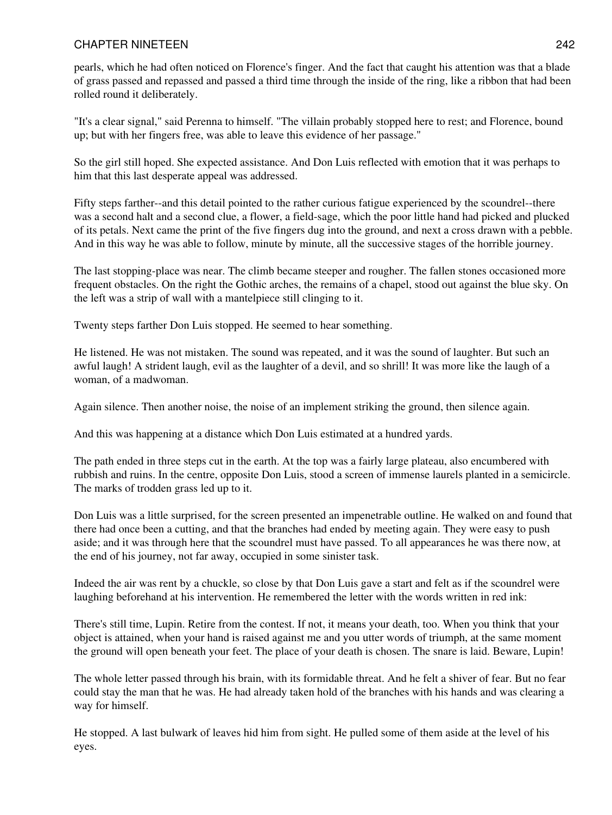pearls, which he had often noticed on Florence's finger. And the fact that caught his attention was that a blade of grass passed and repassed and passed a third time through the inside of the ring, like a ribbon that had been rolled round it deliberately.

"It's a clear signal," said Perenna to himself. "The villain probably stopped here to rest; and Florence, bound up; but with her fingers free, was able to leave this evidence of her passage."

So the girl still hoped. She expected assistance. And Don Luis reflected with emotion that it was perhaps to him that this last desperate appeal was addressed.

Fifty steps farther--and this detail pointed to the rather curious fatigue experienced by the scoundrel--there was a second halt and a second clue, a flower, a field-sage, which the poor little hand had picked and plucked of its petals. Next came the print of the five fingers dug into the ground, and next a cross drawn with a pebble. And in this way he was able to follow, minute by minute, all the successive stages of the horrible journey.

The last stopping-place was near. The climb became steeper and rougher. The fallen stones occasioned more frequent obstacles. On the right the Gothic arches, the remains of a chapel, stood out against the blue sky. On the left was a strip of wall with a mantelpiece still clinging to it.

Twenty steps farther Don Luis stopped. He seemed to hear something.

He listened. He was not mistaken. The sound was repeated, and it was the sound of laughter. But such an awful laugh! A strident laugh, evil as the laughter of a devil, and so shrill! It was more like the laugh of a woman, of a madwoman.

Again silence. Then another noise, the noise of an implement striking the ground, then silence again.

And this was happening at a distance which Don Luis estimated at a hundred yards.

The path ended in three steps cut in the earth. At the top was a fairly large plateau, also encumbered with rubbish and ruins. In the centre, opposite Don Luis, stood a screen of immense laurels planted in a semicircle. The marks of trodden grass led up to it.

Don Luis was a little surprised, for the screen presented an impenetrable outline. He walked on and found that there had once been a cutting, and that the branches had ended by meeting again. They were easy to push aside; and it was through here that the scoundrel must have passed. To all appearances he was there now, at the end of his journey, not far away, occupied in some sinister task.

Indeed the air was rent by a chuckle, so close by that Don Luis gave a start and felt as if the scoundrel were laughing beforehand at his intervention. He remembered the letter with the words written in red ink:

There's still time, Lupin. Retire from the contest. If not, it means your death, too. When you think that your object is attained, when your hand is raised against me and you utter words of triumph, at the same moment the ground will open beneath your feet. The place of your death is chosen. The snare is laid. Beware, Lupin!

The whole letter passed through his brain, with its formidable threat. And he felt a shiver of fear. But no fear could stay the man that he was. He had already taken hold of the branches with his hands and was clearing a way for himself.

He stopped. A last bulwark of leaves hid him from sight. He pulled some of them aside at the level of his eyes.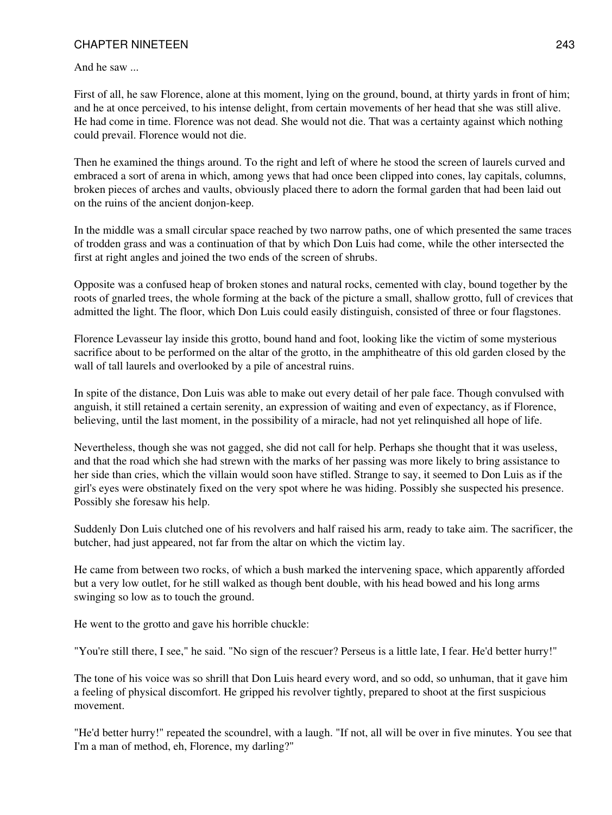And he saw ...

First of all, he saw Florence, alone at this moment, lying on the ground, bound, at thirty yards in front of him; and he at once perceived, to his intense delight, from certain movements of her head that she was still alive. He had come in time. Florence was not dead. She would not die. That was a certainty against which nothing could prevail. Florence would not die.

Then he examined the things around. To the right and left of where he stood the screen of laurels curved and embraced a sort of arena in which, among yews that had once been clipped into cones, lay capitals, columns, broken pieces of arches and vaults, obviously placed there to adorn the formal garden that had been laid out on the ruins of the ancient donjon-keep.

In the middle was a small circular space reached by two narrow paths, one of which presented the same traces of trodden grass and was a continuation of that by which Don Luis had come, while the other intersected the first at right angles and joined the two ends of the screen of shrubs.

Opposite was a confused heap of broken stones and natural rocks, cemented with clay, bound together by the roots of gnarled trees, the whole forming at the back of the picture a small, shallow grotto, full of crevices that admitted the light. The floor, which Don Luis could easily distinguish, consisted of three or four flagstones.

Florence Levasseur lay inside this grotto, bound hand and foot, looking like the victim of some mysterious sacrifice about to be performed on the altar of the grotto, in the amphitheatre of this old garden closed by the wall of tall laurels and overlooked by a pile of ancestral ruins.

In spite of the distance, Don Luis was able to make out every detail of her pale face. Though convulsed with anguish, it still retained a certain serenity, an expression of waiting and even of expectancy, as if Florence, believing, until the last moment, in the possibility of a miracle, had not yet relinquished all hope of life.

Nevertheless, though she was not gagged, she did not call for help. Perhaps she thought that it was useless, and that the road which she had strewn with the marks of her passing was more likely to bring assistance to her side than cries, which the villain would soon have stifled. Strange to say, it seemed to Don Luis as if the girl's eyes were obstinately fixed on the very spot where he was hiding. Possibly she suspected his presence. Possibly she foresaw his help.

Suddenly Don Luis clutched one of his revolvers and half raised his arm, ready to take aim. The sacrificer, the butcher, had just appeared, not far from the altar on which the victim lay.

He came from between two rocks, of which a bush marked the intervening space, which apparently afforded but a very low outlet, for he still walked as though bent double, with his head bowed and his long arms swinging so low as to touch the ground.

He went to the grotto and gave his horrible chuckle:

"You're still there, I see," he said. "No sign of the rescuer? Perseus is a little late, I fear. He'd better hurry!"

The tone of his voice was so shrill that Don Luis heard every word, and so odd, so unhuman, that it gave him a feeling of physical discomfort. He gripped his revolver tightly, prepared to shoot at the first suspicious movement.

"He'd better hurry!" repeated the scoundrel, with a laugh. "If not, all will be over in five minutes. You see that I'm a man of method, eh, Florence, my darling?"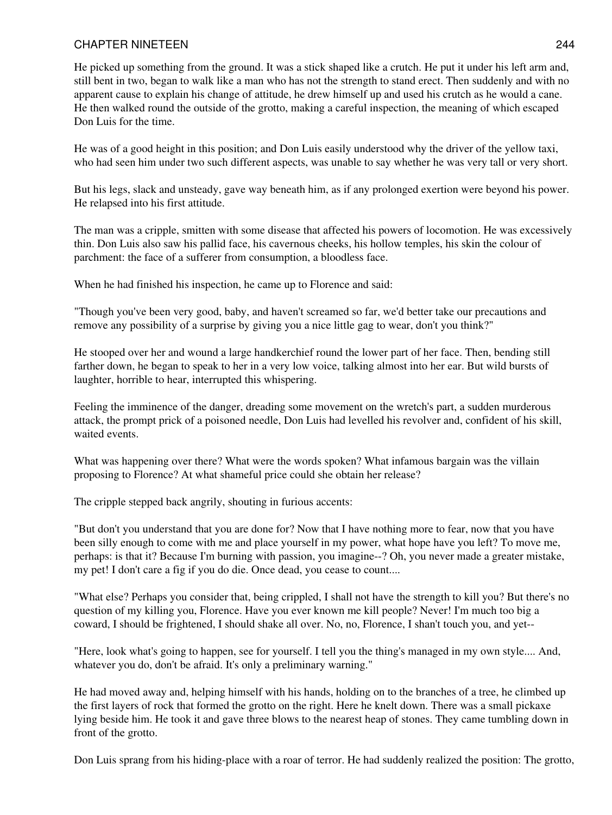He picked up something from the ground. It was a stick shaped like a crutch. He put it under his left arm and, still bent in two, began to walk like a man who has not the strength to stand erect. Then suddenly and with no apparent cause to explain his change of attitude, he drew himself up and used his crutch as he would a cane. He then walked round the outside of the grotto, making a careful inspection, the meaning of which escaped Don Luis for the time.

He was of a good height in this position; and Don Luis easily understood why the driver of the yellow taxi, who had seen him under two such different aspects, was unable to say whether he was very tall or very short.

But his legs, slack and unsteady, gave way beneath him, as if any prolonged exertion were beyond his power. He relapsed into his first attitude.

The man was a cripple, smitten with some disease that affected his powers of locomotion. He was excessively thin. Don Luis also saw his pallid face, his cavernous cheeks, his hollow temples, his skin the colour of parchment: the face of a sufferer from consumption, a bloodless face.

When he had finished his inspection, he came up to Florence and said:

"Though you've been very good, baby, and haven't screamed so far, we'd better take our precautions and remove any possibility of a surprise by giving you a nice little gag to wear, don't you think?"

He stooped over her and wound a large handkerchief round the lower part of her face. Then, bending still farther down, he began to speak to her in a very low voice, talking almost into her ear. But wild bursts of laughter, horrible to hear, interrupted this whispering.

Feeling the imminence of the danger, dreading some movement on the wretch's part, a sudden murderous attack, the prompt prick of a poisoned needle, Don Luis had levelled his revolver and, confident of his skill, waited events.

What was happening over there? What were the words spoken? What infamous bargain was the villain proposing to Florence? At what shameful price could she obtain her release?

The cripple stepped back angrily, shouting in furious accents:

"But don't you understand that you are done for? Now that I have nothing more to fear, now that you have been silly enough to come with me and place yourself in my power, what hope have you left? To move me, perhaps: is that it? Because I'm burning with passion, you imagine--? Oh, you never made a greater mistake, my pet! I don't care a fig if you do die. Once dead, you cease to count....

"What else? Perhaps you consider that, being crippled, I shall not have the strength to kill you? But there's no question of my killing you, Florence. Have you ever known me kill people? Never! I'm much too big a coward, I should be frightened, I should shake all over. No, no, Florence, I shan't touch you, and yet--

"Here, look what's going to happen, see for yourself. I tell you the thing's managed in my own style.... And, whatever you do, don't be afraid. It's only a preliminary warning."

He had moved away and, helping himself with his hands, holding on to the branches of a tree, he climbed up the first layers of rock that formed the grotto on the right. Here he knelt down. There was a small pickaxe lying beside him. He took it and gave three blows to the nearest heap of stones. They came tumbling down in front of the grotto.

Don Luis sprang from his hiding-place with a roar of terror. He had suddenly realized the position: The grotto,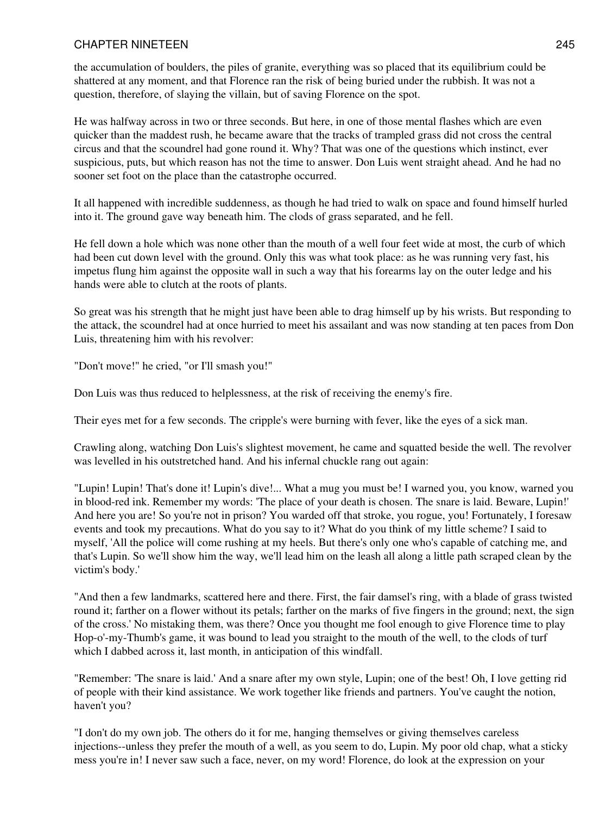the accumulation of boulders, the piles of granite, everything was so placed that its equilibrium could be shattered at any moment, and that Florence ran the risk of being buried under the rubbish. It was not a question, therefore, of slaying the villain, but of saving Florence on the spot.

He was halfway across in two or three seconds. But here, in one of those mental flashes which are even quicker than the maddest rush, he became aware that the tracks of trampled grass did not cross the central circus and that the scoundrel had gone round it. Why? That was one of the questions which instinct, ever suspicious, puts, but which reason has not the time to answer. Don Luis went straight ahead. And he had no sooner set foot on the place than the catastrophe occurred.

It all happened with incredible suddenness, as though he had tried to walk on space and found himself hurled into it. The ground gave way beneath him. The clods of grass separated, and he fell.

He fell down a hole which was none other than the mouth of a well four feet wide at most, the curb of which had been cut down level with the ground. Only this was what took place: as he was running very fast, his impetus flung him against the opposite wall in such a way that his forearms lay on the outer ledge and his hands were able to clutch at the roots of plants.

So great was his strength that he might just have been able to drag himself up by his wrists. But responding to the attack, the scoundrel had at once hurried to meet his assailant and was now standing at ten paces from Don Luis, threatening him with his revolver:

"Don't move!" he cried, "or I'll smash you!"

Don Luis was thus reduced to helplessness, at the risk of receiving the enemy's fire.

Their eyes met for a few seconds. The cripple's were burning with fever, like the eyes of a sick man.

Crawling along, watching Don Luis's slightest movement, he came and squatted beside the well. The revolver was levelled in his outstretched hand. And his infernal chuckle rang out again:

"Lupin! Lupin! That's done it! Lupin's dive!... What a mug you must be! I warned you, you know, warned you in blood-red ink. Remember my words: 'The place of your death is chosen. The snare is laid. Beware, Lupin!' And here you are! So you're not in prison? You warded off that stroke, you rogue, you! Fortunately, I foresaw events and took my precautions. What do you say to it? What do you think of my little scheme? I said to myself, 'All the police will come rushing at my heels. But there's only one who's capable of catching me, and that's Lupin. So we'll show him the way, we'll lead him on the leash all along a little path scraped clean by the victim's body.'

"And then a few landmarks, scattered here and there. First, the fair damsel's ring, with a blade of grass twisted round it; farther on a flower without its petals; farther on the marks of five fingers in the ground; next, the sign of the cross.' No mistaking them, was there? Once you thought me fool enough to give Florence time to play Hop-o'-my-Thumb's game, it was bound to lead you straight to the mouth of the well, to the clods of turf which I dabbed across it, last month, in anticipation of this windfall.

"Remember: 'The snare is laid.' And a snare after my own style, Lupin; one of the best! Oh, I love getting rid of people with their kind assistance. We work together like friends and partners. You've caught the notion, haven't you?

"I don't do my own job. The others do it for me, hanging themselves or giving themselves careless injections--unless they prefer the mouth of a well, as you seem to do, Lupin. My poor old chap, what a sticky mess you're in! I never saw such a face, never, on my word! Florence, do look at the expression on your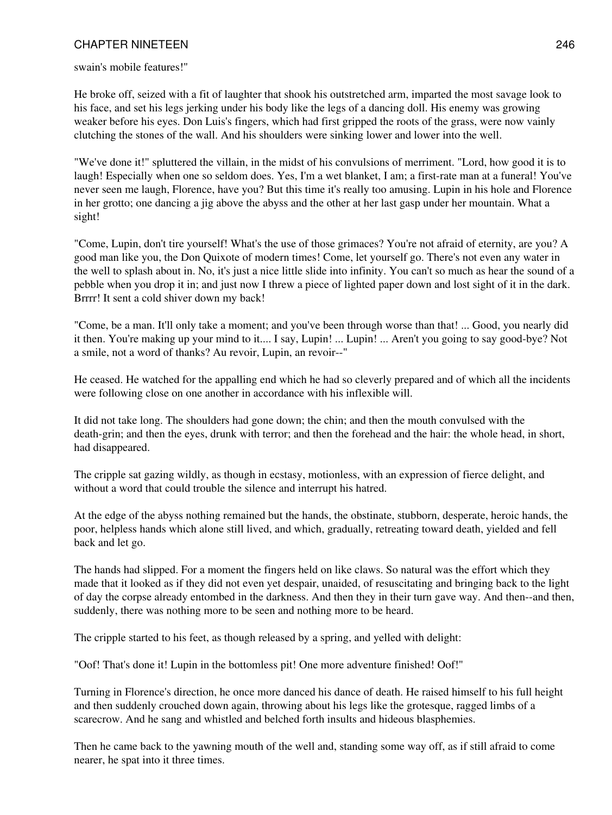swain's mobile features!"

He broke off, seized with a fit of laughter that shook his outstretched arm, imparted the most savage look to his face, and set his legs jerking under his body like the legs of a dancing doll. His enemy was growing weaker before his eyes. Don Luis's fingers, which had first gripped the roots of the grass, were now vainly clutching the stones of the wall. And his shoulders were sinking lower and lower into the well.

"We've done it!" spluttered the villain, in the midst of his convulsions of merriment. "Lord, how good it is to laugh! Especially when one so seldom does. Yes, I'm a wet blanket, I am; a first-rate man at a funeral! You've never seen me laugh, Florence, have you? But this time it's really too amusing. Lupin in his hole and Florence in her grotto; one dancing a jig above the abyss and the other at her last gasp under her mountain. What a sight!

"Come, Lupin, don't tire yourself! What's the use of those grimaces? You're not afraid of eternity, are you? A good man like you, the Don Quixote of modern times! Come, let yourself go. There's not even any water in the well to splash about in. No, it's just a nice little slide into infinity. You can't so much as hear the sound of a pebble when you drop it in; and just now I threw a piece of lighted paper down and lost sight of it in the dark. Brrrr! It sent a cold shiver down my back!

"Come, be a man. It'll only take a moment; and you've been through worse than that! ... Good, you nearly did it then. You're making up your mind to it.... I say, Lupin! ... Lupin! ... Aren't you going to say good-bye? Not a smile, not a word of thanks? Au revoir, Lupin, an revoir--"

He ceased. He watched for the appalling end which he had so cleverly prepared and of which all the incidents were following close on one another in accordance with his inflexible will.

It did not take long. The shoulders had gone down; the chin; and then the mouth convulsed with the death-grin; and then the eyes, drunk with terror; and then the forehead and the hair: the whole head, in short, had disappeared.

The cripple sat gazing wildly, as though in ecstasy, motionless, with an expression of fierce delight, and without a word that could trouble the silence and interrupt his hatred.

At the edge of the abyss nothing remained but the hands, the obstinate, stubborn, desperate, heroic hands, the poor, helpless hands which alone still lived, and which, gradually, retreating toward death, yielded and fell back and let go.

The hands had slipped. For a moment the fingers held on like claws. So natural was the effort which they made that it looked as if they did not even yet despair, unaided, of resuscitating and bringing back to the light of day the corpse already entombed in the darkness. And then they in their turn gave way. And then--and then, suddenly, there was nothing more to be seen and nothing more to be heard.

The cripple started to his feet, as though released by a spring, and yelled with delight:

"Oof! That's done it! Lupin in the bottomless pit! One more adventure finished! Oof!"

Turning in Florence's direction, he once more danced his dance of death. He raised himself to his full height and then suddenly crouched down again, throwing about his legs like the grotesque, ragged limbs of a scarecrow. And he sang and whistled and belched forth insults and hideous blasphemies.

Then he came back to the yawning mouth of the well and, standing some way off, as if still afraid to come nearer, he spat into it three times.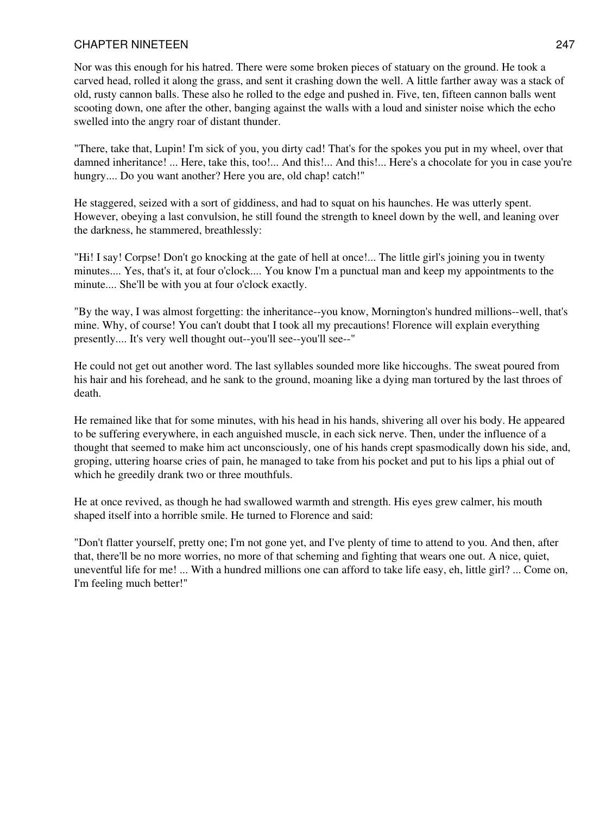Nor was this enough for his hatred. There were some broken pieces of statuary on the ground. He took a carved head, rolled it along the grass, and sent it crashing down the well. A little farther away was a stack of old, rusty cannon balls. These also he rolled to the edge and pushed in. Five, ten, fifteen cannon balls went scooting down, one after the other, banging against the walls with a loud and sinister noise which the echo swelled into the angry roar of distant thunder.

"There, take that, Lupin! I'm sick of you, you dirty cad! That's for the spokes you put in my wheel, over that damned inheritance! ... Here, take this, too!... And this!... And this!... Here's a chocolate for you in case you're hungry.... Do you want another? Here you are, old chap! catch!"

He staggered, seized with a sort of giddiness, and had to squat on his haunches. He was utterly spent. However, obeying a last convulsion, he still found the strength to kneel down by the well, and leaning over the darkness, he stammered, breathlessly:

"Hi! I say! Corpse! Don't go knocking at the gate of hell at once!... The little girl's joining you in twenty minutes.... Yes, that's it, at four o'clock.... You know I'm a punctual man and keep my appointments to the minute.... She'll be with you at four o'clock exactly.

"By the way, I was almost forgetting: the inheritance--you know, Mornington's hundred millions--well, that's mine. Why, of course! You can't doubt that I took all my precautions! Florence will explain everything presently.... It's very well thought out--you'll see--you'll see--"

He could not get out another word. The last syllables sounded more like hiccoughs. The sweat poured from his hair and his forehead, and he sank to the ground, moaning like a dying man tortured by the last throes of death.

He remained like that for some minutes, with his head in his hands, shivering all over his body. He appeared to be suffering everywhere, in each anguished muscle, in each sick nerve. Then, under the influence of a thought that seemed to make him act unconsciously, one of his hands crept spasmodically down his side, and, groping, uttering hoarse cries of pain, he managed to take from his pocket and put to his lips a phial out of which he greedily drank two or three mouthfuls.

He at once revived, as though he had swallowed warmth and strength. His eyes grew calmer, his mouth shaped itself into a horrible smile. He turned to Florence and said:

"Don't flatter yourself, pretty one; I'm not gone yet, and I've plenty of time to attend to you. And then, after that, there'll be no more worries, no more of that scheming and fighting that wears one out. A nice, quiet, uneventful life for me! ... With a hundred millions one can afford to take life easy, eh, little girl? ... Come on, I'm feeling much better!"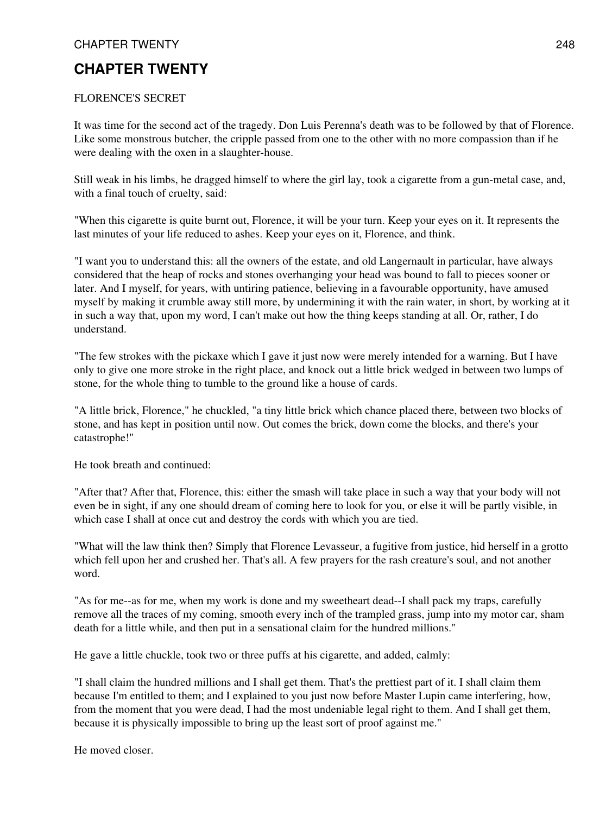## **CHAPTER TWENTY**

#### FLORENCE'S SECRET

It was time for the second act of the tragedy. Don Luis Perenna's death was to be followed by that of Florence. Like some monstrous butcher, the cripple passed from one to the other with no more compassion than if he were dealing with the oxen in a slaughter-house.

Still weak in his limbs, he dragged himself to where the girl lay, took a cigarette from a gun-metal case, and, with a final touch of cruelty, said:

"When this cigarette is quite burnt out, Florence, it will be your turn. Keep your eyes on it. It represents the last minutes of your life reduced to ashes. Keep your eyes on it, Florence, and think.

"I want you to understand this: all the owners of the estate, and old Langernault in particular, have always considered that the heap of rocks and stones overhanging your head was bound to fall to pieces sooner or later. And I myself, for years, with untiring patience, believing in a favourable opportunity, have amused myself by making it crumble away still more, by undermining it with the rain water, in short, by working at it in such a way that, upon my word, I can't make out how the thing keeps standing at all. Or, rather, I do understand.

"The few strokes with the pickaxe which I gave it just now were merely intended for a warning. But I have only to give one more stroke in the right place, and knock out a little brick wedged in between two lumps of stone, for the whole thing to tumble to the ground like a house of cards.

"A little brick, Florence," he chuckled, "a tiny little brick which chance placed there, between two blocks of stone, and has kept in position until now. Out comes the brick, down come the blocks, and there's your catastrophe!"

He took breath and continued:

"After that? After that, Florence, this: either the smash will take place in such a way that your body will not even be in sight, if any one should dream of coming here to look for you, or else it will be partly visible, in which case I shall at once cut and destroy the cords with which you are tied.

"What will the law think then? Simply that Florence Levasseur, a fugitive from justice, hid herself in a grotto which fell upon her and crushed her. That's all. A few prayers for the rash creature's soul, and not another word.

"As for me--as for me, when my work is done and my sweetheart dead--I shall pack my traps, carefully remove all the traces of my coming, smooth every inch of the trampled grass, jump into my motor car, sham death for a little while, and then put in a sensational claim for the hundred millions."

He gave a little chuckle, took two or three puffs at his cigarette, and added, calmly:

"I shall claim the hundred millions and I shall get them. That's the prettiest part of it. I shall claim them because I'm entitled to them; and I explained to you just now before Master Lupin came interfering, how, from the moment that you were dead, I had the most undeniable legal right to them. And I shall get them, because it is physically impossible to bring up the least sort of proof against me."

He moved closer.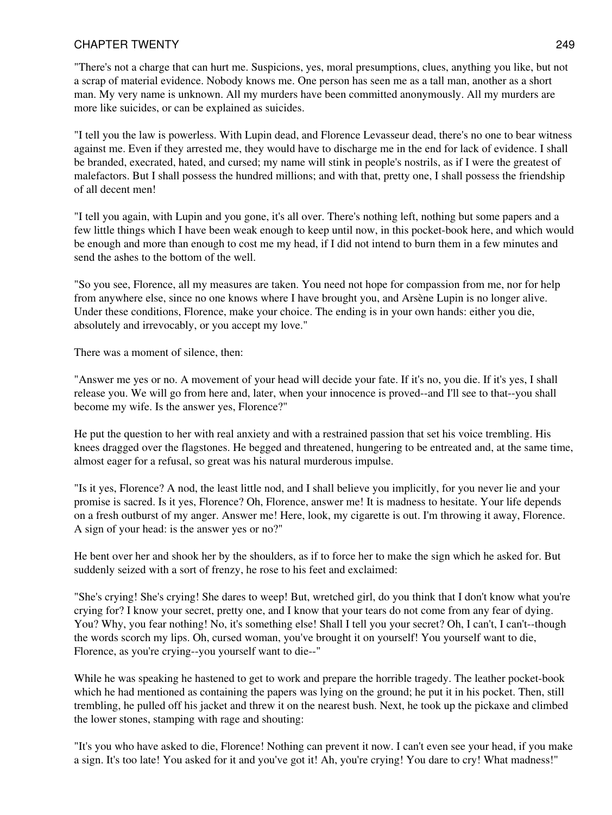"There's not a charge that can hurt me. Suspicions, yes, moral presumptions, clues, anything you like, but not a scrap of material evidence. Nobody knows me. One person has seen me as a tall man, another as a short man. My very name is unknown. All my murders have been committed anonymously. All my murders are more like suicides, or can be explained as suicides.

"I tell you the law is powerless. With Lupin dead, and Florence Levasseur dead, there's no one to bear witness against me. Even if they arrested me, they would have to discharge me in the end for lack of evidence. I shall be branded, execrated, hated, and cursed; my name will stink in people's nostrils, as if I were the greatest of malefactors. But I shall possess the hundred millions; and with that, pretty one, I shall possess the friendship of all decent men!

"I tell you again, with Lupin and you gone, it's all over. There's nothing left, nothing but some papers and a few little things which I have been weak enough to keep until now, in this pocket-book here, and which would be enough and more than enough to cost me my head, if I did not intend to burn them in a few minutes and send the ashes to the bottom of the well.

"So you see, Florence, all my measures are taken. You need not hope for compassion from me, nor for help from anywhere else, since no one knows where I have brought you, and Arsène Lupin is no longer alive. Under these conditions, Florence, make your choice. The ending is in your own hands: either you die, absolutely and irrevocably, or you accept my love."

There was a moment of silence, then:

"Answer me yes or no. A movement of your head will decide your fate. If it's no, you die. If it's yes, I shall release you. We will go from here and, later, when your innocence is proved--and I'll see to that--you shall become my wife. Is the answer yes, Florence?"

He put the question to her with real anxiety and with a restrained passion that set his voice trembling. His knees dragged over the flagstones. He begged and threatened, hungering to be entreated and, at the same time, almost eager for a refusal, so great was his natural murderous impulse.

"Is it yes, Florence? A nod, the least little nod, and I shall believe you implicitly, for you never lie and your promise is sacred. Is it yes, Florence? Oh, Florence, answer me! It is madness to hesitate. Your life depends on a fresh outburst of my anger. Answer me! Here, look, my cigarette is out. I'm throwing it away, Florence. A sign of your head: is the answer yes or no?"

He bent over her and shook her by the shoulders, as if to force her to make the sign which he asked for. But suddenly seized with a sort of frenzy, he rose to his feet and exclaimed:

"She's crying! She's crying! She dares to weep! But, wretched girl, do you think that I don't know what you're crying for? I know your secret, pretty one, and I know that your tears do not come from any fear of dying. You? Why, you fear nothing! No, it's something else! Shall I tell you your secret? Oh, I can't, I can't--though the words scorch my lips. Oh, cursed woman, you've brought it on yourself! You yourself want to die, Florence, as you're crying--you yourself want to die--"

While he was speaking he hastened to get to work and prepare the horrible tragedy. The leather pocket-book which he had mentioned as containing the papers was lying on the ground; he put it in his pocket. Then, still trembling, he pulled off his jacket and threw it on the nearest bush. Next, he took up the pickaxe and climbed the lower stones, stamping with rage and shouting:

"It's you who have asked to die, Florence! Nothing can prevent it now. I can't even see your head, if you make a sign. It's too late! You asked for it and you've got it! Ah, you're crying! You dare to cry! What madness!"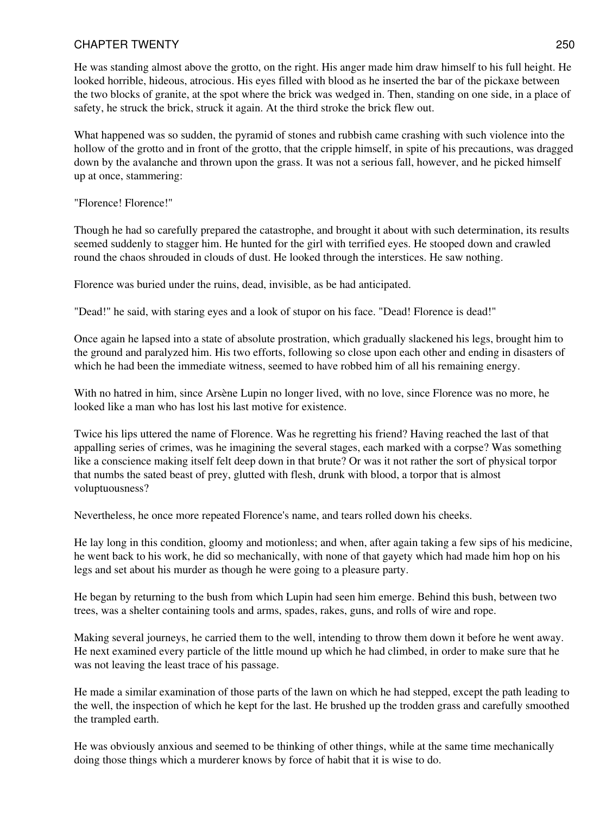He was standing almost above the grotto, on the right. His anger made him draw himself to his full height. He looked horrible, hideous, atrocious. His eyes filled with blood as he inserted the bar of the pickaxe between the two blocks of granite, at the spot where the brick was wedged in. Then, standing on one side, in a place of safety, he struck the brick, struck it again. At the third stroke the brick flew out.

What happened was so sudden, the pyramid of stones and rubbish came crashing with such violence into the hollow of the grotto and in front of the grotto, that the cripple himself, in spite of his precautions, was dragged down by the avalanche and thrown upon the grass. It was not a serious fall, however, and he picked himself up at once, stammering:

"Florence! Florence!"

Though he had so carefully prepared the catastrophe, and brought it about with such determination, its results seemed suddenly to stagger him. He hunted for the girl with terrified eyes. He stooped down and crawled round the chaos shrouded in clouds of dust. He looked through the interstices. He saw nothing.

Florence was buried under the ruins, dead, invisible, as be had anticipated.

"Dead!" he said, with staring eyes and a look of stupor on his face. "Dead! Florence is dead!"

Once again he lapsed into a state of absolute prostration, which gradually slackened his legs, brought him to the ground and paralyzed him. His two efforts, following so close upon each other and ending in disasters of which he had been the immediate witness, seemed to have robbed him of all his remaining energy.

With no hatred in him, since Arsène Lupin no longer lived, with no love, since Florence was no more, he looked like a man who has lost his last motive for existence.

Twice his lips uttered the name of Florence. Was he regretting his friend? Having reached the last of that appalling series of crimes, was he imagining the several stages, each marked with a corpse? Was something like a conscience making itself felt deep down in that brute? Or was it not rather the sort of physical torpor that numbs the sated beast of prey, glutted with flesh, drunk with blood, a torpor that is almost voluptuousness?

Nevertheless, he once more repeated Florence's name, and tears rolled down his cheeks.

He lay long in this condition, gloomy and motionless; and when, after again taking a few sips of his medicine, he went back to his work, he did so mechanically, with none of that gayety which had made him hop on his legs and set about his murder as though he were going to a pleasure party.

He began by returning to the bush from which Lupin had seen him emerge. Behind this bush, between two trees, was a shelter containing tools and arms, spades, rakes, guns, and rolls of wire and rope.

Making several journeys, he carried them to the well, intending to throw them down it before he went away. He next examined every particle of the little mound up which he had climbed, in order to make sure that he was not leaving the least trace of his passage.

He made a similar examination of those parts of the lawn on which he had stepped, except the path leading to the well, the inspection of which he kept for the last. He brushed up the trodden grass and carefully smoothed the trampled earth.

He was obviously anxious and seemed to be thinking of other things, while at the same time mechanically doing those things which a murderer knows by force of habit that it is wise to do.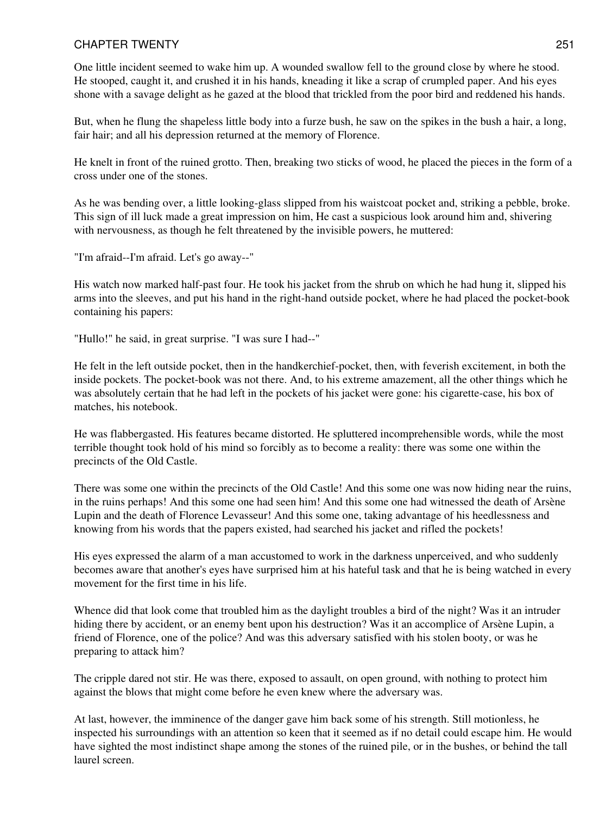One little incident seemed to wake him up. A wounded swallow fell to the ground close by where he stood. He stooped, caught it, and crushed it in his hands, kneading it like a scrap of crumpled paper. And his eyes shone with a savage delight as he gazed at the blood that trickled from the poor bird and reddened his hands.

But, when he flung the shapeless little body into a furze bush, he saw on the spikes in the bush a hair, a long, fair hair; and all his depression returned at the memory of Florence.

He knelt in front of the ruined grotto. Then, breaking two sticks of wood, he placed the pieces in the form of a cross under one of the stones.

As he was bending over, a little looking-glass slipped from his waistcoat pocket and, striking a pebble, broke. This sign of ill luck made a great impression on him, He cast a suspicious look around him and, shivering with nervousness, as though he felt threatened by the invisible powers, he muttered:

"I'm afraid--I'm afraid. Let's go away--"

His watch now marked half-past four. He took his jacket from the shrub on which he had hung it, slipped his arms into the sleeves, and put his hand in the right-hand outside pocket, where he had placed the pocket-book containing his papers:

"Hullo!" he said, in great surprise. "I was sure I had--"

He felt in the left outside pocket, then in the handkerchief-pocket, then, with feverish excitement, in both the inside pockets. The pocket-book was not there. And, to his extreme amazement, all the other things which he was absolutely certain that he had left in the pockets of his jacket were gone: his cigarette-case, his box of matches, his notebook.

He was flabbergasted. His features became distorted. He spluttered incomprehensible words, while the most terrible thought took hold of his mind so forcibly as to become a reality: there was some one within the precincts of the Old Castle.

There was some one within the precincts of the Old Castle! And this some one was now hiding near the ruins, in the ruins perhaps! And this some one had seen him! And this some one had witnessed the death of Arsène Lupin and the death of Florence Levasseur! And this some one, taking advantage of his heedlessness and knowing from his words that the papers existed, had searched his jacket and rifled the pockets!

His eyes expressed the alarm of a man accustomed to work in the darkness unperceived, and who suddenly becomes aware that another's eyes have surprised him at his hateful task and that he is being watched in every movement for the first time in his life.

Whence did that look come that troubled him as the daylight troubles a bird of the night? Was it an intruder hiding there by accident, or an enemy bent upon his destruction? Was it an accomplice of Arsène Lupin, a friend of Florence, one of the police? And was this adversary satisfied with his stolen booty, or was he preparing to attack him?

The cripple dared not stir. He was there, exposed to assault, on open ground, with nothing to protect him against the blows that might come before he even knew where the adversary was.

At last, however, the imminence of the danger gave him back some of his strength. Still motionless, he inspected his surroundings with an attention so keen that it seemed as if no detail could escape him. He would have sighted the most indistinct shape among the stones of the ruined pile, or in the bushes, or behind the tall laurel screen.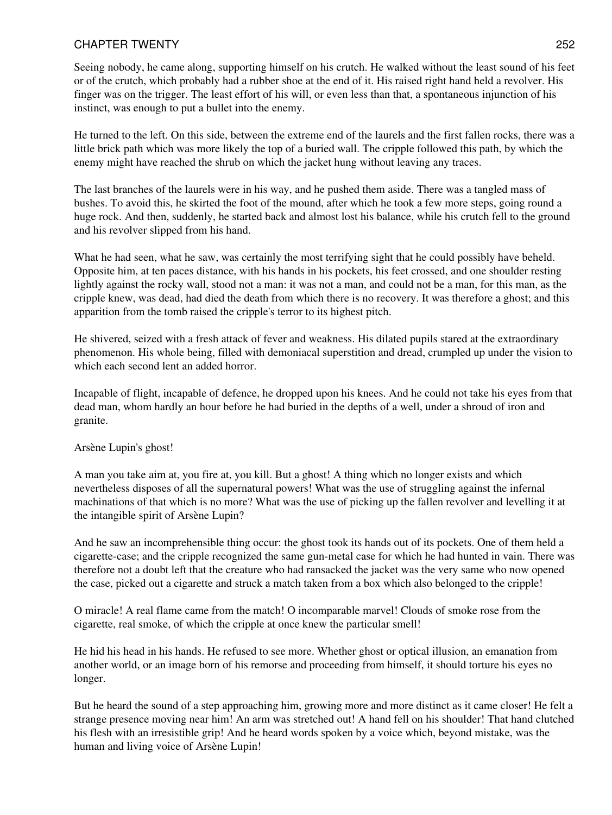Seeing nobody, he came along, supporting himself on his crutch. He walked without the least sound of his feet or of the crutch, which probably had a rubber shoe at the end of it. His raised right hand held a revolver. His finger was on the trigger. The least effort of his will, or even less than that, a spontaneous injunction of his instinct, was enough to put a bullet into the enemy.

He turned to the left. On this side, between the extreme end of the laurels and the first fallen rocks, there was a little brick path which was more likely the top of a buried wall. The cripple followed this path, by which the enemy might have reached the shrub on which the jacket hung without leaving any traces.

The last branches of the laurels were in his way, and he pushed them aside. There was a tangled mass of bushes. To avoid this, he skirted the foot of the mound, after which he took a few more steps, going round a huge rock. And then, suddenly, he started back and almost lost his balance, while his crutch fell to the ground and his revolver slipped from his hand.

What he had seen, what he saw, was certainly the most terrifying sight that he could possibly have beheld. Opposite him, at ten paces distance, with his hands in his pockets, his feet crossed, and one shoulder resting lightly against the rocky wall, stood not a man: it was not a man, and could not be a man, for this man, as the cripple knew, was dead, had died the death from which there is no recovery. It was therefore a ghost; and this apparition from the tomb raised the cripple's terror to its highest pitch.

He shivered, seized with a fresh attack of fever and weakness. His dilated pupils stared at the extraordinary phenomenon. His whole being, filled with demoniacal superstition and dread, crumpled up under the vision to which each second lent an added horror.

Incapable of flight, incapable of defence, he dropped upon his knees. And he could not take his eyes from that dead man, whom hardly an hour before he had buried in the depths of a well, under a shroud of iron and granite.

#### Arsène Lupin's ghost!

A man you take aim at, you fire at, you kill. But a ghost! A thing which no longer exists and which nevertheless disposes of all the supernatural powers! What was the use of struggling against the infernal machinations of that which is no more? What was the use of picking up the fallen revolver and levelling it at the intangible spirit of Arsène Lupin?

And he saw an incomprehensible thing occur: the ghost took its hands out of its pockets. One of them held a cigarette-case; and the cripple recognized the same gun-metal case for which he had hunted in vain. There was therefore not a doubt left that the creature who had ransacked the jacket was the very same who now opened the case, picked out a cigarette and struck a match taken from a box which also belonged to the cripple!

O miracle! A real flame came from the match! O incomparable marvel! Clouds of smoke rose from the cigarette, real smoke, of which the cripple at once knew the particular smell!

He hid his head in his hands. He refused to see more. Whether ghost or optical illusion, an emanation from another world, or an image born of his remorse and proceeding from himself, it should torture his eyes no longer.

But he heard the sound of a step approaching him, growing more and more distinct as it came closer! He felt a strange presence moving near him! An arm was stretched out! A hand fell on his shoulder! That hand clutched his flesh with an irresistible grip! And he heard words spoken by a voice which, beyond mistake, was the human and living voice of Arsène Lupin!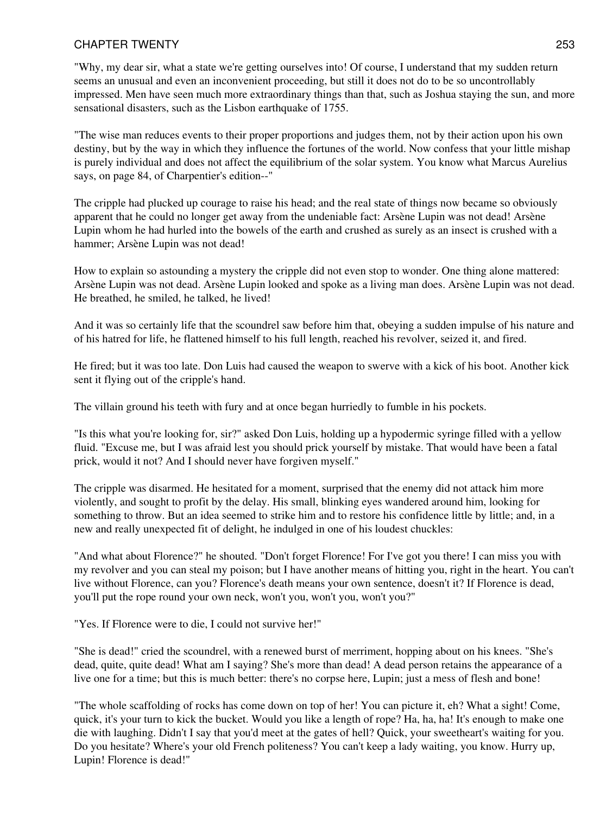"Why, my dear sir, what a state we're getting ourselves into! Of course, I understand that my sudden return seems an unusual and even an inconvenient proceeding, but still it does not do to be so uncontrollably impressed. Men have seen much more extraordinary things than that, such as Joshua staying the sun, and more sensational disasters, such as the Lisbon earthquake of 1755.

"The wise man reduces events to their proper proportions and judges them, not by their action upon his own destiny, but by the way in which they influence the fortunes of the world. Now confess that your little mishap is purely individual and does not affect the equilibrium of the solar system. You know what Marcus Aurelius says, on page 84, of Charpentier's edition--"

The cripple had plucked up courage to raise his head; and the real state of things now became so obviously apparent that he could no longer get away from the undeniable fact: Arsène Lupin was not dead! Arsène Lupin whom he had hurled into the bowels of the earth and crushed as surely as an insect is crushed with a hammer; Arsène Lupin was not dead!

How to explain so astounding a mystery the cripple did not even stop to wonder. One thing alone mattered: Arsène Lupin was not dead. Arsène Lupin looked and spoke as a living man does. Arsène Lupin was not dead. He breathed, he smiled, he talked, he lived!

And it was so certainly life that the scoundrel saw before him that, obeying a sudden impulse of his nature and of his hatred for life, he flattened himself to his full length, reached his revolver, seized it, and fired.

He fired; but it was too late. Don Luis had caused the weapon to swerve with a kick of his boot. Another kick sent it flying out of the cripple's hand.

The villain ground his teeth with fury and at once began hurriedly to fumble in his pockets.

"Is this what you're looking for, sir?" asked Don Luis, holding up a hypodermic syringe filled with a yellow fluid. "Excuse me, but I was afraid lest you should prick yourself by mistake. That would have been a fatal prick, would it not? And I should never have forgiven myself."

The cripple was disarmed. He hesitated for a moment, surprised that the enemy did not attack him more violently, and sought to profit by the delay. His small, blinking eyes wandered around him, looking for something to throw. But an idea seemed to strike him and to restore his confidence little by little; and, in a new and really unexpected fit of delight, he indulged in one of his loudest chuckles:

"And what about Florence?" he shouted. "Don't forget Florence! For I've got you there! I can miss you with my revolver and you can steal my poison; but I have another means of hitting you, right in the heart. You can't live without Florence, can you? Florence's death means your own sentence, doesn't it? If Florence is dead, you'll put the rope round your own neck, won't you, won't you, won't you?"

"Yes. If Florence were to die, I could not survive her!"

"She is dead!" cried the scoundrel, with a renewed burst of merriment, hopping about on his knees. "She's dead, quite, quite dead! What am I saying? She's more than dead! A dead person retains the appearance of a live one for a time; but this is much better: there's no corpse here, Lupin; just a mess of flesh and bone!

"The whole scaffolding of rocks has come down on top of her! You can picture it, eh? What a sight! Come, quick, it's your turn to kick the bucket. Would you like a length of rope? Ha, ha, ha! It's enough to make one die with laughing. Didn't I say that you'd meet at the gates of hell? Quick, your sweetheart's waiting for you. Do you hesitate? Where's your old French politeness? You can't keep a lady waiting, you know. Hurry up, Lupin! Florence is dead!"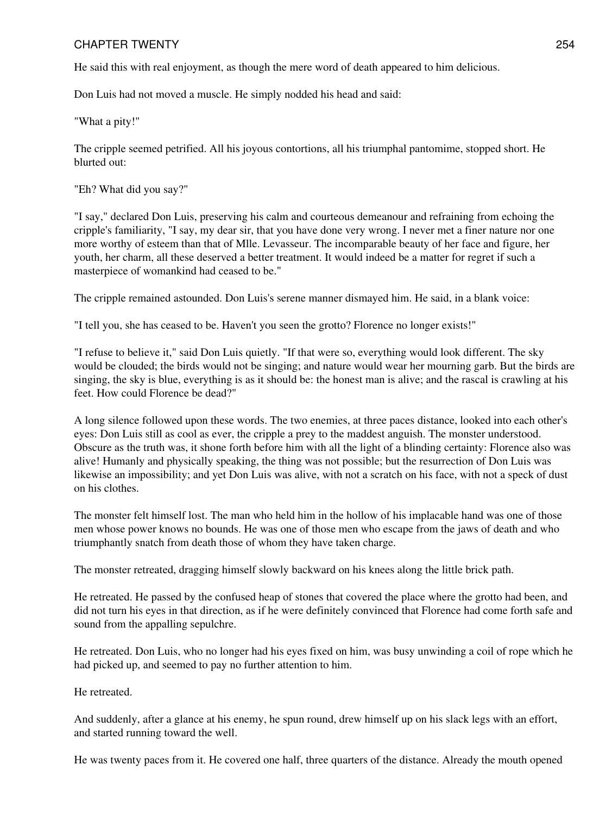He said this with real enjoyment, as though the mere word of death appeared to him delicious.

Don Luis had not moved a muscle. He simply nodded his head and said:

"What a pity!"

The cripple seemed petrified. All his joyous contortions, all his triumphal pantomime, stopped short. He blurted out:

"Eh? What did you say?"

"I say," declared Don Luis, preserving his calm and courteous demeanour and refraining from echoing the cripple's familiarity, "I say, my dear sir, that you have done very wrong. I never met a finer nature nor one more worthy of esteem than that of Mlle. Levasseur. The incomparable beauty of her face and figure, her youth, her charm, all these deserved a better treatment. It would indeed be a matter for regret if such a masterpiece of womankind had ceased to be."

The cripple remained astounded. Don Luis's serene manner dismayed him. He said, in a blank voice:

"I tell you, she has ceased to be. Haven't you seen the grotto? Florence no longer exists!"

"I refuse to believe it," said Don Luis quietly. "If that were so, everything would look different. The sky would be clouded; the birds would not be singing; and nature would wear her mourning garb. But the birds are singing, the sky is blue, everything is as it should be: the honest man is alive; and the rascal is crawling at his feet. How could Florence be dead?"

A long silence followed upon these words. The two enemies, at three paces distance, looked into each other's eyes: Don Luis still as cool as ever, the cripple a prey to the maddest anguish. The monster understood. Obscure as the truth was, it shone forth before him with all the light of a blinding certainty: Florence also was alive! Humanly and physically speaking, the thing was not possible; but the resurrection of Don Luis was likewise an impossibility; and yet Don Luis was alive, with not a scratch on his face, with not a speck of dust on his clothes.

The monster felt himself lost. The man who held him in the hollow of his implacable hand was one of those men whose power knows no bounds. He was one of those men who escape from the jaws of death and who triumphantly snatch from death those of whom they have taken charge.

The monster retreated, dragging himself slowly backward on his knees along the little brick path.

He retreated. He passed by the confused heap of stones that covered the place where the grotto had been, and did not turn his eyes in that direction, as if he were definitely convinced that Florence had come forth safe and sound from the appalling sepulchre.

He retreated. Don Luis, who no longer had his eyes fixed on him, was busy unwinding a coil of rope which he had picked up, and seemed to pay no further attention to him.

He retreated.

And suddenly, after a glance at his enemy, he spun round, drew himself up on his slack legs with an effort, and started running toward the well.

He was twenty paces from it. He covered one half, three quarters of the distance. Already the mouth opened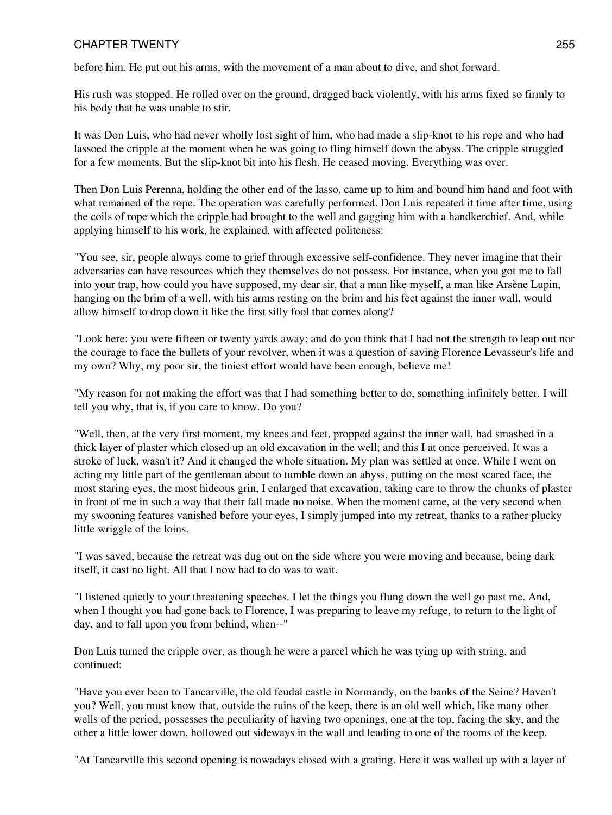before him. He put out his arms, with the movement of a man about to dive, and shot forward.

His rush was stopped. He rolled over on the ground, dragged back violently, with his arms fixed so firmly to his body that he was unable to stir.

It was Don Luis, who had never wholly lost sight of him, who had made a slip-knot to his rope and who had lassoed the cripple at the moment when he was going to fling himself down the abyss. The cripple struggled for a few moments. But the slip-knot bit into his flesh. He ceased moving. Everything was over.

Then Don Luis Perenna, holding the other end of the lasso, came up to him and bound him hand and foot with what remained of the rope. The operation was carefully performed. Don Luis repeated it time after time, using the coils of rope which the cripple had brought to the well and gagging him with a handkerchief. And, while applying himself to his work, he explained, with affected politeness:

"You see, sir, people always come to grief through excessive self-confidence. They never imagine that their adversaries can have resources which they themselves do not possess. For instance, when you got me to fall into your trap, how could you have supposed, my dear sir, that a man like myself, a man like Arsène Lupin, hanging on the brim of a well, with his arms resting on the brim and his feet against the inner wall, would allow himself to drop down it like the first silly fool that comes along?

"Look here: you were fifteen or twenty yards away; and do you think that I had not the strength to leap out nor the courage to face the bullets of your revolver, when it was a question of saving Florence Levasseur's life and my own? Why, my poor sir, the tiniest effort would have been enough, believe me!

"My reason for not making the effort was that I had something better to do, something infinitely better. I will tell you why, that is, if you care to know. Do you?

"Well, then, at the very first moment, my knees and feet, propped against the inner wall, had smashed in a thick layer of plaster which closed up an old excavation in the well; and this I at once perceived. It was a stroke of luck, wasn't it? And it changed the whole situation. My plan was settled at once. While I went on acting my little part of the gentleman about to tumble down an abyss, putting on the most scared face, the most staring eyes, the most hideous grin, I enlarged that excavation, taking care to throw the chunks of plaster in front of me in such a way that their fall made no noise. When the moment came, at the very second when my swooning features vanished before your eyes, I simply jumped into my retreat, thanks to a rather plucky little wriggle of the loins.

"I was saved, because the retreat was dug out on the side where you were moving and because, being dark itself, it cast no light. All that I now had to do was to wait.

"I listened quietly to your threatening speeches. I let the things you flung down the well go past me. And, when I thought you had gone back to Florence, I was preparing to leave my refuge, to return to the light of day, and to fall upon you from behind, when--"

Don Luis turned the cripple over, as though he were a parcel which he was tying up with string, and continued:

"Have you ever been to Tancarville, the old feudal castle in Normandy, on the banks of the Seine? Haven't you? Well, you must know that, outside the ruins of the keep, there is an old well which, like many other wells of the period, possesses the peculiarity of having two openings, one at the top, facing the sky, and the other a little lower down, hollowed out sideways in the wall and leading to one of the rooms of the keep.

"At Tancarville this second opening is nowadays closed with a grating. Here it was walled up with a layer of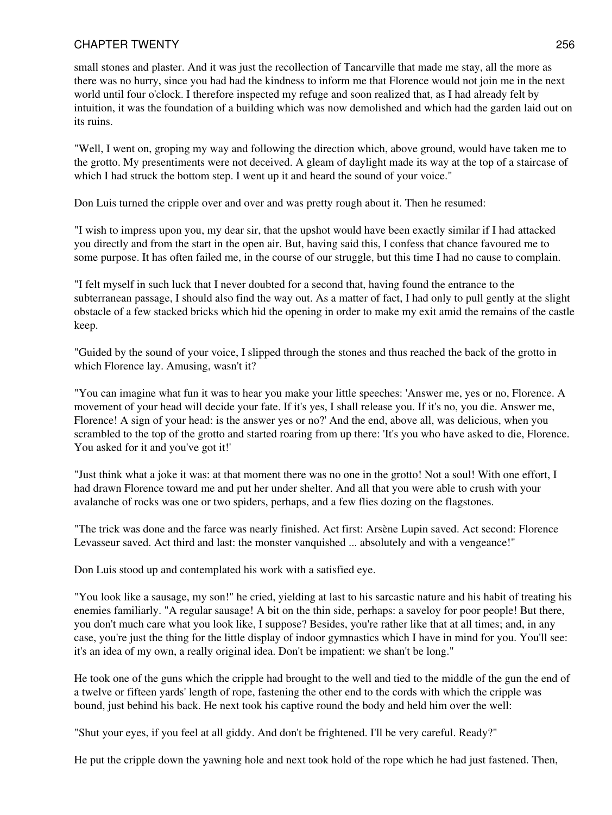small stones and plaster. And it was just the recollection of Tancarville that made me stay, all the more as there was no hurry, since you had had the kindness to inform me that Florence would not join me in the next world until four o'clock. I therefore inspected my refuge and soon realized that, as I had already felt by intuition, it was the foundation of a building which was now demolished and which had the garden laid out on its ruins.

"Well, I went on, groping my way and following the direction which, above ground, would have taken me to the grotto. My presentiments were not deceived. A gleam of daylight made its way at the top of a staircase of which I had struck the bottom step. I went up it and heard the sound of your voice."

Don Luis turned the cripple over and over and was pretty rough about it. Then he resumed:

"I wish to impress upon you, my dear sir, that the upshot would have been exactly similar if I had attacked you directly and from the start in the open air. But, having said this, I confess that chance favoured me to some purpose. It has often failed me, in the course of our struggle, but this time I had no cause to complain.

"I felt myself in such luck that I never doubted for a second that, having found the entrance to the subterranean passage, I should also find the way out. As a matter of fact, I had only to pull gently at the slight obstacle of a few stacked bricks which hid the opening in order to make my exit amid the remains of the castle keep.

"Guided by the sound of your voice, I slipped through the stones and thus reached the back of the grotto in which Florence lay. Amusing, wasn't it?

"You can imagine what fun it was to hear you make your little speeches: 'Answer me, yes or no, Florence. A movement of your head will decide your fate. If it's yes, I shall release you. If it's no, you die. Answer me, Florence! A sign of your head: is the answer yes or no?' And the end, above all, was delicious, when you scrambled to the top of the grotto and started roaring from up there: 'It's you who have asked to die, Florence. You asked for it and you've got it!'

"Just think what a joke it was: at that moment there was no one in the grotto! Not a soul! With one effort, I had drawn Florence toward me and put her under shelter. And all that you were able to crush with your avalanche of rocks was one or two spiders, perhaps, and a few flies dozing on the flagstones.

"The trick was done and the farce was nearly finished. Act first: Arsène Lupin saved. Act second: Florence Levasseur saved. Act third and last: the monster vanquished ... absolutely and with a vengeance!"

Don Luis stood up and contemplated his work with a satisfied eye.

"You look like a sausage, my son!" he cried, yielding at last to his sarcastic nature and his habit of treating his enemies familiarly. "A regular sausage! A bit on the thin side, perhaps: a saveloy for poor people! But there, you don't much care what you look like, I suppose? Besides, you're rather like that at all times; and, in any case, you're just the thing for the little display of indoor gymnastics which I have in mind for you. You'll see: it's an idea of my own, a really original idea. Don't be impatient: we shan't be long."

He took one of the guns which the cripple had brought to the well and tied to the middle of the gun the end of a twelve or fifteen yards' length of rope, fastening the other end to the cords with which the cripple was bound, just behind his back. He next took his captive round the body and held him over the well:

"Shut your eyes, if you feel at all giddy. And don't be frightened. I'll be very careful. Ready?"

He put the cripple down the yawning hole and next took hold of the rope which he had just fastened. Then,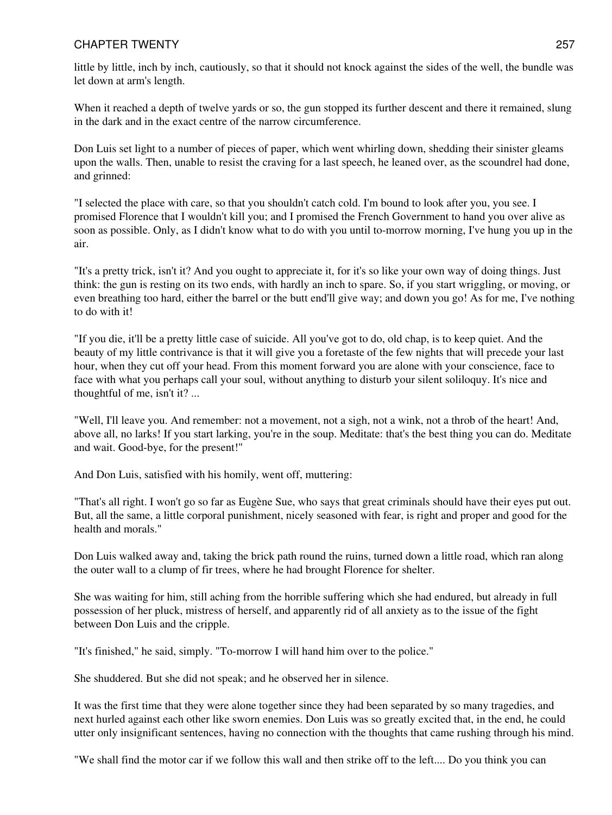little by little, inch by inch, cautiously, so that it should not knock against the sides of the well, the bundle was let down at arm's length.

When it reached a depth of twelve yards or so, the gun stopped its further descent and there it remained, slung in the dark and in the exact centre of the narrow circumference.

Don Luis set light to a number of pieces of paper, which went whirling down, shedding their sinister gleams upon the walls. Then, unable to resist the craving for a last speech, he leaned over, as the scoundrel had done, and grinned:

"I selected the place with care, so that you shouldn't catch cold. I'm bound to look after you, you see. I promised Florence that I wouldn't kill you; and I promised the French Government to hand you over alive as soon as possible. Only, as I didn't know what to do with you until to-morrow morning, I've hung you up in the air.

"It's a pretty trick, isn't it? And you ought to appreciate it, for it's so like your own way of doing things. Just think: the gun is resting on its two ends, with hardly an inch to spare. So, if you start wriggling, or moving, or even breathing too hard, either the barrel or the butt end'll give way; and down you go! As for me, I've nothing to do with it!

"If you die, it'll be a pretty little case of suicide. All you've got to do, old chap, is to keep quiet. And the beauty of my little contrivance is that it will give you a foretaste of the few nights that will precede your last hour, when they cut off your head. From this moment forward you are alone with your conscience, face to face with what you perhaps call your soul, without anything to disturb your silent soliloquy. It's nice and thoughtful of me, isn't it? ...

"Well, I'll leave you. And remember: not a movement, not a sigh, not a wink, not a throb of the heart! And, above all, no larks! If you start larking, you're in the soup. Meditate: that's the best thing you can do. Meditate and wait. Good-bye, for the present!"

And Don Luis, satisfied with his homily, went off, muttering:

"That's all right. I won't go so far as Eugène Sue, who says that great criminals should have their eyes put out. But, all the same, a little corporal punishment, nicely seasoned with fear, is right and proper and good for the health and morals."

Don Luis walked away and, taking the brick path round the ruins, turned down a little road, which ran along the outer wall to a clump of fir trees, where he had brought Florence for shelter.

She was waiting for him, still aching from the horrible suffering which she had endured, but already in full possession of her pluck, mistress of herself, and apparently rid of all anxiety as to the issue of the fight between Don Luis and the cripple.

"It's finished," he said, simply. "To-morrow I will hand him over to the police."

She shuddered. But she did not speak; and he observed her in silence.

It was the first time that they were alone together since they had been separated by so many tragedies, and next hurled against each other like sworn enemies. Don Luis was so greatly excited that, in the end, he could utter only insignificant sentences, having no connection with the thoughts that came rushing through his mind.

"We shall find the motor car if we follow this wall and then strike off to the left.... Do you think you can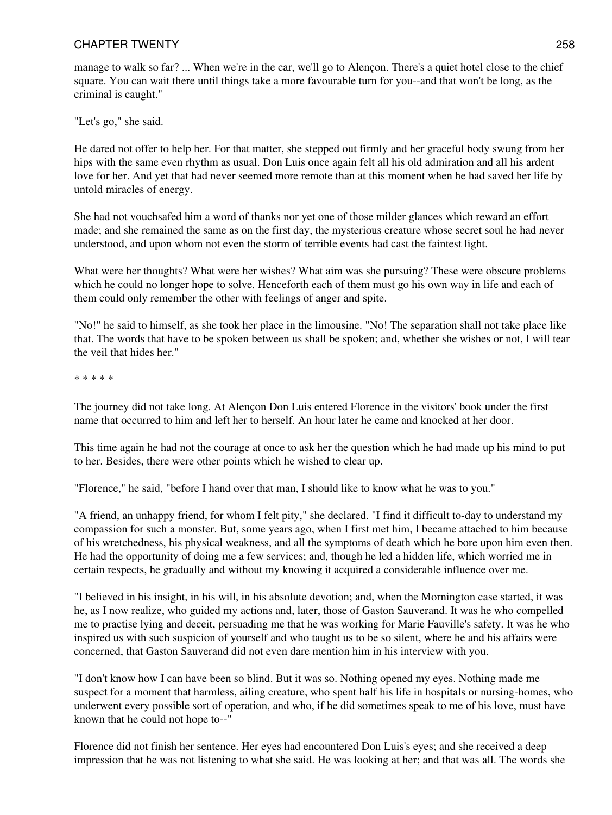manage to walk so far? ... When we're in the car, we'll go to Alençon. There's a quiet hotel close to the chief square. You can wait there until things take a more favourable turn for you--and that won't be long, as the criminal is caught."

"Let's go," she said.

He dared not offer to help her. For that matter, she stepped out firmly and her graceful body swung from her hips with the same even rhythm as usual. Don Luis once again felt all his old admiration and all his ardent love for her. And yet that had never seemed more remote than at this moment when he had saved her life by untold miracles of energy.

She had not vouchsafed him a word of thanks nor yet one of those milder glances which reward an effort made; and she remained the same as on the first day, the mysterious creature whose secret soul he had never understood, and upon whom not even the storm of terrible events had cast the faintest light.

What were her thoughts? What were her wishes? What aim was she pursuing? These were obscure problems which he could no longer hope to solve. Henceforth each of them must go his own way in life and each of them could only remember the other with feelings of anger and spite.

"No!" he said to himself, as she took her place in the limousine. "No! The separation shall not take place like that. The words that have to be spoken between us shall be spoken; and, whether she wishes or not, I will tear the veil that hides her."

\* \* \* \* \*

The journey did not take long. At Alençon Don Luis entered Florence in the visitors' book under the first name that occurred to him and left her to herself. An hour later he came and knocked at her door.

This time again he had not the courage at once to ask her the question which he had made up his mind to put to her. Besides, there were other points which he wished to clear up.

"Florence," he said, "before I hand over that man, I should like to know what he was to you."

"A friend, an unhappy friend, for whom I felt pity," she declared. "I find it difficult to-day to understand my compassion for such a monster. But, some years ago, when I first met him, I became attached to him because of his wretchedness, his physical weakness, and all the symptoms of death which he bore upon him even then. He had the opportunity of doing me a few services; and, though he led a hidden life, which worried me in certain respects, he gradually and without my knowing it acquired a considerable influence over me.

"I believed in his insight, in his will, in his absolute devotion; and, when the Mornington case started, it was he, as I now realize, who guided my actions and, later, those of Gaston Sauverand. It was he who compelled me to practise lying and deceit, persuading me that he was working for Marie Fauville's safety. It was he who inspired us with such suspicion of yourself and who taught us to be so silent, where he and his affairs were concerned, that Gaston Sauverand did not even dare mention him in his interview with you.

"I don't know how I can have been so blind. But it was so. Nothing opened my eyes. Nothing made me suspect for a moment that harmless, ailing creature, who spent half his life in hospitals or nursing-homes, who underwent every possible sort of operation, and who, if he did sometimes speak to me of his love, must have known that he could not hope to--"

Florence did not finish her sentence. Her eyes had encountered Don Luis's eyes; and she received a deep impression that he was not listening to what she said. He was looking at her; and that was all. The words she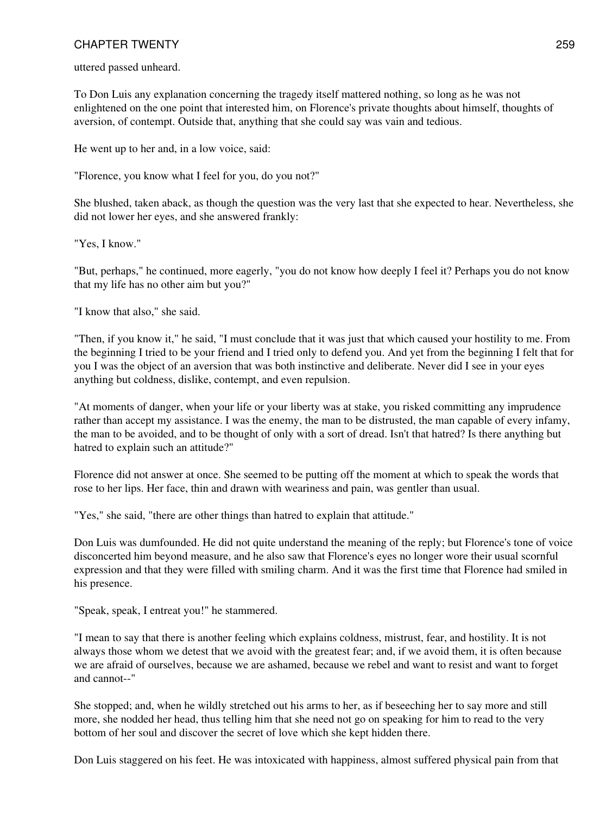uttered passed unheard.

To Don Luis any explanation concerning the tragedy itself mattered nothing, so long as he was not enlightened on the one point that interested him, on Florence's private thoughts about himself, thoughts of aversion, of contempt. Outside that, anything that she could say was vain and tedious.

He went up to her and, in a low voice, said:

"Florence, you know what I feel for you, do you not?"

She blushed, taken aback, as though the question was the very last that she expected to hear. Nevertheless, she did not lower her eyes, and she answered frankly:

"Yes, I know."

"But, perhaps," he continued, more eagerly, "you do not know how deeply I feel it? Perhaps you do not know that my life has no other aim but you?"

"I know that also," she said.

"Then, if you know it," he said, "I must conclude that it was just that which caused your hostility to me. From the beginning I tried to be your friend and I tried only to defend you. And yet from the beginning I felt that for you I was the object of an aversion that was both instinctive and deliberate. Never did I see in your eyes anything but coldness, dislike, contempt, and even repulsion.

"At moments of danger, when your life or your liberty was at stake, you risked committing any imprudence rather than accept my assistance. I was the enemy, the man to be distrusted, the man capable of every infamy, the man to be avoided, and to be thought of only with a sort of dread. Isn't that hatred? Is there anything but hatred to explain such an attitude?"

Florence did not answer at once. She seemed to be putting off the moment at which to speak the words that rose to her lips. Her face, thin and drawn with weariness and pain, was gentler than usual.

"Yes," she said, "there are other things than hatred to explain that attitude."

Don Luis was dumfounded. He did not quite understand the meaning of the reply; but Florence's tone of voice disconcerted him beyond measure, and he also saw that Florence's eyes no longer wore their usual scornful expression and that they were filled with smiling charm. And it was the first time that Florence had smiled in his presence.

"Speak, speak, I entreat you!" he stammered.

"I mean to say that there is another feeling which explains coldness, mistrust, fear, and hostility. It is not always those whom we detest that we avoid with the greatest fear; and, if we avoid them, it is often because we are afraid of ourselves, because we are ashamed, because we rebel and want to resist and want to forget and cannot--"

She stopped; and, when he wildly stretched out his arms to her, as if beseeching her to say more and still more, she nodded her head, thus telling him that she need not go on speaking for him to read to the very bottom of her soul and discover the secret of love which she kept hidden there.

Don Luis staggered on his feet. He was intoxicated with happiness, almost suffered physical pain from that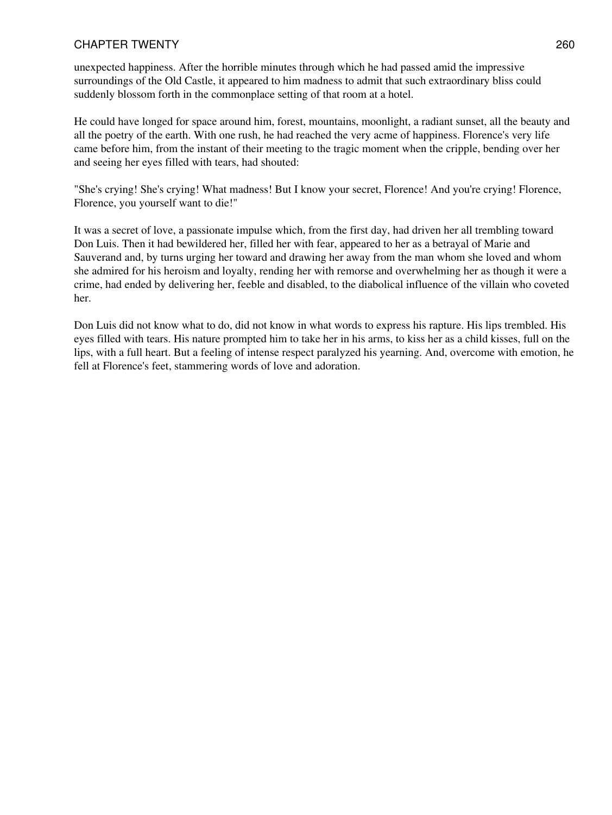unexpected happiness. After the horrible minutes through which he had passed amid the impressive surroundings of the Old Castle, it appeared to him madness to admit that such extraordinary bliss could suddenly blossom forth in the commonplace setting of that room at a hotel.

He could have longed for space around him, forest, mountains, moonlight, a radiant sunset, all the beauty and all the poetry of the earth. With one rush, he had reached the very acme of happiness. Florence's very life came before him, from the instant of their meeting to the tragic moment when the cripple, bending over her and seeing her eyes filled with tears, had shouted:

"She's crying! She's crying! What madness! But I know your secret, Florence! And you're crying! Florence, Florence, you yourself want to die!"

It was a secret of love, a passionate impulse which, from the first day, had driven her all trembling toward Don Luis. Then it had bewildered her, filled her with fear, appeared to her as a betrayal of Marie and Sauverand and, by turns urging her toward and drawing her away from the man whom she loved and whom she admired for his heroism and loyalty, rending her with remorse and overwhelming her as though it were a crime, had ended by delivering her, feeble and disabled, to the diabolical influence of the villain who coveted her.

Don Luis did not know what to do, did not know in what words to express his rapture. His lips trembled. His eyes filled with tears. His nature prompted him to take her in his arms, to kiss her as a child kisses, full on the lips, with a full heart. But a feeling of intense respect paralyzed his yearning. And, overcome with emotion, he fell at Florence's feet, stammering words of love and adoration.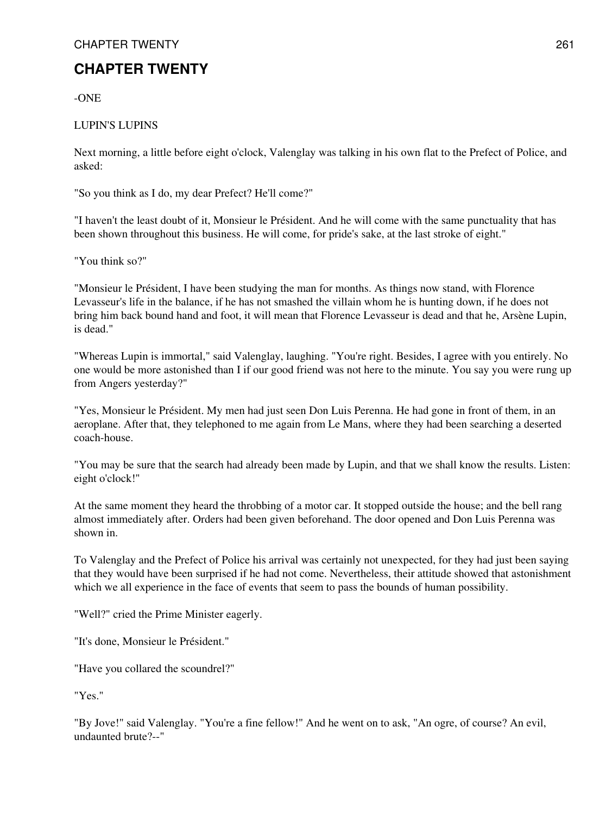-ONE

# LUPIN'S LUPINS

Next morning, a little before eight o'clock, Valenglay was talking in his own flat to the Prefect of Police, and asked:

"So you think as I do, my dear Prefect? He'll come?"

"I haven't the least doubt of it, Monsieur le Président. And he will come with the same punctuality that has been shown throughout this business. He will come, for pride's sake, at the last stroke of eight."

"You think so?"

"Monsieur le Président, I have been studying the man for months. As things now stand, with Florence Levasseur's life in the balance, if he has not smashed the villain whom he is hunting down, if he does not bring him back bound hand and foot, it will mean that Florence Levasseur is dead and that he, Arsène Lupin, is dead."

"Whereas Lupin is immortal," said Valenglay, laughing. "You're right. Besides, I agree with you entirely. No one would be more astonished than I if our good friend was not here to the minute. You say you were rung up from Angers yesterday?"

"Yes, Monsieur le Président. My men had just seen Don Luis Perenna. He had gone in front of them, in an aeroplane. After that, they telephoned to me again from Le Mans, where they had been searching a deserted coach-house.

"You may be sure that the search had already been made by Lupin, and that we shall know the results. Listen: eight o'clock!"

At the same moment they heard the throbbing of a motor car. It stopped outside the house; and the bell rang almost immediately after. Orders had been given beforehand. The door opened and Don Luis Perenna was shown in.

To Valenglay and the Prefect of Police his arrival was certainly not unexpected, for they had just been saying that they would have been surprised if he had not come. Nevertheless, their attitude showed that astonishment which we all experience in the face of events that seem to pass the bounds of human possibility.

"Well?" cried the Prime Minister eagerly.

"It's done, Monsieur le Président."

"Have you collared the scoundrel?"

"Yes."

"By Jove!" said Valenglay. "You're a fine fellow!" And he went on to ask, "An ogre, of course? An evil, undaunted brute?--"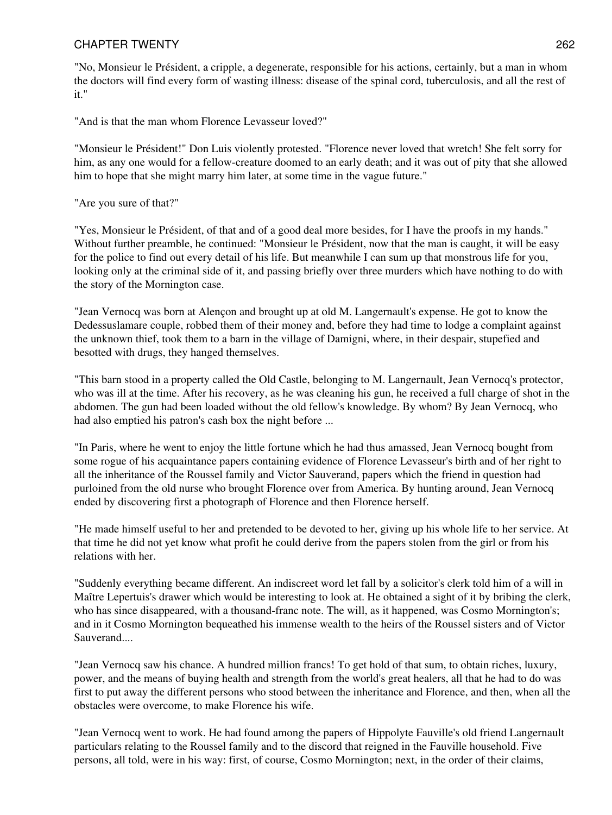"No, Monsieur le Président, a cripple, a degenerate, responsible for his actions, certainly, but a man in whom the doctors will find every form of wasting illness: disease of the spinal cord, tuberculosis, and all the rest of it."

"And is that the man whom Florence Levasseur loved?"

"Monsieur le Président!" Don Luis violently protested. "Florence never loved that wretch! She felt sorry for him, as any one would for a fellow-creature doomed to an early death; and it was out of pity that she allowed him to hope that she might marry him later, at some time in the vague future."

### "Are you sure of that?"

"Yes, Monsieur le Président, of that and of a good deal more besides, for I have the proofs in my hands." Without further preamble, he continued: "Monsieur le Président, now that the man is caught, it will be easy for the police to find out every detail of his life. But meanwhile I can sum up that monstrous life for you, looking only at the criminal side of it, and passing briefly over three murders which have nothing to do with the story of the Mornington case.

"Jean Vernocq was born at Alençon and brought up at old M. Langernault's expense. He got to know the Dedessuslamare couple, robbed them of their money and, before they had time to lodge a complaint against the unknown thief, took them to a barn in the village of Damigni, where, in their despair, stupefied and besotted with drugs, they hanged themselves.

"This barn stood in a property called the Old Castle, belonging to M. Langernault, Jean Vernocq's protector, who was ill at the time. After his recovery, as he was cleaning his gun, he received a full charge of shot in the abdomen. The gun had been loaded without the old fellow's knowledge. By whom? By Jean Vernocq, who had also emptied his patron's cash box the night before ...

"In Paris, where he went to enjoy the little fortune which he had thus amassed, Jean Vernocq bought from some rogue of his acquaintance papers containing evidence of Florence Levasseur's birth and of her right to all the inheritance of the Roussel family and Victor Sauverand, papers which the friend in question had purloined from the old nurse who brought Florence over from America. By hunting around, Jean Vernocq ended by discovering first a photograph of Florence and then Florence herself.

"He made himself useful to her and pretended to be devoted to her, giving up his whole life to her service. At that time he did not yet know what profit he could derive from the papers stolen from the girl or from his relations with her.

"Suddenly everything became different. An indiscreet word let fall by a solicitor's clerk told him of a will in Maître Lepertuis's drawer which would be interesting to look at. He obtained a sight of it by bribing the clerk, who has since disappeared, with a thousand-franc note. The will, as it happened, was Cosmo Mornington's; and in it Cosmo Mornington bequeathed his immense wealth to the heirs of the Roussel sisters and of Victor Sauverand....

"Jean Vernocq saw his chance. A hundred million francs! To get hold of that sum, to obtain riches, luxury, power, and the means of buying health and strength from the world's great healers, all that he had to do was first to put away the different persons who stood between the inheritance and Florence, and then, when all the obstacles were overcome, to make Florence his wife.

"Jean Vernocq went to work. He had found among the papers of Hippolyte Fauville's old friend Langernault particulars relating to the Roussel family and to the discord that reigned in the Fauville household. Five persons, all told, were in his way: first, of course, Cosmo Mornington; next, in the order of their claims,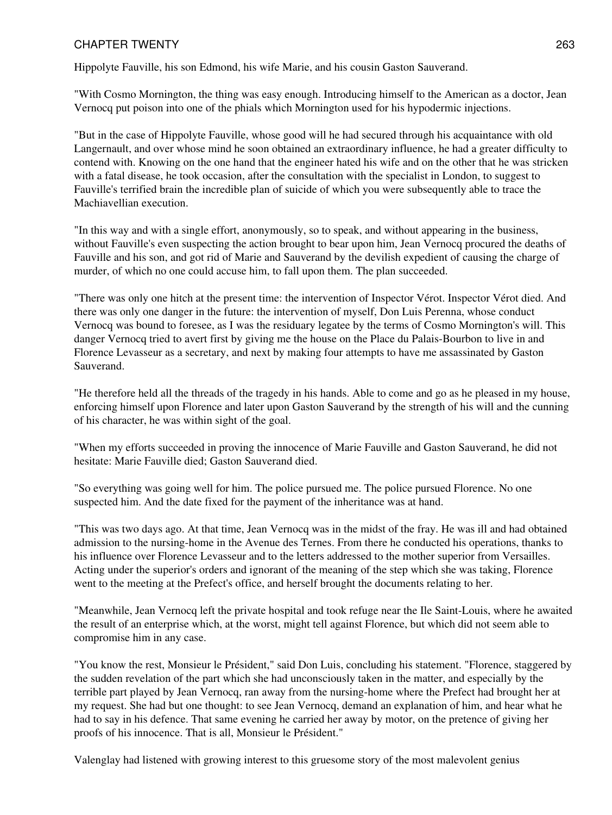Hippolyte Fauville, his son Edmond, his wife Marie, and his cousin Gaston Sauverand.

"With Cosmo Mornington, the thing was easy enough. Introducing himself to the American as a doctor, Jean Vernocq put poison into one of the phials which Mornington used for his hypodermic injections.

"But in the case of Hippolyte Fauville, whose good will he had secured through his acquaintance with old Langernault, and over whose mind he soon obtained an extraordinary influence, he had a greater difficulty to contend with. Knowing on the one hand that the engineer hated his wife and on the other that he was stricken with a fatal disease, he took occasion, after the consultation with the specialist in London, to suggest to Fauville's terrified brain the incredible plan of suicide of which you were subsequently able to trace the Machiavellian execution.

"In this way and with a single effort, anonymously, so to speak, and without appearing in the business, without Fauville's even suspecting the action brought to bear upon him, Jean Vernocq procured the deaths of Fauville and his son, and got rid of Marie and Sauverand by the devilish expedient of causing the charge of murder, of which no one could accuse him, to fall upon them. The plan succeeded.

"There was only one hitch at the present time: the intervention of Inspector Vérot. Inspector Vérot died. And there was only one danger in the future: the intervention of myself, Don Luis Perenna, whose conduct Vernocq was bound to foresee, as I was the residuary legatee by the terms of Cosmo Mornington's will. This danger Vernocq tried to avert first by giving me the house on the Place du Palais-Bourbon to live in and Florence Levasseur as a secretary, and next by making four attempts to have me assassinated by Gaston Sauverand.

"He therefore held all the threads of the tragedy in his hands. Able to come and go as he pleased in my house, enforcing himself upon Florence and later upon Gaston Sauverand by the strength of his will and the cunning of his character, he was within sight of the goal.

"When my efforts succeeded in proving the innocence of Marie Fauville and Gaston Sauverand, he did not hesitate: Marie Fauville died; Gaston Sauverand died.

"So everything was going well for him. The police pursued me. The police pursued Florence. No one suspected him. And the date fixed for the payment of the inheritance was at hand.

"This was two days ago. At that time, Jean Vernocq was in the midst of the fray. He was ill and had obtained admission to the nursing-home in the Avenue des Ternes. From there he conducted his operations, thanks to his influence over Florence Levasseur and to the letters addressed to the mother superior from Versailles. Acting under the superior's orders and ignorant of the meaning of the step which she was taking, Florence went to the meeting at the Prefect's office, and herself brought the documents relating to her.

"Meanwhile, Jean Vernocq left the private hospital and took refuge near the Ile Saint-Louis, where he awaited the result of an enterprise which, at the worst, might tell against Florence, but which did not seem able to compromise him in any case.

"You know the rest, Monsieur le Président," said Don Luis, concluding his statement. "Florence, staggered by the sudden revelation of the part which she had unconsciously taken in the matter, and especially by the terrible part played by Jean Vernocq, ran away from the nursing-home where the Prefect had brought her at my request. She had but one thought: to see Jean Vernocq, demand an explanation of him, and hear what he had to say in his defence. That same evening he carried her away by motor, on the pretence of giving her proofs of his innocence. That is all, Monsieur le Président."

Valenglay had listened with growing interest to this gruesome story of the most malevolent genius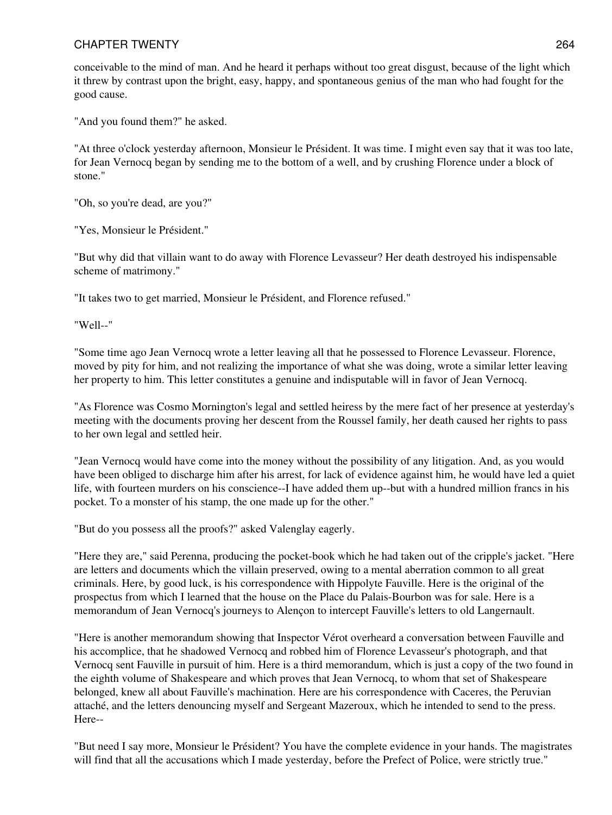conceivable to the mind of man. And he heard it perhaps without too great disgust, because of the light which it threw by contrast upon the bright, easy, happy, and spontaneous genius of the man who had fought for the good cause.

"And you found them?" he asked.

"At three o'clock yesterday afternoon, Monsieur le Président. It was time. I might even say that it was too late, for Jean Vernocq began by sending me to the bottom of a well, and by crushing Florence under a block of stone."

"Oh, so you're dead, are you?"

"Yes, Monsieur le Président."

"But why did that villain want to do away with Florence Levasseur? Her death destroyed his indispensable scheme of matrimony."

"It takes two to get married, Monsieur le Président, and Florence refused."

"Well--"

"Some time ago Jean Vernocq wrote a letter leaving all that he possessed to Florence Levasseur. Florence, moved by pity for him, and not realizing the importance of what she was doing, wrote a similar letter leaving her property to him. This letter constitutes a genuine and indisputable will in favor of Jean Vernocq.

"As Florence was Cosmo Mornington's legal and settled heiress by the mere fact of her presence at yesterday's meeting with the documents proving her descent from the Roussel family, her death caused her rights to pass to her own legal and settled heir.

"Jean Vernocq would have come into the money without the possibility of any litigation. And, as you would have been obliged to discharge him after his arrest, for lack of evidence against him, he would have led a quiet life, with fourteen murders on his conscience--I have added them up--but with a hundred million francs in his pocket. To a monster of his stamp, the one made up for the other."

"But do you possess all the proofs?" asked Valenglay eagerly.

"Here they are," said Perenna, producing the pocket-book which he had taken out of the cripple's jacket. "Here are letters and documents which the villain preserved, owing to a mental aberration common to all great criminals. Here, by good luck, is his correspondence with Hippolyte Fauville. Here is the original of the prospectus from which I learned that the house on the Place du Palais-Bourbon was for sale. Here is a memorandum of Jean Vernocq's journeys to Alençon to intercept Fauville's letters to old Langernault.

"Here is another memorandum showing that Inspector Vérot overheard a conversation between Fauville and his accomplice, that he shadowed Vernocq and robbed him of Florence Levasseur's photograph, and that Vernocq sent Fauville in pursuit of him. Here is a third memorandum, which is just a copy of the two found in the eighth volume of Shakespeare and which proves that Jean Vernocq, to whom that set of Shakespeare belonged, knew all about Fauville's machination. Here are his correspondence with Caceres, the Peruvian attaché, and the letters denouncing myself and Sergeant Mazeroux, which he intended to send to the press. Here--

"But need I say more, Monsieur le Président? You have the complete evidence in your hands. The magistrates will find that all the accusations which I made yesterday, before the Prefect of Police, were strictly true."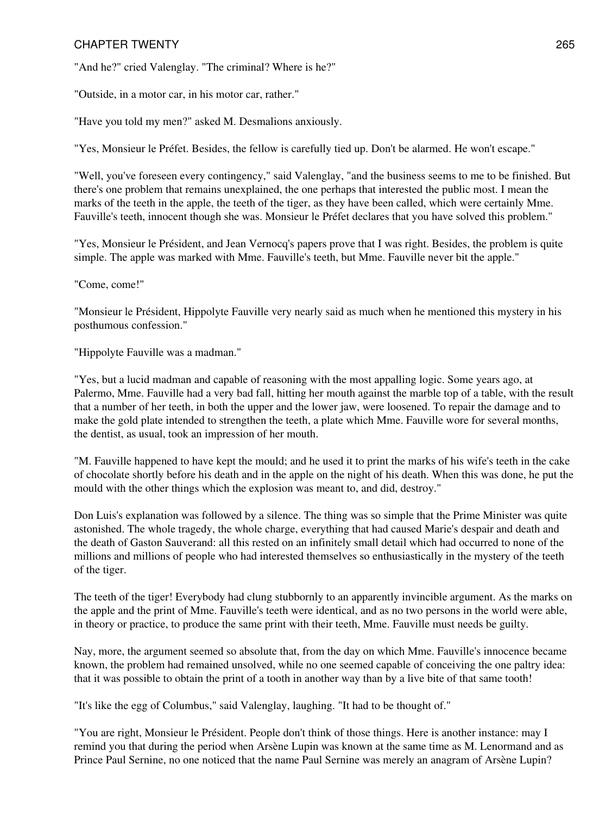"And he?" cried Valenglay. "The criminal? Where is he?"

"Outside, in a motor car, in his motor car, rather."

"Have you told my men?" asked M. Desmalions anxiously.

"Yes, Monsieur le Préfet. Besides, the fellow is carefully tied up. Don't be alarmed. He won't escape."

"Well, you've foreseen every contingency," said Valenglay, "and the business seems to me to be finished. But there's one problem that remains unexplained, the one perhaps that interested the public most. I mean the marks of the teeth in the apple, the teeth of the tiger, as they have been called, which were certainly Mme. Fauville's teeth, innocent though she was. Monsieur le Préfet declares that you have solved this problem."

"Yes, Monsieur le Président, and Jean Vernocq's papers prove that I was right. Besides, the problem is quite simple. The apple was marked with Mme. Fauville's teeth, but Mme. Fauville never bit the apple."

#### "Come, come!"

"Monsieur le Président, Hippolyte Fauville very nearly said as much when he mentioned this mystery in his posthumous confession."

"Hippolyte Fauville was a madman."

"Yes, but a lucid madman and capable of reasoning with the most appalling logic. Some years ago, at Palermo, Mme. Fauville had a very bad fall, hitting her mouth against the marble top of a table, with the result that a number of her teeth, in both the upper and the lower jaw, were loosened. To repair the damage and to make the gold plate intended to strengthen the teeth, a plate which Mme. Fauville wore for several months, the dentist, as usual, took an impression of her mouth.

"M. Fauville happened to have kept the mould; and he used it to print the marks of his wife's teeth in the cake of chocolate shortly before his death and in the apple on the night of his death. When this was done, he put the mould with the other things which the explosion was meant to, and did, destroy."

Don Luis's explanation was followed by a silence. The thing was so simple that the Prime Minister was quite astonished. The whole tragedy, the whole charge, everything that had caused Marie's despair and death and the death of Gaston Sauverand: all this rested on an infinitely small detail which had occurred to none of the millions and millions of people who had interested themselves so enthusiastically in the mystery of the teeth of the tiger.

The teeth of the tiger! Everybody had clung stubbornly to an apparently invincible argument. As the marks on the apple and the print of Mme. Fauville's teeth were identical, and as no two persons in the world were able, in theory or practice, to produce the same print with their teeth, Mme. Fauville must needs be guilty.

Nay, more, the argument seemed so absolute that, from the day on which Mme. Fauville's innocence became known, the problem had remained unsolved, while no one seemed capable of conceiving the one paltry idea: that it was possible to obtain the print of a tooth in another way than by a live bite of that same tooth!

"It's like the egg of Columbus," said Valenglay, laughing. "It had to be thought of."

"You are right, Monsieur le Président. People don't think of those things. Here is another instance: may I remind you that during the period when Arsène Lupin was known at the same time as M. Lenormand and as Prince Paul Sernine, no one noticed that the name Paul Sernine was merely an anagram of Arsène Lupin?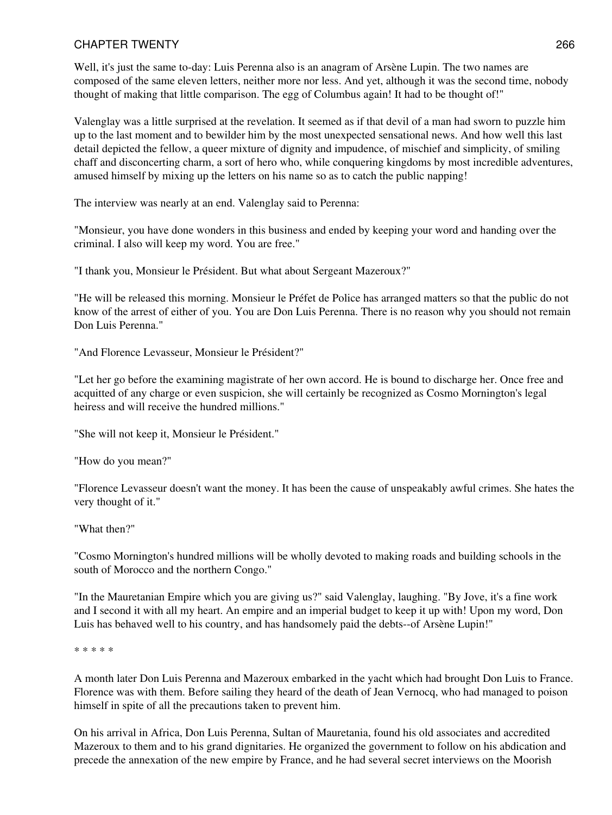Well, it's just the same to-day: Luis Perenna also is an anagram of Arsène Lupin. The two names are composed of the same eleven letters, neither more nor less. And yet, although it was the second time, nobody thought of making that little comparison. The egg of Columbus again! It had to be thought of!"

Valenglay was a little surprised at the revelation. It seemed as if that devil of a man had sworn to puzzle him up to the last moment and to bewilder him by the most unexpected sensational news. And how well this last detail depicted the fellow, a queer mixture of dignity and impudence, of mischief and simplicity, of smiling chaff and disconcerting charm, a sort of hero who, while conquering kingdoms by most incredible adventures, amused himself by mixing up the letters on his name so as to catch the public napping!

The interview was nearly at an end. Valenglay said to Perenna:

"Monsieur, you have done wonders in this business and ended by keeping your word and handing over the criminal. I also will keep my word. You are free."

"I thank you, Monsieur le Président. But what about Sergeant Mazeroux?"

"He will be released this morning. Monsieur le Préfet de Police has arranged matters so that the public do not know of the arrest of either of you. You are Don Luis Perenna. There is no reason why you should not remain Don Luis Perenna."

"And Florence Levasseur, Monsieur le Président?"

"Let her go before the examining magistrate of her own accord. He is bound to discharge her. Once free and acquitted of any charge or even suspicion, she will certainly be recognized as Cosmo Mornington's legal heiress and will receive the hundred millions."

"She will not keep it, Monsieur le Président."

"How do you mean?"

"Florence Levasseur doesn't want the money. It has been the cause of unspeakably awful crimes. She hates the very thought of it."

"What then?"

"Cosmo Mornington's hundred millions will be wholly devoted to making roads and building schools in the south of Morocco and the northern Congo."

"In the Mauretanian Empire which you are giving us?" said Valenglay, laughing. "By Jove, it's a fine work and I second it with all my heart. An empire and an imperial budget to keep it up with! Upon my word, Don Luis has behaved well to his country, and has handsomely paid the debts--of Arsène Lupin!"

\* \* \* \* \*

A month later Don Luis Perenna and Mazeroux embarked in the yacht which had brought Don Luis to France. Florence was with them. Before sailing they heard of the death of Jean Vernocq, who had managed to poison himself in spite of all the precautions taken to prevent him.

On his arrival in Africa, Don Luis Perenna, Sultan of Mauretania, found his old associates and accredited Mazeroux to them and to his grand dignitaries. He organized the government to follow on his abdication and precede the annexation of the new empire by France, and he had several secret interviews on the Moorish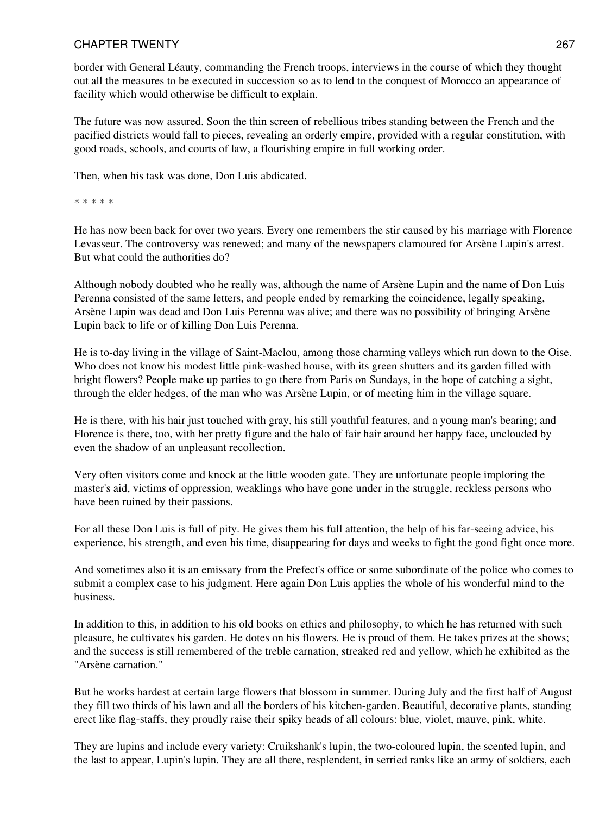border with General Léauty, commanding the French troops, interviews in the course of which they thought out all the measures to be executed in succession so as to lend to the conquest of Morocco an appearance of facility which would otherwise be difficult to explain.

The future was now assured. Soon the thin screen of rebellious tribes standing between the French and the pacified districts would fall to pieces, revealing an orderly empire, provided with a regular constitution, with good roads, schools, and courts of law, a flourishing empire in full working order.

Then, when his task was done, Don Luis abdicated.

\* \* \* \* \*

He has now been back for over two years. Every one remembers the stir caused by his marriage with Florence Levasseur. The controversy was renewed; and many of the newspapers clamoured for Arsène Lupin's arrest. But what could the authorities do?

Although nobody doubted who he really was, although the name of Arsène Lupin and the name of Don Luis Perenna consisted of the same letters, and people ended by remarking the coincidence, legally speaking, Arsène Lupin was dead and Don Luis Perenna was alive; and there was no possibility of bringing Arsène Lupin back to life or of killing Don Luis Perenna.

He is to-day living in the village of Saint-Maclou, among those charming valleys which run down to the Oise. Who does not know his modest little pink-washed house, with its green shutters and its garden filled with bright flowers? People make up parties to go there from Paris on Sundays, in the hope of catching a sight, through the elder hedges, of the man who was Arsène Lupin, or of meeting him in the village square.

He is there, with his hair just touched with gray, his still youthful features, and a young man's bearing; and Florence is there, too, with her pretty figure and the halo of fair hair around her happy face, unclouded by even the shadow of an unpleasant recollection.

Very often visitors come and knock at the little wooden gate. They are unfortunate people imploring the master's aid, victims of oppression, weaklings who have gone under in the struggle, reckless persons who have been ruined by their passions.

For all these Don Luis is full of pity. He gives them his full attention, the help of his far-seeing advice, his experience, his strength, and even his time, disappearing for days and weeks to fight the good fight once more.

And sometimes also it is an emissary from the Prefect's office or some subordinate of the police who comes to submit a complex case to his judgment. Here again Don Luis applies the whole of his wonderful mind to the business.

In addition to this, in addition to his old books on ethics and philosophy, to which he has returned with such pleasure, he cultivates his garden. He dotes on his flowers. He is proud of them. He takes prizes at the shows; and the success is still remembered of the treble carnation, streaked red and yellow, which he exhibited as the "Arsène carnation."

But he works hardest at certain large flowers that blossom in summer. During July and the first half of August they fill two thirds of his lawn and all the borders of his kitchen-garden. Beautiful, decorative plants, standing erect like flag-staffs, they proudly raise their spiky heads of all colours: blue, violet, mauve, pink, white.

They are lupins and include every variety: Cruikshank's lupin, the two-coloured lupin, the scented lupin, and the last to appear, Lupin's lupin. They are all there, resplendent, in serried ranks like an army of soldiers, each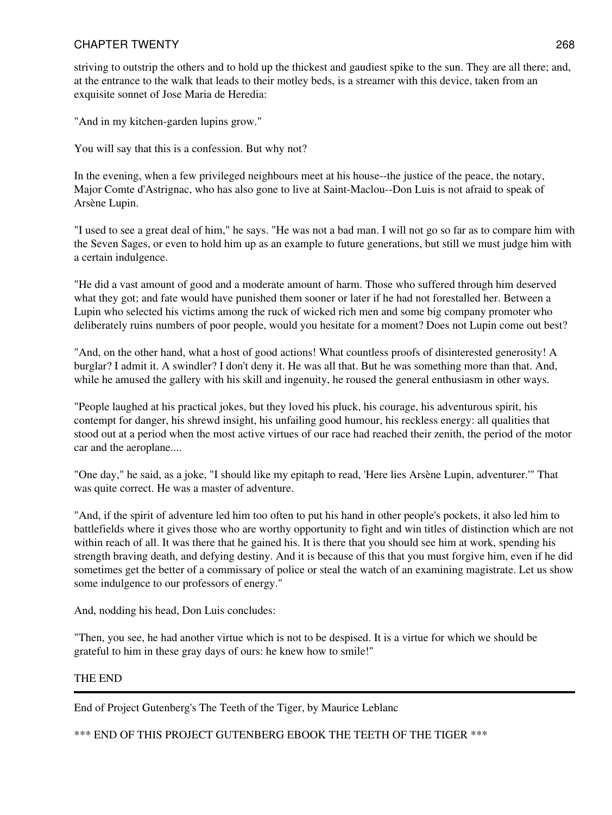striving to outstrip the others and to hold up the thickest and gaudiest spike to the sun. They are all there; and, at the entrance to the walk that leads to their motley beds, is a streamer with this device, taken from an exquisite sonnet of Jose Maria de Heredia:

"And in my kitchen-garden lupins grow."

You will say that this is a confession. But why not?

In the evening, when a few privileged neighbours meet at his house--the justice of the peace, the notary, Major Comte d'Astrignac, who has also gone to live at Saint-Maclou--Don Luis is not afraid to speak of Arsène Lupin.

"I used to see a great deal of him," he says. "He was not a bad man. I will not go so far as to compare him with the Seven Sages, or even to hold him up as an example to future generations, but still we must judge him with a certain indulgence.

"He did a vast amount of good and a moderate amount of harm. Those who suffered through him deserved what they got; and fate would have punished them sooner or later if he had not forestalled her. Between a Lupin who selected his victims among the ruck of wicked rich men and some big company promoter who deliberately ruins numbers of poor people, would you hesitate for a moment? Does not Lupin come out best?

"And, on the other hand, what a host of good actions! What countless proofs of disinterested generosity! A burglar? I admit it. A swindler? I don't deny it. He was all that. But he was something more than that. And, while he amused the gallery with his skill and ingenuity, he roused the general enthusiasm in other ways.

"People laughed at his practical jokes, but they loved his pluck, his courage, his adventurous spirit, his contempt for danger, his shrewd insight, his unfailing good humour, his reckless energy: all qualities that stood out at a period when the most active virtues of our race had reached their zenith, the period of the motor car and the aeroplane....

"One day," he said, as a joke, "I should like my epitaph to read, 'Here lies Arsène Lupin, adventurer.'" That was quite correct. He was a master of adventure.

"And, if the spirit of adventure led him too often to put his hand in other people's pockets, it also led him to battlefields where it gives those who are worthy opportunity to fight and win titles of distinction which are not within reach of all. It was there that he gained his. It is there that you should see him at work, spending his strength braving death, and defying destiny. And it is because of this that you must forgive him, even if he did sometimes get the better of a commissary of police or steal the watch of an examining magistrate. Let us show some indulgence to our professors of energy."

And, nodding his head, Don Luis concludes:

"Then, you see, he had another virtue which is not to be despised. It is a virtue for which we should be grateful to him in these gray days of ours: he knew how to smile!"

### THE END

End of Project Gutenberg's The Teeth of the Tiger, by Maurice Leblanc

\*\*\* END OF THIS PROJECT GUTENBERG EBOOK THE TEETH OF THE TIGER \*\*\*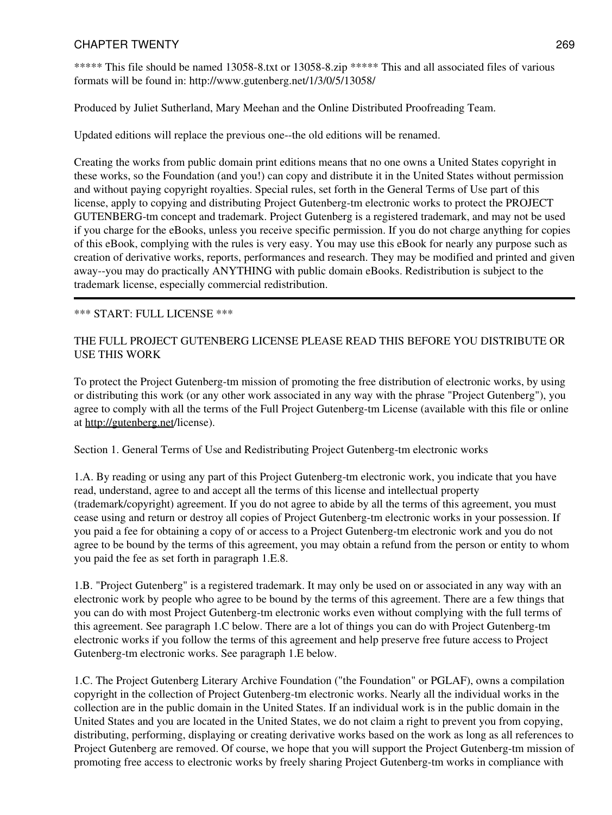\*\*\*\*\* This file should be named 13058-8.txt or 13058-8.zip \*\*\*\*\* This and all associated files of various formats will be found in: http://www.gutenberg.net/1/3/0/5/13058/

Produced by Juliet Sutherland, Mary Meehan and the Online Distributed Proofreading Team.

Updated editions will replace the previous one--the old editions will be renamed.

Creating the works from public domain print editions means that no one owns a United States copyright in these works, so the Foundation (and you!) can copy and distribute it in the United States without permission and without paying copyright royalties. Special rules, set forth in the General Terms of Use part of this license, apply to copying and distributing Project Gutenberg-tm electronic works to protect the PROJECT GUTENBERG-tm concept and trademark. Project Gutenberg is a registered trademark, and may not be used if you charge for the eBooks, unless you receive specific permission. If you do not charge anything for copies of this eBook, complying with the rules is very easy. You may use this eBook for nearly any purpose such as creation of derivative works, reports, performances and research. They may be modified and printed and given away--you may do practically ANYTHING with public domain eBooks. Redistribution is subject to the trademark license, especially commercial redistribution.

### \*\*\* START: FULL LICENSE \*\*\*

### THE FULL PROJECT GUTENBERG LICENSE PLEASE READ THIS BEFORE YOU DISTRIBUTE OR USE THIS WORK

To protect the Project Gutenberg-tm mission of promoting the free distribution of electronic works, by using or distributing this work (or any other work associated in any way with the phrase "Project Gutenberg"), you agree to comply with all the terms of the Full Project Gutenberg-tm License (available with this file or online at <http://gutenberg.net>/license).

Section 1. General Terms of Use and Redistributing Project Gutenberg-tm electronic works

1.A. By reading or using any part of this Project Gutenberg-tm electronic work, you indicate that you have read, understand, agree to and accept all the terms of this license and intellectual property (trademark/copyright) agreement. If you do not agree to abide by all the terms of this agreement, you must cease using and return or destroy all copies of Project Gutenberg-tm electronic works in your possession. If you paid a fee for obtaining a copy of or access to a Project Gutenberg-tm electronic work and you do not agree to be bound by the terms of this agreement, you may obtain a refund from the person or entity to whom you paid the fee as set forth in paragraph 1.E.8.

1.B. "Project Gutenberg" is a registered trademark. It may only be used on or associated in any way with an electronic work by people who agree to be bound by the terms of this agreement. There are a few things that you can do with most Project Gutenberg-tm electronic works even without complying with the full terms of this agreement. See paragraph 1.C below. There are a lot of things you can do with Project Gutenberg-tm electronic works if you follow the terms of this agreement and help preserve free future access to Project Gutenberg-tm electronic works. See paragraph 1.E below.

1.C. The Project Gutenberg Literary Archive Foundation ("the Foundation" or PGLAF), owns a compilation copyright in the collection of Project Gutenberg-tm electronic works. Nearly all the individual works in the collection are in the public domain in the United States. If an individual work is in the public domain in the United States and you are located in the United States, we do not claim a right to prevent you from copying, distributing, performing, displaying or creating derivative works based on the work as long as all references to Project Gutenberg are removed. Of course, we hope that you will support the Project Gutenberg-tm mission of promoting free access to electronic works by freely sharing Project Gutenberg-tm works in compliance with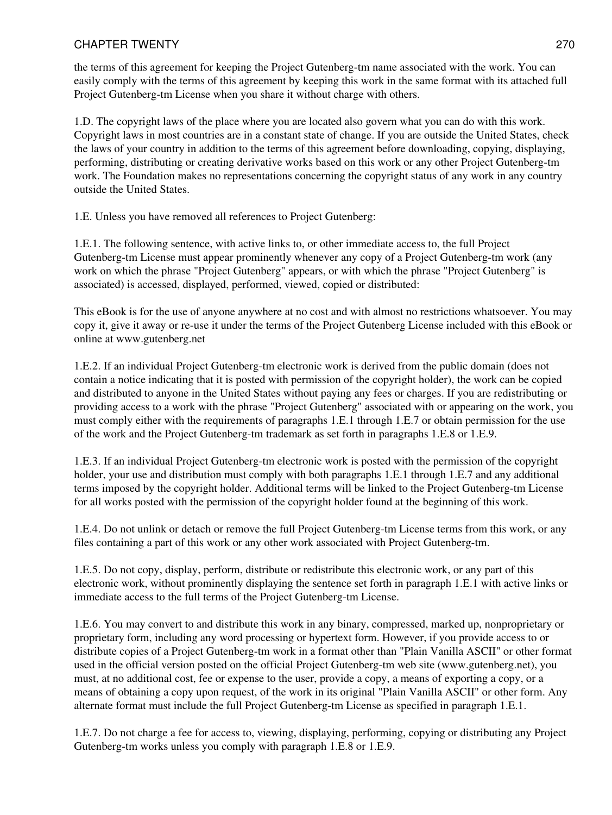the terms of this agreement for keeping the Project Gutenberg-tm name associated with the work. You can easily comply with the terms of this agreement by keeping this work in the same format with its attached full Project Gutenberg-tm License when you share it without charge with others.

1.D. The copyright laws of the place where you are located also govern what you can do with this work. Copyright laws in most countries are in a constant state of change. If you are outside the United States, check the laws of your country in addition to the terms of this agreement before downloading, copying, displaying, performing, distributing or creating derivative works based on this work or any other Project Gutenberg-tm work. The Foundation makes no representations concerning the copyright status of any work in any country outside the United States.

1.E. Unless you have removed all references to Project Gutenberg:

1.E.1. The following sentence, with active links to, or other immediate access to, the full Project Gutenberg-tm License must appear prominently whenever any copy of a Project Gutenberg-tm work (any work on which the phrase "Project Gutenberg" appears, or with which the phrase "Project Gutenberg" is associated) is accessed, displayed, performed, viewed, copied or distributed:

This eBook is for the use of anyone anywhere at no cost and with almost no restrictions whatsoever. You may copy it, give it away or re-use it under the terms of the Project Gutenberg License included with this eBook or online at www.gutenberg.net

1.E.2. If an individual Project Gutenberg-tm electronic work is derived from the public domain (does not contain a notice indicating that it is posted with permission of the copyright holder), the work can be copied and distributed to anyone in the United States without paying any fees or charges. If you are redistributing or providing access to a work with the phrase "Project Gutenberg" associated with or appearing on the work, you must comply either with the requirements of paragraphs 1.E.1 through 1.E.7 or obtain permission for the use of the work and the Project Gutenberg-tm trademark as set forth in paragraphs 1.E.8 or 1.E.9.

1.E.3. If an individual Project Gutenberg-tm electronic work is posted with the permission of the copyright holder, your use and distribution must comply with both paragraphs 1.E.1 through 1.E.7 and any additional terms imposed by the copyright holder. Additional terms will be linked to the Project Gutenberg-tm License for all works posted with the permission of the copyright holder found at the beginning of this work.

1.E.4. Do not unlink or detach or remove the full Project Gutenberg-tm License terms from this work, or any files containing a part of this work or any other work associated with Project Gutenberg-tm.

1.E.5. Do not copy, display, perform, distribute or redistribute this electronic work, or any part of this electronic work, without prominently displaying the sentence set forth in paragraph 1.E.1 with active links or immediate access to the full terms of the Project Gutenberg-tm License.

1.E.6. You may convert to and distribute this work in any binary, compressed, marked up, nonproprietary or proprietary form, including any word processing or hypertext form. However, if you provide access to or distribute copies of a Project Gutenberg-tm work in a format other than "Plain Vanilla ASCII" or other format used in the official version posted on the official Project Gutenberg-tm web site (www.gutenberg.net), you must, at no additional cost, fee or expense to the user, provide a copy, a means of exporting a copy, or a means of obtaining a copy upon request, of the work in its original "Plain Vanilla ASCII" or other form. Any alternate format must include the full Project Gutenberg-tm License as specified in paragraph 1.E.1.

1.E.7. Do not charge a fee for access to, viewing, displaying, performing, copying or distributing any Project Gutenberg-tm works unless you comply with paragraph 1.E.8 or 1.E.9.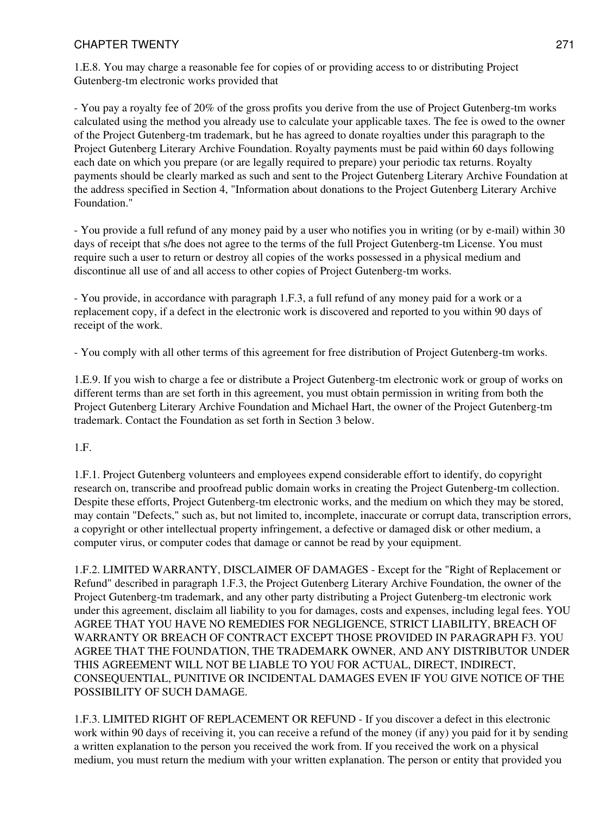1.E.8. You may charge a reasonable fee for copies of or providing access to or distributing Project Gutenberg-tm electronic works provided that

- You pay a royalty fee of 20% of the gross profits you derive from the use of Project Gutenberg-tm works calculated using the method you already use to calculate your applicable taxes. The fee is owed to the owner of the Project Gutenberg-tm trademark, but he has agreed to donate royalties under this paragraph to the Project Gutenberg Literary Archive Foundation. Royalty payments must be paid within 60 days following each date on which you prepare (or are legally required to prepare) your periodic tax returns. Royalty payments should be clearly marked as such and sent to the Project Gutenberg Literary Archive Foundation at the address specified in Section 4, "Information about donations to the Project Gutenberg Literary Archive Foundation."

- You provide a full refund of any money paid by a user who notifies you in writing (or by e-mail) within 30 days of receipt that s/he does not agree to the terms of the full Project Gutenberg-tm License. You must require such a user to return or destroy all copies of the works possessed in a physical medium and discontinue all use of and all access to other copies of Project Gutenberg-tm works.

- You provide, in accordance with paragraph 1.F.3, a full refund of any money paid for a work or a replacement copy, if a defect in the electronic work is discovered and reported to you within 90 days of receipt of the work.

- You comply with all other terms of this agreement for free distribution of Project Gutenberg-tm works.

1.E.9. If you wish to charge a fee or distribute a Project Gutenberg-tm electronic work or group of works on different terms than are set forth in this agreement, you must obtain permission in writing from both the Project Gutenberg Literary Archive Foundation and Michael Hart, the owner of the Project Gutenberg-tm trademark. Contact the Foundation as set forth in Section 3 below.

1.F.

1.F.1. Project Gutenberg volunteers and employees expend considerable effort to identify, do copyright research on, transcribe and proofread public domain works in creating the Project Gutenberg-tm collection. Despite these efforts, Project Gutenberg-tm electronic works, and the medium on which they may be stored, may contain "Defects," such as, but not limited to, incomplete, inaccurate or corrupt data, transcription errors, a copyright or other intellectual property infringement, a defective or damaged disk or other medium, a computer virus, or computer codes that damage or cannot be read by your equipment.

1.F.2. LIMITED WARRANTY, DISCLAIMER OF DAMAGES - Except for the "Right of Replacement or Refund" described in paragraph 1.F.3, the Project Gutenberg Literary Archive Foundation, the owner of the Project Gutenberg-tm trademark, and any other party distributing a Project Gutenberg-tm electronic work under this agreement, disclaim all liability to you for damages, costs and expenses, including legal fees. YOU AGREE THAT YOU HAVE NO REMEDIES FOR NEGLIGENCE, STRICT LIABILITY, BREACH OF WARRANTY OR BREACH OF CONTRACT EXCEPT THOSE PROVIDED IN PARAGRAPH F3. YOU AGREE THAT THE FOUNDATION, THE TRADEMARK OWNER, AND ANY DISTRIBUTOR UNDER THIS AGREEMENT WILL NOT BE LIABLE TO YOU FOR ACTUAL, DIRECT, INDIRECT, CONSEQUENTIAL, PUNITIVE OR INCIDENTAL DAMAGES EVEN IF YOU GIVE NOTICE OF THE POSSIBILITY OF SUCH DAMAGE.

1.F.3. LIMITED RIGHT OF REPLACEMENT OR REFUND - If you discover a defect in this electronic work within 90 days of receiving it, you can receive a refund of the money (if any) you paid for it by sending a written explanation to the person you received the work from. If you received the work on a physical medium, you must return the medium with your written explanation. The person or entity that provided you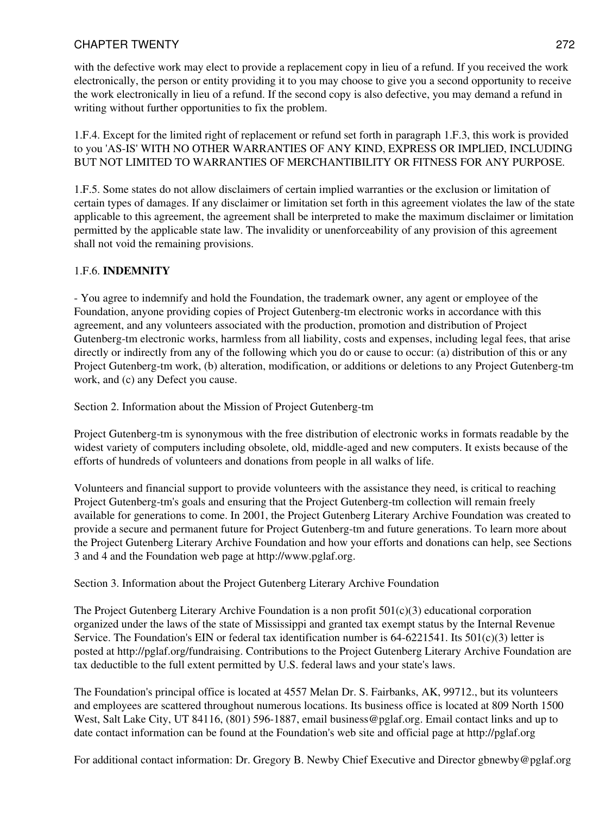with the defective work may elect to provide a replacement copy in lieu of a refund. If you received the work electronically, the person or entity providing it to you may choose to give you a second opportunity to receive the work electronically in lieu of a refund. If the second copy is also defective, you may demand a refund in writing without further opportunities to fix the problem.

1.F.4. Except for the limited right of replacement or refund set forth in paragraph 1.F.3, this work is provided to you 'AS-IS' WITH NO OTHER WARRANTIES OF ANY KIND, EXPRESS OR IMPLIED, INCLUDING BUT NOT LIMITED TO WARRANTIES OF MERCHANTIBILITY OR FITNESS FOR ANY PURPOSE.

1.F.5. Some states do not allow disclaimers of certain implied warranties or the exclusion or limitation of certain types of damages. If any disclaimer or limitation set forth in this agreement violates the law of the state applicable to this agreement, the agreement shall be interpreted to make the maximum disclaimer or limitation permitted by the applicable state law. The invalidity or unenforceability of any provision of this agreement shall not void the remaining provisions.

# 1.F.6. **INDEMNITY**

- You agree to indemnify and hold the Foundation, the trademark owner, any agent or employee of the Foundation, anyone providing copies of Project Gutenberg-tm electronic works in accordance with this agreement, and any volunteers associated with the production, promotion and distribution of Project Gutenberg-tm electronic works, harmless from all liability, costs and expenses, including legal fees, that arise directly or indirectly from any of the following which you do or cause to occur: (a) distribution of this or any Project Gutenberg-tm work, (b) alteration, modification, or additions or deletions to any Project Gutenberg-tm work, and (c) any Defect you cause.

Section 2. Information about the Mission of Project Gutenberg-tm

Project Gutenberg-tm is synonymous with the free distribution of electronic works in formats readable by the widest variety of computers including obsolete, old, middle-aged and new computers. It exists because of the efforts of hundreds of volunteers and donations from people in all walks of life.

Volunteers and financial support to provide volunteers with the assistance they need, is critical to reaching Project Gutenberg-tm's goals and ensuring that the Project Gutenberg-tm collection will remain freely available for generations to come. In 2001, the Project Gutenberg Literary Archive Foundation was created to provide a secure and permanent future for Project Gutenberg-tm and future generations. To learn more about the Project Gutenberg Literary Archive Foundation and how your efforts and donations can help, see Sections 3 and 4 and the Foundation web page at http://www.pglaf.org.

Section 3. Information about the Project Gutenberg Literary Archive Foundation

The Project Gutenberg Literary Archive Foundation is a non profit  $501(c)(3)$  educational corporation organized under the laws of the state of Mississippi and granted tax exempt status by the Internal Revenue Service. The Foundation's EIN or federal tax identification number is  $64-6221541$ . Its  $501(c)(3)$  letter is posted at http://pglaf.org/fundraising. Contributions to the Project Gutenberg Literary Archive Foundation are tax deductible to the full extent permitted by U.S. federal laws and your state's laws.

The Foundation's principal office is located at 4557 Melan Dr. S. Fairbanks, AK, 99712., but its volunteers and employees are scattered throughout numerous locations. Its business office is located at 809 North 1500 West, Salt Lake City, UT 84116, (801) 596-1887, email business@pglaf.org. Email contact links and up to date contact information can be found at the Foundation's web site and official page at http://pglaf.org

For additional contact information: Dr. Gregory B. Newby Chief Executive and Director gbnewby@pglaf.org